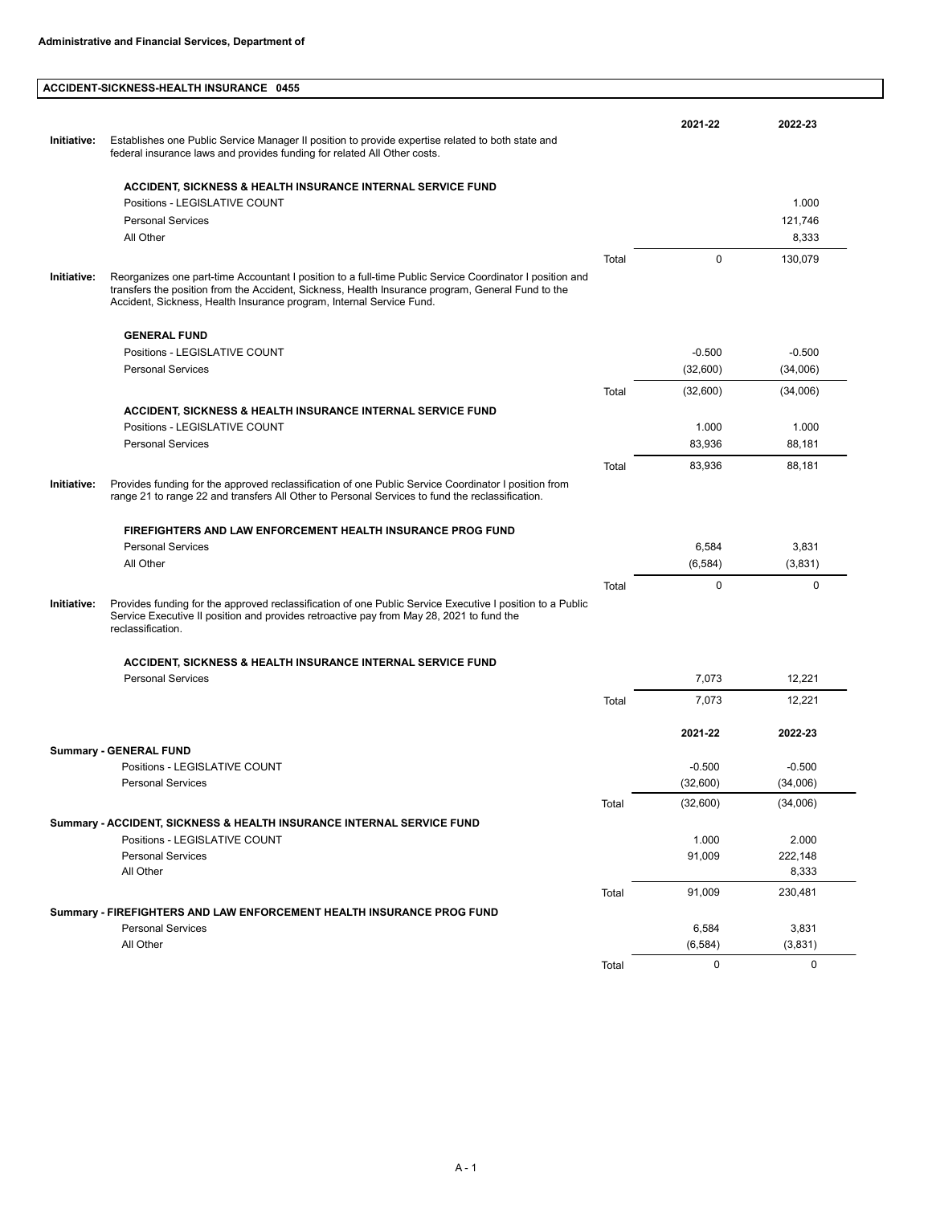|             |                                                                                                                                                                                                                                                                                       |       | 2021-22     | 2022-23     |
|-------------|---------------------------------------------------------------------------------------------------------------------------------------------------------------------------------------------------------------------------------------------------------------------------------------|-------|-------------|-------------|
| Initiative: | Establishes one Public Service Manager II position to provide expertise related to both state and<br>federal insurance laws and provides funding for related All Other costs.                                                                                                         |       |             |             |
|             | ACCIDENT, SICKNESS & HEALTH INSURANCE INTERNAL SERVICE FUND                                                                                                                                                                                                                           |       |             |             |
|             | Positions - LEGISLATIVE COUNT                                                                                                                                                                                                                                                         |       |             | 1.000       |
|             | <b>Personal Services</b>                                                                                                                                                                                                                                                              |       |             | 121,746     |
|             | All Other                                                                                                                                                                                                                                                                             |       |             | 8,333       |
|             |                                                                                                                                                                                                                                                                                       | Total | $\mathbf 0$ | 130,079     |
| Initiative: | Reorganizes one part-time Accountant I position to a full-time Public Service Coordinator I position and<br>transfers the position from the Accident, Sickness, Health Insurance program, General Fund to the<br>Accident, Sickness, Health Insurance program, Internal Service Fund. |       |             |             |
|             | <b>GENERAL FUND</b>                                                                                                                                                                                                                                                                   |       |             |             |
|             | Positions - LEGISLATIVE COUNT                                                                                                                                                                                                                                                         |       | $-0.500$    | $-0.500$    |
|             | <b>Personal Services</b>                                                                                                                                                                                                                                                              |       | (32,600)    | (34,006)    |
|             |                                                                                                                                                                                                                                                                                       | Total | (32,600)    | (34,006)    |
|             | ACCIDENT, SICKNESS & HEALTH INSURANCE INTERNAL SERVICE FUND                                                                                                                                                                                                                           |       |             |             |
|             | Positions - LEGISLATIVE COUNT                                                                                                                                                                                                                                                         |       | 1.000       | 1.000       |
|             | <b>Personal Services</b>                                                                                                                                                                                                                                                              |       | 83,936      | 88.181      |
|             |                                                                                                                                                                                                                                                                                       |       |             |             |
| Initiative: | Provides funding for the approved reclassification of one Public Service Coordinator I position from<br>range 21 to range 22 and transfers All Other to Personal Services to fund the reclassification.                                                                               | Total | 83,936      | 88,181      |
|             | <b>FIREFIGHTERS AND LAW ENFORCEMENT HEALTH INSURANCE PROG FUND</b>                                                                                                                                                                                                                    |       |             |             |
|             | <b>Personal Services</b>                                                                                                                                                                                                                                                              |       | 6,584       | 3,831       |
|             | All Other                                                                                                                                                                                                                                                                             |       | (6, 584)    | (3,831)     |
|             |                                                                                                                                                                                                                                                                                       | Total | 0           | $\mathbf 0$ |
| Initiative: | Provides funding for the approved reclassification of one Public Service Executive I position to a Public<br>Service Executive II position and provides retroactive pay from May 28, 2021 to fund the<br>reclassification.                                                            |       |             |             |
|             | ACCIDENT, SICKNESS & HEALTH INSURANCE INTERNAL SERVICE FUND                                                                                                                                                                                                                           |       |             |             |
|             | <b>Personal Services</b>                                                                                                                                                                                                                                                              |       | 7,073       | 12,221      |
|             |                                                                                                                                                                                                                                                                                       | Total | 7,073       | 12,221      |
|             |                                                                                                                                                                                                                                                                                       |       | 2021-22     | 2022-23     |
|             | <b>Summary - GENERAL FUND</b>                                                                                                                                                                                                                                                         |       |             |             |
|             | Positions - LEGISLATIVE COUNT                                                                                                                                                                                                                                                         |       | $-0.500$    | $-0.500$    |
|             | <b>Personal Services</b>                                                                                                                                                                                                                                                              |       | (32,600)    | (34,006)    |
|             |                                                                                                                                                                                                                                                                                       | Total | (32,600)    | (34,006)    |
|             | Summary - ACCIDENT, SICKNESS & HEALTH INSURANCE INTERNAL SERVICE FUND                                                                                                                                                                                                                 |       |             |             |
|             | Positions - LEGISLATIVE COUNT                                                                                                                                                                                                                                                         |       | 1.000       | 2.000       |
|             | <b>Personal Services</b>                                                                                                                                                                                                                                                              |       | 91,009      | 222,148     |
|             | All Other                                                                                                                                                                                                                                                                             |       |             | 8,333       |
|             |                                                                                                                                                                                                                                                                                       | Total | 91,009      | 230,481     |
|             |                                                                                                                                                                                                                                                                                       |       |             |             |
|             |                                                                                                                                                                                                                                                                                       |       |             |             |
|             | Summary - FIREFIGHTERS AND LAW ENFORCEMENT HEALTH INSURANCE PROG FUND<br><b>Personal Services</b>                                                                                                                                                                                     |       | 6,584       | 3,831       |
|             | All Other                                                                                                                                                                                                                                                                             |       | (6, 584)    | (3,831)     |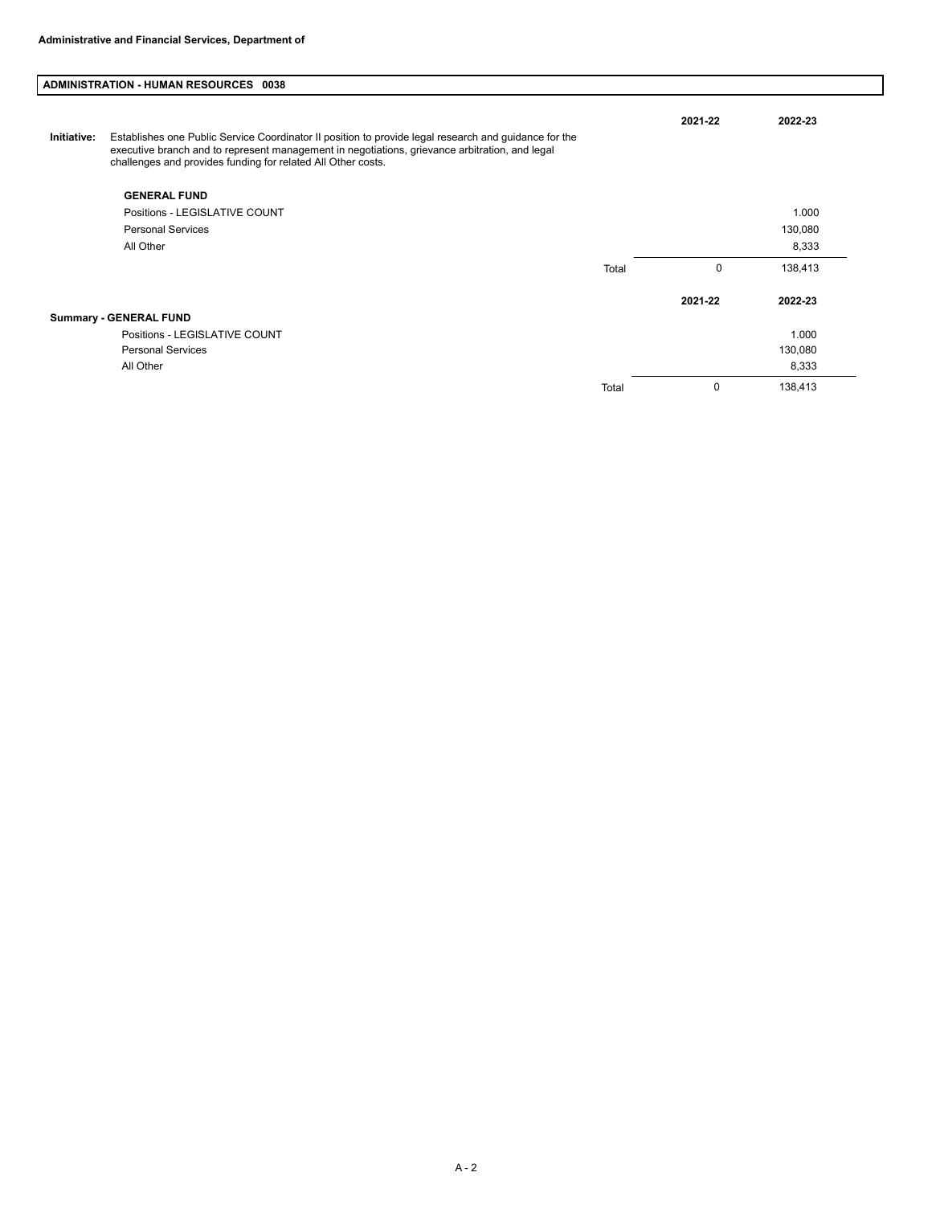|             | ADMINISTRATION - HUMAN RESOURCES 0038                                                                                                                          |       |          |         |
|-------------|----------------------------------------------------------------------------------------------------------------------------------------------------------------|-------|----------|---------|
| Initiative: | Establishes one Public Service Coordinator II position to provide legal research and guidance for the                                                          |       | 2021-22  | 2022-23 |
|             | executive branch and to represent management in negotiations, grievance arbitration, and legal<br>challenges and provides funding for related All Other costs. |       |          |         |
|             | <b>GENERAL FUND</b>                                                                                                                                            |       |          |         |
|             | Positions - LEGISLATIVE COUNT                                                                                                                                  |       |          | 1.000   |
|             | <b>Personal Services</b>                                                                                                                                       |       |          | 130,080 |
|             | All Other                                                                                                                                                      |       |          | 8,333   |
|             |                                                                                                                                                                | Total | 0        | 138,413 |
|             |                                                                                                                                                                |       | 2021-22  | 2022-23 |
|             | <b>Summary - GENERAL FUND</b>                                                                                                                                  |       |          |         |
|             | Positions - LEGISLATIVE COUNT                                                                                                                                  |       |          | 1.000   |
|             | <b>Personal Services</b>                                                                                                                                       |       |          | 130,080 |
|             | All Other                                                                                                                                                      |       |          | 8,333   |
|             |                                                                                                                                                                | Total | $\Omega$ | 138,413 |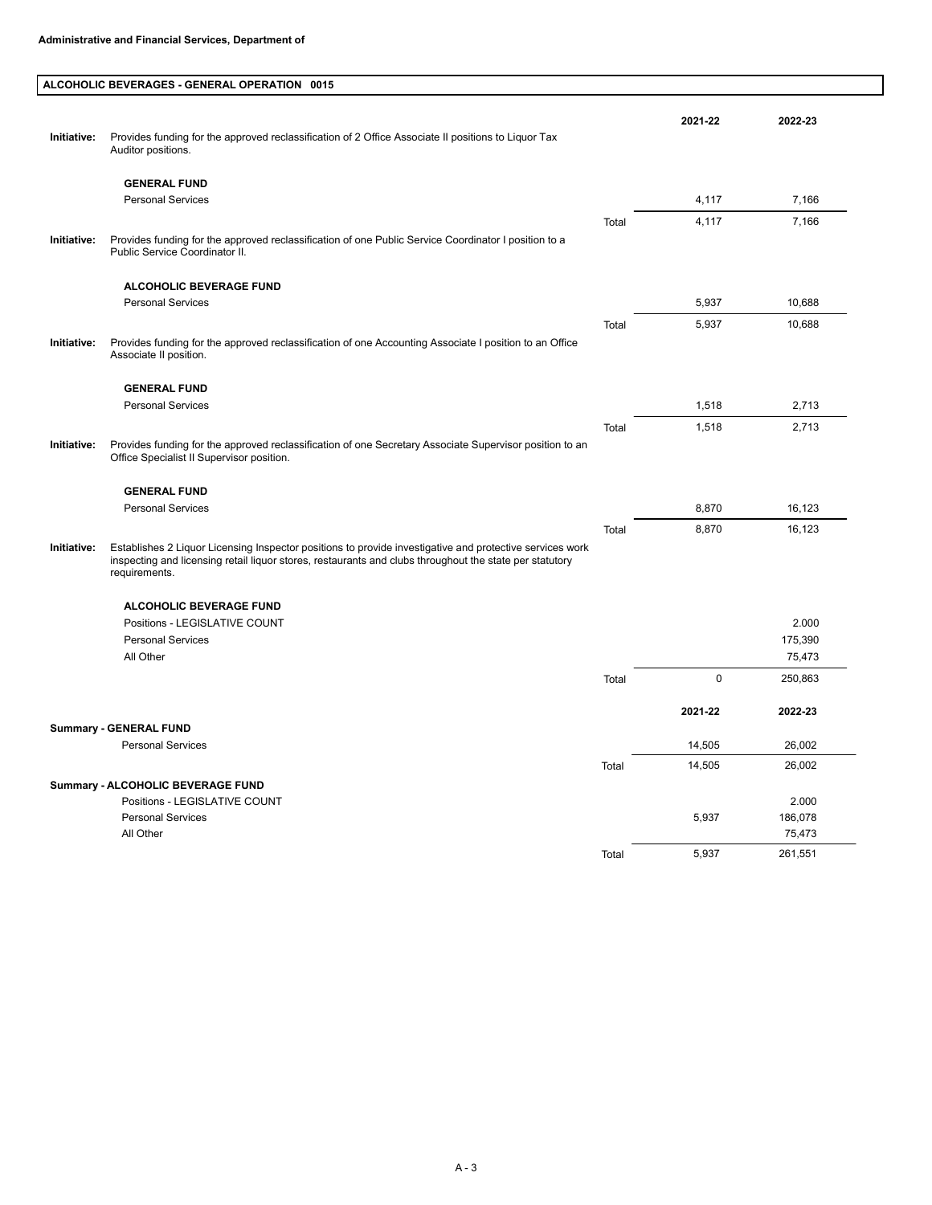|             | ALCOHOLIC BEVERAGES - GENERAL OPERATION 0015                                                                                                                                                                                         |       |             |         |
|-------------|--------------------------------------------------------------------------------------------------------------------------------------------------------------------------------------------------------------------------------------|-------|-------------|---------|
|             |                                                                                                                                                                                                                                      |       |             |         |
| Initiative: | Provides funding for the approved reclassification of 2 Office Associate II positions to Liquor Tax                                                                                                                                  |       | 2021-22     | 2022-23 |
|             | Auditor positions.                                                                                                                                                                                                                   |       |             |         |
|             | <b>GENERAL FUND</b>                                                                                                                                                                                                                  |       |             |         |
|             | <b>Personal Services</b>                                                                                                                                                                                                             |       | 4,117       | 7,166   |
|             |                                                                                                                                                                                                                                      | Total | 4,117       | 7,166   |
| Initiative: | Provides funding for the approved reclassification of one Public Service Coordinator I position to a<br>Public Service Coordinator II.                                                                                               |       |             |         |
|             | <b>ALCOHOLIC BEVERAGE FUND</b>                                                                                                                                                                                                       |       |             |         |
|             | <b>Personal Services</b>                                                                                                                                                                                                             |       | 5,937       | 10,688  |
|             |                                                                                                                                                                                                                                      | Total | 5,937       | 10,688  |
| Initiative: | Provides funding for the approved reclassification of one Accounting Associate I position to an Office                                                                                                                               |       |             |         |
|             | Associate II position.                                                                                                                                                                                                               |       |             |         |
|             | <b>GENERAL FUND</b>                                                                                                                                                                                                                  |       |             |         |
|             | <b>Personal Services</b>                                                                                                                                                                                                             |       | 1,518       | 2,713   |
|             |                                                                                                                                                                                                                                      | Total | 1,518       | 2,713   |
| Initiative: | Provides funding for the approved reclassification of one Secretary Associate Supervisor position to an<br>Office Specialist II Supervisor position.                                                                                 |       |             |         |
|             | <b>GENERAL FUND</b>                                                                                                                                                                                                                  |       |             |         |
|             | <b>Personal Services</b>                                                                                                                                                                                                             |       | 8,870       | 16,123  |
|             |                                                                                                                                                                                                                                      | Total | 8,870       | 16,123  |
| Initiative: | Establishes 2 Liquor Licensing Inspector positions to provide investigative and protective services work<br>inspecting and licensing retail liquor stores, restaurants and clubs throughout the state per statutory<br>requirements. |       |             |         |
|             | <b>ALCOHOLIC BEVERAGE FUND</b>                                                                                                                                                                                                       |       |             |         |
|             | Positions - LEGISLATIVE COUNT                                                                                                                                                                                                        |       |             | 2.000   |
|             | <b>Personal Services</b>                                                                                                                                                                                                             |       |             | 175,390 |
|             | All Other                                                                                                                                                                                                                            |       |             | 75,473  |
|             |                                                                                                                                                                                                                                      | Total | $\mathbf 0$ | 250,863 |
|             |                                                                                                                                                                                                                                      |       | 2021-22     | 2022-23 |
|             | <b>Summary - GENERAL FUND</b>                                                                                                                                                                                                        |       |             |         |
|             | <b>Personal Services</b>                                                                                                                                                                                                             |       | 14,505      | 26,002  |
|             |                                                                                                                                                                                                                                      | Total | 14,505      | 26,002  |
|             | Summary - ALCOHOLIC BEVERAGE FUND                                                                                                                                                                                                    |       |             |         |
|             | Positions - LEGISLATIVE COUNT                                                                                                                                                                                                        |       |             | 2.000   |
|             | <b>Personal Services</b>                                                                                                                                                                                                             |       | 5,937       | 186,078 |
|             | All Other                                                                                                                                                                                                                            |       |             | 75,473  |
|             |                                                                                                                                                                                                                                      | Total | 5.937       | 261,551 |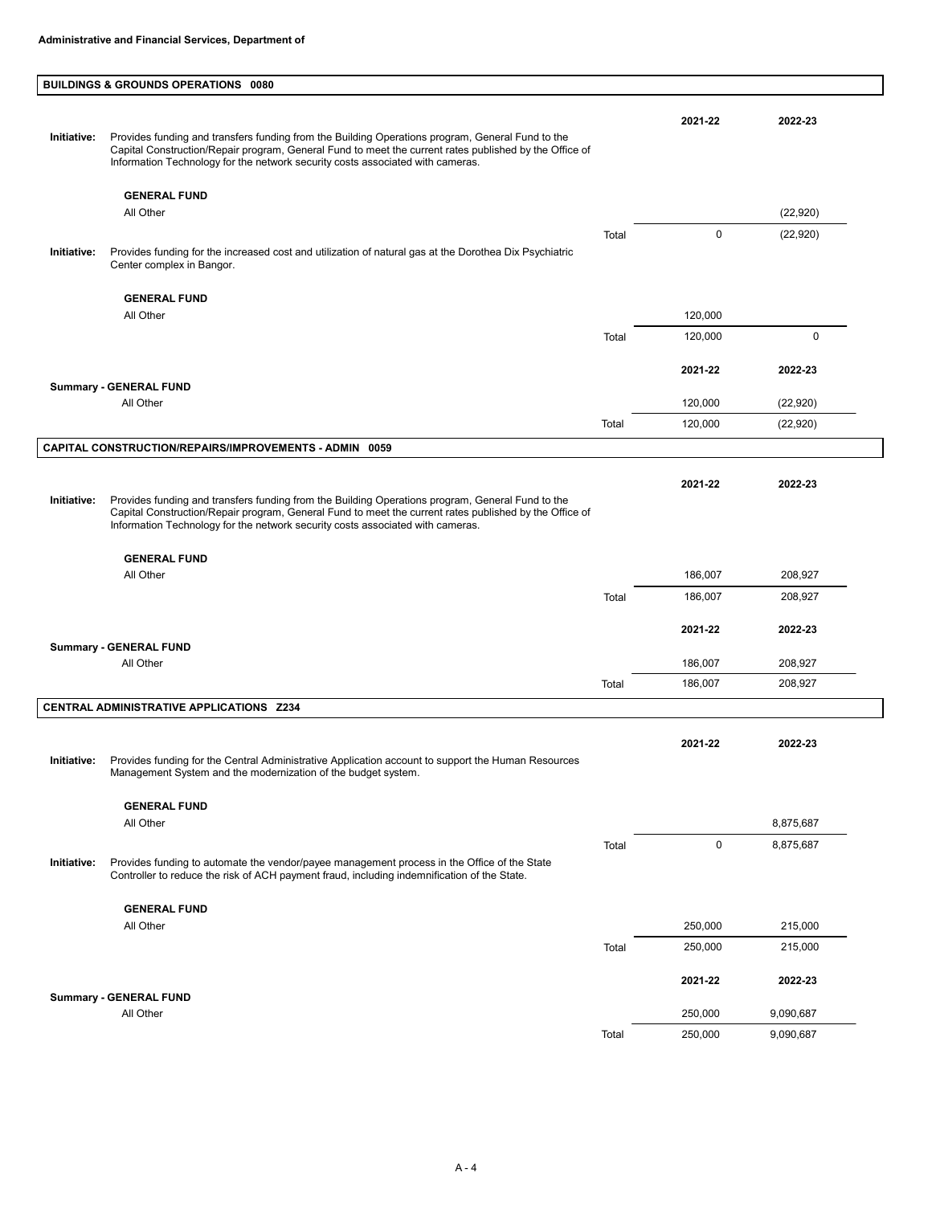|             | <b>BUILDINGS &amp; GROUNDS OPERATIONS 0080</b>                                                                                                                                                                                                                                               |       |             |             |  |
|-------------|----------------------------------------------------------------------------------------------------------------------------------------------------------------------------------------------------------------------------------------------------------------------------------------------|-------|-------------|-------------|--|
|             |                                                                                                                                                                                                                                                                                              |       |             |             |  |
| Initiative: | Provides funding and transfers funding from the Building Operations program, General Fund to the<br>Capital Construction/Repair program, General Fund to meet the current rates published by the Office of<br>Information Technology for the network security costs associated with cameras. |       | 2021-22     | 2022-23     |  |
|             | <b>GENERAL FUND</b>                                                                                                                                                                                                                                                                          |       |             |             |  |
|             | All Other                                                                                                                                                                                                                                                                                    |       |             | (22, 920)   |  |
|             |                                                                                                                                                                                                                                                                                              | Total | $\mathbf 0$ | (22, 920)   |  |
| Initiative: | Provides funding for the increased cost and utilization of natural gas at the Dorothea Dix Psychiatric<br>Center complex in Bangor.                                                                                                                                                          |       |             |             |  |
|             | <b>GENERAL FUND</b>                                                                                                                                                                                                                                                                          |       |             |             |  |
|             | All Other                                                                                                                                                                                                                                                                                    |       | 120,000     |             |  |
|             |                                                                                                                                                                                                                                                                                              | Total | 120,000     | $\mathbf 0$ |  |
|             |                                                                                                                                                                                                                                                                                              |       | 2021-22     | 2022-23     |  |
|             | <b>Summary - GENERAL FUND</b>                                                                                                                                                                                                                                                                |       |             |             |  |
|             | All Other                                                                                                                                                                                                                                                                                    |       | 120,000     | (22, 920)   |  |
|             |                                                                                                                                                                                                                                                                                              | Total | 120,000     | (22, 920)   |  |
|             | CAPITAL CONSTRUCTION/REPAIRS/IMPROVEMENTS - ADMIN 0059                                                                                                                                                                                                                                       |       |             |             |  |
|             |                                                                                                                                                                                                                                                                                              |       |             |             |  |
| Initiative: | Provides funding and transfers funding from the Building Operations program, General Fund to the<br>Capital Construction/Repair program, General Fund to meet the current rates published by the Office of<br>Information Technology for the network security costs associated with cameras. |       | 2021-22     | 2022-23     |  |
|             | <b>GENERAL FUND</b>                                                                                                                                                                                                                                                                          |       |             |             |  |
|             | All Other                                                                                                                                                                                                                                                                                    |       | 186,007     | 208,927     |  |
|             |                                                                                                                                                                                                                                                                                              | Total | 186,007     | 208,927     |  |
|             |                                                                                                                                                                                                                                                                                              |       |             |             |  |
|             | <b>Summary - GENERAL FUND</b>                                                                                                                                                                                                                                                                |       | 2021-22     | 2022-23     |  |
|             | All Other                                                                                                                                                                                                                                                                                    |       | 186,007     | 208,927     |  |
|             |                                                                                                                                                                                                                                                                                              | Total | 186,007     | 208,927     |  |
|             | CENTRAL ADMINISTRATIVE APPLICATIONS Z234                                                                                                                                                                                                                                                     |       |             |             |  |
|             |                                                                                                                                                                                                                                                                                              |       |             |             |  |
| Initiative: | Provides funding for the Central Administrative Application account to support the Human Resources<br>Management System and the modernization of the budget system.                                                                                                                          |       | 2021-22     | 2022-23     |  |
|             | <b>GENERAL FUND</b>                                                                                                                                                                                                                                                                          |       |             |             |  |
|             | All Other                                                                                                                                                                                                                                                                                    |       |             | 8,875,687   |  |
|             |                                                                                                                                                                                                                                                                                              | Total | 0           | 8,875,687   |  |
| Initiative: | Provides funding to automate the vendor/payee management process in the Office of the State<br>Controller to reduce the risk of ACH payment fraud, including indemnification of the State.                                                                                                   |       |             |             |  |
|             | <b>GENERAL FUND</b>                                                                                                                                                                                                                                                                          |       |             |             |  |
|             | All Other                                                                                                                                                                                                                                                                                    |       | 250,000     | 215,000     |  |
|             |                                                                                                                                                                                                                                                                                              | Total | 250,000     | 215,000     |  |
|             |                                                                                                                                                                                                                                                                                              |       | 2021-22     | 2022-23     |  |
|             | <b>Summary - GENERAL FUND</b>                                                                                                                                                                                                                                                                |       |             |             |  |
|             | All Other                                                                                                                                                                                                                                                                                    |       | 250,000     | 9,090,687   |  |
|             |                                                                                                                                                                                                                                                                                              | Total | 250,000     | 9,090,687   |  |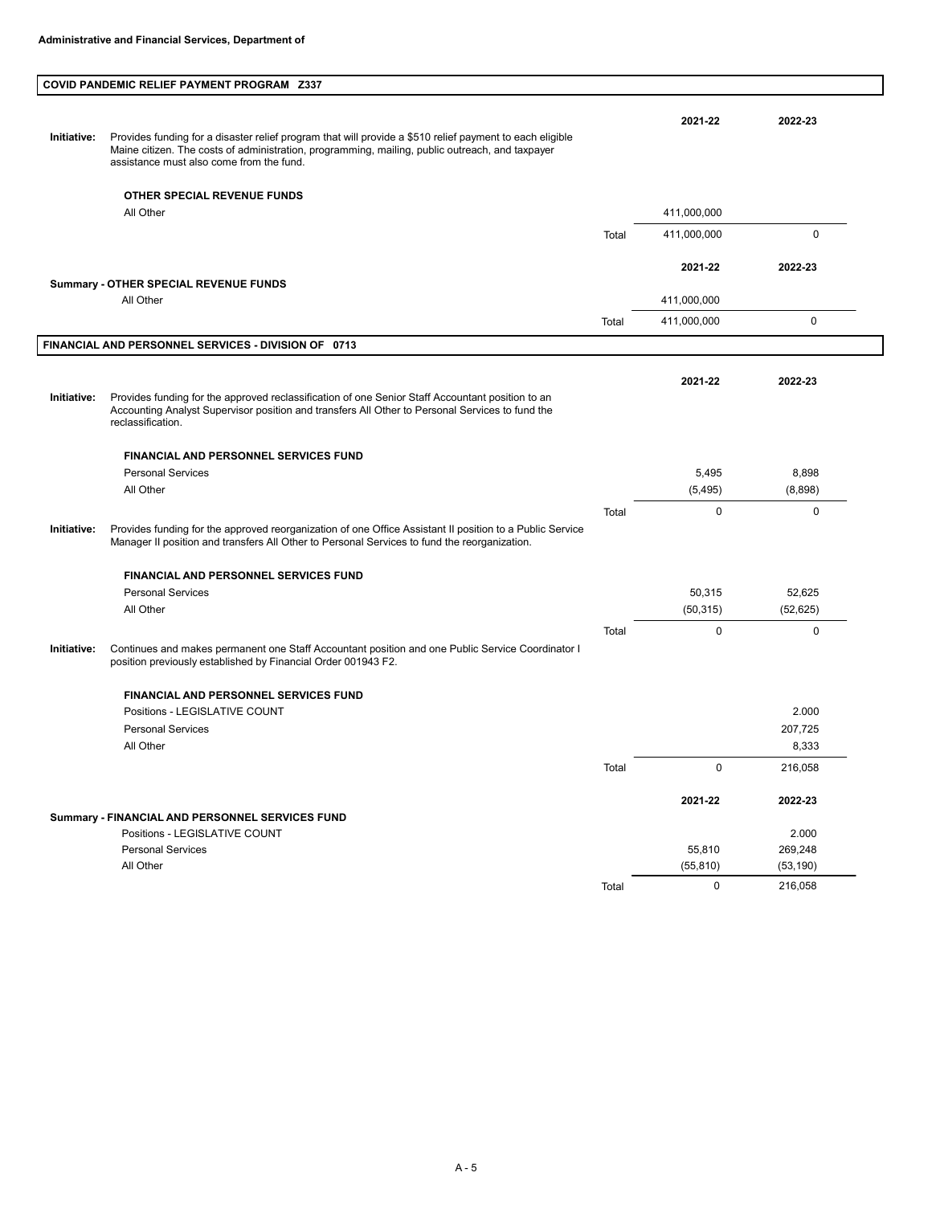|             | COVID PANDEMIC RELIEF PAYMENT PROGRAM Z337                                                                                                                                                                               |       |             |             |
|-------------|--------------------------------------------------------------------------------------------------------------------------------------------------------------------------------------------------------------------------|-------|-------------|-------------|
| Initiative: | Provides funding for a disaster relief program that will provide a \$510 relief payment to each eligible                                                                                                                 |       | 2021-22     | 2022-23     |
|             | Maine citizen. The costs of administration, programming, mailing, public outreach, and taxpayer<br>assistance must also come from the fund.                                                                              |       |             |             |
|             | OTHER SPECIAL REVENUE FUNDS                                                                                                                                                                                              |       |             |             |
|             | All Other                                                                                                                                                                                                                |       | 411,000,000 |             |
|             |                                                                                                                                                                                                                          | Total | 411,000,000 | $\mathbf 0$ |
|             |                                                                                                                                                                                                                          |       | 2021-22     | 2022-23     |
|             | <b>Summary - OTHER SPECIAL REVENUE FUNDS</b>                                                                                                                                                                             |       |             |             |
|             | All Other                                                                                                                                                                                                                |       | 411,000,000 |             |
|             |                                                                                                                                                                                                                          | Total | 411,000,000 | 0           |
|             | FINANCIAL AND PERSONNEL SERVICES - DIVISION OF 0713                                                                                                                                                                      |       |             |             |
|             |                                                                                                                                                                                                                          |       |             |             |
| Initiative: | Provides funding for the approved reclassification of one Senior Staff Accountant position to an<br>Accounting Analyst Supervisor position and transfers All Other to Personal Services to fund the<br>reclassification. |       | 2021-22     | 2022-23     |
|             | <b>FINANCIAL AND PERSONNEL SERVICES FUND</b>                                                                                                                                                                             |       |             |             |
|             | <b>Personal Services</b>                                                                                                                                                                                                 |       | 5,495       | 8,898       |
|             | All Other                                                                                                                                                                                                                |       | (5, 495)    | (8,898)     |
|             |                                                                                                                                                                                                                          | Total | 0           | $\mathbf 0$ |
| Initiative: | Provides funding for the approved reorganization of one Office Assistant II position to a Public Service<br>Manager II position and transfers All Other to Personal Services to fund the reorganization.                 |       |             |             |
|             | <b>FINANCIAL AND PERSONNEL SERVICES FUND</b>                                                                                                                                                                             |       |             |             |
|             | <b>Personal Services</b>                                                                                                                                                                                                 |       | 50,315      | 52,625      |
|             | All Other                                                                                                                                                                                                                |       | (50, 315)   | (52, 625)   |
|             |                                                                                                                                                                                                                          | Total | 0           | $\mathbf 0$ |
| Initiative: | Continues and makes permanent one Staff Accountant position and one Public Service Coordinator I<br>position previously established by Financial Order 001943 F2.                                                        |       |             |             |
|             | <b>FINANCIAL AND PERSONNEL SERVICES FUND</b>                                                                                                                                                                             |       |             |             |
|             | Positions - LEGISLATIVE COUNT                                                                                                                                                                                            |       |             | 2.000       |
|             | <b>Personal Services</b>                                                                                                                                                                                                 |       |             | 207,725     |
|             | All Other                                                                                                                                                                                                                |       |             | 8,333       |
|             |                                                                                                                                                                                                                          | Total | 0           | 216,058     |
|             |                                                                                                                                                                                                                          |       | 2021-22     | 2022-23     |
|             | Summary - FINANCIAL AND PERSONNEL SERVICES FUND                                                                                                                                                                          |       |             |             |
|             | Positions - LEGISLATIVE COUNT                                                                                                                                                                                            |       |             | 2.000       |
|             | <b>Personal Services</b>                                                                                                                                                                                                 |       | 55,810      | 269,248     |
|             | All Other                                                                                                                                                                                                                |       | (55, 810)   | (53, 190)   |
|             |                                                                                                                                                                                                                          | Total | $\pmb{0}$   | 216,058     |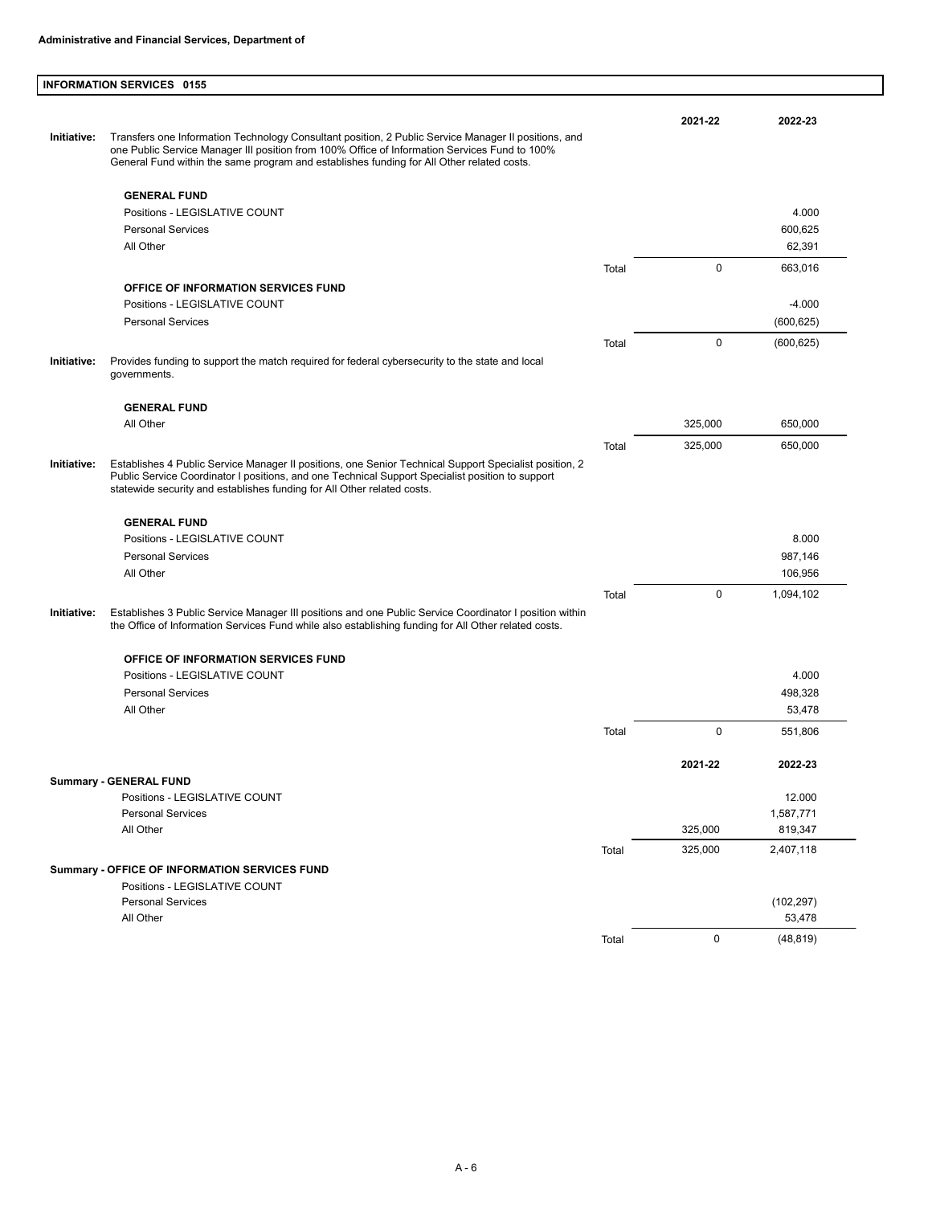|             | <b>INFORMATION SERVICES 0155</b>                                                                                                                                                                                                                                                                   |       |             |            |
|-------------|----------------------------------------------------------------------------------------------------------------------------------------------------------------------------------------------------------------------------------------------------------------------------------------------------|-------|-------------|------------|
|             |                                                                                                                                                                                                                                                                                                    |       |             |            |
| Initiative: | Transfers one Information Technology Consultant position, 2 Public Service Manager II positions, and<br>one Public Service Manager III position from 100% Office of Information Services Fund to 100%<br>General Fund within the same program and establishes funding for All Other related costs. |       | 2021-22     | 2022-23    |
|             | <b>GENERAL FUND</b>                                                                                                                                                                                                                                                                                |       |             |            |
|             | Positions - LEGISLATIVE COUNT                                                                                                                                                                                                                                                                      |       |             | 4.000      |
|             | <b>Personal Services</b>                                                                                                                                                                                                                                                                           |       |             | 600,625    |
|             | All Other                                                                                                                                                                                                                                                                                          |       |             | 62,391     |
|             |                                                                                                                                                                                                                                                                                                    | Total | $\mathbf 0$ | 663,016    |
|             |                                                                                                                                                                                                                                                                                                    |       |             |            |
|             | OFFICE OF INFORMATION SERVICES FUND<br>Positions - LEGISLATIVE COUNT                                                                                                                                                                                                                               |       |             | $-4.000$   |
|             | <b>Personal Services</b>                                                                                                                                                                                                                                                                           |       |             | (600, 625) |
|             |                                                                                                                                                                                                                                                                                                    |       |             |            |
|             |                                                                                                                                                                                                                                                                                                    | Total | $\mathbf 0$ | (600, 625) |
| Initiative: | Provides funding to support the match required for federal cybersecurity to the state and local<br>governments.                                                                                                                                                                                    |       |             |            |
|             | <b>GENERAL FUND</b>                                                                                                                                                                                                                                                                                |       |             |            |
|             | All Other                                                                                                                                                                                                                                                                                          |       | 325,000     | 650,000    |
|             |                                                                                                                                                                                                                                                                                                    | Total | 325,000     | 650,000    |
| Initiative: | Establishes 4 Public Service Manager II positions, one Senior Technical Support Specialist position, 2<br>Public Service Coordinator I positions, and one Technical Support Specialist position to support<br>statewide security and establishes funding for All Other related costs.              |       |             |            |
|             | <b>GENERAL FUND</b>                                                                                                                                                                                                                                                                                |       |             |            |
|             | Positions - LEGISLATIVE COUNT                                                                                                                                                                                                                                                                      |       |             | 8.000      |
|             | <b>Personal Services</b>                                                                                                                                                                                                                                                                           |       |             | 987,146    |
|             | All Other                                                                                                                                                                                                                                                                                          |       |             | 106,956    |
|             |                                                                                                                                                                                                                                                                                                    | Total | $\mathbf 0$ | 1,094,102  |
| Initiative: | Establishes 3 Public Service Manager III positions and one Public Service Coordinator I position within<br>the Office of Information Services Fund while also establishing funding for All Other related costs.                                                                                    |       |             |            |
|             | OFFICE OF INFORMATION SERVICES FUND                                                                                                                                                                                                                                                                |       |             |            |
|             | Positions - LEGISLATIVE COUNT                                                                                                                                                                                                                                                                      |       |             | 4.000      |
|             | <b>Personal Services</b>                                                                                                                                                                                                                                                                           |       |             | 498,328    |
|             | All Other                                                                                                                                                                                                                                                                                          |       |             | 53,478     |
|             |                                                                                                                                                                                                                                                                                                    | Total | $\mathbf 0$ | 551,806    |
|             |                                                                                                                                                                                                                                                                                                    |       | 2021-22     | 2022-23    |
|             | <b>Summary - GENERAL FUND</b>                                                                                                                                                                                                                                                                      |       |             |            |
|             | Positions - LEGISLATIVE COUNT                                                                                                                                                                                                                                                                      |       |             | 12.000     |
|             | <b>Personal Services</b>                                                                                                                                                                                                                                                                           |       |             | 1,587,771  |
|             | All Other                                                                                                                                                                                                                                                                                          |       | 325,000     | 819,347    |
|             |                                                                                                                                                                                                                                                                                                    | Total | 325,000     | 2,407,118  |
|             | Summary - OFFICE OF INFORMATION SERVICES FUND                                                                                                                                                                                                                                                      |       |             |            |
|             | Positions - LEGISLATIVE COUNT                                                                                                                                                                                                                                                                      |       |             |            |
|             | <b>Personal Services</b>                                                                                                                                                                                                                                                                           |       |             | (102, 297) |
|             | All Other                                                                                                                                                                                                                                                                                          |       |             | 53,478     |
|             |                                                                                                                                                                                                                                                                                                    | Total | 0           | (48, 819)  |
|             |                                                                                                                                                                                                                                                                                                    |       |             |            |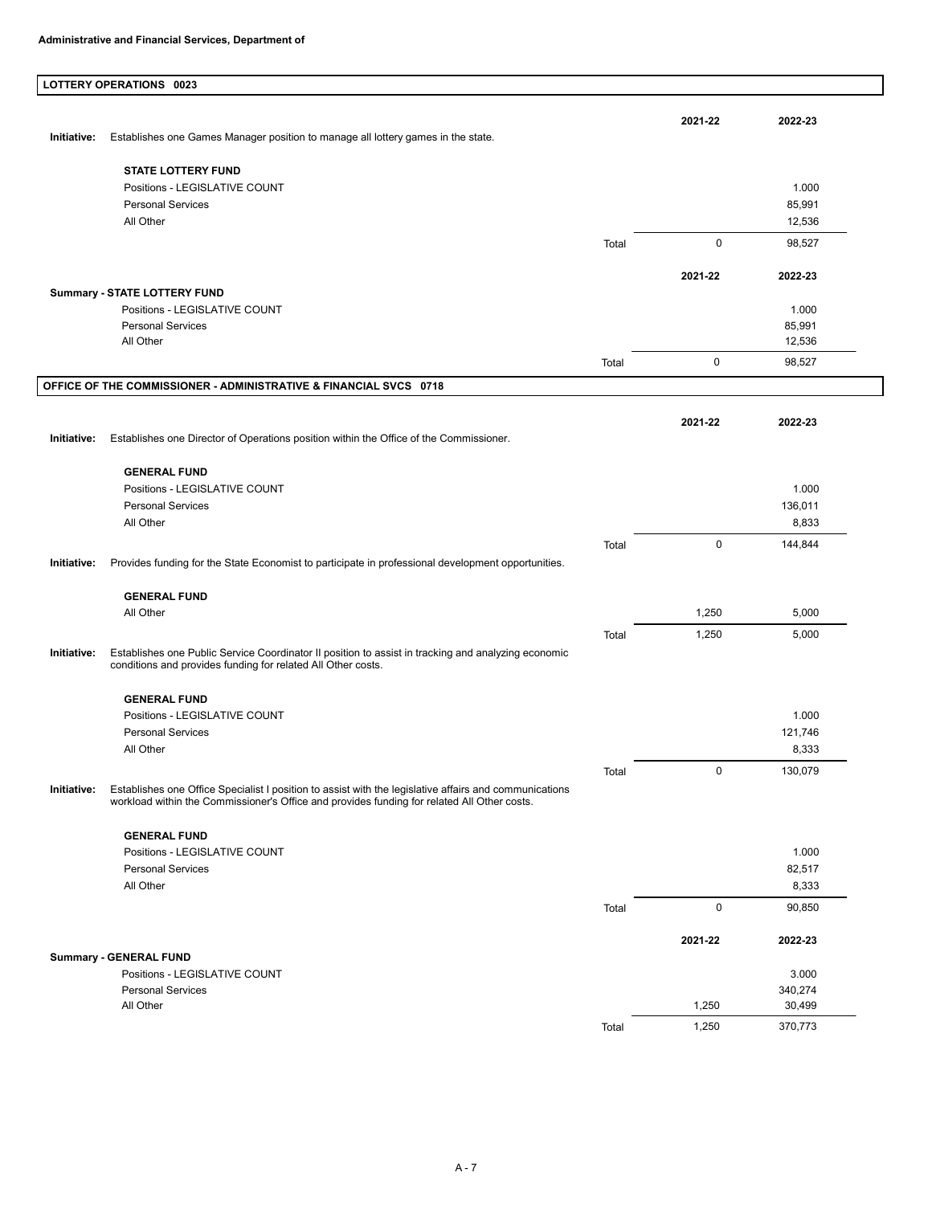|             | <b>LOTTERY OPERATIONS 0023</b>                                                                                                                                                                        |       |             |                  |
|-------------|-------------------------------------------------------------------------------------------------------------------------------------------------------------------------------------------------------|-------|-------------|------------------|
|             |                                                                                                                                                                                                       |       |             |                  |
| Initiative: | Establishes one Games Manager position to manage all lottery games in the state.                                                                                                                      |       | 2021-22     | 2022-23          |
|             |                                                                                                                                                                                                       |       |             |                  |
|             | <b>STATE LOTTERY FUND</b>                                                                                                                                                                             |       |             |                  |
|             | Positions - LEGISLATIVE COUNT                                                                                                                                                                         |       |             | 1.000            |
|             | <b>Personal Services</b>                                                                                                                                                                              |       |             | 85,991           |
|             | All Other                                                                                                                                                                                             |       |             | 12,536           |
|             |                                                                                                                                                                                                       | Total | 0           | 98,527           |
|             |                                                                                                                                                                                                       |       |             |                  |
|             |                                                                                                                                                                                                       |       | 2021-22     | 2022-23          |
|             | <b>Summary - STATE LOTTERY FUND</b>                                                                                                                                                                   |       |             |                  |
|             | Positions - LEGISLATIVE COUNT                                                                                                                                                                         |       |             | 1.000            |
|             | <b>Personal Services</b><br>All Other                                                                                                                                                                 |       |             | 85,991<br>12,536 |
|             |                                                                                                                                                                                                       |       |             |                  |
|             |                                                                                                                                                                                                       | Total | 0           | 98,527           |
|             | OFFICE OF THE COMMISSIONER - ADMINISTRATIVE & FINANCIAL SVCS 0718                                                                                                                                     |       |             |                  |
|             |                                                                                                                                                                                                       |       |             |                  |
|             |                                                                                                                                                                                                       |       | 2021-22     | 2022-23          |
| Initiative: | Establishes one Director of Operations position within the Office of the Commissioner.                                                                                                                |       |             |                  |
|             |                                                                                                                                                                                                       |       |             |                  |
|             | <b>GENERAL FUND</b>                                                                                                                                                                                   |       |             |                  |
|             | Positions - LEGISLATIVE COUNT                                                                                                                                                                         |       |             | 1.000            |
|             | <b>Personal Services</b>                                                                                                                                                                              |       |             | 136,011          |
|             | All Other                                                                                                                                                                                             |       |             | 8,833            |
|             |                                                                                                                                                                                                       | Total | 0           | 144,844          |
| Initiative: | Provides funding for the State Economist to participate in professional development opportunities.                                                                                                    |       |             |                  |
|             |                                                                                                                                                                                                       |       |             |                  |
|             | <b>GENERAL FUND</b>                                                                                                                                                                                   |       |             |                  |
|             | All Other                                                                                                                                                                                             |       | 1,250       | 5,000            |
|             |                                                                                                                                                                                                       | Total | 1,250       | 5,000            |
| Initiative: | Establishes one Public Service Coordinator II position to assist in tracking and analyzing economic<br>conditions and provides funding for related All Other costs.                                   |       |             |                  |
|             | <b>GENERAL FUND</b>                                                                                                                                                                                   |       |             |                  |
|             | Positions - LEGISLATIVE COUNT                                                                                                                                                                         |       |             | 1.000            |
|             | <b>Personal Services</b>                                                                                                                                                                              |       |             | 121,746          |
|             | All Other                                                                                                                                                                                             |       |             | 8,333            |
|             |                                                                                                                                                                                                       | Total | 0           | 130,079          |
| Initiative: | Establishes one Office Specialist I position to assist with the legislative affairs and communications<br>workload within the Commissioner's Office and provides funding for related All Other costs. |       |             |                  |
|             | <b>GENERAL FUND</b>                                                                                                                                                                                   |       |             |                  |
|             | Positions - LEGISLATIVE COUNT                                                                                                                                                                         |       |             | 1.000            |
|             | <b>Personal Services</b>                                                                                                                                                                              |       |             | 82,517           |
|             | All Other                                                                                                                                                                                             |       |             | 8,333            |
|             |                                                                                                                                                                                                       | Total | $\mathsf 0$ | 90,850           |
|             |                                                                                                                                                                                                       |       |             |                  |
|             |                                                                                                                                                                                                       |       | 2021-22     | 2022-23          |
|             | <b>Summary - GENERAL FUND</b><br>Positions - LEGISLATIVE COUNT                                                                                                                                        |       |             | 3.000            |
|             | <b>Personal Services</b>                                                                                                                                                                              |       |             | 340,274          |
|             | All Other                                                                                                                                                                                             |       | 1,250       | 30,499           |
|             |                                                                                                                                                                                                       | Total | 1,250       | 370,773          |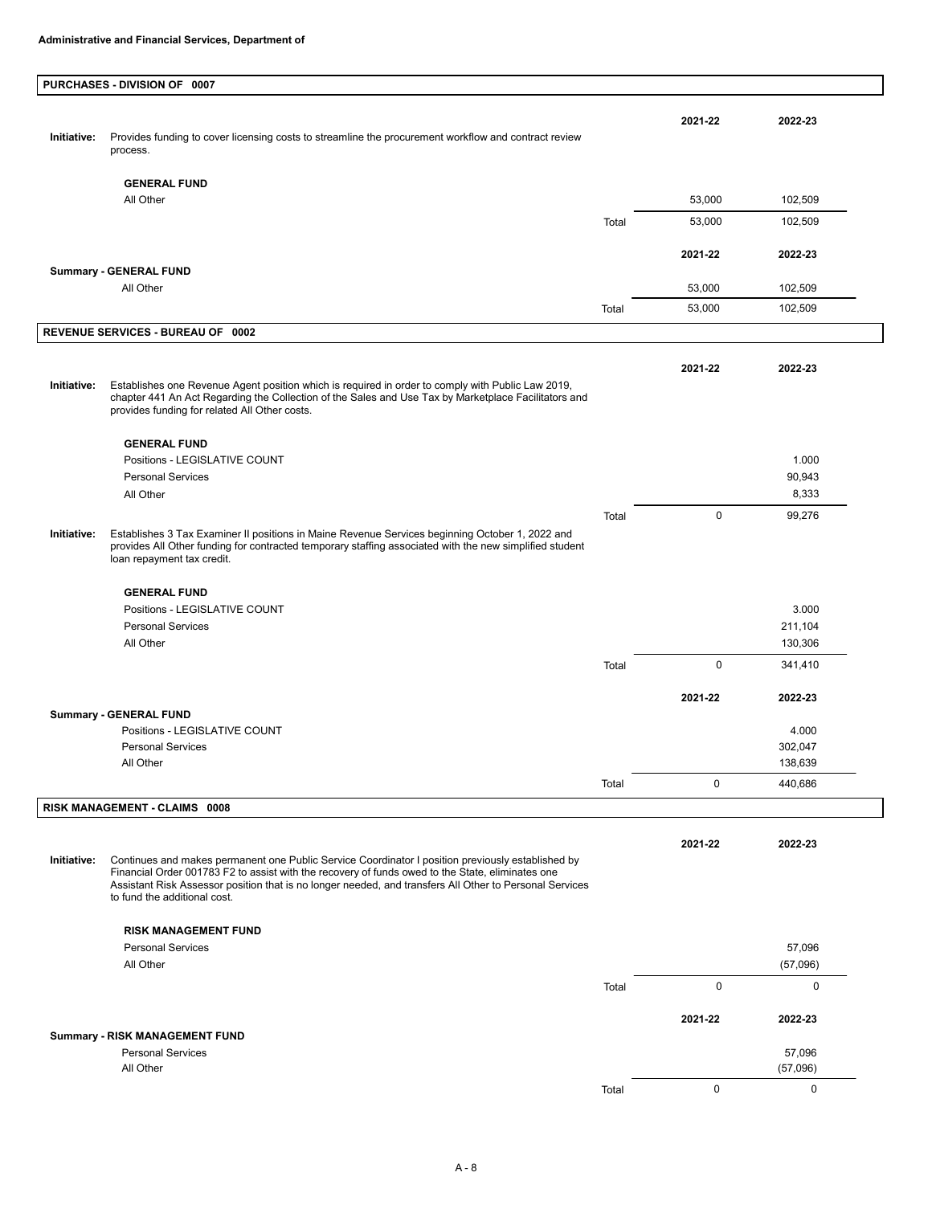| PURCHASES - DIVISION OF 0007 |                                                                                                                                                                                                       |       |             |                    |  |
|------------------------------|-------------------------------------------------------------------------------------------------------------------------------------------------------------------------------------------------------|-------|-------------|--------------------|--|
|                              |                                                                                                                                                                                                       |       |             |                    |  |
|                              |                                                                                                                                                                                                       |       | 2021-22     | 2022-23            |  |
| Initiative:                  | Provides funding to cover licensing costs to streamline the procurement workflow and contract review<br>process.                                                                                      |       |             |                    |  |
|                              |                                                                                                                                                                                                       |       |             |                    |  |
|                              | <b>GENERAL FUND</b>                                                                                                                                                                                   |       |             |                    |  |
|                              | All Other                                                                                                                                                                                             |       | 53,000      | 102,509            |  |
|                              |                                                                                                                                                                                                       | Total | 53,000      | 102,509            |  |
|                              |                                                                                                                                                                                                       |       |             |                    |  |
|                              |                                                                                                                                                                                                       |       | 2021-22     | 2022-23            |  |
|                              | <b>Summary - GENERAL FUND</b><br>All Other                                                                                                                                                            |       | 53,000      | 102,509            |  |
|                              |                                                                                                                                                                                                       | Total | 53,000      | 102,509            |  |
|                              |                                                                                                                                                                                                       |       |             |                    |  |
|                              | REVENUE SERVICES - BUREAU OF 0002                                                                                                                                                                     |       |             |                    |  |
|                              |                                                                                                                                                                                                       |       | 2021-22     |                    |  |
| Initiative:                  | Establishes one Revenue Agent position which is required in order to comply with Public Law 2019,                                                                                                     |       |             | 2022-23            |  |
|                              | chapter 441 An Act Regarding the Collection of the Sales and Use Tax by Marketplace Facilitators and                                                                                                  |       |             |                    |  |
|                              | provides funding for related All Other costs.                                                                                                                                                         |       |             |                    |  |
|                              | <b>GENERAL FUND</b>                                                                                                                                                                                   |       |             |                    |  |
|                              | Positions - LEGISLATIVE COUNT                                                                                                                                                                         |       |             | 1.000              |  |
|                              | <b>Personal Services</b>                                                                                                                                                                              |       |             | 90,943             |  |
|                              | All Other                                                                                                                                                                                             |       |             | 8,333              |  |
|                              |                                                                                                                                                                                                       | Total | $\mathsf 0$ | 99,276             |  |
| Initiative:                  | Establishes 3 Tax Examiner II positions in Maine Revenue Services beginning October 1, 2022 and                                                                                                       |       |             |                    |  |
|                              | provides All Other funding for contracted temporary staffing associated with the new simplified student<br>loan repayment tax credit.                                                                 |       |             |                    |  |
|                              |                                                                                                                                                                                                       |       |             |                    |  |
|                              | <b>GENERAL FUND</b>                                                                                                                                                                                   |       |             |                    |  |
|                              | Positions - LEGISLATIVE COUNT                                                                                                                                                                         |       |             | 3.000              |  |
|                              | <b>Personal Services</b>                                                                                                                                                                              |       |             | 211,104            |  |
|                              | All Other                                                                                                                                                                                             |       |             | 130,306            |  |
|                              |                                                                                                                                                                                                       | Total | 0           | 341,410            |  |
|                              |                                                                                                                                                                                                       |       | 2021-22     | 2022-23            |  |
|                              | <b>Summary - GENERAL FUND</b>                                                                                                                                                                         |       |             |                    |  |
|                              | Positions - LEGISLATIVE COUNT                                                                                                                                                                         |       |             | 4.000              |  |
|                              | <b>Personal Services</b>                                                                                                                                                                              |       |             | 302,047            |  |
|                              | All Other                                                                                                                                                                                             |       |             | 138,639            |  |
|                              |                                                                                                                                                                                                       | Total | 0           | 440,686            |  |
|                              | RISK MANAGEMENT - CLAIMS 0008                                                                                                                                                                         |       |             |                    |  |
|                              |                                                                                                                                                                                                       |       |             |                    |  |
|                              |                                                                                                                                                                                                       |       | 2021-22     | 2022-23            |  |
| Initiative:                  | Continues and makes permanent one Public Service Coordinator I position previously established by<br>Financial Order 001783 F2 to assist with the recovery of funds owed to the State, eliminates one |       |             |                    |  |
|                              | Assistant Risk Assessor position that is no longer needed, and transfers All Other to Personal Services                                                                                               |       |             |                    |  |
|                              | to fund the additional cost.                                                                                                                                                                          |       |             |                    |  |
|                              | <b>RISK MANAGEMENT FUND</b>                                                                                                                                                                           |       |             |                    |  |
|                              | <b>Personal Services</b>                                                                                                                                                                              |       |             | 57,096             |  |
|                              | All Other                                                                                                                                                                                             |       |             | (57,096)           |  |
|                              |                                                                                                                                                                                                       | Total | $\mathbf 0$ | $\mathbf 0$        |  |
|                              |                                                                                                                                                                                                       |       |             |                    |  |
|                              |                                                                                                                                                                                                       |       | 2021-22     | 2022-23            |  |
|                              | <b>Summary - RISK MANAGEMENT FUND</b>                                                                                                                                                                 |       |             |                    |  |
|                              | <b>Personal Services</b><br>All Other                                                                                                                                                                 |       |             | 57,096<br>(57,096) |  |
|                              |                                                                                                                                                                                                       |       |             |                    |  |
|                              |                                                                                                                                                                                                       | Total | 0           | 0                  |  |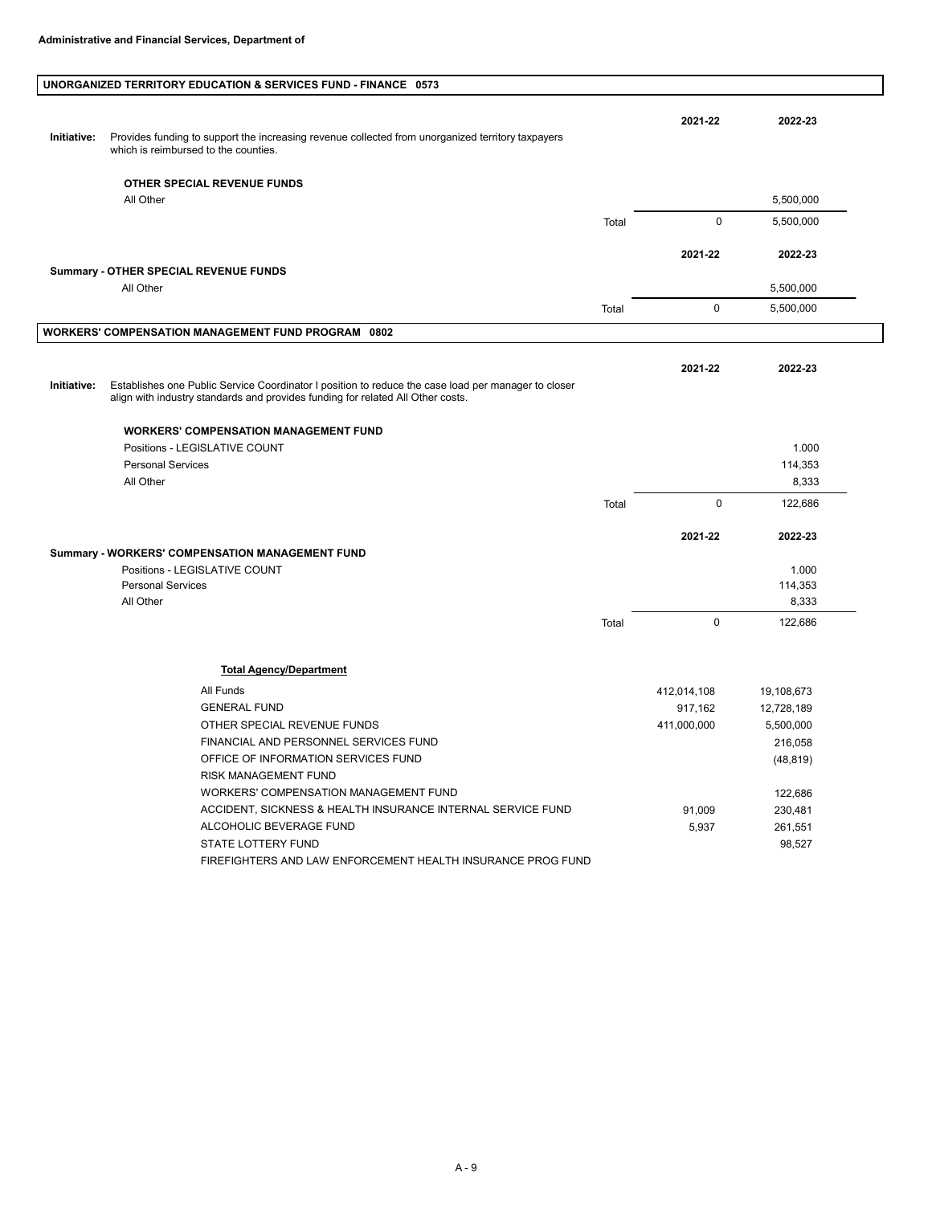|             |                                                                                                                                           |       | 2021-22     | 2022-23    |
|-------------|-------------------------------------------------------------------------------------------------------------------------------------------|-------|-------------|------------|
| Initiative: | Provides funding to support the increasing revenue collected from unorganized territory taxpayers<br>which is reimbursed to the counties. |       |             |            |
|             |                                                                                                                                           |       |             |            |
|             | OTHER SPECIAL REVENUE FUNDS<br>All Other                                                                                                  |       |             | 5,500,000  |
|             |                                                                                                                                           | Total | 0           | 5,500,000  |
|             |                                                                                                                                           |       |             |            |
|             |                                                                                                                                           |       | 2021-22     | 2022-23    |
|             | Summary - OTHER SPECIAL REVENUE FUNDS                                                                                                     |       |             |            |
|             | All Other                                                                                                                                 |       |             | 5,500,000  |
|             |                                                                                                                                           | Total | $\mathbf 0$ | 5,500,000  |
|             | <b>WORKERS' COMPENSATION MANAGEMENT FUND PROGRAM 0802</b>                                                                                 |       |             |            |
|             |                                                                                                                                           |       | 2021-22     | 2022-23    |
| Initiative: | Establishes one Public Service Coordinator I position to reduce the case load per manager to closer                                       |       |             |            |
|             | align with industry standards and provides funding for related All Other costs.                                                           |       |             |            |
|             | <b>WORKERS' COMPENSATION MANAGEMENT FUND</b>                                                                                              |       |             |            |
|             | Positions - LEGISLATIVE COUNT                                                                                                             |       |             | 1.000      |
|             | <b>Personal Services</b>                                                                                                                  |       |             | 114,353    |
|             | All Other                                                                                                                                 |       |             | 8,333      |
|             |                                                                                                                                           | Total | 0           | 122,686    |
|             |                                                                                                                                           |       |             |            |
|             |                                                                                                                                           |       | 2021-22     | 2022-23    |
|             | Summary - WORKERS' COMPENSATION MANAGEMENT FUND<br>Positions - LEGISLATIVE COUNT                                                          |       |             | 1.000      |
|             | <b>Personal Services</b>                                                                                                                  |       |             | 114,353    |
|             | All Other                                                                                                                                 |       |             | 8,333      |
|             |                                                                                                                                           | Total | $\Omega$    | 122,686    |
|             |                                                                                                                                           |       |             |            |
|             | <b>Total Agency/Department</b>                                                                                                            |       |             |            |
|             | All Funds                                                                                                                                 |       | 412,014,108 | 19,108,673 |
|             | <b>GENERAL FUND</b>                                                                                                                       |       | 917,162     | 12,728,189 |
|             | OTHER SPECIAL REVENUE FUNDS                                                                                                               |       | 411,000,000 | 5,500,000  |
|             | FINANCIAL AND PERSONNEL SERVICES FUND                                                                                                     |       |             | 216,058    |
|             | OFFICE OF INFORMATION SERVICES FUND                                                                                                       |       |             | (48, 819)  |
|             | <b>RISK MANAGEMENT FUND</b>                                                                                                               |       |             |            |
|             | WORKERS' COMPENSATION MANAGEMENT FUND                                                                                                     |       |             | 122,686    |
|             | ACCIDENT, SICKNESS & HEALTH INSURANCE INTERNAL SERVICE FUND                                                                               |       | 91,009      | 230,481    |

ALCOHOLIC BEVERAGE FUND 5,937 261,551 STATE LOTTERY FUND 98,527

FIREFIGHTERS AND LAW ENFORCEMENT HEALTH INSURANCE PROG FUND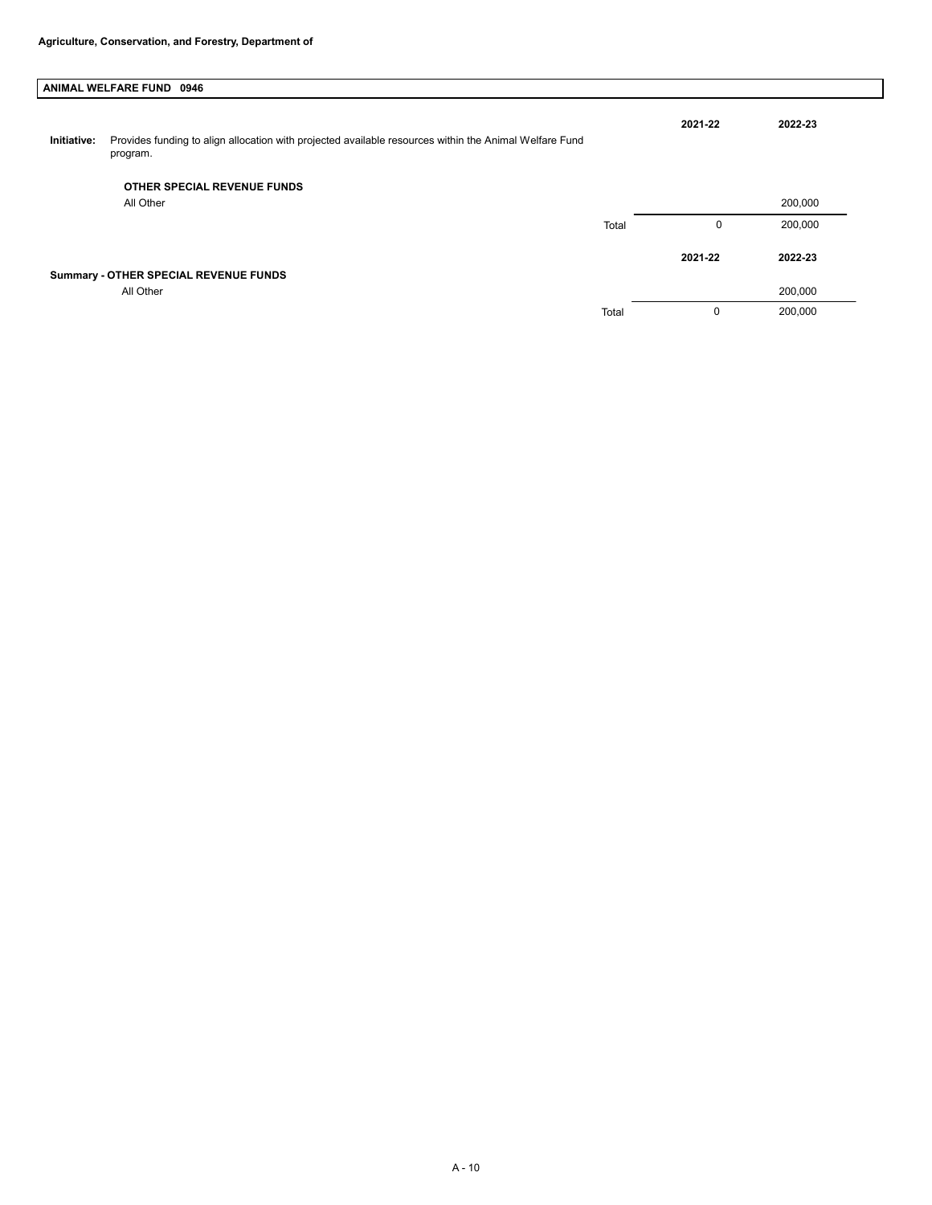|             | ANIMAL WELFARE FUND 0946                                                                                           |       |         |         |  |  |
|-------------|--------------------------------------------------------------------------------------------------------------------|-------|---------|---------|--|--|
| Initiative: | Provides funding to align allocation with projected available resources within the Animal Welfare Fund<br>program. |       | 2021-22 | 2022-23 |  |  |
|             | OTHER SPECIAL REVENUE FUNDS<br>All Other                                                                           |       |         | 200,000 |  |  |
|             |                                                                                                                    | Total | 0       | 200,000 |  |  |
|             | <b>Summary - OTHER SPECIAL REVENUE FUNDS</b>                                                                       |       | 2021-22 | 2022-23 |  |  |
|             | All Other                                                                                                          |       |         | 200,000 |  |  |
|             |                                                                                                                    | Total | 0       | 200,000 |  |  |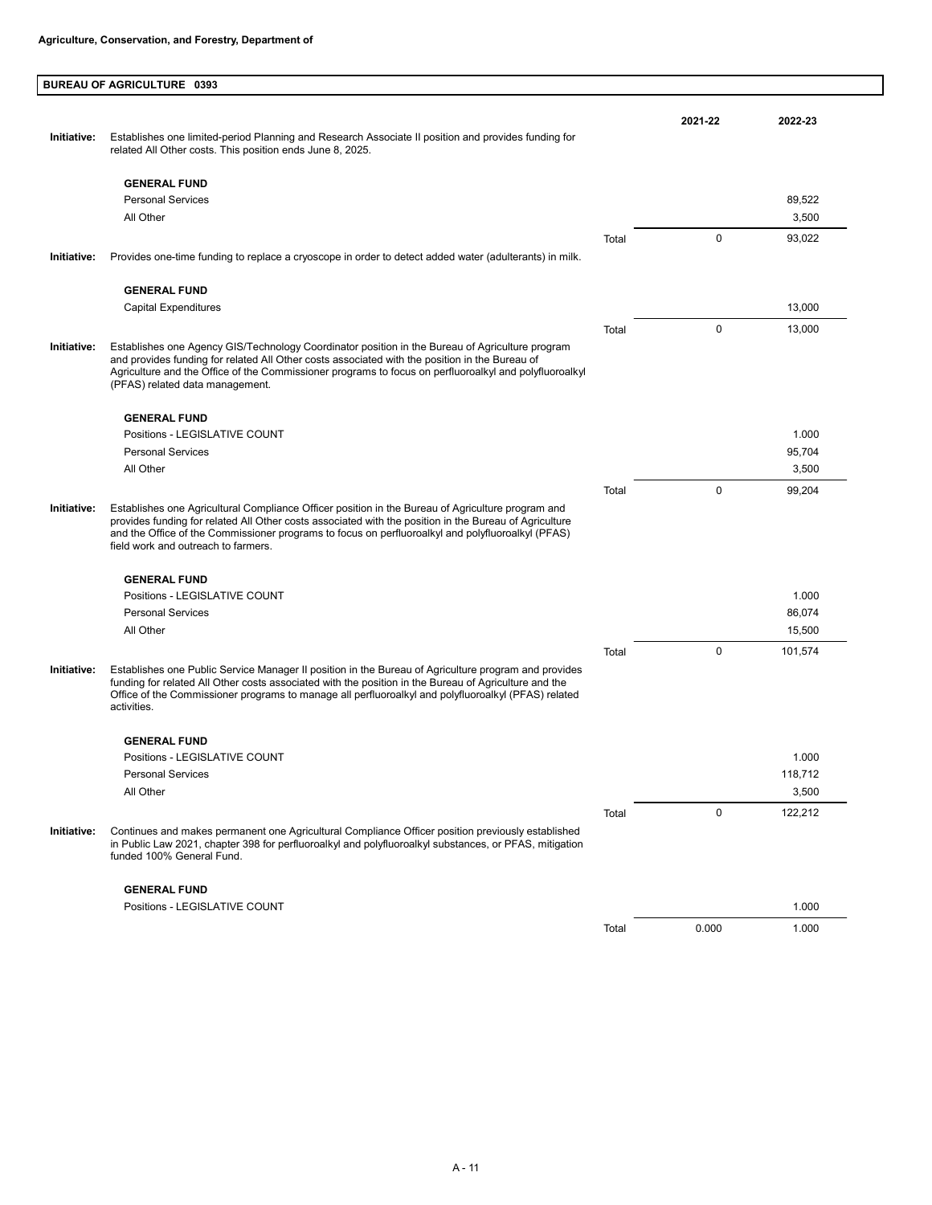|             | <b>BUREAU OF AGRICULTURE 0393</b>                                                                                                                                                                                                                                                                                                                       |       |             |         |
|-------------|---------------------------------------------------------------------------------------------------------------------------------------------------------------------------------------------------------------------------------------------------------------------------------------------------------------------------------------------------------|-------|-------------|---------|
|             |                                                                                                                                                                                                                                                                                                                                                         |       |             |         |
| Initiative: | Establishes one limited-period Planning and Research Associate II position and provides funding for<br>related All Other costs. This position ends June 8, 2025.                                                                                                                                                                                        |       | 2021-22     | 2022-23 |
|             | <b>GENERAL FUND</b>                                                                                                                                                                                                                                                                                                                                     |       |             |         |
|             | <b>Personal Services</b>                                                                                                                                                                                                                                                                                                                                |       |             | 89,522  |
|             | All Other                                                                                                                                                                                                                                                                                                                                               |       |             | 3,500   |
|             |                                                                                                                                                                                                                                                                                                                                                         | Total | $\mathbf 0$ | 93,022  |
| Initiative: | Provides one-time funding to replace a cryoscope in order to detect added water (adulterants) in milk.                                                                                                                                                                                                                                                  |       |             |         |
|             | <b>GENERAL FUND</b>                                                                                                                                                                                                                                                                                                                                     |       |             |         |
|             | Capital Expenditures                                                                                                                                                                                                                                                                                                                                    |       |             | 13,000  |
|             |                                                                                                                                                                                                                                                                                                                                                         | Total | $\mathbf 0$ | 13,000  |
| Initiative: | Establishes one Agency GIS/Technology Coordinator position in the Bureau of Agriculture program<br>and provides funding for related All Other costs associated with the position in the Bureau of<br>Agriculture and the Office of the Commissioner programs to focus on perfluoroalkyl and polyfluoroalkyl<br>(PFAS) related data management.          |       |             |         |
|             | <b>GENERAL FUND</b>                                                                                                                                                                                                                                                                                                                                     |       |             |         |
|             | Positions - LEGISLATIVE COUNT                                                                                                                                                                                                                                                                                                                           |       |             | 1.000   |
|             | <b>Personal Services</b>                                                                                                                                                                                                                                                                                                                                |       |             | 95,704  |
|             | All Other                                                                                                                                                                                                                                                                                                                                               |       |             | 3,500   |
|             |                                                                                                                                                                                                                                                                                                                                                         | Total | $\mathbf 0$ | 99,204  |
| Initiative: | Establishes one Agricultural Compliance Officer position in the Bureau of Agriculture program and<br>provides funding for related All Other costs associated with the position in the Bureau of Agriculture<br>and the Office of the Commissioner programs to focus on perfluoroalkyl and polyfluoroalkyl (PFAS)<br>field work and outreach to farmers. |       |             |         |
|             | <b>GENERAL FUND</b>                                                                                                                                                                                                                                                                                                                                     |       |             |         |
|             | Positions - LEGISLATIVE COUNT                                                                                                                                                                                                                                                                                                                           |       |             | 1.000   |
|             | <b>Personal Services</b>                                                                                                                                                                                                                                                                                                                                |       |             | 86,074  |
|             | All Other                                                                                                                                                                                                                                                                                                                                               |       |             | 15,500  |
|             |                                                                                                                                                                                                                                                                                                                                                         | Total | $\mathbf 0$ | 101,574 |
| Initiative: | Establishes one Public Service Manager II position in the Bureau of Agriculture program and provides<br>funding for related All Other costs associated with the position in the Bureau of Agriculture and the<br>Office of the Commissioner programs to manage all perfluoroalkyl and polyfluoroalkyl (PFAS) related<br>activities.                     |       |             |         |
|             | <b>GENERAL FUND</b>                                                                                                                                                                                                                                                                                                                                     |       |             |         |
|             | Positions - LEGISLATIVE COUNT                                                                                                                                                                                                                                                                                                                           |       |             | 1.000   |
|             | <b>Personal Services</b>                                                                                                                                                                                                                                                                                                                                |       |             | 118,712 |
|             | All Other                                                                                                                                                                                                                                                                                                                                               |       |             | 3,500   |
|             |                                                                                                                                                                                                                                                                                                                                                         | Total | $\pmb{0}$   | 122,212 |
| Initiative: | Continues and makes permanent one Agricultural Compliance Officer position previously established<br>in Public Law 2021, chapter 398 for perfluoroalkyl and polyfluoroalkyl substances, or PFAS, mitigation<br>funded 100% General Fund.                                                                                                                |       |             |         |
|             | <b>GENERAL FUND</b>                                                                                                                                                                                                                                                                                                                                     |       |             |         |
|             | Positions - LEGISLATIVE COUNT                                                                                                                                                                                                                                                                                                                           |       |             | 1.000   |
|             |                                                                                                                                                                                                                                                                                                                                                         | Total | 0.000       | 1.000   |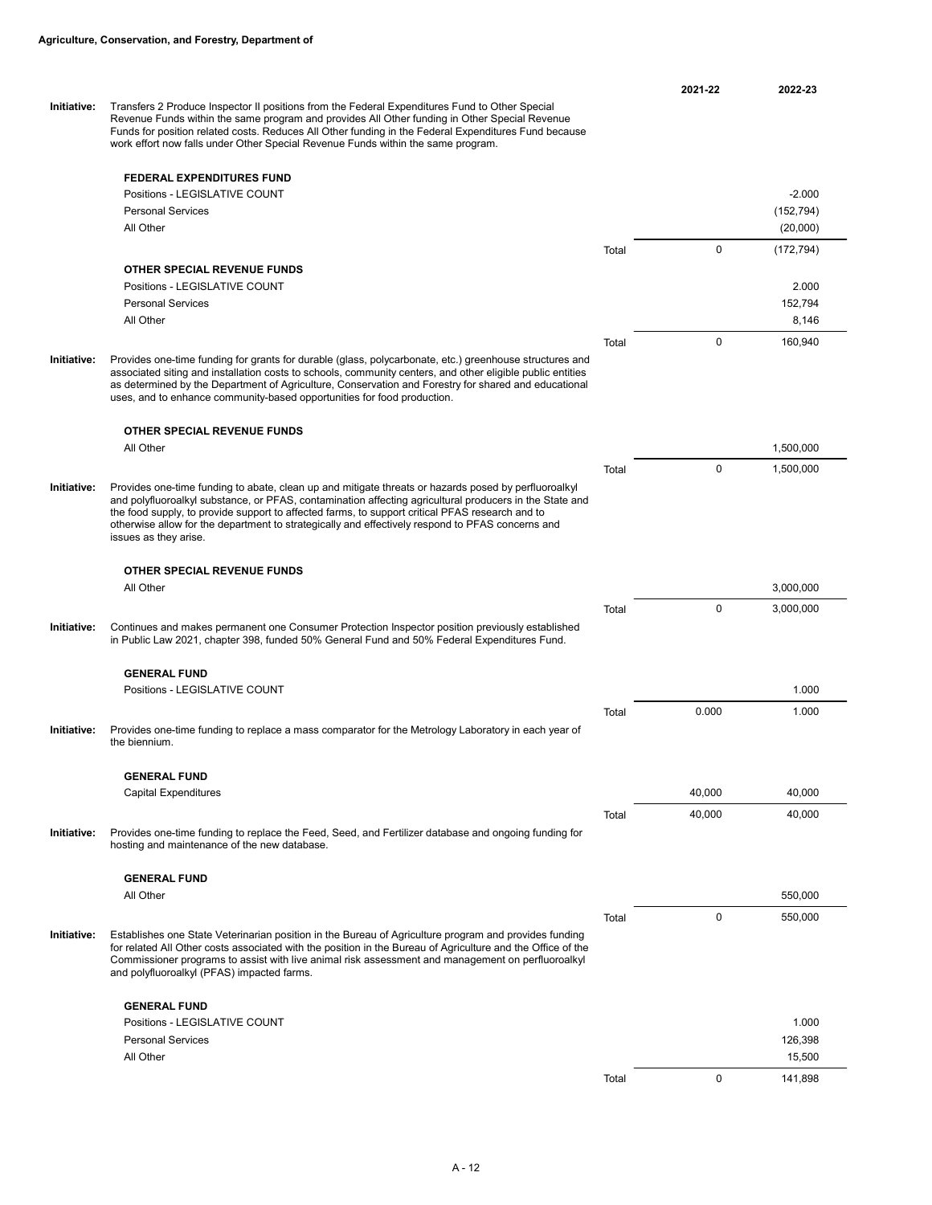2021-22 2022-23 FEDERAL EXPENDITURES FUND Positions - LEGISLATIVE COUNT - 2.000 Personal Services (152,794) All Other (20,000) Total 0 (172,794) OTHER SPECIAL REVENUE FUNDS Positions - LEGISLATIVE COUNT 2.000 Personal Services 152,794 All Other 8,146 Total 0 160,940 Initiative: Transfers 2 Produce Inspector II positions from the Federal Expenditures Fund to Other Special Revenue Funds within the same program and provides All Other funding in Other Special Revenue Funds for position related costs. Reduces All Other funding in the Federal Expenditures Fund because work effort now falls under Other Special Revenue Funds within the same program. OTHER SPECIAL REVENUE FUNDS All Other 1,500,000 Total 0 1,500,000 Initiative: Provides one-time funding for grants for durable (glass, polycarbonate, etc.) greenhouse structures and associated siting and installation costs to schools, community centers, and other eligible public entities as determined by the Department of Agriculture, Conservation and Forestry for shared and educational uses, and to enhance community-based opportunities for food production. OTHER SPECIAL REVENUE FUNDS All Other 3,000,000 Total 0 3,000,000 Initiative: Provides one-time funding to abate, clean up and mitigate threats or hazards posed by perfluoroalkyl and polyfluoroalkyl substance, or PFAS, contamination affecting agricultural producers in the State and the food supply, to provide support to affected farms, to support critical PFAS research and to otherwise allow for the department to strategically and effectively respond to PFAS concerns and issues as they arise. GENERAL FUND Positions - LEGISLATIVE COUNT 1.000 Total 0.000 1.000 Initiative: Continues and makes permanent one Consumer Protection Inspector position previously established in Public Law 2021, chapter 398, funded 50% General Fund and 50% Federal Expenditures Fund. GENERAL FUND Capital Expenditures 40,000 40,000 Total 40,000 40,000 Initiative: Provides one-time funding to replace a mass comparator for the Metrology Laboratory in each year of the biennium. GENERAL FUND All Other 550,000 Total 0 550,000 Initiative: Provides one-time funding to replace the Feed, Seed, and Fertilizer database and ongoing funding for hosting and maintenance of the new database. GENERAL FUND Positions - LEGISLATIVE COUNT 1.000 Personal Services 126,398 All Other 15,500 Total 0 141,898 Initiative: Establishes one State Veterinarian position in the Bureau of Agriculture program and provides funding for related All Other costs associated with the position in the Bureau of Agriculture and the Office of the Commissioner programs to assist with live animal risk assessment and management on perfluoroalkyl and polyfluoroalkyl (PFAS) impacted farms.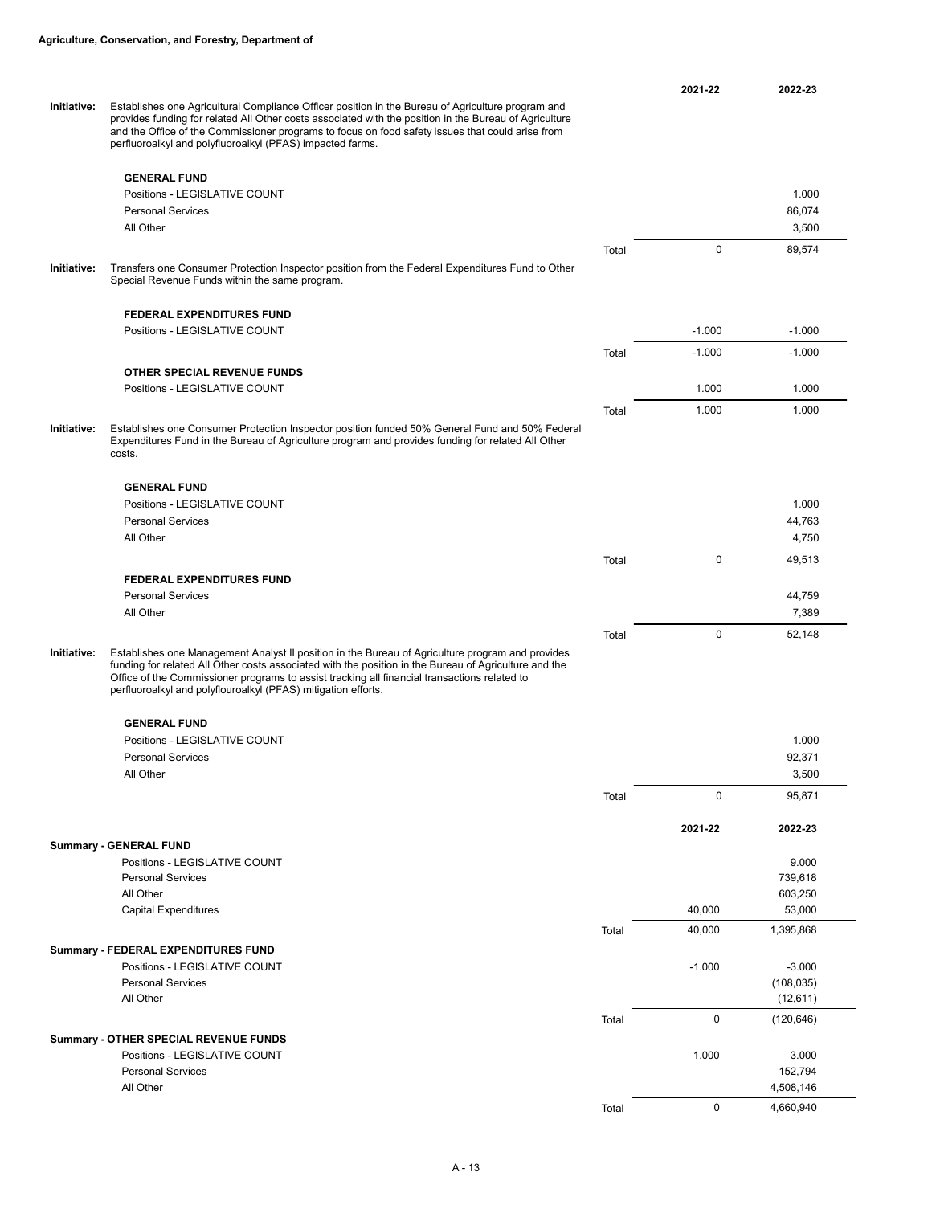|             |                                                                                                                                                               |       | 2021-22     | 2022-23    |
|-------------|---------------------------------------------------------------------------------------------------------------------------------------------------------------|-------|-------------|------------|
| Initiative: | Establishes one Agricultural Compliance Officer position in the Bureau of Agriculture program and                                                             |       |             |            |
|             | provides funding for related All Other costs associated with the position in the Bureau of Agriculture                                                        |       |             |            |
|             | and the Office of the Commissioner programs to focus on food safety issues that could arise from                                                              |       |             |            |
|             | perfluoroalkyl and polyfluoroalkyl (PFAS) impacted farms.                                                                                                     |       |             |            |
|             |                                                                                                                                                               |       |             |            |
|             | <b>GENERAL FUND</b>                                                                                                                                           |       |             |            |
|             | Positions - LEGISLATIVE COUNT                                                                                                                                 |       |             | 1.000      |
|             | <b>Personal Services</b>                                                                                                                                      |       |             | 86,074     |
|             | All Other                                                                                                                                                     |       |             | 3,500      |
|             |                                                                                                                                                               |       |             |            |
|             |                                                                                                                                                               | Total | $\mathbf 0$ | 89,574     |
| Initiative: | Transfers one Consumer Protection Inspector position from the Federal Expenditures Fund to Other                                                              |       |             |            |
|             | Special Revenue Funds within the same program.                                                                                                                |       |             |            |
|             |                                                                                                                                                               |       |             |            |
|             | <b>FEDERAL EXPENDITURES FUND</b>                                                                                                                              |       |             |            |
|             | Positions - LEGISLATIVE COUNT                                                                                                                                 |       | $-1.000$    | $-1.000$   |
|             |                                                                                                                                                               | Total | $-1.000$    | $-1.000$   |
|             |                                                                                                                                                               |       |             |            |
|             | OTHER SPECIAL REVENUE FUNDS                                                                                                                                   |       |             |            |
|             | Positions - LEGISLATIVE COUNT                                                                                                                                 |       | 1.000       | 1.000      |
|             |                                                                                                                                                               | Total | 1.000       | 1.000      |
| Initiative: | Establishes one Consumer Protection Inspector position funded 50% General Fund and 50% Federal                                                                |       |             |            |
|             | Expenditures Fund in the Bureau of Agriculture program and provides funding for related All Other                                                             |       |             |            |
|             | costs.                                                                                                                                                        |       |             |            |
|             |                                                                                                                                                               |       |             |            |
|             | <b>GENERAL FUND</b>                                                                                                                                           |       |             |            |
|             | Positions - LEGISLATIVE COUNT                                                                                                                                 |       |             | 1.000      |
|             | <b>Personal Services</b>                                                                                                                                      |       |             | 44,763     |
|             | All Other                                                                                                                                                     |       |             | 4,750      |
|             |                                                                                                                                                               |       |             |            |
|             |                                                                                                                                                               | Total | $\mathbf 0$ | 49,513     |
|             | <b>FEDERAL EXPENDITURES FUND</b>                                                                                                                              |       |             |            |
|             | <b>Personal Services</b>                                                                                                                                      |       |             | 44,759     |
|             | All Other                                                                                                                                                     |       |             | 7,389      |
|             |                                                                                                                                                               |       |             |            |
|             |                                                                                                                                                               | Total | 0           | 52,148     |
| Initiative: | Establishes one Management Analyst II position in the Bureau of Agriculture program and provides                                                              |       |             |            |
|             | funding for related All Other costs associated with the position in the Bureau of Agriculture and the                                                         |       |             |            |
|             | Office of the Commissioner programs to assist tracking all financial transactions related to<br>perfluoroalkyl and polyflouroalkyl (PFAS) mitigation efforts. |       |             |            |
|             |                                                                                                                                                               |       |             |            |
|             |                                                                                                                                                               |       |             |            |
|             | <b>GENERAL FUND</b>                                                                                                                                           |       |             |            |
|             | Positions - LEGISLATIVE COUNT                                                                                                                                 |       |             | 1.000      |
|             | <b>Personal Services</b>                                                                                                                                      |       |             | 92,371     |
|             | All Other                                                                                                                                                     |       |             | 3,500      |
|             |                                                                                                                                                               | Total | 0           | 95,871     |
|             |                                                                                                                                                               |       |             |            |
|             |                                                                                                                                                               |       |             |            |
|             |                                                                                                                                                               |       | 2021-22     | 2022-23    |
|             | <b>Summary - GENERAL FUND</b>                                                                                                                                 |       |             |            |
|             | Positions - LEGISLATIVE COUNT                                                                                                                                 |       |             | 9.000      |
|             | <b>Personal Services</b>                                                                                                                                      |       |             | 739,618    |
|             | All Other                                                                                                                                                     |       |             | 603,250    |
|             | <b>Capital Expenditures</b>                                                                                                                                   |       | 40,000      | 53,000     |
|             |                                                                                                                                                               | Total | 40,000      | 1,395,868  |
|             | Summary - FEDERAL EXPENDITURES FUND                                                                                                                           |       |             |            |
|             |                                                                                                                                                               |       |             |            |
|             | Positions - LEGISLATIVE COUNT                                                                                                                                 |       | $-1.000$    | $-3.000$   |
|             | <b>Personal Services</b>                                                                                                                                      |       |             | (108, 035) |
|             | All Other                                                                                                                                                     |       |             | (12, 611)  |
|             |                                                                                                                                                               | Total | 0           | (120, 646) |
|             | <b>Summary - OTHER SPECIAL REVENUE FUNDS</b>                                                                                                                  |       |             |            |
|             | Positions - LEGISLATIVE COUNT                                                                                                                                 |       | 1.000       | 3.000      |
|             | <b>Personal Services</b>                                                                                                                                      |       |             | 152,794    |
|             | All Other                                                                                                                                                     |       |             | 4,508,146  |
|             |                                                                                                                                                               |       |             |            |
|             |                                                                                                                                                               | Total | 0           | 4,660,940  |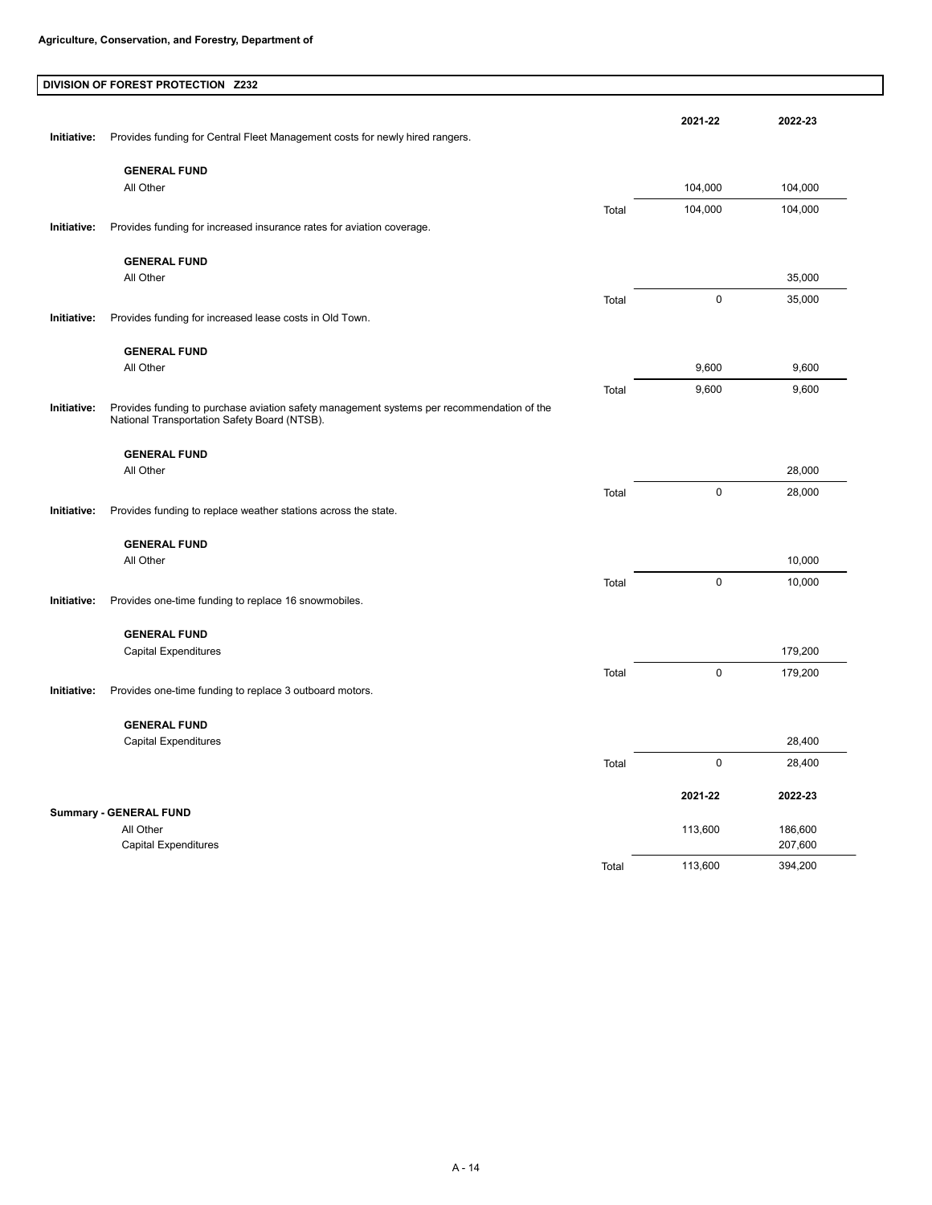|             | DIVISION OF FOREST PROTECTION Z232                                                                                                        |       |             |         |
|-------------|-------------------------------------------------------------------------------------------------------------------------------------------|-------|-------------|---------|
|             |                                                                                                                                           |       | 2021-22     | 2022-23 |
| Initiative: | Provides funding for Central Fleet Management costs for newly hired rangers.                                                              |       |             |         |
|             | <b>GENERAL FUND</b>                                                                                                                       |       |             |         |
|             | All Other                                                                                                                                 |       | 104,000     | 104,000 |
| Initiative: | Provides funding for increased insurance rates for aviation coverage.                                                                     | Total | 104,000     | 104,000 |
|             | <b>GENERAL FUND</b>                                                                                                                       |       |             |         |
|             | All Other                                                                                                                                 |       |             | 35,000  |
|             |                                                                                                                                           | Total | $\mathbf 0$ | 35,000  |
| Initiative: | Provides funding for increased lease costs in Old Town.                                                                                   |       |             |         |
|             | <b>GENERAL FUND</b>                                                                                                                       |       |             |         |
|             | All Other                                                                                                                                 |       | 9,600       | 9,600   |
|             |                                                                                                                                           | Total | 9,600       | 9,600   |
| Initiative: | Provides funding to purchase aviation safety management systems per recommendation of the<br>National Transportation Safety Board (NTSB). |       |             |         |
|             | <b>GENERAL FUND</b>                                                                                                                       |       |             |         |
|             | All Other                                                                                                                                 |       |             | 28,000  |
| Initiative: | Provides funding to replace weather stations across the state.                                                                            | Total | $\mathbf 0$ | 28,000  |
|             | <b>GENERAL FUND</b>                                                                                                                       |       |             |         |
|             | All Other                                                                                                                                 |       |             | 10,000  |
|             |                                                                                                                                           | Total | $\mathbf 0$ | 10,000  |
| Initiative: | Provides one-time funding to replace 16 snowmobiles.                                                                                      |       |             |         |
|             | <b>GENERAL FUND</b>                                                                                                                       |       |             |         |
|             | Capital Expenditures                                                                                                                      |       |             | 179,200 |
|             |                                                                                                                                           | Total | $\mathbf 0$ | 179,200 |
| Initiative: | Provides one-time funding to replace 3 outboard motors.                                                                                   |       |             |         |
|             | <b>GENERAL FUND</b>                                                                                                                       |       |             |         |
|             | <b>Capital Expenditures</b>                                                                                                               |       |             | 28,400  |
|             |                                                                                                                                           | Total | $\pmb{0}$   | 28,400  |
|             |                                                                                                                                           |       | 2021-22     | 2022-23 |
|             | <b>Summary - GENERAL FUND</b><br>All Other                                                                                                |       | 113,600     | 186,600 |
|             | <b>Capital Expenditures</b>                                                                                                               |       |             | 207,600 |
|             |                                                                                                                                           | Total | 113,600     | 394,200 |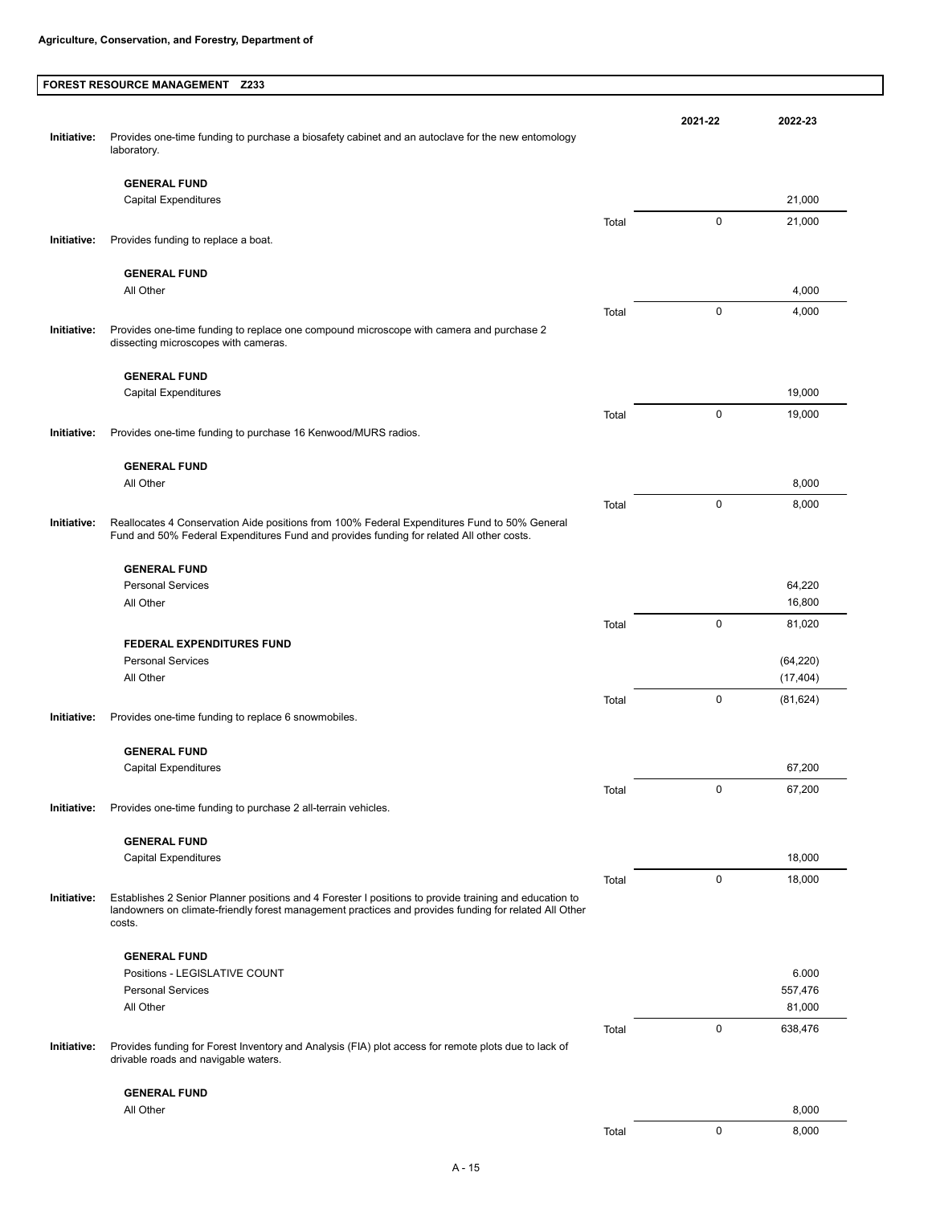|             | <b>FOREST RESOURCE MANAGEMENT Z233</b>                                                                                                                                                                          |       |           |           |
|-------------|-----------------------------------------------------------------------------------------------------------------------------------------------------------------------------------------------------------------|-------|-----------|-----------|
|             |                                                                                                                                                                                                                 |       |           |           |
|             |                                                                                                                                                                                                                 |       | 2021-22   | 2022-23   |
| Initiative: | Provides one-time funding to purchase a biosafety cabinet and an autoclave for the new entomology                                                                                                               |       |           |           |
|             | laboratory.                                                                                                                                                                                                     |       |           |           |
|             |                                                                                                                                                                                                                 |       |           |           |
|             | <b>GENERAL FUND</b>                                                                                                                                                                                             |       |           |           |
|             | <b>Capital Expenditures</b>                                                                                                                                                                                     |       |           | 21,000    |
|             |                                                                                                                                                                                                                 | Total | 0         | 21,000    |
| Initiative: | Provides funding to replace a boat.                                                                                                                                                                             |       |           |           |
|             |                                                                                                                                                                                                                 |       |           |           |
|             | <b>GENERAL FUND</b>                                                                                                                                                                                             |       |           |           |
|             | All Other                                                                                                                                                                                                       |       |           | 4,000     |
|             |                                                                                                                                                                                                                 | Total | 0         | 4,000     |
| Initiative: | Provides one-time funding to replace one compound microscope with camera and purchase 2                                                                                                                         |       |           |           |
|             | dissecting microscopes with cameras.                                                                                                                                                                            |       |           |           |
|             |                                                                                                                                                                                                                 |       |           |           |
|             | <b>GENERAL FUND</b>                                                                                                                                                                                             |       |           |           |
|             | <b>Capital Expenditures</b>                                                                                                                                                                                     |       |           | 19,000    |
|             |                                                                                                                                                                                                                 | Total | $\pmb{0}$ | 19,000    |
| Initiative: | Provides one-time funding to purchase 16 Kenwood/MURS radios.                                                                                                                                                   |       |           |           |
|             |                                                                                                                                                                                                                 |       |           |           |
|             | <b>GENERAL FUND</b>                                                                                                                                                                                             |       |           |           |
|             | All Other                                                                                                                                                                                                       |       |           | 8,000     |
|             |                                                                                                                                                                                                                 | Total | 0         | 8,000     |
| Initiative: | Reallocates 4 Conservation Aide positions from 100% Federal Expenditures Fund to 50% General                                                                                                                    |       |           |           |
|             | Fund and 50% Federal Expenditures Fund and provides funding for related All other costs.                                                                                                                        |       |           |           |
|             |                                                                                                                                                                                                                 |       |           |           |
|             | <b>GENERAL FUND</b>                                                                                                                                                                                             |       |           |           |
|             | <b>Personal Services</b>                                                                                                                                                                                        |       |           | 64,220    |
|             | All Other                                                                                                                                                                                                       |       |           | 16,800    |
|             |                                                                                                                                                                                                                 | Total | $\pmb{0}$ | 81,020    |
|             | <b>FEDERAL EXPENDITURES FUND</b>                                                                                                                                                                                |       |           |           |
|             | <b>Personal Services</b>                                                                                                                                                                                        |       |           | (64, 220) |
|             | All Other                                                                                                                                                                                                       |       |           | (17, 404) |
|             |                                                                                                                                                                                                                 | Total | 0         | (81, 624) |
| Initiative: | Provides one-time funding to replace 6 snowmobiles.                                                                                                                                                             |       |           |           |
|             |                                                                                                                                                                                                                 |       |           |           |
|             | <b>GENERAL FUND</b>                                                                                                                                                                                             |       |           |           |
|             | <b>Capital Expenditures</b>                                                                                                                                                                                     |       |           | 67,200    |
|             |                                                                                                                                                                                                                 |       | 0         | 67,200    |
|             |                                                                                                                                                                                                                 | Total |           |           |
| Initiative: | Provides one-time funding to purchase 2 all-terrain vehicles.                                                                                                                                                   |       |           |           |
|             |                                                                                                                                                                                                                 |       |           |           |
|             | <b>GENERAL FUND</b><br><b>Capital Expenditures</b>                                                                                                                                                              |       |           | 18,000    |
|             |                                                                                                                                                                                                                 |       |           |           |
|             |                                                                                                                                                                                                                 | Total | 0         | 18,000    |
| Initiative: | Establishes 2 Senior Planner positions and 4 Forester I positions to provide training and education to<br>landowners on climate-friendly forest management practices and provides funding for related All Other |       |           |           |
|             | costs.                                                                                                                                                                                                          |       |           |           |
|             |                                                                                                                                                                                                                 |       |           |           |
|             | <b>GENERAL FUND</b>                                                                                                                                                                                             |       |           |           |
|             | Positions - LEGISLATIVE COUNT                                                                                                                                                                                   |       |           | 6.000     |
|             | <b>Personal Services</b>                                                                                                                                                                                        |       |           | 557,476   |
|             | All Other                                                                                                                                                                                                       |       |           | 81,000    |
|             |                                                                                                                                                                                                                 | Total | $\pmb{0}$ | 638,476   |
| Initiative: | Provides funding for Forest Inventory and Analysis (FIA) plot access for remote plots due to lack of                                                                                                            |       |           |           |
|             | drivable roads and navigable waters.                                                                                                                                                                            |       |           |           |
|             |                                                                                                                                                                                                                 |       |           |           |
|             | <b>GENERAL FUND</b>                                                                                                                                                                                             |       |           |           |
|             | All Other                                                                                                                                                                                                       |       |           | 8,000     |
|             |                                                                                                                                                                                                                 | Total | 0         | 8,000     |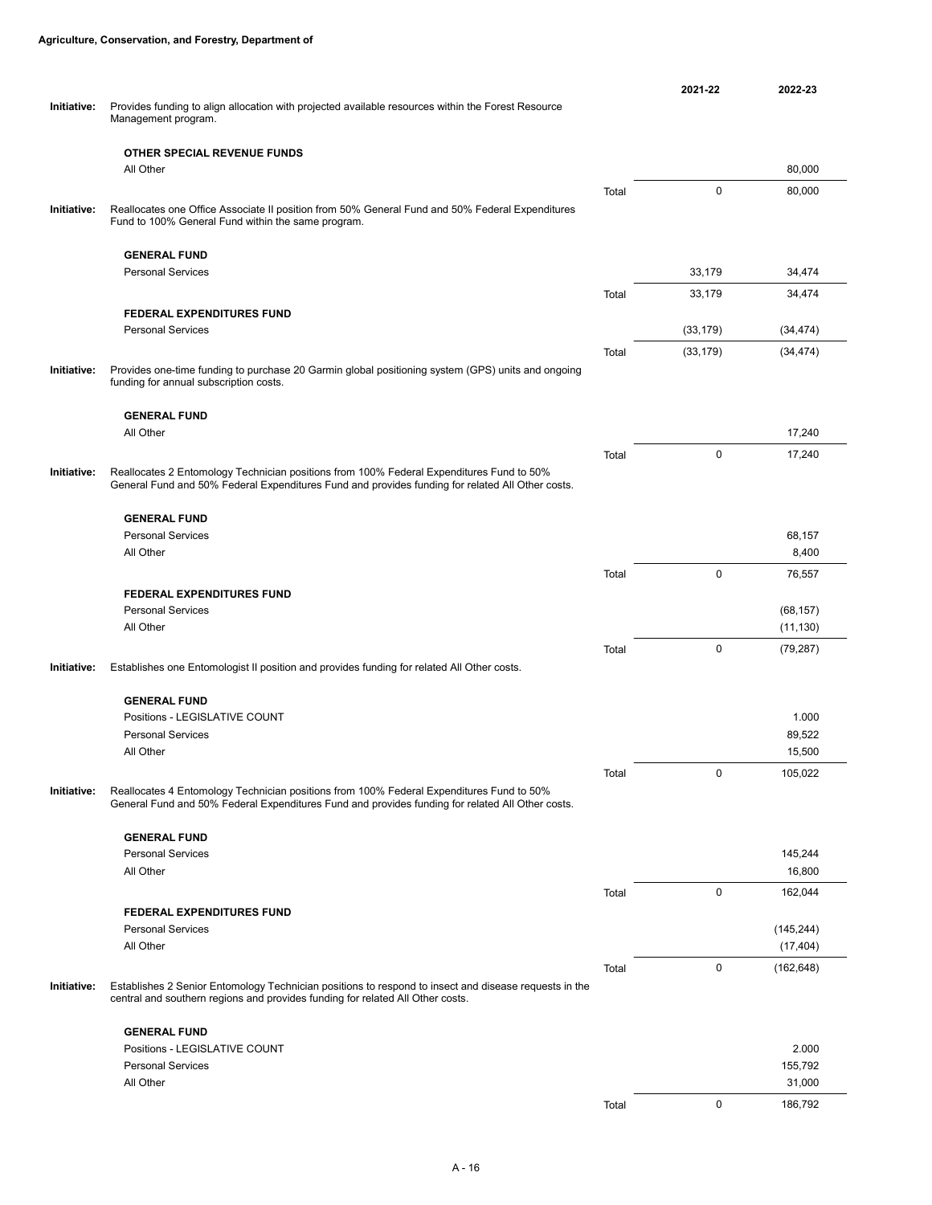|             |                                                                                                                                                                                              |       | 2021-22     | 2022-23    |
|-------------|----------------------------------------------------------------------------------------------------------------------------------------------------------------------------------------------|-------|-------------|------------|
| Initiative: | Provides funding to align allocation with projected available resources within the Forest Resource<br>Management program.                                                                    |       |             |            |
|             | OTHER SPECIAL REVENUE FUNDS                                                                                                                                                                  |       |             |            |
|             | All Other                                                                                                                                                                                    |       |             | 80,000     |
| Initiative: | Reallocates one Office Associate II position from 50% General Fund and 50% Federal Expenditures<br>Fund to 100% General Fund within the same program.                                        | Total | $\pmb{0}$   | 80,000     |
|             | <b>GENERAL FUND</b>                                                                                                                                                                          |       |             |            |
|             | <b>Personal Services</b>                                                                                                                                                                     |       | 33,179      | 34,474     |
|             |                                                                                                                                                                                              | Total | 33,179      | 34,474     |
|             | <b>FEDERAL EXPENDITURES FUND</b>                                                                                                                                                             |       |             |            |
|             | <b>Personal Services</b>                                                                                                                                                                     |       | (33, 179)   | (34, 474)  |
|             |                                                                                                                                                                                              | Total | (33, 179)   | (34, 474)  |
| Initiative: | Provides one-time funding to purchase 20 Garmin global positioning system (GPS) units and ongoing<br>funding for annual subscription costs.                                                  |       |             |            |
|             | <b>GENERAL FUND</b><br>All Other                                                                                                                                                             |       |             | 17,240     |
|             |                                                                                                                                                                                              | Total | $\mathbf 0$ | 17,240     |
| Initiative: | Reallocates 2 Entomology Technician positions from 100% Federal Expenditures Fund to 50%<br>General Fund and 50% Federal Expenditures Fund and provides funding for related All Other costs. |       |             |            |
|             | <b>GENERAL FUND</b>                                                                                                                                                                          |       |             |            |
|             | <b>Personal Services</b>                                                                                                                                                                     |       |             | 68,157     |
|             | All Other                                                                                                                                                                                    |       |             | 8,400      |
|             |                                                                                                                                                                                              | Total | $\pmb{0}$   | 76,557     |
|             | <b>FEDERAL EXPENDITURES FUND</b>                                                                                                                                                             |       |             |            |
|             | <b>Personal Services</b>                                                                                                                                                                     |       |             | (68, 157)  |
|             | All Other                                                                                                                                                                                    |       |             | (11, 130)  |
| Initiative: | Establishes one Entomologist II position and provides funding for related All Other costs.                                                                                                   | Total | $\mathbf 0$ | (79, 287)  |
|             |                                                                                                                                                                                              |       |             |            |
|             | <b>GENERAL FUND</b>                                                                                                                                                                          |       |             |            |
|             | Positions - LEGISLATIVE COUNT                                                                                                                                                                |       |             | 1.000      |
|             | <b>Personal Services</b>                                                                                                                                                                     |       |             | 89,522     |
|             | All Other                                                                                                                                                                                    |       |             | 15,500     |
|             |                                                                                                                                                                                              | Total | $\pmb{0}$   | 105,022    |
| Initiative: | Reallocates 4 Entomology Technician positions from 100% Federal Expenditures Fund to 50%<br>General Fund and 50% Federal Expenditures Fund and provides funding for related All Other costs. |       |             |            |
|             | <b>GENERAL FUND</b>                                                                                                                                                                          |       |             |            |
|             | <b>Personal Services</b>                                                                                                                                                                     |       |             | 145,244    |
|             | All Other                                                                                                                                                                                    |       |             | 16,800     |
|             |                                                                                                                                                                                              | Total | 0           | 162,044    |
|             | <b>FEDERAL EXPENDITURES FUND</b>                                                                                                                                                             |       |             |            |
|             | <b>Personal Services</b>                                                                                                                                                                     |       |             | (145, 244) |
|             | All Other                                                                                                                                                                                    |       |             | (17, 404)  |
| Initiative: | Establishes 2 Senior Entomology Technician positions to respond to insect and disease requests in the<br>central and southern regions and provides funding for related All Other costs.      | Total | 0           | (162, 648) |
|             | <b>GENERAL FUND</b>                                                                                                                                                                          |       |             |            |
|             | Positions - LEGISLATIVE COUNT                                                                                                                                                                |       |             | 2.000      |
|             | <b>Personal Services</b>                                                                                                                                                                     |       |             | 155,792    |
|             | All Other                                                                                                                                                                                    |       |             | 31,000     |
|             |                                                                                                                                                                                              | Total | 0           | 186,792    |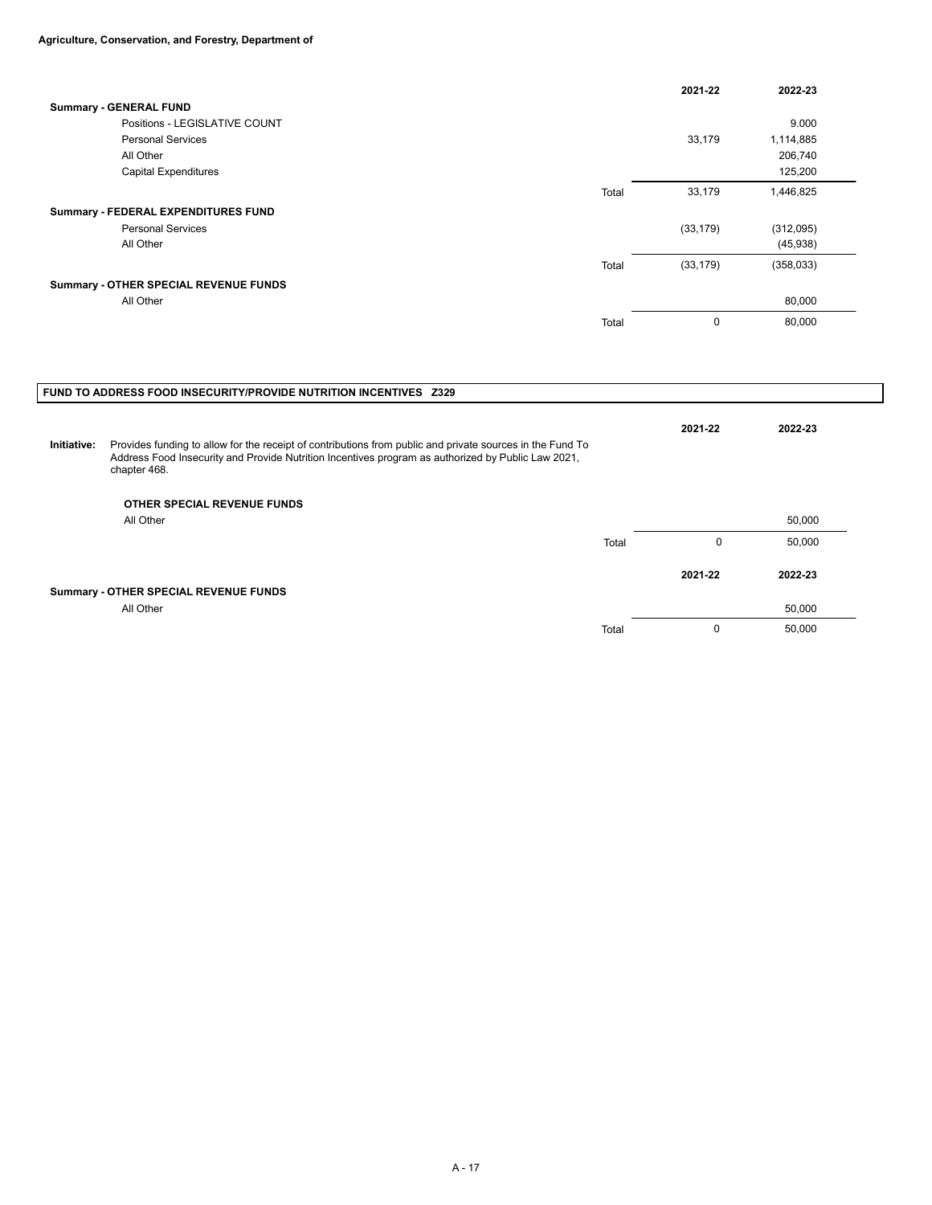|                                              |       | 2021-22   | 2022-23    |  |
|----------------------------------------------|-------|-----------|------------|--|
| <b>Summary - GENERAL FUND</b>                |       |           |            |  |
| Positions - LEGISLATIVE COUNT                |       |           | 9.000      |  |
| <b>Personal Services</b>                     |       | 33,179    | 1,114,885  |  |
| All Other                                    |       |           | 206,740    |  |
| <b>Capital Expenditures</b>                  |       |           | 125,200    |  |
|                                              | Total | 33,179    | 1,446,825  |  |
| Summary - FEDERAL EXPENDITURES FUND          |       |           |            |  |
| <b>Personal Services</b>                     |       | (33, 179) | (312,095)  |  |
| All Other                                    |       |           | (45,938)   |  |
|                                              | Total | (33, 179) | (358, 033) |  |
| <b>Summary - OTHER SPECIAL REVENUE FUNDS</b> |       |           |            |  |
| All Other                                    |       |           | 80,000     |  |
|                                              | Total | $\Omega$  | 80,000     |  |
|                                              |       |           |            |  |

# FUND TO ADDRESS FOOD INSECURITY/PROVIDE NUTRITION INCENTIVES Z329 2021-22 2022-23 OTHER SPECIAL REVENUE FUNDS All Other 50,000 Total 0 50,000 Initiative: Provides funding to allow for the receipt of contributions from public and private sources in the Fund To Address Food Insecurity and Provide Nutrition Incentives program as authorized by Public Law 2021, chapter 468. 2021-22 2022-23 Summary - OTHER SPECIAL REVENUE FUNDS All Other 50,000 Total 0 50,000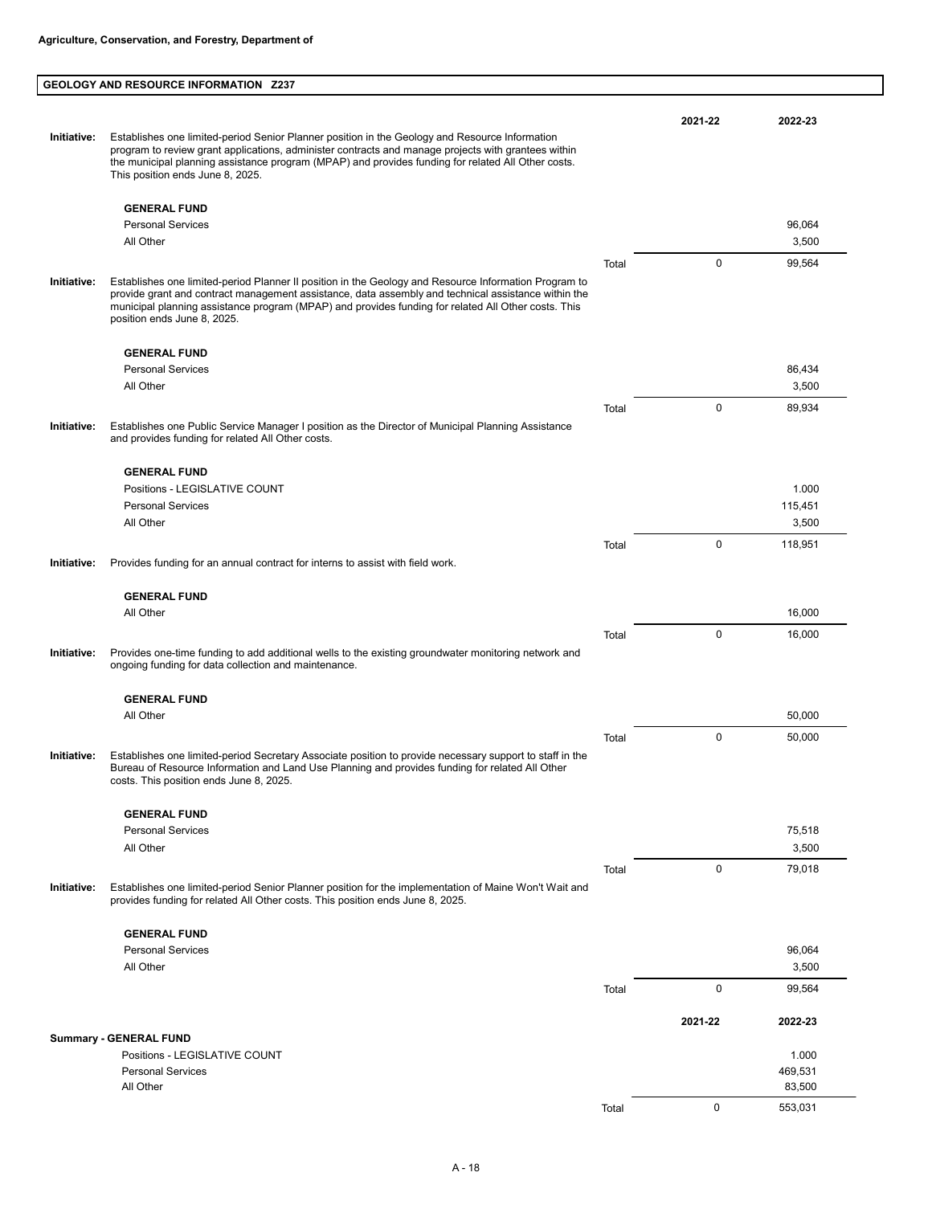|             | <b>GEOLOGY AND RESOURCE INFORMATION Z237</b>                                                                                                                                                                                                                                                                                                       |       |             |         |
|-------------|----------------------------------------------------------------------------------------------------------------------------------------------------------------------------------------------------------------------------------------------------------------------------------------------------------------------------------------------------|-------|-------------|---------|
|             |                                                                                                                                                                                                                                                                                                                                                    |       |             |         |
|             |                                                                                                                                                                                                                                                                                                                                                    |       | 2021-22     | 2022-23 |
| Initiative: | Establishes one limited-period Senior Planner position in the Geology and Resource Information<br>program to review grant applications, administer contracts and manage projects with grantees within<br>the municipal planning assistance program (MPAP) and provides funding for related All Other costs.<br>This position ends June 8, 2025.    |       |             |         |
|             |                                                                                                                                                                                                                                                                                                                                                    |       |             |         |
|             | <b>GENERAL FUND</b>                                                                                                                                                                                                                                                                                                                                |       |             |         |
|             | <b>Personal Services</b>                                                                                                                                                                                                                                                                                                                           |       |             | 96,064  |
|             | All Other                                                                                                                                                                                                                                                                                                                                          |       |             | 3,500   |
|             |                                                                                                                                                                                                                                                                                                                                                    | Total | $\mathbf 0$ | 99,564  |
| Initiative: | Establishes one limited-period Planner II position in the Geology and Resource Information Program to<br>provide grant and contract management assistance, data assembly and technical assistance within the<br>municipal planning assistance program (MPAP) and provides funding for related All Other costs. This<br>position ends June 8, 2025. |       |             |         |
|             | <b>GENERAL FUND</b>                                                                                                                                                                                                                                                                                                                                |       |             |         |
|             | <b>Personal Services</b>                                                                                                                                                                                                                                                                                                                           |       |             | 86,434  |
|             | All Other                                                                                                                                                                                                                                                                                                                                          |       |             | 3,500   |
|             |                                                                                                                                                                                                                                                                                                                                                    |       |             |         |
|             |                                                                                                                                                                                                                                                                                                                                                    | Total | $\pmb{0}$   | 89,934  |
| Initiative: | Establishes one Public Service Manager I position as the Director of Municipal Planning Assistance<br>and provides funding for related All Other costs.                                                                                                                                                                                            |       |             |         |
|             | <b>GENERAL FUND</b>                                                                                                                                                                                                                                                                                                                                |       |             |         |
|             | Positions - LEGISLATIVE COUNT                                                                                                                                                                                                                                                                                                                      |       |             | 1.000   |
|             | <b>Personal Services</b>                                                                                                                                                                                                                                                                                                                           |       |             | 115,451 |
|             | All Other                                                                                                                                                                                                                                                                                                                                          |       |             | 3,500   |
|             |                                                                                                                                                                                                                                                                                                                                                    |       |             |         |
|             |                                                                                                                                                                                                                                                                                                                                                    | Total | 0           | 118,951 |
| Initiative: | Provides funding for an annual contract for interns to assist with field work.                                                                                                                                                                                                                                                                     |       |             |         |
|             |                                                                                                                                                                                                                                                                                                                                                    |       |             |         |
|             | <b>GENERAL FUND</b>                                                                                                                                                                                                                                                                                                                                |       |             |         |
|             | All Other                                                                                                                                                                                                                                                                                                                                          |       |             | 16,000  |
|             |                                                                                                                                                                                                                                                                                                                                                    | Total | 0           | 16,000  |
|             |                                                                                                                                                                                                                                                                                                                                                    |       |             |         |
| Initiative: | Provides one-time funding to add additional wells to the existing groundwater monitoring network and<br>ongoing funding for data collection and maintenance.                                                                                                                                                                                       |       |             |         |
|             |                                                                                                                                                                                                                                                                                                                                                    |       |             |         |
|             | <b>GENERAL FUND</b>                                                                                                                                                                                                                                                                                                                                |       |             |         |
|             | All Other                                                                                                                                                                                                                                                                                                                                          |       |             | 50,000  |
|             |                                                                                                                                                                                                                                                                                                                                                    |       |             |         |
|             |                                                                                                                                                                                                                                                                                                                                                    | Total | $\mathbf 0$ | 50,000  |
| Initiative: | Establishes one limited-period Secretary Associate position to provide necessary support to staff in the                                                                                                                                                                                                                                           |       |             |         |
|             | Bureau of Resource Information and Land Use Planning and provides funding for related All Other<br>costs. This position ends June 8, 2025.                                                                                                                                                                                                         |       |             |         |
|             |                                                                                                                                                                                                                                                                                                                                                    |       |             |         |
|             | <b>GENERAL FUND</b>                                                                                                                                                                                                                                                                                                                                |       |             |         |
|             | <b>Personal Services</b>                                                                                                                                                                                                                                                                                                                           |       |             | 75,518  |
|             | All Other                                                                                                                                                                                                                                                                                                                                          |       |             | 3,500   |
|             |                                                                                                                                                                                                                                                                                                                                                    | Total | $\mathbf 0$ | 79,018  |
| Initiative: | Establishes one limited-period Senior Planner position for the implementation of Maine Won't Wait and                                                                                                                                                                                                                                              |       |             |         |
|             | provides funding for related All Other costs. This position ends June 8, 2025.                                                                                                                                                                                                                                                                     |       |             |         |
|             |                                                                                                                                                                                                                                                                                                                                                    |       |             |         |
|             | <b>GENERAL FUND</b>                                                                                                                                                                                                                                                                                                                                |       |             |         |
|             | <b>Personal Services</b>                                                                                                                                                                                                                                                                                                                           |       |             | 96,064  |
|             | All Other                                                                                                                                                                                                                                                                                                                                          |       |             | 3,500   |
|             |                                                                                                                                                                                                                                                                                                                                                    |       |             |         |
|             |                                                                                                                                                                                                                                                                                                                                                    | Total | $\pmb{0}$   | 99,564  |
|             |                                                                                                                                                                                                                                                                                                                                                    |       |             |         |
|             |                                                                                                                                                                                                                                                                                                                                                    |       | 2021-22     | 2022-23 |
|             | <b>Summary - GENERAL FUND</b>                                                                                                                                                                                                                                                                                                                      |       |             |         |
|             | Positions - LEGISLATIVE COUNT                                                                                                                                                                                                                                                                                                                      |       |             | 1.000   |
|             | <b>Personal Services</b>                                                                                                                                                                                                                                                                                                                           |       |             | 469,531 |
|             | All Other                                                                                                                                                                                                                                                                                                                                          |       |             | 83,500  |
|             |                                                                                                                                                                                                                                                                                                                                                    | Total | $\mathbf 0$ | 553,031 |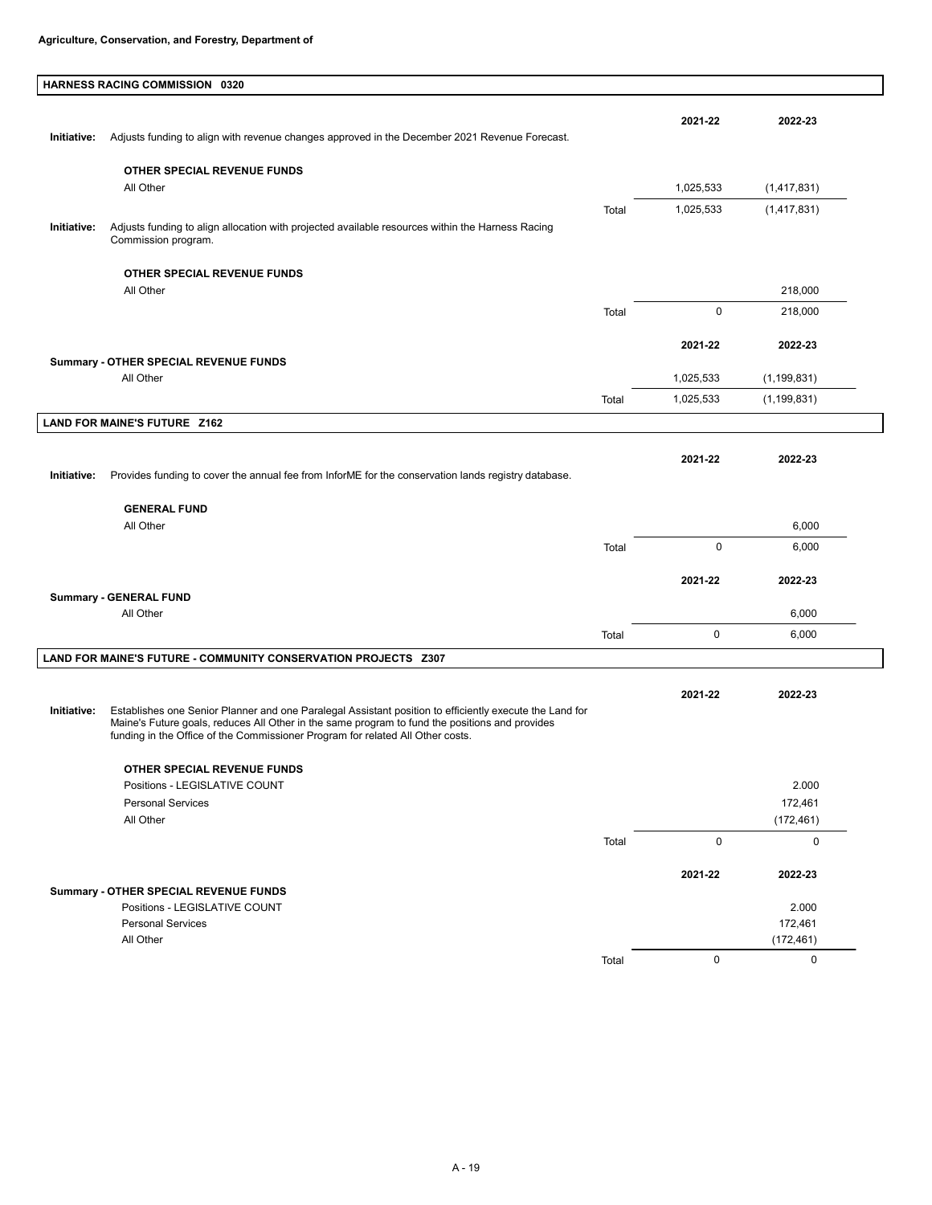|             | HARNESS RACING COMMISSION 0320                                                                                                                                                   |       |             |                  |  |
|-------------|----------------------------------------------------------------------------------------------------------------------------------------------------------------------------------|-------|-------------|------------------|--|
|             |                                                                                                                                                                                  |       |             |                  |  |
| Initiative: | Adjusts funding to align with revenue changes approved in the December 2021 Revenue Forecast.                                                                                    |       | 2021-22     | 2022-23          |  |
|             |                                                                                                                                                                                  |       |             |                  |  |
|             | OTHER SPECIAL REVENUE FUNDS                                                                                                                                                      |       |             |                  |  |
|             | All Other                                                                                                                                                                        |       | 1,025,533   | (1,417,831)      |  |
|             |                                                                                                                                                                                  | Total | 1,025,533   | (1,417,831)      |  |
| Initiative: | Adjusts funding to align allocation with projected available resources within the Harness Racing<br>Commission program.                                                          |       |             |                  |  |
|             |                                                                                                                                                                                  |       |             |                  |  |
|             | OTHER SPECIAL REVENUE FUNDS                                                                                                                                                      |       |             |                  |  |
|             | All Other                                                                                                                                                                        |       |             | 218,000          |  |
|             |                                                                                                                                                                                  | Total | 0           | 218,000          |  |
|             |                                                                                                                                                                                  |       | 2021-22     | 2022-23          |  |
|             | <b>Summary - OTHER SPECIAL REVENUE FUNDS</b>                                                                                                                                     |       |             |                  |  |
|             | All Other                                                                                                                                                                        |       | 1,025,533   | (1, 199, 831)    |  |
|             |                                                                                                                                                                                  | Total | 1,025,533   | (1, 199, 831)    |  |
|             | LAND FOR MAINE'S FUTURE Z162                                                                                                                                                     |       |             |                  |  |
|             |                                                                                                                                                                                  |       |             |                  |  |
|             |                                                                                                                                                                                  |       | 2021-22     | 2022-23          |  |
| Initiative: | Provides funding to cover the annual fee from InforME for the conservation lands registry database.                                                                              |       |             |                  |  |
|             | <b>GENERAL FUND</b>                                                                                                                                                              |       |             |                  |  |
|             | All Other                                                                                                                                                                        |       |             | 6,000            |  |
|             |                                                                                                                                                                                  | Total | $\mathsf 0$ | 6,000            |  |
|             |                                                                                                                                                                                  |       |             |                  |  |
|             |                                                                                                                                                                                  |       | 2021-22     | 2022-23          |  |
|             | <b>Summary - GENERAL FUND</b><br>All Other                                                                                                                                       |       |             | 6,000            |  |
|             |                                                                                                                                                                                  | Total | 0           | 6,000            |  |
|             |                                                                                                                                                                                  |       |             |                  |  |
|             | LAND FOR MAINE'S FUTURE - COMMUNITY CONSERVATION PROJECTS Z307                                                                                                                   |       |             |                  |  |
|             |                                                                                                                                                                                  |       | 2021-22     | 2022-23          |  |
| Initiative: | Establishes one Senior Planner and one Paralegal Assistant position to efficiently execute the Land for                                                                          |       |             |                  |  |
|             | Maine's Future goals, reduces All Other in the same program to fund the positions and provides<br>funding in the Office of the Commissioner Program for related All Other costs. |       |             |                  |  |
|             |                                                                                                                                                                                  |       |             |                  |  |
|             | OTHER SPECIAL REVENUE FUNDS                                                                                                                                                      |       |             |                  |  |
|             | Positions - LEGISLATIVE COUNT<br><b>Personal Services</b>                                                                                                                        |       |             | 2.000<br>172,461 |  |
|             | All Other                                                                                                                                                                        |       |             | (172, 461)       |  |
|             |                                                                                                                                                                                  | Total | 0           | $\mathbf 0$      |  |
|             |                                                                                                                                                                                  |       |             |                  |  |
|             |                                                                                                                                                                                  |       | 2021-22     | 2022-23          |  |
|             | <b>Summary - OTHER SPECIAL REVENUE FUNDS</b>                                                                                                                                     |       |             |                  |  |
|             | Positions - LEGISLATIVE COUNT<br><b>Personal Services</b>                                                                                                                        |       |             | 2.000<br>172,461 |  |
|             | All Other                                                                                                                                                                        |       |             | (172, 461)       |  |
|             |                                                                                                                                                                                  | Total | 0           | 0                |  |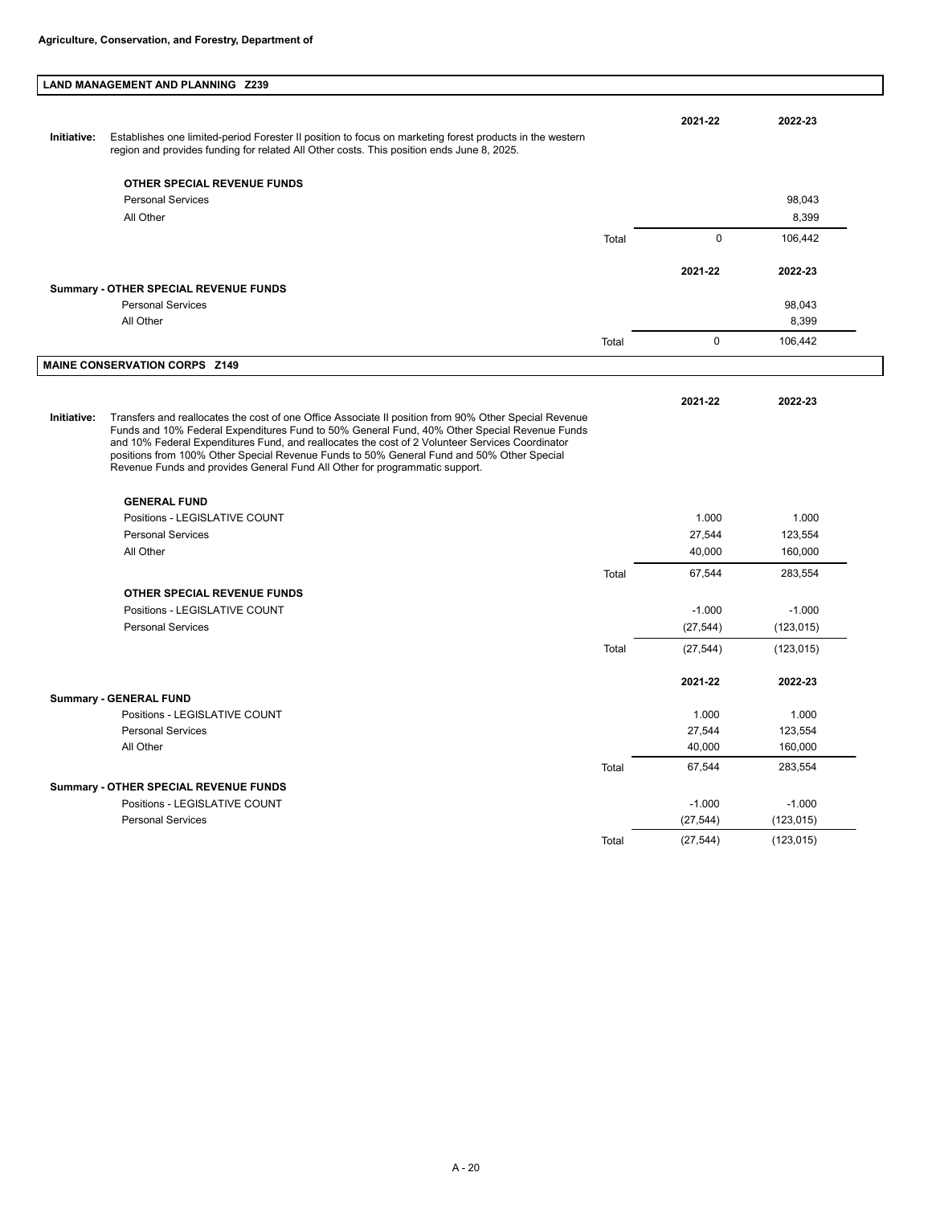|             | <b>LAND MANAGEMENT AND PLANNING Z239</b>                                                                                                                                                                                                                                                                                                                                                                                                                                             |       |           |            |
|-------------|--------------------------------------------------------------------------------------------------------------------------------------------------------------------------------------------------------------------------------------------------------------------------------------------------------------------------------------------------------------------------------------------------------------------------------------------------------------------------------------|-------|-----------|------------|
| Initiative: | Establishes one limited-period Forester II position to focus on marketing forest products in the western                                                                                                                                                                                                                                                                                                                                                                             |       | 2021-22   | 2022-23    |
|             | region and provides funding for related All Other costs. This position ends June 8, 2025.                                                                                                                                                                                                                                                                                                                                                                                            |       |           |            |
|             | OTHER SPECIAL REVENUE FUNDS                                                                                                                                                                                                                                                                                                                                                                                                                                                          |       |           |            |
|             | <b>Personal Services</b>                                                                                                                                                                                                                                                                                                                                                                                                                                                             |       |           | 98,043     |
|             | All Other                                                                                                                                                                                                                                                                                                                                                                                                                                                                            |       |           | 8,399      |
|             |                                                                                                                                                                                                                                                                                                                                                                                                                                                                                      | Total | 0         | 106,442    |
|             |                                                                                                                                                                                                                                                                                                                                                                                                                                                                                      |       |           |            |
|             |                                                                                                                                                                                                                                                                                                                                                                                                                                                                                      |       | 2021-22   | 2022-23    |
|             | Summary - OTHER SPECIAL REVENUE FUNDS                                                                                                                                                                                                                                                                                                                                                                                                                                                |       |           |            |
|             | <b>Personal Services</b>                                                                                                                                                                                                                                                                                                                                                                                                                                                             |       |           | 98,043     |
|             | All Other                                                                                                                                                                                                                                                                                                                                                                                                                                                                            |       |           | 8,399      |
|             |                                                                                                                                                                                                                                                                                                                                                                                                                                                                                      | Total | 0         | 106,442    |
|             | <b>MAINE CONSERVATION CORPS Z149</b>                                                                                                                                                                                                                                                                                                                                                                                                                                                 |       |           |            |
|             |                                                                                                                                                                                                                                                                                                                                                                                                                                                                                      |       |           |            |
|             |                                                                                                                                                                                                                                                                                                                                                                                                                                                                                      |       | 2021-22   | 2022-23    |
| Initiative: | Transfers and reallocates the cost of one Office Associate II position from 90% Other Special Revenue<br>Funds and 10% Federal Expenditures Fund to 50% General Fund, 40% Other Special Revenue Funds<br>and 10% Federal Expenditures Fund, and reallocates the cost of 2 Volunteer Services Coordinator<br>positions from 100% Other Special Revenue Funds to 50% General Fund and 50% Other Special<br>Revenue Funds and provides General Fund All Other for programmatic support. |       |           |            |
|             | <b>GENERAL FUND</b>                                                                                                                                                                                                                                                                                                                                                                                                                                                                  |       |           |            |
|             | Positions - LEGISLATIVE COUNT                                                                                                                                                                                                                                                                                                                                                                                                                                                        |       | 1.000     | 1.000      |
|             | <b>Personal Services</b>                                                                                                                                                                                                                                                                                                                                                                                                                                                             |       | 27,544    | 123,554    |
|             | All Other                                                                                                                                                                                                                                                                                                                                                                                                                                                                            |       | 40,000    | 160,000    |
|             |                                                                                                                                                                                                                                                                                                                                                                                                                                                                                      | Total | 67,544    | 283,554    |
|             | OTHER SPECIAL REVENUE FUNDS                                                                                                                                                                                                                                                                                                                                                                                                                                                          |       |           |            |
|             | Positions - LEGISLATIVE COUNT                                                                                                                                                                                                                                                                                                                                                                                                                                                        |       | $-1.000$  | $-1.000$   |
|             | <b>Personal Services</b>                                                                                                                                                                                                                                                                                                                                                                                                                                                             |       | (27, 544) | (123, 015) |
|             |                                                                                                                                                                                                                                                                                                                                                                                                                                                                                      | Total | (27, 544) | (123, 015) |
|             |                                                                                                                                                                                                                                                                                                                                                                                                                                                                                      |       |           |            |
|             |                                                                                                                                                                                                                                                                                                                                                                                                                                                                                      |       | 2021-22   | 2022-23    |
|             | <b>Summary - GENERAL FUND</b>                                                                                                                                                                                                                                                                                                                                                                                                                                                        |       |           |            |
|             | Positions - LEGISLATIVE COUNT                                                                                                                                                                                                                                                                                                                                                                                                                                                        |       | 1.000     | 1.000      |
|             | <b>Personal Services</b>                                                                                                                                                                                                                                                                                                                                                                                                                                                             |       | 27,544    | 123,554    |
|             | All Other                                                                                                                                                                                                                                                                                                                                                                                                                                                                            |       | 40,000    | 160,000    |
|             |                                                                                                                                                                                                                                                                                                                                                                                                                                                                                      | Total | 67,544    | 283,554    |
|             | <b>Summary - OTHER SPECIAL REVENUE FUNDS</b>                                                                                                                                                                                                                                                                                                                                                                                                                                         |       |           |            |
|             | Positions - LEGISLATIVE COUNT                                                                                                                                                                                                                                                                                                                                                                                                                                                        |       | $-1.000$  | $-1.000$   |
|             | <b>Personal Services</b>                                                                                                                                                                                                                                                                                                                                                                                                                                                             |       | (27, 544) | (123, 015) |
|             |                                                                                                                                                                                                                                                                                                                                                                                                                                                                                      | Total | (27, 544) | (123, 015) |
|             |                                                                                                                                                                                                                                                                                                                                                                                                                                                                                      |       |           |            |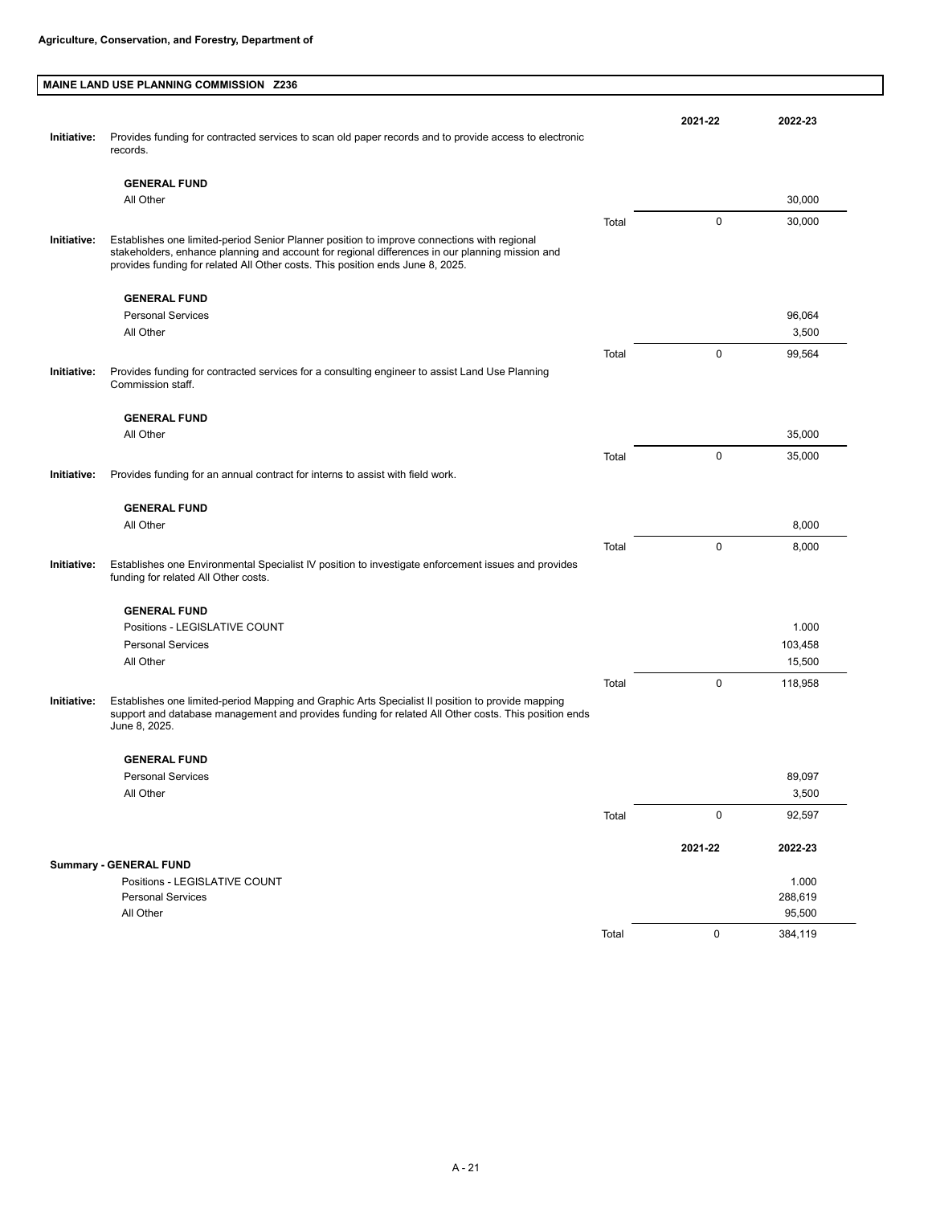|             | MAINE LAND USE PLANNING COMMISSION Z236                                                                                                                                                                                                                                          |       |         |         |
|-------------|----------------------------------------------------------------------------------------------------------------------------------------------------------------------------------------------------------------------------------------------------------------------------------|-------|---------|---------|
|             |                                                                                                                                                                                                                                                                                  |       |         |         |
| Initiative: | Provides funding for contracted services to scan old paper records and to provide access to electronic<br>records.                                                                                                                                                               |       | 2021-22 | 2022-23 |
|             | <b>GENERAL FUND</b>                                                                                                                                                                                                                                                              |       |         |         |
|             | All Other                                                                                                                                                                                                                                                                        |       |         | 30,000  |
|             |                                                                                                                                                                                                                                                                                  | Total | 0       | 30,000  |
| Initiative: | Establishes one limited-period Senior Planner position to improve connections with regional<br>stakeholders, enhance planning and account for regional differences in our planning mission and<br>provides funding for related All Other costs. This position ends June 8, 2025. |       |         |         |
|             | <b>GENERAL FUND</b>                                                                                                                                                                                                                                                              |       |         |         |
|             | <b>Personal Services</b>                                                                                                                                                                                                                                                         |       |         | 96,064  |
|             | All Other                                                                                                                                                                                                                                                                        |       |         | 3,500   |
|             |                                                                                                                                                                                                                                                                                  | Total | 0       | 99,564  |
| Initiative: | Provides funding for contracted services for a consulting engineer to assist Land Use Planning<br>Commission staff.                                                                                                                                                              |       |         |         |
|             | <b>GENERAL FUND</b>                                                                                                                                                                                                                                                              |       |         |         |
|             | All Other                                                                                                                                                                                                                                                                        |       |         | 35,000  |
|             |                                                                                                                                                                                                                                                                                  | Total | 0       | 35,000  |
| Initiative: | Provides funding for an annual contract for interns to assist with field work.                                                                                                                                                                                                   |       |         |         |
|             | <b>GENERAL FUND</b>                                                                                                                                                                                                                                                              |       |         |         |
|             | All Other                                                                                                                                                                                                                                                                        |       |         | 8,000   |
|             |                                                                                                                                                                                                                                                                                  | Total | 0       | 8,000   |
| Initiative: | Establishes one Environmental Specialist IV position to investigate enforcement issues and provides<br>funding for related All Other costs.                                                                                                                                      |       |         |         |
|             | <b>GENERAL FUND</b>                                                                                                                                                                                                                                                              |       |         |         |
|             | Positions - LEGISLATIVE COUNT                                                                                                                                                                                                                                                    |       |         | 1.000   |
|             | <b>Personal Services</b>                                                                                                                                                                                                                                                         |       |         | 103,458 |
|             | All Other                                                                                                                                                                                                                                                                        |       |         | 15,500  |
|             |                                                                                                                                                                                                                                                                                  | Total | 0       | 118,958 |
| Initiative: | Establishes one limited-period Mapping and Graphic Arts Specialist II position to provide mapping<br>support and database management and provides funding for related All Other costs. This position ends<br>June 8, 2025.                                                       |       |         |         |
|             | <b>GENERAL FUND</b>                                                                                                                                                                                                                                                              |       |         |         |
|             | <b>Personal Services</b>                                                                                                                                                                                                                                                         |       |         | 89,097  |
|             | All Other                                                                                                                                                                                                                                                                        |       |         | 3,500   |
|             |                                                                                                                                                                                                                                                                                  | Total | 0       | 92,597  |
|             |                                                                                                                                                                                                                                                                                  |       | 2021-22 | 2022-23 |
|             | <b>Summary - GENERAL FUND</b>                                                                                                                                                                                                                                                    |       |         |         |
|             | Positions - LEGISLATIVE COUNT                                                                                                                                                                                                                                                    |       |         | 1.000   |
|             | <b>Personal Services</b>                                                                                                                                                                                                                                                         |       |         | 288,619 |
|             | All Other                                                                                                                                                                                                                                                                        |       |         | 95,500  |
|             |                                                                                                                                                                                                                                                                                  | Total | 0       | 384,119 |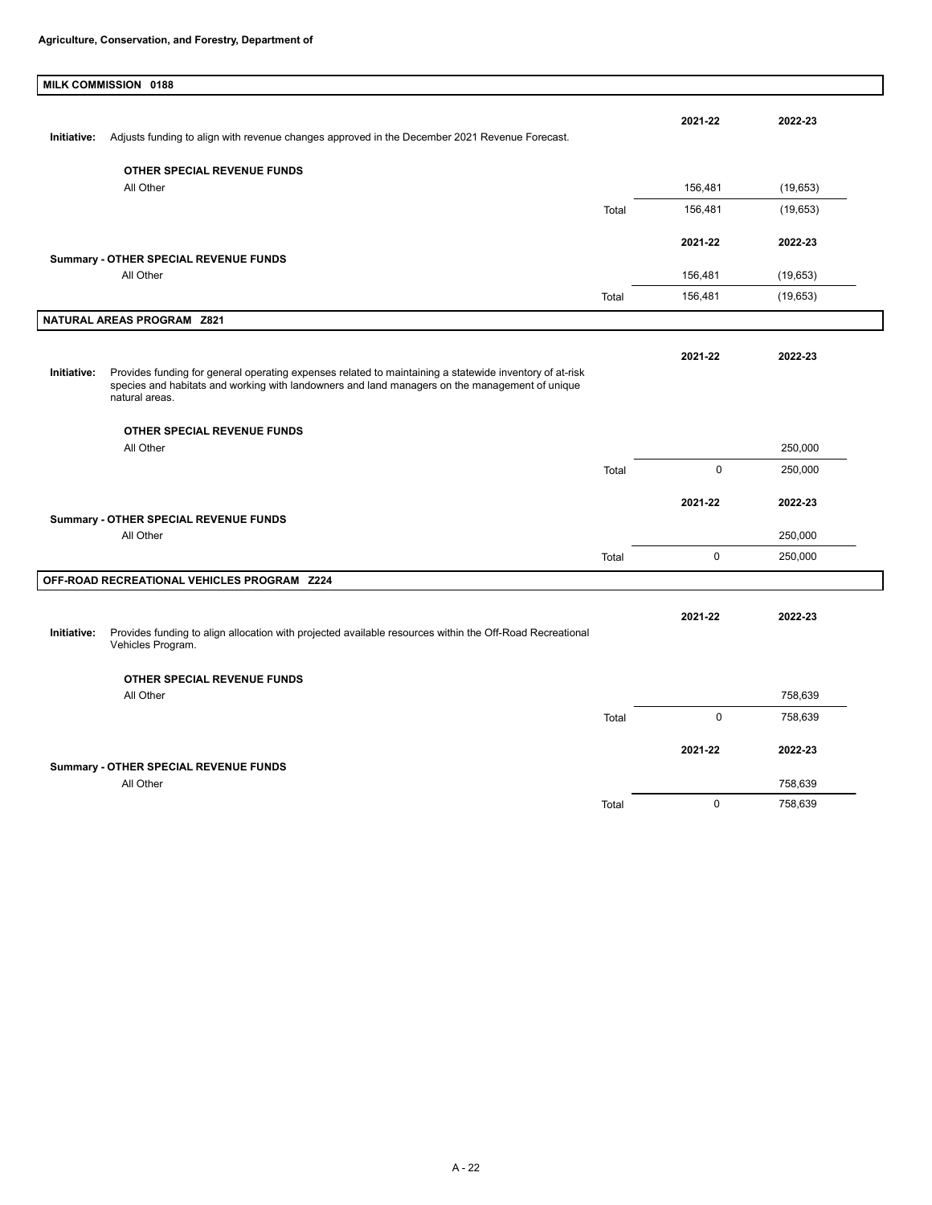|             | MILK COMMISSION 0188                                                                                                          |       |             |           |  |
|-------------|-------------------------------------------------------------------------------------------------------------------------------|-------|-------------|-----------|--|
|             |                                                                                                                               |       |             |           |  |
|             |                                                                                                                               |       | 2021-22     | 2022-23   |  |
| Initiative: | Adjusts funding to align with revenue changes approved in the December 2021 Revenue Forecast.                                 |       |             |           |  |
|             |                                                                                                                               |       |             |           |  |
|             | OTHER SPECIAL REVENUE FUNDS                                                                                                   |       |             |           |  |
|             | All Other                                                                                                                     |       | 156,481     | (19, 653) |  |
|             |                                                                                                                               | Total | 156,481     | (19,653)  |  |
|             |                                                                                                                               |       |             |           |  |
|             | <b>Summary - OTHER SPECIAL REVENUE FUNDS</b>                                                                                  |       | 2021-22     | 2022-23   |  |
|             | All Other                                                                                                                     |       | 156,481     | (19, 653) |  |
|             |                                                                                                                               | Total | 156,481     | (19,653)  |  |
|             |                                                                                                                               |       |             |           |  |
|             | NATURAL AREAS PROGRAM Z821                                                                                                    |       |             |           |  |
|             |                                                                                                                               |       | 2021-22     | 2022-23   |  |
| Initiative: | Provides funding for general operating expenses related to maintaining a statewide inventory of at-risk                       |       |             |           |  |
|             | species and habitats and working with landowners and land managers on the management of unique                                |       |             |           |  |
|             | natural areas.                                                                                                                |       |             |           |  |
|             | OTHER SPECIAL REVENUE FUNDS                                                                                                   |       |             |           |  |
|             | All Other                                                                                                                     |       |             | 250,000   |  |
|             |                                                                                                                               | Total | $\pmb{0}$   | 250,000   |  |
|             |                                                                                                                               |       |             |           |  |
|             |                                                                                                                               |       | 2021-22     | 2022-23   |  |
|             | <b>Summary - OTHER SPECIAL REVENUE FUNDS</b>                                                                                  |       |             |           |  |
|             | All Other                                                                                                                     |       |             | 250,000   |  |
|             |                                                                                                                               | Total | $\mathbf 0$ | 250,000   |  |
|             | OFF-ROAD RECREATIONAL VEHICLES PROGRAM Z224                                                                                   |       |             |           |  |
|             |                                                                                                                               |       |             |           |  |
|             |                                                                                                                               |       | 2021-22     | 2022-23   |  |
| Initiative: | Provides funding to align allocation with projected available resources within the Off-Road Recreational<br>Vehicles Program. |       |             |           |  |
|             |                                                                                                                               |       |             |           |  |
|             | OTHER SPECIAL REVENUE FUNDS                                                                                                   |       |             |           |  |
|             | All Other                                                                                                                     |       |             | 758,639   |  |
|             |                                                                                                                               | Total | $\pmb{0}$   | 758,639   |  |
|             |                                                                                                                               |       |             |           |  |
|             |                                                                                                                               |       | 2021-22     | 2022-23   |  |
|             | <b>Summary - OTHER SPECIAL REVENUE FUNDS</b>                                                                                  |       |             |           |  |
|             | All Other                                                                                                                     |       |             | 758,639   |  |
|             |                                                                                                                               | Total | 0           | 758,639   |  |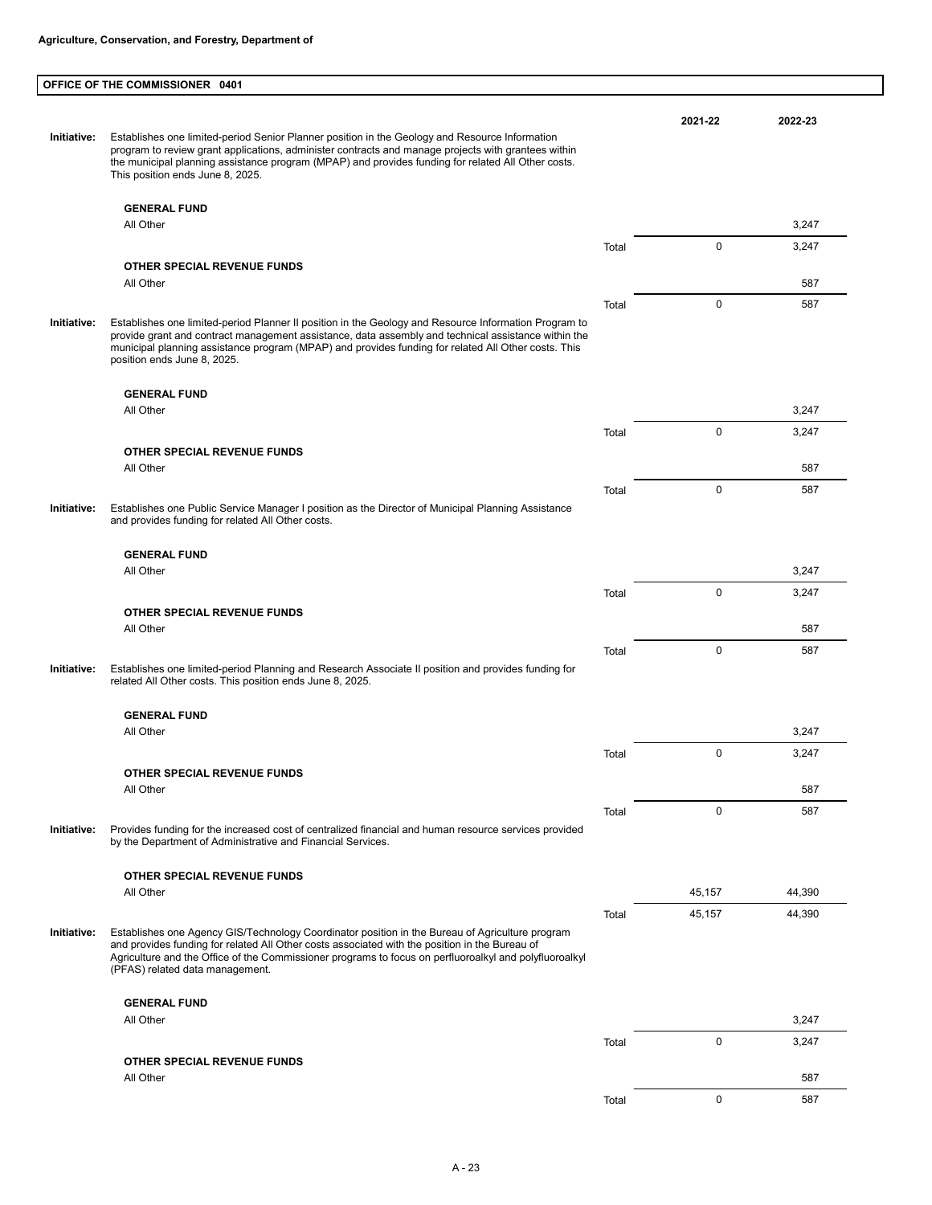|             | OFFICE OF THE COMMISSIONER 0401                                                                                                                                                                                                                                                                                                                    |       |             |         |
|-------------|----------------------------------------------------------------------------------------------------------------------------------------------------------------------------------------------------------------------------------------------------------------------------------------------------------------------------------------------------|-------|-------------|---------|
|             |                                                                                                                                                                                                                                                                                                                                                    |       | 2021-22     | 2022-23 |
| Initiative: | Establishes one limited-period Senior Planner position in the Geology and Resource Information<br>program to review grant applications, administer contracts and manage projects with grantees within<br>the municipal planning assistance program (MPAP) and provides funding for related All Other costs.<br>This position ends June 8, 2025.    |       |             |         |
|             | <b>GENERAL FUND</b>                                                                                                                                                                                                                                                                                                                                |       |             |         |
|             | All Other                                                                                                                                                                                                                                                                                                                                          |       |             | 3,247   |
|             | <b>OTHER SPECIAL REVENUE FUNDS</b>                                                                                                                                                                                                                                                                                                                 | Total | $\pmb{0}$   | 3,247   |
|             | All Other                                                                                                                                                                                                                                                                                                                                          |       |             | 587     |
|             |                                                                                                                                                                                                                                                                                                                                                    | Total | $\mathbf 0$ | 587     |
| Initiative: | Establishes one limited-period Planner II position in the Geology and Resource Information Program to<br>provide grant and contract management assistance, data assembly and technical assistance within the<br>municipal planning assistance program (MPAP) and provides funding for related All Other costs. This<br>position ends June 8, 2025. |       |             |         |
|             | <b>GENERAL FUND</b>                                                                                                                                                                                                                                                                                                                                |       |             |         |
|             | All Other                                                                                                                                                                                                                                                                                                                                          |       |             | 3,247   |
|             |                                                                                                                                                                                                                                                                                                                                                    | Total | $\mathbf 0$ | 3,247   |
|             | OTHER SPECIAL REVENUE FUNDS<br>All Other                                                                                                                                                                                                                                                                                                           |       |             | 587     |
|             |                                                                                                                                                                                                                                                                                                                                                    | Total | $\pmb{0}$   | 587     |
| Initiative: | Establishes one Public Service Manager I position as the Director of Municipal Planning Assistance<br>and provides funding for related All Other costs.                                                                                                                                                                                            |       |             |         |
|             | <b>GENERAL FUND</b>                                                                                                                                                                                                                                                                                                                                |       |             |         |
|             | All Other                                                                                                                                                                                                                                                                                                                                          |       |             | 3,247   |
|             | <b>OTHER SPECIAL REVENUE FUNDS</b>                                                                                                                                                                                                                                                                                                                 | Total | $\pmb{0}$   | 3,247   |
|             | All Other                                                                                                                                                                                                                                                                                                                                          |       |             | 587     |
|             |                                                                                                                                                                                                                                                                                                                                                    | Total | $\mathbf 0$ | 587     |
| Initiative: | Establishes one limited-period Planning and Research Associate II position and provides funding for<br>related All Other costs. This position ends June 8, 2025.                                                                                                                                                                                   |       |             |         |
|             | <b>GENERAL FUND</b>                                                                                                                                                                                                                                                                                                                                |       |             |         |
|             | All Other                                                                                                                                                                                                                                                                                                                                          |       |             | 3,247   |
|             |                                                                                                                                                                                                                                                                                                                                                    | Total | $\mathbf 0$ | 3,247   |
|             | <b>OTHER SPECIAL REVENUE FUNDS</b><br>All Other                                                                                                                                                                                                                                                                                                    |       |             | 587     |
|             |                                                                                                                                                                                                                                                                                                                                                    | Total | $\mathbf 0$ | 587     |
| Initiative: | Provides funding for the increased cost of centralized financial and human resource services provided<br>by the Department of Administrative and Financial Services.                                                                                                                                                                               |       |             |         |
|             | OTHER SPECIAL REVENUE FUNDS                                                                                                                                                                                                                                                                                                                        |       |             |         |
|             | All Other                                                                                                                                                                                                                                                                                                                                          |       | 45,157      | 44,390  |
|             |                                                                                                                                                                                                                                                                                                                                                    | Total | 45,157      | 44,390  |
| Initiative: | Establishes one Agency GIS/Technology Coordinator position in the Bureau of Agriculture program<br>and provides funding for related All Other costs associated with the position in the Bureau of<br>Agriculture and the Office of the Commissioner programs to focus on perfluoroalkyl and polyfluoroalkyl<br>(PFAS) related data management.     |       |             |         |
|             | <b>GENERAL FUND</b>                                                                                                                                                                                                                                                                                                                                |       |             |         |
|             | All Other                                                                                                                                                                                                                                                                                                                                          |       |             | 3,247   |
|             |                                                                                                                                                                                                                                                                                                                                                    | Total | 0           | 3,247   |
|             | OTHER SPECIAL REVENUE FUNDS<br>All Other                                                                                                                                                                                                                                                                                                           |       |             | 587     |
|             |                                                                                                                                                                                                                                                                                                                                                    | Total | $\pmb{0}$   | 587     |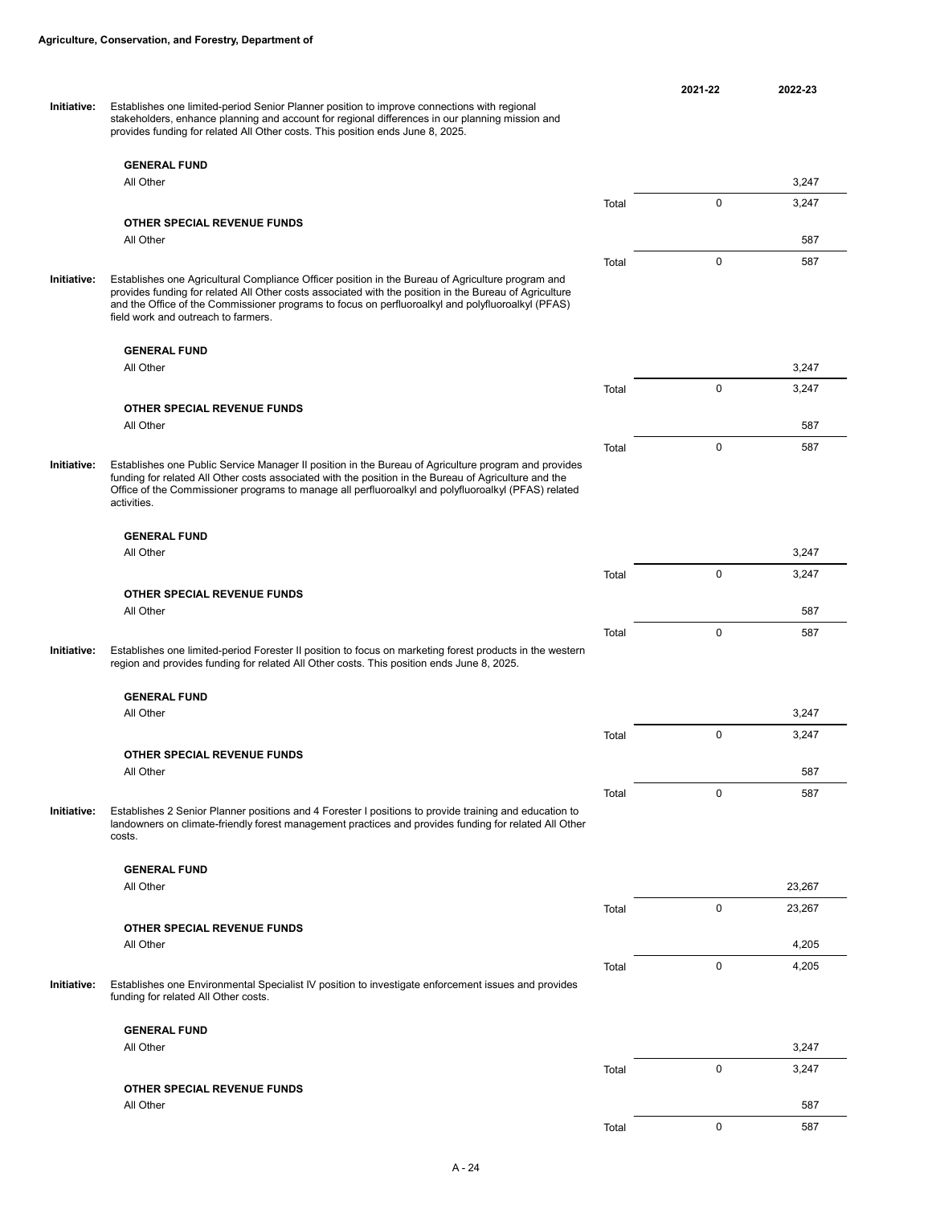Initiative: Establishes one limited-period Senior Planner position to improve connections with regional stakeholders, enhance planning and account for regional differences in our planning mission and provides funding for related All Other costs. This position ends June 8, 2025.

#### GENERAL FUND

| GENERAL FUND                       |       |   |       |
|------------------------------------|-------|---|-------|
| All Other                          |       |   | 3,247 |
|                                    | Total | 0 | 3,247 |
| <b>OTHER SPECIAL REVENUE FUNDS</b> |       |   |       |
| All Other                          |       |   | 587   |
|                                    | Total |   | 587   |

2021-22 2022-23

Initiative: Establishes one Agricultural Compliance Officer position in the Bureau of Agriculture program and provides funding for related All Other costs associated with the position in the Bureau of Agriculture and the Office of the Commissioner programs to focus on perfluoroalkyl and polyfluoroalkyl (PFAS) field work and outreach to farmers.

### GENERAL FUND

| All Other                          |       |   | 3,247 |
|------------------------------------|-------|---|-------|
|                                    | Total | 0 | 3,247 |
| <b>OTHER SPECIAL REVENUE FUNDS</b> |       |   |       |
| All Other                          |       |   | 587   |
|                                    | Total | 0 | 587   |

Initiative: Establishes one Public Service Manager II position in the Bureau of Agriculture program and provides funding for related All Other costs associated with the position in the Bureau of Agriculture and the Office of the Commissioner programs to manage all perfluoroalkyl and polyfluoroalkyl (PFAS) related activities.

## GENERAL FUND

All Other 3,247 Total 0 3,247 OTHER SPECIAL REVENUE FUNDS All Other 587 Total 0 587

Initiative: Establishes one limited-period Forester II position to focus on marketing forest products in the western region and provides funding for related All Other costs. This position ends June 8, 2025.

### GENERAL FUND

All Other 3,247 Total 0 3,247 OTHER SPECIAL REVENUE FUNDS All Other 587 Total 0 587

Initiative: Establishes 2 Senior Planner positions and 4 Forester I positions to provide training and education to landowners on climate-friendly forest management practices and provides funding for related All Other costs.

#### GENERAL FUND

Initiative: Establishes one Environmental Specialist IV position to investigate enforcement issues and provides funding for related All Other costs.

## GENERAL FUND

# OTHER SPECIAL REVENUE FUNDS

|      |   | 587 |  |
|------|---|-----|--|
| otal | 0 | 587 |  |
|      |   |     |  |
|      |   |     |  |
|      |   |     |  |

|       |   | 3,247 |  |
|-------|---|-------|--|
| Total | O | 3,247 |  |
|       |   | 587   |  |
| Total | O | 587   |  |

| All Other                          |       |   | 23,267 |
|------------------------------------|-------|---|--------|
|                                    | Total | 0 | 23,267 |
| <b>OTHER SPECIAL REVENUE FUNDS</b> |       |   |        |
| All Other                          |       |   | 4,205  |
|                                    | Total | 0 | 4,205  |

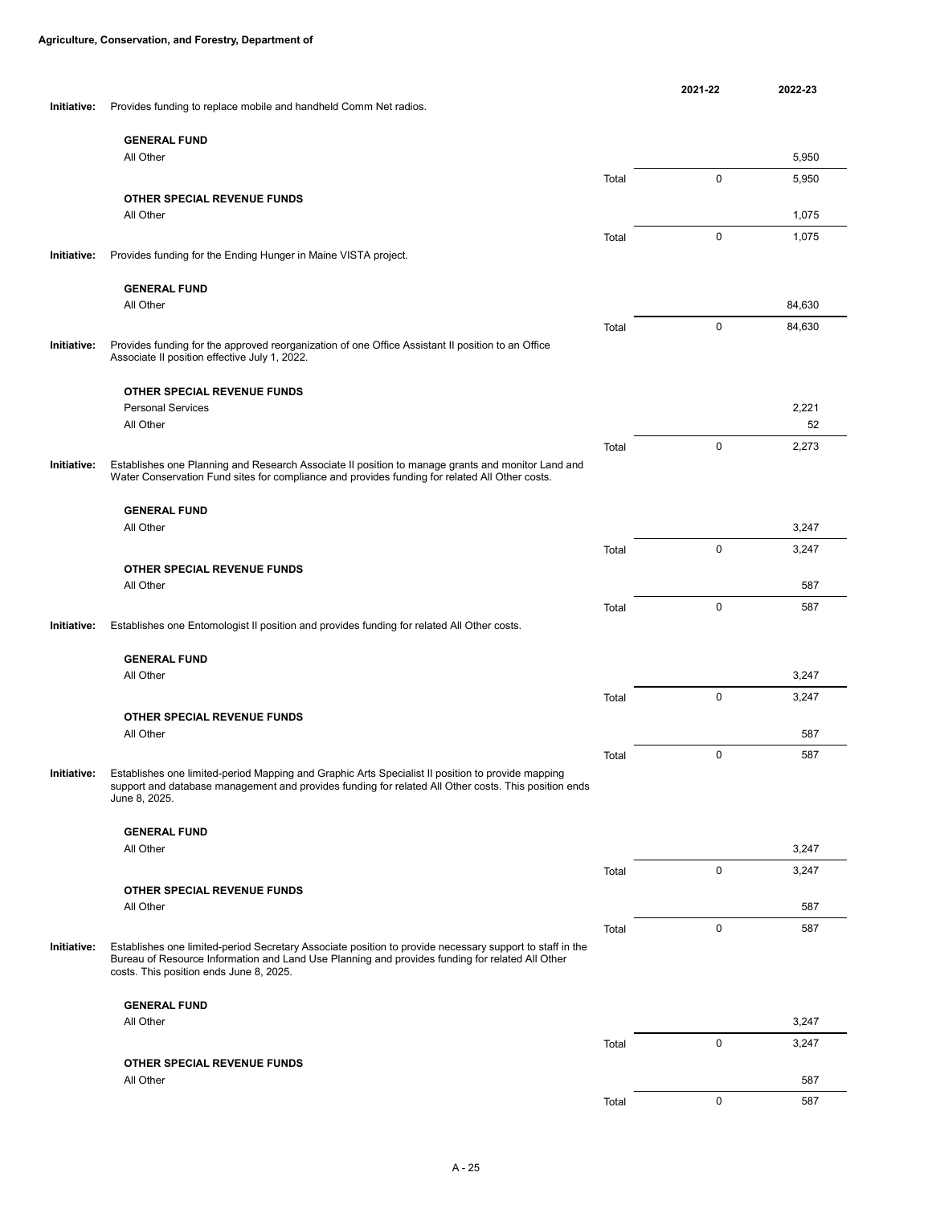|             |                                                                                                                                                                                                             |       | 2021-22     | 2022-23 |
|-------------|-------------------------------------------------------------------------------------------------------------------------------------------------------------------------------------------------------------|-------|-------------|---------|
| Initiative: | Provides funding to replace mobile and handheld Comm Net radios.                                                                                                                                            |       |             |         |
|             | <b>GENERAL FUND</b>                                                                                                                                                                                         |       |             |         |
|             | All Other                                                                                                                                                                                                   |       |             | 5,950   |
|             | OTHER SPECIAL REVENUE FUNDS                                                                                                                                                                                 | Total | 0           | 5,950   |
|             | All Other                                                                                                                                                                                                   |       |             | 1,075   |
|             |                                                                                                                                                                                                             | Total | 0           | 1,075   |
| Initiative: | Provides funding for the Ending Hunger in Maine VISTA project.                                                                                                                                              |       |             |         |
|             | <b>GENERAL FUND</b>                                                                                                                                                                                         |       |             |         |
|             | All Other                                                                                                                                                                                                   |       |             | 84,630  |
| Initiative: | Provides funding for the approved reorganization of one Office Assistant II position to an Office                                                                                                           | Total | 0           | 84,630  |
|             | Associate II position effective July 1, 2022.                                                                                                                                                               |       |             |         |
|             | OTHER SPECIAL REVENUE FUNDS                                                                                                                                                                                 |       |             |         |
|             | <b>Personal Services</b>                                                                                                                                                                                    |       |             | 2,221   |
|             | All Other                                                                                                                                                                                                   |       |             | 52      |
| Initiative: | Establishes one Planning and Research Associate II position to manage grants and monitor Land and                                                                                                           | Total | $\mathbf 0$ | 2,273   |
|             | Water Conservation Fund sites for compliance and provides funding for related All Other costs.                                                                                                              |       |             |         |
|             | <b>GENERAL FUND</b>                                                                                                                                                                                         |       |             |         |
|             | All Other                                                                                                                                                                                                   |       |             | 3,247   |
|             | OTHER SPECIAL REVENUE FUNDS                                                                                                                                                                                 | Total | 0           | 3,247   |
|             | All Other                                                                                                                                                                                                   |       |             | 587     |
|             |                                                                                                                                                                                                             | Total | $\mathbf 0$ | 587     |
| Initiative: | Establishes one Entomologist II position and provides funding for related All Other costs.                                                                                                                  |       |             |         |
|             | <b>GENERAL FUND</b>                                                                                                                                                                                         |       |             |         |
|             | All Other                                                                                                                                                                                                   |       |             | 3,247   |
|             |                                                                                                                                                                                                             | Total | $\mathbf 0$ | 3,247   |
|             | OTHER SPECIAL REVENUE FUNDS<br>All Other                                                                                                                                                                    |       |             | 587     |
|             |                                                                                                                                                                                                             | Total | 0           | 587     |
| Initiative: | Establishes one limited-period Mapping and Graphic Arts Specialist II position to provide mapping<br>support and database management and provides funding for related All Other costs. This position ends   |       |             |         |
|             | June 8, 2025.                                                                                                                                                                                               |       |             |         |
|             | <b>GENERAL FUND</b>                                                                                                                                                                                         |       |             |         |
|             | All Other                                                                                                                                                                                                   |       |             | 3,247   |
|             |                                                                                                                                                                                                             | Total | 0           | 3,247   |
|             | OTHER SPECIAL REVENUE FUNDS<br>All Other                                                                                                                                                                    |       |             | 587     |
|             |                                                                                                                                                                                                             | Total | 0           | 587     |
| Initiative: | Establishes one limited-period Secretary Associate position to provide necessary support to staff in the<br>Bureau of Resource Information and Land Use Planning and provides funding for related All Other |       |             |         |
|             | costs. This position ends June 8, 2025.                                                                                                                                                                     |       |             |         |
|             | <b>GENERAL FUND</b>                                                                                                                                                                                         |       |             |         |
|             | All Other                                                                                                                                                                                                   |       |             | 3,247   |
|             |                                                                                                                                                                                                             | Total | 0           | 3,247   |
|             | OTHER SPECIAL REVENUE FUNDS<br>All Other                                                                                                                                                                    |       |             | 587     |
|             |                                                                                                                                                                                                             | Total | 0           | 587     |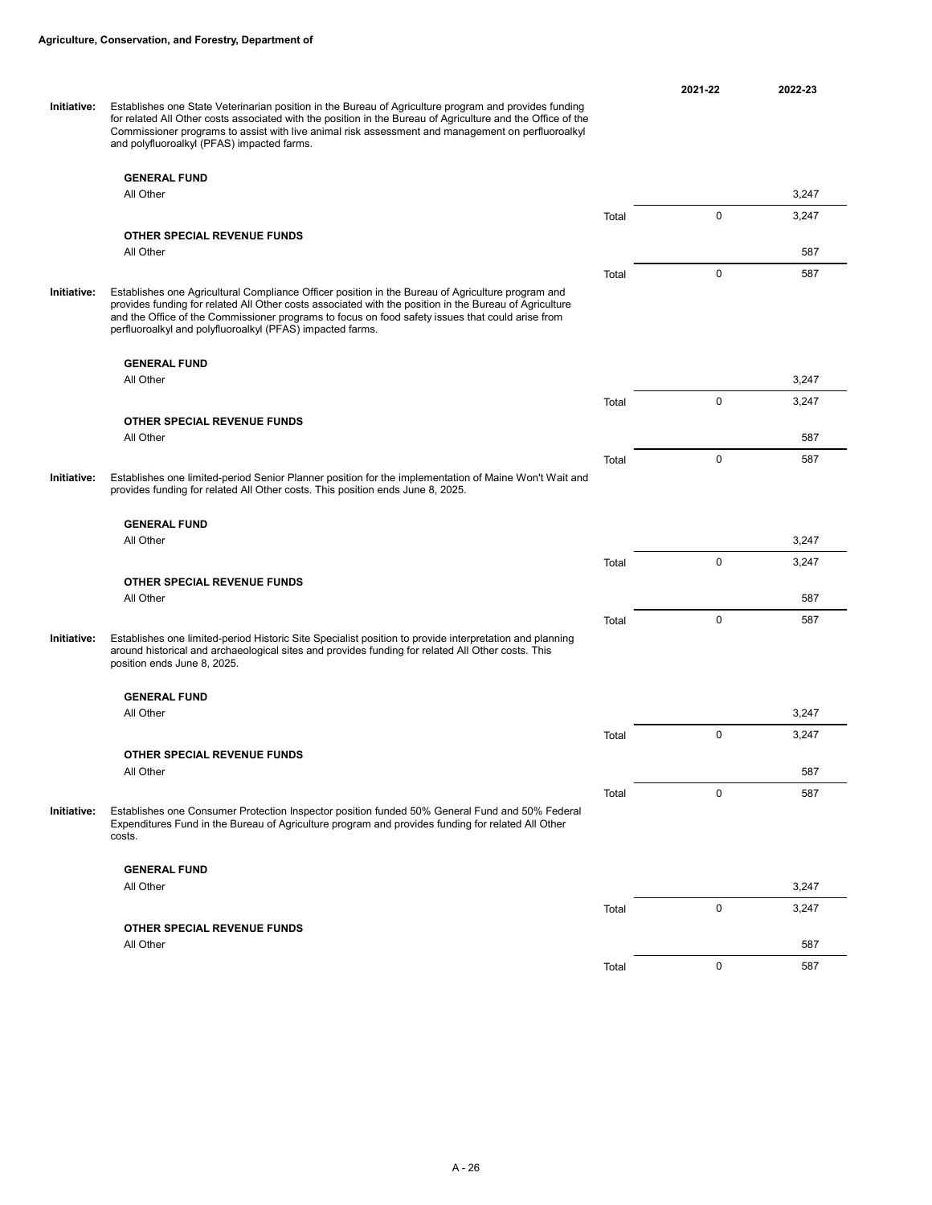Initiative: Establishes one State Veterinarian position in the Bureau of Agriculture program and provides funding for related All Other costs associated with the position in the Bureau of Agriculture and the Office of the Commissioner programs to assist with live animal risk assessment and management on perfluoroalkyl and polyfluoroalkyl (PFAS) impacted farms.

2021-22 2022-23

|             | <b>GENERAL FUND</b>                                                                                                                                                                                                                                                                                                                                                          |       |             |       |
|-------------|------------------------------------------------------------------------------------------------------------------------------------------------------------------------------------------------------------------------------------------------------------------------------------------------------------------------------------------------------------------------------|-------|-------------|-------|
|             | All Other                                                                                                                                                                                                                                                                                                                                                                    |       |             | 3,247 |
|             |                                                                                                                                                                                                                                                                                                                                                                              | Total | $\mathbf 0$ | 3,247 |
|             | OTHER SPECIAL REVENUE FUNDS                                                                                                                                                                                                                                                                                                                                                  |       |             |       |
|             | All Other                                                                                                                                                                                                                                                                                                                                                                    |       |             | 587   |
|             |                                                                                                                                                                                                                                                                                                                                                                              | Total | $\mathbf 0$ | 587   |
| Initiative: | Establishes one Agricultural Compliance Officer position in the Bureau of Agriculture program and<br>provides funding for related All Other costs associated with the position in the Bureau of Agriculture<br>and the Office of the Commissioner programs to focus on food safety issues that could arise from<br>perfluoroalkyl and polyfluoroalkyl (PFAS) impacted farms. |       |             |       |
|             | <b>GENERAL FUND</b>                                                                                                                                                                                                                                                                                                                                                          |       |             |       |
|             | All Other                                                                                                                                                                                                                                                                                                                                                                    |       |             | 3,247 |
|             |                                                                                                                                                                                                                                                                                                                                                                              | Total | $\pmb{0}$   | 3,247 |
|             | OTHER SPECIAL REVENUE FUNDS                                                                                                                                                                                                                                                                                                                                                  |       |             |       |
|             | All Other                                                                                                                                                                                                                                                                                                                                                                    |       |             | 587   |
|             |                                                                                                                                                                                                                                                                                                                                                                              | Total | $\mathbf 0$ | 587   |
| Initiative: | Establishes one limited-period Senior Planner position for the implementation of Maine Won't Wait and<br>provides funding for related All Other costs. This position ends June 8, 2025.                                                                                                                                                                                      |       |             |       |
|             | <b>GENERAL FUND</b>                                                                                                                                                                                                                                                                                                                                                          |       |             |       |
|             | All Other                                                                                                                                                                                                                                                                                                                                                                    |       |             | 3,247 |
|             |                                                                                                                                                                                                                                                                                                                                                                              | Total | $\mathbf 0$ | 3,247 |
|             | OTHER SPECIAL REVENUE FUNDS                                                                                                                                                                                                                                                                                                                                                  |       |             |       |
|             | All Other                                                                                                                                                                                                                                                                                                                                                                    |       |             | 587   |
|             |                                                                                                                                                                                                                                                                                                                                                                              | Total | $\mathbf 0$ | 587   |
| Initiative: | Establishes one limited-period Historic Site Specialist position to provide interpretation and planning<br>around historical and archaeological sites and provides funding for related All Other costs. This<br>position ends June 8, 2025.                                                                                                                                  |       |             |       |
|             | <b>GENERAL FUND</b>                                                                                                                                                                                                                                                                                                                                                          |       |             |       |
|             | All Other                                                                                                                                                                                                                                                                                                                                                                    |       |             | 3,247 |
|             |                                                                                                                                                                                                                                                                                                                                                                              | Total | $\pmb{0}$   | 3,247 |
|             | <b>OTHER SPECIAL REVENUE FUNDS</b>                                                                                                                                                                                                                                                                                                                                           |       |             |       |
|             | All Other                                                                                                                                                                                                                                                                                                                                                                    |       |             | 587   |
|             |                                                                                                                                                                                                                                                                                                                                                                              | Total | $\pmb{0}$   | 587   |
| Initiative: | Establishes one Consumer Protection Inspector position funded 50% General Fund and 50% Federal<br>Expenditures Fund in the Bureau of Agriculture program and provides funding for related All Other<br>costs.                                                                                                                                                                |       |             |       |
|             |                                                                                                                                                                                                                                                                                                                                                                              |       |             |       |
|             | <b>GENERAL FUND</b>                                                                                                                                                                                                                                                                                                                                                          |       |             |       |
|             | All Other                                                                                                                                                                                                                                                                                                                                                                    |       |             | 3,247 |
|             |                                                                                                                                                                                                                                                                                                                                                                              | Total | $\mathbf 0$ | 3,247 |
|             | OTHER SPECIAL REVENUE FUNDS                                                                                                                                                                                                                                                                                                                                                  |       |             |       |
|             | All Other                                                                                                                                                                                                                                                                                                                                                                    |       |             | 587   |
|             |                                                                                                                                                                                                                                                                                                                                                                              | Total | 0           | 587   |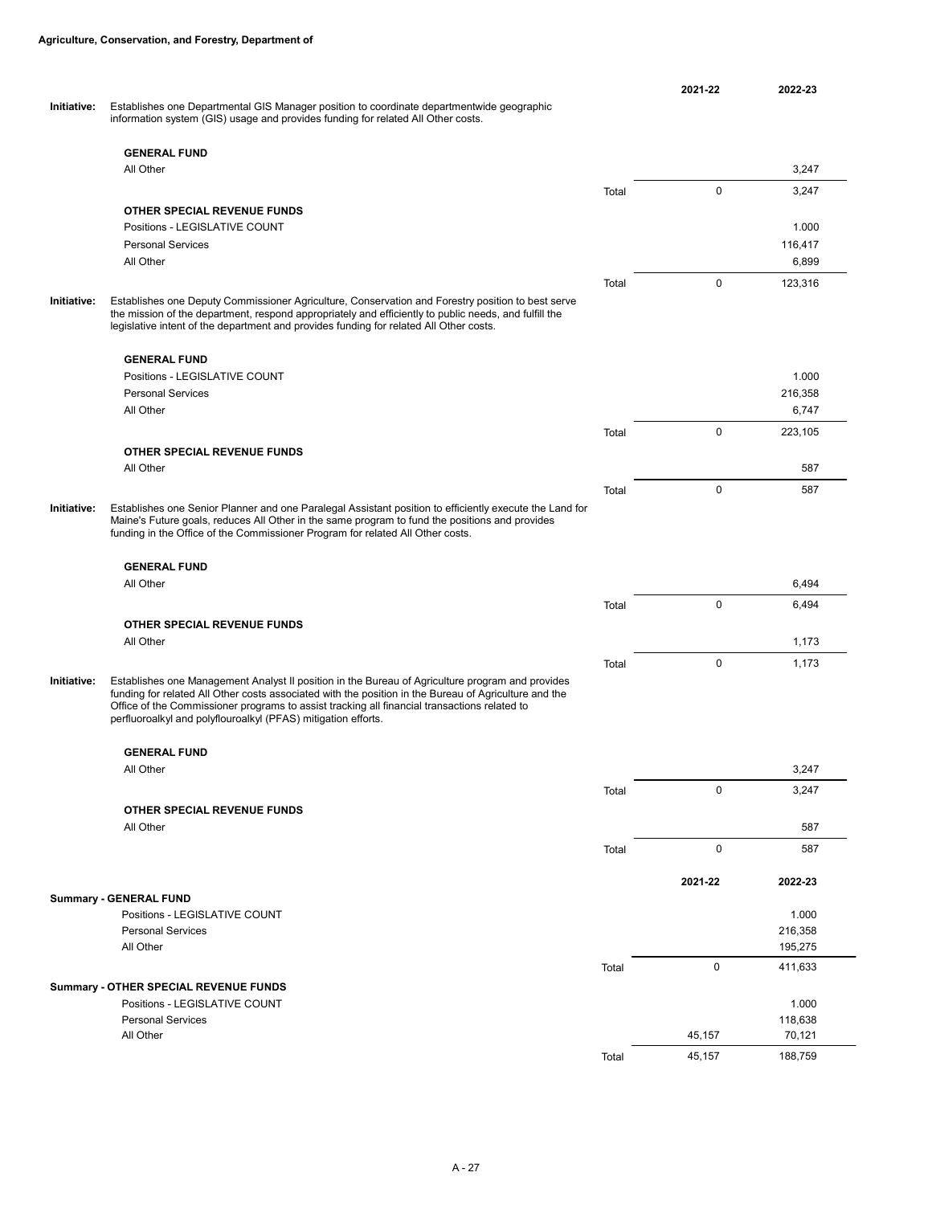2021-22 2022-23 GENERAL FUND All Other 3,247 Total 0 3,247 OTHER SPECIAL REVENUE FUNDS Positions - LEGISLATIVE COUNT 1.000 Personal Services 116,417 All Other 6,899 Total 0 123,316 Initiative: Establishes one Departmental GIS Manager position to coordinate departmentwide geographic information system (GIS) usage and provides funding for related All Other costs. GENERAL FUND Positions - LEGISLATIVE COUNT 1.000 Personal Services 216,358 All Other 6,747 Total 0 223,105 OTHER SPECIAL REVENUE FUNDS All Other 587 Total 0 587 Initiative: Establishes one Deputy Commissioner Agriculture, Conservation and Forestry position to best serve the mission of the department, respond appropriately and efficiently to public needs, and fulfill the legislative intent of the department and provides funding for related All Other costs. GENERAL FUND All Other 6,494 Total 0 6,494 OTHER SPECIAL REVENUE FUNDS All Other 1,173 Total 0 1,173 Initiative: Establishes one Senior Planner and one Paralegal Assistant position to efficiently execute the Land for Maine's Future goals, reduces All Other in the same program to fund the positions and provides funding in the Office of the Commissioner Program for related All Other costs. GENERAL FUND All Other 3,247 Total 0 3,247 OTHER SPECIAL REVENUE FUNDS All Other 587 Total 0 587 Initiative: Establishes one Management Analyst II position in the Bureau of Agriculture program and provides funding for related All Other costs associated with the position in the Bureau of Agriculture and the Office of the Commissioner programs to assist tracking all financial transactions related to perfluoroalkyl and polyflouroalkyl (PFAS) mitigation efforts. 2021-22 2022-23 Summary - GENERAL FUND Positions - LEGISLATIVE COUNT 1.000 Personal Services 216,358 All Other 195,275

## Summary - OTHER SPECIAL REVENUE FUNDS

| Positions - LEGISLATIVE COUNT |       |        | 1.000   |  |
|-------------------------------|-------|--------|---------|--|
| <b>Personal Services</b>      |       |        | 118,638 |  |
| All Other                     |       | 45.157 | 70.121  |  |
|                               | Total | 45,157 | 188.759 |  |

Total 0 411,633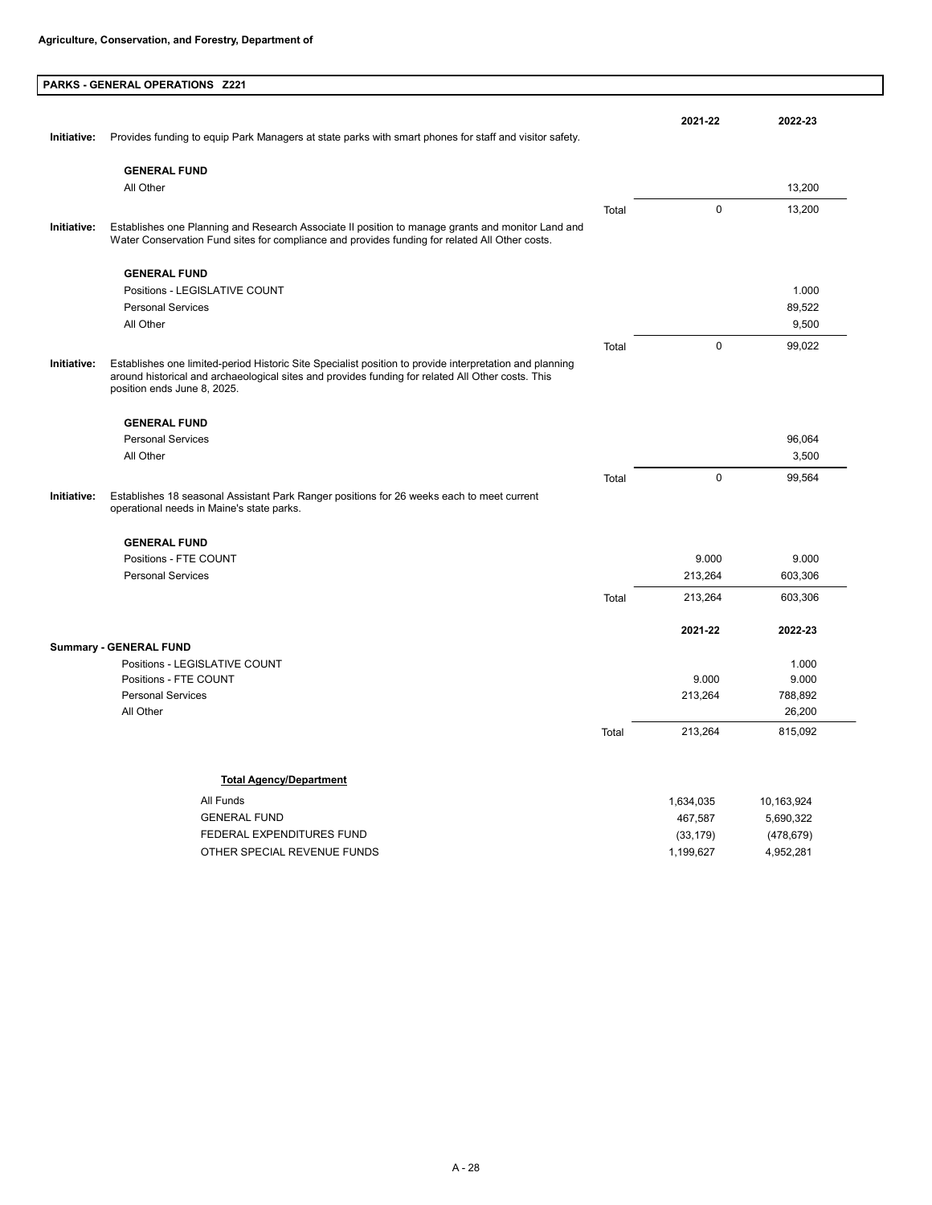| 2021-22<br>2022-23<br>Provides funding to equip Park Managers at state parks with smart phones for staff and visitor safety.<br>Initiative:<br><b>GENERAL FUND</b><br>All Other<br>13,200<br>0<br>13,200<br>Total<br>Initiative:<br>Establishes one Planning and Research Associate II position to manage grants and monitor Land and<br>Water Conservation Fund sites for compliance and provides funding for related All Other costs.<br><b>GENERAL FUND</b><br>Positions - LEGISLATIVE COUNT<br>1.000<br><b>Personal Services</b><br>89,522<br>All Other<br>9,500<br>0<br>99,022<br>Total<br>Initiative:<br>Establishes one limited-period Historic Site Specialist position to provide interpretation and planning<br>around historical and archaeological sites and provides funding for related All Other costs. This<br>position ends June 8, 2025.<br><b>GENERAL FUND</b><br><b>Personal Services</b><br>96,064<br>All Other<br>3,500<br>0<br>99,564<br>Total<br>Initiative:<br>Establishes 18 seasonal Assistant Park Ranger positions for 26 weeks each to meet current<br>operational needs in Maine's state parks.<br><b>GENERAL FUND</b><br>Positions - FTE COUNT<br>9.000<br>9.000<br><b>Personal Services</b><br>603,306<br>213,264<br>Total<br>213,264<br>603,306<br>2021-22<br>2022-23<br><b>Summary - GENERAL FUND</b><br>Positions - LEGISLATIVE COUNT<br>1.000<br>Positions - FTE COUNT<br>9.000<br>9.000<br><b>Personal Services</b><br>788,892<br>213,264<br>All Other<br>26,200<br>213,264<br>815,092<br>Total<br><b>Total Agency/Department</b><br>All Funds<br>1,634,035<br>10,163,924<br><b>GENERAL FUND</b><br>467,587<br>5,690,322<br>FEDERAL EXPENDITURES FUND<br>(478, 679)<br>(33, 179)<br>OTHER SPECIAL REVENUE FUNDS<br>4,952,281<br>1,199,627 | PARKS - GENERAL OPERATIONS Z221 |  |  |
|---------------------------------------------------------------------------------------------------------------------------------------------------------------------------------------------------------------------------------------------------------------------------------------------------------------------------------------------------------------------------------------------------------------------------------------------------------------------------------------------------------------------------------------------------------------------------------------------------------------------------------------------------------------------------------------------------------------------------------------------------------------------------------------------------------------------------------------------------------------------------------------------------------------------------------------------------------------------------------------------------------------------------------------------------------------------------------------------------------------------------------------------------------------------------------------------------------------------------------------------------------------------------------------------------------------------------------------------------------------------------------------------------------------------------------------------------------------------------------------------------------------------------------------------------------------------------------------------------------------------------------------------------------------------------------------------------------------------------------------------------------------------------------|---------------------------------|--|--|
|                                                                                                                                                                                                                                                                                                                                                                                                                                                                                                                                                                                                                                                                                                                                                                                                                                                                                                                                                                                                                                                                                                                                                                                                                                                                                                                                                                                                                                                                                                                                                                                                                                                                                                                                                                                 |                                 |  |  |
|                                                                                                                                                                                                                                                                                                                                                                                                                                                                                                                                                                                                                                                                                                                                                                                                                                                                                                                                                                                                                                                                                                                                                                                                                                                                                                                                                                                                                                                                                                                                                                                                                                                                                                                                                                                 |                                 |  |  |
|                                                                                                                                                                                                                                                                                                                                                                                                                                                                                                                                                                                                                                                                                                                                                                                                                                                                                                                                                                                                                                                                                                                                                                                                                                                                                                                                                                                                                                                                                                                                                                                                                                                                                                                                                                                 |                                 |  |  |
|                                                                                                                                                                                                                                                                                                                                                                                                                                                                                                                                                                                                                                                                                                                                                                                                                                                                                                                                                                                                                                                                                                                                                                                                                                                                                                                                                                                                                                                                                                                                                                                                                                                                                                                                                                                 |                                 |  |  |
|                                                                                                                                                                                                                                                                                                                                                                                                                                                                                                                                                                                                                                                                                                                                                                                                                                                                                                                                                                                                                                                                                                                                                                                                                                                                                                                                                                                                                                                                                                                                                                                                                                                                                                                                                                                 |                                 |  |  |
|                                                                                                                                                                                                                                                                                                                                                                                                                                                                                                                                                                                                                                                                                                                                                                                                                                                                                                                                                                                                                                                                                                                                                                                                                                                                                                                                                                                                                                                                                                                                                                                                                                                                                                                                                                                 |                                 |  |  |
|                                                                                                                                                                                                                                                                                                                                                                                                                                                                                                                                                                                                                                                                                                                                                                                                                                                                                                                                                                                                                                                                                                                                                                                                                                                                                                                                                                                                                                                                                                                                                                                                                                                                                                                                                                                 |                                 |  |  |
|                                                                                                                                                                                                                                                                                                                                                                                                                                                                                                                                                                                                                                                                                                                                                                                                                                                                                                                                                                                                                                                                                                                                                                                                                                                                                                                                                                                                                                                                                                                                                                                                                                                                                                                                                                                 |                                 |  |  |
|                                                                                                                                                                                                                                                                                                                                                                                                                                                                                                                                                                                                                                                                                                                                                                                                                                                                                                                                                                                                                                                                                                                                                                                                                                                                                                                                                                                                                                                                                                                                                                                                                                                                                                                                                                                 |                                 |  |  |
|                                                                                                                                                                                                                                                                                                                                                                                                                                                                                                                                                                                                                                                                                                                                                                                                                                                                                                                                                                                                                                                                                                                                                                                                                                                                                                                                                                                                                                                                                                                                                                                                                                                                                                                                                                                 |                                 |  |  |
|                                                                                                                                                                                                                                                                                                                                                                                                                                                                                                                                                                                                                                                                                                                                                                                                                                                                                                                                                                                                                                                                                                                                                                                                                                                                                                                                                                                                                                                                                                                                                                                                                                                                                                                                                                                 |                                 |  |  |
|                                                                                                                                                                                                                                                                                                                                                                                                                                                                                                                                                                                                                                                                                                                                                                                                                                                                                                                                                                                                                                                                                                                                                                                                                                                                                                                                                                                                                                                                                                                                                                                                                                                                                                                                                                                 |                                 |  |  |
|                                                                                                                                                                                                                                                                                                                                                                                                                                                                                                                                                                                                                                                                                                                                                                                                                                                                                                                                                                                                                                                                                                                                                                                                                                                                                                                                                                                                                                                                                                                                                                                                                                                                                                                                                                                 |                                 |  |  |
|                                                                                                                                                                                                                                                                                                                                                                                                                                                                                                                                                                                                                                                                                                                                                                                                                                                                                                                                                                                                                                                                                                                                                                                                                                                                                                                                                                                                                                                                                                                                                                                                                                                                                                                                                                                 |                                 |  |  |
|                                                                                                                                                                                                                                                                                                                                                                                                                                                                                                                                                                                                                                                                                                                                                                                                                                                                                                                                                                                                                                                                                                                                                                                                                                                                                                                                                                                                                                                                                                                                                                                                                                                                                                                                                                                 |                                 |  |  |
|                                                                                                                                                                                                                                                                                                                                                                                                                                                                                                                                                                                                                                                                                                                                                                                                                                                                                                                                                                                                                                                                                                                                                                                                                                                                                                                                                                                                                                                                                                                                                                                                                                                                                                                                                                                 |                                 |  |  |
|                                                                                                                                                                                                                                                                                                                                                                                                                                                                                                                                                                                                                                                                                                                                                                                                                                                                                                                                                                                                                                                                                                                                                                                                                                                                                                                                                                                                                                                                                                                                                                                                                                                                                                                                                                                 |                                 |  |  |
|                                                                                                                                                                                                                                                                                                                                                                                                                                                                                                                                                                                                                                                                                                                                                                                                                                                                                                                                                                                                                                                                                                                                                                                                                                                                                                                                                                                                                                                                                                                                                                                                                                                                                                                                                                                 |                                 |  |  |
|                                                                                                                                                                                                                                                                                                                                                                                                                                                                                                                                                                                                                                                                                                                                                                                                                                                                                                                                                                                                                                                                                                                                                                                                                                                                                                                                                                                                                                                                                                                                                                                                                                                                                                                                                                                 |                                 |  |  |
|                                                                                                                                                                                                                                                                                                                                                                                                                                                                                                                                                                                                                                                                                                                                                                                                                                                                                                                                                                                                                                                                                                                                                                                                                                                                                                                                                                                                                                                                                                                                                                                                                                                                                                                                                                                 |                                 |  |  |
|                                                                                                                                                                                                                                                                                                                                                                                                                                                                                                                                                                                                                                                                                                                                                                                                                                                                                                                                                                                                                                                                                                                                                                                                                                                                                                                                                                                                                                                                                                                                                                                                                                                                                                                                                                                 |                                 |  |  |
|                                                                                                                                                                                                                                                                                                                                                                                                                                                                                                                                                                                                                                                                                                                                                                                                                                                                                                                                                                                                                                                                                                                                                                                                                                                                                                                                                                                                                                                                                                                                                                                                                                                                                                                                                                                 |                                 |  |  |
|                                                                                                                                                                                                                                                                                                                                                                                                                                                                                                                                                                                                                                                                                                                                                                                                                                                                                                                                                                                                                                                                                                                                                                                                                                                                                                                                                                                                                                                                                                                                                                                                                                                                                                                                                                                 |                                 |  |  |
|                                                                                                                                                                                                                                                                                                                                                                                                                                                                                                                                                                                                                                                                                                                                                                                                                                                                                                                                                                                                                                                                                                                                                                                                                                                                                                                                                                                                                                                                                                                                                                                                                                                                                                                                                                                 |                                 |  |  |
|                                                                                                                                                                                                                                                                                                                                                                                                                                                                                                                                                                                                                                                                                                                                                                                                                                                                                                                                                                                                                                                                                                                                                                                                                                                                                                                                                                                                                                                                                                                                                                                                                                                                                                                                                                                 |                                 |  |  |
|                                                                                                                                                                                                                                                                                                                                                                                                                                                                                                                                                                                                                                                                                                                                                                                                                                                                                                                                                                                                                                                                                                                                                                                                                                                                                                                                                                                                                                                                                                                                                                                                                                                                                                                                                                                 |                                 |  |  |
|                                                                                                                                                                                                                                                                                                                                                                                                                                                                                                                                                                                                                                                                                                                                                                                                                                                                                                                                                                                                                                                                                                                                                                                                                                                                                                                                                                                                                                                                                                                                                                                                                                                                                                                                                                                 |                                 |  |  |
|                                                                                                                                                                                                                                                                                                                                                                                                                                                                                                                                                                                                                                                                                                                                                                                                                                                                                                                                                                                                                                                                                                                                                                                                                                                                                                                                                                                                                                                                                                                                                                                                                                                                                                                                                                                 |                                 |  |  |
|                                                                                                                                                                                                                                                                                                                                                                                                                                                                                                                                                                                                                                                                                                                                                                                                                                                                                                                                                                                                                                                                                                                                                                                                                                                                                                                                                                                                                                                                                                                                                                                                                                                                                                                                                                                 |                                 |  |  |
|                                                                                                                                                                                                                                                                                                                                                                                                                                                                                                                                                                                                                                                                                                                                                                                                                                                                                                                                                                                                                                                                                                                                                                                                                                                                                                                                                                                                                                                                                                                                                                                                                                                                                                                                                                                 |                                 |  |  |
|                                                                                                                                                                                                                                                                                                                                                                                                                                                                                                                                                                                                                                                                                                                                                                                                                                                                                                                                                                                                                                                                                                                                                                                                                                                                                                                                                                                                                                                                                                                                                                                                                                                                                                                                                                                 |                                 |  |  |
|                                                                                                                                                                                                                                                                                                                                                                                                                                                                                                                                                                                                                                                                                                                                                                                                                                                                                                                                                                                                                                                                                                                                                                                                                                                                                                                                                                                                                                                                                                                                                                                                                                                                                                                                                                                 |                                 |  |  |
|                                                                                                                                                                                                                                                                                                                                                                                                                                                                                                                                                                                                                                                                                                                                                                                                                                                                                                                                                                                                                                                                                                                                                                                                                                                                                                                                                                                                                                                                                                                                                                                                                                                                                                                                                                                 |                                 |  |  |
|                                                                                                                                                                                                                                                                                                                                                                                                                                                                                                                                                                                                                                                                                                                                                                                                                                                                                                                                                                                                                                                                                                                                                                                                                                                                                                                                                                                                                                                                                                                                                                                                                                                                                                                                                                                 |                                 |  |  |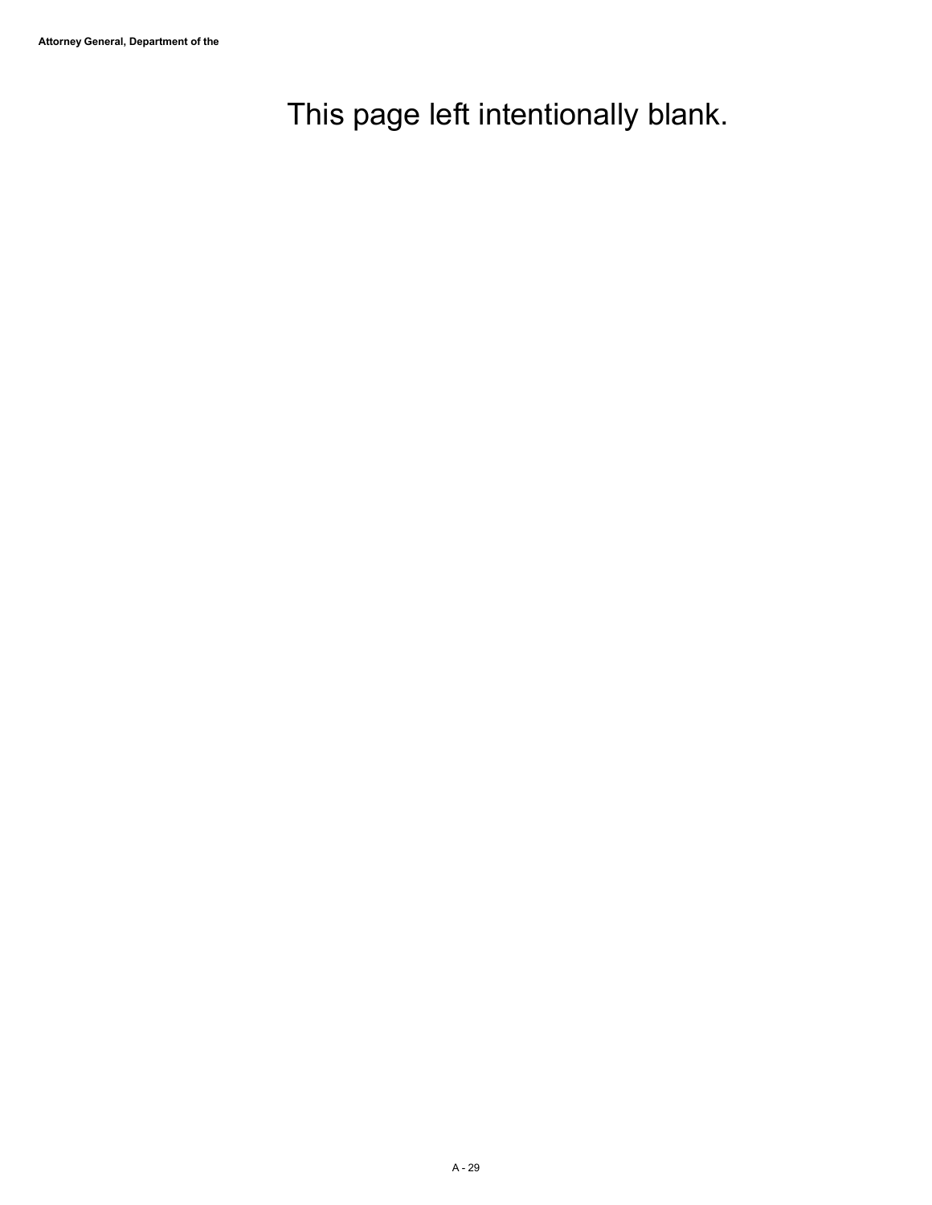This page left intentionally blank.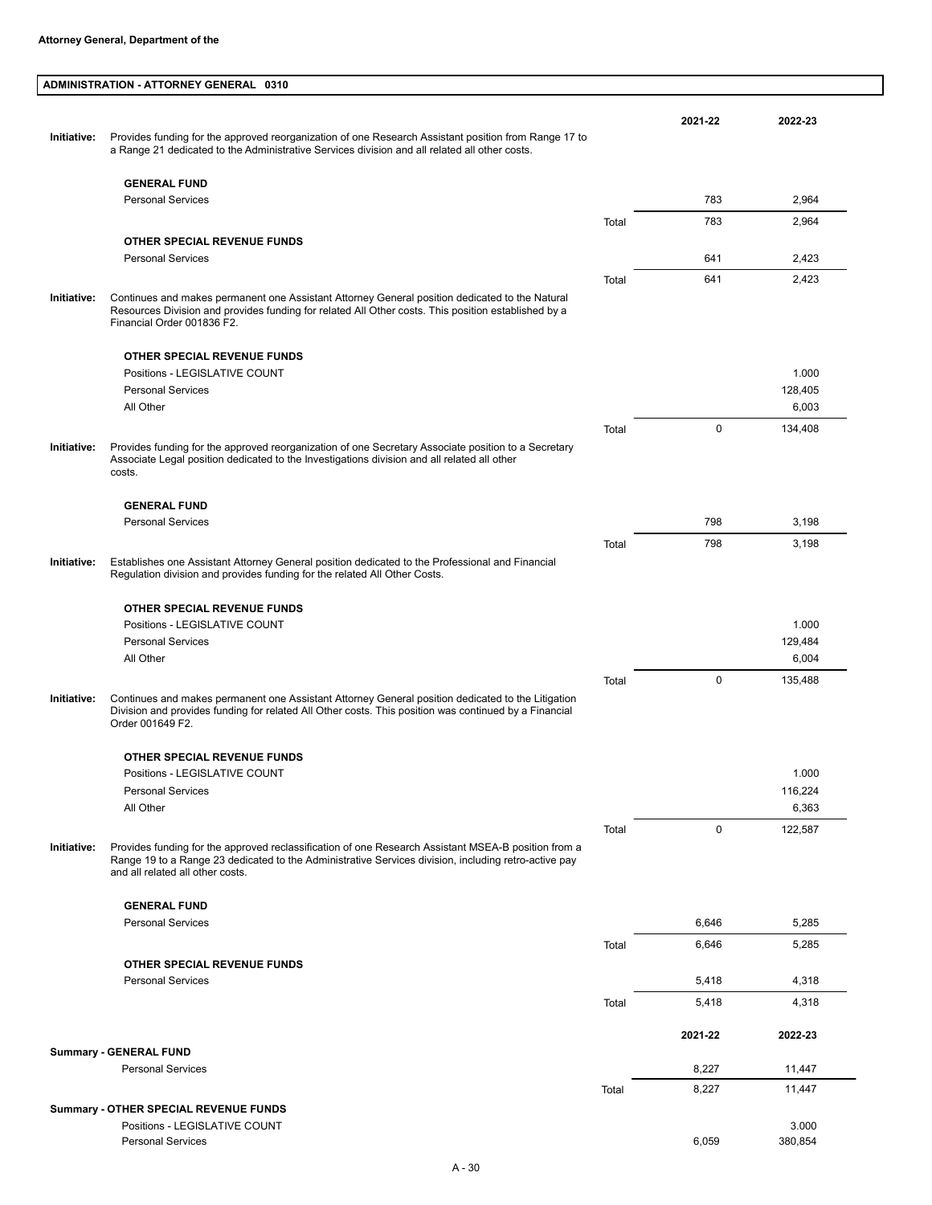|             | ADMINISTRATION - ATTORNEY GENERAL 0310                                                                                                                                                                                                          |       |             |                  |
|-------------|-------------------------------------------------------------------------------------------------------------------------------------------------------------------------------------------------------------------------------------------------|-------|-------------|------------------|
|             |                                                                                                                                                                                                                                                 |       | 2021-22     | 2022-23          |
| Initiative: | Provides funding for the approved reorganization of one Research Assistant position from Range 17 to<br>a Range 21 dedicated to the Administrative Services division and all related all other costs.                                           |       |             |                  |
|             | <b>GENERAL FUND</b>                                                                                                                                                                                                                             |       |             |                  |
|             | <b>Personal Services</b>                                                                                                                                                                                                                        |       | 783         | 2,964            |
|             |                                                                                                                                                                                                                                                 | Total | 783         | 2,964            |
|             | OTHER SPECIAL REVENUE FUNDS                                                                                                                                                                                                                     |       |             |                  |
|             | <b>Personal Services</b>                                                                                                                                                                                                                        |       | 641         | 2,423            |
|             |                                                                                                                                                                                                                                                 | Total | 641         | 2,423            |
| Initiative: | Continues and makes permanent one Assistant Attorney General position dedicated to the Natural<br>Resources Division and provides funding for related All Other costs. This position established by a<br>Financial Order 001836 F2.             |       |             |                  |
|             | OTHER SPECIAL REVENUE FUNDS                                                                                                                                                                                                                     |       |             |                  |
|             | Positions - LEGISLATIVE COUNT                                                                                                                                                                                                                   |       |             | 1.000            |
|             | <b>Personal Services</b>                                                                                                                                                                                                                        |       |             | 128,405          |
|             | All Other                                                                                                                                                                                                                                       |       |             | 6,003            |
|             |                                                                                                                                                                                                                                                 | Total | $\mathbf 0$ | 134,408          |
| Initiative: | Provides funding for the approved reorganization of one Secretary Associate position to a Secretary<br>Associate Legal position dedicated to the Investigations division and all related all other<br>costs.                                    |       |             |                  |
|             | <b>GENERAL FUND</b>                                                                                                                                                                                                                             |       |             |                  |
|             | <b>Personal Services</b>                                                                                                                                                                                                                        |       | 798         | 3,198            |
|             |                                                                                                                                                                                                                                                 | Total | 798         | 3,198            |
| Initiative: | Establishes one Assistant Attorney General position dedicated to the Professional and Financial<br>Regulation division and provides funding for the related All Other Costs.                                                                    |       |             |                  |
|             | OTHER SPECIAL REVENUE FUNDS                                                                                                                                                                                                                     |       |             |                  |
|             | Positions - LEGISLATIVE COUNT                                                                                                                                                                                                                   |       |             | 1.000            |
|             | <b>Personal Services</b>                                                                                                                                                                                                                        |       |             | 129,484          |
|             | All Other                                                                                                                                                                                                                                       |       |             | 6,004            |
| Initiative: | Continues and makes permanent one Assistant Attorney General position dedicated to the Litigation<br>Division and provides funding for related All Other costs. This position was continued by a Financial<br>Order 001649 F2.                  | Total | $\mathbf 0$ | 135,488          |
|             | OTHER SPECIAL REVENUE FUNDS                                                                                                                                                                                                                     |       |             |                  |
|             | Positions - LEGISLATIVE COUNT                                                                                                                                                                                                                   |       |             | 1.000            |
|             | <b>Personal Services</b>                                                                                                                                                                                                                        |       |             | 116,224          |
|             | All Other                                                                                                                                                                                                                                       |       |             | 6,363            |
|             |                                                                                                                                                                                                                                                 | Total | $\mathbf 0$ | 122,587          |
| Initiative: | Provides funding for the approved reclassification of one Research Assistant MSEA-B position from a<br>Range 19 to a Range 23 dedicated to the Administrative Services division, including retro-active pay<br>and all related all other costs. |       |             |                  |
|             | <b>GENERAL FUND</b>                                                                                                                                                                                                                             |       |             |                  |
|             | <b>Personal Services</b>                                                                                                                                                                                                                        |       | 6,646       | 5,285            |
|             |                                                                                                                                                                                                                                                 | Total | 6,646       | 5,285            |
|             | OTHER SPECIAL REVENUE FUNDS                                                                                                                                                                                                                     |       |             |                  |
|             | <b>Personal Services</b>                                                                                                                                                                                                                        |       | 5,418       | 4,318            |
|             |                                                                                                                                                                                                                                                 | Total | 5,418       | 4,318            |
|             |                                                                                                                                                                                                                                                 |       | 2021-22     | 2022-23          |
|             | <b>Summary - GENERAL FUND</b>                                                                                                                                                                                                                   |       |             |                  |
|             | <b>Personal Services</b>                                                                                                                                                                                                                        |       | 8,227       | 11,447           |
|             |                                                                                                                                                                                                                                                 | Total | 8,227       | 11,447           |
|             | Summary - OTHER SPECIAL REVENUE FUNDS                                                                                                                                                                                                           |       |             |                  |
|             | Positions - LEGISLATIVE COUNT<br><b>Personal Services</b>                                                                                                                                                                                       |       | 6,059       | 3.000<br>380,854 |
|             |                                                                                                                                                                                                                                                 |       |             |                  |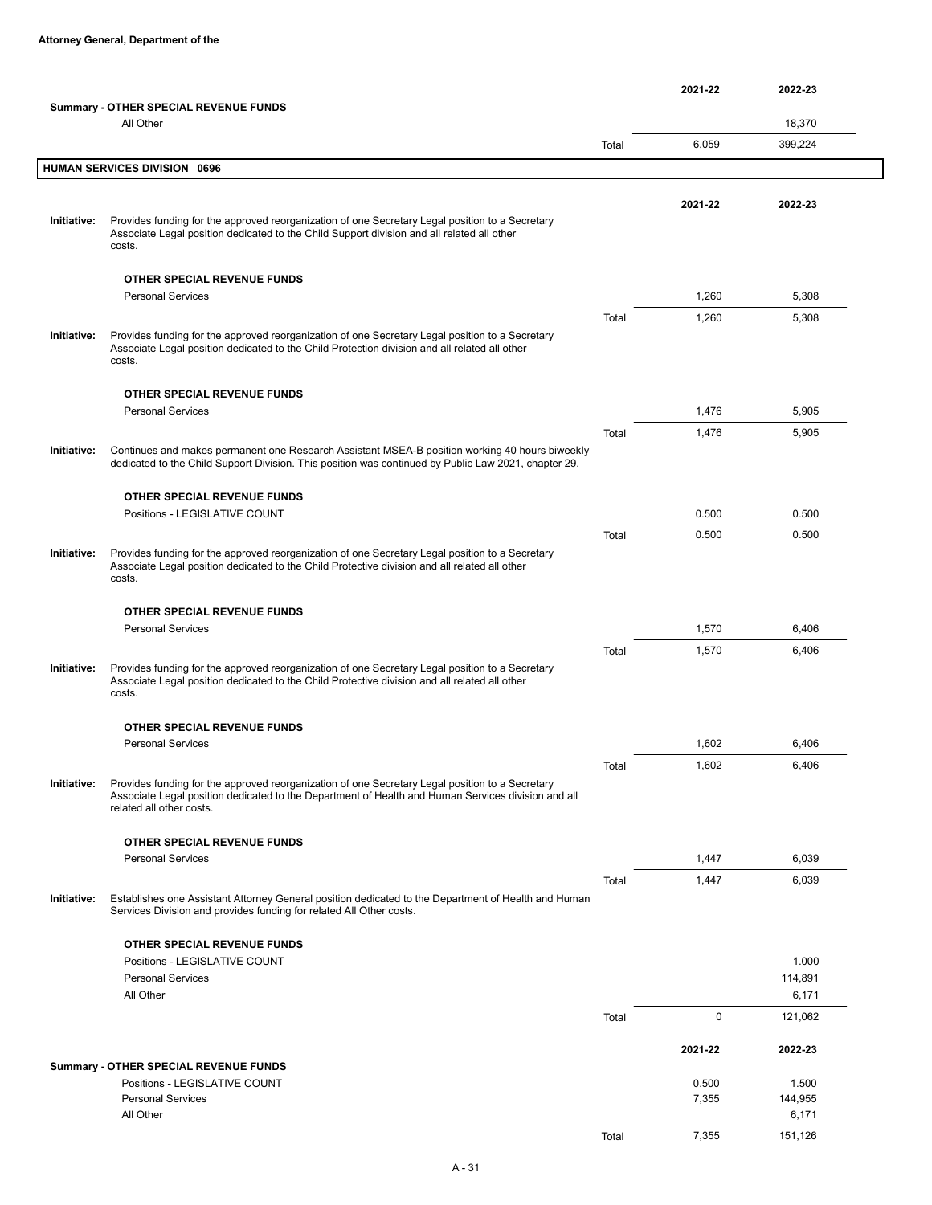|             |                                                                                                                                                                                                       |       | 2021-22     | 2022-23          |
|-------------|-------------------------------------------------------------------------------------------------------------------------------------------------------------------------------------------------------|-------|-------------|------------------|
|             | <b>Summary - OTHER SPECIAL REVENUE FUNDS</b>                                                                                                                                                          |       |             |                  |
|             | All Other                                                                                                                                                                                             |       |             | 18,370           |
|             |                                                                                                                                                                                                       | Total | 6,059       | 399,224          |
|             | HUMAN SERVICES DIVISION 0696                                                                                                                                                                          |       |             |                  |
|             |                                                                                                                                                                                                       |       |             |                  |
| Initiative: | Provides funding for the approved reorganization of one Secretary Legal position to a Secretary                                                                                                       |       | 2021-22     | 2022-23          |
|             | Associate Legal position dedicated to the Child Support division and all related all other                                                                                                            |       |             |                  |
|             | costs.                                                                                                                                                                                                |       |             |                  |
|             | OTHER SPECIAL REVENUE FUNDS                                                                                                                                                                           |       |             |                  |
|             | <b>Personal Services</b>                                                                                                                                                                              |       | 1,260       | 5,308            |
|             |                                                                                                                                                                                                       | Total | 1,260       | 5,308            |
| Initiative: | Provides funding for the approved reorganization of one Secretary Legal position to a Secretary                                                                                                       |       |             |                  |
|             | Associate Legal position dedicated to the Child Protection division and all related all other<br>costs.                                                                                               |       |             |                  |
|             |                                                                                                                                                                                                       |       |             |                  |
|             | OTHER SPECIAL REVENUE FUNDS                                                                                                                                                                           |       |             |                  |
|             | <b>Personal Services</b>                                                                                                                                                                              |       | 1,476       | 5,905            |
|             |                                                                                                                                                                                                       | Total | 1,476       | 5,905            |
| Initiative: | Continues and makes permanent one Research Assistant MSEA-B position working 40 hours biweekly                                                                                                        |       |             |                  |
|             | dedicated to the Child Support Division. This position was continued by Public Law 2021, chapter 29.                                                                                                  |       |             |                  |
|             | OTHER SPECIAL REVENUE FUNDS                                                                                                                                                                           |       |             |                  |
|             | Positions - LEGISLATIVE COUNT                                                                                                                                                                         |       | 0.500       | 0.500            |
|             |                                                                                                                                                                                                       | Total | 0.500       | 0.500            |
| Initiative: | Provides funding for the approved reorganization of one Secretary Legal position to a Secretary                                                                                                       |       |             |                  |
|             | Associate Legal position dedicated to the Child Protective division and all related all other<br>costs.                                                                                               |       |             |                  |
|             |                                                                                                                                                                                                       |       |             |                  |
|             | <b>OTHER SPECIAL REVENUE FUNDS</b>                                                                                                                                                                    |       |             |                  |
|             | <b>Personal Services</b>                                                                                                                                                                              |       | 1,570       | 6,406            |
|             |                                                                                                                                                                                                       | Total | 1,570       | 6,406            |
| Initiative: | Provides funding for the approved reorganization of one Secretary Legal position to a Secretary                                                                                                       |       |             |                  |
|             | Associate Legal position dedicated to the Child Protective division and all related all other<br>costs.                                                                                               |       |             |                  |
|             |                                                                                                                                                                                                       |       |             |                  |
|             | OTHER SPECIAL REVENUE FUNDS                                                                                                                                                                           |       |             |                  |
|             | <b>Personal Services</b>                                                                                                                                                                              |       | 1,602       | 6,406            |
|             |                                                                                                                                                                                                       | Total | 1,602       | 6,406            |
| Initiative: | Provides funding for the approved reorganization of one Secretary Legal position to a Secretary<br>Associate Legal position dedicated to the Department of Health and Human Services division and all |       |             |                  |
|             | related all other costs.                                                                                                                                                                              |       |             |                  |
|             |                                                                                                                                                                                                       |       |             |                  |
|             | OTHER SPECIAL REVENUE FUNDS<br><b>Personal Services</b>                                                                                                                                               |       | 1,447       | 6,039            |
|             |                                                                                                                                                                                                       |       |             |                  |
| Initiative: | Establishes one Assistant Attorney General position dedicated to the Department of Health and Human                                                                                                   | Total | 1,447       | 6,039            |
|             | Services Division and provides funding for related All Other costs.                                                                                                                                   |       |             |                  |
|             |                                                                                                                                                                                                       |       |             |                  |
|             | OTHER SPECIAL REVENUE FUNDS                                                                                                                                                                           |       |             |                  |
|             | Positions - LEGISLATIVE COUNT<br><b>Personal Services</b>                                                                                                                                             |       |             | 1.000<br>114,891 |
|             | All Other                                                                                                                                                                                             |       |             | 6,171            |
|             |                                                                                                                                                                                                       | Total | $\mathbf 0$ | 121,062          |
|             |                                                                                                                                                                                                       |       |             |                  |
|             |                                                                                                                                                                                                       |       | 2021-22     | 2022-23          |
|             | <b>Summary - OTHER SPECIAL REVENUE FUNDS</b>                                                                                                                                                          |       |             |                  |
|             | Positions - LEGISLATIVE COUNT<br><b>Personal Services</b>                                                                                                                                             |       | 0.500       | 1.500            |
|             | All Other                                                                                                                                                                                             |       | 7,355       | 144,955<br>6,171 |
|             |                                                                                                                                                                                                       | Total | 7,355       | 151,126          |
|             |                                                                                                                                                                                                       |       |             |                  |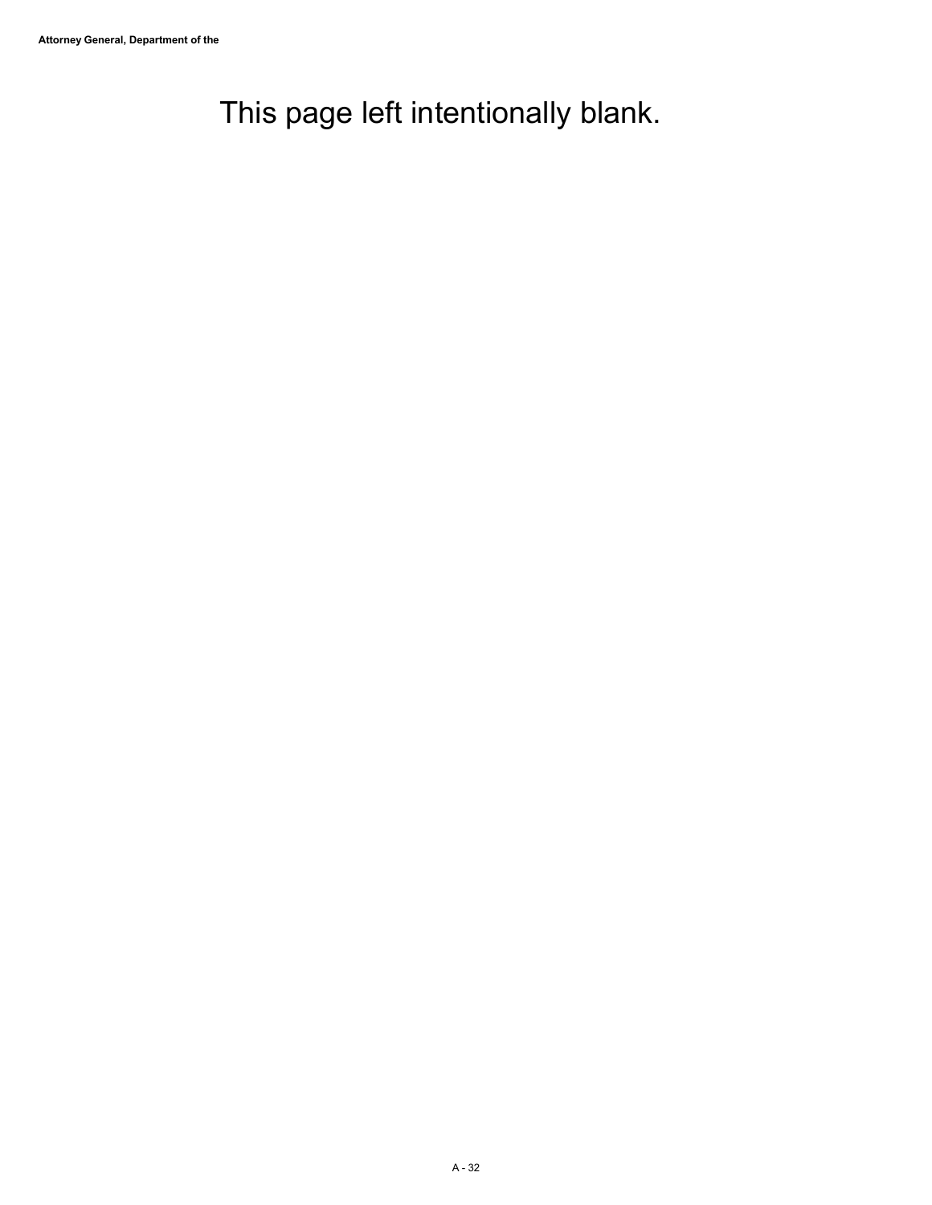# This page left intentionally blank.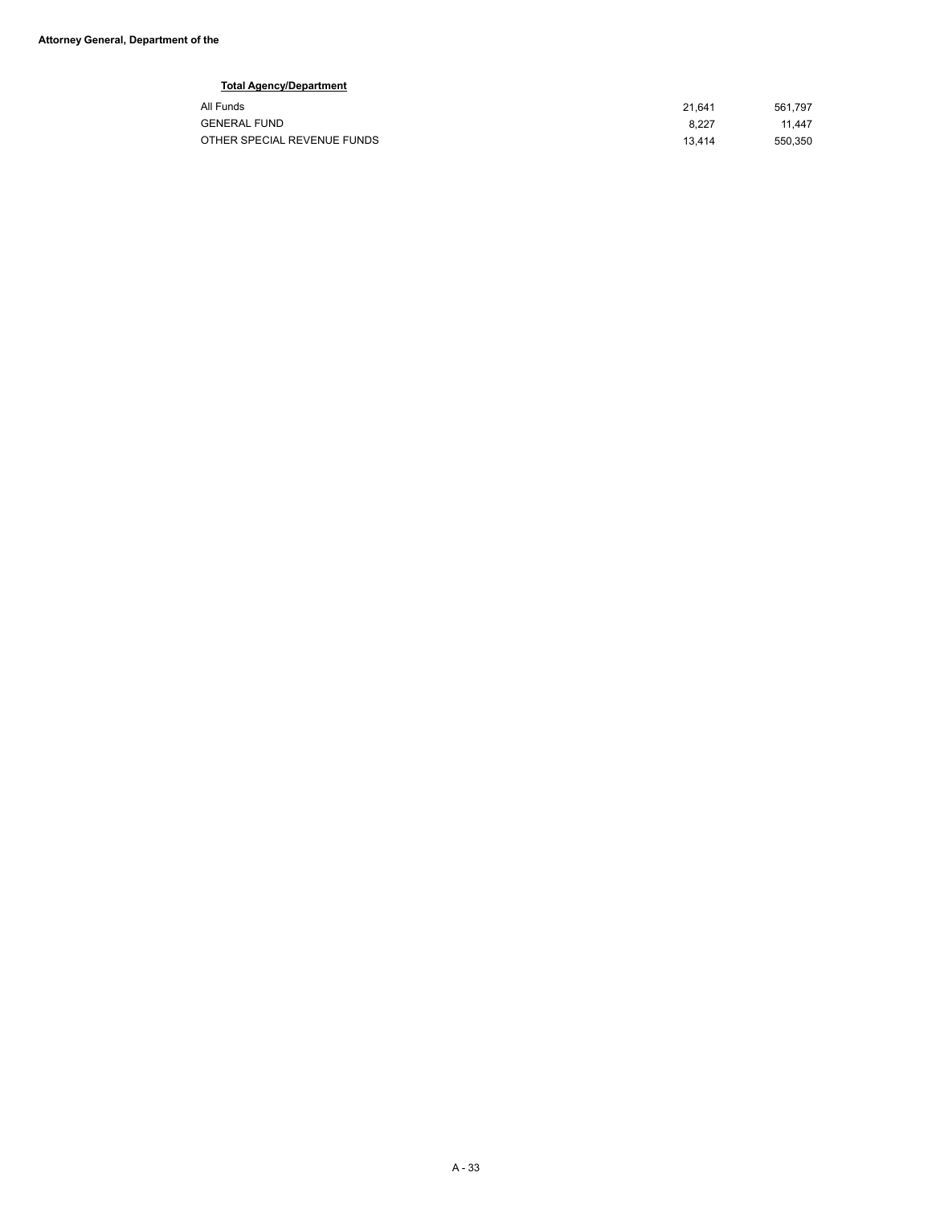## Total Agency/Department

| All Funds                   | 21.641 | 561.797 |
|-----------------------------|--------|---------|
| <b>GENERAL FUND</b>         | 8.227  | 11.447  |
| OTHER SPECIAL REVENUE FUNDS | 13.414 | 550.350 |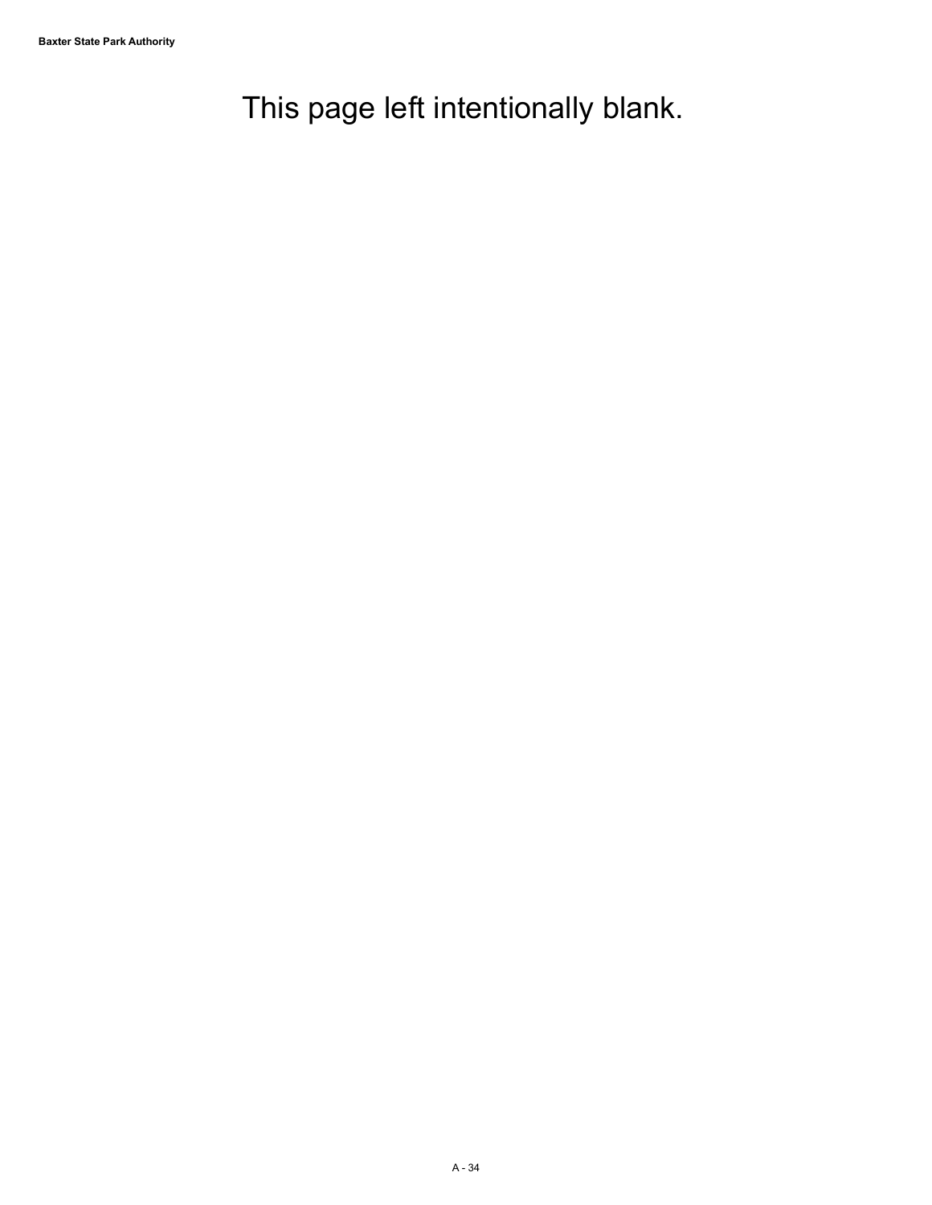# This page left intentionally blank.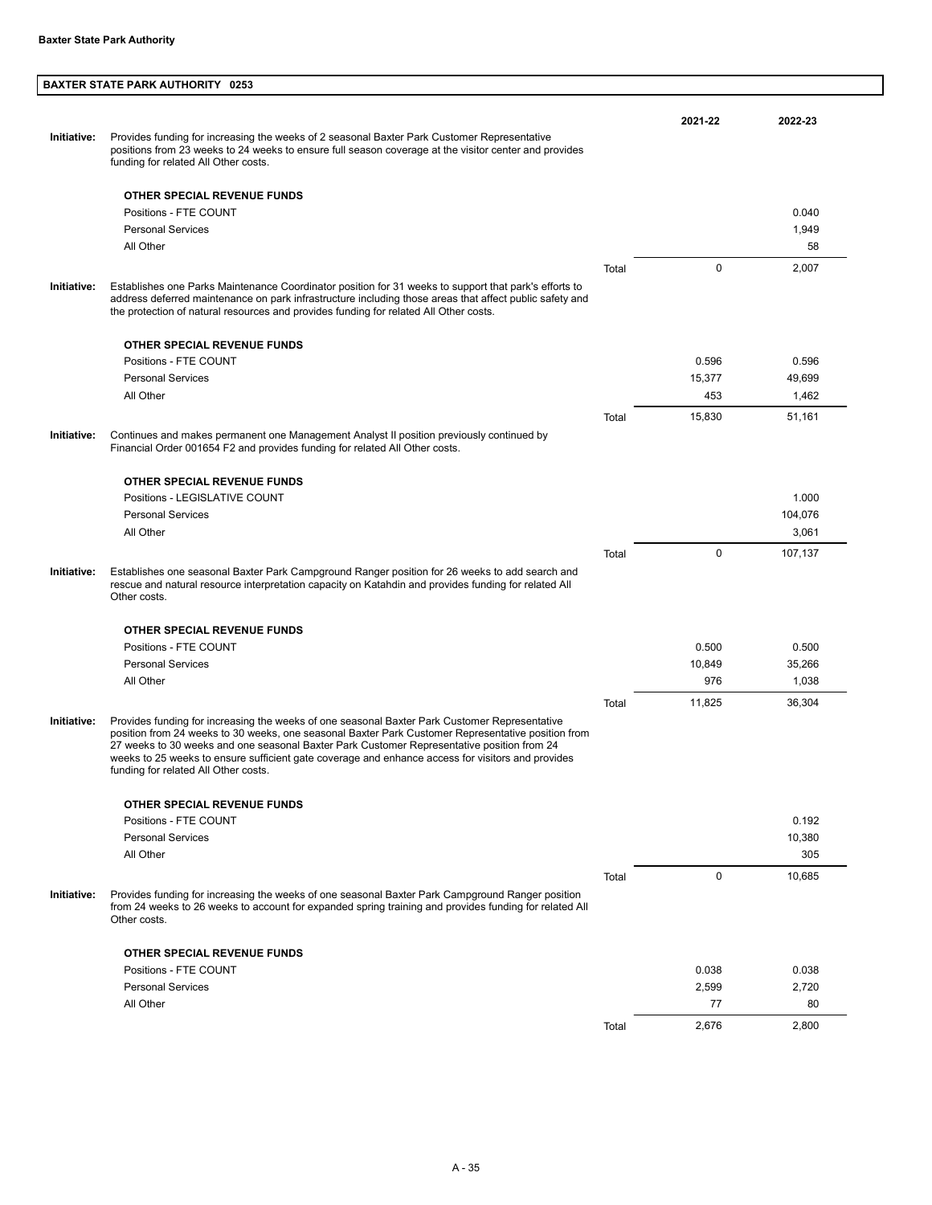|             | <b>BAXTER STATE PARK AUTHORITY 0253</b>                                                                                                                                                                                                                                                                                                                                                                                                        |       |             |         |
|-------------|------------------------------------------------------------------------------------------------------------------------------------------------------------------------------------------------------------------------------------------------------------------------------------------------------------------------------------------------------------------------------------------------------------------------------------------------|-------|-------------|---------|
|             |                                                                                                                                                                                                                                                                                                                                                                                                                                                |       | 2021-22     | 2022-23 |
| Initiative: | Provides funding for increasing the weeks of 2 seasonal Baxter Park Customer Representative<br>positions from 23 weeks to 24 weeks to ensure full season coverage at the visitor center and provides<br>funding for related All Other costs.                                                                                                                                                                                                   |       |             |         |
|             | OTHER SPECIAL REVENUE FUNDS                                                                                                                                                                                                                                                                                                                                                                                                                    |       |             |         |
|             | Positions - FTE COUNT                                                                                                                                                                                                                                                                                                                                                                                                                          |       |             | 0.040   |
|             | <b>Personal Services</b>                                                                                                                                                                                                                                                                                                                                                                                                                       |       |             | 1,949   |
|             | All Other                                                                                                                                                                                                                                                                                                                                                                                                                                      |       |             | 58      |
|             |                                                                                                                                                                                                                                                                                                                                                                                                                                                | Total | $\mathbf 0$ | 2,007   |
| Initiative: | Establishes one Parks Maintenance Coordinator position for 31 weeks to support that park's efforts to<br>address deferred maintenance on park infrastructure including those areas that affect public safety and<br>the protection of natural resources and provides funding for related All Other costs.                                                                                                                                      |       |             |         |
|             | OTHER SPECIAL REVENUE FUNDS                                                                                                                                                                                                                                                                                                                                                                                                                    |       |             |         |
|             | Positions - FTE COUNT                                                                                                                                                                                                                                                                                                                                                                                                                          |       | 0.596       | 0.596   |
|             | <b>Personal Services</b>                                                                                                                                                                                                                                                                                                                                                                                                                       |       | 15,377      | 49,699  |
|             | All Other                                                                                                                                                                                                                                                                                                                                                                                                                                      |       | 453         | 1,462   |
|             |                                                                                                                                                                                                                                                                                                                                                                                                                                                |       |             |         |
| Initiative: | Continues and makes permanent one Management Analyst II position previously continued by<br>Financial Order 001654 F2 and provides funding for related All Other costs.                                                                                                                                                                                                                                                                        | Total | 15,830      | 51,161  |
|             | OTHER SPECIAL REVENUE FUNDS                                                                                                                                                                                                                                                                                                                                                                                                                    |       |             |         |
|             | Positions - LEGISLATIVE COUNT                                                                                                                                                                                                                                                                                                                                                                                                                  |       |             | 1.000   |
|             | <b>Personal Services</b>                                                                                                                                                                                                                                                                                                                                                                                                                       |       |             | 104,076 |
|             | All Other                                                                                                                                                                                                                                                                                                                                                                                                                                      |       |             | 3,061   |
|             |                                                                                                                                                                                                                                                                                                                                                                                                                                                |       | $\mathbf 0$ |         |
| Initiative: | Establishes one seasonal Baxter Park Campground Ranger position for 26 weeks to add search and<br>rescue and natural resource interpretation capacity on Katahdin and provides funding for related All<br>Other costs.                                                                                                                                                                                                                         | Total |             | 107,137 |
|             |                                                                                                                                                                                                                                                                                                                                                                                                                                                |       |             |         |
|             | OTHER SPECIAL REVENUE FUNDS                                                                                                                                                                                                                                                                                                                                                                                                                    |       |             |         |
|             | Positions - FTE COUNT                                                                                                                                                                                                                                                                                                                                                                                                                          |       | 0.500       | 0.500   |
|             | <b>Personal Services</b>                                                                                                                                                                                                                                                                                                                                                                                                                       |       | 10,849      | 35,266  |
|             | All Other                                                                                                                                                                                                                                                                                                                                                                                                                                      |       | 976         | 1,038   |
|             |                                                                                                                                                                                                                                                                                                                                                                                                                                                | Total | 11,825      | 36,304  |
| Initiative: | Provides funding for increasing the weeks of one seasonal Baxter Park Customer Representative<br>position from 24 weeks to 30 weeks, one seasonal Baxter Park Customer Representative position from<br>27 weeks to 30 weeks and one seasonal Baxter Park Customer Representative position from 24<br>weeks to 25 weeks to ensure sufficient gate coverage and enhance access for visitors and provides<br>funding for related All Other costs. |       |             |         |
|             | OTHER SPECIAL REVENUE FUNDS                                                                                                                                                                                                                                                                                                                                                                                                                    |       |             |         |
|             | Positions - FTE COUNT                                                                                                                                                                                                                                                                                                                                                                                                                          |       |             | 0.192   |
|             | <b>Personal Services</b>                                                                                                                                                                                                                                                                                                                                                                                                                       |       |             | 10,380  |
|             | All Other                                                                                                                                                                                                                                                                                                                                                                                                                                      |       |             | 305     |
|             |                                                                                                                                                                                                                                                                                                                                                                                                                                                | Total | 0           | 10,685  |
| Initiative: | Provides funding for increasing the weeks of one seasonal Baxter Park Campground Ranger position<br>from 24 weeks to 26 weeks to account for expanded spring training and provides funding for related All<br>Other costs.                                                                                                                                                                                                                     |       |             |         |
|             | OTHER SPECIAL REVENUE FUNDS                                                                                                                                                                                                                                                                                                                                                                                                                    |       |             |         |
|             | Positions - FTE COUNT                                                                                                                                                                                                                                                                                                                                                                                                                          |       | 0.038       | 0.038   |
|             | <b>Personal Services</b>                                                                                                                                                                                                                                                                                                                                                                                                                       |       | 2,599       | 2,720   |
|             | All Other                                                                                                                                                                                                                                                                                                                                                                                                                                      |       | 77          | 80      |
|             |                                                                                                                                                                                                                                                                                                                                                                                                                                                |       |             |         |
|             |                                                                                                                                                                                                                                                                                                                                                                                                                                                | Total | 2,676       | 2,800   |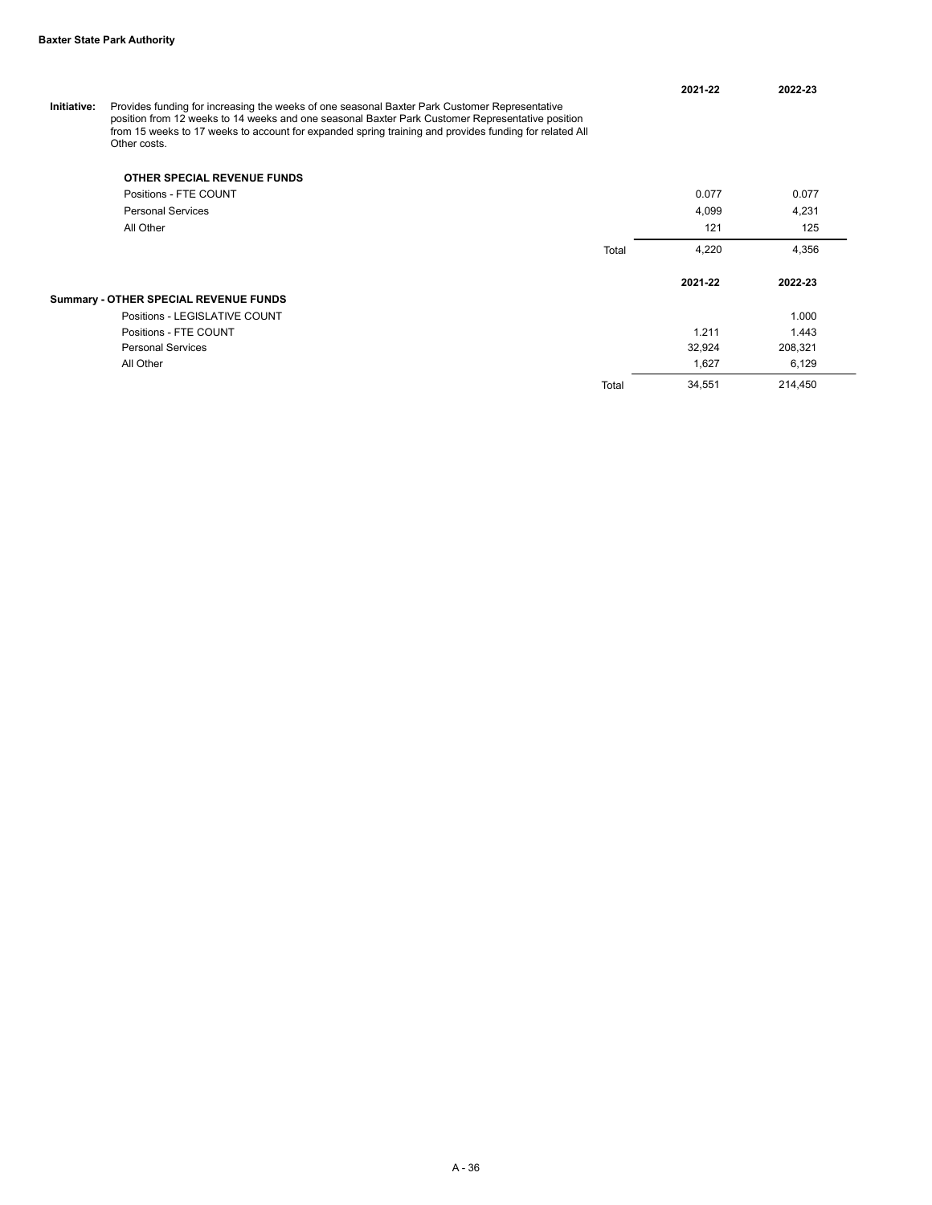2021-22 2022-23

#### Initiative: Provides funding for increasing the weeks of one seasonal Baxter Park Customer Representative position from 12 weeks to 14 weeks and one seasonal Baxter Park Customer Representative position from 15 weeks to 17 weeks to account for expanded spring training and provides funding for related All Other costs.

| OTHER SPECIAL REVENUE FUNDS                  |       |         |         |
|----------------------------------------------|-------|---------|---------|
| Positions - FTE COUNT                        |       | 0.077   | 0.077   |
| <b>Personal Services</b>                     |       | 4,099   | 4,231   |
| All Other                                    |       | 121     | 125     |
|                                              | Total | 4,220   | 4,356   |
|                                              |       | 2021-22 | 2022-23 |
| <b>Summary - OTHER SPECIAL REVENUE FUNDS</b> |       |         |         |
| Positions - LEGISLATIVE COUNT                |       |         | 1.000   |
| Positions - FTE COUNT                        |       | 1.211   | 1.443   |
| <b>Personal Services</b>                     |       | 32,924  | 208,321 |
| All Other                                    |       | 1,627   | 6,129   |
|                                              | Total | 34,551  | 214,450 |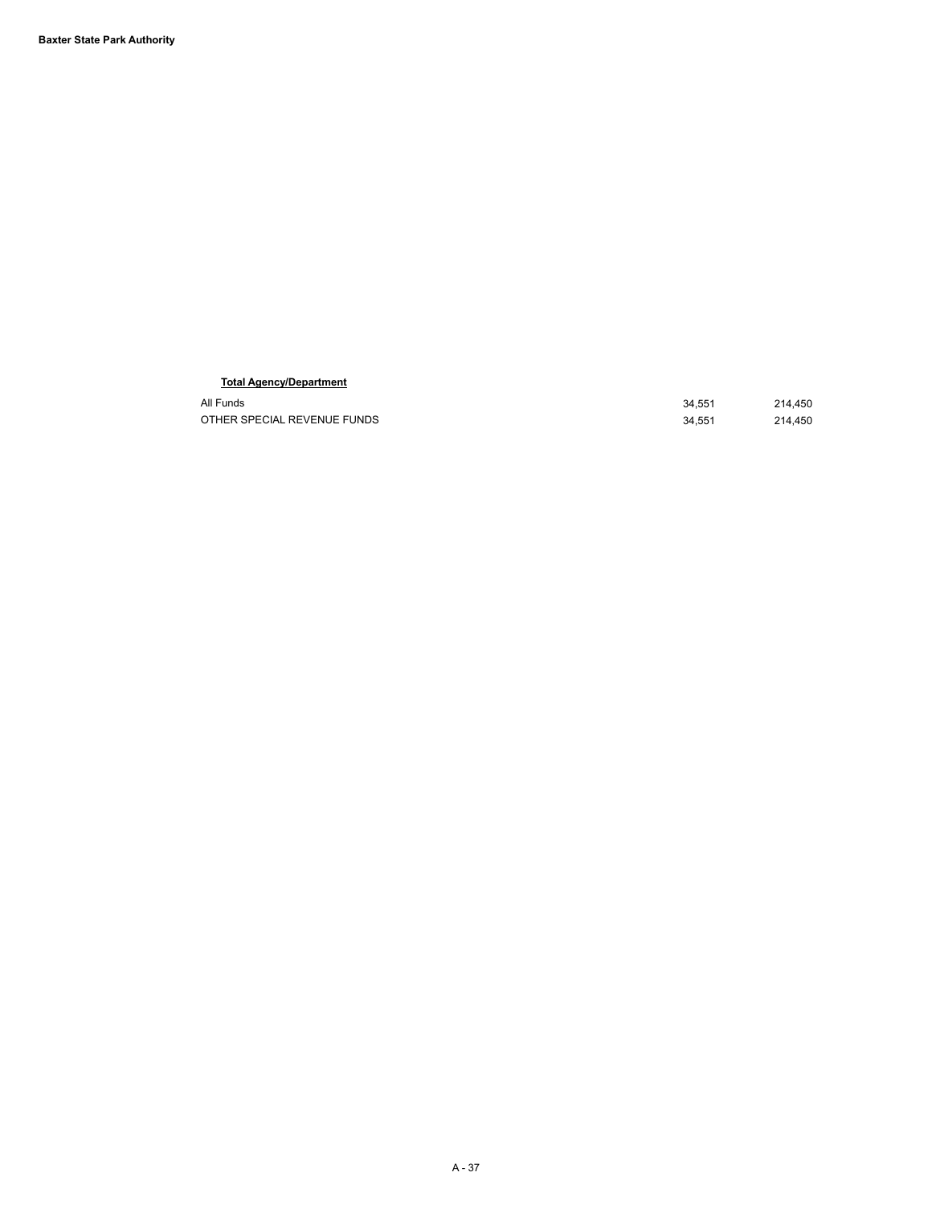## Total Agency/Department

All Funds 214,450 OTHER SPECIAL REVENUE FUNDS<br>
214,450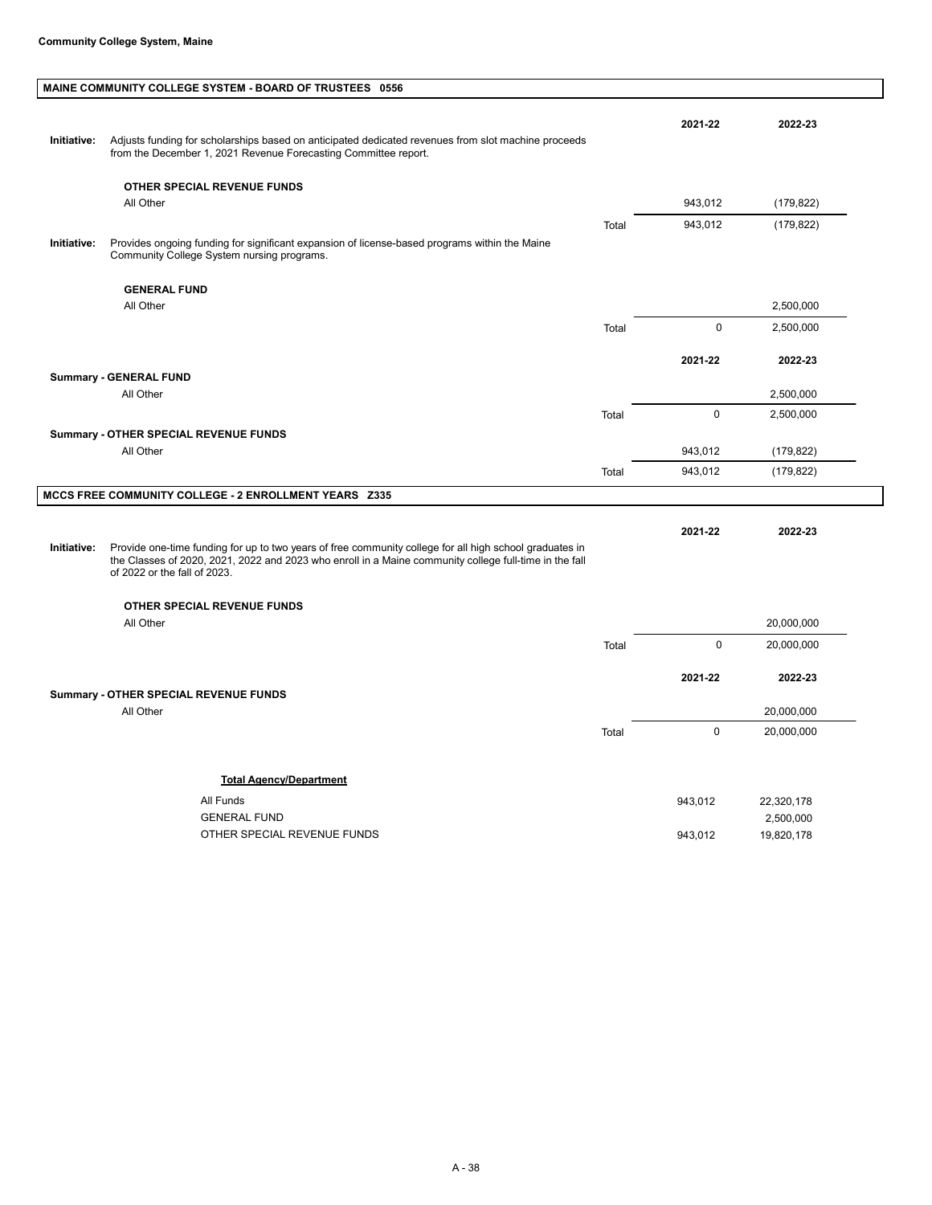|             | MAINE COMMUNITY COLLEGE SYSTEM - BOARD OF TRUSTEES 0556                                                                                                                                                                                           |       |             |            |
|-------------|---------------------------------------------------------------------------------------------------------------------------------------------------------------------------------------------------------------------------------------------------|-------|-------------|------------|
| Initiative: | Adjusts funding for scholarships based on anticipated dedicated revenues from slot machine proceeds<br>from the December 1, 2021 Revenue Forecasting Committee report.                                                                            |       | 2021-22     | 2022-23    |
|             |                                                                                                                                                                                                                                                   |       |             |            |
|             | OTHER SPECIAL REVENUE FUNDS<br>All Other                                                                                                                                                                                                          |       | 943,012     |            |
|             |                                                                                                                                                                                                                                                   |       |             | (179, 822) |
| Initiative: | Provides ongoing funding for significant expansion of license-based programs within the Maine<br>Community College System nursing programs.                                                                                                       | Total | 943,012     | (179, 822) |
|             | <b>GENERAL FUND</b>                                                                                                                                                                                                                               |       |             |            |
|             | All Other                                                                                                                                                                                                                                         |       |             | 2,500,000  |
|             |                                                                                                                                                                                                                                                   | Total | $\mathbf 0$ | 2,500,000  |
|             |                                                                                                                                                                                                                                                   |       | 2021-22     | 2022-23    |
|             | <b>Summary - GENERAL FUND</b>                                                                                                                                                                                                                     |       |             |            |
|             | All Other                                                                                                                                                                                                                                         |       |             | 2,500,000  |
|             |                                                                                                                                                                                                                                                   | Total | $\mathbf 0$ | 2,500,000  |
|             | <b>Summary - OTHER SPECIAL REVENUE FUNDS</b><br>All Other                                                                                                                                                                                         |       | 943,012     |            |
|             |                                                                                                                                                                                                                                                   |       | 943,012     | (179, 822) |
|             |                                                                                                                                                                                                                                                   | Total |             | (179, 822) |
|             | MCCS FREE COMMUNITY COLLEGE - 2 ENROLLMENT YEARS Z335                                                                                                                                                                                             |       |             |            |
| Initiative: | Provide one-time funding for up to two years of free community college for all high school graduates in<br>the Classes of 2020, 2021, 2022 and 2023 who enroll in a Maine community college full-time in the fall<br>of 2022 or the fall of 2023. |       | 2021-22     | 2022-23    |
|             | OTHER SPECIAL REVENUE FUNDS                                                                                                                                                                                                                       |       |             |            |
|             | All Other                                                                                                                                                                                                                                         |       |             | 20,000,000 |
|             |                                                                                                                                                                                                                                                   | Total | $\pmb{0}$   | 20,000,000 |
|             |                                                                                                                                                                                                                                                   |       | 2021-22     | 2022-23    |
|             | Summary - OTHER SPECIAL REVENUE FUNDS<br>All Other                                                                                                                                                                                                |       |             | 20,000,000 |
|             |                                                                                                                                                                                                                                                   | Total | 0           | 20,000,000 |
|             |                                                                                                                                                                                                                                                   |       |             |            |
|             | <b>Total Agency/Department</b>                                                                                                                                                                                                                    |       |             |            |
|             | All Funds                                                                                                                                                                                                                                         |       | 943,012     | 22,320,178 |
|             | <b>GENERAL FUND</b><br>OTHER SPECIAL REVENUE FUNDS                                                                                                                                                                                                |       |             | 2,500,000  |
|             |                                                                                                                                                                                                                                                   |       | 943,012     | 19,820,178 |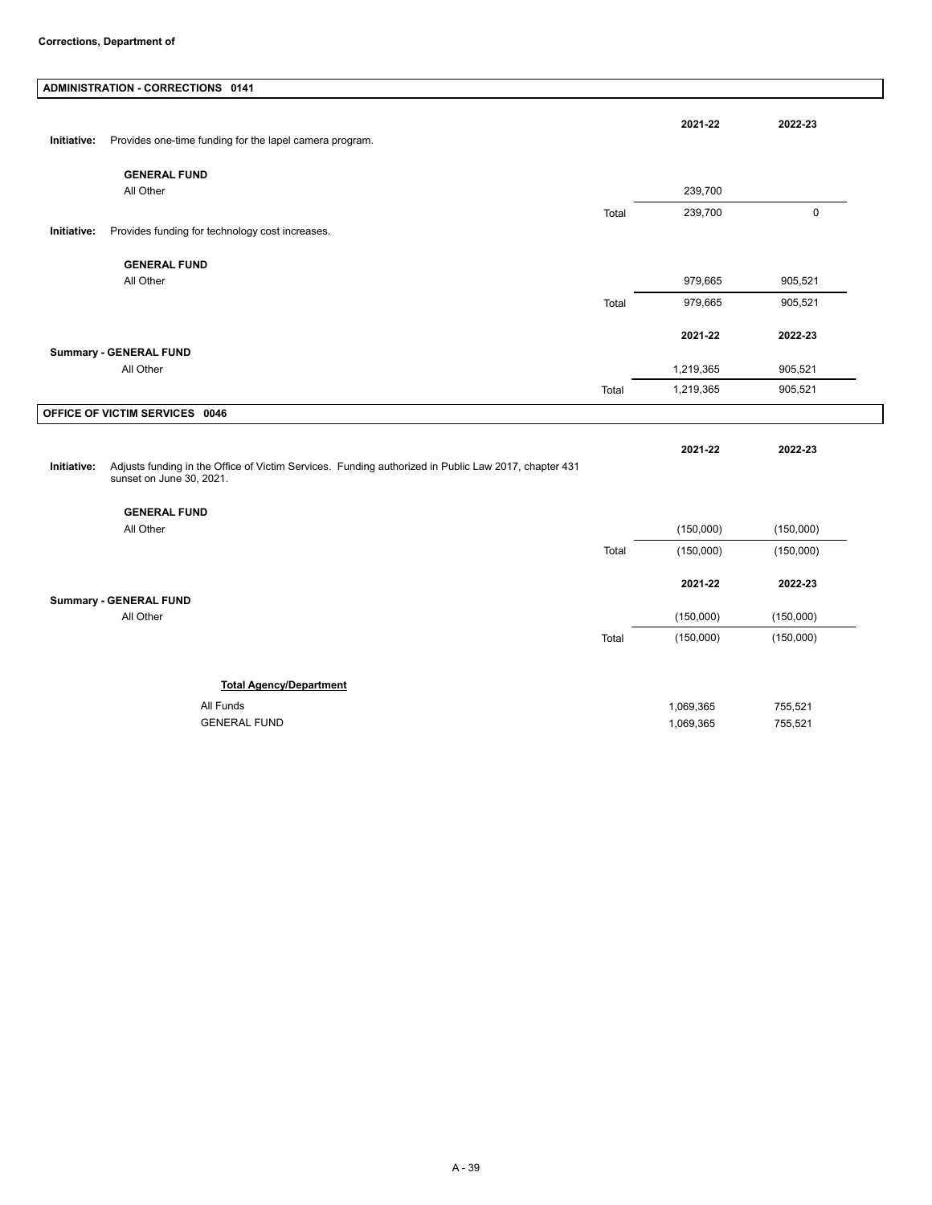|             | <b>ADMINISTRATION - CORRECTIONS 0141</b>                                                                                         |       |                        |                    |  |
|-------------|----------------------------------------------------------------------------------------------------------------------------------|-------|------------------------|--------------------|--|
|             |                                                                                                                                  |       |                        |                    |  |
| Initiative: | Provides one-time funding for the lapel camera program.                                                                          |       | 2021-22                | 2022-23            |  |
|             |                                                                                                                                  |       |                        |                    |  |
|             | <b>GENERAL FUND</b>                                                                                                              |       |                        |                    |  |
|             | All Other                                                                                                                        |       | 239,700                |                    |  |
|             |                                                                                                                                  | Total | 239,700                | $\mathbf 0$        |  |
| Initiative: | Provides funding for technology cost increases.                                                                                  |       |                        |                    |  |
|             | <b>GENERAL FUND</b>                                                                                                              |       |                        |                    |  |
|             | All Other                                                                                                                        |       | 979,665                | 905,521            |  |
|             |                                                                                                                                  | Total | 979,665                | 905,521            |  |
|             |                                                                                                                                  |       |                        |                    |  |
|             |                                                                                                                                  |       | 2021-22                | 2022-23            |  |
|             | <b>Summary - GENERAL FUND</b><br>All Other                                                                                       |       | 1,219,365              | 905,521            |  |
|             |                                                                                                                                  | Total | 1,219,365              | 905,521            |  |
|             | OFFICE OF VICTIM SERVICES 0046                                                                                                   |       |                        |                    |  |
|             |                                                                                                                                  |       |                        |                    |  |
|             |                                                                                                                                  |       | 2021-22                | 2022-23            |  |
| Initiative: | Adjusts funding in the Office of Victim Services. Funding authorized in Public Law 2017, chapter 431<br>sunset on June 30, 2021. |       |                        |                    |  |
|             | <b>GENERAL FUND</b>                                                                                                              |       |                        |                    |  |
|             | All Other                                                                                                                        |       | (150,000)              | (150,000)          |  |
|             |                                                                                                                                  | Total | (150,000)              | (150,000)          |  |
|             |                                                                                                                                  |       |                        |                    |  |
|             |                                                                                                                                  |       | 2021-22                | 2022-23            |  |
|             | <b>Summary - GENERAL FUND</b><br>All Other                                                                                       |       | (150,000)              | (150,000)          |  |
|             |                                                                                                                                  | Total | (150,000)              | (150,000)          |  |
|             |                                                                                                                                  |       |                        |                    |  |
|             | <b>Total Agency/Department</b>                                                                                                   |       |                        |                    |  |
|             | All Funds                                                                                                                        |       |                        |                    |  |
|             | <b>GENERAL FUND</b>                                                                                                              |       | 1,069,365<br>1,069,365 | 755,521<br>755,521 |  |
|             |                                                                                                                                  |       |                        |                    |  |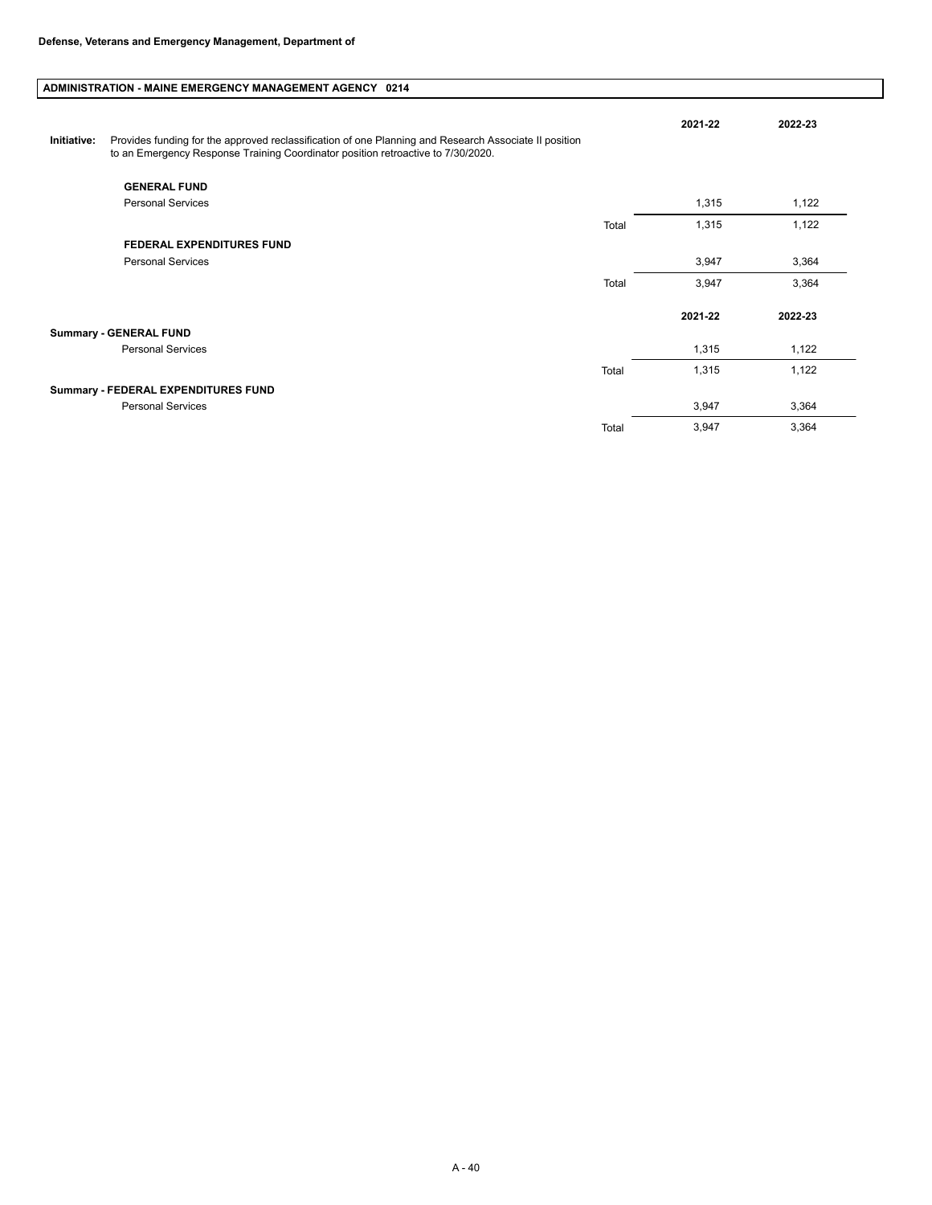|             | ADMINISTRATION - MAINE EMERGENCY MANAGEMENT AGENCY 0214                                                                                                                                   |       |         |         |
|-------------|-------------------------------------------------------------------------------------------------------------------------------------------------------------------------------------------|-------|---------|---------|
| Initiative: | Provides funding for the approved reclassification of one Planning and Research Associate II position<br>to an Emergency Response Training Coordinator position retroactive to 7/30/2020. |       | 2021-22 | 2022-23 |
|             | <b>GENERAL FUND</b>                                                                                                                                                                       |       |         |         |
|             | <b>Personal Services</b>                                                                                                                                                                  |       | 1,315   | 1,122   |
|             |                                                                                                                                                                                           | Total | 1,315   | 1,122   |
|             | <b>FEDERAL EXPENDITURES FUND</b>                                                                                                                                                          |       |         |         |
|             | <b>Personal Services</b>                                                                                                                                                                  |       | 3,947   | 3,364   |
|             |                                                                                                                                                                                           | Total | 3,947   | 3,364   |
|             |                                                                                                                                                                                           |       | 2021-22 | 2022-23 |
|             | <b>Summary - GENERAL FUND</b>                                                                                                                                                             |       |         |         |
|             | <b>Personal Services</b>                                                                                                                                                                  |       | 1,315   | 1,122   |
|             |                                                                                                                                                                                           | Total | 1,315   | 1,122   |
|             | Summary - FEDERAL EXPENDITURES FUND                                                                                                                                                       |       |         |         |
|             | <b>Personal Services</b>                                                                                                                                                                  |       | 3,947   | 3,364   |
|             |                                                                                                                                                                                           | Total | 3,947   | 3,364   |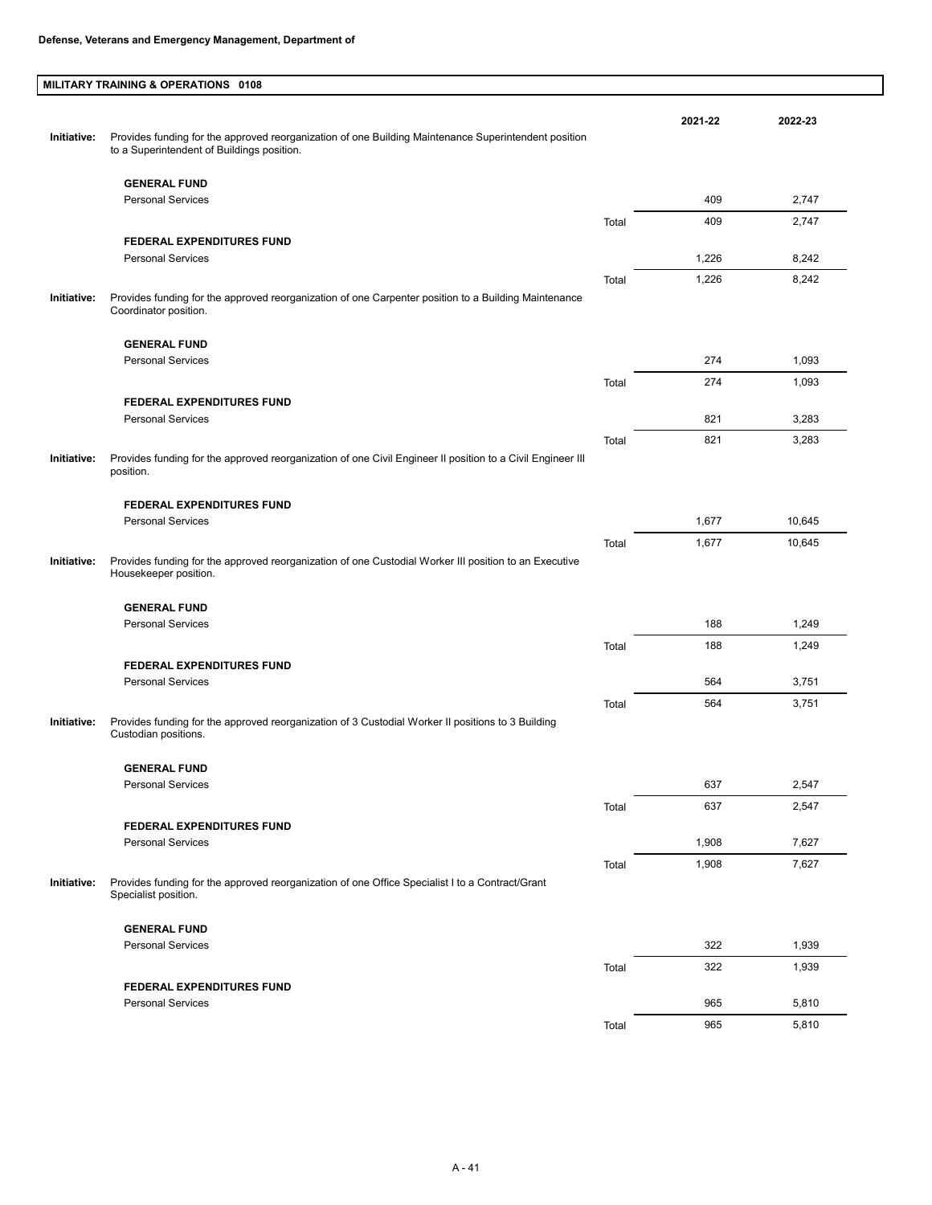|             | MILITARY TRAINING & OPERATIONS 0108                                                                                       |       |                |                  |
|-------------|---------------------------------------------------------------------------------------------------------------------------|-------|----------------|------------------|
|             |                                                                                                                           |       |                |                  |
| Initiative: | Provides funding for the approved reorganization of one Building Maintenance Superintendent position                      |       | 2021-22        | 2022-23          |
|             | to a Superintendent of Buildings position.                                                                                |       |                |                  |
|             | <b>GENERAL FUND</b>                                                                                                       |       |                |                  |
|             | <b>Personal Services</b>                                                                                                  |       | 409            | 2,747            |
|             |                                                                                                                           | Total | 409            | 2,747            |
|             | <b>FEDERAL EXPENDITURES FUND</b>                                                                                          |       |                |                  |
|             | <b>Personal Services</b>                                                                                                  |       | 1,226          | 8,242            |
| Initiative: | Provides funding for the approved reorganization of one Carpenter position to a Building Maintenance                      | Total | 1,226          | 8,242            |
|             | Coordinator position.                                                                                                     |       |                |                  |
|             | <b>GENERAL FUND</b>                                                                                                       |       |                |                  |
|             | <b>Personal Services</b>                                                                                                  |       | 274            | 1,093            |
|             |                                                                                                                           | Total | 274            | 1,093            |
|             | <b>FEDERAL EXPENDITURES FUND</b>                                                                                          |       |                |                  |
|             | <b>Personal Services</b>                                                                                                  |       | 821            | 3,283            |
|             |                                                                                                                           | Total | 821            | 3,283            |
| Initiative: | Provides funding for the approved reorganization of one Civil Engineer II position to a Civil Engineer III<br>position.   |       |                |                  |
|             |                                                                                                                           |       |                |                  |
|             | <b>FEDERAL EXPENDITURES FUND</b>                                                                                          |       |                |                  |
|             | <b>Personal Services</b>                                                                                                  |       | 1,677<br>1,677 | 10,645<br>10,645 |
| Initiative: | Provides funding for the approved reorganization of one Custodial Worker III position to an Executive                     | Total |                |                  |
|             | Housekeeper position.                                                                                                     |       |                |                  |
|             | <b>GENERAL FUND</b>                                                                                                       |       |                |                  |
|             | <b>Personal Services</b>                                                                                                  |       | 188            | 1,249            |
|             |                                                                                                                           | Total | 188            | 1,249            |
|             | <b>FEDERAL EXPENDITURES FUND</b>                                                                                          |       |                |                  |
|             | <b>Personal Services</b>                                                                                                  |       | 564            | 3,751            |
|             |                                                                                                                           | Total | 564            | 3,751            |
| Initiative: | Provides funding for the approved reorganization of 3 Custodial Worker II positions to 3 Building<br>Custodian positions. |       |                |                  |
|             |                                                                                                                           |       |                |                  |
|             | <b>GENERAL FUND</b><br><b>Personal Services</b>                                                                           |       | 637            | 2,547            |
|             |                                                                                                                           | Total | 637            | 2,547            |
|             | <b>FEDERAL EXPENDITURES FUND</b>                                                                                          |       |                |                  |
|             | <b>Personal Services</b>                                                                                                  |       | 1,908          | 7,627            |
|             |                                                                                                                           | Total | 1,908          | 7,627            |
| Initiative: | Provides funding for the approved reorganization of one Office Specialist I to a Contract/Grant<br>Specialist position.   |       |                |                  |
|             |                                                                                                                           |       |                |                  |
|             | <b>GENERAL FUND</b>                                                                                                       |       |                |                  |
|             | <b>Personal Services</b>                                                                                                  |       | 322            | 1,939            |
|             |                                                                                                                           | Total | 322            | 1,939            |
|             | <b>FEDERAL EXPENDITURES FUND</b><br><b>Personal Services</b>                                                              |       | 965            | 5,810            |
|             |                                                                                                                           | Total | 965            | 5,810            |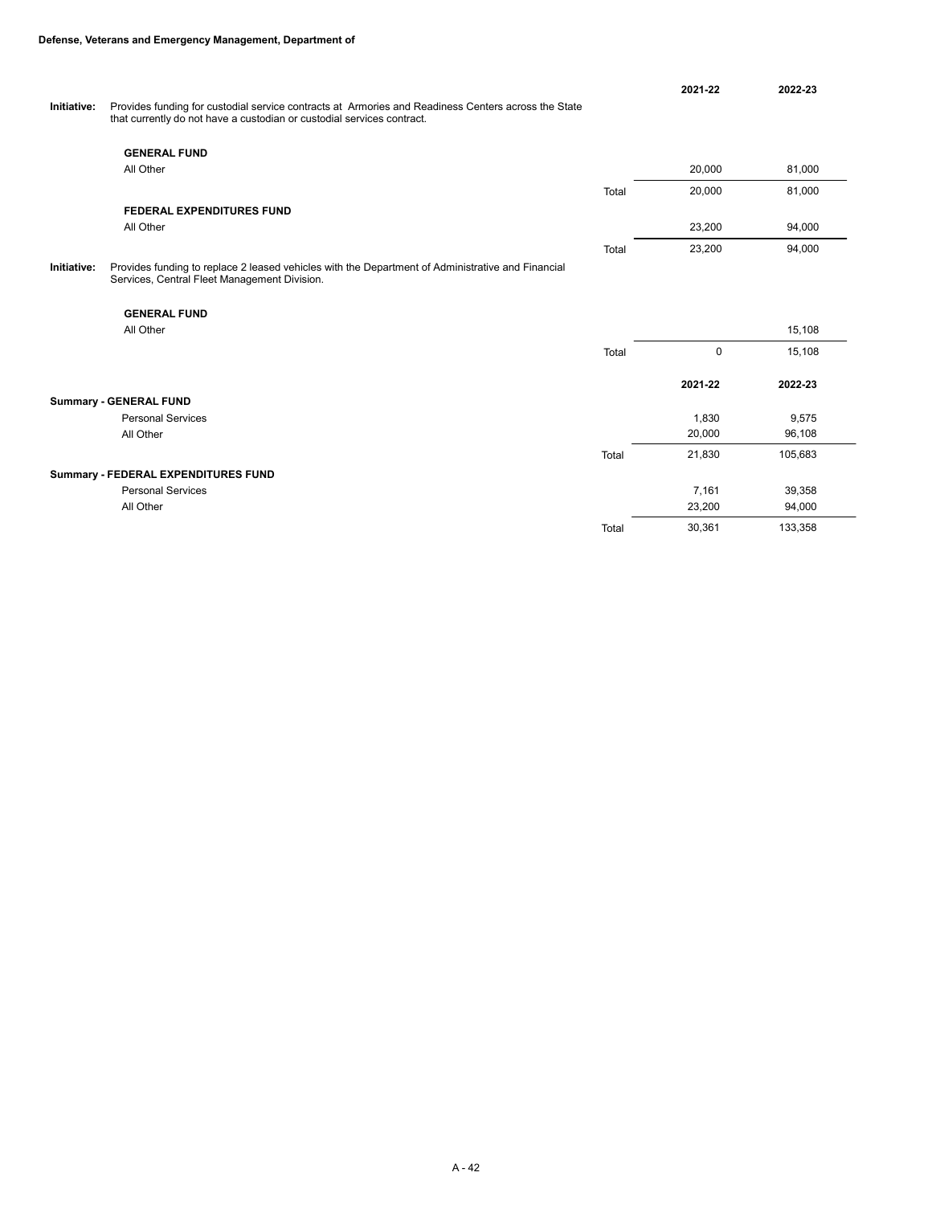| Initiative: | Provides funding for custodial service contracts at Armories and Readiness Centers across the State                                               |       | 2021-22     | 2022-23 |
|-------------|---------------------------------------------------------------------------------------------------------------------------------------------------|-------|-------------|---------|
|             | that currently do not have a custodian or custodial services contract.                                                                            |       |             |         |
|             | <b>GENERAL FUND</b>                                                                                                                               |       |             |         |
|             | All Other                                                                                                                                         |       | 20,000      | 81,000  |
|             |                                                                                                                                                   | Total | 20,000      | 81,000  |
|             | <b>FEDERAL EXPENDITURES FUND</b>                                                                                                                  |       |             |         |
|             | All Other                                                                                                                                         |       | 23,200      | 94,000  |
|             |                                                                                                                                                   | Total | 23,200      | 94,000  |
| Initiative: | Provides funding to replace 2 leased vehicles with the Department of Administrative and Financial<br>Services, Central Fleet Management Division. |       |             |         |
|             | <b>GENERAL FUND</b>                                                                                                                               |       |             |         |
|             | All Other                                                                                                                                         |       |             | 15,108  |
|             |                                                                                                                                                   | Total | $\mathbf 0$ | 15,108  |
|             |                                                                                                                                                   |       | 2021-22     | 2022-23 |
|             | <b>Summary - GENERAL FUND</b>                                                                                                                     |       |             |         |

## Personal Services **1,830** 9,575 All Other 20,000 96,108 Total 21,830 105,683 Summary - FEDERAL EXPENDITURES FUND Personal Services 39,358 All Other 23,200 94,000 Total 30,361 133,358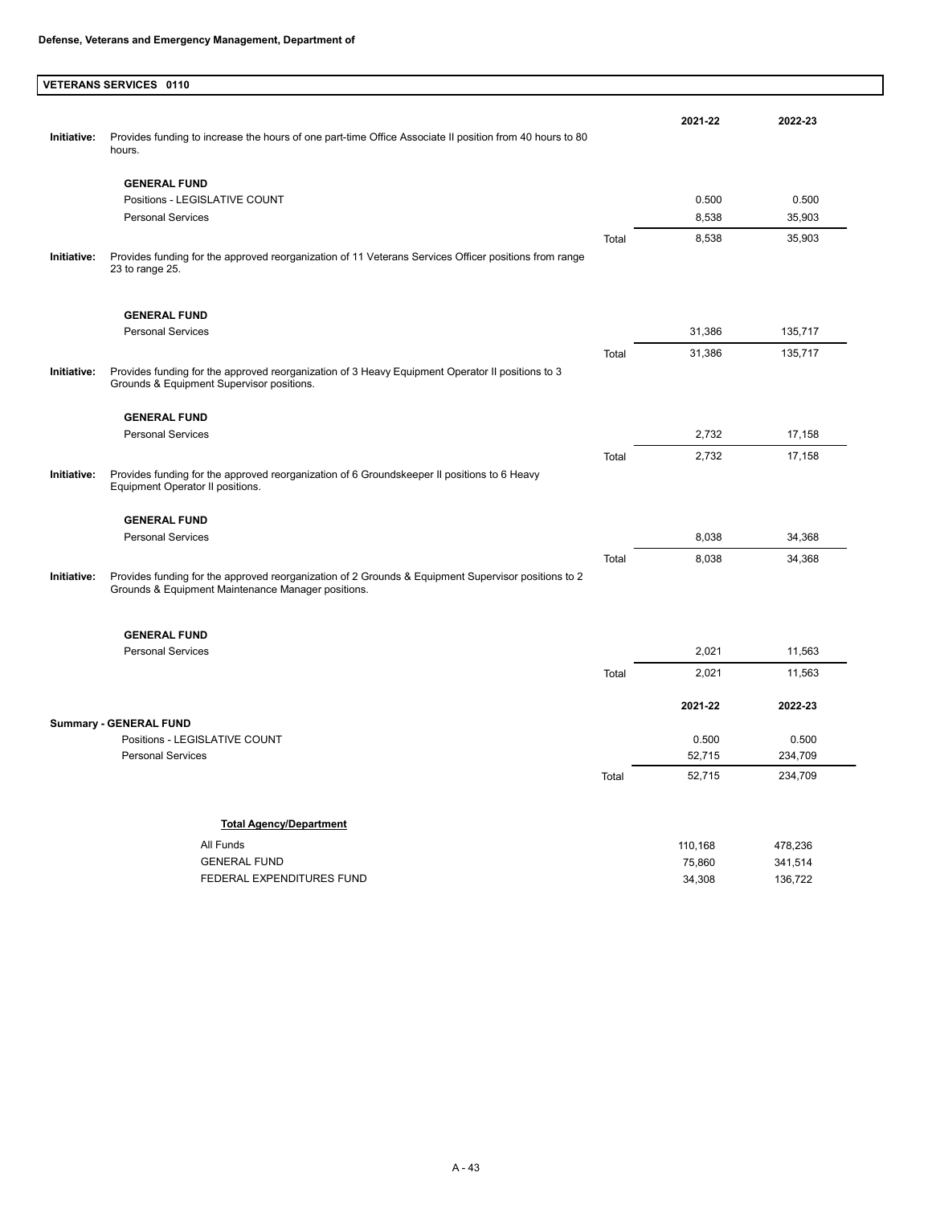|             | <b>VETERANS SERVICES 0110</b>                                                                                                                             |       |         |         |
|-------------|-----------------------------------------------------------------------------------------------------------------------------------------------------------|-------|---------|---------|
|             |                                                                                                                                                           |       | 2021-22 | 2022-23 |
| Initiative: | Provides funding to increase the hours of one part-time Office Associate II position from 40 hours to 80<br>hours.                                        |       |         |         |
|             | <b>GENERAL FUND</b>                                                                                                                                       |       |         |         |
|             | Positions - LEGISLATIVE COUNT                                                                                                                             |       | 0.500   | 0.500   |
|             | <b>Personal Services</b>                                                                                                                                  |       | 8,538   | 35,903  |
|             |                                                                                                                                                           | Total | 8,538   | 35,903  |
| Initiative: | Provides funding for the approved reorganization of 11 Veterans Services Officer positions from range<br>23 to range 25.                                  |       |         |         |
|             | <b>GENERAL FUND</b>                                                                                                                                       |       |         |         |
|             | <b>Personal Services</b>                                                                                                                                  |       | 31,386  | 135,717 |
|             |                                                                                                                                                           | Total | 31,386  | 135,717 |
| Initiative: | Provides funding for the approved reorganization of 3 Heavy Equipment Operator II positions to 3<br>Grounds & Equipment Supervisor positions.             |       |         |         |
|             | <b>GENERAL FUND</b>                                                                                                                                       |       |         |         |
|             | <b>Personal Services</b>                                                                                                                                  |       | 2,732   | 17,158  |
|             |                                                                                                                                                           | Total | 2,732   | 17,158  |
| Initiative: | Provides funding for the approved reorganization of 6 Groundskeeper II positions to 6 Heavy<br>Equipment Operator II positions.                           |       |         |         |
|             | <b>GENERAL FUND</b>                                                                                                                                       |       |         |         |
|             | <b>Personal Services</b>                                                                                                                                  |       | 8,038   | 34,368  |
|             |                                                                                                                                                           | Total | 8,038   | 34,368  |
| Initiative: | Provides funding for the approved reorganization of 2 Grounds & Equipment Supervisor positions to 2<br>Grounds & Equipment Maintenance Manager positions. |       |         |         |
|             | <b>GENERAL FUND</b>                                                                                                                                       |       |         |         |
|             | <b>Personal Services</b>                                                                                                                                  |       | 2,021   | 11,563  |
|             |                                                                                                                                                           | Total | 2,021   | 11,563  |
|             | <b>Summary - GENERAL FUND</b>                                                                                                                             |       | 2021-22 | 2022-23 |
|             | Positions - LEGISLATIVE COUNT                                                                                                                             |       | 0.500   | 0.500   |
|             | Personal Services                                                                                                                                         |       | 52,715  | 234,709 |
|             |                                                                                                                                                           | Total | 52,715  | 234,709 |
|             | <b>Total Agency/Department</b>                                                                                                                            |       |         |         |
|             | All Funds                                                                                                                                                 |       | 110,168 | 478,236 |
|             | <b>GENERAL FUND</b>                                                                                                                                       |       | 75,860  | 341,514 |
|             | FEDERAL EXPENDITURES FUND                                                                                                                                 |       | 34,308  | 136,722 |
|             |                                                                                                                                                           |       |         |         |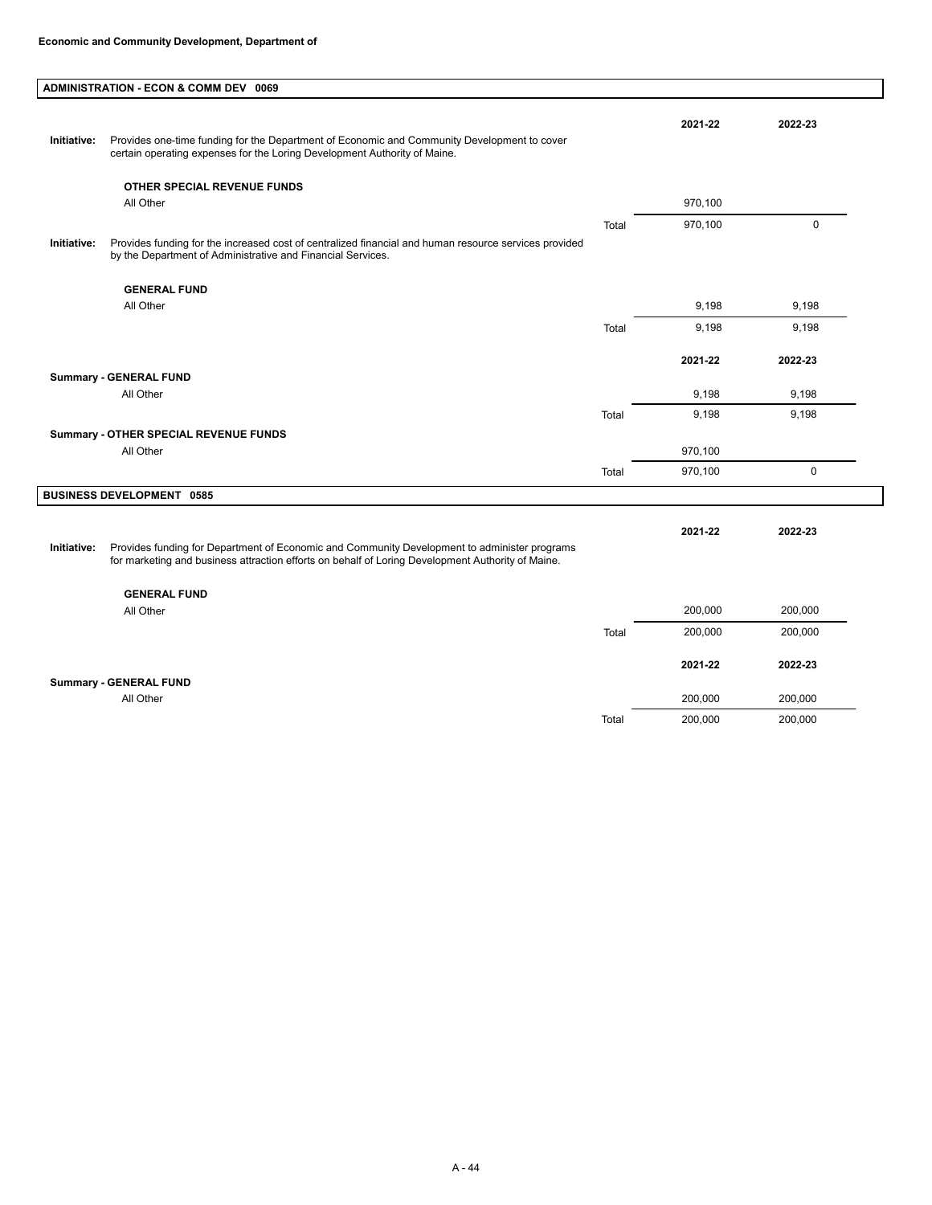|             | ADMINISTRATION - ECON & COMM DEV 0069                                                                                                                                                             |       |                |                |
|-------------|---------------------------------------------------------------------------------------------------------------------------------------------------------------------------------------------------|-------|----------------|----------------|
| Initiative: | Provides one-time funding for the Department of Economic and Community Development to cover<br>certain operating expenses for the Loring Development Authority of Maine.                          |       | 2021-22        | 2022-23        |
|             | <b>OTHER SPECIAL REVENUE FUNDS</b><br>All Other                                                                                                                                                   |       | 970,100        |                |
| Initiative: | Provides funding for the increased cost of centralized financial and human resource services provided<br>by the Department of Administrative and Financial Services.                              | Total | 970,100        | $\Omega$       |
|             | <b>GENERAL FUND</b><br>All Other                                                                                                                                                                  | Total | 9,198<br>9,198 | 9,198<br>9,198 |
|             | <b>Summary - GENERAL FUND</b>                                                                                                                                                                     |       | 2021-22        | 2022-23        |
|             | All Other                                                                                                                                                                                         | Total | 9,198<br>9,198 | 9,198<br>9,198 |
|             | <b>Summary - OTHER SPECIAL REVENUE FUNDS</b><br>All Other                                                                                                                                         |       | 970,100        |                |
|             |                                                                                                                                                                                                   | Total | 970,100        | $\mathbf 0$    |
|             | <b>BUSINESS DEVELOPMENT 0585</b>                                                                                                                                                                  |       |                |                |
| Initiative: | Provides funding for Department of Economic and Community Development to administer programs<br>for marketing and business attraction efforts on behalf of Loring Development Authority of Maine. |       | 2021-22        | 2022-23        |

|                               | <b>GENERAL FUND</b> |       |         |         |
|-------------------------------|---------------------|-------|---------|---------|
|                               | All Other           |       | 200,000 | 200,000 |
|                               |                     | Total | 200,000 | 200,000 |
|                               |                     |       | 2021-22 | 2022-23 |
| <b>Summary - GENERAL FUND</b> |                     |       |         |         |
|                               | All Other           |       | 200,000 | 200,000 |
|                               |                     | Total | 200,000 | 200,000 |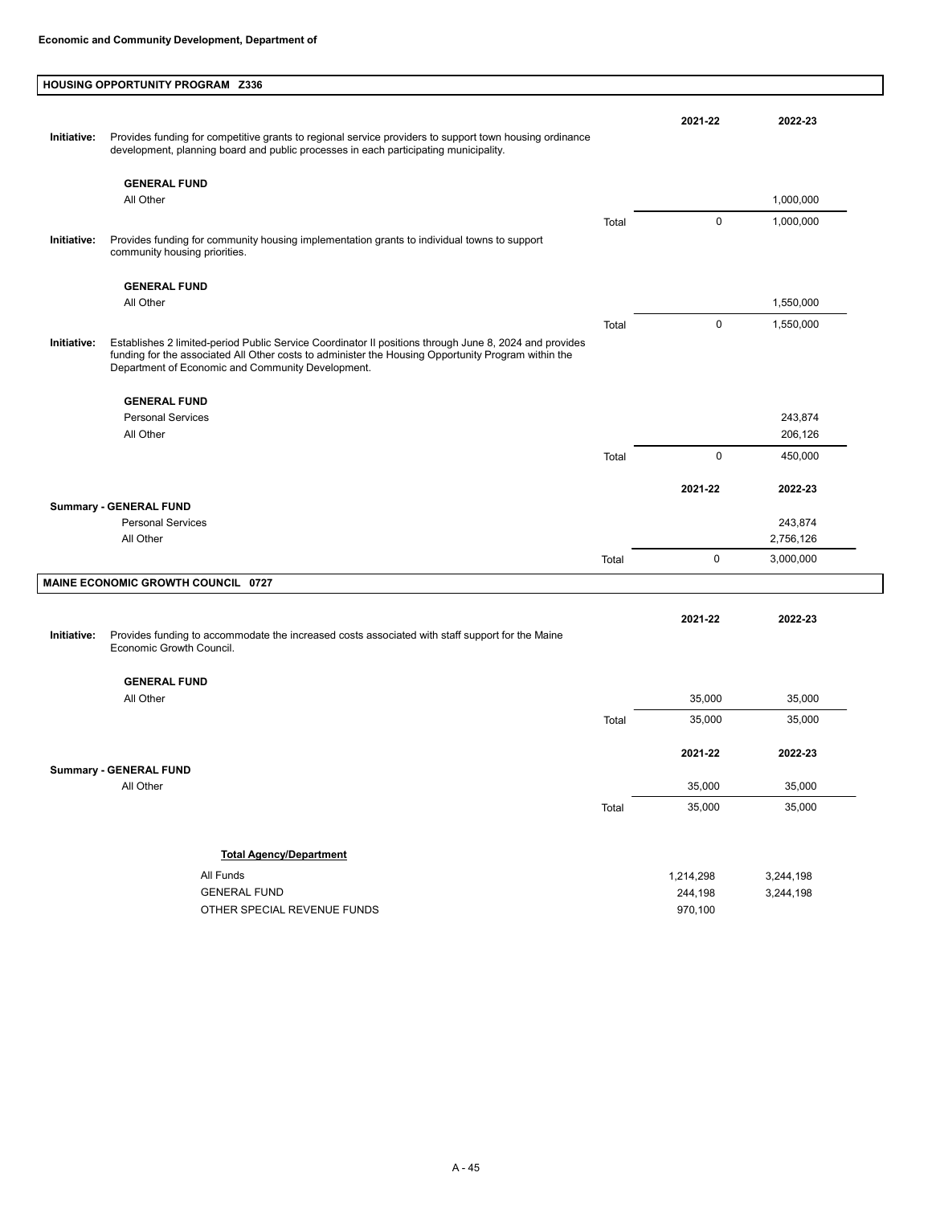|             | <b>HOUSING OPPORTUNITY PROGRAM Z336</b>                                                                                                                                                                                                                            |       |                      |                        |
|-------------|--------------------------------------------------------------------------------------------------------------------------------------------------------------------------------------------------------------------------------------------------------------------|-------|----------------------|------------------------|
|             |                                                                                                                                                                                                                                                                    |       |                      |                        |
| Initiative: | Provides funding for competitive grants to regional service providers to support town housing ordinance                                                                                                                                                            |       | 2021-22              | 2022-23                |
|             | development, planning board and public processes in each participating municipality.                                                                                                                                                                               |       |                      |                        |
|             | <b>GENERAL FUND</b>                                                                                                                                                                                                                                                |       |                      |                        |
|             | All Other                                                                                                                                                                                                                                                          |       |                      | 1,000,000              |
|             |                                                                                                                                                                                                                                                                    | Total | 0                    | 1,000,000              |
| Initiative: | Provides funding for community housing implementation grants to individual towns to support<br>community housing priorities.                                                                                                                                       |       |                      |                        |
|             | <b>GENERAL FUND</b>                                                                                                                                                                                                                                                |       |                      |                        |
|             | All Other                                                                                                                                                                                                                                                          |       |                      | 1,550,000              |
|             |                                                                                                                                                                                                                                                                    | Total | 0                    | 1,550,000              |
| Initiative: | Establishes 2 limited-period Public Service Coordinator II positions through June 8, 2024 and provides<br>funding for the associated All Other costs to administer the Housing Opportunity Program within the<br>Department of Economic and Community Development. |       |                      |                        |
|             | <b>GENERAL FUND</b>                                                                                                                                                                                                                                                |       |                      |                        |
|             | <b>Personal Services</b>                                                                                                                                                                                                                                           |       |                      | 243,874                |
|             | All Other                                                                                                                                                                                                                                                          |       |                      | 206,126                |
|             |                                                                                                                                                                                                                                                                    | Total | $\pmb{0}$            | 450,000                |
|             |                                                                                                                                                                                                                                                                    |       | 2021-22              | 2022-23                |
|             | <b>Summary - GENERAL FUND</b>                                                                                                                                                                                                                                      |       |                      |                        |
|             | <b>Personal Services</b><br>All Other                                                                                                                                                                                                                              |       |                      | 243,874<br>2,756,126   |
|             |                                                                                                                                                                                                                                                                    | Total | 0                    | 3,000,000              |
|             | MAINE ECONOMIC GROWTH COUNCIL 0727                                                                                                                                                                                                                                 |       |                      |                        |
|             |                                                                                                                                                                                                                                                                    |       |                      |                        |
|             |                                                                                                                                                                                                                                                                    |       | 2021-22              | 2022-23                |
| Initiative: | Provides funding to accommodate the increased costs associated with staff support for the Maine<br>Economic Growth Council.                                                                                                                                        |       |                      |                        |
|             | <b>GENERAL FUND</b>                                                                                                                                                                                                                                                |       |                      |                        |
|             | All Other                                                                                                                                                                                                                                                          |       | 35,000               | 35,000                 |
|             |                                                                                                                                                                                                                                                                    | Total | 35,000               | 35,000                 |
|             |                                                                                                                                                                                                                                                                    |       | 2021-22              | 2022-23                |
|             | <b>Summary - GENERAL FUND</b>                                                                                                                                                                                                                                      |       |                      |                        |
|             | All Other                                                                                                                                                                                                                                                          |       | 35,000               | 35,000                 |
|             |                                                                                                                                                                                                                                                                    | Total | 35,000               | 35,000                 |
|             | <b>Total Agency/Department</b>                                                                                                                                                                                                                                     |       |                      |                        |
|             | All Funds                                                                                                                                                                                                                                                          |       |                      |                        |
|             | <b>GENERAL FUND</b>                                                                                                                                                                                                                                                |       | 1,214,298<br>244,198 | 3,244,198<br>3,244,198 |
|             | OTHER SPECIAL REVENUE FUNDS                                                                                                                                                                                                                                        |       | 970,100              |                        |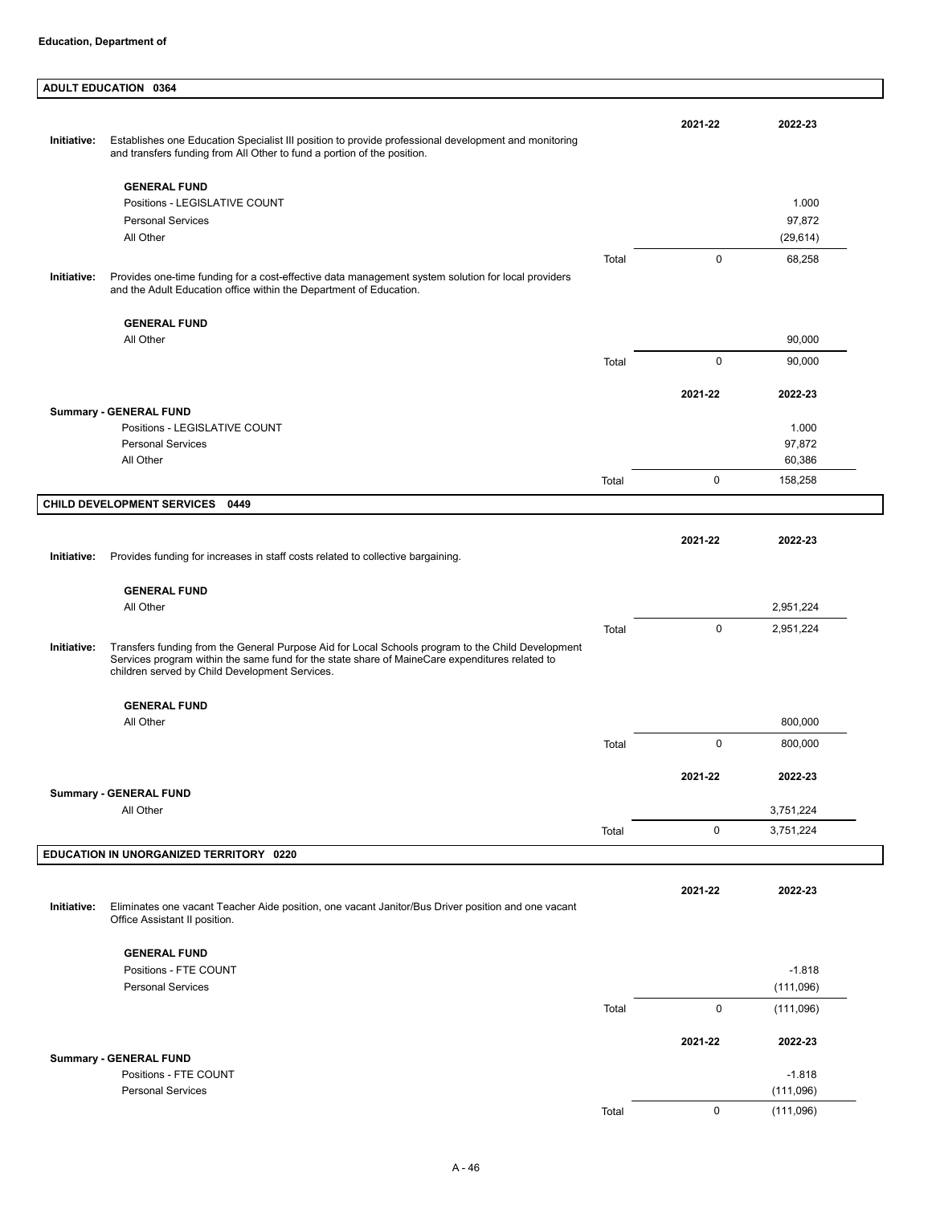|             | <b>ADULT EDUCATION 0364</b>                                                                          |       |             |           |  |
|-------------|------------------------------------------------------------------------------------------------------|-------|-------------|-----------|--|
|             |                                                                                                      |       |             |           |  |
|             |                                                                                                      |       | 2021-22     | 2022-23   |  |
| Initiative: | Establishes one Education Specialist III position to provide professional development and monitoring |       |             |           |  |
|             | and transfers funding from All Other to fund a portion of the position.                              |       |             |           |  |
|             | <b>GENERAL FUND</b>                                                                                  |       |             |           |  |
|             | Positions - LEGISLATIVE COUNT                                                                        |       |             | 1.000     |  |
|             | <b>Personal Services</b>                                                                             |       |             | 97,872    |  |
|             | All Other                                                                                            |       |             | (29, 614) |  |
|             |                                                                                                      | Total | $\mathsf 0$ | 68,258    |  |
| Initiative: | Provides one-time funding for a cost-effective data management system solution for local providers   |       |             |           |  |
|             | and the Adult Education office within the Department of Education.                                   |       |             |           |  |
|             |                                                                                                      |       |             |           |  |
|             | <b>GENERAL FUND</b>                                                                                  |       |             |           |  |
|             | All Other                                                                                            |       |             | 90,000    |  |
|             |                                                                                                      | Total | $\mathsf 0$ | 90,000    |  |
|             |                                                                                                      |       |             |           |  |
|             |                                                                                                      |       | 2021-22     | 2022-23   |  |
|             | <b>Summary - GENERAL FUND</b>                                                                        |       |             |           |  |
|             | Positions - LEGISLATIVE COUNT                                                                        |       |             | 1.000     |  |
|             | <b>Personal Services</b>                                                                             |       |             | 97,872    |  |
|             | All Other                                                                                            |       |             | 60,386    |  |
|             |                                                                                                      | Total | 0           | 158,258   |  |
|             | CHILD DEVELOPMENT SERVICES 0449                                                                      |       |             |           |  |
|             |                                                                                                      |       |             |           |  |
|             |                                                                                                      |       | 2021-22     | 2022-23   |  |
| Initiative: | Provides funding for increases in staff costs related to collective bargaining.                      |       |             |           |  |
|             |                                                                                                      |       |             |           |  |
|             | <b>GENERAL FUND</b>                                                                                  |       |             |           |  |
|             | All Other                                                                                            |       |             | 2,951,224 |  |
|             |                                                                                                      | Total | $\pmb{0}$   | 2,951,224 |  |
| Initiative: | Transfers funding from the General Purpose Aid for Local Schools program to the Child Development    |       |             |           |  |
|             | Services program within the same fund for the state share of MaineCare expenditures related to       |       |             |           |  |
|             | children served by Child Development Services.                                                       |       |             |           |  |
|             |                                                                                                      |       |             |           |  |
|             | <b>GENERAL FUND</b><br>All Other                                                                     |       |             | 800,000   |  |
|             |                                                                                                      |       |             |           |  |
|             |                                                                                                      | Total | 0           | 800,000   |  |
|             |                                                                                                      |       |             |           |  |
|             |                                                                                                      |       | 2021-22     | 2022-23   |  |
|             | <b>Summary - GENERAL FUND</b><br>All Other                                                           |       |             | 3,751,224 |  |
|             |                                                                                                      |       |             |           |  |
|             |                                                                                                      | Total | 0           | 3,751,224 |  |
|             | EDUCATION IN UNORGANIZED TERRITORY 0220                                                              |       |             |           |  |
|             |                                                                                                      |       |             |           |  |
|             |                                                                                                      |       | 2021-22     | 2022-23   |  |
| Initiative: | Eliminates one vacant Teacher Aide position, one vacant Janitor/Bus Driver position and one vacant   |       |             |           |  |
|             | Office Assistant II position.                                                                        |       |             |           |  |
|             |                                                                                                      |       |             |           |  |
|             | <b>GENERAL FUND</b><br>Positions - FTE COUNT                                                         |       |             | $-1.818$  |  |
|             | <b>Personal Services</b>                                                                             |       |             | (111,096) |  |
|             |                                                                                                      |       |             |           |  |
|             |                                                                                                      | Total | $\mathbf 0$ | (111,096) |  |
|             |                                                                                                      |       |             |           |  |
|             |                                                                                                      |       | 2021-22     | 2022-23   |  |
|             | <b>Summary - GENERAL FUND</b><br>Positions - FTE COUNT                                               |       |             | $-1.818$  |  |
|             | <b>Personal Services</b>                                                                             |       |             | (111,096) |  |
|             |                                                                                                      |       | 0           |           |  |
|             |                                                                                                      | Total |             | (111,096) |  |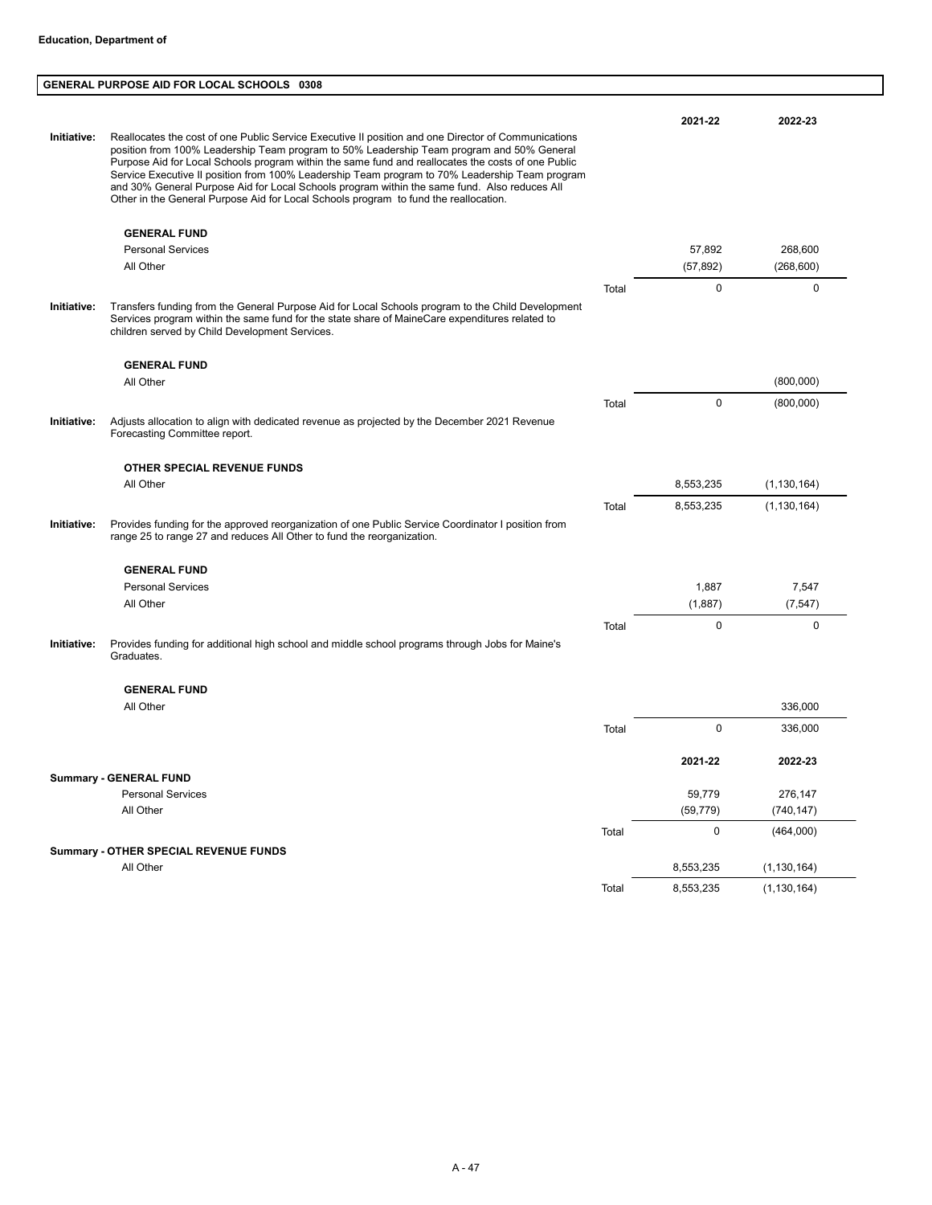|             | GENERAL PURPOSE AID FOR LOCAL SCHOOLS 0308                                                                                                                                                                                                                                                                                                                                                                                                                                                                                                                                                       |       |             |               |
|-------------|--------------------------------------------------------------------------------------------------------------------------------------------------------------------------------------------------------------------------------------------------------------------------------------------------------------------------------------------------------------------------------------------------------------------------------------------------------------------------------------------------------------------------------------------------------------------------------------------------|-------|-------------|---------------|
|             |                                                                                                                                                                                                                                                                                                                                                                                                                                                                                                                                                                                                  |       | 2021-22     | 2022-23       |
| Initiative: | Reallocates the cost of one Public Service Executive II position and one Director of Communications<br>position from 100% Leadership Team program to 50% Leadership Team program and 50% General<br>Purpose Aid for Local Schools program within the same fund and reallocates the costs of one Public<br>Service Executive II position from 100% Leadership Team program to 70% Leadership Team program<br>and 30% General Purpose Aid for Local Schools program within the same fund. Also reduces All<br>Other in the General Purpose Aid for Local Schools program to fund the reallocation. |       |             |               |
|             | <b>GENERAL FUND</b>                                                                                                                                                                                                                                                                                                                                                                                                                                                                                                                                                                              |       |             |               |
|             | <b>Personal Services</b>                                                                                                                                                                                                                                                                                                                                                                                                                                                                                                                                                                         |       | 57,892      | 268,600       |
|             | All Other                                                                                                                                                                                                                                                                                                                                                                                                                                                                                                                                                                                        |       | (57, 892)   | (268, 600)    |
|             |                                                                                                                                                                                                                                                                                                                                                                                                                                                                                                                                                                                                  | Total | $\mathbf 0$ | $\mathbf 0$   |
| Initiative: | Transfers funding from the General Purpose Aid for Local Schools program to the Child Development<br>Services program within the same fund for the state share of MaineCare expenditures related to<br>children served by Child Development Services.                                                                                                                                                                                                                                                                                                                                            |       |             |               |
|             | <b>GENERAL FUND</b>                                                                                                                                                                                                                                                                                                                                                                                                                                                                                                                                                                              |       |             |               |
|             | All Other                                                                                                                                                                                                                                                                                                                                                                                                                                                                                                                                                                                        |       |             | (800,000)     |
|             |                                                                                                                                                                                                                                                                                                                                                                                                                                                                                                                                                                                                  | Total | 0           | (800,000)     |
| Initiative: | Adjusts allocation to align with dedicated revenue as projected by the December 2021 Revenue<br>Forecasting Committee report.                                                                                                                                                                                                                                                                                                                                                                                                                                                                    |       |             |               |
|             | OTHER SPECIAL REVENUE FUNDS                                                                                                                                                                                                                                                                                                                                                                                                                                                                                                                                                                      |       |             |               |
|             | All Other                                                                                                                                                                                                                                                                                                                                                                                                                                                                                                                                                                                        |       | 8,553,235   | (1, 130, 164) |
|             |                                                                                                                                                                                                                                                                                                                                                                                                                                                                                                                                                                                                  | Total | 8,553,235   | (1, 130, 164) |
| Initiative: | Provides funding for the approved reorganization of one Public Service Coordinator I position from<br>range 25 to range 27 and reduces All Other to fund the reorganization.                                                                                                                                                                                                                                                                                                                                                                                                                     |       |             |               |
|             | <b>GENERAL FUND</b>                                                                                                                                                                                                                                                                                                                                                                                                                                                                                                                                                                              |       |             |               |
|             | <b>Personal Services</b>                                                                                                                                                                                                                                                                                                                                                                                                                                                                                                                                                                         |       | 1,887       | 7,547         |
|             | All Other                                                                                                                                                                                                                                                                                                                                                                                                                                                                                                                                                                                        |       | (1,887)     | (7, 547)      |
|             |                                                                                                                                                                                                                                                                                                                                                                                                                                                                                                                                                                                                  | Total | $\mathbf 0$ | 0             |
| Initiative: | Provides funding for additional high school and middle school programs through Jobs for Maine's<br>Graduates.                                                                                                                                                                                                                                                                                                                                                                                                                                                                                    |       |             |               |
|             | <b>GENERAL FUND</b>                                                                                                                                                                                                                                                                                                                                                                                                                                                                                                                                                                              |       |             |               |
|             | All Other                                                                                                                                                                                                                                                                                                                                                                                                                                                                                                                                                                                        |       |             | 336,000       |
|             |                                                                                                                                                                                                                                                                                                                                                                                                                                                                                                                                                                                                  | Total | 0           | 336,000       |
|             |                                                                                                                                                                                                                                                                                                                                                                                                                                                                                                                                                                                                  |       | 2021-22     | 2022-23       |
|             | <b>Summary - GENERAL FUND</b><br><b>Personal Services</b>                                                                                                                                                                                                                                                                                                                                                                                                                                                                                                                                        |       | 59,779      | 276,147       |
|             | All Other                                                                                                                                                                                                                                                                                                                                                                                                                                                                                                                                                                                        |       | (59, 779)   | (740, 147)    |
|             |                                                                                                                                                                                                                                                                                                                                                                                                                                                                                                                                                                                                  | Total | $\pmb{0}$   | (464,000)     |
|             | <b>Summary - OTHER SPECIAL REVENUE FUNDS</b>                                                                                                                                                                                                                                                                                                                                                                                                                                                                                                                                                     |       |             |               |
|             | All Other                                                                                                                                                                                                                                                                                                                                                                                                                                                                                                                                                                                        |       | 8,553,235   | (1, 130, 164) |
|             |                                                                                                                                                                                                                                                                                                                                                                                                                                                                                                                                                                                                  | Total | 8,553,235   | (1, 130, 164) |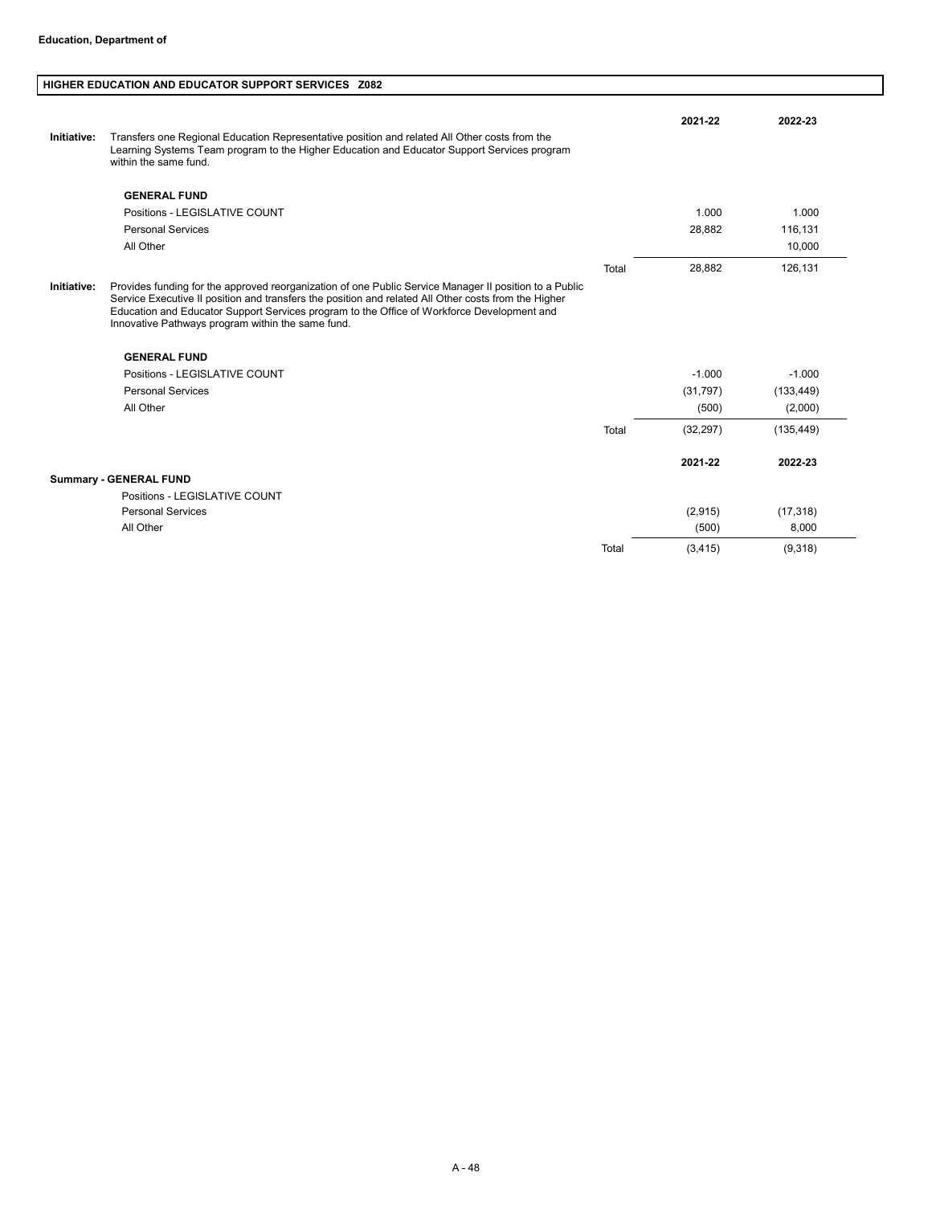|             | <b>HIGHER EDUCATION AND EDUCATOR SUPPORT SERVICES Z082</b>                                                                                                                                                                                                                                                                                                        |       |           |            |  |
|-------------|-------------------------------------------------------------------------------------------------------------------------------------------------------------------------------------------------------------------------------------------------------------------------------------------------------------------------------------------------------------------|-------|-----------|------------|--|
| Initiative: | Transfers one Regional Education Representative position and related All Other costs from the<br>Learning Systems Team program to the Higher Education and Educator Support Services program<br>within the same fund.                                                                                                                                             |       | 2021-22   | 2022-23    |  |
|             | <b>GENERAL FUND</b>                                                                                                                                                                                                                                                                                                                                               |       |           |            |  |
|             | Positions - LEGISLATIVE COUNT                                                                                                                                                                                                                                                                                                                                     |       | 1.000     | 1.000      |  |
|             | <b>Personal Services</b>                                                                                                                                                                                                                                                                                                                                          |       | 28,882    | 116,131    |  |
|             | All Other                                                                                                                                                                                                                                                                                                                                                         |       |           | 10,000     |  |
|             |                                                                                                                                                                                                                                                                                                                                                                   | Total | 28,882    | 126,131    |  |
| Initiative: | Provides funding for the approved reorganization of one Public Service Manager II position to a Public<br>Service Executive II position and transfers the position and related All Other costs from the Higher<br>Education and Educator Support Services program to the Office of Workforce Development and<br>Innovative Pathways program within the same fund. |       |           |            |  |
|             | <b>GENERAL FUND</b>                                                                                                                                                                                                                                                                                                                                               |       |           |            |  |
|             | Positions - LEGISLATIVE COUNT                                                                                                                                                                                                                                                                                                                                     |       | $-1.000$  | $-1.000$   |  |
|             | <b>Personal Services</b>                                                                                                                                                                                                                                                                                                                                          |       | (31, 797) | (133, 449) |  |
|             | All Other                                                                                                                                                                                                                                                                                                                                                         |       | (500)     | (2,000)    |  |
|             |                                                                                                                                                                                                                                                                                                                                                                   | Total | (32, 297) | (135, 449) |  |
|             |                                                                                                                                                                                                                                                                                                                                                                   |       | 2021-22   | 2022-23    |  |
|             | <b>Summary - GENERAL FUND</b>                                                                                                                                                                                                                                                                                                                                     |       |           |            |  |
|             | Positions - LEGISLATIVE COUNT                                                                                                                                                                                                                                                                                                                                     |       |           |            |  |
|             | <b>Personal Services</b>                                                                                                                                                                                                                                                                                                                                          |       | (2,915)   | (17, 318)  |  |
|             | All Other                                                                                                                                                                                                                                                                                                                                                         |       | (500)     | 8,000      |  |
|             |                                                                                                                                                                                                                                                                                                                                                                   | Total | (3, 415)  | (9,318)    |  |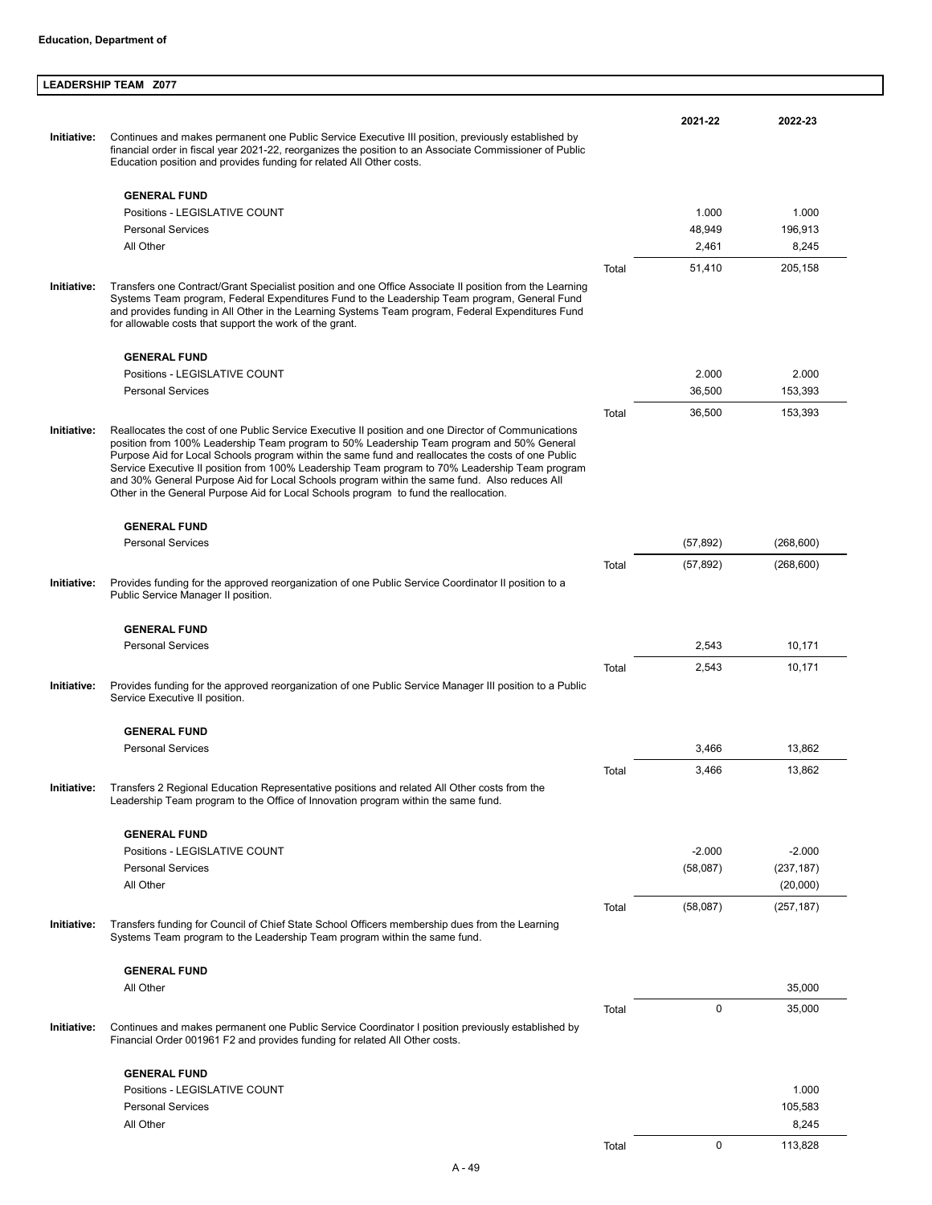| <b>LEADERSHIP TEAM Z077</b> |                                                                                                                                                                                                                                                                                                                                                                                                                                                                                                                                                                                                  |       |             |            |  |  |
|-----------------------------|--------------------------------------------------------------------------------------------------------------------------------------------------------------------------------------------------------------------------------------------------------------------------------------------------------------------------------------------------------------------------------------------------------------------------------------------------------------------------------------------------------------------------------------------------------------------------------------------------|-------|-------------|------------|--|--|
|                             |                                                                                                                                                                                                                                                                                                                                                                                                                                                                                                                                                                                                  |       |             |            |  |  |
|                             |                                                                                                                                                                                                                                                                                                                                                                                                                                                                                                                                                                                                  |       | 2021-22     | 2022-23    |  |  |
| Initiative:                 | Continues and makes permanent one Public Service Executive III position, previously established by<br>financial order in fiscal year 2021-22, reorganizes the position to an Associate Commissioner of Public<br>Education position and provides funding for related All Other costs.                                                                                                                                                                                                                                                                                                            |       |             |            |  |  |
|                             |                                                                                                                                                                                                                                                                                                                                                                                                                                                                                                                                                                                                  |       |             |            |  |  |
|                             | <b>GENERAL FUND</b>                                                                                                                                                                                                                                                                                                                                                                                                                                                                                                                                                                              |       |             |            |  |  |
|                             | Positions - LEGISLATIVE COUNT                                                                                                                                                                                                                                                                                                                                                                                                                                                                                                                                                                    |       | 1.000       | 1.000      |  |  |
|                             | <b>Personal Services</b>                                                                                                                                                                                                                                                                                                                                                                                                                                                                                                                                                                         |       | 48,949      | 196,913    |  |  |
|                             | All Other                                                                                                                                                                                                                                                                                                                                                                                                                                                                                                                                                                                        |       | 2,461       | 8,245      |  |  |
|                             |                                                                                                                                                                                                                                                                                                                                                                                                                                                                                                                                                                                                  | Total | 51,410      | 205,158    |  |  |
| Initiative:                 | Transfers one Contract/Grant Specialist position and one Office Associate II position from the Learning<br>Systems Team program, Federal Expenditures Fund to the Leadership Team program, General Fund<br>and provides funding in All Other in the Learning Systems Team program, Federal Expenditures Fund<br>for allowable costs that support the work of the grant.                                                                                                                                                                                                                          |       |             |            |  |  |
|                             | <b>GENERAL FUND</b>                                                                                                                                                                                                                                                                                                                                                                                                                                                                                                                                                                              |       |             |            |  |  |
|                             | Positions - LEGISLATIVE COUNT                                                                                                                                                                                                                                                                                                                                                                                                                                                                                                                                                                    |       | 2.000       | 2.000      |  |  |
|                             | <b>Personal Services</b>                                                                                                                                                                                                                                                                                                                                                                                                                                                                                                                                                                         |       | 36,500      | 153,393    |  |  |
|                             |                                                                                                                                                                                                                                                                                                                                                                                                                                                                                                                                                                                                  |       |             |            |  |  |
|                             |                                                                                                                                                                                                                                                                                                                                                                                                                                                                                                                                                                                                  | Total | 36,500      | 153,393    |  |  |
| Initiative:                 | Reallocates the cost of one Public Service Executive II position and one Director of Communications<br>position from 100% Leadership Team program to 50% Leadership Team program and 50% General<br>Purpose Aid for Local Schools program within the same fund and reallocates the costs of one Public<br>Service Executive II position from 100% Leadership Team program to 70% Leadership Team program<br>and 30% General Purpose Aid for Local Schools program within the same fund. Also reduces All<br>Other in the General Purpose Aid for Local Schools program to fund the reallocation. |       |             |            |  |  |
|                             | <b>GENERAL FUND</b>                                                                                                                                                                                                                                                                                                                                                                                                                                                                                                                                                                              |       |             |            |  |  |
|                             | <b>Personal Services</b>                                                                                                                                                                                                                                                                                                                                                                                                                                                                                                                                                                         |       | (57, 892)   | (268, 600) |  |  |
|                             |                                                                                                                                                                                                                                                                                                                                                                                                                                                                                                                                                                                                  | Total | (57, 892)   | (268, 600) |  |  |
|                             |                                                                                                                                                                                                                                                                                                                                                                                                                                                                                                                                                                                                  |       |             |            |  |  |
| Initiative:                 | Provides funding for the approved reorganization of one Public Service Coordinator II position to a<br>Public Service Manager II position.                                                                                                                                                                                                                                                                                                                                                                                                                                                       |       |             |            |  |  |
|                             |                                                                                                                                                                                                                                                                                                                                                                                                                                                                                                                                                                                                  |       |             |            |  |  |
|                             | <b>GENERAL FUND</b>                                                                                                                                                                                                                                                                                                                                                                                                                                                                                                                                                                              |       |             |            |  |  |
|                             | <b>Personal Services</b>                                                                                                                                                                                                                                                                                                                                                                                                                                                                                                                                                                         |       | 2,543       | 10,171     |  |  |
|                             |                                                                                                                                                                                                                                                                                                                                                                                                                                                                                                                                                                                                  |       |             |            |  |  |
| Initiative:                 | Provides funding for the approved reorganization of one Public Service Manager III position to a Public<br>Service Executive II position.                                                                                                                                                                                                                                                                                                                                                                                                                                                        | Total | 2,543       | 10,171     |  |  |
|                             |                                                                                                                                                                                                                                                                                                                                                                                                                                                                                                                                                                                                  |       |             |            |  |  |
|                             | <b>GENERAL FUND</b>                                                                                                                                                                                                                                                                                                                                                                                                                                                                                                                                                                              |       |             |            |  |  |
|                             | <b>Personal Services</b>                                                                                                                                                                                                                                                                                                                                                                                                                                                                                                                                                                         |       | 3,466       | 13,862     |  |  |
|                             |                                                                                                                                                                                                                                                                                                                                                                                                                                                                                                                                                                                                  | Total | 3,466       | 13,862     |  |  |
| Initiative:                 | Transfers 2 Regional Education Representative positions and related All Other costs from the<br>Leadership Team program to the Office of Innovation program within the same fund.                                                                                                                                                                                                                                                                                                                                                                                                                |       |             |            |  |  |
|                             | <b>GENERAL FUND</b>                                                                                                                                                                                                                                                                                                                                                                                                                                                                                                                                                                              |       |             |            |  |  |
|                             | Positions - LEGISLATIVE COUNT                                                                                                                                                                                                                                                                                                                                                                                                                                                                                                                                                                    |       | $-2.000$    | $-2.000$   |  |  |
|                             | <b>Personal Services</b>                                                                                                                                                                                                                                                                                                                                                                                                                                                                                                                                                                         |       | (58,087)    | (237, 187) |  |  |
|                             | All Other                                                                                                                                                                                                                                                                                                                                                                                                                                                                                                                                                                                        |       |             | (20,000)   |  |  |
|                             |                                                                                                                                                                                                                                                                                                                                                                                                                                                                                                                                                                                                  |       |             |            |  |  |
|                             |                                                                                                                                                                                                                                                                                                                                                                                                                                                                                                                                                                                                  | Total | (58,087)    | (257, 187) |  |  |
| Initiative:                 | Transfers funding for Council of Chief State School Officers membership dues from the Learning<br>Systems Team program to the Leadership Team program within the same fund.                                                                                                                                                                                                                                                                                                                                                                                                                      |       |             |            |  |  |
|                             | <b>GENERAL FUND</b>                                                                                                                                                                                                                                                                                                                                                                                                                                                                                                                                                                              |       |             |            |  |  |
|                             | All Other                                                                                                                                                                                                                                                                                                                                                                                                                                                                                                                                                                                        |       |             | 35,000     |  |  |
|                             |                                                                                                                                                                                                                                                                                                                                                                                                                                                                                                                                                                                                  |       |             |            |  |  |
| Initiative:                 | Continues and makes permanent one Public Service Coordinator I position previously established by<br>Financial Order 001961 F2 and provides funding for related All Other costs.                                                                                                                                                                                                                                                                                                                                                                                                                 | Total | $\mathbf 0$ | 35,000     |  |  |
|                             |                                                                                                                                                                                                                                                                                                                                                                                                                                                                                                                                                                                                  |       |             |            |  |  |
|                             | <b>GENERAL FUND</b>                                                                                                                                                                                                                                                                                                                                                                                                                                                                                                                                                                              |       |             |            |  |  |
|                             | Positions - LEGISLATIVE COUNT                                                                                                                                                                                                                                                                                                                                                                                                                                                                                                                                                                    |       |             | 1.000      |  |  |
|                             | <b>Personal Services</b>                                                                                                                                                                                                                                                                                                                                                                                                                                                                                                                                                                         |       |             | 105,583    |  |  |
|                             | All Other                                                                                                                                                                                                                                                                                                                                                                                                                                                                                                                                                                                        |       |             | 8,245      |  |  |
|                             |                                                                                                                                                                                                                                                                                                                                                                                                                                                                                                                                                                                                  | Total | 0           | 113,828    |  |  |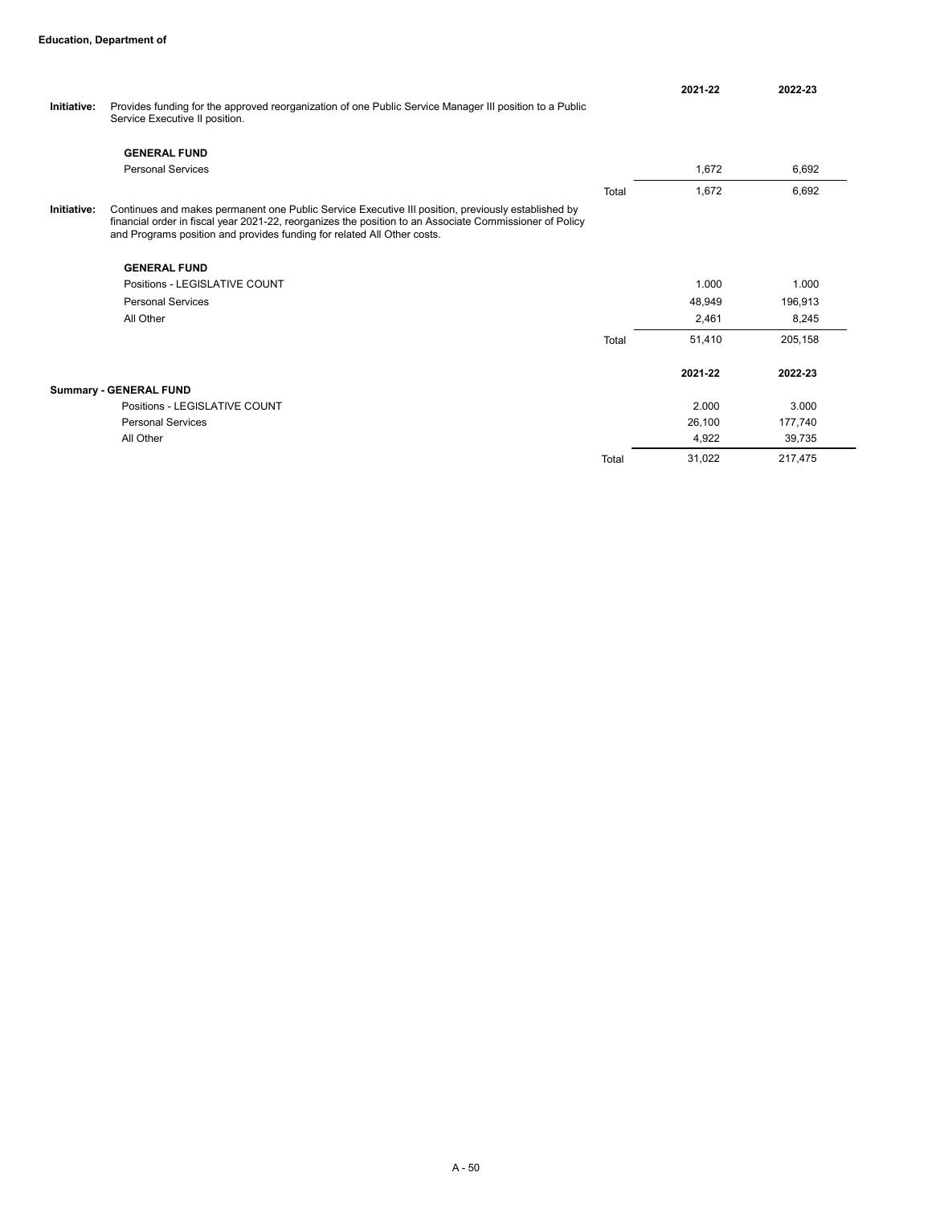|             |                                                                                                                                                                                                                                                                                          |       | 2021-22 | 2022-23 |
|-------------|------------------------------------------------------------------------------------------------------------------------------------------------------------------------------------------------------------------------------------------------------------------------------------------|-------|---------|---------|
| Initiative: | Provides funding for the approved reorganization of one Public Service Manager III position to a Public<br>Service Executive II position.                                                                                                                                                |       |         |         |
|             | <b>GENERAL FUND</b>                                                                                                                                                                                                                                                                      |       |         |         |
|             | <b>Personal Services</b>                                                                                                                                                                                                                                                                 |       | 1,672   | 6,692   |
|             |                                                                                                                                                                                                                                                                                          | Total | 1,672   | 6,692   |
| Initiative: | Continues and makes permanent one Public Service Executive III position, previously established by<br>financial order in fiscal year 2021-22, reorganizes the position to an Associate Commissioner of Policy<br>and Programs position and provides funding for related All Other costs. |       |         |         |
|             | <b>GENERAL FUND</b>                                                                                                                                                                                                                                                                      |       |         |         |
|             | Positions - LEGISLATIVE COUNT                                                                                                                                                                                                                                                            |       | 1.000   | 1.000   |
|             | <b>Personal Services</b>                                                                                                                                                                                                                                                                 |       | 48.949  | 196,913 |
|             | All Other                                                                                                                                                                                                                                                                                |       | 2,461   | 8,245   |
|             |                                                                                                                                                                                                                                                                                          | Total | 51,410  | 205,158 |
|             |                                                                                                                                                                                                                                                                                          |       | 2021-22 | 2022-23 |
|             | <b>Summary - GENERAL FUND</b>                                                                                                                                                                                                                                                            |       |         |         |
|             | Positions - LEGISLATIVE COUNT                                                                                                                                                                                                                                                            |       | 2.000   | 3.000   |
|             | <b>Personal Services</b>                                                                                                                                                                                                                                                                 |       | 26.100  | 177.740 |
|             | All Other                                                                                                                                                                                                                                                                                |       | 4,922   | 39,735  |
|             |                                                                                                                                                                                                                                                                                          | Total | 31.022  | 217,475 |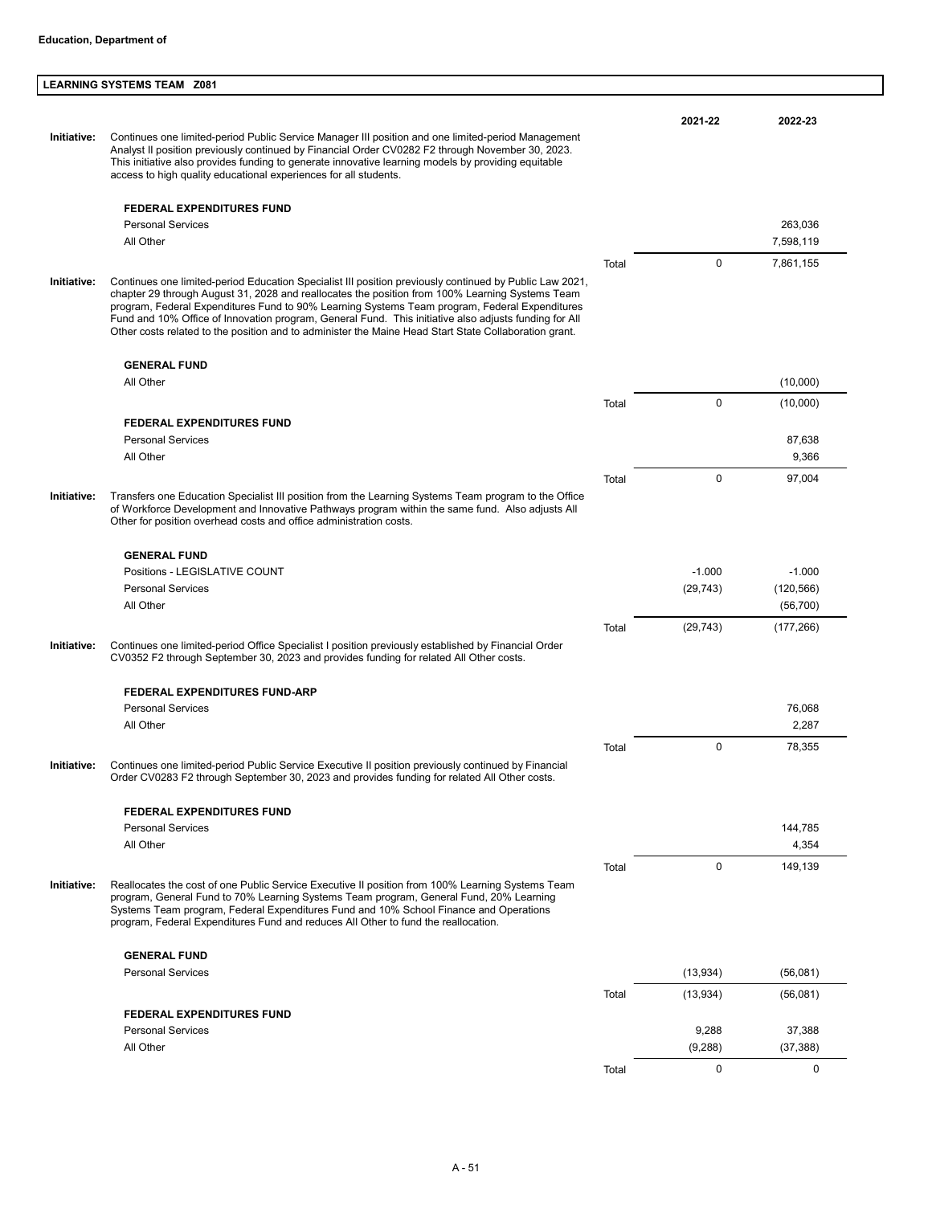|             | <b>LEARNING SYSTEMS TEAM Z081</b>                                                                                                                                                                                                                                                                                                                                                                                                                                                                                             |       |             |             |
|-------------|-------------------------------------------------------------------------------------------------------------------------------------------------------------------------------------------------------------------------------------------------------------------------------------------------------------------------------------------------------------------------------------------------------------------------------------------------------------------------------------------------------------------------------|-------|-------------|-------------|
|             |                                                                                                                                                                                                                                                                                                                                                                                                                                                                                                                               |       |             |             |
| Initiative: | Continues one limited-period Public Service Manager III position and one limited-period Management<br>Analyst II position previously continued by Financial Order CV0282 F2 through November 30, 2023.<br>This initiative also provides funding to generate innovative learning models by providing equitable<br>access to high quality educational experiences for all students.                                                                                                                                             |       | 2021-22     | 2022-23     |
|             | <b>FEDERAL EXPENDITURES FUND</b>                                                                                                                                                                                                                                                                                                                                                                                                                                                                                              |       |             |             |
|             | <b>Personal Services</b>                                                                                                                                                                                                                                                                                                                                                                                                                                                                                                      |       |             | 263,036     |
|             | All Other                                                                                                                                                                                                                                                                                                                                                                                                                                                                                                                     |       |             | 7,598,119   |
|             |                                                                                                                                                                                                                                                                                                                                                                                                                                                                                                                               | Total | $\mathbf 0$ | 7,861,155   |
| Initiative: | Continues one limited-period Education Specialist III position previously continued by Public Law 2021,<br>chapter 29 through August 31, 2028 and reallocates the position from 100% Learning Systems Team<br>program, Federal Expenditures Fund to 90% Learning Systems Team program, Federal Expenditures<br>Fund and 10% Office of Innovation program, General Fund. This initiative also adjusts funding for All<br>Other costs related to the position and to administer the Maine Head Start State Collaboration grant. |       |             |             |
|             | <b>GENERAL FUND</b>                                                                                                                                                                                                                                                                                                                                                                                                                                                                                                           |       |             |             |
|             | All Other                                                                                                                                                                                                                                                                                                                                                                                                                                                                                                                     |       |             | (10,000)    |
|             |                                                                                                                                                                                                                                                                                                                                                                                                                                                                                                                               | Total | $\mathbf 0$ | (10,000)    |
|             | <b>FEDERAL EXPENDITURES FUND</b>                                                                                                                                                                                                                                                                                                                                                                                                                                                                                              |       |             |             |
|             | <b>Personal Services</b>                                                                                                                                                                                                                                                                                                                                                                                                                                                                                                      |       |             | 87,638      |
|             | All Other                                                                                                                                                                                                                                                                                                                                                                                                                                                                                                                     |       |             | 9,366       |
|             |                                                                                                                                                                                                                                                                                                                                                                                                                                                                                                                               | Total | $\mathbf 0$ | 97,004      |
| Initiative: | Transfers one Education Specialist III position from the Learning Systems Team program to the Office<br>of Workforce Development and Innovative Pathways program within the same fund. Also adjusts All<br>Other for position overhead costs and office administration costs.                                                                                                                                                                                                                                                 |       |             |             |
|             | <b>GENERAL FUND</b>                                                                                                                                                                                                                                                                                                                                                                                                                                                                                                           |       |             |             |
|             | Positions - LEGISLATIVE COUNT                                                                                                                                                                                                                                                                                                                                                                                                                                                                                                 |       | $-1.000$    | $-1.000$    |
|             | <b>Personal Services</b>                                                                                                                                                                                                                                                                                                                                                                                                                                                                                                      |       | (29, 743)   | (120, 566)  |
|             | All Other                                                                                                                                                                                                                                                                                                                                                                                                                                                                                                                     |       |             | (56, 700)   |
| Initiative: | Continues one limited-period Office Specialist I position previously established by Financial Order<br>CV0352 F2 through September 30, 2023 and provides funding for related All Other costs.                                                                                                                                                                                                                                                                                                                                 | Total | (29, 743)   | (177, 266)  |
|             | <b>FEDERAL EXPENDITURES FUND-ARP</b>                                                                                                                                                                                                                                                                                                                                                                                                                                                                                          |       |             |             |
|             | <b>Personal Services</b>                                                                                                                                                                                                                                                                                                                                                                                                                                                                                                      |       |             | 76,068      |
|             | All Other                                                                                                                                                                                                                                                                                                                                                                                                                                                                                                                     |       |             | 2,287       |
|             |                                                                                                                                                                                                                                                                                                                                                                                                                                                                                                                               | Total | $\mathbf 0$ | 78,355      |
| Initiative: | Continues one limited-period Public Service Executive II position previously continued by Financial<br>Order CV0283 F2 through September 30, 2023 and provides funding for related All Other costs.                                                                                                                                                                                                                                                                                                                           |       |             |             |
|             | <b>FEDERAL EXPENDITURES FUND</b>                                                                                                                                                                                                                                                                                                                                                                                                                                                                                              |       |             |             |
|             | <b>Personal Services</b>                                                                                                                                                                                                                                                                                                                                                                                                                                                                                                      |       |             | 144,785     |
|             | All Other                                                                                                                                                                                                                                                                                                                                                                                                                                                                                                                     |       |             | 4,354       |
|             |                                                                                                                                                                                                                                                                                                                                                                                                                                                                                                                               | Total | $\mathbf 0$ | 149,139     |
| Initiative: | Reallocates the cost of one Public Service Executive II position from 100% Learning Systems Team<br>program, General Fund to 70% Learning Systems Team program, General Fund, 20% Learning<br>Systems Team program, Federal Expenditures Fund and 10% School Finance and Operations<br>program, Federal Expenditures Fund and reduces All Other to fund the reallocation.                                                                                                                                                     |       |             |             |
|             | <b>GENERAL FUND</b>                                                                                                                                                                                                                                                                                                                                                                                                                                                                                                           |       |             |             |
|             | <b>Personal Services</b>                                                                                                                                                                                                                                                                                                                                                                                                                                                                                                      |       | (13,934)    | (56,081)    |
|             |                                                                                                                                                                                                                                                                                                                                                                                                                                                                                                                               | Total | (13, 934)   | (56,081)    |
|             | <b>FEDERAL EXPENDITURES FUND</b>                                                                                                                                                                                                                                                                                                                                                                                                                                                                                              |       |             |             |
|             | <b>Personal Services</b>                                                                                                                                                                                                                                                                                                                                                                                                                                                                                                      |       | 9,288       | 37,388      |
|             | All Other                                                                                                                                                                                                                                                                                                                                                                                                                                                                                                                     |       | (9,288)     | (37, 388)   |
|             |                                                                                                                                                                                                                                                                                                                                                                                                                                                                                                                               | Total | $\mathbf 0$ | $\mathbf 0$ |
|             |                                                                                                                                                                                                                                                                                                                                                                                                                                                                                                                               |       |             |             |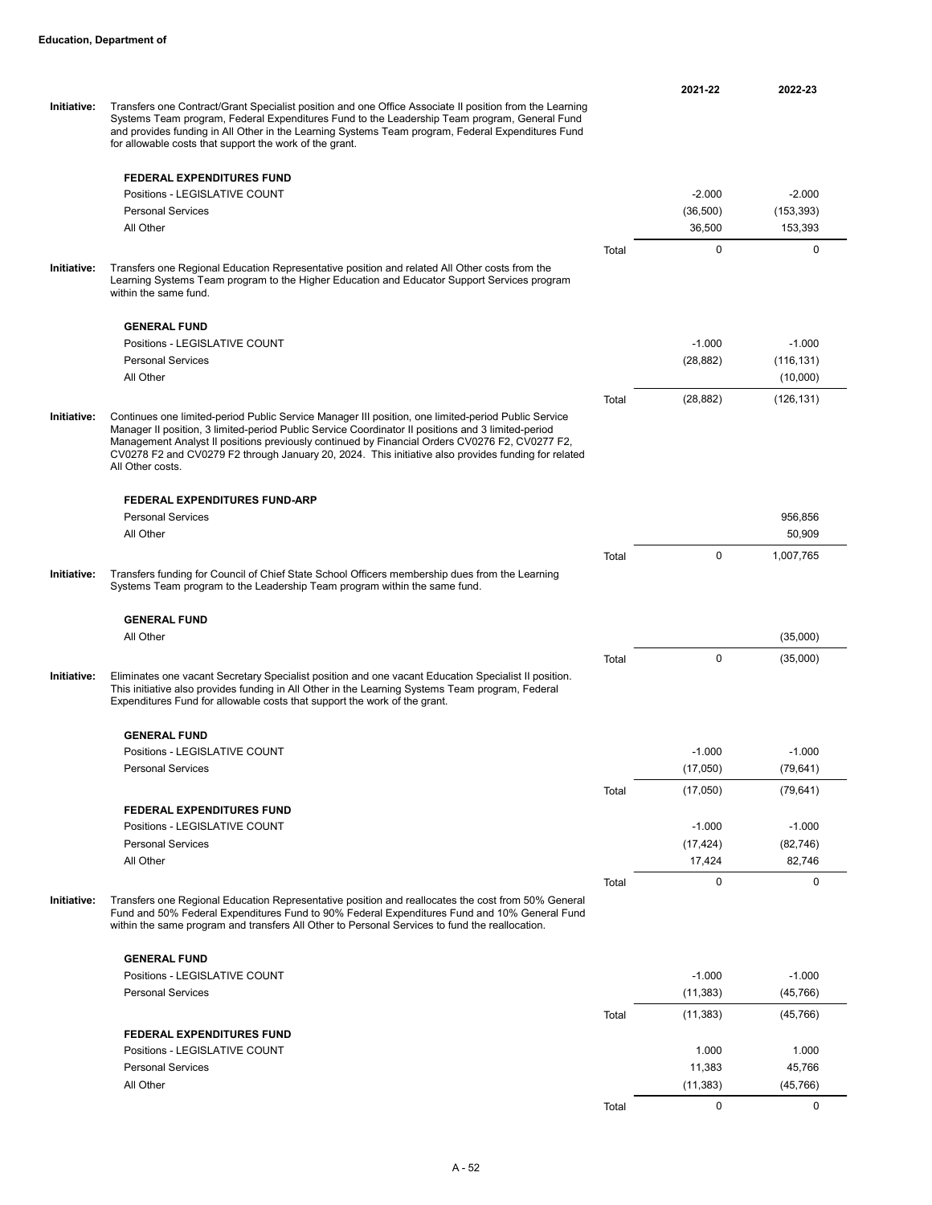|             |                                                                                                                                                                                                                                                                                                                                 |       | 2021-22     | 2022-23    |  |
|-------------|---------------------------------------------------------------------------------------------------------------------------------------------------------------------------------------------------------------------------------------------------------------------------------------------------------------------------------|-------|-------------|------------|--|
| Initiative: | Transfers one Contract/Grant Specialist position and one Office Associate II position from the Learning<br>Systems Team program, Federal Expenditures Fund to the Leadership Team program, General Fund<br>and provides funding in All Other in the Learning Systems Team program, Federal Expenditures Fund                    |       |             |            |  |
|             | for allowable costs that support the work of the grant.                                                                                                                                                                                                                                                                         |       |             |            |  |
|             | <b>FEDERAL EXPENDITURES FUND</b>                                                                                                                                                                                                                                                                                                |       |             |            |  |
|             | Positions - LEGISLATIVE COUNT                                                                                                                                                                                                                                                                                                   |       | $-2.000$    | $-2.000$   |  |
|             | <b>Personal Services</b>                                                                                                                                                                                                                                                                                                        |       | (36, 500)   | (153, 393) |  |
|             | All Other                                                                                                                                                                                                                                                                                                                       |       | 36,500      | 153,393    |  |
|             |                                                                                                                                                                                                                                                                                                                                 | Total | $\mathbf 0$ | 0          |  |
| Initiative: | Transfers one Regional Education Representative position and related All Other costs from the                                                                                                                                                                                                                                   |       |             |            |  |
|             | Learning Systems Team program to the Higher Education and Educator Support Services program<br>within the same fund.                                                                                                                                                                                                            |       |             |            |  |
|             | <b>GENERAL FUND</b>                                                                                                                                                                                                                                                                                                             |       |             |            |  |
|             | Positions - LEGISLATIVE COUNT                                                                                                                                                                                                                                                                                                   |       | $-1.000$    | $-1.000$   |  |
|             | <b>Personal Services</b>                                                                                                                                                                                                                                                                                                        |       | (28, 882)   | (116, 131) |  |
|             | All Other                                                                                                                                                                                                                                                                                                                       |       |             | (10,000)   |  |
|             |                                                                                                                                                                                                                                                                                                                                 | Total | (28, 882)   | (126, 131) |  |
| Initiative: | Continues one limited-period Public Service Manager III position, one limited-period Public Service                                                                                                                                                                                                                             |       |             |            |  |
|             | Manager II position, 3 limited-period Public Service Coordinator II positions and 3 limited-period<br>Management Analyst II positions previously continued by Financial Orders CV0276 F2, CV0277 F2,<br>CV0278 F2 and CV0279 F2 through January 20, 2024. This initiative also provides funding for related<br>All Other costs. |       |             |            |  |
|             |                                                                                                                                                                                                                                                                                                                                 |       |             |            |  |
|             | <b>FEDERAL EXPENDITURES FUND-ARP</b>                                                                                                                                                                                                                                                                                            |       |             |            |  |
|             | <b>Personal Services</b><br>All Other                                                                                                                                                                                                                                                                                           |       |             | 956,856    |  |
|             |                                                                                                                                                                                                                                                                                                                                 |       |             | 50,909     |  |
|             |                                                                                                                                                                                                                                                                                                                                 | Total | $\mathbf 0$ | 1,007,765  |  |
| Initiative: | Transfers funding for Council of Chief State School Officers membership dues from the Learning<br>Systems Team program to the Leadership Team program within the same fund.                                                                                                                                                     |       |             |            |  |
|             | <b>GENERAL FUND</b>                                                                                                                                                                                                                                                                                                             |       |             |            |  |
|             | All Other                                                                                                                                                                                                                                                                                                                       |       |             | (35,000)   |  |
|             |                                                                                                                                                                                                                                                                                                                                 | Total | $\mathbf 0$ | (35,000)   |  |
| Initiative: | Eliminates one vacant Secretary Specialist position and one vacant Education Specialist II position.<br>This initiative also provides funding in All Other in the Learning Systems Team program, Federal<br>Expenditures Fund for allowable costs that support the work of the grant.                                           |       |             |            |  |
|             | <b>GENERAL FUND</b>                                                                                                                                                                                                                                                                                                             |       |             |            |  |
|             | Positions - LEGISLATIVE COUNT                                                                                                                                                                                                                                                                                                   |       | $-1.000$    | $-1.000$   |  |
|             | Personal Services                                                                                                                                                                                                                                                                                                               |       | (17,050)    | (79, 641)  |  |
|             |                                                                                                                                                                                                                                                                                                                                 | Total | (17,050)    | (79, 641)  |  |
|             | <b>FEDERAL EXPENDITURES FUND</b>                                                                                                                                                                                                                                                                                                |       |             |            |  |
|             | Positions - LEGISLATIVE COUNT                                                                                                                                                                                                                                                                                                   |       | $-1.000$    | $-1.000$   |  |
|             | <b>Personal Services</b>                                                                                                                                                                                                                                                                                                        |       | (17, 424)   | (82, 746)  |  |
|             | All Other                                                                                                                                                                                                                                                                                                                       |       | 17,424      | 82,746     |  |
|             |                                                                                                                                                                                                                                                                                                                                 | Total | $\mathbf 0$ | 0          |  |
| Initiative: | Transfers one Regional Education Representative position and reallocates the cost from 50% General                                                                                                                                                                                                                              |       |             |            |  |
|             | Fund and 50% Federal Expenditures Fund to 90% Federal Expenditures Fund and 10% General Fund<br>within the same program and transfers All Other to Personal Services to fund the reallocation.                                                                                                                                  |       |             |            |  |
|             | <b>GENERAL FUND</b>                                                                                                                                                                                                                                                                                                             |       |             |            |  |
|             | Positions - LEGISLATIVE COUNT                                                                                                                                                                                                                                                                                                   |       | $-1.000$    | $-1.000$   |  |
|             | <b>Personal Services</b>                                                                                                                                                                                                                                                                                                        |       | (11, 383)   | (45, 766)  |  |
|             |                                                                                                                                                                                                                                                                                                                                 | Total | (11, 383)   | (45, 766)  |  |
|             | <b>FEDERAL EXPENDITURES FUND</b>                                                                                                                                                                                                                                                                                                |       |             |            |  |
|             | Positions - LEGISLATIVE COUNT                                                                                                                                                                                                                                                                                                   |       | 1.000       | 1.000      |  |
|             | <b>Personal Services</b>                                                                                                                                                                                                                                                                                                        |       | 11,383      | 45,766     |  |
|             | All Other                                                                                                                                                                                                                                                                                                                       |       | (11, 383)   | (45, 766)  |  |

A - 52

Total 0 0 0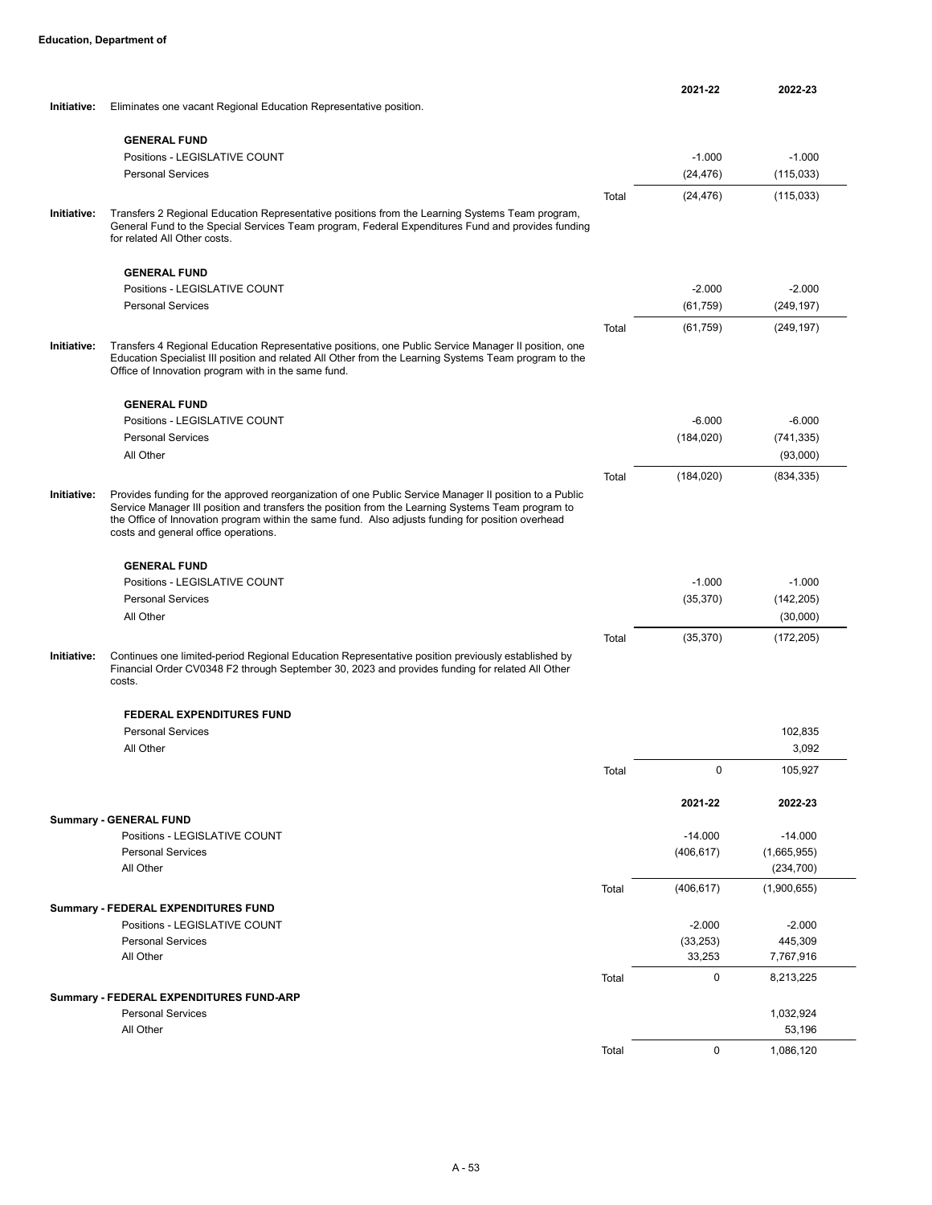2021-22 2022-23 GENERAL FUND Positions - LEGISLATIVE COUNT and the contract of the contract of the contract of the contract of the contract of the contract of the contract of the contract of the contract of the contract of the contract of the contract Personal Services (24,476) (115,033) Total (24,476) (115,033) Initiative: Eliminates one vacant Regional Education Representative position. GENERAL FUND Positions - LEGISLATIVE COUNT **All and Structure COUNT** -2.000 -2.000 -2.000 -2.000 -2.000 -2.000 -2.000 -2.000 Personal Services (61,759) (249,197) Total (61,759) (249,197) Initiative: Transfers 2 Regional Education Representative positions from the Learning Systems Team program, General Fund to the Special Services Team program, Federal Expenditures Fund and provides funding for related All Other costs. GENERAL FUND Positions - LEGISLATIVE COUNT  $-6.000$  -6.000  $-6.000$ Personal Services (184,020) (741,335) All Other (93,000) Total (184,020) (834,335) Initiative: Transfers 4 Regional Education Representative positions, one Public Service Manager II position, one Education Specialist III position and related All Other from the Learning Systems Team program to the Office of Innovation program with in the same fund. GENERAL FUND Positions - LEGISLATIVE COUNT and the contract of the contract of the contract of the contract of the contract of the contract of the contract of the contract of the contract of the contract of the contract of the contract Personal Services (35,370) (142,205) All Other (30,000) Total (35,370) (172,205) Initiative: Provides funding for the approved reorganization of one Public Service Manager II position to a Public Service Manager III position and transfers the position from the Learning Systems Team program to the Office of Innovation program within the same fund. Also adjusts funding for position overhead costs and general office operations. FEDERAL EXPENDITURES FUND Personal Services 202,835 All Other 3,092 Total 0 105,927 Initiative: Continues one limited-period Regional Education Representative position previously established by Financial Order CV0348 F2 through September 30, 2023 and provides funding for related All Other costs. 2021-22 2022-23 Summary - GENERAL FUND Positions - LEGISLATIVE COUNT And the state of the state of the state of the state of the state of the state of the state of the state of the state of the state of the state of the state of the state of the state of the st Personal Services (406,617) (1,665,955) All Other (234,700) Total (406,617) (1,900,655) Summary - FEDERAL EXPENDITURES FUND Positions - LEGISLATIVE COUNT And the state of the state of the state of the state of the state of the state of the state of the state of the state of the state of the state of the state of the state of the state of the st Personal Services (33,253) 445,309 All Other 33,253 7,767,916 Total 0 8,213,225 Summary - FEDERAL EXPENDITURES FUND-ARP

Personal Services 1,032,924

All Other 53,196

Total 0 1,086,120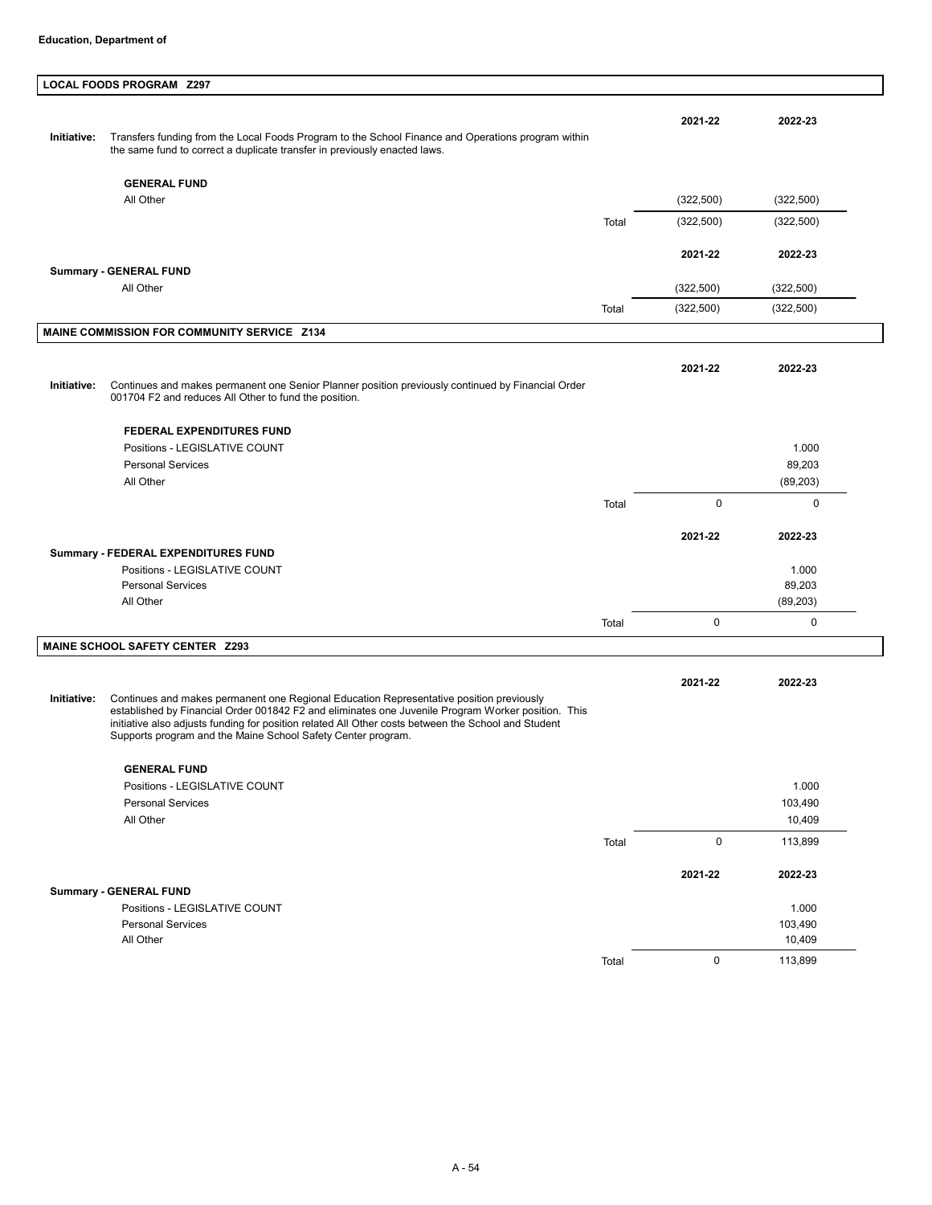|             | <b>LOCAL FOODS PROGRAM Z297</b>                                                                                                                                                                           |       |            |                  |  |
|-------------|-----------------------------------------------------------------------------------------------------------------------------------------------------------------------------------------------------------|-------|------------|------------------|--|
|             |                                                                                                                                                                                                           |       |            |                  |  |
|             |                                                                                                                                                                                                           |       | 2021-22    | 2022-23          |  |
| Initiative: | Transfers funding from the Local Foods Program to the School Finance and Operations program within<br>the same fund to correct a duplicate transfer in previously enacted laws.                           |       |            |                  |  |
|             |                                                                                                                                                                                                           |       |            |                  |  |
|             | <b>GENERAL FUND</b>                                                                                                                                                                                       |       |            |                  |  |
|             | All Other                                                                                                                                                                                                 |       | (322, 500) | (322, 500)       |  |
|             |                                                                                                                                                                                                           | Total | (322, 500) | (322, 500)       |  |
|             |                                                                                                                                                                                                           |       |            | 2022-23          |  |
|             | <b>Summary - GENERAL FUND</b>                                                                                                                                                                             |       | 2021-22    |                  |  |
|             | All Other                                                                                                                                                                                                 |       | (322, 500) | (322, 500)       |  |
|             |                                                                                                                                                                                                           | Total | (322, 500) | (322, 500)       |  |
|             | MAINE COMMISSION FOR COMMUNITY SERVICE Z134                                                                                                                                                               |       |            |                  |  |
|             |                                                                                                                                                                                                           |       |            |                  |  |
|             |                                                                                                                                                                                                           |       | 2021-22    | 2022-23          |  |
| Initiative: | Continues and makes permanent one Senior Planner position previously continued by Financial Order                                                                                                         |       |            |                  |  |
|             | 001704 F2 and reduces All Other to fund the position.                                                                                                                                                     |       |            |                  |  |
|             | <b>FEDERAL EXPENDITURES FUND</b>                                                                                                                                                                          |       |            |                  |  |
|             | Positions - LEGISLATIVE COUNT                                                                                                                                                                             |       |            | 1.000            |  |
|             | <b>Personal Services</b>                                                                                                                                                                                  |       |            | 89,203           |  |
|             | All Other                                                                                                                                                                                                 |       |            | (89, 203)        |  |
|             |                                                                                                                                                                                                           | Total | $\pmb{0}$  | $\mathbf 0$      |  |
|             |                                                                                                                                                                                                           |       |            |                  |  |
|             |                                                                                                                                                                                                           |       | 2021-22    | 2022-23          |  |
|             | Summary - FEDERAL EXPENDITURES FUND<br>Positions - LEGISLATIVE COUNT                                                                                                                                      |       |            | 1.000            |  |
|             | <b>Personal Services</b>                                                                                                                                                                                  |       |            | 89,203           |  |
|             | All Other                                                                                                                                                                                                 |       |            | (89, 203)        |  |
|             |                                                                                                                                                                                                           | Total | 0          | 0                |  |
|             | MAINE SCHOOL SAFETY CENTER Z293                                                                                                                                                                           |       |            |                  |  |
|             |                                                                                                                                                                                                           |       |            |                  |  |
|             |                                                                                                                                                                                                           |       | 2021-22    | 2022-23          |  |
| Initiative: | Continues and makes permanent one Regional Education Representative position previously                                                                                                                   |       |            |                  |  |
|             | established by Financial Order 001842 F2 and eliminates one Juvenile Program Worker position. This<br>initiative also adjusts funding for position related All Other costs between the School and Student |       |            |                  |  |
|             | Supports program and the Maine School Safety Center program.                                                                                                                                              |       |            |                  |  |
|             |                                                                                                                                                                                                           |       |            |                  |  |
|             | <b>GENERAL FUND</b>                                                                                                                                                                                       |       |            |                  |  |
|             | Positions - LEGISLATIVE COUNT<br><b>Personal Services</b>                                                                                                                                                 |       |            | 1.000<br>103,490 |  |
|             | All Other                                                                                                                                                                                                 |       |            | 10,409           |  |
|             |                                                                                                                                                                                                           |       |            |                  |  |
|             |                                                                                                                                                                                                           | Total | 0          | 113,899          |  |
|             |                                                                                                                                                                                                           |       | 2021-22    | 2022-23          |  |
|             | <b>Summary - GENERAL FUND</b>                                                                                                                                                                             |       |            |                  |  |
|             | Positions - LEGISLATIVE COUNT                                                                                                                                                                             |       |            | 1.000            |  |
|             | <b>Personal Services</b>                                                                                                                                                                                  |       |            | 103,490          |  |
|             | All Other                                                                                                                                                                                                 |       |            | 10,409           |  |
|             |                                                                                                                                                                                                           | Total | 0          | 113,899          |  |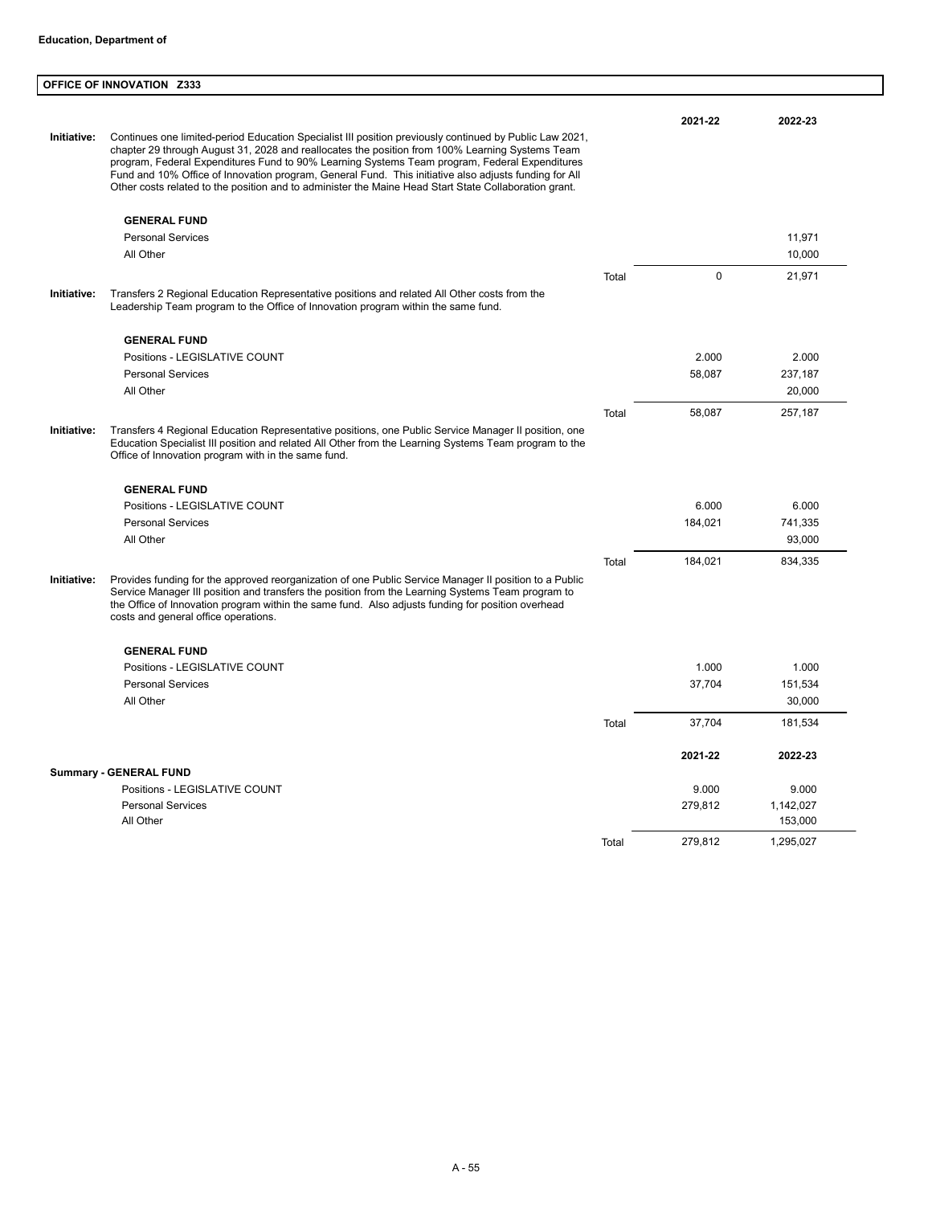| OFFICE OF INNOVATION Z333 |                                                                                                                                                                                                                                                                                                                                                                                                                                                                                                                               |       |          |           |
|---------------------------|-------------------------------------------------------------------------------------------------------------------------------------------------------------------------------------------------------------------------------------------------------------------------------------------------------------------------------------------------------------------------------------------------------------------------------------------------------------------------------------------------------------------------------|-------|----------|-----------|
|                           |                                                                                                                                                                                                                                                                                                                                                                                                                                                                                                                               |       | 2021-22  | 2022-23   |
| Initiative:               | Continues one limited-period Education Specialist III position previously continued by Public Law 2021,<br>chapter 29 through August 31, 2028 and reallocates the position from 100% Learning Systems Team<br>program, Federal Expenditures Fund to 90% Learning Systems Team program, Federal Expenditures<br>Fund and 10% Office of Innovation program, General Fund. This initiative also adjusts funding for All<br>Other costs related to the position and to administer the Maine Head Start State Collaboration grant. |       |          |           |
|                           | <b>GENERAL FUND</b>                                                                                                                                                                                                                                                                                                                                                                                                                                                                                                           |       |          |           |
|                           | <b>Personal Services</b>                                                                                                                                                                                                                                                                                                                                                                                                                                                                                                      |       |          | 11,971    |
|                           | All Other                                                                                                                                                                                                                                                                                                                                                                                                                                                                                                                     |       |          | 10,000    |
|                           |                                                                                                                                                                                                                                                                                                                                                                                                                                                                                                                               | Total | $\Omega$ | 21,971    |
| Initiative:               | Transfers 2 Regional Education Representative positions and related All Other costs from the<br>Leadership Team program to the Office of Innovation program within the same fund.                                                                                                                                                                                                                                                                                                                                             |       |          |           |
|                           | <b>GENERAL FUND</b>                                                                                                                                                                                                                                                                                                                                                                                                                                                                                                           |       |          |           |
|                           | Positions - LEGISLATIVE COUNT                                                                                                                                                                                                                                                                                                                                                                                                                                                                                                 |       | 2.000    | 2.000     |
|                           | <b>Personal Services</b>                                                                                                                                                                                                                                                                                                                                                                                                                                                                                                      |       | 58,087   | 237,187   |
|                           | All Other                                                                                                                                                                                                                                                                                                                                                                                                                                                                                                                     |       |          | 20,000    |
|                           |                                                                                                                                                                                                                                                                                                                                                                                                                                                                                                                               | Total | 58,087   | 257,187   |
| Initiative:               | Transfers 4 Regional Education Representative positions, one Public Service Manager II position, one<br>Education Specialist III position and related AII Other from the Learning Systems Team program to the<br>Office of Innovation program with in the same fund.                                                                                                                                                                                                                                                          |       |          |           |
|                           | <b>GENERAL FUND</b>                                                                                                                                                                                                                                                                                                                                                                                                                                                                                                           |       |          |           |
|                           | Positions - LEGISLATIVE COUNT                                                                                                                                                                                                                                                                                                                                                                                                                                                                                                 |       | 6.000    | 6.000     |
|                           | <b>Personal Services</b>                                                                                                                                                                                                                                                                                                                                                                                                                                                                                                      |       | 184,021  | 741,335   |
|                           | All Other                                                                                                                                                                                                                                                                                                                                                                                                                                                                                                                     |       |          | 93,000    |
|                           |                                                                                                                                                                                                                                                                                                                                                                                                                                                                                                                               | Total | 184,021  | 834,335   |
| Initiative:               | Provides funding for the approved reorganization of one Public Service Manager II position to a Public<br>Service Manager III position and transfers the position from the Learning Systems Team program to<br>the Office of Innovation program within the same fund. Also adjusts funding for position overhead<br>costs and general office operations.                                                                                                                                                                      |       |          |           |
|                           | <b>GENERAL FUND</b>                                                                                                                                                                                                                                                                                                                                                                                                                                                                                                           |       |          |           |
|                           | Positions - LEGISLATIVE COUNT                                                                                                                                                                                                                                                                                                                                                                                                                                                                                                 |       | 1.000    | 1.000     |
|                           | <b>Personal Services</b>                                                                                                                                                                                                                                                                                                                                                                                                                                                                                                      |       | 37,704   | 151,534   |
|                           | All Other                                                                                                                                                                                                                                                                                                                                                                                                                                                                                                                     |       |          | 30,000    |
|                           |                                                                                                                                                                                                                                                                                                                                                                                                                                                                                                                               | Total | 37,704   | 181,534   |
|                           |                                                                                                                                                                                                                                                                                                                                                                                                                                                                                                                               |       | 2021-22  | 2022-23   |
|                           | <b>Summary - GENERAL FUND</b>                                                                                                                                                                                                                                                                                                                                                                                                                                                                                                 |       |          |           |
|                           | Positions - LEGISLATIVE COUNT                                                                                                                                                                                                                                                                                                                                                                                                                                                                                                 |       | 9.000    | 9.000     |
|                           | <b>Personal Services</b>                                                                                                                                                                                                                                                                                                                                                                                                                                                                                                      |       | 279,812  | 1,142,027 |
|                           | All Other                                                                                                                                                                                                                                                                                                                                                                                                                                                                                                                     |       |          | 153,000   |
|                           |                                                                                                                                                                                                                                                                                                                                                                                                                                                                                                                               | Total | 279.812  | 1,295,027 |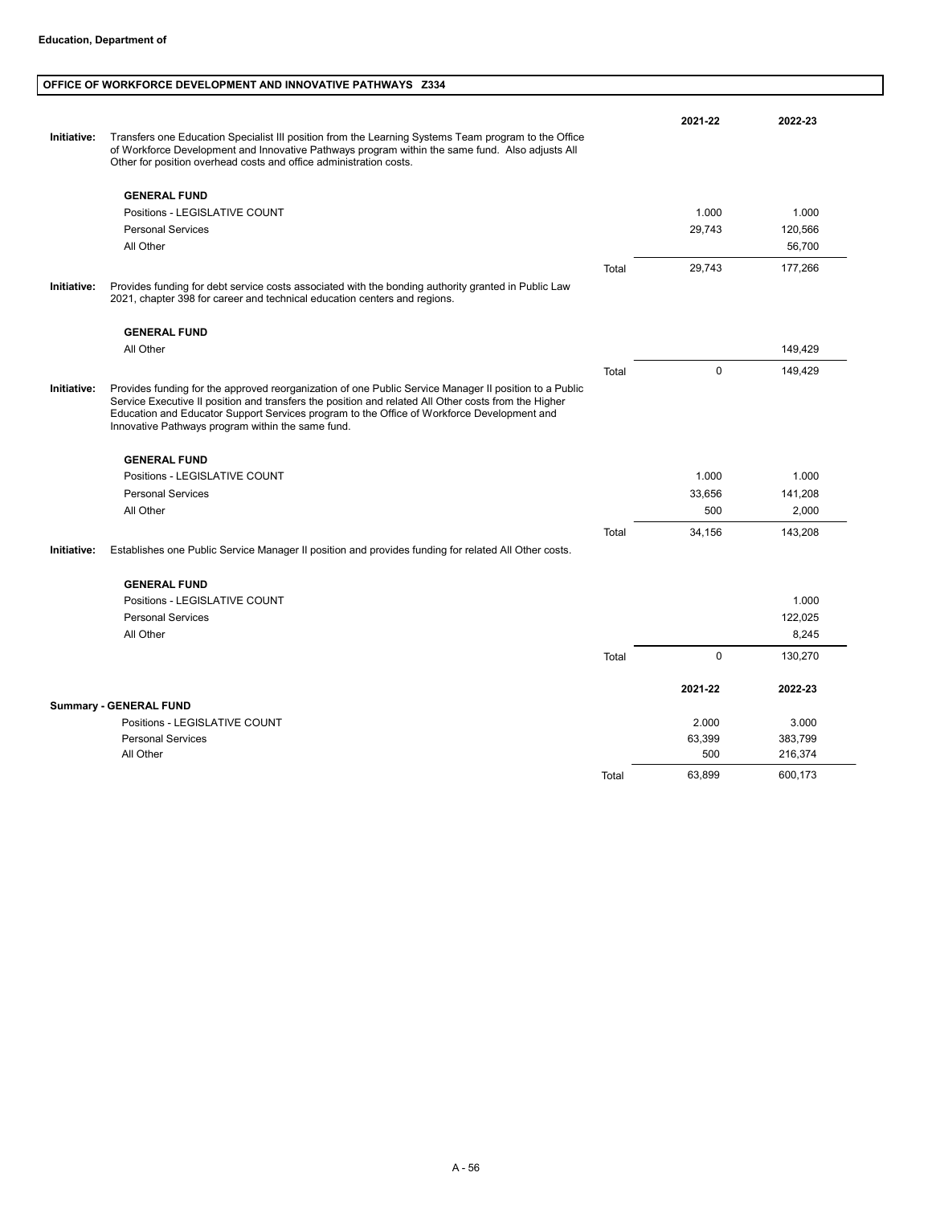|             | OFFICE OF WORKFORCE DEVELOPMENT AND INNOVATIVE PATHWAYS Z334                                                                                                                                                                                            |       |         |                  |
|-------------|---------------------------------------------------------------------------------------------------------------------------------------------------------------------------------------------------------------------------------------------------------|-------|---------|------------------|
| Initiative: | Transfers one Education Specialist III position from the Learning Systems Team program to the Office<br>of Workforce Development and Innovative Pathways program within the same fund. Also adjusts All                                                 |       | 2021-22 | 2022-23          |
|             | Other for position overhead costs and office administration costs.                                                                                                                                                                                      |       |         |                  |
|             | <b>GENERAL FUND</b>                                                                                                                                                                                                                                     |       |         |                  |
|             | Positions - LEGISLATIVE COUNT                                                                                                                                                                                                                           |       | 1.000   | 1.000            |
|             | <b>Personal Services</b>                                                                                                                                                                                                                                |       | 29,743  | 120,566          |
|             | All Other                                                                                                                                                                                                                                               |       |         | 56,700           |
|             |                                                                                                                                                                                                                                                         | Total | 29,743  | 177,266          |
| Initiative: | Provides funding for debt service costs associated with the bonding authority granted in Public Law<br>2021, chapter 398 for career and technical education centers and regions.                                                                        |       |         |                  |
|             | <b>GENERAL FUND</b>                                                                                                                                                                                                                                     |       |         |                  |
|             | All Other                                                                                                                                                                                                                                               |       |         | 149.429          |
|             |                                                                                                                                                                                                                                                         |       | 0       | 149,429          |
| Initiative: | Provides funding for the approved reorganization of one Public Service Manager II position to a Public                                                                                                                                                  | Total |         |                  |
|             | Service Executive II position and transfers the position and related All Other costs from the Higher<br>Education and Educator Support Services program to the Office of Workforce Development and<br>Innovative Pathways program within the same fund. |       |         |                  |
|             | <b>GENERAL FUND</b>                                                                                                                                                                                                                                     |       |         |                  |
|             | Positions - LEGISLATIVE COUNT                                                                                                                                                                                                                           |       | 1.000   | 1.000            |
|             | <b>Personal Services</b>                                                                                                                                                                                                                                |       | 33,656  | 141,208          |
|             | All Other                                                                                                                                                                                                                                               |       | 500     | 2,000            |
|             |                                                                                                                                                                                                                                                         | Total | 34,156  | 143,208          |
| Initiative: | Establishes one Public Service Manager II position and provides funding for related All Other costs.                                                                                                                                                    |       |         |                  |
|             |                                                                                                                                                                                                                                                         |       |         |                  |
|             | <b>GENERAL FUND</b>                                                                                                                                                                                                                                     |       |         |                  |
|             | Positions - LEGISLATIVE COUNT<br><b>Personal Services</b>                                                                                                                                                                                               |       |         | 1.000<br>122,025 |
|             | All Other                                                                                                                                                                                                                                               |       |         | 8,245            |
|             |                                                                                                                                                                                                                                                         |       |         |                  |
|             |                                                                                                                                                                                                                                                         | Total | 0       | 130,270          |
|             |                                                                                                                                                                                                                                                         |       | 2021-22 | 2022-23          |
|             | <b>Summary - GENERAL FUND</b>                                                                                                                                                                                                                           |       |         |                  |
|             | Positions - LEGISLATIVE COUNT                                                                                                                                                                                                                           |       | 2.000   | 3.000            |
|             | <b>Personal Services</b>                                                                                                                                                                                                                                |       | 63,399  | 383,799          |
|             | All Other                                                                                                                                                                                                                                               |       | 500     | 216,374          |
|             |                                                                                                                                                                                                                                                         | Total | 63.899  | 600.173          |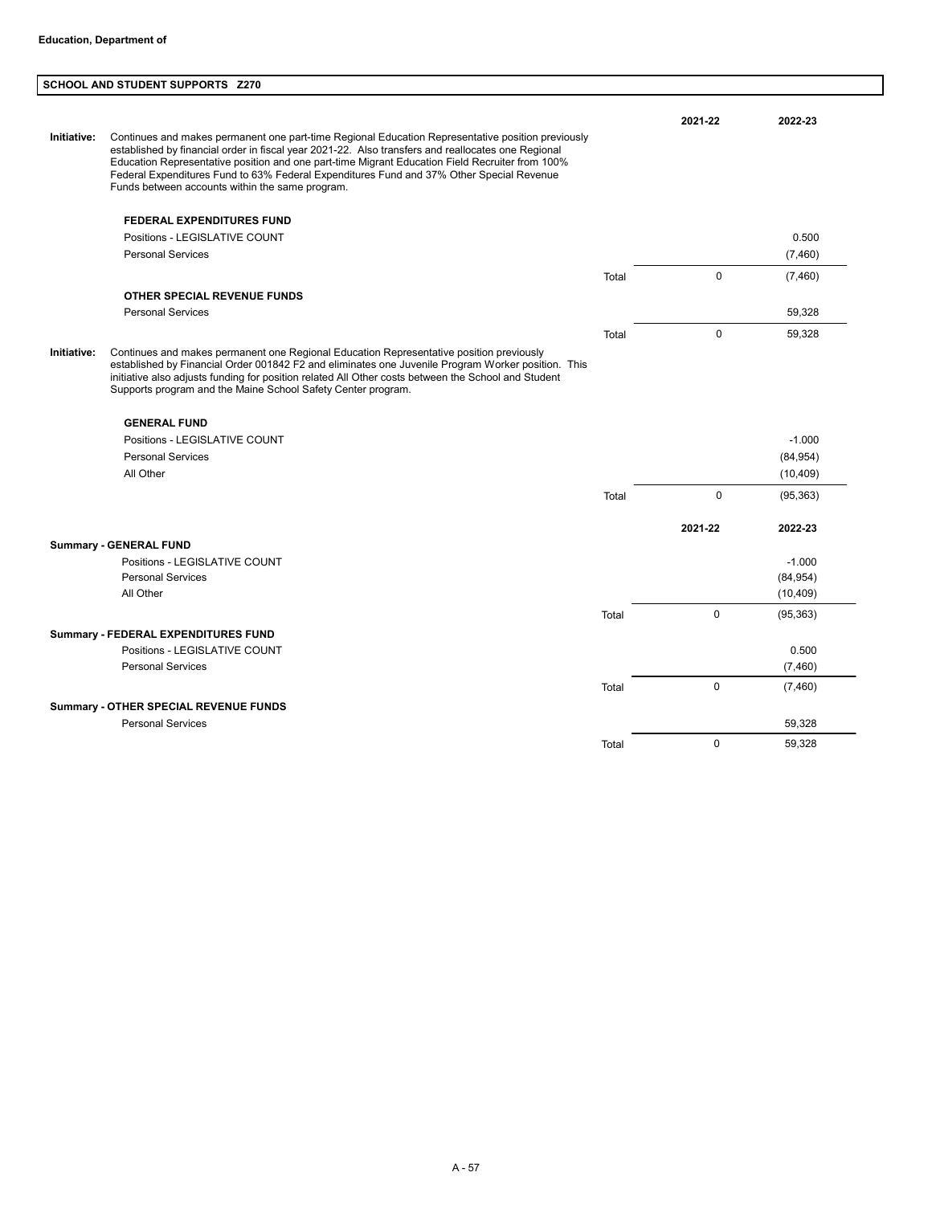| <b>SCHOOL AND STUDENT SUPPORTS Z270</b> |                                                                                                                                                                                                                                                                                                                                                      |       |              |                       |  |
|-----------------------------------------|------------------------------------------------------------------------------------------------------------------------------------------------------------------------------------------------------------------------------------------------------------------------------------------------------------------------------------------------------|-------|--------------|-----------------------|--|
| Initiative:                             | Continues and makes permanent one part-time Regional Education Representative position previously                                                                                                                                                                                                                                                    |       | 2021-22      | 2022-23               |  |
|                                         | established by financial order in fiscal year 2021-22. Also transfers and reallocates one Regional<br>Education Representative position and one part-time Migrant Education Field Recruiter from 100%<br>Federal Expenditures Fund to 63% Federal Expenditures Fund and 37% Other Special Revenue<br>Funds between accounts within the same program. |       |              |                       |  |
|                                         | <b>FEDERAL EXPENDITURES FUND</b>                                                                                                                                                                                                                                                                                                                     |       |              |                       |  |
|                                         | Positions - LEGISLATIVE COUNT                                                                                                                                                                                                                                                                                                                        |       |              | 0.500                 |  |
|                                         | <b>Personal Services</b>                                                                                                                                                                                                                                                                                                                             |       |              | (7,460)               |  |
|                                         |                                                                                                                                                                                                                                                                                                                                                      | Total | $\mathbf 0$  | (7,460)               |  |
|                                         | <b>OTHER SPECIAL REVENUE FUNDS</b>                                                                                                                                                                                                                                                                                                                   |       |              |                       |  |
|                                         | <b>Personal Services</b>                                                                                                                                                                                                                                                                                                                             |       |              | 59,328                |  |
|                                         |                                                                                                                                                                                                                                                                                                                                                      | Total | $\mathbf 0$  | 59,328                |  |
| Initiative:                             | Continues and makes permanent one Regional Education Representative position previously                                                                                                                                                                                                                                                              |       |              |                       |  |
|                                         | established by Financial Order 001842 F2 and eliminates one Juvenile Program Worker position. This<br>initiative also adjusts funding for position related All Other costs between the School and Student<br>Supports program and the Maine School Safety Center program.                                                                            |       |              |                       |  |
|                                         | <b>GENERAL FUND</b>                                                                                                                                                                                                                                                                                                                                  |       |              |                       |  |
|                                         | Positions - LEGISLATIVE COUNT                                                                                                                                                                                                                                                                                                                        |       |              | $-1.000$              |  |
|                                         | <b>Personal Services</b>                                                                                                                                                                                                                                                                                                                             |       |              | (84, 954)             |  |
|                                         | All Other                                                                                                                                                                                                                                                                                                                                            |       |              | (10, 409)             |  |
|                                         |                                                                                                                                                                                                                                                                                                                                                      | Total | 0            | (95, 363)             |  |
|                                         |                                                                                                                                                                                                                                                                                                                                                      |       | 2021-22      | 2022-23               |  |
|                                         | <b>Summary - GENERAL FUND</b>                                                                                                                                                                                                                                                                                                                        |       |              |                       |  |
|                                         | Positions - LEGISLATIVE COUNT<br><b>Personal Services</b>                                                                                                                                                                                                                                                                                            |       |              | $-1.000$<br>(84, 954) |  |
|                                         | All Other                                                                                                                                                                                                                                                                                                                                            |       |              | (10, 409)             |  |
|                                         |                                                                                                                                                                                                                                                                                                                                                      | Total | $\Omega$     | (95, 363)             |  |
|                                         | Summary - FEDERAL EXPENDITURES FUND                                                                                                                                                                                                                                                                                                                  |       |              |                       |  |
|                                         | Positions - LEGISLATIVE COUNT                                                                                                                                                                                                                                                                                                                        |       |              | 0.500                 |  |
|                                         | <b>Personal Services</b>                                                                                                                                                                                                                                                                                                                             |       |              | (7, 460)              |  |
|                                         |                                                                                                                                                                                                                                                                                                                                                      | Total | $\mathbf{0}$ | (7,460)               |  |
|                                         | <b>Summary - OTHER SPECIAL REVENUE FUNDS</b>                                                                                                                                                                                                                                                                                                         |       |              |                       |  |
|                                         | <b>Personal Services</b>                                                                                                                                                                                                                                                                                                                             |       |              | 59,328                |  |
|                                         |                                                                                                                                                                                                                                                                                                                                                      | Total | $\Omega$     | 59,328                |  |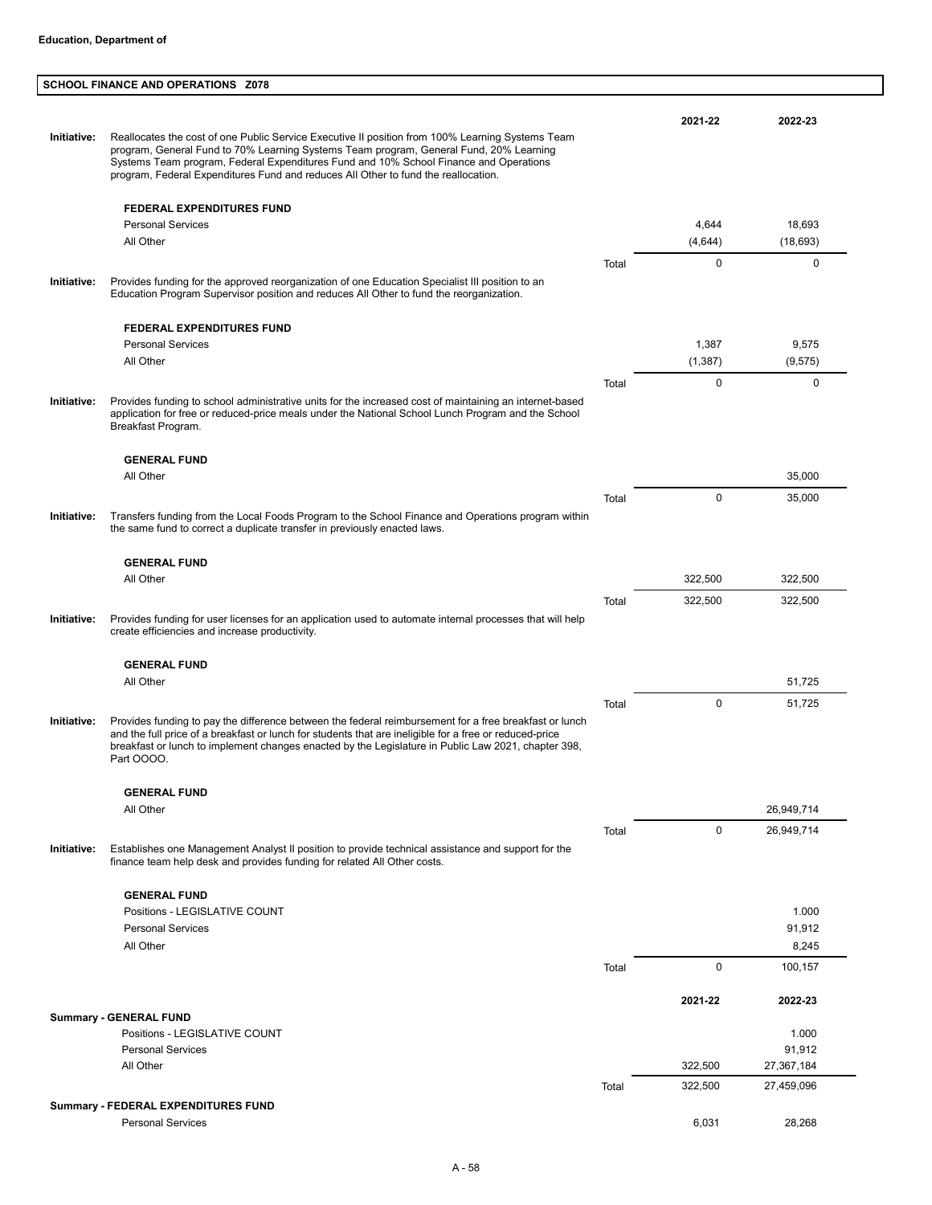|             | SCHOOL FINANCE AND OPERATIONS Z078                                                                                                                                                                                                                                                                                                                                        |       |          |                 |
|-------------|---------------------------------------------------------------------------------------------------------------------------------------------------------------------------------------------------------------------------------------------------------------------------------------------------------------------------------------------------------------------------|-------|----------|-----------------|
|             |                                                                                                                                                                                                                                                                                                                                                                           |       | 2021-22  | 2022-23         |
| Initiative: | Reallocates the cost of one Public Service Executive II position from 100% Learning Systems Team<br>program, General Fund to 70% Learning Systems Team program, General Fund, 20% Learning<br>Systems Team program, Federal Expenditures Fund and 10% School Finance and Operations<br>program, Federal Expenditures Fund and reduces All Other to fund the reallocation. |       |          |                 |
|             | <b>FEDERAL EXPENDITURES FUND</b>                                                                                                                                                                                                                                                                                                                                          |       |          |                 |
|             | <b>Personal Services</b>                                                                                                                                                                                                                                                                                                                                                  |       | 4,644    | 18,693          |
|             | All Other                                                                                                                                                                                                                                                                                                                                                                 |       | (4,644)  | (18, 693)       |
| Initiative: | Provides funding for the approved reorganization of one Education Specialist III position to an                                                                                                                                                                                                                                                                           | Total | 0        | $\mathbf 0$     |
|             | Education Program Supervisor position and reduces All Other to fund the reorganization.                                                                                                                                                                                                                                                                                   |       |          |                 |
|             | <b>FEDERAL EXPENDITURES FUND</b>                                                                                                                                                                                                                                                                                                                                          |       |          |                 |
|             | <b>Personal Services</b>                                                                                                                                                                                                                                                                                                                                                  |       | 1,387    | 9,575           |
|             | All Other                                                                                                                                                                                                                                                                                                                                                                 |       | (1, 387) | (9, 575)        |
|             |                                                                                                                                                                                                                                                                                                                                                                           | Total | 0        | $\mathbf 0$     |
| Initiative: | Provides funding to school administrative units for the increased cost of maintaining an internet-based<br>application for free or reduced-price meals under the National School Lunch Program and the School<br>Breakfast Program.                                                                                                                                       |       |          |                 |
|             | <b>GENERAL FUND</b>                                                                                                                                                                                                                                                                                                                                                       |       |          |                 |
|             | All Other                                                                                                                                                                                                                                                                                                                                                                 |       |          | 35,000          |
|             |                                                                                                                                                                                                                                                                                                                                                                           | Total | 0        | 35,000          |
| Initiative: | Transfers funding from the Local Foods Program to the School Finance and Operations program within<br>the same fund to correct a duplicate transfer in previously enacted laws.                                                                                                                                                                                           |       |          |                 |
|             | <b>GENERAL FUND</b>                                                                                                                                                                                                                                                                                                                                                       |       |          |                 |
|             | All Other                                                                                                                                                                                                                                                                                                                                                                 |       | 322,500  | 322,500         |
|             |                                                                                                                                                                                                                                                                                                                                                                           | Total | 322,500  | 322,500         |
| Initiative: | Provides funding for user licenses for an application used to automate internal processes that will help<br>create efficiencies and increase productivity.                                                                                                                                                                                                                |       |          |                 |
|             | <b>GENERAL FUND</b>                                                                                                                                                                                                                                                                                                                                                       |       |          |                 |
|             | All Other                                                                                                                                                                                                                                                                                                                                                                 |       |          | 51,725          |
|             |                                                                                                                                                                                                                                                                                                                                                                           | Total | 0        | 51,725          |
| Initiative: | Provides funding to pay the difference between the federal reimbursement for a free breakfast or lunch<br>and the full price of a breakfast or lunch for students that are ineligible for a free or reduced-price<br>breakfast or lunch to implement changes enacted by the Legislature in Public Law 2021, chapter 398,<br>Part 0000.                                    |       |          |                 |
|             | <b>GENERAL FUND</b>                                                                                                                                                                                                                                                                                                                                                       |       |          |                 |
|             | All Other                                                                                                                                                                                                                                                                                                                                                                 |       |          | 26,949,714      |
| Initiative: | Establishes one Management Analyst II position to provide technical assistance and support for the<br>finance team help desk and provides funding for related All Other costs.                                                                                                                                                                                            | Total | 0        | 26,949,714      |
|             | <b>GENERAL FUND</b>                                                                                                                                                                                                                                                                                                                                                       |       |          |                 |
|             | Positions - LEGISLATIVE COUNT                                                                                                                                                                                                                                                                                                                                             |       |          | 1.000           |
|             | <b>Personal Services</b>                                                                                                                                                                                                                                                                                                                                                  |       |          | 91,912          |
|             | All Other                                                                                                                                                                                                                                                                                                                                                                 |       |          | 8,245           |
|             |                                                                                                                                                                                                                                                                                                                                                                           |       | 0        |                 |
|             |                                                                                                                                                                                                                                                                                                                                                                           | Total |          | 100,157         |
|             |                                                                                                                                                                                                                                                                                                                                                                           |       | 2021-22  | 2022-23         |
|             | <b>Summary - GENERAL FUND</b>                                                                                                                                                                                                                                                                                                                                             |       |          |                 |
|             | Positions - LEGISLATIVE COUNT<br><b>Personal Services</b>                                                                                                                                                                                                                                                                                                                 |       |          | 1.000<br>91,912 |
|             | All Other                                                                                                                                                                                                                                                                                                                                                                 |       | 322,500  | 27,367,184      |
|             |                                                                                                                                                                                                                                                                                                                                                                           | Total | 322,500  | 27,459,096      |
|             |                                                                                                                                                                                                                                                                                                                                                                           |       |          |                 |
|             | Summary - FEDERAL EXPENDITURES FUND<br><b>Personal Services</b>                                                                                                                                                                                                                                                                                                           |       | 6,031    | 28,268          |
|             |                                                                                                                                                                                                                                                                                                                                                                           |       |          |                 |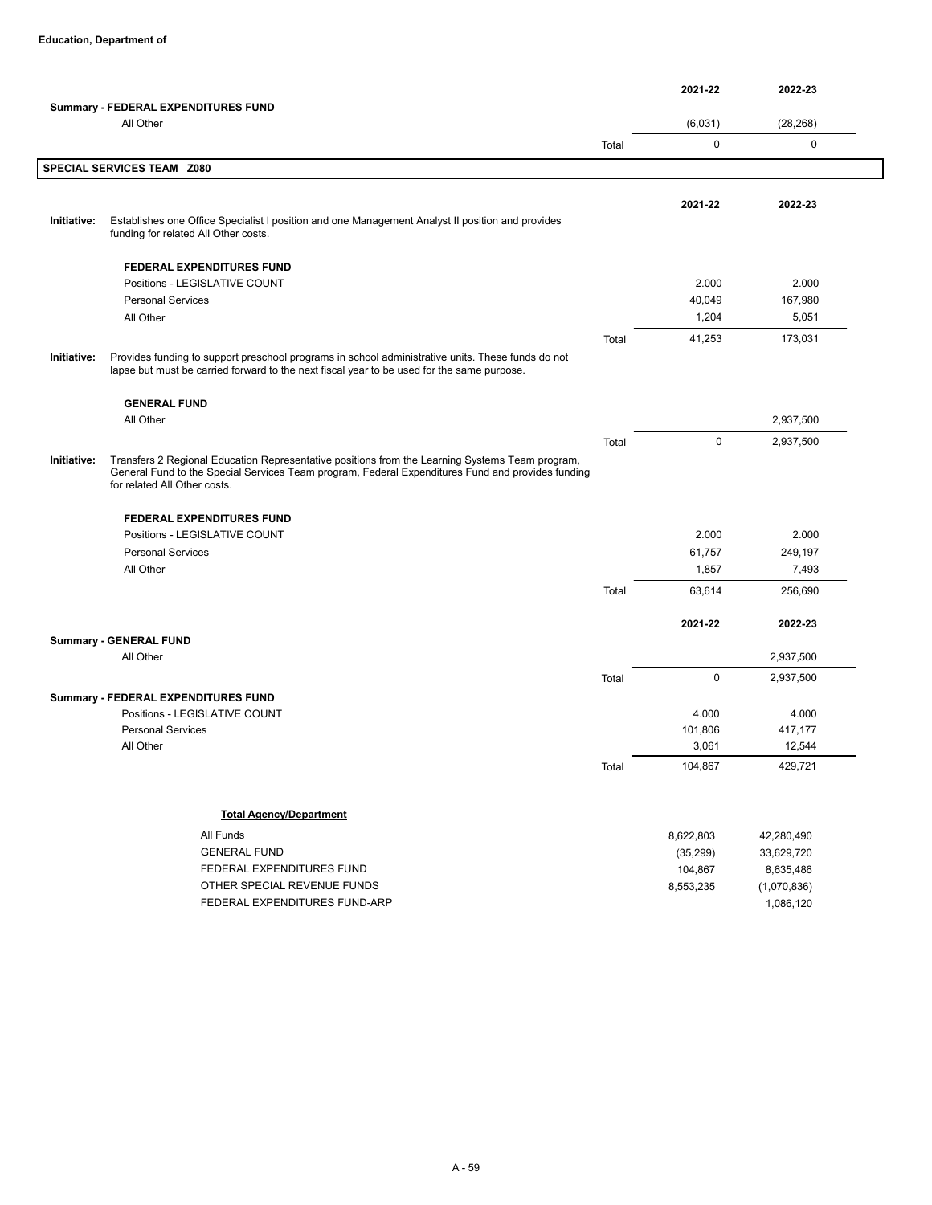|             |                                                                                                                                                                                                                                      |       | 2021-22              | 2022-23                 |  |
|-------------|--------------------------------------------------------------------------------------------------------------------------------------------------------------------------------------------------------------------------------------|-------|----------------------|-------------------------|--|
|             | Summary - FEDERAL EXPENDITURES FUND<br>All Other                                                                                                                                                                                     |       | (6,031)              | (28, 268)               |  |
|             |                                                                                                                                                                                                                                      | Total | $\pmb{0}$            | 0                       |  |
|             | SPECIAL SERVICES TEAM Z080                                                                                                                                                                                                           |       |                      |                         |  |
|             |                                                                                                                                                                                                                                      |       |                      |                         |  |
| Initiative: | Establishes one Office Specialist I position and one Management Analyst II position and provides<br>funding for related All Other costs.                                                                                             |       | 2021-22              | 2022-23                 |  |
|             | <b>FEDERAL EXPENDITURES FUND</b>                                                                                                                                                                                                     |       |                      |                         |  |
|             | Positions - LEGISLATIVE COUNT                                                                                                                                                                                                        |       | 2.000                | 2.000                   |  |
|             | <b>Personal Services</b>                                                                                                                                                                                                             |       | 40,049               | 167,980                 |  |
|             | All Other                                                                                                                                                                                                                            |       | 1,204                | 5,051                   |  |
|             |                                                                                                                                                                                                                                      | Total | 41,253               | 173,031                 |  |
| Initiative: | Provides funding to support preschool programs in school administrative units. These funds do not<br>lapse but must be carried forward to the next fiscal year to be used for the same purpose.                                      |       |                      |                         |  |
|             | <b>GENERAL FUND</b>                                                                                                                                                                                                                  |       |                      |                         |  |
|             | All Other                                                                                                                                                                                                                            |       |                      | 2,937,500               |  |
|             |                                                                                                                                                                                                                                      | Total | $\pmb{0}$            | 2,937,500               |  |
| Initiative: | Transfers 2 Regional Education Representative positions from the Learning Systems Team program,<br>General Fund to the Special Services Team program, Federal Expenditures Fund and provides funding<br>for related All Other costs. |       |                      |                         |  |
|             | <b>FEDERAL EXPENDITURES FUND</b>                                                                                                                                                                                                     |       |                      |                         |  |
|             | Positions - LEGISLATIVE COUNT                                                                                                                                                                                                        |       | 2.000                | 2.000                   |  |
|             | <b>Personal Services</b>                                                                                                                                                                                                             |       | 61,757               | 249,197                 |  |
|             | All Other                                                                                                                                                                                                                            |       | 1,857                | 7,493                   |  |
|             |                                                                                                                                                                                                                                      | Total | 63,614               | 256,690                 |  |
|             |                                                                                                                                                                                                                                      |       | 2021-22              | 2022-23                 |  |
|             | <b>Summary - GENERAL FUND</b>                                                                                                                                                                                                        |       |                      |                         |  |
|             | All Other                                                                                                                                                                                                                            |       |                      | 2,937,500               |  |
|             |                                                                                                                                                                                                                                      | Total | 0                    | 2,937,500               |  |
|             | Summary - FEDERAL EXPENDITURES FUND                                                                                                                                                                                                  |       |                      |                         |  |
|             | Positions - LEGISLATIVE COUNT                                                                                                                                                                                                        |       | 4.000                | 4.000                   |  |
|             | <b>Personal Services</b>                                                                                                                                                                                                             |       | 101,806              | 417,177                 |  |
|             | All Other                                                                                                                                                                                                                            |       | 3,061                | 12,544                  |  |
|             |                                                                                                                                                                                                                                      | Total | 104,867              | 429,721                 |  |
|             | <b>Total Agency/Department</b>                                                                                                                                                                                                       |       |                      |                         |  |
|             | All Funds                                                                                                                                                                                                                            |       |                      |                         |  |
|             | <b>GENERAL FUND</b>                                                                                                                                                                                                                  |       | 8,622,803            | 42,280,490              |  |
|             | FEDERAL EXPENDITURES FUND                                                                                                                                                                                                            |       | (35, 299)<br>104,867 | 33,629,720<br>8,635,486 |  |
|             | OTHER SPECIAL REVENUE FUNDS                                                                                                                                                                                                          |       | 8,553,235            | (1,070,836)             |  |
|             | FEDERAL EXPENDITURES FUND-ARP                                                                                                                                                                                                        |       |                      | 1,086,120               |  |
|             |                                                                                                                                                                                                                                      |       |                      |                         |  |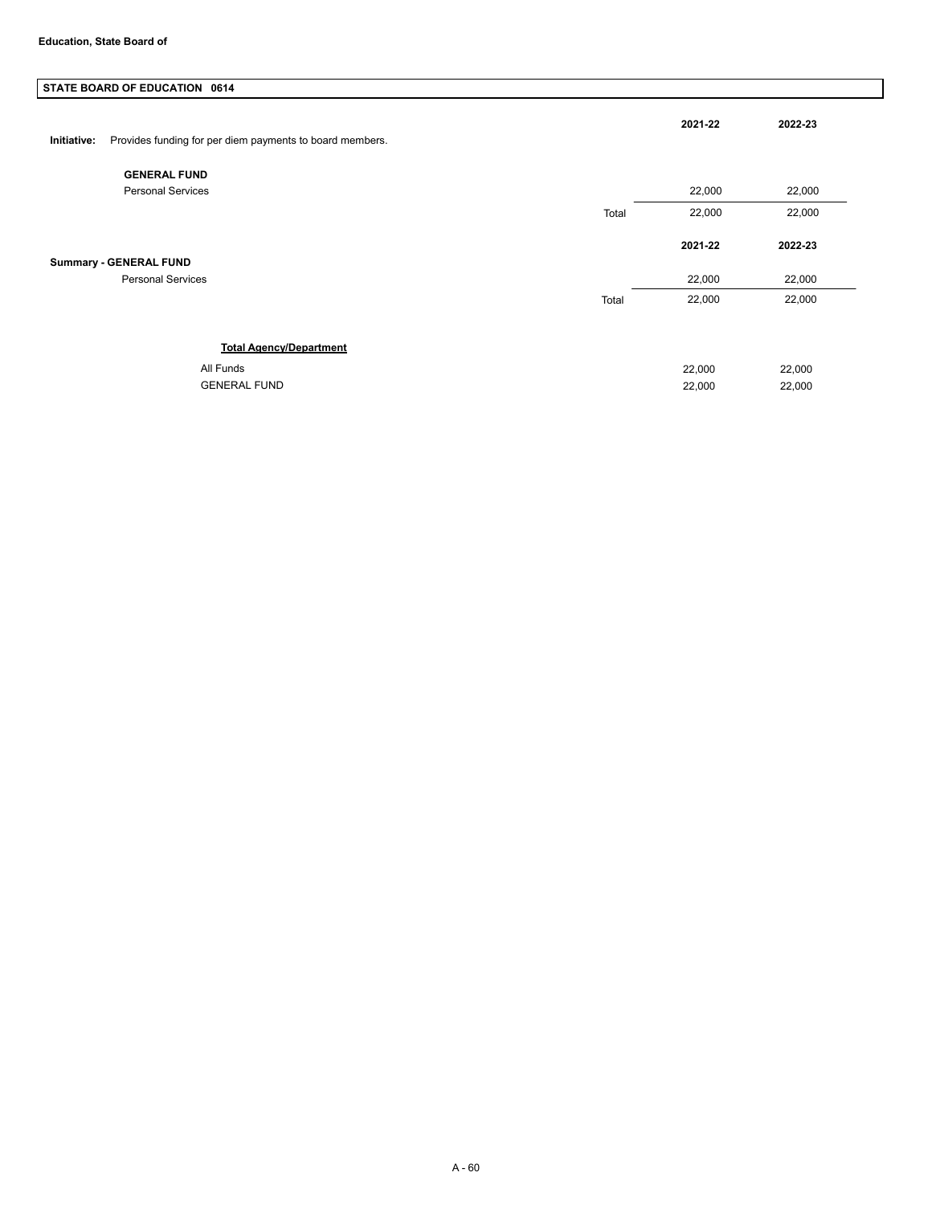|             | STATE BOARD OF EDUCATION 0614                            |       |         |         |
|-------------|----------------------------------------------------------|-------|---------|---------|
| Initiative: | Provides funding for per diem payments to board members. |       | 2021-22 | 2022-23 |
|             | <b>GENERAL FUND</b><br><b>Personal Services</b>          |       | 22,000  | 22,000  |
|             |                                                          | Total | 22,000  | 22,000  |
|             | <b>Summary - GENERAL FUND</b>                            |       | 2021-22 | 2022-23 |
|             | <b>Personal Services</b>                                 |       | 22,000  | 22,000  |
|             |                                                          | Total | 22,000  | 22,000  |
|             |                                                          |       |         |         |
|             | <b>Total Agency/Department</b>                           |       |         |         |
|             | All Funds                                                |       | 22,000  | 22,000  |
|             | <b>GENERAL FUND</b>                                      |       | 22,000  | 22,000  |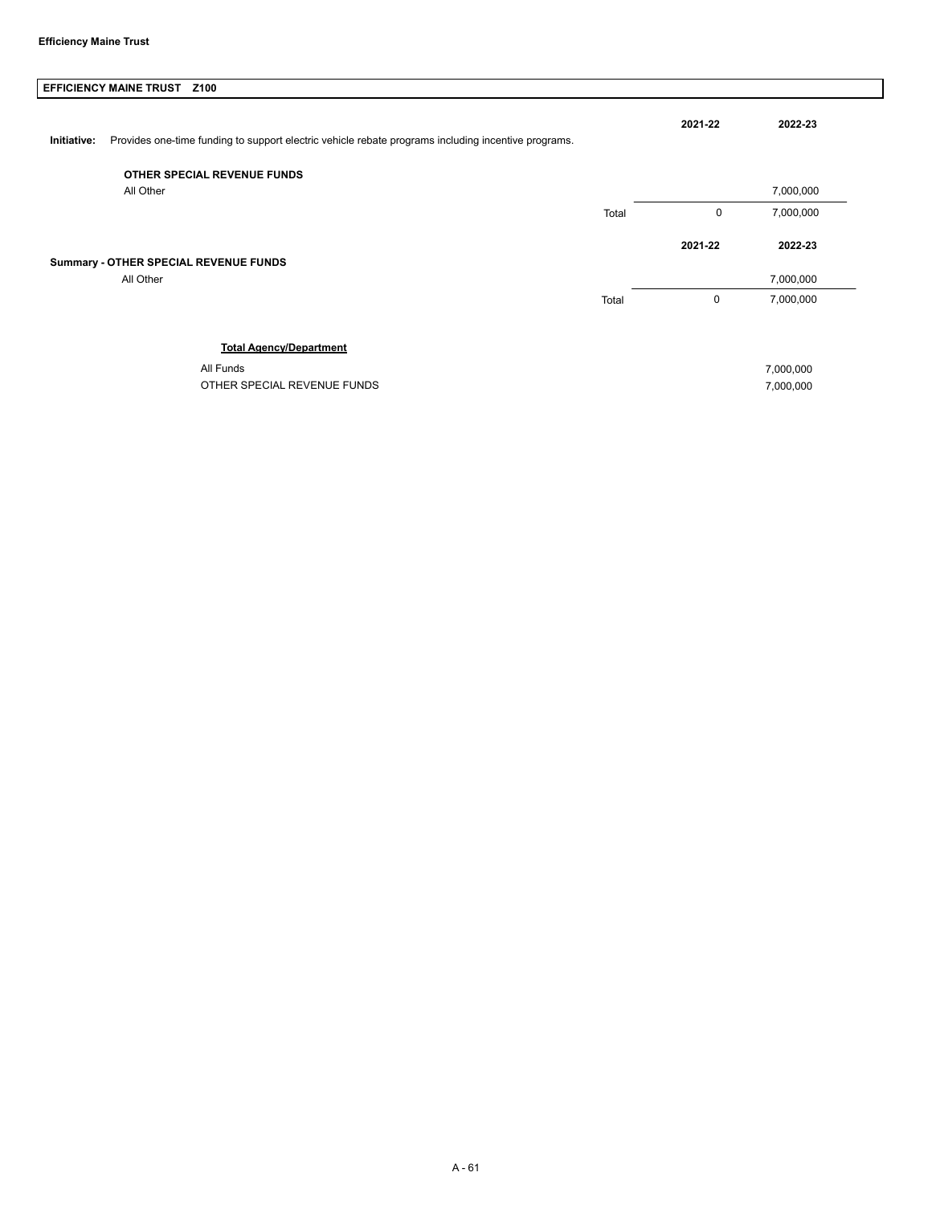|             | EFFICIENCY MAINE TRUST Z100                                                                         |       |         |           |  |
|-------------|-----------------------------------------------------------------------------------------------------|-------|---------|-----------|--|
| Initiative: | Provides one-time funding to support electric vehicle rebate programs including incentive programs. |       | 2021-22 | 2022-23   |  |
|             | OTHER SPECIAL REVENUE FUNDS                                                                         |       |         |           |  |
|             | All Other                                                                                           |       |         | 7,000,000 |  |
|             |                                                                                                     | Total | 0       | 7,000,000 |  |
|             | Summary - OTHER SPECIAL REVENUE FUNDS                                                               |       | 2021-22 | 2022-23   |  |
|             | All Other                                                                                           |       |         | 7,000,000 |  |
|             |                                                                                                     | Total | 0       | 7,000,000 |  |
|             | <b>Total Agency/Department</b>                                                                      |       |         |           |  |

All Funds 7,000,000 OTHER SPECIAL REVENUE FUNDS **7,000,000**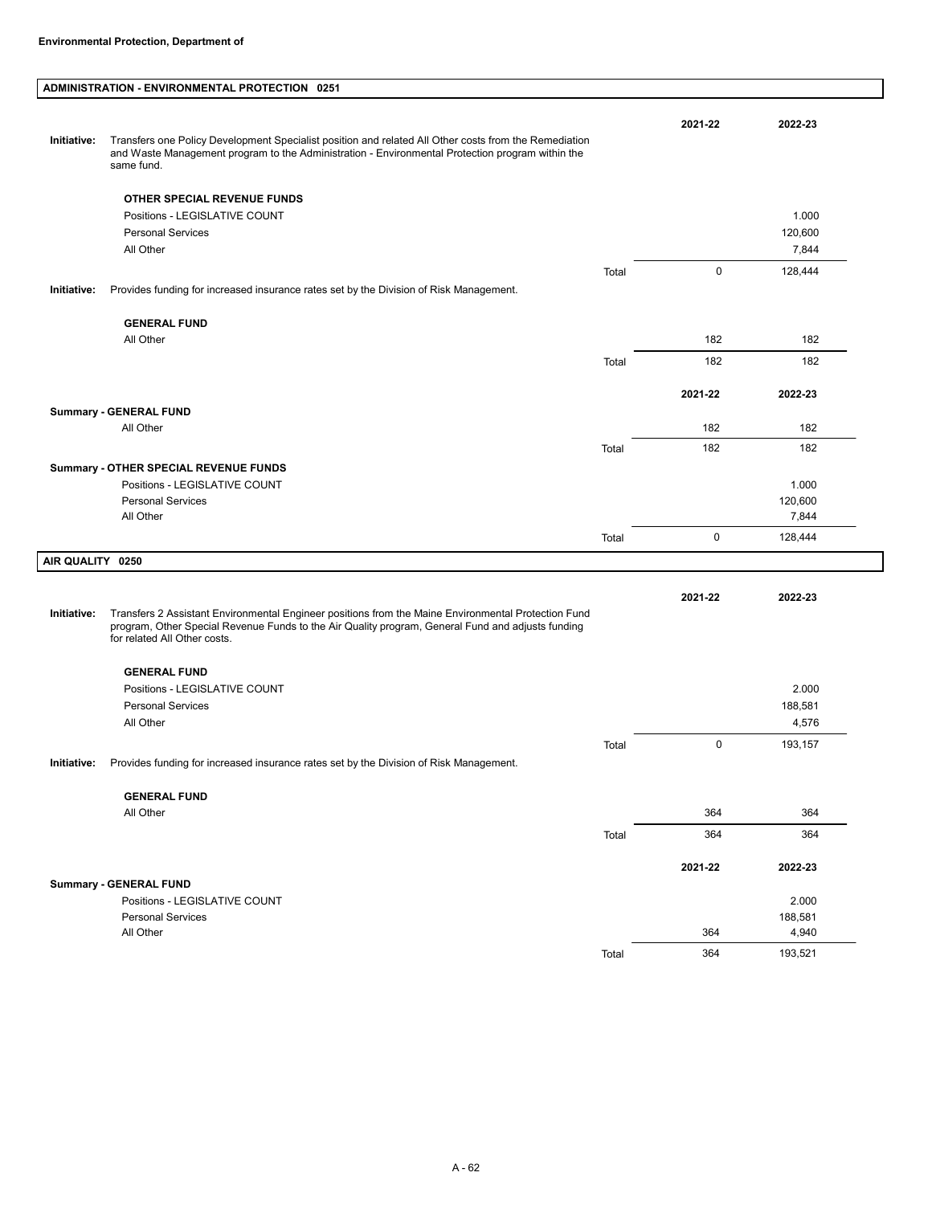|                  | ADMINISTRATION - ENVIRONMENTAL PROTECTION 0251                                                                                                                                                                                           |       |         |                  |
|------------------|------------------------------------------------------------------------------------------------------------------------------------------------------------------------------------------------------------------------------------------|-------|---------|------------------|
|                  |                                                                                                                                                                                                                                          |       |         |                  |
| Initiative:      | Transfers one Policy Development Specialist position and related All Other costs from the Remediation<br>and Waste Management program to the Administration - Environmental Protection program within the                                |       | 2021-22 | 2022-23          |
|                  | same fund.                                                                                                                                                                                                                               |       |         |                  |
|                  | OTHER SPECIAL REVENUE FUNDS                                                                                                                                                                                                              |       |         |                  |
|                  | Positions - LEGISLATIVE COUNT                                                                                                                                                                                                            |       |         | 1.000            |
|                  | <b>Personal Services</b>                                                                                                                                                                                                                 |       |         | 120,600          |
|                  | All Other                                                                                                                                                                                                                                |       |         | 7,844            |
|                  |                                                                                                                                                                                                                                          | Total | 0       | 128,444          |
| Initiative:      | Provides funding for increased insurance rates set by the Division of Risk Management.                                                                                                                                                   |       |         |                  |
|                  | <b>GENERAL FUND</b>                                                                                                                                                                                                                      |       |         |                  |
|                  | All Other                                                                                                                                                                                                                                |       | 182     | 182              |
|                  |                                                                                                                                                                                                                                          | Total | 182     | 182              |
|                  |                                                                                                                                                                                                                                          |       |         |                  |
|                  |                                                                                                                                                                                                                                          |       | 2021-22 | 2022-23          |
|                  | <b>Summary - GENERAL FUND</b>                                                                                                                                                                                                            |       |         |                  |
|                  | All Other                                                                                                                                                                                                                                |       | 182     | 182              |
|                  |                                                                                                                                                                                                                                          | Total | 182     | 182              |
|                  | Summary - OTHER SPECIAL REVENUE FUNDS                                                                                                                                                                                                    |       |         |                  |
|                  | Positions - LEGISLATIVE COUNT                                                                                                                                                                                                            |       |         | 1.000            |
|                  | <b>Personal Services</b>                                                                                                                                                                                                                 |       |         | 120,600<br>7,844 |
|                  | All Other                                                                                                                                                                                                                                | Total | 0       | 128,444          |
|                  |                                                                                                                                                                                                                                          |       |         |                  |
| AIR QUALITY 0250 |                                                                                                                                                                                                                                          |       |         |                  |
|                  |                                                                                                                                                                                                                                          |       | 2021-22 | 2022-23          |
| Initiative:      | Transfers 2 Assistant Environmental Engineer positions from the Maine Environmental Protection Fund<br>program, Other Special Revenue Funds to the Air Quality program, General Fund and adjusts funding<br>for related All Other costs. |       |         |                  |
|                  | <b>GENERAL FUND</b>                                                                                                                                                                                                                      |       |         |                  |
|                  | Positions - LEGISLATIVE COUNT                                                                                                                                                                                                            |       |         | 2.000            |
|                  | <b>Personal Services</b>                                                                                                                                                                                                                 |       |         | 188,581          |
|                  | All Other                                                                                                                                                                                                                                |       |         | 4,576            |
|                  |                                                                                                                                                                                                                                          | Total | 0       | 193,157          |
| Initiative:      | Provides funding for increased insurance rates set by the Division of Risk Management.                                                                                                                                                   |       |         |                  |
|                  | <b>GENERAL FUND</b>                                                                                                                                                                                                                      |       |         |                  |
|                  | All Other                                                                                                                                                                                                                                |       | 364     | 364              |
|                  |                                                                                                                                                                                                                                          | Total | 364     | 364              |
|                  |                                                                                                                                                                                                                                          |       | 2021-22 | 2022-23          |
|                  | <b>Summary - GENERAL FUND</b>                                                                                                                                                                                                            |       |         |                  |
|                  | Positions - LEGISLATIVE COUNT                                                                                                                                                                                                            |       |         | 2.000            |
|                  | <b>Personal Services</b>                                                                                                                                                                                                                 |       |         | 188,581          |
|                  | All Other                                                                                                                                                                                                                                |       | 364     | 4,940            |
|                  |                                                                                                                                                                                                                                          | Total | 364     | 193,521          |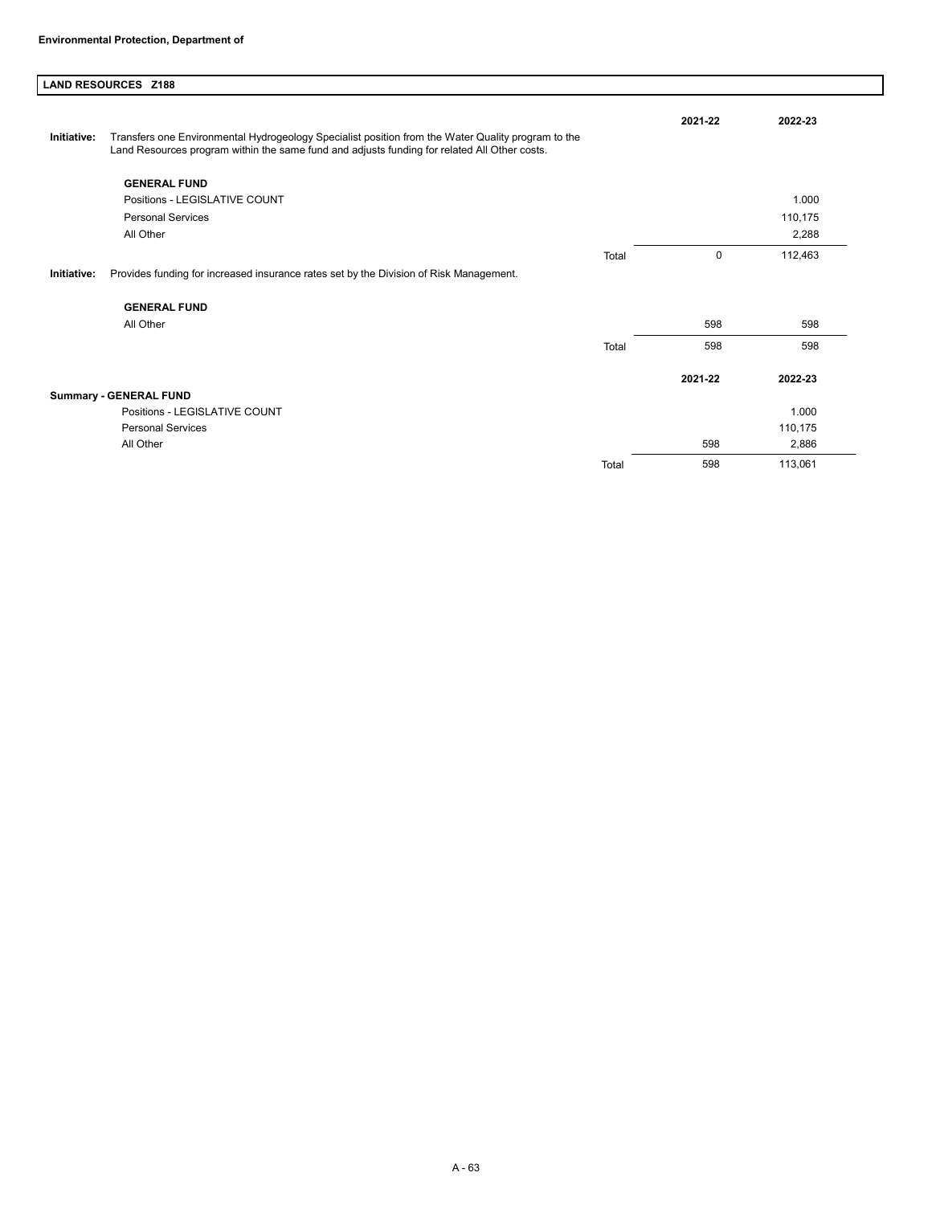|             | <b>LAND RESOURCES Z188</b>                                                                                                                                                                         |       |         |         |
|-------------|----------------------------------------------------------------------------------------------------------------------------------------------------------------------------------------------------|-------|---------|---------|
| Initiative: | Transfers one Environmental Hydrogeology Specialist position from the Water Quality program to the<br>Land Resources program within the same fund and adjusts funding for related All Other costs. |       | 2021-22 | 2022-23 |
|             | <b>GENERAL FUND</b>                                                                                                                                                                                |       |         |         |
|             | Positions - LEGISLATIVE COUNT                                                                                                                                                                      |       |         | 1.000   |
|             | <b>Personal Services</b>                                                                                                                                                                           |       |         | 110,175 |
|             | All Other                                                                                                                                                                                          |       |         | 2,288   |
|             |                                                                                                                                                                                                    | Total | 0       | 112,463 |
| Initiative: | Provides funding for increased insurance rates set by the Division of Risk Management.                                                                                                             |       |         |         |
|             | <b>GENERAL FUND</b>                                                                                                                                                                                |       |         |         |
|             | All Other                                                                                                                                                                                          |       | 598     | 598     |
|             |                                                                                                                                                                                                    | Total | 598     | 598     |
|             |                                                                                                                                                                                                    |       | 2021-22 | 2022-23 |
|             | <b>Summary - GENERAL FUND</b>                                                                                                                                                                      |       |         |         |
|             | Positions - LEGISLATIVE COUNT                                                                                                                                                                      |       |         | 1.000   |
|             | <b>Personal Services</b>                                                                                                                                                                           |       |         | 110,175 |
|             | All Other                                                                                                                                                                                          |       | 598     | 2,886   |
|             |                                                                                                                                                                                                    | Total | 598     | 113,061 |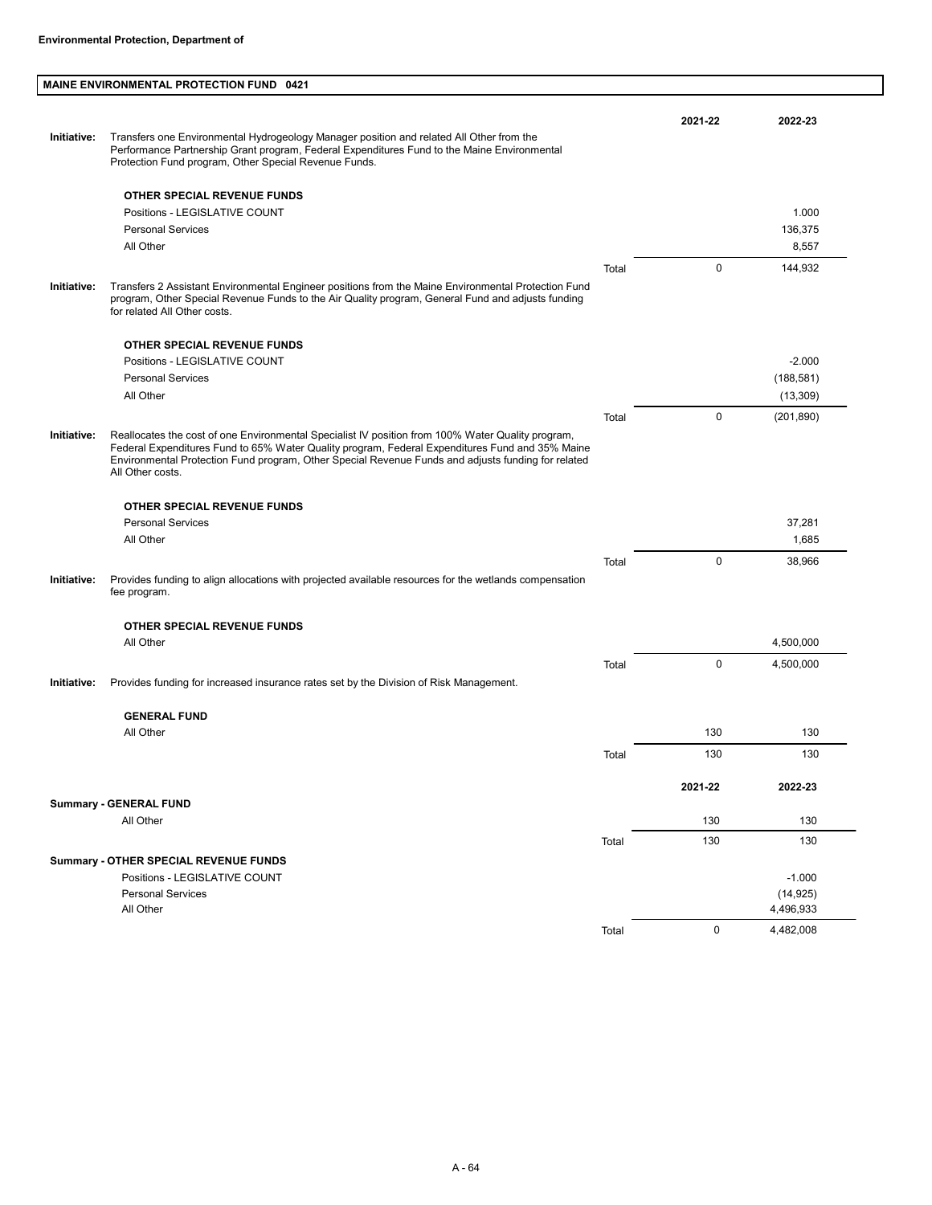|             | <b>MAINE ENVIRONMENTAL PROTECTION FUND 0421</b>                                                                                                                                                                                                                                                                                |       |             |            |
|-------------|--------------------------------------------------------------------------------------------------------------------------------------------------------------------------------------------------------------------------------------------------------------------------------------------------------------------------------|-------|-------------|------------|
|             |                                                                                                                                                                                                                                                                                                                                |       |             |            |
| Initiative: | Transfers one Environmental Hydrogeology Manager position and related All Other from the<br>Performance Partnership Grant program, Federal Expenditures Fund to the Maine Environmental<br>Protection Fund program, Other Special Revenue Funds.                                                                               |       | 2021-22     | 2022-23    |
|             | OTHER SPECIAL REVENUE FUNDS                                                                                                                                                                                                                                                                                                    |       |             |            |
|             | Positions - LEGISLATIVE COUNT                                                                                                                                                                                                                                                                                                  |       |             | 1.000      |
|             | <b>Personal Services</b>                                                                                                                                                                                                                                                                                                       |       |             | 136,375    |
|             | All Other                                                                                                                                                                                                                                                                                                                      |       |             | 8,557      |
|             |                                                                                                                                                                                                                                                                                                                                | Total | $\mathbf 0$ | 144,932    |
| Initiative: | Transfers 2 Assistant Environmental Engineer positions from the Maine Environmental Protection Fund<br>program, Other Special Revenue Funds to the Air Quality program, General Fund and adjusts funding<br>for related All Other costs.                                                                                       |       |             |            |
|             | OTHER SPECIAL REVENUE FUNDS                                                                                                                                                                                                                                                                                                    |       |             |            |
|             | Positions - LEGISLATIVE COUNT                                                                                                                                                                                                                                                                                                  |       |             | $-2.000$   |
|             | <b>Personal Services</b>                                                                                                                                                                                                                                                                                                       |       |             | (188, 581) |
|             | All Other                                                                                                                                                                                                                                                                                                                      |       |             | (13,309)   |
|             |                                                                                                                                                                                                                                                                                                                                | Total | 0           | (201, 890) |
| Initiative: | Reallocates the cost of one Environmental Specialist IV position from 100% Water Quality program,<br>Federal Expenditures Fund to 65% Water Quality program, Federal Expenditures Fund and 35% Maine<br>Environmental Protection Fund program, Other Special Revenue Funds and adjusts funding for related<br>All Other costs. |       |             |            |
|             | OTHER SPECIAL REVENUE FUNDS                                                                                                                                                                                                                                                                                                    |       |             |            |
|             | <b>Personal Services</b>                                                                                                                                                                                                                                                                                                       |       |             | 37,281     |
|             | All Other                                                                                                                                                                                                                                                                                                                      |       |             | 1,685      |
|             |                                                                                                                                                                                                                                                                                                                                | Total | 0           | 38,966     |
| Initiative: | Provides funding to align allocations with projected available resources for the wetlands compensation<br>fee program.                                                                                                                                                                                                         |       |             |            |
|             | OTHER SPECIAL REVENUE FUNDS                                                                                                                                                                                                                                                                                                    |       |             |            |
|             | All Other                                                                                                                                                                                                                                                                                                                      |       |             | 4,500,000  |
|             |                                                                                                                                                                                                                                                                                                                                | Total | 0           | 4,500,000  |
| Initiative: | Provides funding for increased insurance rates set by the Division of Risk Management.                                                                                                                                                                                                                                         |       |             |            |
|             |                                                                                                                                                                                                                                                                                                                                |       |             |            |
|             | <b>GENERAL FUND</b>                                                                                                                                                                                                                                                                                                            |       |             |            |
|             | All Other                                                                                                                                                                                                                                                                                                                      |       | 130         | 130        |
|             |                                                                                                                                                                                                                                                                                                                                | Total | 130         | 130        |
|             |                                                                                                                                                                                                                                                                                                                                |       |             |            |
|             |                                                                                                                                                                                                                                                                                                                                |       | 2021-22     | 2022-23    |
|             | <b>Summary - GENERAL FUND</b>                                                                                                                                                                                                                                                                                                  |       |             |            |
|             | All Other                                                                                                                                                                                                                                                                                                                      |       | 130         | 130        |
|             |                                                                                                                                                                                                                                                                                                                                | Total | 130         | 130        |
|             | <b>Summary - OTHER SPECIAL REVENUE FUNDS</b>                                                                                                                                                                                                                                                                                   |       |             |            |
|             | Positions - LEGISLATIVE COUNT                                                                                                                                                                                                                                                                                                  |       |             | $-1.000$   |
|             | <b>Personal Services</b>                                                                                                                                                                                                                                                                                                       |       |             | (14, 925)  |
|             | All Other                                                                                                                                                                                                                                                                                                                      |       |             | 4,496,933  |
|             |                                                                                                                                                                                                                                                                                                                                | Total | 0           | 4,482,008  |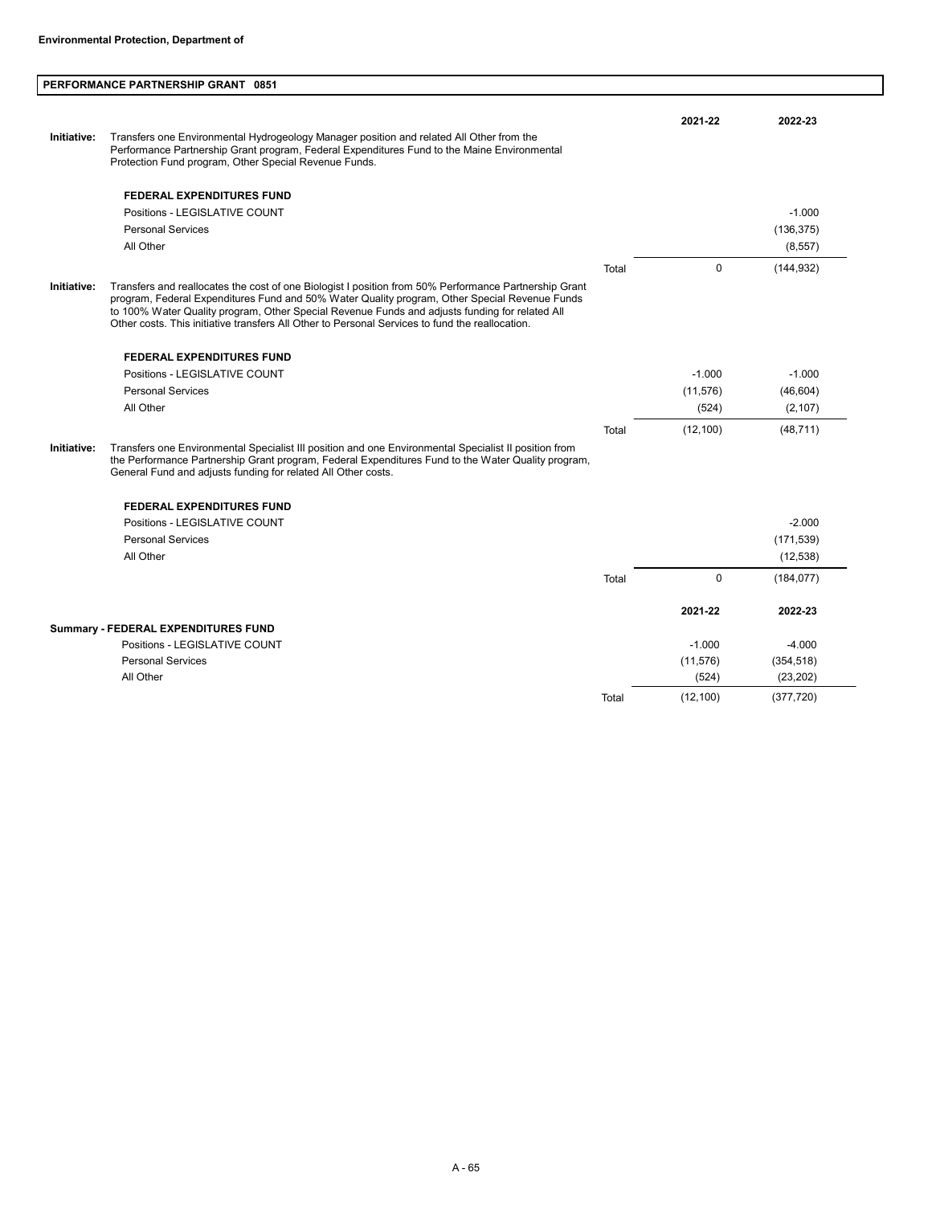|             | PERFORMANCE PARTNERSHIP GRANT 0851                                                                                                                                                                                                                                                                                                                                                                          |       |             |            |
|-------------|-------------------------------------------------------------------------------------------------------------------------------------------------------------------------------------------------------------------------------------------------------------------------------------------------------------------------------------------------------------------------------------------------------------|-------|-------------|------------|
|             |                                                                                                                                                                                                                                                                                                                                                                                                             |       | 2021-22     | 2022-23    |
| Initiative: | Transfers one Environmental Hydrogeology Manager position and related All Other from the<br>Performance Partnership Grant program, Federal Expenditures Fund to the Maine Environmental<br>Protection Fund program, Other Special Revenue Funds.                                                                                                                                                            |       |             |            |
|             | <b>FEDERAL EXPENDITURES FUND</b>                                                                                                                                                                                                                                                                                                                                                                            |       |             |            |
|             | Positions - LEGISLATIVE COUNT                                                                                                                                                                                                                                                                                                                                                                               |       |             | $-1.000$   |
|             | <b>Personal Services</b>                                                                                                                                                                                                                                                                                                                                                                                    |       |             | (136, 375) |
|             | All Other                                                                                                                                                                                                                                                                                                                                                                                                   |       |             | (8, 557)   |
|             |                                                                                                                                                                                                                                                                                                                                                                                                             | Total | $\mathbf 0$ | (144, 932) |
| Initiative: | Transfers and reallocates the cost of one Biologist I position from 50% Performance Partnership Grant<br>program, Federal Expenditures Fund and 50% Water Quality program, Other Special Revenue Funds<br>to 100% Water Quality program, Other Special Revenue Funds and adjusts funding for related All<br>Other costs. This initiative transfers All Other to Personal Services to fund the reallocation. |       |             |            |
|             | <b>FEDERAL EXPENDITURES FUND</b>                                                                                                                                                                                                                                                                                                                                                                            |       |             |            |
|             | Positions - LEGISLATIVE COUNT                                                                                                                                                                                                                                                                                                                                                                               |       | $-1.000$    | $-1.000$   |
|             | <b>Personal Services</b>                                                                                                                                                                                                                                                                                                                                                                                    |       | (11, 576)   | (46, 604)  |
|             | All Other                                                                                                                                                                                                                                                                                                                                                                                                   |       | (524)       | (2, 107)   |
|             |                                                                                                                                                                                                                                                                                                                                                                                                             | Total | (12, 100)   | (48, 711)  |
| Initiative: | Transfers one Environmental Specialist III position and one Environmental Specialist II position from<br>the Performance Partnership Grant program, Federal Expenditures Fund to the Water Quality program,<br>General Fund and adjusts funding for related All Other costs.                                                                                                                                |       |             |            |
|             | <b>FEDERAL EXPENDITURES FUND</b>                                                                                                                                                                                                                                                                                                                                                                            |       |             |            |
|             | Positions - LEGISLATIVE COUNT                                                                                                                                                                                                                                                                                                                                                                               |       |             | $-2.000$   |
|             | <b>Personal Services</b>                                                                                                                                                                                                                                                                                                                                                                                    |       |             | (171, 539) |
|             | All Other                                                                                                                                                                                                                                                                                                                                                                                                   |       |             | (12, 538)  |
|             |                                                                                                                                                                                                                                                                                                                                                                                                             | Total | 0           | (184, 077) |
|             |                                                                                                                                                                                                                                                                                                                                                                                                             |       | 2021-22     | 2022-23    |
|             | <b>Summary - FEDERAL EXPENDITURES FUND</b>                                                                                                                                                                                                                                                                                                                                                                  |       |             |            |
|             | Positions - LEGISLATIVE COUNT                                                                                                                                                                                                                                                                                                                                                                               |       | $-1.000$    | $-4.000$   |
|             | <b>Personal Services</b>                                                                                                                                                                                                                                                                                                                                                                                    |       | (11, 576)   | (354, 518) |
|             | All Other                                                                                                                                                                                                                                                                                                                                                                                                   |       | (524)       | (23, 202)  |
|             |                                                                                                                                                                                                                                                                                                                                                                                                             | Total | (12, 100)   | (377, 720) |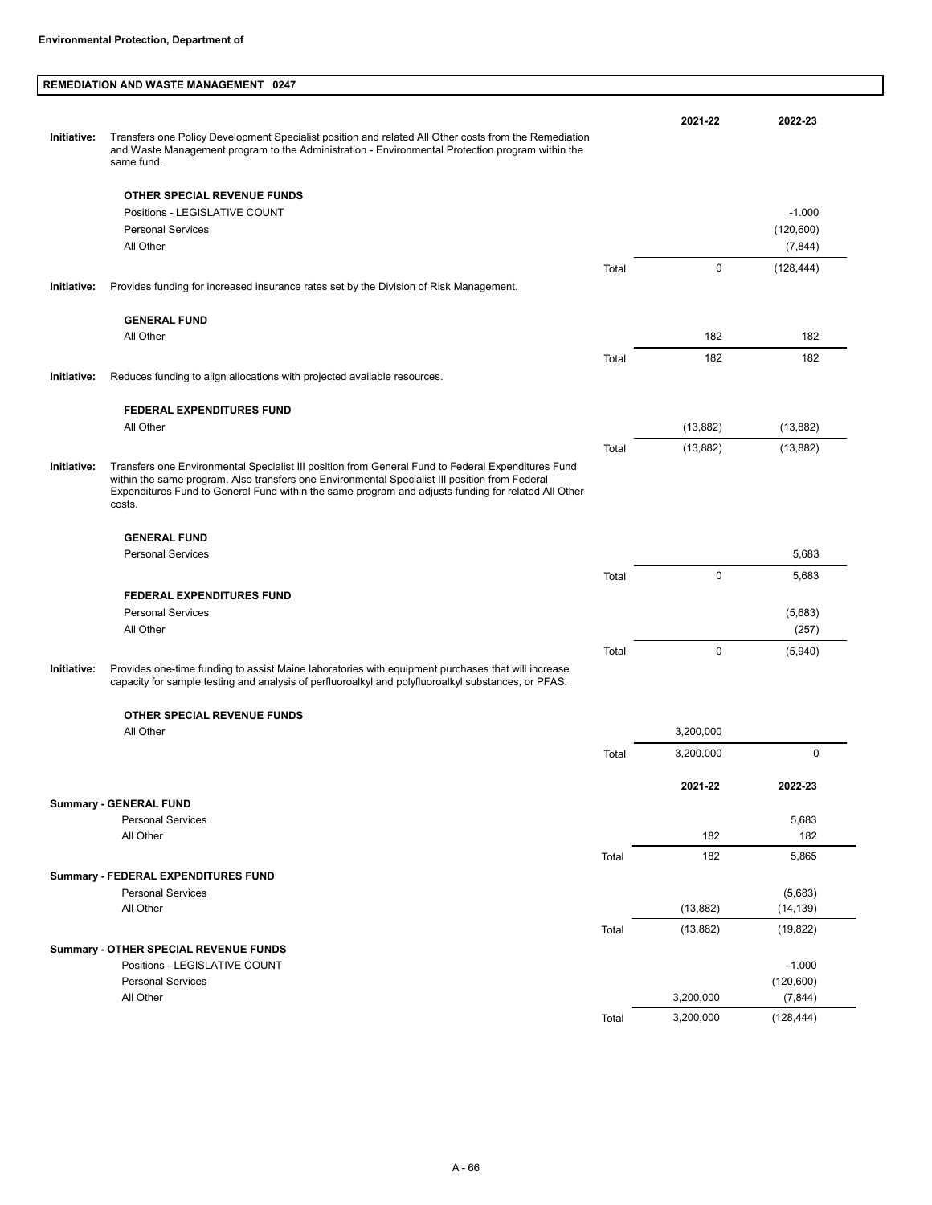|             | <b>REMEDIATION AND WASTE MANAGEMENT 0247</b>                                                                                                                                                                                                                                                                          |       |           |            |
|-------------|-----------------------------------------------------------------------------------------------------------------------------------------------------------------------------------------------------------------------------------------------------------------------------------------------------------------------|-------|-----------|------------|
|             |                                                                                                                                                                                                                                                                                                                       |       | 2021-22   | 2022-23    |
| Initiative: | Transfers one Policy Development Specialist position and related All Other costs from the Remediation<br>and Waste Management program to the Administration - Environmental Protection program within the<br>same fund.                                                                                               |       |           |            |
|             | OTHER SPECIAL REVENUE FUNDS                                                                                                                                                                                                                                                                                           |       |           |            |
|             | Positions - LEGISLATIVE COUNT                                                                                                                                                                                                                                                                                         |       |           | $-1.000$   |
|             | <b>Personal Services</b>                                                                                                                                                                                                                                                                                              |       |           | (120, 600) |
|             | All Other                                                                                                                                                                                                                                                                                                             |       |           | (7, 844)   |
|             |                                                                                                                                                                                                                                                                                                                       | Total | $\pmb{0}$ | (128, 444) |
| Initiative: | Provides funding for increased insurance rates set by the Division of Risk Management.                                                                                                                                                                                                                                |       |           |            |
|             |                                                                                                                                                                                                                                                                                                                       |       |           |            |
|             | <b>GENERAL FUND</b>                                                                                                                                                                                                                                                                                                   |       |           |            |
|             | All Other                                                                                                                                                                                                                                                                                                             |       | 182       | 182        |
|             |                                                                                                                                                                                                                                                                                                                       | Total | 182       | 182        |
| Initiative: | Reduces funding to align allocations with projected available resources.                                                                                                                                                                                                                                              |       |           |            |
|             | <b>FEDERAL EXPENDITURES FUND</b>                                                                                                                                                                                                                                                                                      |       |           |            |
|             | All Other                                                                                                                                                                                                                                                                                                             |       | (13, 882) | (13, 882)  |
|             |                                                                                                                                                                                                                                                                                                                       | Total | (13, 882) | (13, 882)  |
| Initiative: | Transfers one Environmental Specialist III position from General Fund to Federal Expenditures Fund<br>within the same program. Also transfers one Environmental Specialist III position from Federal<br>Expenditures Fund to General Fund within the same program and adjusts funding for related All Other<br>costs. |       |           |            |
|             | <b>GENERAL FUND</b>                                                                                                                                                                                                                                                                                                   |       |           |            |
|             | <b>Personal Services</b>                                                                                                                                                                                                                                                                                              |       |           | 5,683      |
|             |                                                                                                                                                                                                                                                                                                                       | Total | $\pmb{0}$ | 5,683      |
|             | <b>FEDERAL EXPENDITURES FUND</b>                                                                                                                                                                                                                                                                                      |       |           |            |
|             | <b>Personal Services</b>                                                                                                                                                                                                                                                                                              |       |           | (5,683)    |
|             | All Other                                                                                                                                                                                                                                                                                                             |       |           | (257)      |
|             |                                                                                                                                                                                                                                                                                                                       | Total | $\pmb{0}$ | (5,940)    |
| Initiative: | Provides one-time funding to assist Maine laboratories with equipment purchases that will increase<br>capacity for sample testing and analysis of perfluoroalkyl and polyfluoroalkyl substances, or PFAS.                                                                                                             |       |           |            |
|             | OTHER SPECIAL REVENUE FUNDS                                                                                                                                                                                                                                                                                           |       |           |            |
|             | All Other                                                                                                                                                                                                                                                                                                             |       | 3,200,000 |            |
|             |                                                                                                                                                                                                                                                                                                                       | Total | 3,200,000 | $\Omega$   |
|             |                                                                                                                                                                                                                                                                                                                       |       | 2021-22   | 2022-23    |
|             | <b>Summary - GENERAL FUND</b>                                                                                                                                                                                                                                                                                         |       |           |            |
|             | <b>Personal Services</b>                                                                                                                                                                                                                                                                                              |       |           | 5,683      |
|             | All Other                                                                                                                                                                                                                                                                                                             |       | 182       | 182        |
|             |                                                                                                                                                                                                                                                                                                                       | Total | 182       | 5,865      |
|             | Summary - FEDERAL EXPENDITURES FUND                                                                                                                                                                                                                                                                                   |       |           |            |
|             | <b>Personal Services</b>                                                                                                                                                                                                                                                                                              |       |           | (5,683)    |
|             | All Other                                                                                                                                                                                                                                                                                                             |       | (13, 882) | (14, 139)  |
|             |                                                                                                                                                                                                                                                                                                                       | Total | (13, 882) | (19, 822)  |
|             | <b>Summary - OTHER SPECIAL REVENUE FUNDS</b>                                                                                                                                                                                                                                                                          |       |           |            |
|             | Positions - LEGISLATIVE COUNT                                                                                                                                                                                                                                                                                         |       |           | $-1.000$   |
|             | <b>Personal Services</b>                                                                                                                                                                                                                                                                                              |       |           | (120, 600) |
|             | All Other                                                                                                                                                                                                                                                                                                             |       | 3,200,000 | (7, 844)   |
|             |                                                                                                                                                                                                                                                                                                                       | Total | 3,200,000 | (128, 444) |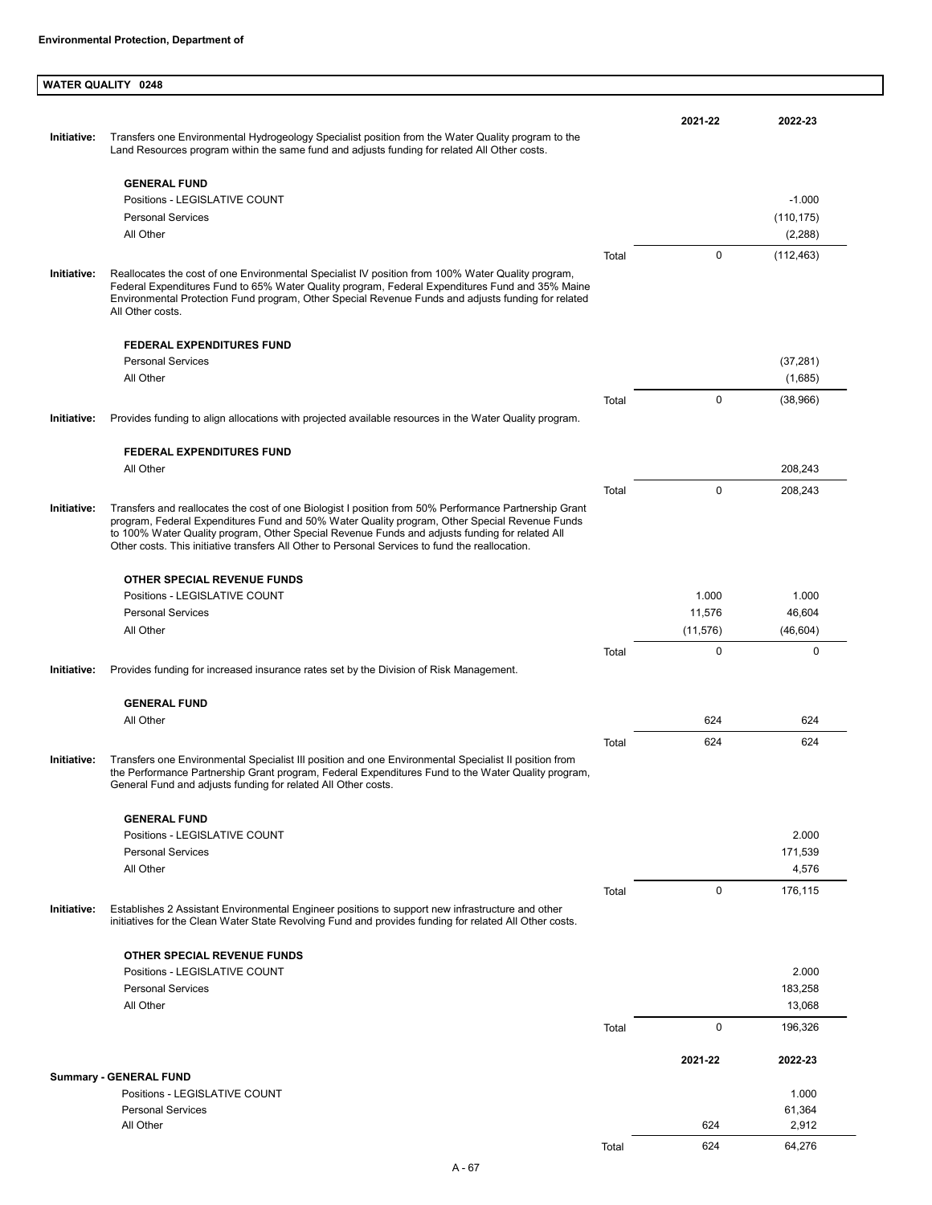|             | <b>WATER QUALITY 0248</b>                                                                                                                                                                                                                                                                                                                                                                                   |       |             |                 |
|-------------|-------------------------------------------------------------------------------------------------------------------------------------------------------------------------------------------------------------------------------------------------------------------------------------------------------------------------------------------------------------------------------------------------------------|-------|-------------|-----------------|
|             |                                                                                                                                                                                                                                                                                                                                                                                                             |       |             |                 |
| Initiative: | Transfers one Environmental Hydrogeology Specialist position from the Water Quality program to the<br>Land Resources program within the same fund and adjusts funding for related All Other costs.                                                                                                                                                                                                          |       | 2021-22     | 2022-23         |
|             | <b>GENERAL FUND</b>                                                                                                                                                                                                                                                                                                                                                                                         |       |             |                 |
|             | Positions - LEGISLATIVE COUNT                                                                                                                                                                                                                                                                                                                                                                               |       |             | $-1.000$        |
|             | <b>Personal Services</b>                                                                                                                                                                                                                                                                                                                                                                                    |       |             | (110, 175)      |
|             | All Other                                                                                                                                                                                                                                                                                                                                                                                                   |       |             | (2, 288)        |
|             |                                                                                                                                                                                                                                                                                                                                                                                                             | Total | 0           | (112, 463)      |
| Initiative: | Reallocates the cost of one Environmental Specialist IV position from 100% Water Quality program,<br>Federal Expenditures Fund to 65% Water Quality program, Federal Expenditures Fund and 35% Maine<br>Environmental Protection Fund program, Other Special Revenue Funds and adjusts funding for related<br>All Other costs.                                                                              |       |             |                 |
|             | <b>FEDERAL EXPENDITURES FUND</b>                                                                                                                                                                                                                                                                                                                                                                            |       |             |                 |
|             | <b>Personal Services</b>                                                                                                                                                                                                                                                                                                                                                                                    |       |             | (37, 281)       |
|             | All Other                                                                                                                                                                                                                                                                                                                                                                                                   |       |             | (1,685)         |
| Initiative: | Provides funding to align allocations with projected available resources in the Water Quality program.                                                                                                                                                                                                                                                                                                      | Total | $\mathbf 0$ | (38,966)        |
|             | <b>FEDERAL EXPENDITURES FUND</b>                                                                                                                                                                                                                                                                                                                                                                            |       |             |                 |
|             | All Other                                                                                                                                                                                                                                                                                                                                                                                                   |       |             | 208,243         |
|             |                                                                                                                                                                                                                                                                                                                                                                                                             |       | 0           |                 |
| Initiative: | Transfers and reallocates the cost of one Biologist I position from 50% Performance Partnership Grant<br>program, Federal Expenditures Fund and 50% Water Quality program, Other Special Revenue Funds<br>to 100% Water Quality program, Other Special Revenue Funds and adjusts funding for related All<br>Other costs. This initiative transfers All Other to Personal Services to fund the reallocation. | Total |             | 208,243         |
|             | OTHER SPECIAL REVENUE FUNDS                                                                                                                                                                                                                                                                                                                                                                                 |       |             |                 |
|             | Positions - LEGISLATIVE COUNT                                                                                                                                                                                                                                                                                                                                                                               |       | 1.000       | 1.000           |
|             | <b>Personal Services</b>                                                                                                                                                                                                                                                                                                                                                                                    |       | 11,576      | 46,604          |
|             | All Other                                                                                                                                                                                                                                                                                                                                                                                                   |       | (11, 576)   | (46, 604)       |
|             |                                                                                                                                                                                                                                                                                                                                                                                                             | Total | $\mathbf 0$ | $\mathbf 0$     |
| Initiative: | Provides funding for increased insurance rates set by the Division of Risk Management.                                                                                                                                                                                                                                                                                                                      |       |             |                 |
|             | <b>GENERAL FUND</b>                                                                                                                                                                                                                                                                                                                                                                                         |       |             |                 |
|             | All Other                                                                                                                                                                                                                                                                                                                                                                                                   |       | 624         | 624             |
|             |                                                                                                                                                                                                                                                                                                                                                                                                             | Total | 624         | 624             |
| Initiative: | Transfers one Environmental Specialist III position and one Environmental Specialist II position from<br>the Performance Partnership Grant program, Federal Expenditures Fund to the Water Quality program,<br>General Fund and adjusts funding for related All Other costs.                                                                                                                                |       |             |                 |
|             | <b>GENERAL FUND</b>                                                                                                                                                                                                                                                                                                                                                                                         |       |             |                 |
|             | Positions - LEGISLATIVE COUNT                                                                                                                                                                                                                                                                                                                                                                               |       |             | 2.000           |
|             | <b>Personal Services</b>                                                                                                                                                                                                                                                                                                                                                                                    |       |             | 171,539         |
|             | All Other                                                                                                                                                                                                                                                                                                                                                                                                   |       |             | 4,576           |
| Initiative: | Establishes 2 Assistant Environmental Engineer positions to support new infrastructure and other                                                                                                                                                                                                                                                                                                            | Total | $\mathbf 0$ | 176,115         |
|             | initiatives for the Clean Water State Revolving Fund and provides funding for related All Other costs.                                                                                                                                                                                                                                                                                                      |       |             |                 |
|             | OTHER SPECIAL REVENUE FUNDS                                                                                                                                                                                                                                                                                                                                                                                 |       |             |                 |
|             | Positions - LEGISLATIVE COUNT                                                                                                                                                                                                                                                                                                                                                                               |       |             | 2.000           |
|             | <b>Personal Services</b>                                                                                                                                                                                                                                                                                                                                                                                    |       |             | 183,258         |
|             | All Other                                                                                                                                                                                                                                                                                                                                                                                                   |       |             | 13,068          |
|             |                                                                                                                                                                                                                                                                                                                                                                                                             | Total | 0           | 196,326         |
|             |                                                                                                                                                                                                                                                                                                                                                                                                             |       | 2021-22     | 2022-23         |
|             | <b>Summary - GENERAL FUND</b>                                                                                                                                                                                                                                                                                                                                                                               |       |             |                 |
|             | Positions - LEGISLATIVE COUNT                                                                                                                                                                                                                                                                                                                                                                               |       |             | 1.000           |
|             | <b>Personal Services</b><br>All Other                                                                                                                                                                                                                                                                                                                                                                       |       | 624         | 61,364<br>2,912 |
|             |                                                                                                                                                                                                                                                                                                                                                                                                             |       |             |                 |
|             |                                                                                                                                                                                                                                                                                                                                                                                                             | Total | 624         | 64,276          |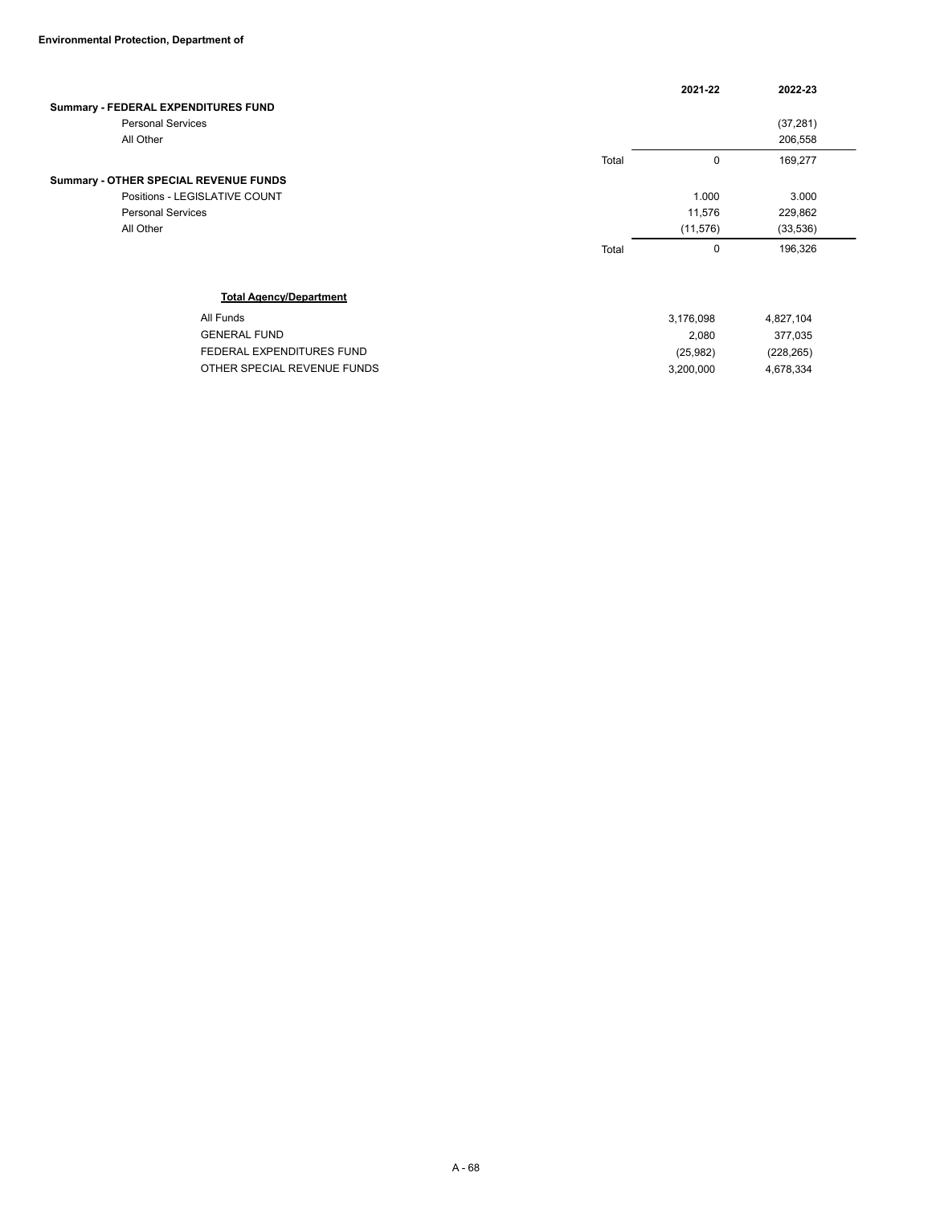|                                              | 2021-22     | 2022-23    |
|----------------------------------------------|-------------|------------|
| Summary - FEDERAL EXPENDITURES FUND          |             |            |
| <b>Personal Services</b>                     |             | (37, 281)  |
| All Other                                    |             | 206,558    |
| Total                                        | 0           | 169,277    |
| <b>Summary - OTHER SPECIAL REVENUE FUNDS</b> |             |            |
| Positions - LEGISLATIVE COUNT                | 1.000       | 3.000      |
| <b>Personal Services</b>                     | 11,576      | 229,862    |
| All Other                                    | (11, 576)   | (33, 536)  |
| Total                                        | $\mathbf 0$ | 196,326    |
| <b>Total Agency/Department</b>               |             |            |
| All Funds                                    | 3,176,098   | 4,827,104  |
| <b>GENERAL FUND</b>                          | 2,080       | 377,035    |
| FEDERAL EXPENDITURES FUND                    | (25,982)    | (228, 265) |
| OTHER SPECIAL REVENUE FUNDS                  | 3,200,000   | 4,678,334  |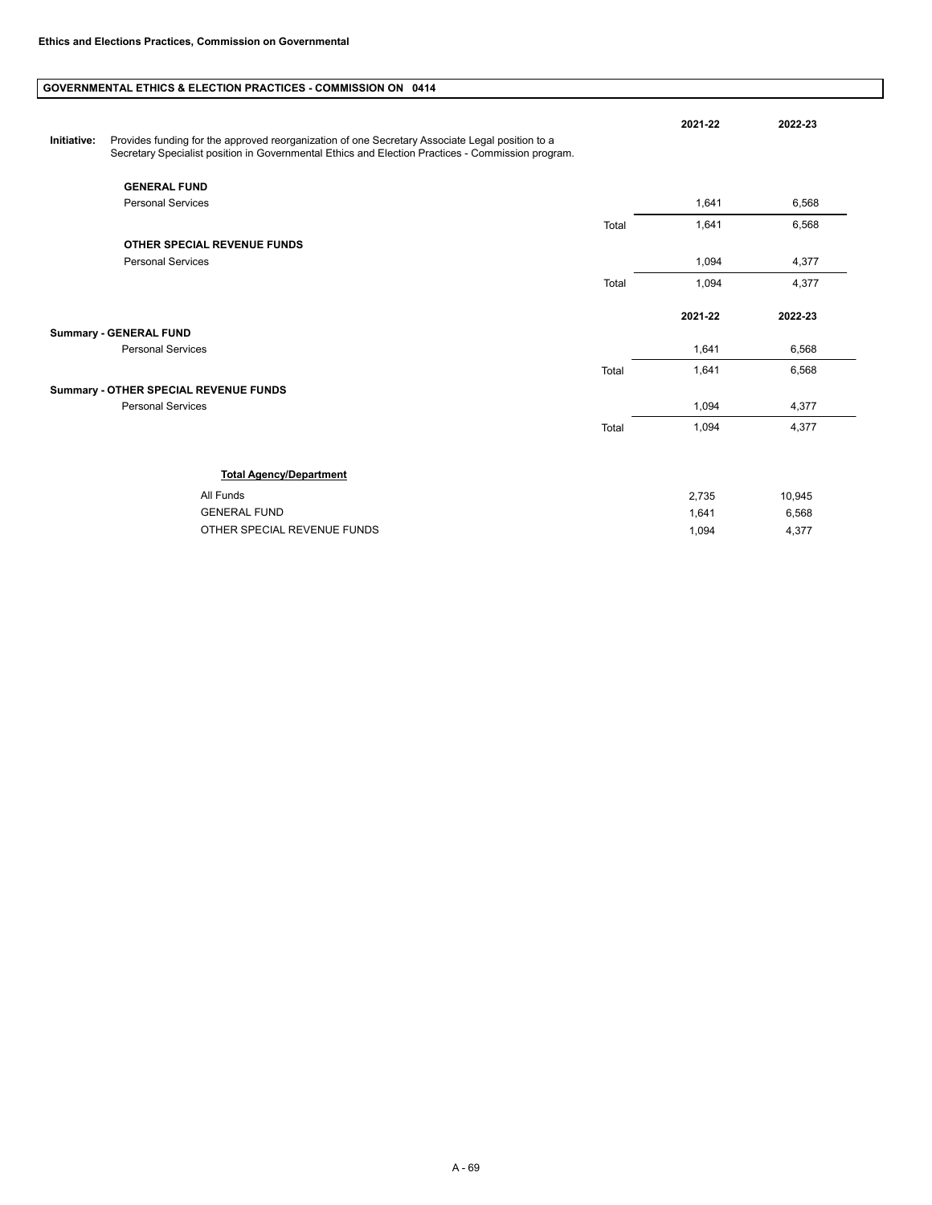| Initiative: | Provides funding for the approved reorganization of one Secretary Associate Legal position to a<br>Secretary Specialist position in Governmental Ethics and Election Practices - Commission program. |       | 2021-22 | 2022-23 |
|-------------|------------------------------------------------------------------------------------------------------------------------------------------------------------------------------------------------------|-------|---------|---------|
|             | <b>GENERAL FUND</b>                                                                                                                                                                                  |       |         |         |
|             | <b>Personal Services</b>                                                                                                                                                                             |       | 1,641   | 6,568   |
|             |                                                                                                                                                                                                      | Total | 1,641   | 6,568   |
|             | <b>OTHER SPECIAL REVENUE FUNDS</b>                                                                                                                                                                   |       |         |         |
|             | <b>Personal Services</b>                                                                                                                                                                             |       | 1,094   | 4,377   |
|             |                                                                                                                                                                                                      | Total | 1,094   | 4,377   |
|             |                                                                                                                                                                                                      |       | 2021-22 | 2022-23 |
|             | <b>Summary - GENERAL FUND</b>                                                                                                                                                                        |       |         |         |
|             | <b>Personal Services</b>                                                                                                                                                                             |       | 1,641   | 6,568   |
|             |                                                                                                                                                                                                      | Total | 1,641   | 6,568   |
|             | <b>Summary - OTHER SPECIAL REVENUE FUNDS</b>                                                                                                                                                         |       |         |         |
|             | <b>Personal Services</b>                                                                                                                                                                             |       | 1,094   | 4,377   |
|             |                                                                                                                                                                                                      | Total | 1,094   | 4,377   |
|             | <b>Total Agency/Department</b>                                                                                                                                                                       |       |         |         |

| All Funds                   | 2.735 | 10.945 |
|-----------------------------|-------|--------|
| <b>GENERAL FUND</b>         | 1.641 | 6.568  |
| OTHER SPECIAL REVENUE FUNDS | 1.094 | 4.377  |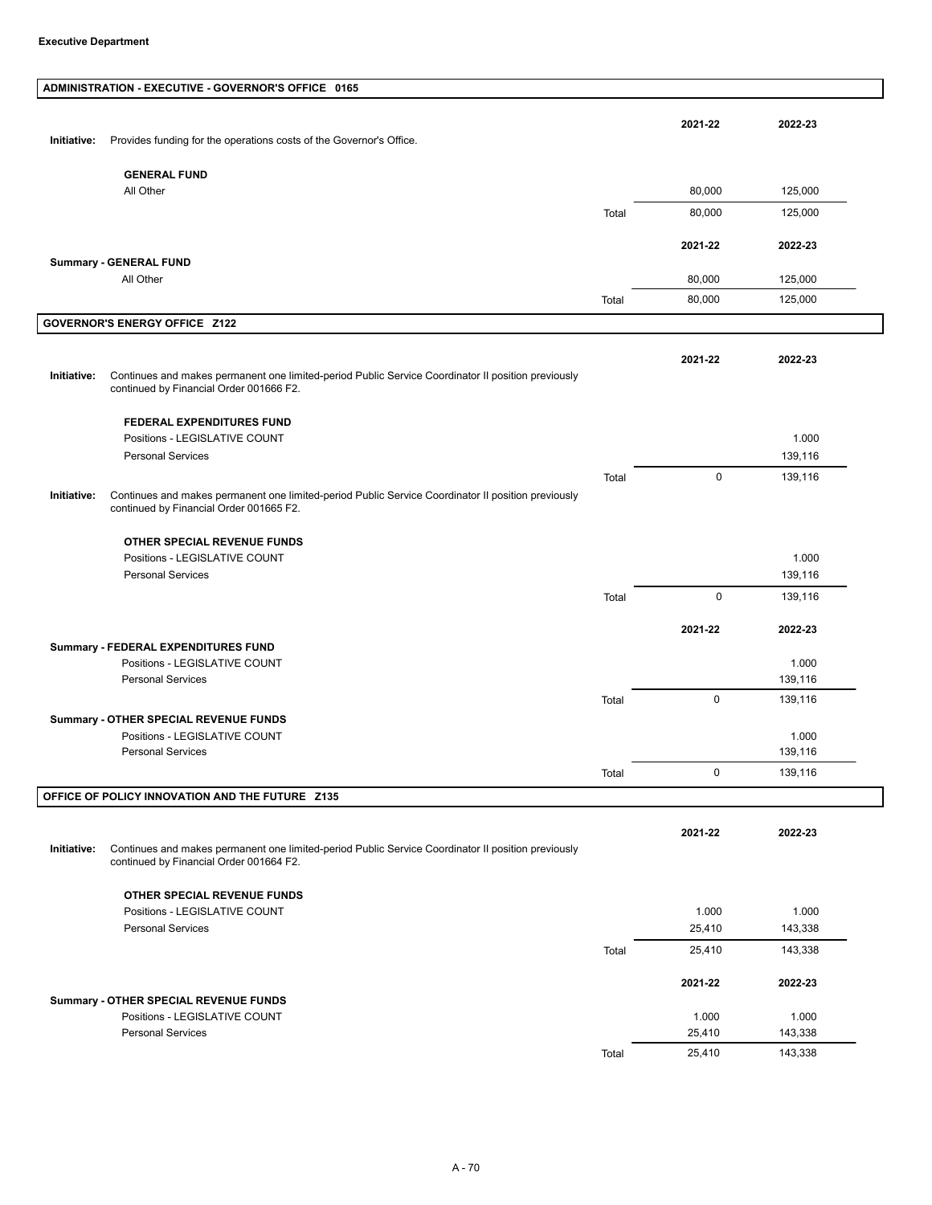| ADMINISTRATION - EXECUTIVE - GOVERNOR'S OFFICE 0165 |                                                                                                    |       |             |                  |  |
|-----------------------------------------------------|----------------------------------------------------------------------------------------------------|-------|-------------|------------------|--|
|                                                     |                                                                                                    |       |             |                  |  |
|                                                     |                                                                                                    |       | 2021-22     | 2022-23          |  |
| Initiative:                                         | Provides funding for the operations costs of the Governor's Office.                                |       |             |                  |  |
|                                                     | <b>GENERAL FUND</b>                                                                                |       |             |                  |  |
|                                                     | All Other                                                                                          |       | 80,000      | 125,000          |  |
|                                                     |                                                                                                    | Total | 80,000      | 125,000          |  |
|                                                     |                                                                                                    |       |             |                  |  |
|                                                     |                                                                                                    |       | 2021-22     | 2022-23          |  |
|                                                     | <b>Summary - GENERAL FUND</b>                                                                      |       |             |                  |  |
|                                                     | All Other                                                                                          |       | 80,000      | 125,000          |  |
|                                                     |                                                                                                    | Total | 80,000      | 125,000          |  |
|                                                     | <b>GOVERNOR'S ENERGY OFFICE Z122</b>                                                               |       |             |                  |  |
|                                                     |                                                                                                    |       |             |                  |  |
|                                                     |                                                                                                    |       | 2021-22     | 2022-23          |  |
| Initiative:                                         | Continues and makes permanent one limited-period Public Service Coordinator II position previously |       |             |                  |  |
|                                                     | continued by Financial Order 001666 F2.                                                            |       |             |                  |  |
|                                                     | <b>FEDERAL EXPENDITURES FUND</b>                                                                   |       |             |                  |  |
|                                                     | Positions - LEGISLATIVE COUNT                                                                      |       |             | 1.000            |  |
|                                                     | <b>Personal Services</b>                                                                           |       |             | 139,116          |  |
|                                                     |                                                                                                    | Total | 0           | 139,116          |  |
| Initiative:                                         | Continues and makes permanent one limited-period Public Service Coordinator II position previously |       |             |                  |  |
|                                                     | continued by Financial Order 001665 F2.                                                            |       |             |                  |  |
|                                                     |                                                                                                    |       |             |                  |  |
|                                                     | OTHER SPECIAL REVENUE FUNDS<br>Positions - LEGISLATIVE COUNT                                       |       |             | 1.000            |  |
|                                                     | <b>Personal Services</b>                                                                           |       |             | 139,116          |  |
|                                                     |                                                                                                    |       |             |                  |  |
|                                                     |                                                                                                    |       |             |                  |  |
|                                                     |                                                                                                    |       | 2021-22     | 2022-23          |  |
|                                                     | $\mathsf 0$<br>139,116<br>Total<br>Summary - FEDERAL EXPENDITURES FUND                             |       |             |                  |  |
|                                                     | Positions - LEGISLATIVE COUNT                                                                      |       |             | 1.000            |  |
|                                                     | <b>Personal Services</b>                                                                           |       |             | 139,116          |  |
|                                                     |                                                                                                    | Total | $\mathbf 0$ | 139,116          |  |
|                                                     | Summary - OTHER SPECIAL REVENUE FUNDS                                                              |       |             |                  |  |
|                                                     | Positions - LEGISLATIVE COUNT<br><b>Personal Services</b>                                          |       |             | 1.000<br>139,116 |  |
|                                                     |                                                                                                    |       |             |                  |  |
|                                                     |                                                                                                    | Total | 0           | 139,116          |  |
|                                                     | OFFICE OF POLICY INNOVATION AND THE FUTURE Z135                                                    |       |             |                  |  |
|                                                     |                                                                                                    |       |             |                  |  |
| Initiative:                                         | Continues and makes permanent one limited-period Public Service Coordinator II position previously |       | 2021-22     | 2022-23          |  |
|                                                     | continued by Financial Order 001664 F2.                                                            |       |             |                  |  |
|                                                     |                                                                                                    |       |             |                  |  |
|                                                     | <b>OTHER SPECIAL REVENUE FUNDS</b>                                                                 |       |             |                  |  |
|                                                     | Positions - LEGISLATIVE COUNT                                                                      |       | 1.000       | 1.000            |  |
|                                                     | <b>Personal Services</b>                                                                           |       | 25,410      | 143,338          |  |
|                                                     |                                                                                                    | Total | 25,410      | 143,338          |  |
|                                                     |                                                                                                    |       | 2021-22     |                  |  |
|                                                     | Summary - OTHER SPECIAL REVENUE FUNDS                                                              |       |             | 2022-23          |  |
|                                                     | Positions - LEGISLATIVE COUNT                                                                      |       | 1.000       | 1.000            |  |
|                                                     | <b>Personal Services</b>                                                                           |       | 25,410      | 143,338          |  |
|                                                     |                                                                                                    | Total | 25,410      | 143,338          |  |
|                                                     |                                                                                                    |       |             |                  |  |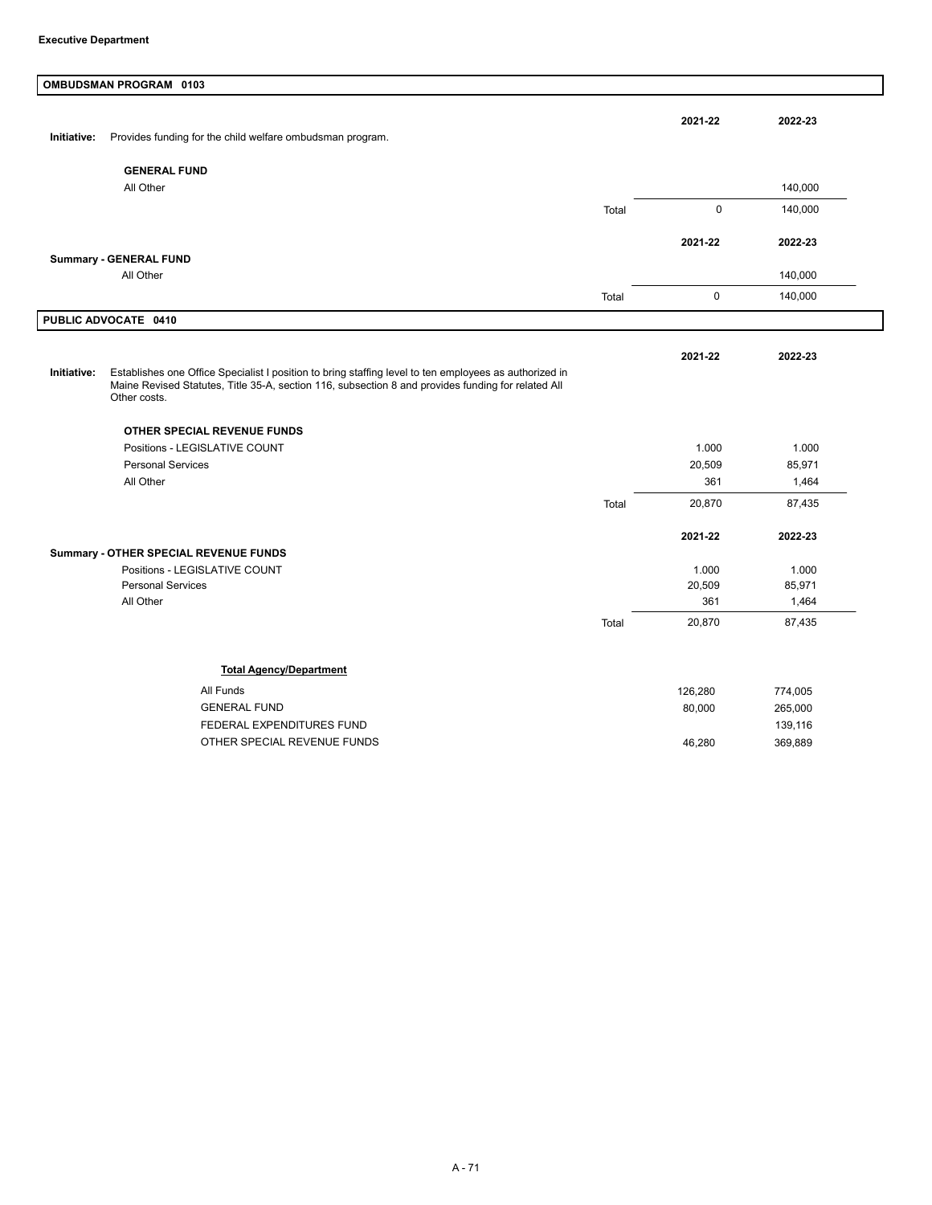|             | <b>OMBUDSMAN PROGRAM 0103</b>                                                                                                                                                                                                |       |           |         |
|-------------|------------------------------------------------------------------------------------------------------------------------------------------------------------------------------------------------------------------------------|-------|-----------|---------|
|             |                                                                                                                                                                                                                              |       | 2021-22   | 2022-23 |
| Initiative: | Provides funding for the child welfare ombudsman program.                                                                                                                                                                    |       |           |         |
|             | <b>GENERAL FUND</b>                                                                                                                                                                                                          |       |           |         |
|             | All Other                                                                                                                                                                                                                    |       |           | 140,000 |
|             |                                                                                                                                                                                                                              | Total | $\pmb{0}$ | 140,000 |
|             |                                                                                                                                                                                                                              |       | 2021-22   | 2022-23 |
|             | <b>Summary - GENERAL FUND</b>                                                                                                                                                                                                |       |           |         |
|             | All Other                                                                                                                                                                                                                    |       |           | 140,000 |
|             |                                                                                                                                                                                                                              | Total | 0         | 140,000 |
|             | PUBLIC ADVOCATE 0410                                                                                                                                                                                                         |       |           |         |
|             |                                                                                                                                                                                                                              |       | 2021-22   | 2022-23 |
| Initiative: | Establishes one Office Specialist I position to bring staffing level to ten employees as authorized in<br>Maine Revised Statutes, Title 35-A, section 116, subsection 8 and provides funding for related All<br>Other costs. |       |           |         |
|             | <b>OTHER SPECIAL REVENUE FUNDS</b>                                                                                                                                                                                           |       |           |         |
|             | Positions - LEGISLATIVE COUNT                                                                                                                                                                                                |       | 1.000     | 1.000   |
|             | <b>Personal Services</b>                                                                                                                                                                                                     |       | 20,509    | 85,971  |
|             | All Other                                                                                                                                                                                                                    |       | 361       | 1,464   |
|             |                                                                                                                                                                                                                              | Total | 20,870    | 87,435  |
|             |                                                                                                                                                                                                                              |       | 2021-22   | 2022-23 |
|             | Summary - OTHER SPECIAL REVENUE FUNDS                                                                                                                                                                                        |       |           |         |
|             | Positions - LEGISLATIVE COUNT                                                                                                                                                                                                |       | 1.000     | 1.000   |
|             | <b>Personal Services</b>                                                                                                                                                                                                     |       | 20,509    | 85,971  |
|             | All Other                                                                                                                                                                                                                    |       | 361       | 1,464   |
|             |                                                                                                                                                                                                                              | Total | 20,870    | 87,435  |
|             | <b>Total Agency/Department</b>                                                                                                                                                                                               |       |           |         |
|             | All Funds                                                                                                                                                                                                                    |       |           |         |
|             |                                                                                                                                                                                                                              |       | 126,280   | 774,005 |

| All Funds                   | 126.280 | 774.005 |
|-----------------------------|---------|---------|
| <b>GENERAL FUND</b>         | 80,000  | 265,000 |
| FEDERAL EXPENDITURES FUND   |         | 139.116 |
| OTHER SPECIAL REVENUE FUNDS | 46.280  | 369.889 |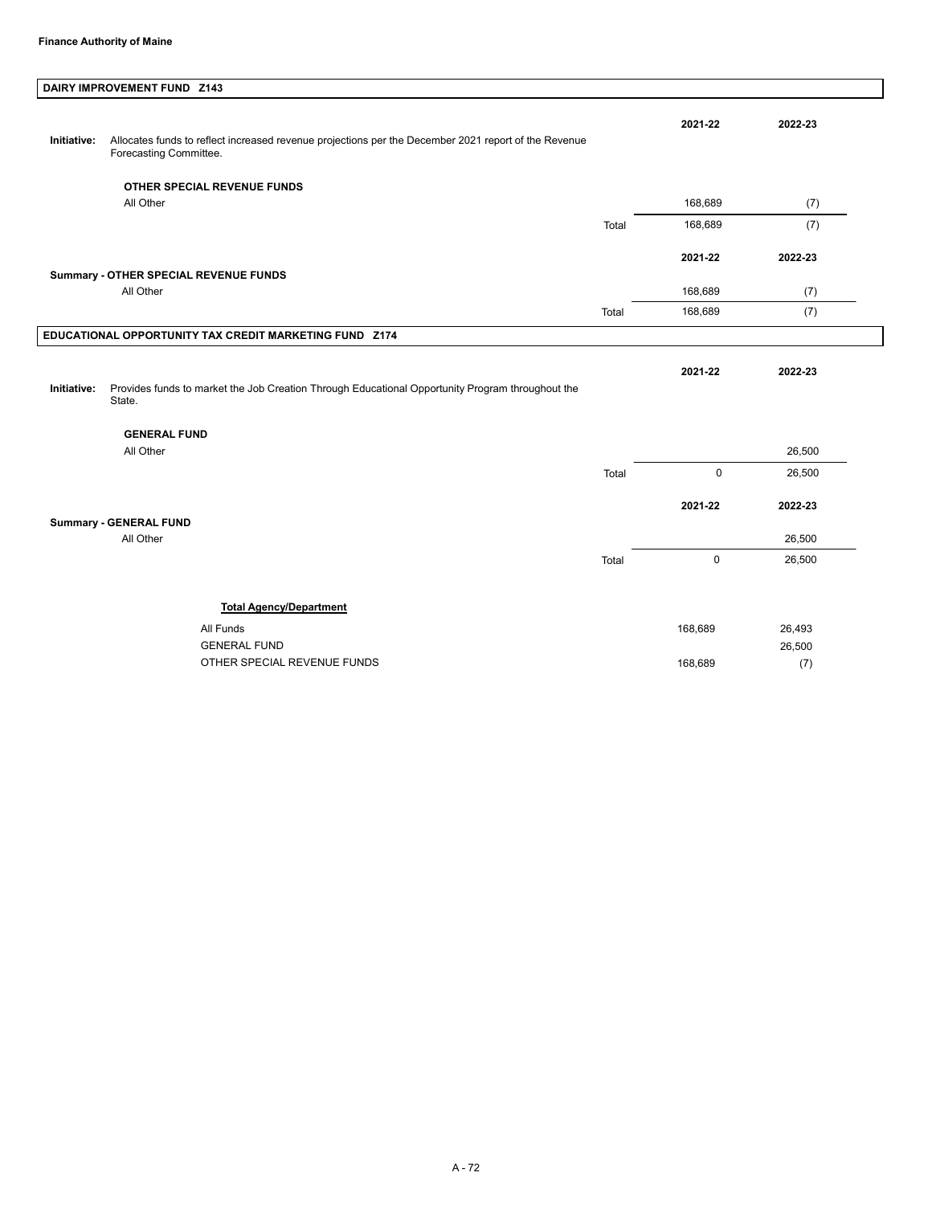|             | DAIRY IMPROVEMENT FUND Z143                                                                                                    |       |         |         |
|-------------|--------------------------------------------------------------------------------------------------------------------------------|-------|---------|---------|
| Initiative: | Allocates funds to reflect increased revenue projections per the December 2021 report of the Revenue<br>Forecasting Committee. |       | 2021-22 | 2022-23 |
|             | <b>OTHER SPECIAL REVENUE FUNDS</b>                                                                                             |       |         |         |
|             | All Other                                                                                                                      |       | 168,689 | (7)     |
|             |                                                                                                                                | Total | 168,689 | (7)     |
|             |                                                                                                                                |       | 2021-22 | 2022-23 |
|             | Summary - OTHER SPECIAL REVENUE FUNDS                                                                                          |       |         |         |
|             | All Other                                                                                                                      |       | 168,689 | (7)     |
|             |                                                                                                                                | Total | 168,689 | (7)     |
|             | EDUCATIONAL OPPORTUNITY TAX CREDIT MARKETING FUND Z174                                                                         |       |         |         |
| Initiative: | Provides funds to market the Job Creation Through Educational Opportunity Program throughout the<br>State.                     |       | 2021-22 | 2022-23 |
|             | <b>GENERAL FUND</b>                                                                                                            |       |         |         |
|             | All Other                                                                                                                      |       |         | 26,500  |
|             |                                                                                                                                | Total | 0       | 26,500  |
|             |                                                                                                                                |       | 2021-22 | 2022-23 |
|             | <b>Summary - GENERAL FUND</b><br>All Other                                                                                     |       |         | 26,500  |
|             |                                                                                                                                | Total | 0       | 26,500  |
|             | <b>Total Agency/Department</b>                                                                                                 |       |         |         |
|             | All Funds                                                                                                                      |       | 168,689 | 26,493  |
|             | <b>GENERAL FUND</b>                                                                                                            |       |         | 26,500  |
|             | OTHER SPECIAL REVENUE FUNDS                                                                                                    |       | 168,689 | (7)     |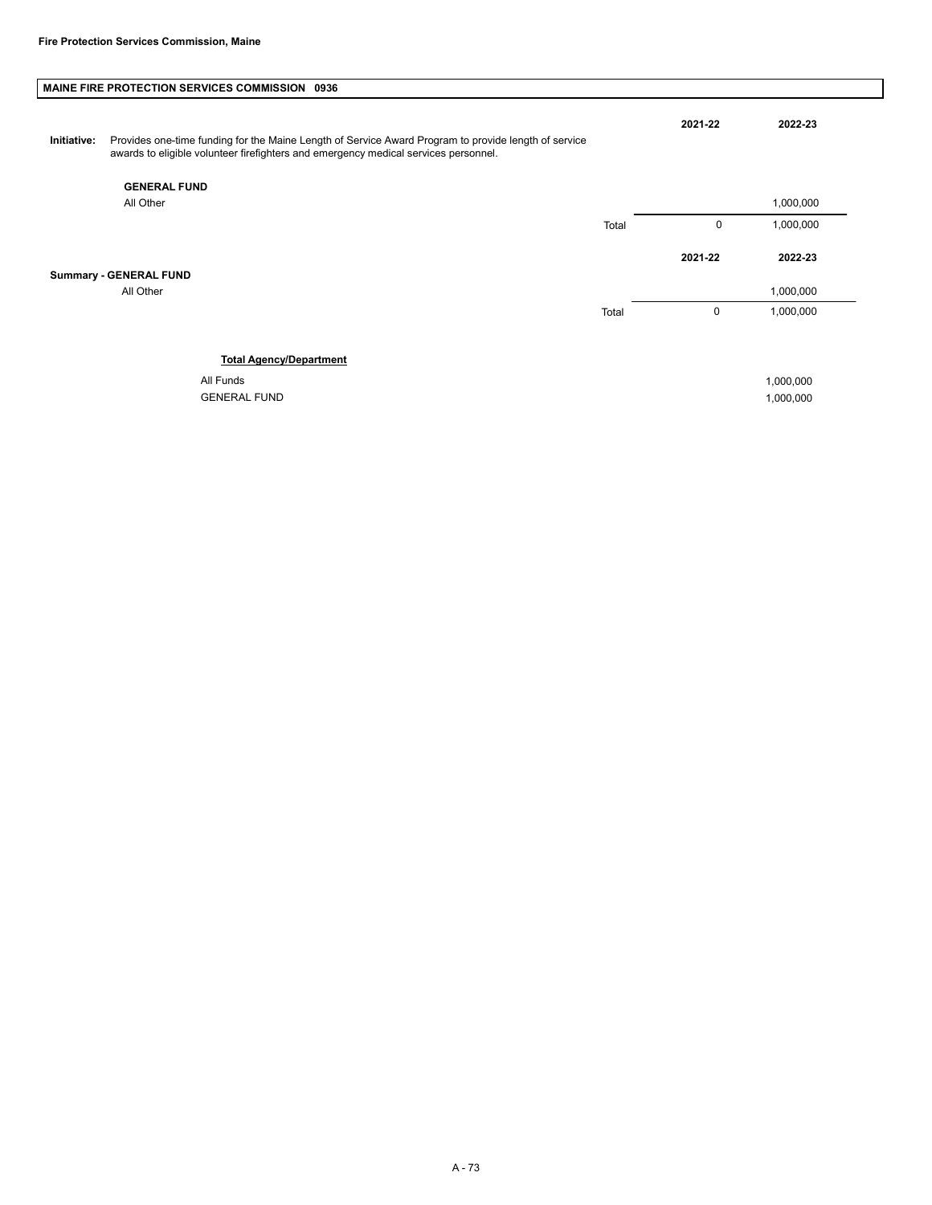|             | MAINE FIRE PROTECTION SERVICES COMMISSION 0936                                                                                                                                              |       |         |           |
|-------------|---------------------------------------------------------------------------------------------------------------------------------------------------------------------------------------------|-------|---------|-----------|
| Initiative: | Provides one-time funding for the Maine Length of Service Award Program to provide length of service<br>awards to eligible volunteer firefighters and emergency medical services personnel. |       | 2021-22 | 2022-23   |
|             | <b>GENERAL FUND</b>                                                                                                                                                                         |       |         |           |
|             | All Other                                                                                                                                                                                   |       |         | 1,000,000 |
|             |                                                                                                                                                                                             | Total | 0       | 1,000,000 |
|             |                                                                                                                                                                                             |       | 2021-22 | 2022-23   |
|             | <b>Summary - GENERAL FUND</b><br>All Other                                                                                                                                                  |       |         | 1,000,000 |
|             |                                                                                                                                                                                             | Total | 0       | 1,000,000 |
|             |                                                                                                                                                                                             |       |         |           |
|             | <b>Total Agency/Department</b>                                                                                                                                                              |       |         |           |

All Funds 1,000,000 GENERAL FUND 1,000,000 CONTROL 1,000,000 CONTROL 1,000,000 CONTROL 1,000,000 CONTROL 1,000,000 CONTROL 1,000,000 CONTROL 1,000,000 CONTROL 1,000,000 CONTROL 1,000,000 CONTROL 1,000,000 CONTROL 1,000,000 CONTROL 1,000,000 C

A - 73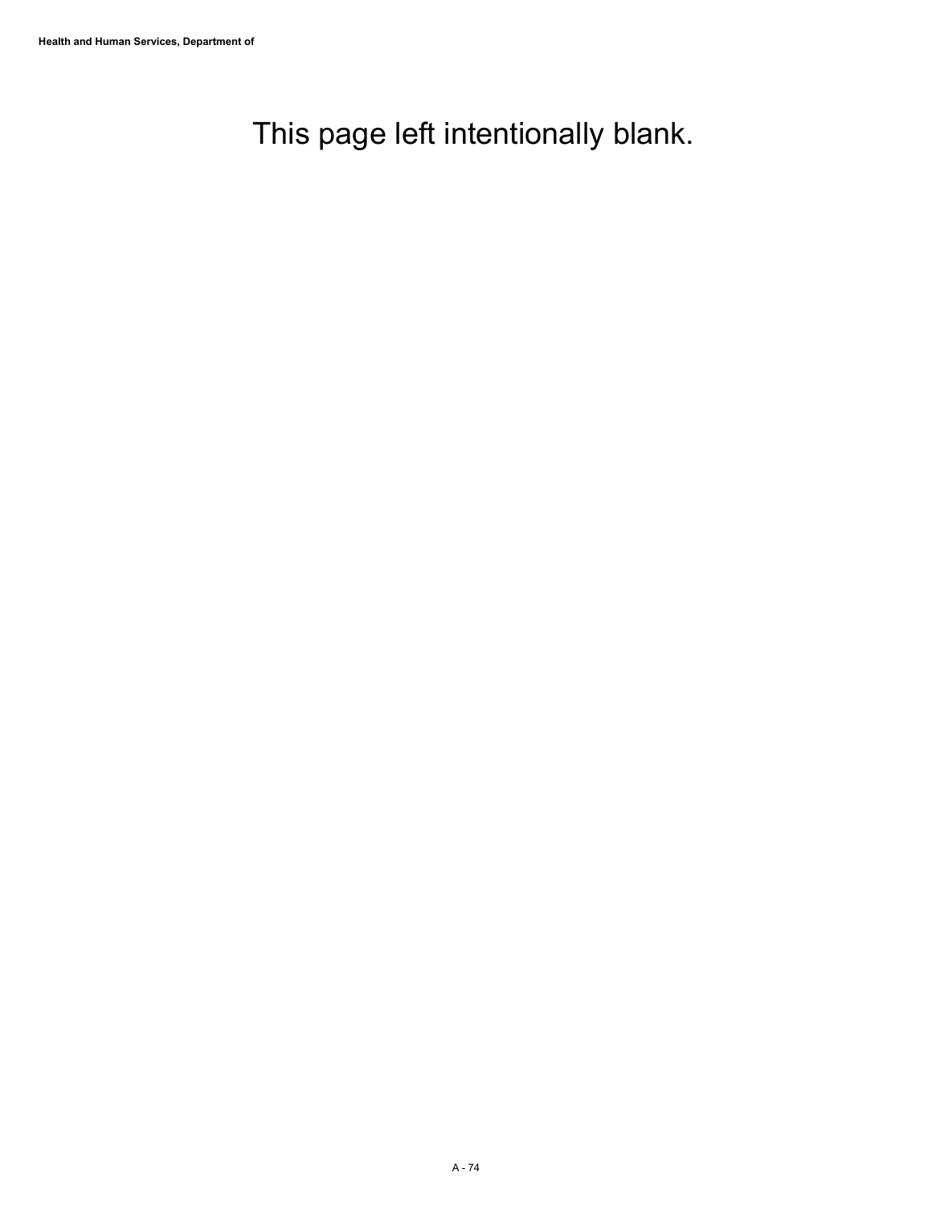This page left intentionally blank.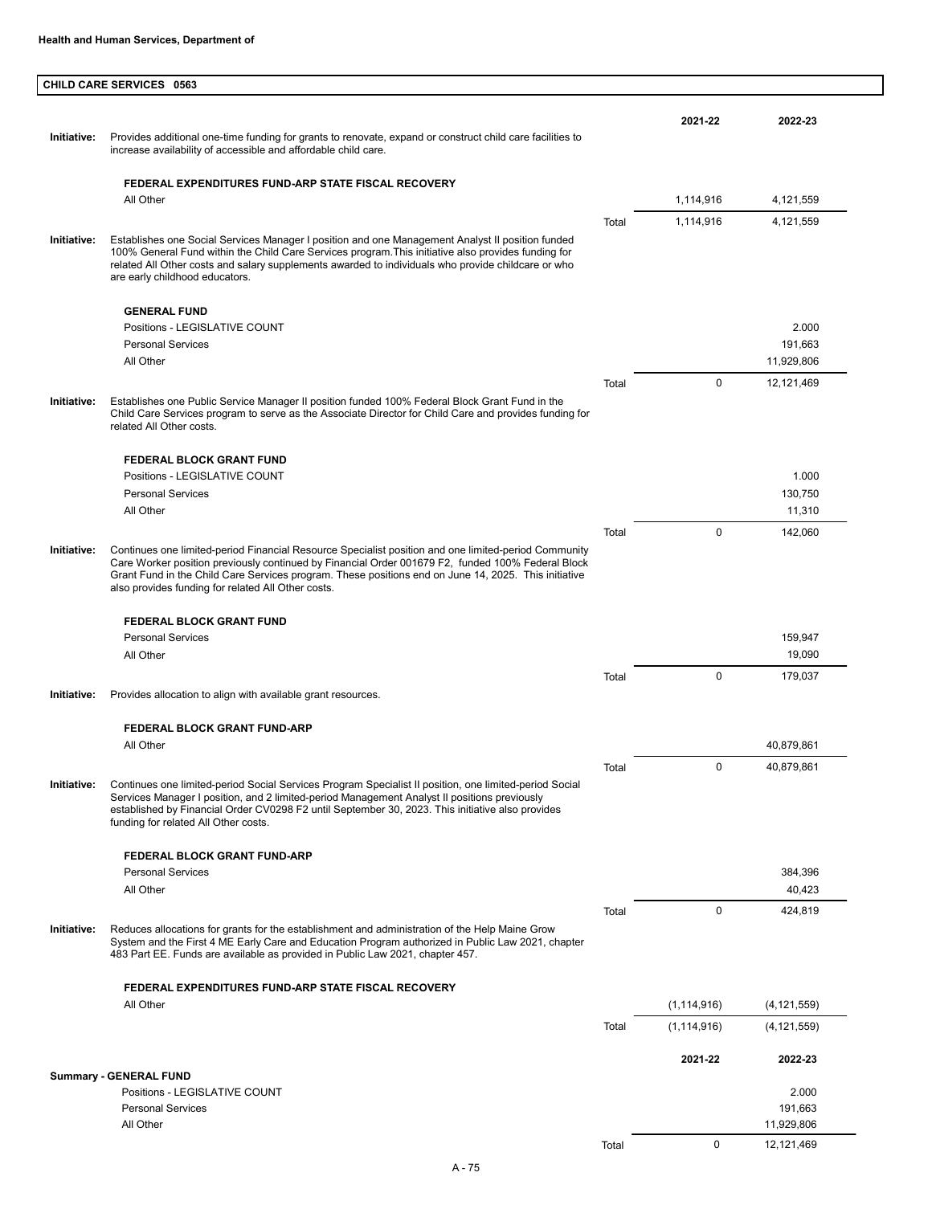|             | <b>CHILD CARE SERVICES 0563</b>                                                                                                                                                                                                                                                                                                                                         |       |               |               |
|-------------|-------------------------------------------------------------------------------------------------------------------------------------------------------------------------------------------------------------------------------------------------------------------------------------------------------------------------------------------------------------------------|-------|---------------|---------------|
|             |                                                                                                                                                                                                                                                                                                                                                                         |       | 2021-22       | 2022-23       |
| Initiative: | Provides additional one-time funding for grants to renovate, expand or construct child care facilities to<br>increase availability of accessible and affordable child care.                                                                                                                                                                                             |       |               |               |
|             | FEDERAL EXPENDITURES FUND-ARP STATE FISCAL RECOVERY                                                                                                                                                                                                                                                                                                                     |       |               |               |
|             | All Other                                                                                                                                                                                                                                                                                                                                                               |       | 1,114,916     | 4,121,559     |
|             |                                                                                                                                                                                                                                                                                                                                                                         | Total | 1,114,916     | 4,121,559     |
| Initiative: | Establishes one Social Services Manager I position and one Management Analyst II position funded<br>100% General Fund within the Child Care Services program. This initiative also provides funding for<br>related All Other costs and salary supplements awarded to individuals who provide childcare or who<br>are early childhood educators.                         |       |               |               |
|             | <b>GENERAL FUND</b>                                                                                                                                                                                                                                                                                                                                                     |       |               |               |
|             | Positions - LEGISLATIVE COUNT                                                                                                                                                                                                                                                                                                                                           |       |               | 2.000         |
|             | <b>Personal Services</b>                                                                                                                                                                                                                                                                                                                                                |       |               | 191,663       |
|             | All Other                                                                                                                                                                                                                                                                                                                                                               |       |               | 11,929,806    |
|             |                                                                                                                                                                                                                                                                                                                                                                         | Total | 0             | 12,121,469    |
| Initiative: | Establishes one Public Service Manager II position funded 100% Federal Block Grant Fund in the<br>Child Care Services program to serve as the Associate Director for Child Care and provides funding for<br>related All Other costs.                                                                                                                                    |       |               |               |
|             | <b>FEDERAL BLOCK GRANT FUND</b>                                                                                                                                                                                                                                                                                                                                         |       |               |               |
|             | Positions - LEGISLATIVE COUNT                                                                                                                                                                                                                                                                                                                                           |       |               | 1.000         |
|             | <b>Personal Services</b>                                                                                                                                                                                                                                                                                                                                                |       |               | 130,750       |
|             | All Other                                                                                                                                                                                                                                                                                                                                                               |       |               | 11,310        |
|             |                                                                                                                                                                                                                                                                                                                                                                         | Total | $\mathbf 0$   | 142,060       |
| Initiative: | Continues one limited-period Financial Resource Specialist position and one limited-period Community<br>Care Worker position previously continued by Financial Order 001679 F2, funded 100% Federal Block<br>Grant Fund in the Child Care Services program. These positions end on June 14, 2025. This initiative<br>also provides funding for related All Other costs. |       |               |               |
|             | <b>FEDERAL BLOCK GRANT FUND</b>                                                                                                                                                                                                                                                                                                                                         |       |               |               |
|             | <b>Personal Services</b>                                                                                                                                                                                                                                                                                                                                                |       |               | 159,947       |
|             | All Other                                                                                                                                                                                                                                                                                                                                                               |       |               | 19,090        |
|             |                                                                                                                                                                                                                                                                                                                                                                         | Total | 0             | 179,037       |
| Initiative: | Provides allocation to align with available grant resources.                                                                                                                                                                                                                                                                                                            |       |               |               |
|             | <b>FEDERAL BLOCK GRANT FUND-ARP</b>                                                                                                                                                                                                                                                                                                                                     |       |               |               |
|             | All Other                                                                                                                                                                                                                                                                                                                                                               |       |               | 40,879,861    |
|             |                                                                                                                                                                                                                                                                                                                                                                         |       |               |               |
|             |                                                                                                                                                                                                                                                                                                                                                                         | Total | 0             | 40,879,861    |
| Initiative: | Continues one limited-period Social Services Program Specialist II position, one limited-period Social<br>Services Manager I position, and 2 limited-period Management Analyst II positions previously<br>established by Financial Order CV0298 F2 until September 30, 2023. This initiative also provides<br>funding for related All Other costs.                      |       |               |               |
|             | FEDERAL BLOCK GRANT FUND-ARP                                                                                                                                                                                                                                                                                                                                            |       |               |               |
|             | <b>Personal Services</b>                                                                                                                                                                                                                                                                                                                                                |       |               | 384,396       |
|             | All Other                                                                                                                                                                                                                                                                                                                                                               |       |               | 40,423        |
|             |                                                                                                                                                                                                                                                                                                                                                                         | Total | $\mathbf 0$   | 424,819       |
| Initiative: | Reduces allocations for grants for the establishment and administration of the Help Maine Grow<br>System and the First 4 ME Early Care and Education Program authorized in Public Law 2021, chapter<br>483 Part EE. Funds are available as provided in Public Law 2021, chapter 457.                                                                                    |       |               |               |
|             | FEDERAL EXPENDITURES FUND-ARP STATE FISCAL RECOVERY                                                                                                                                                                                                                                                                                                                     |       |               |               |
|             | All Other                                                                                                                                                                                                                                                                                                                                                               |       | (1, 114, 916) | (4, 121, 559) |
|             |                                                                                                                                                                                                                                                                                                                                                                         | Total | (1, 114, 916) | (4, 121, 559) |
|             |                                                                                                                                                                                                                                                                                                                                                                         |       | 2021-22       | 2022-23       |
|             | <b>Summary - GENERAL FUND</b>                                                                                                                                                                                                                                                                                                                                           |       |               |               |
|             | Positions - LEGISLATIVE COUNT                                                                                                                                                                                                                                                                                                                                           |       |               | 2.000         |
|             | <b>Personal Services</b>                                                                                                                                                                                                                                                                                                                                                |       |               | 191,663       |
|             | All Other                                                                                                                                                                                                                                                                                                                                                               |       |               | 11,929,806    |
|             |                                                                                                                                                                                                                                                                                                                                                                         | Total | $\mathbf 0$   | 12, 121, 469  |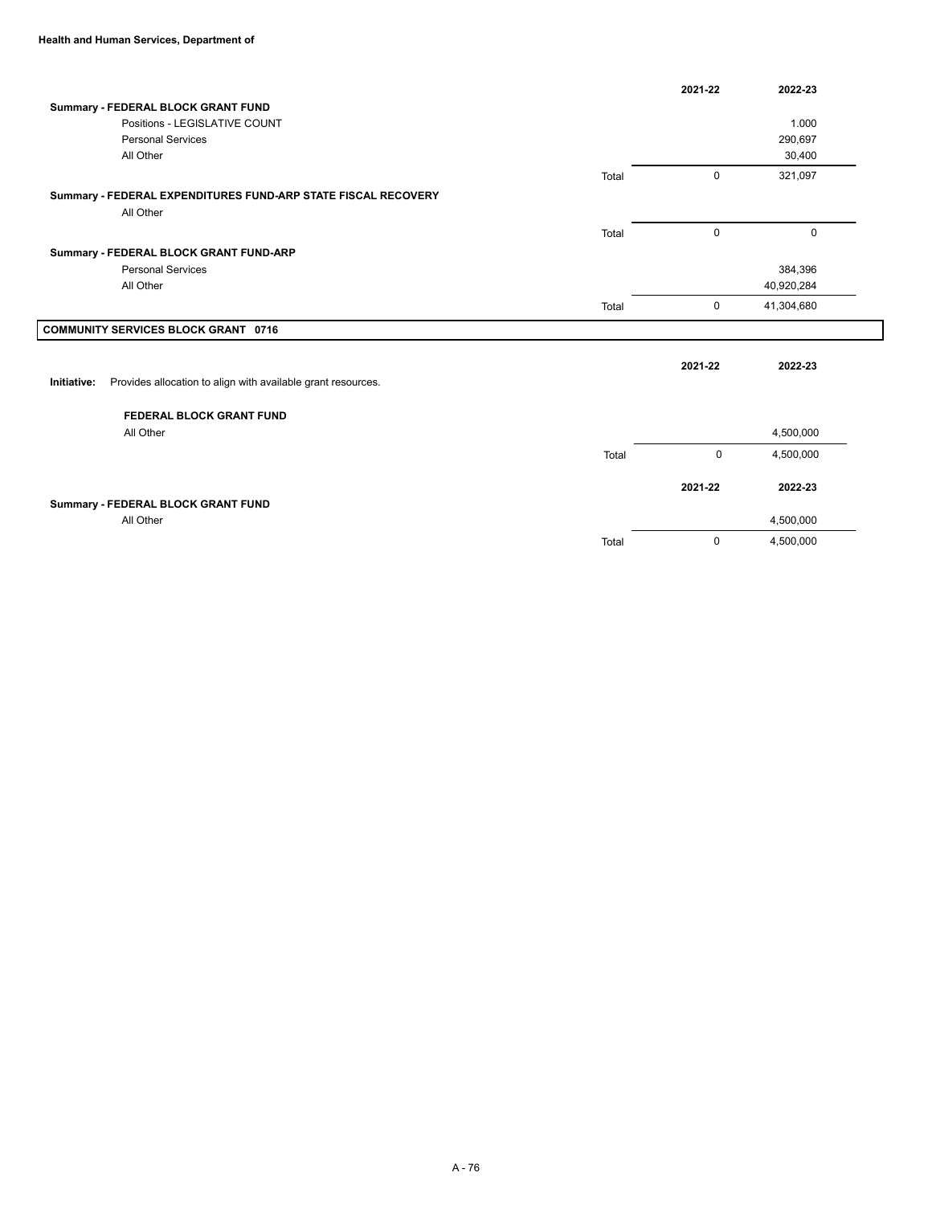|             |                                                               |       | 2021-22     | 2022-23                |
|-------------|---------------------------------------------------------------|-------|-------------|------------------------|
|             | Summary - FEDERAL BLOCK GRANT FUND                            |       |             |                        |
|             | Positions - LEGISLATIVE COUNT                                 |       |             | 1.000                  |
|             | <b>Personal Services</b>                                      |       |             | 290,697                |
|             | All Other                                                     |       |             | 30,400                 |
|             |                                                               | Total | $\mathbf 0$ | 321,097                |
|             | Summary - FEDERAL EXPENDITURES FUND-ARP STATE FISCAL RECOVERY |       |             |                        |
|             | All Other                                                     |       |             |                        |
|             |                                                               | Total | $\mathbf 0$ | 0                      |
|             | Summary - FEDERAL BLOCK GRANT FUND-ARP                        |       |             |                        |
|             | <b>Personal Services</b>                                      |       |             | 384,396                |
|             | All Other                                                     |       |             | 40,920,284             |
|             |                                                               | Total | $\mathbf 0$ | 41,304,680             |
|             |                                                               |       |             |                        |
|             | <b>COMMUNITY SERVICES BLOCK GRANT 0716</b>                    |       |             |                        |
|             |                                                               |       |             |                        |
| Initiative: | Provides allocation to align with available grant resources.  |       | 2021-22     | 2022-23                |
|             |                                                               |       |             |                        |
|             | <b>FEDERAL BLOCK GRANT FUND</b>                               |       |             |                        |
|             | All Other                                                     |       |             | 4,500,000              |
|             |                                                               | Total | 0           | 4,500,000              |
|             |                                                               |       |             |                        |
|             |                                                               |       | 2021-22     | 2022-23                |
|             | Summary - FEDERAL BLOCK GRANT FUND                            |       |             |                        |
|             | All Other                                                     | Total | $\pmb{0}$   | 4,500,000<br>4,500,000 |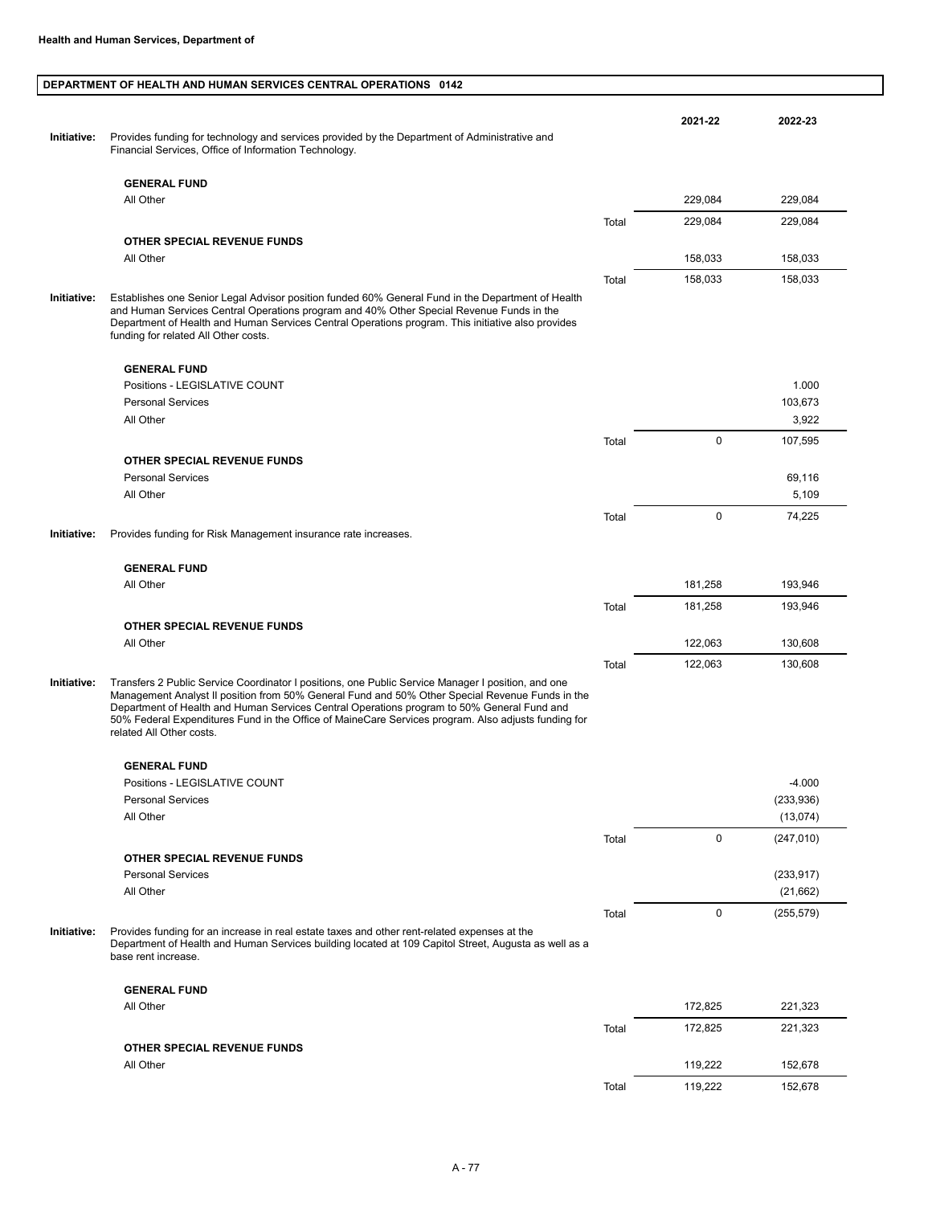|             | DEPARTMENT OF HEALTH AND HUMAN SERVICES CENTRAL OPERATIONS 0142                                                                                                                                                                                                                                                                                                                                                                        |       |         |            |
|-------------|----------------------------------------------------------------------------------------------------------------------------------------------------------------------------------------------------------------------------------------------------------------------------------------------------------------------------------------------------------------------------------------------------------------------------------------|-------|---------|------------|
|             |                                                                                                                                                                                                                                                                                                                                                                                                                                        |       | 2021-22 | 2022-23    |
| Initiative: | Provides funding for technology and services provided by the Department of Administrative and                                                                                                                                                                                                                                                                                                                                          |       |         |            |
|             | Financial Services, Office of Information Technology.                                                                                                                                                                                                                                                                                                                                                                                  |       |         |            |
|             | <b>GENERAL FUND</b>                                                                                                                                                                                                                                                                                                                                                                                                                    |       |         |            |
|             | All Other                                                                                                                                                                                                                                                                                                                                                                                                                              |       | 229,084 | 229,084    |
|             |                                                                                                                                                                                                                                                                                                                                                                                                                                        | Total | 229,084 | 229,084    |
|             | <b>OTHER SPECIAL REVENUE FUNDS</b>                                                                                                                                                                                                                                                                                                                                                                                                     |       |         |            |
|             | All Other                                                                                                                                                                                                                                                                                                                                                                                                                              |       | 158,033 | 158,033    |
|             |                                                                                                                                                                                                                                                                                                                                                                                                                                        | Total | 158,033 | 158,033    |
| Initiative: | Establishes one Senior Legal Advisor position funded 60% General Fund in the Department of Health<br>and Human Services Central Operations program and 40% Other Special Revenue Funds in the<br>Department of Health and Human Services Central Operations program. This initiative also provides<br>funding for related All Other costs.                                                                                             |       |         |            |
|             | <b>GENERAL FUND</b>                                                                                                                                                                                                                                                                                                                                                                                                                    |       |         |            |
|             | Positions - LEGISLATIVE COUNT                                                                                                                                                                                                                                                                                                                                                                                                          |       |         | 1.000      |
|             | <b>Personal Services</b>                                                                                                                                                                                                                                                                                                                                                                                                               |       |         | 103,673    |
|             | All Other                                                                                                                                                                                                                                                                                                                                                                                                                              |       |         | 3,922      |
|             |                                                                                                                                                                                                                                                                                                                                                                                                                                        | Total | 0       | 107,595    |
|             | <b>OTHER SPECIAL REVENUE FUNDS</b>                                                                                                                                                                                                                                                                                                                                                                                                     |       |         |            |
|             | <b>Personal Services</b>                                                                                                                                                                                                                                                                                                                                                                                                               |       |         | 69,116     |
|             | All Other                                                                                                                                                                                                                                                                                                                                                                                                                              |       |         | 5,109      |
|             |                                                                                                                                                                                                                                                                                                                                                                                                                                        | Total | 0       | 74,225     |
| Initiative: | Provides funding for Risk Management insurance rate increases.                                                                                                                                                                                                                                                                                                                                                                         |       |         |            |
|             | <b>GENERAL FUND</b>                                                                                                                                                                                                                                                                                                                                                                                                                    |       |         |            |
|             | All Other                                                                                                                                                                                                                                                                                                                                                                                                                              |       | 181,258 | 193,946    |
|             |                                                                                                                                                                                                                                                                                                                                                                                                                                        | Total | 181,258 | 193,946    |
|             | OTHER SPECIAL REVENUE FUNDS                                                                                                                                                                                                                                                                                                                                                                                                            |       |         |            |
|             | All Other                                                                                                                                                                                                                                                                                                                                                                                                                              |       | 122,063 | 130,608    |
|             |                                                                                                                                                                                                                                                                                                                                                                                                                                        | Total | 122,063 | 130,608    |
| Initiative: | Transfers 2 Public Service Coordinator I positions, one Public Service Manager I position, and one<br>Management Analyst II position from 50% General Fund and 50% Other Special Revenue Funds in the<br>Department of Health and Human Services Central Operations program to 50% General Fund and<br>50% Federal Expenditures Fund in the Office of MaineCare Services program. Also adjusts funding for<br>related All Other costs. |       |         |            |
|             | <b>GENERAL FUND</b>                                                                                                                                                                                                                                                                                                                                                                                                                    |       |         |            |
|             | Positions - LEGISLATIVE COUNT                                                                                                                                                                                                                                                                                                                                                                                                          |       |         | $-4.000$   |
|             | <b>Personal Services</b>                                                                                                                                                                                                                                                                                                                                                                                                               |       |         | (233, 936) |
|             | All Other                                                                                                                                                                                                                                                                                                                                                                                                                              |       |         | (13,074)   |
|             |                                                                                                                                                                                                                                                                                                                                                                                                                                        | Total | 0       | (247, 010) |
|             | OTHER SPECIAL REVENUE FUNDS                                                                                                                                                                                                                                                                                                                                                                                                            |       |         |            |
|             | <b>Personal Services</b>                                                                                                                                                                                                                                                                                                                                                                                                               |       |         | (233, 917) |
|             | All Other                                                                                                                                                                                                                                                                                                                                                                                                                              |       |         | (21, 662)  |
| Initiative: | Provides funding for an increase in real estate taxes and other rent-related expenses at the<br>Department of Health and Human Services building located at 109 Capitol Street, Augusta as well as a<br>base rent increase.                                                                                                                                                                                                            | Total | 0       | (255, 579) |
|             |                                                                                                                                                                                                                                                                                                                                                                                                                                        |       |         |            |
|             | <b>GENERAL FUND</b>                                                                                                                                                                                                                                                                                                                                                                                                                    |       |         |            |
|             | All Other                                                                                                                                                                                                                                                                                                                                                                                                                              |       | 172,825 | 221,323    |
|             |                                                                                                                                                                                                                                                                                                                                                                                                                                        | Total | 172,825 | 221,323    |
|             | <b>OTHER SPECIAL REVENUE FUNDS</b>                                                                                                                                                                                                                                                                                                                                                                                                     |       |         |            |

All Other 2012 152,678 152,678 152,678 152,678 162,678 162,678 162,678 162,678 162,678 162,678 162,678 162,678

Total 119,222 152,678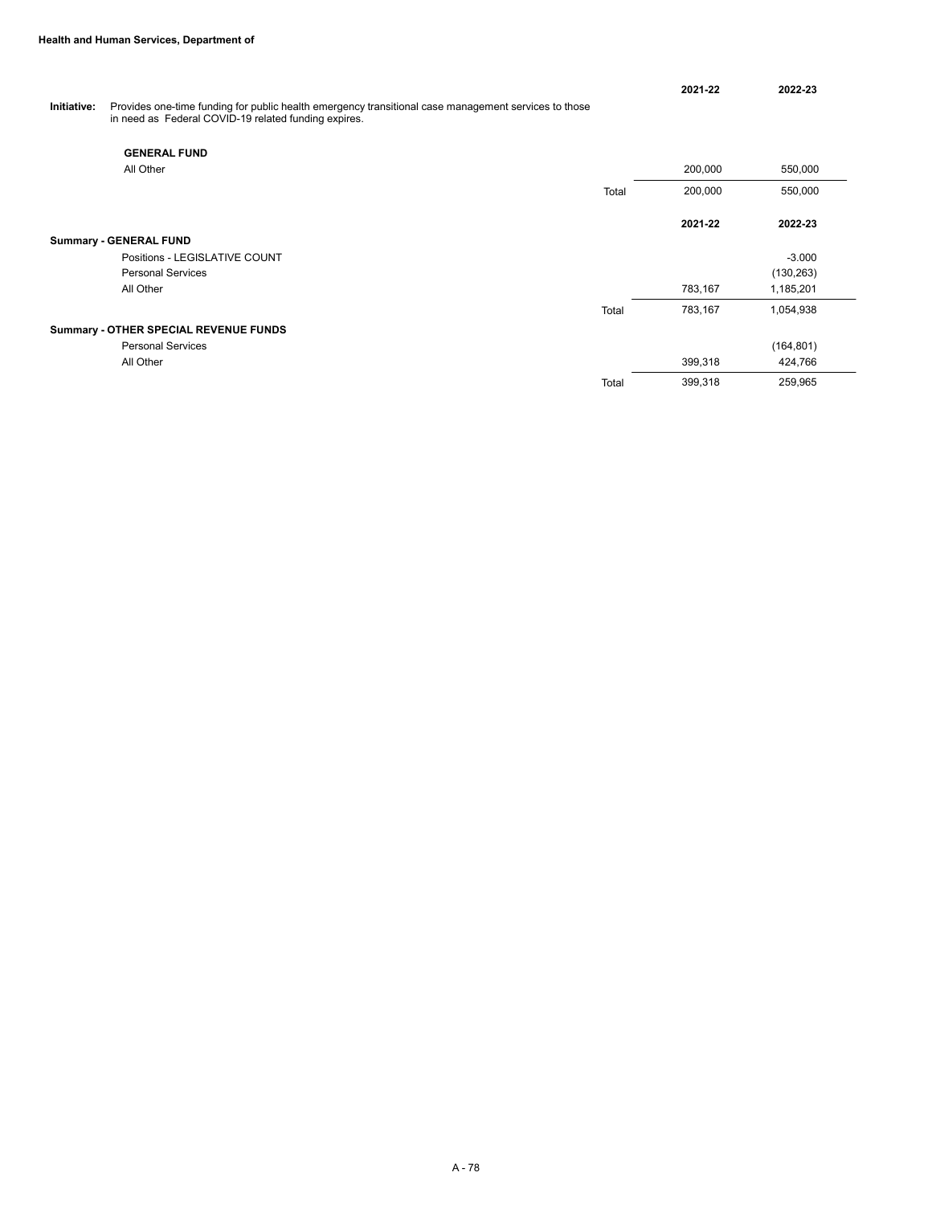|             |                                                                                                                                                              |       | 2021-22 | 2022-23 |
|-------------|--------------------------------------------------------------------------------------------------------------------------------------------------------------|-------|---------|---------|
| Initiative: | Provides one-time funding for public health emergency transitional case management services to those<br>in need as Federal COVID-19 related funding expires. |       |         |         |
|             | <b>GENERAL FUND</b>                                                                                                                                          |       |         |         |
|             | All Other                                                                                                                                                    |       | 200,000 | 550,000 |
|             |                                                                                                                                                              | Total | 200,000 | 550,000 |

|                                              |       | 2021-22 | 2022-23    |
|----------------------------------------------|-------|---------|------------|
| <b>Summary - GENERAL FUND</b>                |       |         |            |
| Positions - LEGISLATIVE COUNT                |       |         | $-3.000$   |
| <b>Personal Services</b>                     |       |         | (130, 263) |
| All Other                                    |       | 783,167 | 1,185,201  |
|                                              | Total | 783,167 | 1,054,938  |
| <b>Summary - OTHER SPECIAL REVENUE FUNDS</b> |       |         |            |
| <b>Personal Services</b>                     |       |         | (164, 801) |
| All Other                                    |       | 399,318 | 424,766    |
|                                              | Total | 399,318 | 259,965    |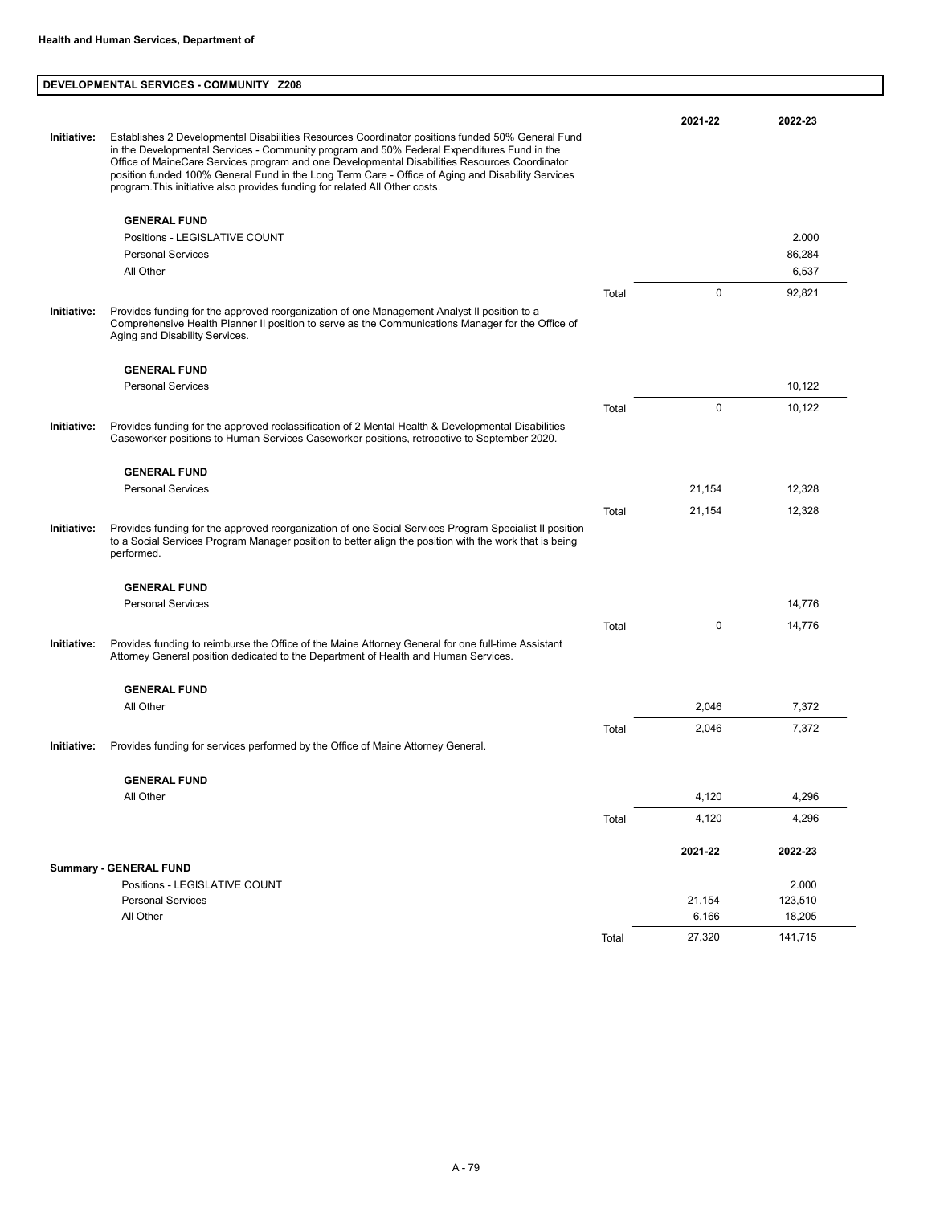|             |                                                                                                                                                                                                                                                                                                                                                                                                                                                                                     |       | 2021-22     | 2022-23 |
|-------------|-------------------------------------------------------------------------------------------------------------------------------------------------------------------------------------------------------------------------------------------------------------------------------------------------------------------------------------------------------------------------------------------------------------------------------------------------------------------------------------|-------|-------------|---------|
| Initiative: | Establishes 2 Developmental Disabilities Resources Coordinator positions funded 50% General Fund<br>in the Developmental Services - Community program and 50% Federal Expenditures Fund in the<br>Office of MaineCare Services program and one Developmental Disabilities Resources Coordinator<br>position funded 100% General Fund in the Long Term Care - Office of Aging and Disability Services<br>program. This initiative also provides funding for related All Other costs. |       |             |         |
|             | <b>GENERAL FUND</b>                                                                                                                                                                                                                                                                                                                                                                                                                                                                 |       |             |         |
|             | Positions - LEGISLATIVE COUNT                                                                                                                                                                                                                                                                                                                                                                                                                                                       |       |             | 2.000   |
|             | <b>Personal Services</b>                                                                                                                                                                                                                                                                                                                                                                                                                                                            |       |             | 86,284  |
|             | All Other                                                                                                                                                                                                                                                                                                                                                                                                                                                                           |       |             | 6,537   |
|             |                                                                                                                                                                                                                                                                                                                                                                                                                                                                                     | Total | $\mathbf 0$ | 92,821  |
| Initiative: | Provides funding for the approved reorganization of one Management Analyst II position to a<br>Comprehensive Health Planner II position to serve as the Communications Manager for the Office of<br>Aging and Disability Services.                                                                                                                                                                                                                                                  |       |             |         |
|             | <b>GENERAL FUND</b>                                                                                                                                                                                                                                                                                                                                                                                                                                                                 |       |             |         |
|             | <b>Personal Services</b>                                                                                                                                                                                                                                                                                                                                                                                                                                                            |       |             | 10,122  |
|             |                                                                                                                                                                                                                                                                                                                                                                                                                                                                                     | Total | $\mathbf 0$ | 10,122  |
| Initiative: | Provides funding for the approved reclassification of 2 Mental Health & Developmental Disabilities<br>Caseworker positions to Human Services Caseworker positions, retroactive to September 2020.                                                                                                                                                                                                                                                                                   |       |             |         |
|             | <b>GENERAL FUND</b>                                                                                                                                                                                                                                                                                                                                                                                                                                                                 |       |             |         |
|             | <b>Personal Services</b>                                                                                                                                                                                                                                                                                                                                                                                                                                                            |       | 21,154      | 12,328  |
| Initiative: | Provides funding for the approved reorganization of one Social Services Program Specialist II position<br>to a Social Services Program Manager position to better align the position with the work that is being<br>performed.                                                                                                                                                                                                                                                      | Total | 21,154      | 12,328  |
|             | <b>GENERAL FUND</b>                                                                                                                                                                                                                                                                                                                                                                                                                                                                 |       |             |         |
|             | <b>Personal Services</b>                                                                                                                                                                                                                                                                                                                                                                                                                                                            |       |             | 14,776  |
|             |                                                                                                                                                                                                                                                                                                                                                                                                                                                                                     | Total | $\mathbf 0$ | 14,776  |
| Initiative: | Provides funding to reimburse the Office of the Maine Attorney General for one full-time Assistant<br>Attorney General position dedicated to the Department of Health and Human Services.                                                                                                                                                                                                                                                                                           |       |             |         |
|             | <b>GENERAL FUND</b>                                                                                                                                                                                                                                                                                                                                                                                                                                                                 |       |             |         |
|             | All Other                                                                                                                                                                                                                                                                                                                                                                                                                                                                           |       | 2,046       | 7,372   |
| Initiative: | Provides funding for services performed by the Office of Maine Attorney General.                                                                                                                                                                                                                                                                                                                                                                                                    | Total | 2,046       | 7,372   |
|             | <b>GENERAL FUND</b>                                                                                                                                                                                                                                                                                                                                                                                                                                                                 |       |             |         |
|             | All Other                                                                                                                                                                                                                                                                                                                                                                                                                                                                           |       | 4,120       | 4,296   |
|             |                                                                                                                                                                                                                                                                                                                                                                                                                                                                                     |       |             |         |
|             |                                                                                                                                                                                                                                                                                                                                                                                                                                                                                     | Total | 4,120       | 4,296   |
|             |                                                                                                                                                                                                                                                                                                                                                                                                                                                                                     |       | 2021-22     | 2022-23 |
|             | <b>Summary - GENERAL FUND</b>                                                                                                                                                                                                                                                                                                                                                                                                                                                       |       |             |         |
|             | Positions - LEGISLATIVE COUNT                                                                                                                                                                                                                                                                                                                                                                                                                                                       |       |             | 2.000   |
|             | <b>Personal Services</b>                                                                                                                                                                                                                                                                                                                                                                                                                                                            |       | 21,154      | 123,510 |
|             | All Other                                                                                                                                                                                                                                                                                                                                                                                                                                                                           |       | 6,166       | 18,205  |
|             |                                                                                                                                                                                                                                                                                                                                                                                                                                                                                     | Total | 27,320      | 141,715 |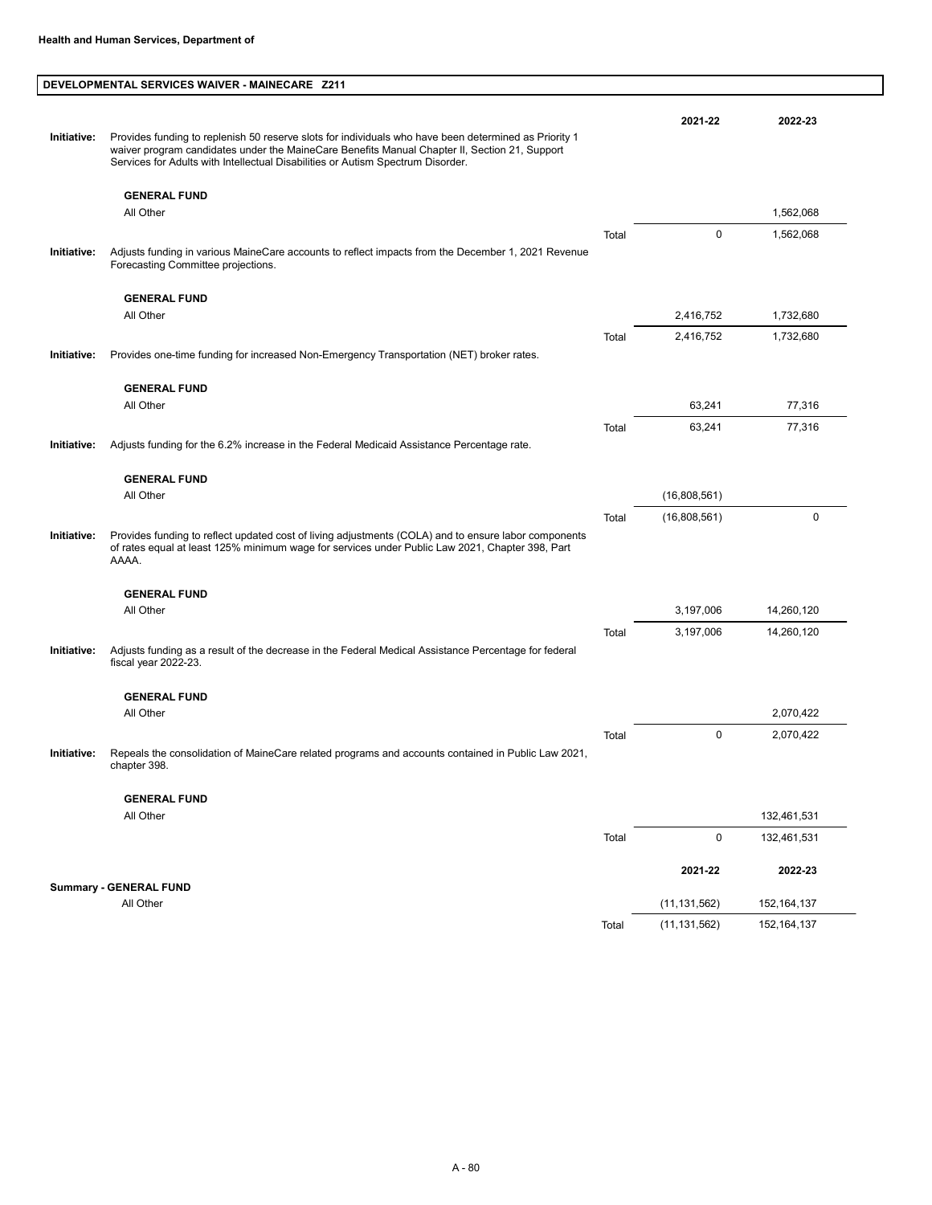|             | DEVELOPMENTAL SERVICES WAIVER - MAINECARE Z211                                                                                                                                                                                                                                            |       |                |               |
|-------------|-------------------------------------------------------------------------------------------------------------------------------------------------------------------------------------------------------------------------------------------------------------------------------------------|-------|----------------|---------------|
|             |                                                                                                                                                                                                                                                                                           |       |                |               |
| Initiative: | Provides funding to replenish 50 reserve slots for individuals who have been determined as Priority 1<br>waiver program candidates under the MaineCare Benefits Manual Chapter II, Section 21, Support<br>Services for Adults with Intellectual Disabilities or Autism Spectrum Disorder. |       | 2021-22        | 2022-23       |
|             | <b>GENERAL FUND</b>                                                                                                                                                                                                                                                                       |       |                |               |
|             | All Other                                                                                                                                                                                                                                                                                 |       |                | 1,562,068     |
|             |                                                                                                                                                                                                                                                                                           | Total | 0              | 1,562,068     |
| Initiative: | Adjusts funding in various MaineCare accounts to reflect impacts from the December 1, 2021 Revenue<br>Forecasting Committee projections.                                                                                                                                                  |       |                |               |
|             | <b>GENERAL FUND</b>                                                                                                                                                                                                                                                                       |       |                |               |
|             | All Other                                                                                                                                                                                                                                                                                 |       | 2,416,752      | 1,732,680     |
|             |                                                                                                                                                                                                                                                                                           | Total | 2,416,752      | 1,732,680     |
| Initiative: | Provides one-time funding for increased Non-Emergency Transportation (NET) broker rates.                                                                                                                                                                                                  |       |                |               |
|             |                                                                                                                                                                                                                                                                                           |       |                |               |
|             | <b>GENERAL FUND</b><br>All Other                                                                                                                                                                                                                                                          |       | 63,241         | 77,316        |
|             |                                                                                                                                                                                                                                                                                           | Total | 63,241         | 77,316        |
| Initiative: | Adjusts funding for the 6.2% increase in the Federal Medicaid Assistance Percentage rate.                                                                                                                                                                                                 |       |                |               |
|             |                                                                                                                                                                                                                                                                                           |       |                |               |
|             | <b>GENERAL FUND</b>                                                                                                                                                                                                                                                                       |       |                |               |
|             | All Other                                                                                                                                                                                                                                                                                 |       | (16,808,561)   |               |
| Initiative: | Provides funding to reflect updated cost of living adjustments (COLA) and to ensure labor components<br>of rates equal at least 125% minimum wage for services under Public Law 2021, Chapter 398, Part<br>AAAA.                                                                          | Total | (16,808,561)   | 0             |
|             | <b>GENERAL FUND</b>                                                                                                                                                                                                                                                                       |       |                |               |
|             | All Other                                                                                                                                                                                                                                                                                 |       | 3,197,006      | 14,260,120    |
|             |                                                                                                                                                                                                                                                                                           | Total | 3,197,006      | 14,260,120    |
| Initiative: | Adjusts funding as a result of the decrease in the Federal Medical Assistance Percentage for federal<br>fiscal year 2022-23.                                                                                                                                                              |       |                |               |
|             | <b>GENERAL FUND</b>                                                                                                                                                                                                                                                                       |       |                |               |
|             | All Other                                                                                                                                                                                                                                                                                 |       |                | 2,070,422     |
|             |                                                                                                                                                                                                                                                                                           | Total | 0              | 2,070,422     |
| Initiative: | Repeals the consolidation of MaineCare related programs and accounts contained in Public Law 2021,<br>chapter 398.                                                                                                                                                                        |       |                |               |
|             | <b>GENERAL FUND</b>                                                                                                                                                                                                                                                                       |       |                |               |
|             | All Other                                                                                                                                                                                                                                                                                 |       |                | 132,461,531   |
|             |                                                                                                                                                                                                                                                                                           | Total | 0              | 132,461,531   |
|             |                                                                                                                                                                                                                                                                                           |       | 2021-22        | 2022-23       |
|             | <b>Summary - GENERAL FUND</b>                                                                                                                                                                                                                                                             |       |                |               |
|             | All Other                                                                                                                                                                                                                                                                                 |       | (11, 131, 562) | 152, 164, 137 |
|             |                                                                                                                                                                                                                                                                                           | Total | (11, 131, 562) | 152, 164, 137 |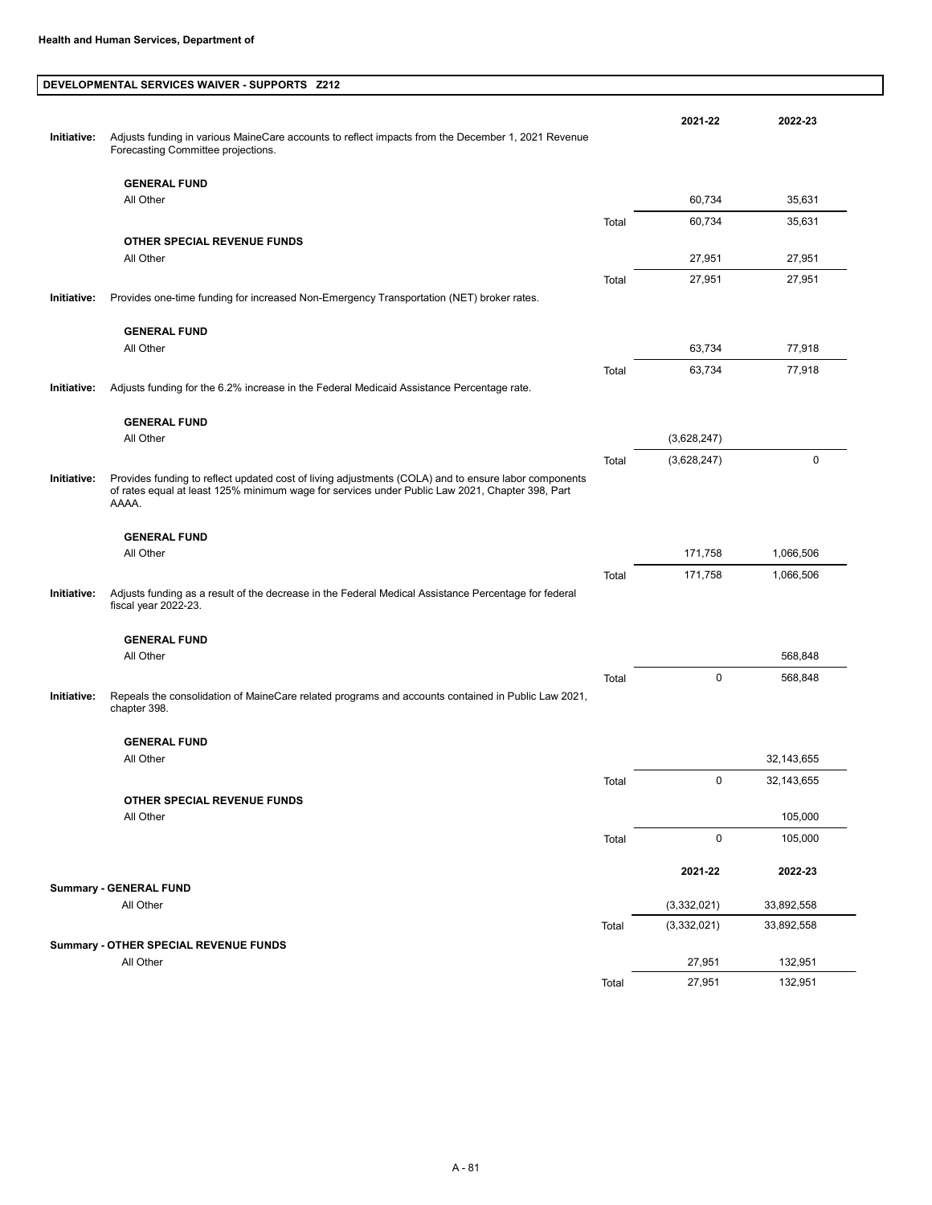|             | DEVELOPMENTAL SERVICES WAIVER - SUPPORTS Z212                                                                                                                                                                    |       |                            |                          |
|-------------|------------------------------------------------------------------------------------------------------------------------------------------------------------------------------------------------------------------|-------|----------------------------|--------------------------|
|             |                                                                                                                                                                                                                  |       | 2021-22                    | 2022-23                  |
| Initiative: | Adjusts funding in various MaineCare accounts to reflect impacts from the December 1, 2021 Revenue<br>Forecasting Committee projections.                                                                         |       |                            |                          |
|             | <b>GENERAL FUND</b>                                                                                                                                                                                              |       |                            |                          |
|             | All Other                                                                                                                                                                                                        |       | 60,734                     | 35,631                   |
|             |                                                                                                                                                                                                                  | Total | 60,734                     | 35,631                   |
|             | OTHER SPECIAL REVENUE FUNDS                                                                                                                                                                                      |       |                            |                          |
|             | All Other                                                                                                                                                                                                        |       | 27,951                     | 27,951                   |
|             |                                                                                                                                                                                                                  | Total | 27,951                     | 27,951                   |
| Initiative: | Provides one-time funding for increased Non-Emergency Transportation (NET) broker rates.                                                                                                                         |       |                            |                          |
|             | <b>GENERAL FUND</b>                                                                                                                                                                                              |       |                            |                          |
|             | All Other                                                                                                                                                                                                        |       | 63,734                     | 77,918                   |
|             |                                                                                                                                                                                                                  | Total | 63,734                     | 77,918                   |
| Initiative: | Adjusts funding for the 6.2% increase in the Federal Medicaid Assistance Percentage rate.                                                                                                                        |       |                            |                          |
|             | <b>GENERAL FUND</b>                                                                                                                                                                                              |       |                            |                          |
|             | All Other                                                                                                                                                                                                        |       | (3,628,247)                |                          |
|             |                                                                                                                                                                                                                  | Total | (3,628,247)                | 0                        |
| Initiative: | Provides funding to reflect updated cost of living adjustments (COLA) and to ensure labor components<br>of rates equal at least 125% minimum wage for services under Public Law 2021, Chapter 398, Part<br>AAAA. |       |                            |                          |
|             | <b>GENERAL FUND</b>                                                                                                                                                                                              |       |                            |                          |
|             | All Other                                                                                                                                                                                                        |       | 171,758                    | 1,066,506                |
|             |                                                                                                                                                                                                                  | Total | 171,758                    | 1,066,506                |
| Initiative: | Adjusts funding as a result of the decrease in the Federal Medical Assistance Percentage for federal<br>fiscal year 2022-23.                                                                                     |       |                            |                          |
|             | <b>GENERAL FUND</b>                                                                                                                                                                                              |       |                            |                          |
|             | All Other                                                                                                                                                                                                        |       |                            | 568,848                  |
|             |                                                                                                                                                                                                                  | Total | $\pmb{0}$                  | 568,848                  |
| Initiative: | Repeals the consolidation of MaineCare related programs and accounts contained in Public Law 2021,<br>chapter 398.                                                                                               |       |                            |                          |
|             | <b>GENERAL FUND</b>                                                                                                                                                                                              |       |                            |                          |
|             | All Other                                                                                                                                                                                                        |       |                            | 32,143,655               |
|             |                                                                                                                                                                                                                  | Total | $\pmb{0}$                  | 32,143,655               |
|             | OTHER SPECIAL REVENUE FUNDS                                                                                                                                                                                      |       |                            |                          |
|             | All Other                                                                                                                                                                                                        |       |                            | 105,000                  |
|             |                                                                                                                                                                                                                  | Total | $\mathsf 0$                | 105,000                  |
|             |                                                                                                                                                                                                                  |       | 2021-22                    | 2022-23                  |
|             | <b>Summary - GENERAL FUND</b>                                                                                                                                                                                    |       |                            |                          |
|             | All Other                                                                                                                                                                                                        |       | (3,332,021)<br>(3,332,021) | 33,892,558<br>33,892,558 |
|             | Summary - OTHER SPECIAL REVENUE FUNDS                                                                                                                                                                            | Total |                            |                          |
|             | All Other                                                                                                                                                                                                        |       | 27,951                     | 132,951                  |
|             |                                                                                                                                                                                                                  | Total | 27,951                     | 132,951                  |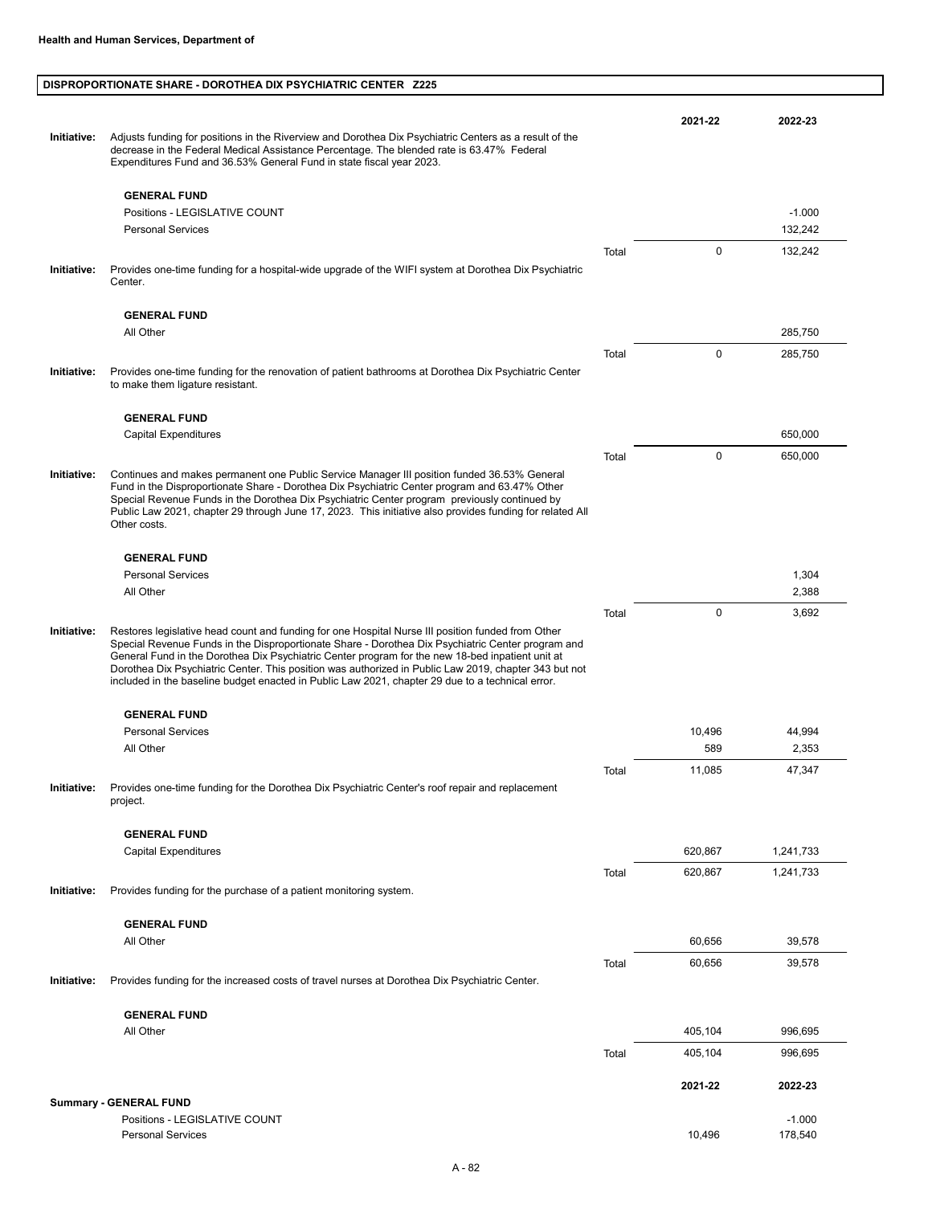|             | DISPROPORTIONATE SHARE - DOROTHEA DIX PSYCHIATRIC CENTER Z225                                                                                                                                                                                                                                                                                                                                                                                                                                                           |       |         |           |
|-------------|-------------------------------------------------------------------------------------------------------------------------------------------------------------------------------------------------------------------------------------------------------------------------------------------------------------------------------------------------------------------------------------------------------------------------------------------------------------------------------------------------------------------------|-------|---------|-----------|
|             |                                                                                                                                                                                                                                                                                                                                                                                                                                                                                                                         |       | 2021-22 | 2022-23   |
| Initiative: | Adjusts funding for positions in the Riverview and Dorothea Dix Psychiatric Centers as a result of the<br>decrease in the Federal Medical Assistance Percentage. The blended rate is 63.47% Federal<br>Expenditures Fund and 36.53% General Fund in state fiscal year 2023.                                                                                                                                                                                                                                             |       |         |           |
|             | <b>GENERAL FUND</b>                                                                                                                                                                                                                                                                                                                                                                                                                                                                                                     |       |         |           |
|             | Positions - LEGISLATIVE COUNT                                                                                                                                                                                                                                                                                                                                                                                                                                                                                           |       |         | $-1.000$  |
|             | <b>Personal Services</b>                                                                                                                                                                                                                                                                                                                                                                                                                                                                                                |       |         | 132,242   |
| Initiative: | Provides one-time funding for a hospital-wide upgrade of the WIFI system at Dorothea Dix Psychiatric<br>Center.                                                                                                                                                                                                                                                                                                                                                                                                         | Total | 0       | 132,242   |
|             |                                                                                                                                                                                                                                                                                                                                                                                                                                                                                                                         |       |         |           |
|             | <b>GENERAL FUND</b>                                                                                                                                                                                                                                                                                                                                                                                                                                                                                                     |       |         |           |
|             | All Other                                                                                                                                                                                                                                                                                                                                                                                                                                                                                                               |       |         | 285,750   |
|             |                                                                                                                                                                                                                                                                                                                                                                                                                                                                                                                         | Total | 0       | 285,750   |
| Initiative: | Provides one-time funding for the renovation of patient bathrooms at Dorothea Dix Psychiatric Center<br>to make them ligature resistant.                                                                                                                                                                                                                                                                                                                                                                                |       |         |           |
|             | <b>GENERAL FUND</b>                                                                                                                                                                                                                                                                                                                                                                                                                                                                                                     |       |         |           |
|             | Capital Expenditures                                                                                                                                                                                                                                                                                                                                                                                                                                                                                                    |       |         | 650,000   |
|             |                                                                                                                                                                                                                                                                                                                                                                                                                                                                                                                         | Total | 0       | 650,000   |
| Initiative: | Continues and makes permanent one Public Service Manager III position funded 36.53% General<br>Fund in the Disproportionate Share - Dorothea Dix Psychiatric Center program and 63.47% Other<br>Special Revenue Funds in the Dorothea Dix Psychiatric Center program previously continued by<br>Public Law 2021, chapter 29 through June 17, 2023. This initiative also provides funding for related All<br>Other costs.                                                                                                |       |         |           |
|             | <b>GENERAL FUND</b>                                                                                                                                                                                                                                                                                                                                                                                                                                                                                                     |       |         |           |
|             | <b>Personal Services</b>                                                                                                                                                                                                                                                                                                                                                                                                                                                                                                |       |         | 1,304     |
|             | All Other                                                                                                                                                                                                                                                                                                                                                                                                                                                                                                               |       |         | 2,388     |
| Initiative: | Restores legislative head count and funding for one Hospital Nurse III position funded from Other<br>Special Revenue Funds in the Disproportionate Share - Dorothea Dix Psychiatric Center program and<br>General Fund in the Dorothea Dix Psychiatric Center program for the new 18-bed inpatient unit at<br>Dorothea Dix Psychiatric Center. This position was authorized in Public Law 2019, chapter 343 but not<br>included in the baseline budget enacted in Public Law 2021, chapter 29 due to a technical error. | Total | 0       | 3,692     |
|             | <b>GENERAL FUND</b>                                                                                                                                                                                                                                                                                                                                                                                                                                                                                                     |       |         |           |
|             | <b>Personal Services</b>                                                                                                                                                                                                                                                                                                                                                                                                                                                                                                |       | 10,496  | 44,994    |
|             | All Other                                                                                                                                                                                                                                                                                                                                                                                                                                                                                                               |       | 589     | 2,353     |
|             |                                                                                                                                                                                                                                                                                                                                                                                                                                                                                                                         | Total | 11,085  | 47,347    |
| Initiative: | Provides one-time funding for the Dorothea Dix Psychiatric Center's roof repair and replacement<br>project.                                                                                                                                                                                                                                                                                                                                                                                                             |       |         |           |
|             | <b>GENERAL FUND</b>                                                                                                                                                                                                                                                                                                                                                                                                                                                                                                     |       |         |           |
|             | Capital Expenditures                                                                                                                                                                                                                                                                                                                                                                                                                                                                                                    |       | 620,867 | 1,241,733 |
| Initiative: | Provides funding for the purchase of a patient monitoring system.                                                                                                                                                                                                                                                                                                                                                                                                                                                       | Total | 620,867 | 1,241,733 |
|             | <b>GENERAL FUND</b>                                                                                                                                                                                                                                                                                                                                                                                                                                                                                                     |       |         |           |
|             | All Other                                                                                                                                                                                                                                                                                                                                                                                                                                                                                                               |       | 60,656  | 39,578    |
|             |                                                                                                                                                                                                                                                                                                                                                                                                                                                                                                                         | Total | 60,656  | 39,578    |
| Initiative: | Provides funding for the increased costs of travel nurses at Dorothea Dix Psychiatric Center.                                                                                                                                                                                                                                                                                                                                                                                                                           |       |         |           |
|             | <b>GENERAL FUND</b>                                                                                                                                                                                                                                                                                                                                                                                                                                                                                                     |       |         |           |
|             | All Other                                                                                                                                                                                                                                                                                                                                                                                                                                                                                                               |       | 405,104 | 996,695   |
|             |                                                                                                                                                                                                                                                                                                                                                                                                                                                                                                                         | Total | 405,104 | 996,695   |
|             |                                                                                                                                                                                                                                                                                                                                                                                                                                                                                                                         |       | 2021-22 | 2022-23   |
|             | <b>Summary - GENERAL FUND</b><br>Positions - LEGISLATIVE COUNT                                                                                                                                                                                                                                                                                                                                                                                                                                                          |       |         | $-1.000$  |
|             | <b>Personal Services</b>                                                                                                                                                                                                                                                                                                                                                                                                                                                                                                |       | 10,496  | 178,540   |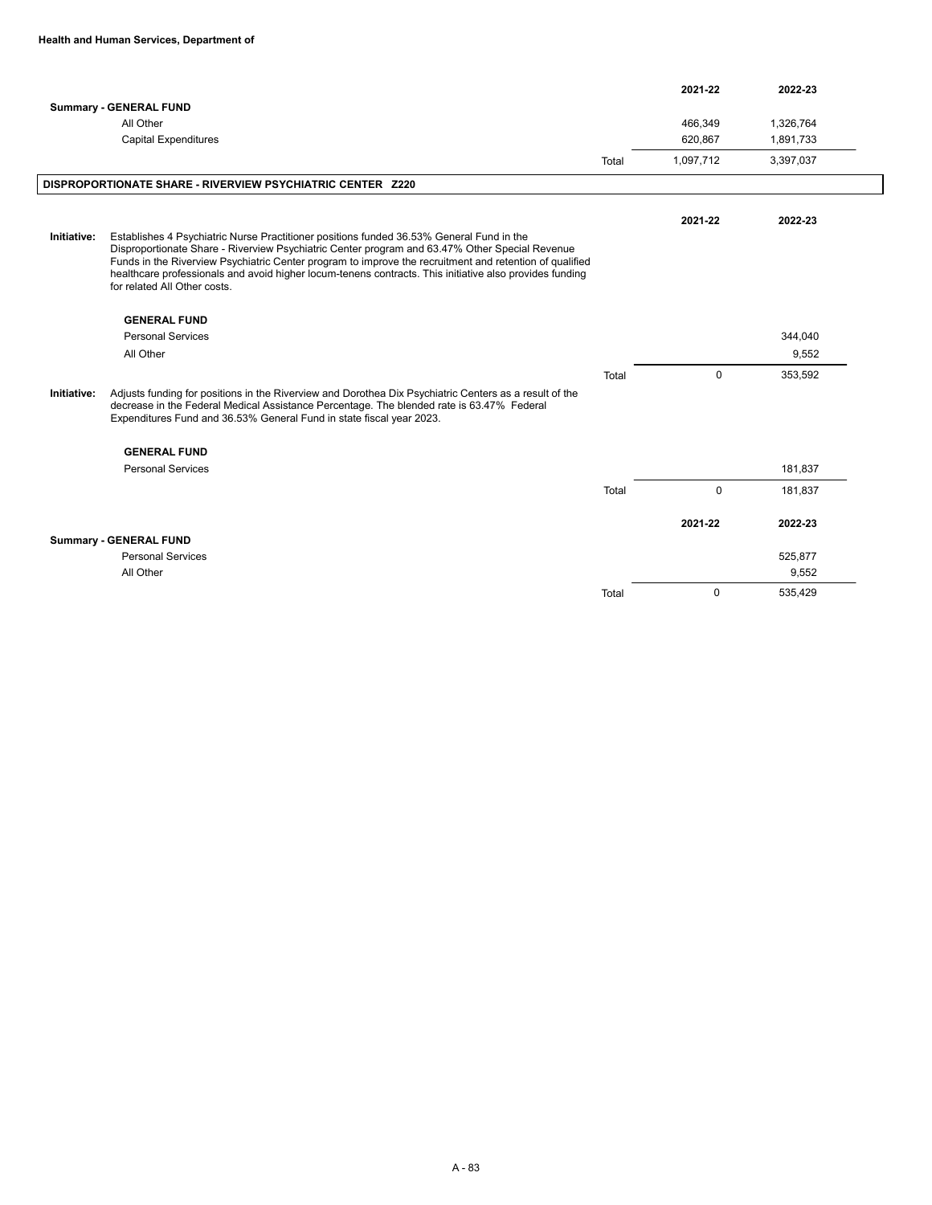|             |                                                                                                                                                                                                                                                                                                                                                                                                                                                  |       | 2021-22     | 2022-23   |
|-------------|--------------------------------------------------------------------------------------------------------------------------------------------------------------------------------------------------------------------------------------------------------------------------------------------------------------------------------------------------------------------------------------------------------------------------------------------------|-------|-------------|-----------|
|             | <b>Summary - GENERAL FUND</b>                                                                                                                                                                                                                                                                                                                                                                                                                    |       |             |           |
|             | All Other                                                                                                                                                                                                                                                                                                                                                                                                                                        |       | 466,349     | 1,326,764 |
|             | <b>Capital Expenditures</b>                                                                                                                                                                                                                                                                                                                                                                                                                      |       | 620,867     | 1,891,733 |
|             |                                                                                                                                                                                                                                                                                                                                                                                                                                                  | Total | 1,097,712   | 3,397,037 |
|             | DISPROPORTIONATE SHARE - RIVERVIEW PSYCHIATRIC CENTER Z220                                                                                                                                                                                                                                                                                                                                                                                       |       |             |           |
|             |                                                                                                                                                                                                                                                                                                                                                                                                                                                  |       | 2021-22     | 2022-23   |
| Initiative: | Establishes 4 Psychiatric Nurse Practitioner positions funded 36.53% General Fund in the<br>Disproportionate Share - Riverview Psychiatric Center program and 63.47% Other Special Revenue<br>Funds in the Riverview Psychiatric Center program to improve the recruitment and retention of qualified<br>healthcare professionals and avoid higher locum-tenens contracts. This initiative also provides funding<br>for related All Other costs. |       |             |           |
|             | <b>GENERAL FUND</b>                                                                                                                                                                                                                                                                                                                                                                                                                              |       |             |           |
|             | <b>Personal Services</b>                                                                                                                                                                                                                                                                                                                                                                                                                         |       |             | 344,040   |
|             | All Other                                                                                                                                                                                                                                                                                                                                                                                                                                        |       |             | 9,552     |
|             |                                                                                                                                                                                                                                                                                                                                                                                                                                                  | Total | $\Omega$    | 353,592   |
| Initiative: | Adjusts funding for positions in the Riverview and Dorothea Dix Psychiatric Centers as a result of the<br>decrease in the Federal Medical Assistance Percentage. The blended rate is 63.47% Federal<br>Expenditures Fund and 36.53% General Fund in state fiscal year 2023.                                                                                                                                                                      |       |             |           |
|             | <b>GENERAL FUND</b>                                                                                                                                                                                                                                                                                                                                                                                                                              |       |             |           |
|             | <b>Personal Services</b>                                                                                                                                                                                                                                                                                                                                                                                                                         |       |             | 181,837   |
|             |                                                                                                                                                                                                                                                                                                                                                                                                                                                  | Total | $\mathbf 0$ | 181,837   |
|             |                                                                                                                                                                                                                                                                                                                                                                                                                                                  |       | 2021-22     | 2022-23   |
|             | <b>Summary - GENERAL FUND</b>                                                                                                                                                                                                                                                                                                                                                                                                                    |       |             |           |
|             | <b>Personal Services</b>                                                                                                                                                                                                                                                                                                                                                                                                                         |       |             | 525,877   |
|             | All Other                                                                                                                                                                                                                                                                                                                                                                                                                                        |       |             | 9,552     |
|             |                                                                                                                                                                                                                                                                                                                                                                                                                                                  | Total | $\mathbf 0$ | 535.429   |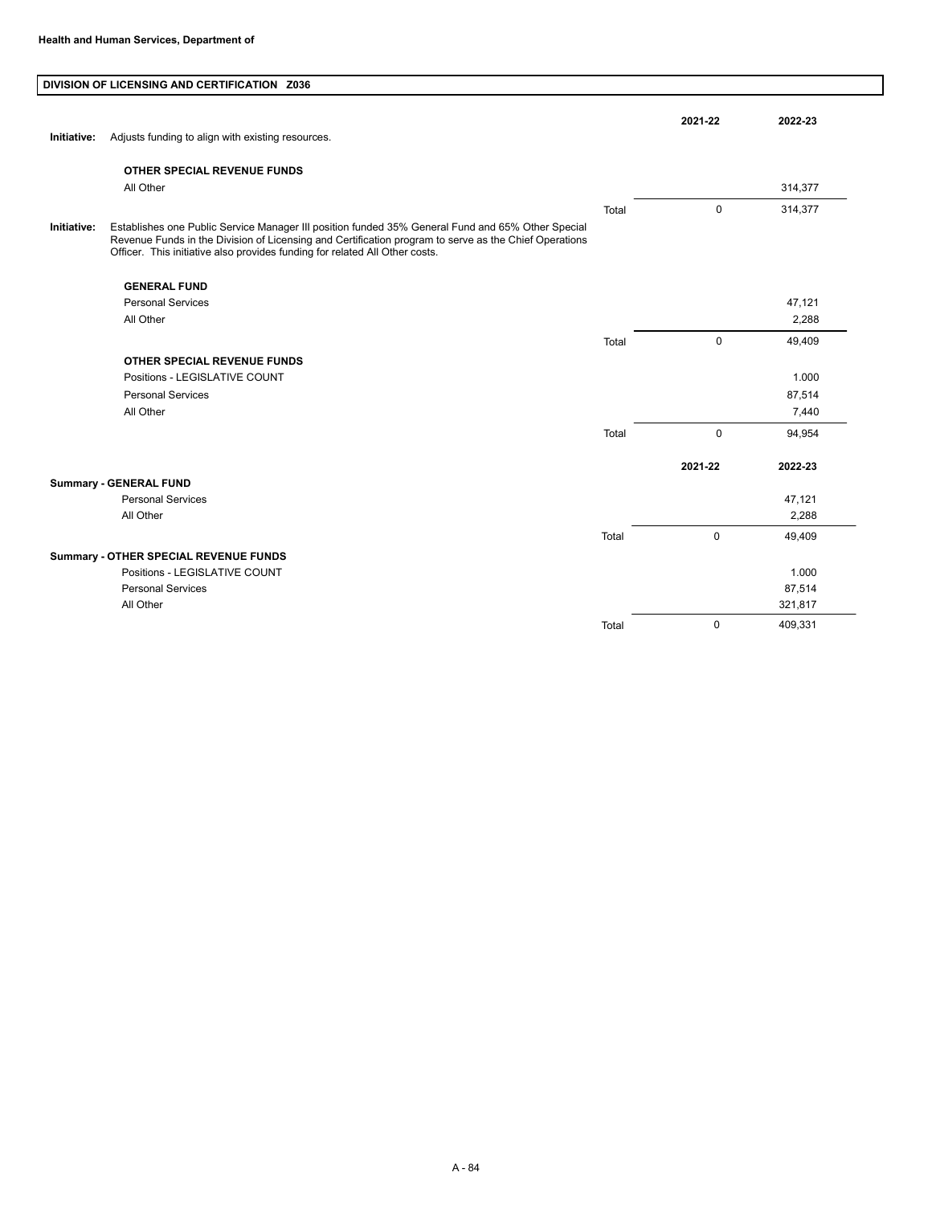|             | DIVISION OF LICENSING AND CERTIFICATION Z036                                                                                                                                                                                                                                              |       |             |         |
|-------------|-------------------------------------------------------------------------------------------------------------------------------------------------------------------------------------------------------------------------------------------------------------------------------------------|-------|-------------|---------|
|             |                                                                                                                                                                                                                                                                                           |       | 2021-22     | 2022-23 |
| Initiative: | Adjusts funding to align with existing resources.                                                                                                                                                                                                                                         |       |             |         |
|             | <b>OTHER SPECIAL REVENUE FUNDS</b>                                                                                                                                                                                                                                                        |       |             |         |
|             | All Other                                                                                                                                                                                                                                                                                 |       |             | 314,377 |
|             |                                                                                                                                                                                                                                                                                           | Total | $\mathbf 0$ | 314,377 |
| Initiative: | Establishes one Public Service Manager III position funded 35% General Fund and 65% Other Special<br>Revenue Funds in the Division of Licensing and Certification program to serve as the Chief Operations<br>Officer. This initiative also provides funding for related All Other costs. |       |             |         |
|             | <b>GENERAL FUND</b>                                                                                                                                                                                                                                                                       |       |             |         |
|             | <b>Personal Services</b>                                                                                                                                                                                                                                                                  |       |             | 47,121  |
|             | All Other                                                                                                                                                                                                                                                                                 |       |             | 2,288   |
|             |                                                                                                                                                                                                                                                                                           | Total | $\mathbf 0$ | 49,409  |
|             | <b>OTHER SPECIAL REVENUE FUNDS</b>                                                                                                                                                                                                                                                        |       |             |         |
|             | Positions - LEGISLATIVE COUNT                                                                                                                                                                                                                                                             |       |             | 1.000   |
|             | <b>Personal Services</b>                                                                                                                                                                                                                                                                  |       |             | 87,514  |
|             | All Other                                                                                                                                                                                                                                                                                 |       |             | 7,440   |
|             |                                                                                                                                                                                                                                                                                           | Total | $\pmb{0}$   | 94,954  |
|             |                                                                                                                                                                                                                                                                                           |       | 2021-22     | 2022-23 |
|             | <b>Summary - GENERAL FUND</b>                                                                                                                                                                                                                                                             |       |             |         |
|             | <b>Personal Services</b>                                                                                                                                                                                                                                                                  |       |             | 47,121  |
|             | All Other                                                                                                                                                                                                                                                                                 |       |             | 2,288   |
|             |                                                                                                                                                                                                                                                                                           | Total | 0           | 49,409  |
|             | <b>Summary - OTHER SPECIAL REVENUE FUNDS</b>                                                                                                                                                                                                                                              |       |             |         |
|             | Positions - LEGISLATIVE COUNT                                                                                                                                                                                                                                                             |       |             | 1.000   |
|             | <b>Personal Services</b>                                                                                                                                                                                                                                                                  |       |             | 87,514  |
|             | All Other                                                                                                                                                                                                                                                                                 |       |             | 321,817 |
|             |                                                                                                                                                                                                                                                                                           | Total | $\mathbf 0$ | 409,331 |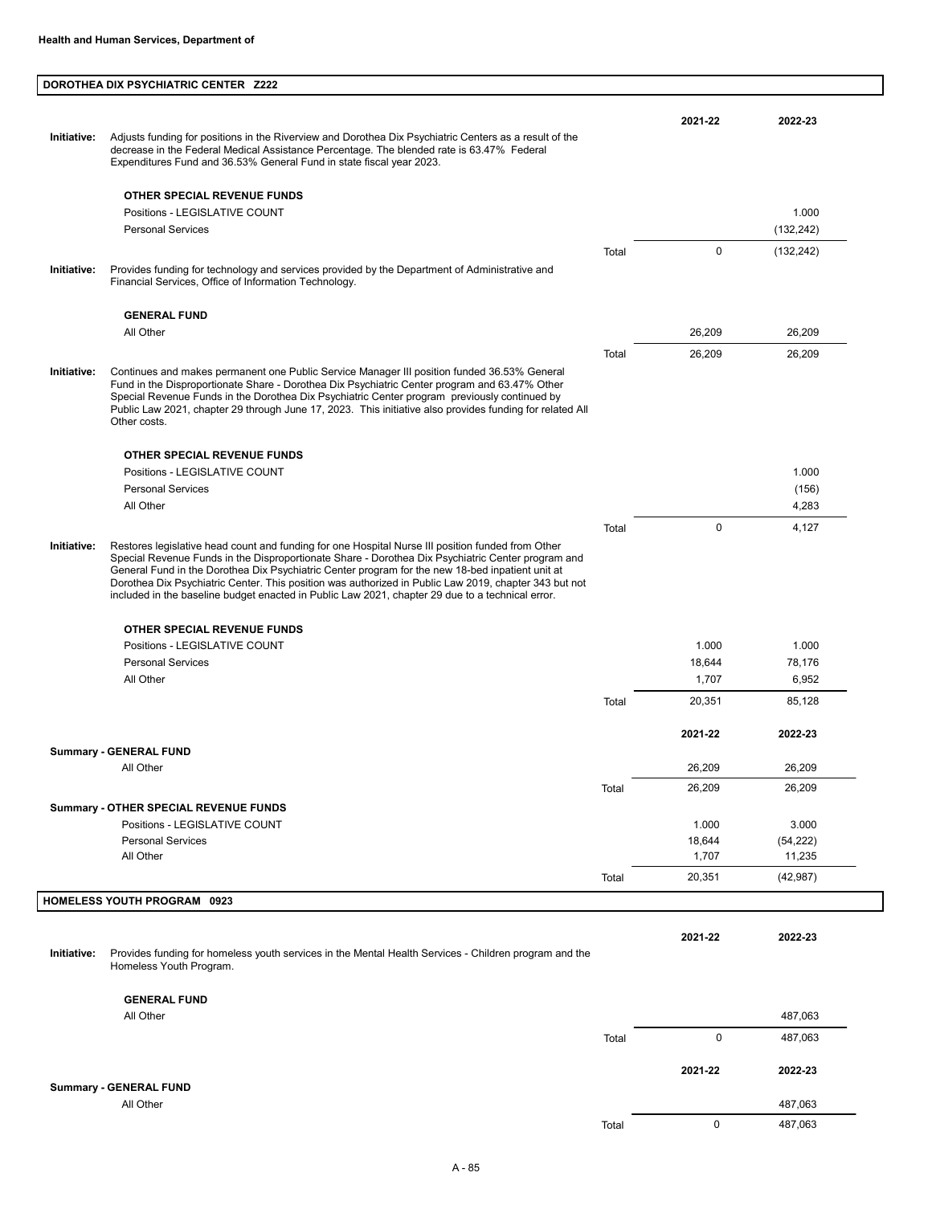|             | DOROTHEA DIX PSYCHIATRIC CENTER Z222                                                                                                                                                                   |       |             |            |
|-------------|--------------------------------------------------------------------------------------------------------------------------------------------------------------------------------------------------------|-------|-------------|------------|
|             |                                                                                                                                                                                                        |       |             |            |
|             |                                                                                                                                                                                                        |       | 2021-22     | 2022-23    |
| Initiative: | Adjusts funding for positions in the Riverview and Dorothea Dix Psychiatric Centers as a result of the                                                                                                 |       |             |            |
|             | decrease in the Federal Medical Assistance Percentage. The blended rate is 63.47% Federal                                                                                                              |       |             |            |
|             | Expenditures Fund and 36.53% General Fund in state fiscal year 2023.                                                                                                                                   |       |             |            |
|             |                                                                                                                                                                                                        |       |             |            |
|             | <b>OTHER SPECIAL REVENUE FUNDS</b>                                                                                                                                                                     |       |             |            |
|             | Positions - LEGISLATIVE COUNT                                                                                                                                                                          |       |             | 1.000      |
|             | <b>Personal Services</b>                                                                                                                                                                               |       |             | (132, 242) |
|             |                                                                                                                                                                                                        | Total | 0           | (132, 242) |
| Initiative: | Provides funding for technology and services provided by the Department of Administrative and                                                                                                          |       |             |            |
|             | Financial Services, Office of Information Technology.                                                                                                                                                  |       |             |            |
|             |                                                                                                                                                                                                        |       |             |            |
|             | <b>GENERAL FUND</b>                                                                                                                                                                                    |       |             |            |
|             | All Other                                                                                                                                                                                              |       | 26,209      | 26,209     |
|             |                                                                                                                                                                                                        | Total | 26,209      | 26,209     |
|             |                                                                                                                                                                                                        |       |             |            |
| Initiative: | Continues and makes permanent one Public Service Manager III position funded 36.53% General<br>Fund in the Disproportionate Share - Dorothea Dix Psychiatric Center program and 63.47% Other           |       |             |            |
|             | Special Revenue Funds in the Dorothea Dix Psychiatric Center program previously continued by                                                                                                           |       |             |            |
|             | Public Law 2021, chapter 29 through June 17, 2023. This initiative also provides funding for related All                                                                                               |       |             |            |
|             | Other costs.                                                                                                                                                                                           |       |             |            |
|             |                                                                                                                                                                                                        |       |             |            |
|             | <b>OTHER SPECIAL REVENUE FUNDS</b>                                                                                                                                                                     |       |             |            |
|             | Positions - LEGISLATIVE COUNT                                                                                                                                                                          |       |             | 1.000      |
|             | <b>Personal Services</b>                                                                                                                                                                               |       |             | (156)      |
|             | All Other                                                                                                                                                                                              |       |             | 4,283      |
|             |                                                                                                                                                                                                        | Total | $\mathbf 0$ | 4,127      |
|             |                                                                                                                                                                                                        |       |             |            |
| Initiative: | Restores legislative head count and funding for one Hospital Nurse III position funded from Other<br>Special Revenue Funds in the Disproportionate Share - Dorothea Dix Psychiatric Center program and |       |             |            |
|             | General Fund in the Dorothea Dix Psychiatric Center program for the new 18-bed inpatient unit at                                                                                                       |       |             |            |
|             | Dorothea Dix Psychiatric Center. This position was authorized in Public Law 2019, chapter 343 but not                                                                                                  |       |             |            |
|             | included in the baseline budget enacted in Public Law 2021, chapter 29 due to a technical error.                                                                                                       |       |             |            |
|             |                                                                                                                                                                                                        |       |             |            |
|             | <b>OTHER SPECIAL REVENUE FUNDS</b>                                                                                                                                                                     |       |             |            |
|             | Positions - LEGISLATIVE COUNT                                                                                                                                                                          |       | 1.000       | 1.000      |
|             | <b>Personal Services</b>                                                                                                                                                                               |       | 18,644      | 78,176     |
|             | All Other                                                                                                                                                                                              |       | 1,707       | 6,952      |
|             |                                                                                                                                                                                                        |       | 20,351      | 85,128     |
|             |                                                                                                                                                                                                        | Total |             |            |
|             |                                                                                                                                                                                                        |       |             |            |
|             |                                                                                                                                                                                                        |       | 2021-22     | 2022-23    |
|             | <b>Summary - GENERAL FUND</b>                                                                                                                                                                          |       |             |            |
|             | All Other                                                                                                                                                                                              |       | 26,209      | 26,209     |
|             |                                                                                                                                                                                                        | Total | 26,209      | 26,209     |
|             | Summary - OTHER SPECIAL REVENUE FUNDS                                                                                                                                                                  |       |             |            |
|             | Positions - LEGISLATIVE COUNT                                                                                                                                                                          |       | 1.000       | 3.000      |
|             | <b>Personal Services</b>                                                                                                                                                                               |       | 18,644      | (54, 222)  |
|             | All Other                                                                                                                                                                                              |       | 1,707       | 11,235     |
|             |                                                                                                                                                                                                        |       |             |            |
|             |                                                                                                                                                                                                        | Total | 20,351      | (42, 987)  |
|             | <b>HOMELESS YOUTH PROGRAM 0923</b>                                                                                                                                                                     |       |             |            |
|             |                                                                                                                                                                                                        |       |             |            |
|             |                                                                                                                                                                                                        |       | 2021-22     | 2022-23    |
| Initiative: | Provides funding for homeless youth services in the Mental Health Services - Children program and the                                                                                                  |       |             |            |
|             | Homeless Youth Program.                                                                                                                                                                                |       |             |            |
|             |                                                                                                                                                                                                        |       |             |            |
|             | <b>GENERAL FUND</b>                                                                                                                                                                                    |       |             |            |
|             | All Other                                                                                                                                                                                              |       |             | 487,063    |
|             |                                                                                                                                                                                                        |       |             |            |
|             |                                                                                                                                                                                                        | Total | $\pmb{0}$   | 487,063    |
|             |                                                                                                                                                                                                        |       |             |            |
|             |                                                                                                                                                                                                        |       | 2021-22     | 2022-23    |
|             | <b>Summary - GENERAL FUND</b>                                                                                                                                                                          |       |             |            |
|             | All Other                                                                                                                                                                                              |       |             | 487,063    |
|             |                                                                                                                                                                                                        | Total | 0           | 487,063    |
|             |                                                                                                                                                                                                        |       |             |            |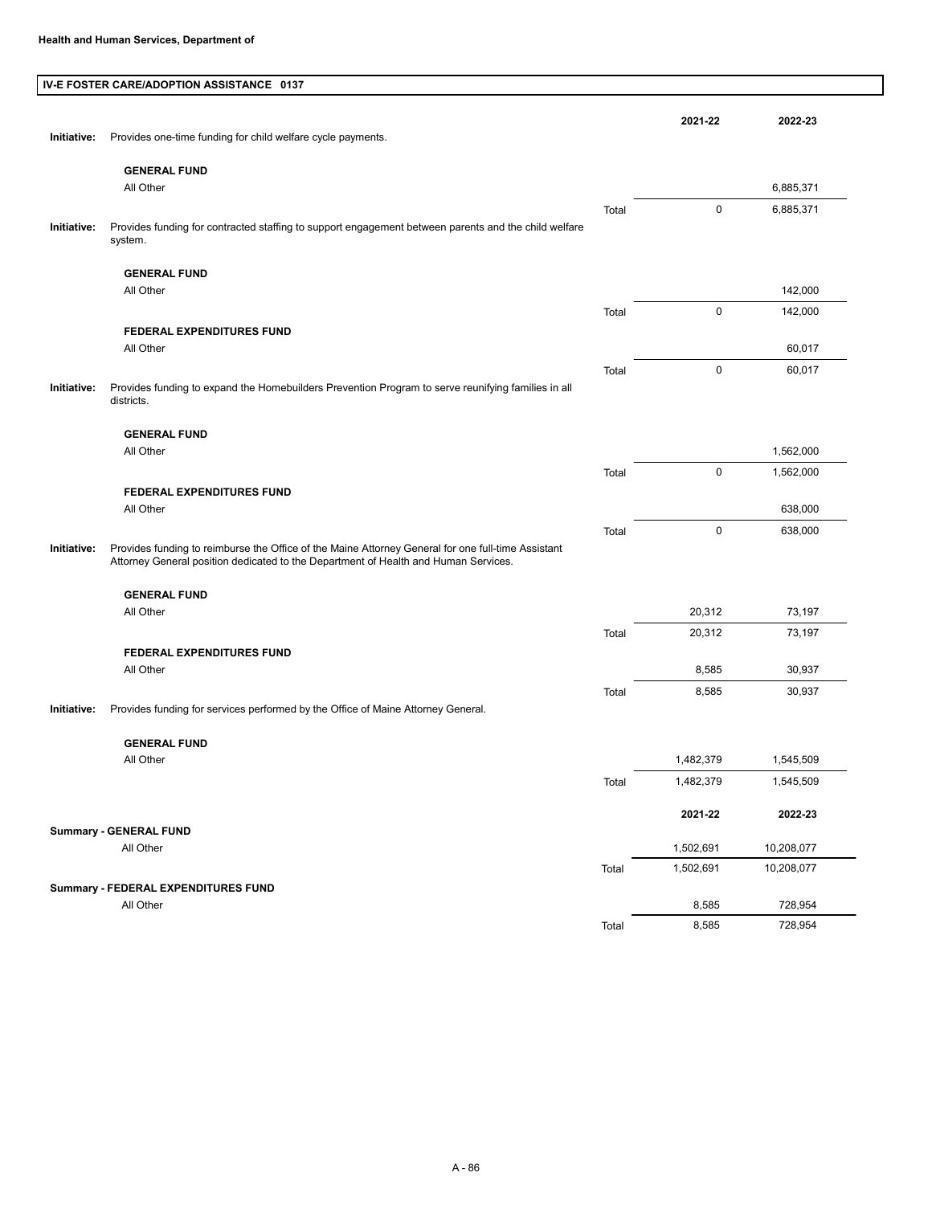|             | IV-E FOSTER CARE/ADOPTION ASSISTANCE 0137                                                                                                                                                 |       |           |            |
|-------------|-------------------------------------------------------------------------------------------------------------------------------------------------------------------------------------------|-------|-----------|------------|
|             |                                                                                                                                                                                           |       | 2021-22   | 2022-23    |
| Initiative: | Provides one-time funding for child welfare cycle payments.                                                                                                                               |       |           |            |
|             |                                                                                                                                                                                           |       |           |            |
|             | <b>GENERAL FUND</b><br>All Other                                                                                                                                                          |       |           | 6,885,371  |
|             |                                                                                                                                                                                           | Total | $\pmb{0}$ | 6,885,371  |
| Initiative: | Provides funding for contracted staffing to support engagement between parents and the child welfare<br>system.                                                                           |       |           |            |
|             | <b>GENERAL FUND</b>                                                                                                                                                                       |       |           |            |
|             | All Other                                                                                                                                                                                 |       |           | 142,000    |
|             |                                                                                                                                                                                           | Total | 0         | 142,000    |
|             | <b>FEDERAL EXPENDITURES FUND</b>                                                                                                                                                          |       |           |            |
|             | All Other                                                                                                                                                                                 |       |           | 60,017     |
| Initiative: | Provides funding to expand the Homebuilders Prevention Program to serve reunifying families in all<br>districts.                                                                          | Total | 0         | 60,017     |
|             | <b>GENERAL FUND</b>                                                                                                                                                                       |       |           |            |
|             | All Other                                                                                                                                                                                 |       |           | 1,562,000  |
|             |                                                                                                                                                                                           | Total | 0         | 1,562,000  |
|             | <b>FEDERAL EXPENDITURES FUND</b><br>All Other                                                                                                                                             |       |           | 638,000    |
|             |                                                                                                                                                                                           |       | $\pmb{0}$ |            |
| Initiative: | Provides funding to reimburse the Office of the Maine Attorney General for one full-time Assistant<br>Attorney General position dedicated to the Department of Health and Human Services. | Total |           | 638,000    |
|             | <b>GENERAL FUND</b>                                                                                                                                                                       |       |           |            |
|             | All Other                                                                                                                                                                                 |       | 20,312    | 73,197     |
|             |                                                                                                                                                                                           | Total | 20,312    | 73,197     |
|             | <b>FEDERAL EXPENDITURES FUND</b>                                                                                                                                                          |       |           |            |
|             | All Other                                                                                                                                                                                 |       | 8,585     | 30,937     |
|             |                                                                                                                                                                                           | Total | 8,585     | 30,937     |
| Initiative: | Provides funding for services performed by the Office of Maine Attorney General.                                                                                                          |       |           |            |
|             | <b>GENERAL FUND</b>                                                                                                                                                                       |       |           |            |
|             | All Other                                                                                                                                                                                 |       | 1,482,379 | 1,545,509  |
|             |                                                                                                                                                                                           | Total | 1,482,379 | 1,545,509  |
|             |                                                                                                                                                                                           |       | 2021-22   | 2022-23    |
|             | <b>Summary - GENERAL FUND</b>                                                                                                                                                             |       |           |            |
|             | All Other                                                                                                                                                                                 |       | 1,502,691 | 10,208,077 |
|             |                                                                                                                                                                                           | Total | 1,502,691 | 10,208,077 |
|             | Summary - FEDERAL EXPENDITURES FUND                                                                                                                                                       |       |           |            |
|             | All Other                                                                                                                                                                                 |       | 8,585     | 728,954    |
|             |                                                                                                                                                                                           | Total | 8,585     | 728,954    |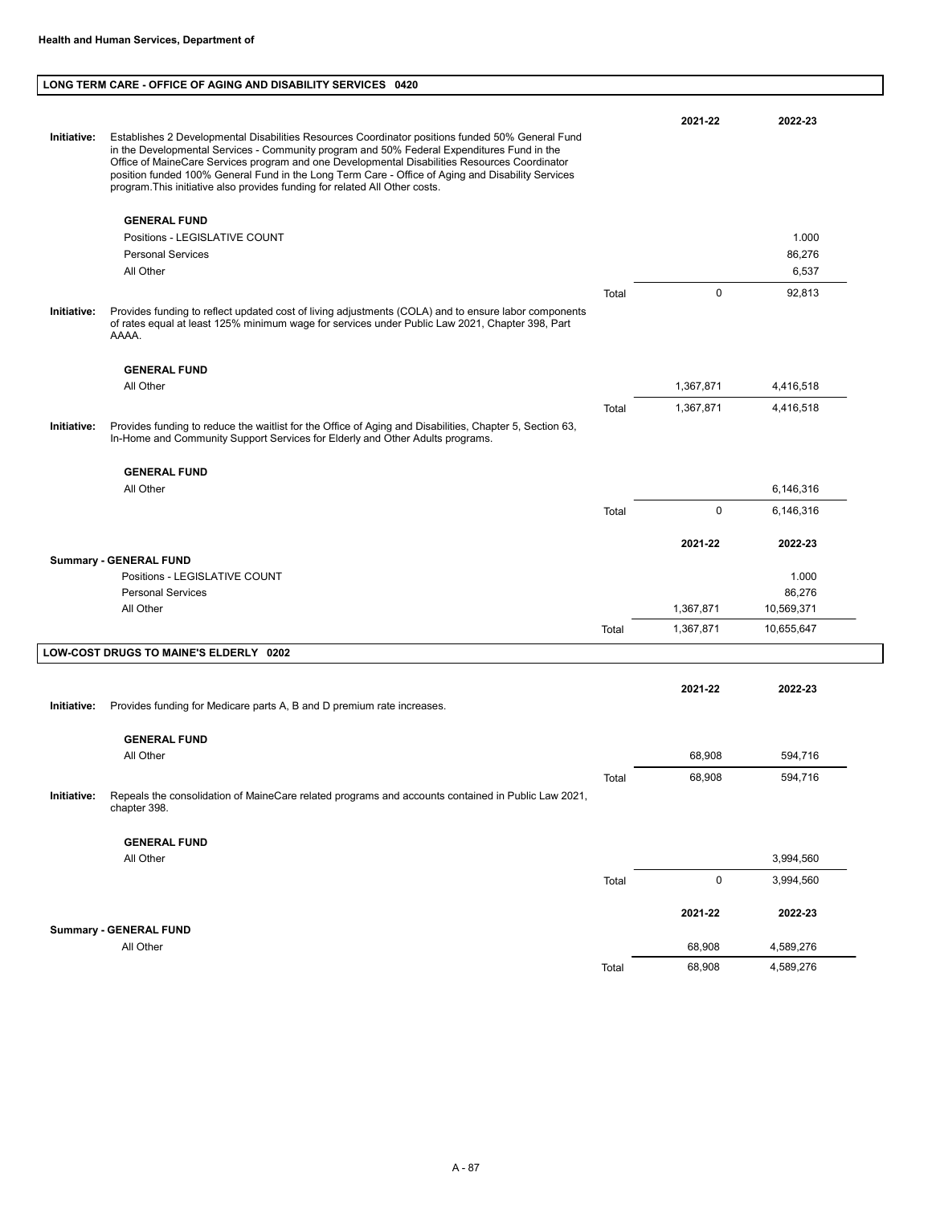| LONG TERM CARE - OFFICE OF AGING AND DISABILITY SERVICES 0420                                                                                                                                                                                                                                                                                                                                                                                                                       |                                                              |                         |                                                          |
|-------------------------------------------------------------------------------------------------------------------------------------------------------------------------------------------------------------------------------------------------------------------------------------------------------------------------------------------------------------------------------------------------------------------------------------------------------------------------------------|--------------------------------------------------------------|-------------------------|----------------------------------------------------------|
|                                                                                                                                                                                                                                                                                                                                                                                                                                                                                     |                                                              | 2021-22                 | 2022-23                                                  |
| Establishes 2 Developmental Disabilities Resources Coordinator positions funded 50% General Fund<br>in the Developmental Services - Community program and 50% Federal Expenditures Fund in the<br>Office of MaineCare Services program and one Developmental Disabilities Resources Coordinator<br>position funded 100% General Fund in the Long Term Care - Office of Aging and Disability Services<br>program. This initiative also provides funding for related All Other costs. |                                                              |                         |                                                          |
| <b>GENERAL FUND</b>                                                                                                                                                                                                                                                                                                                                                                                                                                                                 |                                                              |                         |                                                          |
| Positions - LEGISLATIVE COUNT                                                                                                                                                                                                                                                                                                                                                                                                                                                       |                                                              |                         | 1.000                                                    |
| <b>Personal Services</b>                                                                                                                                                                                                                                                                                                                                                                                                                                                            |                                                              |                         | 86,276                                                   |
| All Other                                                                                                                                                                                                                                                                                                                                                                                                                                                                           |                                                              |                         | 6,537                                                    |
|                                                                                                                                                                                                                                                                                                                                                                                                                                                                                     | Total                                                        | $\mathbf 0$             | 92,813                                                   |
| Provides funding to reflect updated cost of living adjustments (COLA) and to ensure labor components<br>of rates equal at least 125% minimum wage for services under Public Law 2021, Chapter 398, Part<br>AAAA.                                                                                                                                                                                                                                                                    |                                                              |                         |                                                          |
| <b>GENERAL FUND</b>                                                                                                                                                                                                                                                                                                                                                                                                                                                                 |                                                              |                         |                                                          |
| All Other                                                                                                                                                                                                                                                                                                                                                                                                                                                                           |                                                              | 1,367,871               | 4,416,518                                                |
|                                                                                                                                                                                                                                                                                                                                                                                                                                                                                     |                                                              |                         | 4,416,518                                                |
| Provides funding to reduce the waitlist for the Office of Aging and Disabilities, Chapter 5, Section 63,<br>In-Home and Community Support Services for Elderly and Other Adults programs.                                                                                                                                                                                                                                                                                           |                                                              |                         |                                                          |
| <b>GENERAL FUND</b>                                                                                                                                                                                                                                                                                                                                                                                                                                                                 |                                                              |                         |                                                          |
| All Other                                                                                                                                                                                                                                                                                                                                                                                                                                                                           |                                                              |                         | 6,146,316                                                |
|                                                                                                                                                                                                                                                                                                                                                                                                                                                                                     | Total                                                        | 0                       | 6,146,316                                                |
|                                                                                                                                                                                                                                                                                                                                                                                                                                                                                     |                                                              | 2021-22                 | 2022-23                                                  |
| <b>Summary - GENERAL FUND</b>                                                                                                                                                                                                                                                                                                                                                                                                                                                       |                                                              |                         |                                                          |
| Positions - LEGISLATIVE COUNT                                                                                                                                                                                                                                                                                                                                                                                                                                                       |                                                              |                         | 1.000                                                    |
|                                                                                                                                                                                                                                                                                                                                                                                                                                                                                     |                                                              |                         | 86,276                                                   |
|                                                                                                                                                                                                                                                                                                                                                                                                                                                                                     |                                                              |                         | 10,569,371                                               |
|                                                                                                                                                                                                                                                                                                                                                                                                                                                                                     |                                                              |                         | 10,655,647                                               |
| LOW-COST DRUGS TO MAINE'S ELDERLY 0202                                                                                                                                                                                                                                                                                                                                                                                                                                              |                                                              |                         |                                                          |
|                                                                                                                                                                                                                                                                                                                                                                                                                                                                                     |                                                              |                         | 2022-23                                                  |
| Provides funding for Medicare parts A, B and D premium rate increases.                                                                                                                                                                                                                                                                                                                                                                                                              |                                                              |                         |                                                          |
|                                                                                                                                                                                                                                                                                                                                                                                                                                                                                     |                                                              |                         |                                                          |
| All Other                                                                                                                                                                                                                                                                                                                                                                                                                                                                           |                                                              | 68,908                  | 594,716                                                  |
|                                                                                                                                                                                                                                                                                                                                                                                                                                                                                     |                                                              |                         | 594,716                                                  |
| Repeals the consolidation of MaineCare related programs and accounts contained in Public Law 2021,<br>chapter 398.                                                                                                                                                                                                                                                                                                                                                                  |                                                              |                         |                                                          |
| <b>GENERAL FUND</b>                                                                                                                                                                                                                                                                                                                                                                                                                                                                 |                                                              |                         |                                                          |
| All Other                                                                                                                                                                                                                                                                                                                                                                                                                                                                           |                                                              |                         | 3,994,560                                                |
|                                                                                                                                                                                                                                                                                                                                                                                                                                                                                     | Total                                                        | 0                       | 3,994,560                                                |
|                                                                                                                                                                                                                                                                                                                                                                                                                                                                                     |                                                              | 2021-22                 | 2022-23                                                  |
| <b>Summary - GENERAL FUND</b>                                                                                                                                                                                                                                                                                                                                                                                                                                                       |                                                              |                         |                                                          |
| All Other                                                                                                                                                                                                                                                                                                                                                                                                                                                                           |                                                              | 68,908                  | 4,589,276                                                |
|                                                                                                                                                                                                                                                                                                                                                                                                                                                                                     | Total                                                        | 68,908                  | 4,589,276                                                |
|                                                                                                                                                                                                                                                                                                                                                                                                                                                                                     | <b>Personal Services</b><br>All Other<br><b>GENERAL FUND</b> | Total<br>Total<br>Total | 1,367,871<br>1,367,871<br>1,367,871<br>2021-22<br>68,908 |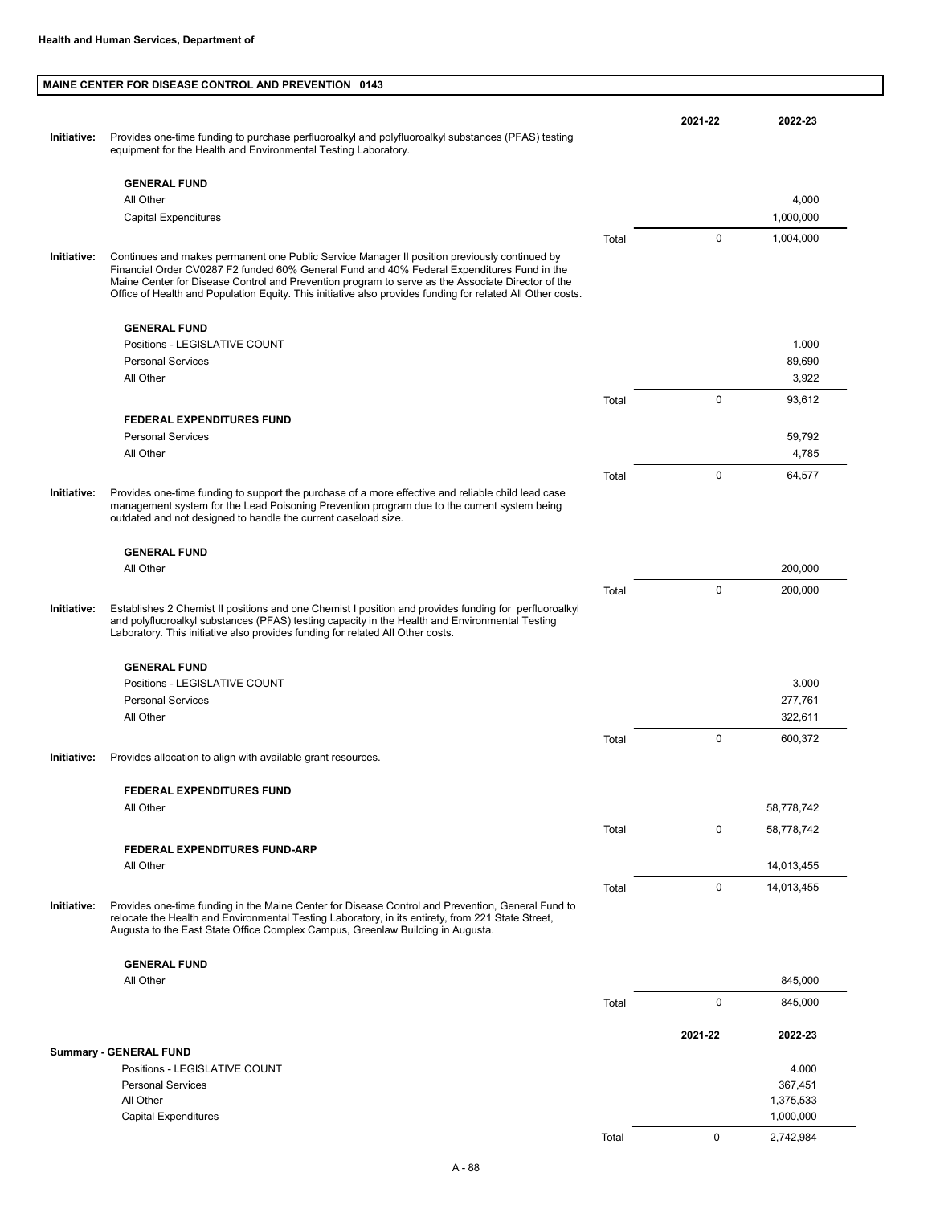|             | MAINE CENTER FOR DISEASE CONTROL AND PREVENTION 0143                                                                                                                                                                                                                                                                                                                                                          |       |             |            |
|-------------|---------------------------------------------------------------------------------------------------------------------------------------------------------------------------------------------------------------------------------------------------------------------------------------------------------------------------------------------------------------------------------------------------------------|-------|-------------|------------|
| Initiative: | Provides one-time funding to purchase perfluoroalkyl and polyfluoroalkyl substances (PFAS) testing                                                                                                                                                                                                                                                                                                            |       | 2021-22     | 2022-23    |
|             | equipment for the Health and Environmental Testing Laboratory.                                                                                                                                                                                                                                                                                                                                                |       |             |            |
|             | <b>GENERAL FUND</b>                                                                                                                                                                                                                                                                                                                                                                                           |       |             |            |
|             | All Other                                                                                                                                                                                                                                                                                                                                                                                                     |       |             | 4,000      |
|             | <b>Capital Expenditures</b>                                                                                                                                                                                                                                                                                                                                                                                   |       |             | 1,000,000  |
|             |                                                                                                                                                                                                                                                                                                                                                                                                               | Total | $\mathbf 0$ | 1,004,000  |
| Initiative: | Continues and makes permanent one Public Service Manager II position previously continued by<br>Financial Order CV0287 F2 funded 60% General Fund and 40% Federal Expenditures Fund in the<br>Maine Center for Disease Control and Prevention program to serve as the Associate Director of the<br>Office of Health and Population Equity. This initiative also provides funding for related All Other costs. |       |             |            |
|             | <b>GENERAL FUND</b>                                                                                                                                                                                                                                                                                                                                                                                           |       |             |            |
|             | Positions - LEGISLATIVE COUNT                                                                                                                                                                                                                                                                                                                                                                                 |       |             | 1.000      |
|             | <b>Personal Services</b>                                                                                                                                                                                                                                                                                                                                                                                      |       |             | 89,690     |
|             | All Other                                                                                                                                                                                                                                                                                                                                                                                                     |       |             | 3,922      |
|             |                                                                                                                                                                                                                                                                                                                                                                                                               |       | $\mathbf 0$ |            |
|             |                                                                                                                                                                                                                                                                                                                                                                                                               | Total |             | 93,612     |
|             | <b>FEDERAL EXPENDITURES FUND</b>                                                                                                                                                                                                                                                                                                                                                                              |       |             |            |
|             | <b>Personal Services</b>                                                                                                                                                                                                                                                                                                                                                                                      |       |             | 59,792     |
|             | All Other                                                                                                                                                                                                                                                                                                                                                                                                     |       |             | 4,785      |
|             |                                                                                                                                                                                                                                                                                                                                                                                                               | Total | $\mathbf 0$ | 64,577     |
| Initiative: | Provides one-time funding to support the purchase of a more effective and reliable child lead case<br>management system for the Lead Poisoning Prevention program due to the current system being<br>outdated and not designed to handle the current caseload size.                                                                                                                                           |       |             |            |
|             | <b>GENERAL FUND</b>                                                                                                                                                                                                                                                                                                                                                                                           |       |             |            |
|             | All Other                                                                                                                                                                                                                                                                                                                                                                                                     |       |             | 200,000    |
|             |                                                                                                                                                                                                                                                                                                                                                                                                               | Total | $\mathbf 0$ | 200,000    |
| Initiative: | Establishes 2 Chemist II positions and one Chemist I position and provides funding for perfluoroalkyl<br>and polyfluoroalkyl substances (PFAS) testing capacity in the Health and Environmental Testing<br>Laboratory. This initiative also provides funding for related All Other costs.                                                                                                                     |       |             |            |
|             | <b>GENERAL FUND</b>                                                                                                                                                                                                                                                                                                                                                                                           |       |             |            |
|             | Positions - LEGISLATIVE COUNT                                                                                                                                                                                                                                                                                                                                                                                 |       |             | 3.000      |
|             | <b>Personal Services</b>                                                                                                                                                                                                                                                                                                                                                                                      |       |             | 277,761    |
|             | All Other                                                                                                                                                                                                                                                                                                                                                                                                     |       |             | 322,611    |
|             |                                                                                                                                                                                                                                                                                                                                                                                                               | Total | $\mathbf 0$ | 600,372    |
| Initiative: | Provides allocation to align with available grant resources.                                                                                                                                                                                                                                                                                                                                                  |       |             |            |
|             | <b>FEDERAL EXPENDITURES FUND</b>                                                                                                                                                                                                                                                                                                                                                                              |       |             |            |
|             | All Other                                                                                                                                                                                                                                                                                                                                                                                                     |       |             | 58,778,742 |
|             |                                                                                                                                                                                                                                                                                                                                                                                                               |       |             |            |
|             |                                                                                                                                                                                                                                                                                                                                                                                                               | Total | $\mathbf 0$ | 58,778,742 |
|             | <b>FEDERAL EXPENDITURES FUND-ARP</b>                                                                                                                                                                                                                                                                                                                                                                          |       |             |            |
|             | All Other                                                                                                                                                                                                                                                                                                                                                                                                     |       |             | 14,013,455 |
|             |                                                                                                                                                                                                                                                                                                                                                                                                               | Total | $\mathbf 0$ | 14,013,455 |
| Initiative: | Provides one-time funding in the Maine Center for Disease Control and Prevention, General Fund to<br>relocate the Health and Environmental Testing Laboratory, in its entirety, from 221 State Street,<br>Augusta to the East State Office Complex Campus, Greenlaw Building in Augusta.                                                                                                                      |       |             |            |
|             | <b>GENERAL FUND</b>                                                                                                                                                                                                                                                                                                                                                                                           |       |             |            |
|             | All Other                                                                                                                                                                                                                                                                                                                                                                                                     |       |             | 845,000    |
|             |                                                                                                                                                                                                                                                                                                                                                                                                               | Total | 0           | 845,000    |
|             |                                                                                                                                                                                                                                                                                                                                                                                                               |       | 2021-22     | 2022-23    |
|             | <b>Summary - GENERAL FUND</b>                                                                                                                                                                                                                                                                                                                                                                                 |       |             |            |
|             | Positions - LEGISLATIVE COUNT                                                                                                                                                                                                                                                                                                                                                                                 |       |             | 4.000      |
|             | <b>Personal Services</b>                                                                                                                                                                                                                                                                                                                                                                                      |       |             | 367,451    |
|             | All Other                                                                                                                                                                                                                                                                                                                                                                                                     |       |             | 1,375,533  |
|             | <b>Capital Expenditures</b>                                                                                                                                                                                                                                                                                                                                                                                   |       |             | 1,000,000  |

Total 0 2,742,984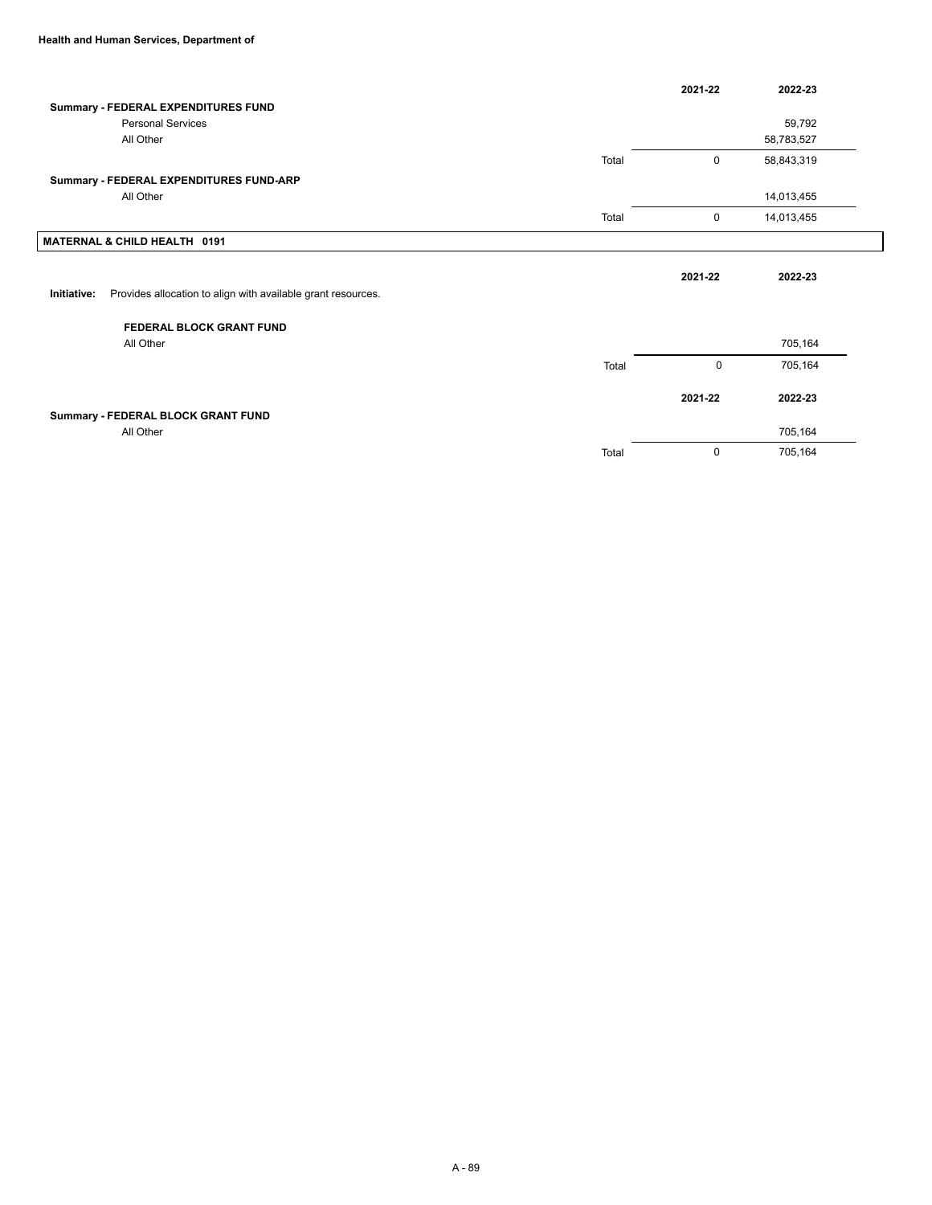|                                                                             |       | 2021-22 | 2022-23    |
|-----------------------------------------------------------------------------|-------|---------|------------|
| Summary - FEDERAL EXPENDITURES FUND                                         |       |         |            |
| <b>Personal Services</b>                                                    |       |         | 59,792     |
| All Other                                                                   |       |         | 58,783,527 |
|                                                                             | Total | 0       | 58,843,319 |
| Summary - FEDERAL EXPENDITURES FUND-ARP                                     |       |         |            |
| All Other                                                                   |       |         | 14,013,455 |
|                                                                             | Total | 0       | 14,013,455 |
| MATERNAL & CHILD HEALTH 0191                                                |       |         |            |
|                                                                             |       |         |            |
|                                                                             |       | 2021-22 | 2022-23    |
| Provides allocation to align with available grant resources.<br>Initiative: |       |         |            |
| FEDERAL BLOCK GRANT FUND                                                    |       |         |            |
| All Other                                                                   |       |         | 705,164    |
|                                                                             | Total | 0       | 705,164    |
|                                                                             |       | 2021-22 | 2022-23    |
| Summary - FEDERAL BLOCK GRANT FUND                                          |       |         |            |
| All Other                                                                   |       |         | 705,164    |
|                                                                             | Total | 0       | 705,164    |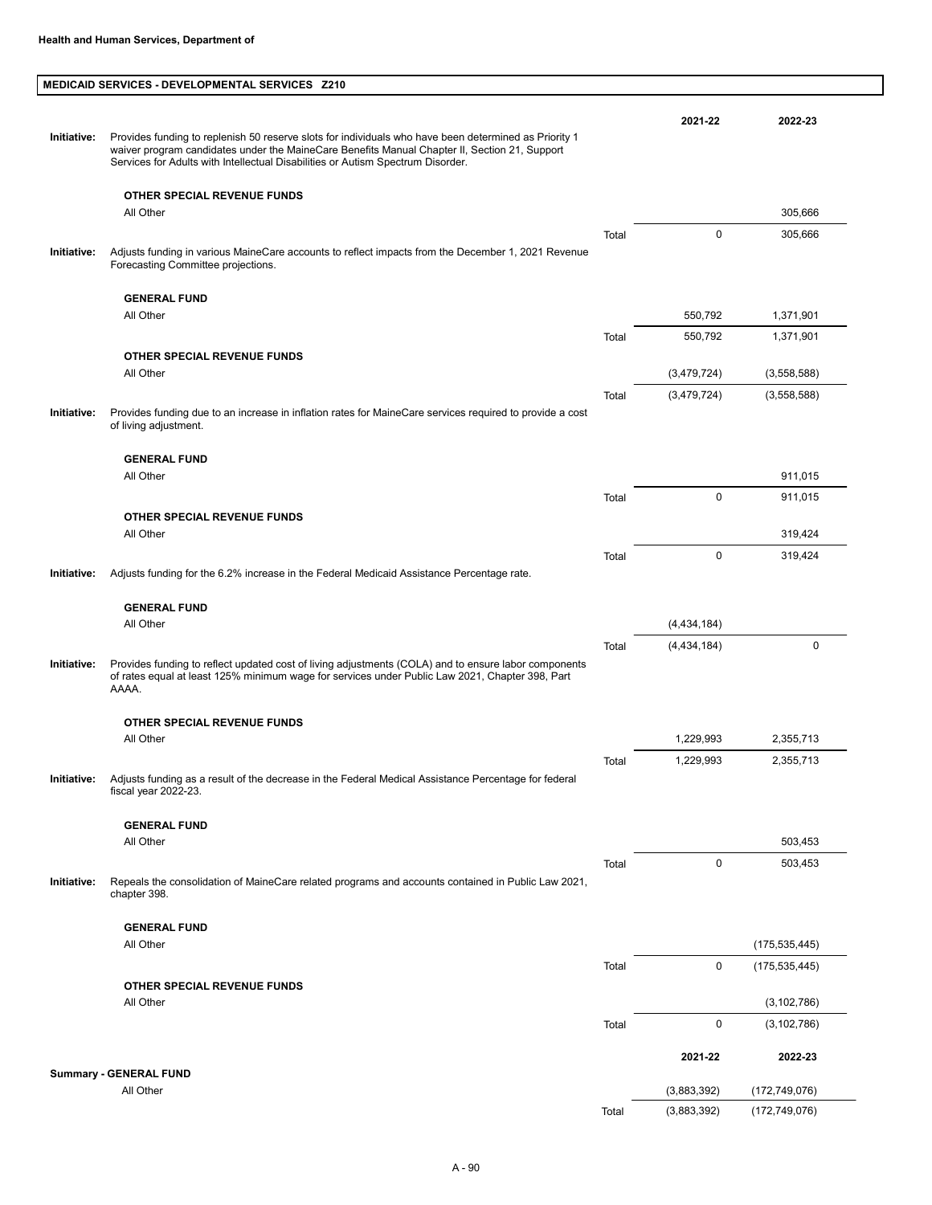|             | MEDICAID SERVICES - DEVELOPMENTAL SERVICES Z210                                                                                                                                                                                                                                           |       |               |                 |
|-------------|-------------------------------------------------------------------------------------------------------------------------------------------------------------------------------------------------------------------------------------------------------------------------------------------|-------|---------------|-----------------|
|             |                                                                                                                                                                                                                                                                                           |       | 2021-22       | 2022-23         |
| Initiative: | Provides funding to replenish 50 reserve slots for individuals who have been determined as Priority 1<br>waiver program candidates under the MaineCare Benefits Manual Chapter II, Section 21, Support<br>Services for Adults with Intellectual Disabilities or Autism Spectrum Disorder. |       |               |                 |
|             | OTHER SPECIAL REVENUE FUNDS                                                                                                                                                                                                                                                               |       |               |                 |
|             | All Other                                                                                                                                                                                                                                                                                 |       |               | 305,666         |
| Initiative: | Adjusts funding in various MaineCare accounts to reflect impacts from the December 1, 2021 Revenue<br>Forecasting Committee projections.                                                                                                                                                  | Total | 0             | 305,666         |
|             | <b>GENERAL FUND</b>                                                                                                                                                                                                                                                                       |       |               |                 |
|             | All Other                                                                                                                                                                                                                                                                                 |       | 550,792       | 1,371,901       |
|             |                                                                                                                                                                                                                                                                                           | Total | 550,792       | 1,371,901       |
|             | OTHER SPECIAL REVENUE FUNDS<br>All Other                                                                                                                                                                                                                                                  |       | (3,479,724)   | (3,558,588)     |
|             |                                                                                                                                                                                                                                                                                           | Total | (3,479,724)   | (3,558,588)     |
| Initiative: | Provides funding due to an increase in inflation rates for MaineCare services required to provide a cost<br>of living adjustment.                                                                                                                                                         |       |               |                 |
|             | <b>GENERAL FUND</b>                                                                                                                                                                                                                                                                       |       |               |                 |
|             | All Other                                                                                                                                                                                                                                                                                 |       |               | 911.015         |
|             |                                                                                                                                                                                                                                                                                           | Total | 0             | 911,015         |
|             | <b>OTHER SPECIAL REVENUE FUNDS</b><br>All Other                                                                                                                                                                                                                                           |       |               | 319,424         |
|             |                                                                                                                                                                                                                                                                                           | Total | 0             | 319,424         |
| Initiative: | Adjusts funding for the 6.2% increase in the Federal Medicaid Assistance Percentage rate.                                                                                                                                                                                                 |       |               |                 |
|             | <b>GENERAL FUND</b>                                                                                                                                                                                                                                                                       |       |               |                 |
|             | All Other                                                                                                                                                                                                                                                                                 |       | (4, 434, 184) |                 |
|             |                                                                                                                                                                                                                                                                                           | Total | (4,434,184)   | $\mathbf 0$     |
| Initiative: | Provides funding to reflect updated cost of living adjustments (COLA) and to ensure labor components<br>of rates equal at least 125% minimum wage for services under Public Law 2021, Chapter 398, Part<br>AAAA.                                                                          |       |               |                 |
|             | OTHER SPECIAL REVENUE FUNDS                                                                                                                                                                                                                                                               |       |               |                 |
|             | All Other                                                                                                                                                                                                                                                                                 |       | 1,229,993     | 2,355,713       |
|             |                                                                                                                                                                                                                                                                                           | Total | 1,229,993     | 2,355,713       |
| Initiative: | Adjusts funding as a result of the decrease in the Federal Medical Assistance Percentage for federal<br>fiscal year 2022-23.                                                                                                                                                              |       |               |                 |
|             | <b>GENERAL FUND</b>                                                                                                                                                                                                                                                                       |       |               |                 |
|             | All Other                                                                                                                                                                                                                                                                                 |       |               | 503,453         |
| Initiative: | Repeals the consolidation of MaineCare related programs and accounts contained in Public Law 2021,<br>chapter 398.                                                                                                                                                                        | Total | 0             | 503,453         |
|             | <b>GENERAL FUND</b>                                                                                                                                                                                                                                                                       |       |               |                 |
|             | All Other                                                                                                                                                                                                                                                                                 |       |               | (175, 535, 445) |
|             |                                                                                                                                                                                                                                                                                           | Total | 0             | (175, 535, 445) |
|             | OTHER SPECIAL REVENUE FUNDS                                                                                                                                                                                                                                                               |       |               |                 |
|             | All Other                                                                                                                                                                                                                                                                                 |       |               | (3, 102, 786)   |
|             |                                                                                                                                                                                                                                                                                           | Total | 0             | (3, 102, 786)   |
|             |                                                                                                                                                                                                                                                                                           |       | 2021-22       | 2022-23         |
|             | <b>Summary - GENERAL FUND</b><br>All Other                                                                                                                                                                                                                                                |       | (3,883,392)   | (172, 749, 076) |
|             |                                                                                                                                                                                                                                                                                           | Total | (3,883,392)   | (172, 749, 076) |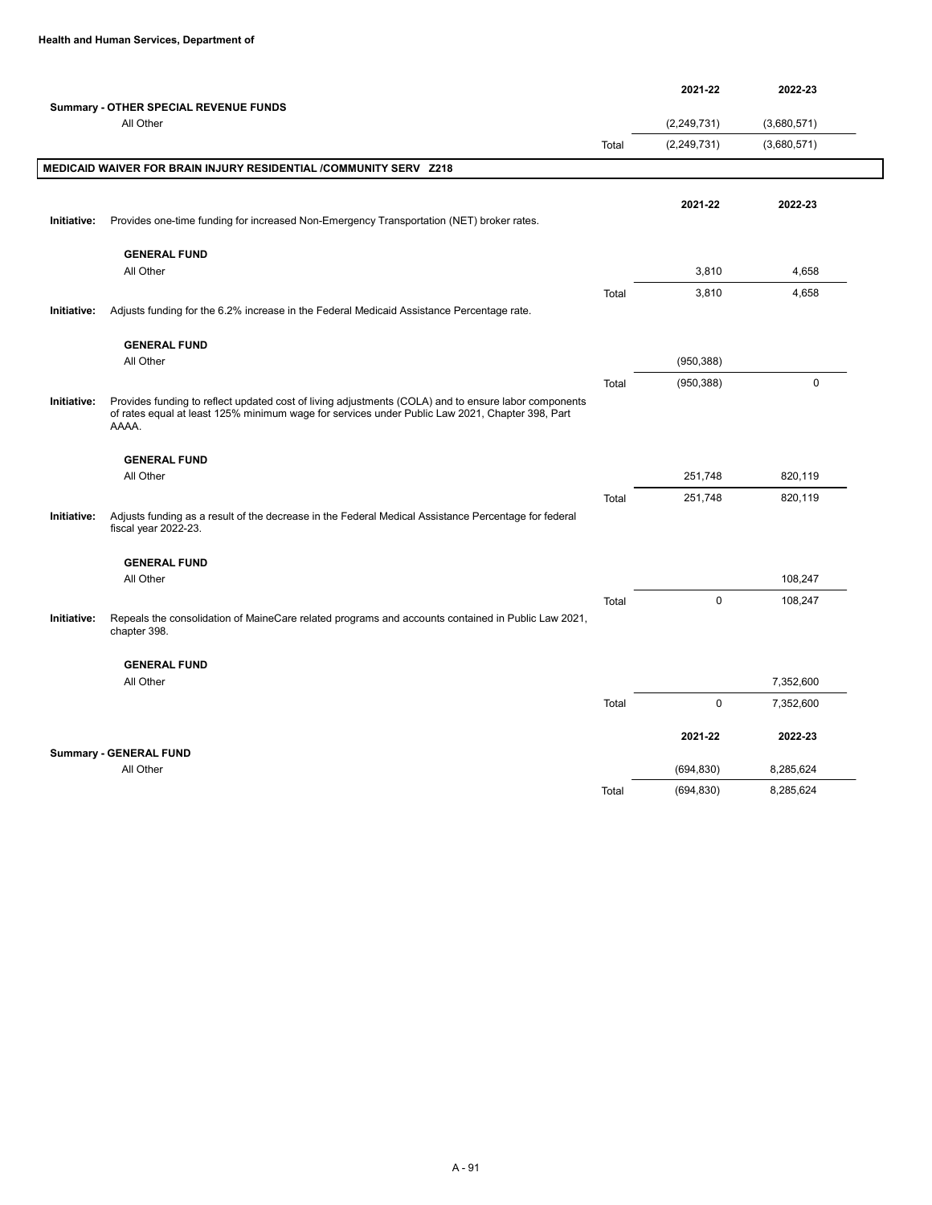| 2022-23            | 2021-22            |       |                                                                                                                                                                                                                                 |
|--------------------|--------------------|-------|---------------------------------------------------------------------------------------------------------------------------------------------------------------------------------------------------------------------------------|
| (3,680,571)        | (2, 249, 731)      |       | Summary - OTHER SPECIAL REVENUE FUNDS<br>All Other                                                                                                                                                                              |
| (3,680,571)        | (2, 249, 731)      | Total |                                                                                                                                                                                                                                 |
|                    |                    |       | MEDICAID WAIVER FOR BRAIN INJURY RESIDENTIAL /COMMUNITY SERV Z218                                                                                                                                                               |
|                    |                    |       |                                                                                                                                                                                                                                 |
| 2022-23            | 2021-22            |       | Initiative:<br>Provides one-time funding for increased Non-Emergency Transportation (NET) broker rates.                                                                                                                         |
|                    |                    |       | <b>GENERAL FUND</b>                                                                                                                                                                                                             |
| 4,658              | 3,810              |       | All Other                                                                                                                                                                                                                       |
| 4,658              | 3,810              | Total |                                                                                                                                                                                                                                 |
|                    |                    |       | Initiative:<br>Adjusts funding for the 6.2% increase in the Federal Medicaid Assistance Percentage rate.                                                                                                                        |
|                    |                    |       | <b>GENERAL FUND</b>                                                                                                                                                                                                             |
|                    | (950, 388)         |       | All Other                                                                                                                                                                                                                       |
| $\mathbf 0$        | (950, 388)         | Total | Initiative:<br>Provides funding to reflect updated cost of living adjustments (COLA) and to ensure labor components<br>of rates equal at least 125% minimum wage for services under Public Law 2021, Chapter 398, Part<br>AAAA. |
|                    |                    |       |                                                                                                                                                                                                                                 |
|                    |                    |       |                                                                                                                                                                                                                                 |
|                    |                    |       |                                                                                                                                                                                                                                 |
|                    |                    |       | Initiative:<br>Adjusts funding as a result of the decrease in the Federal Medical Assistance Percentage for federal<br>fiscal year 2022-23.                                                                                     |
|                    |                    |       | <b>GENERAL FUND</b>                                                                                                                                                                                                             |
| 108,247            |                    |       | All Other                                                                                                                                                                                                                       |
| 108,247            | 0                  | Total | Initiative:<br>Repeals the consolidation of MaineCare related programs and accounts contained in Public Law 2021,<br>chapter 398.                                                                                               |
|                    |                    |       |                                                                                                                                                                                                                                 |
| 7,352,600          |                    |       | All Other                                                                                                                                                                                                                       |
| 7,352,600          | 0                  | Total |                                                                                                                                                                                                                                 |
| 2022-23            | 2021-22            |       |                                                                                                                                                                                                                                 |
| 8,285,624          | (694, 830)         |       | All Other                                                                                                                                                                                                                       |
| 8,285,624          | (694, 830)         | Total |                                                                                                                                                                                                                                 |
| 820,119<br>820,119 | 251.748<br>251,748 | Total | <b>GENERAL FUND</b><br>All Other<br><b>GENERAL FUND</b><br><b>Summary - GENERAL FUND</b>                                                                                                                                        |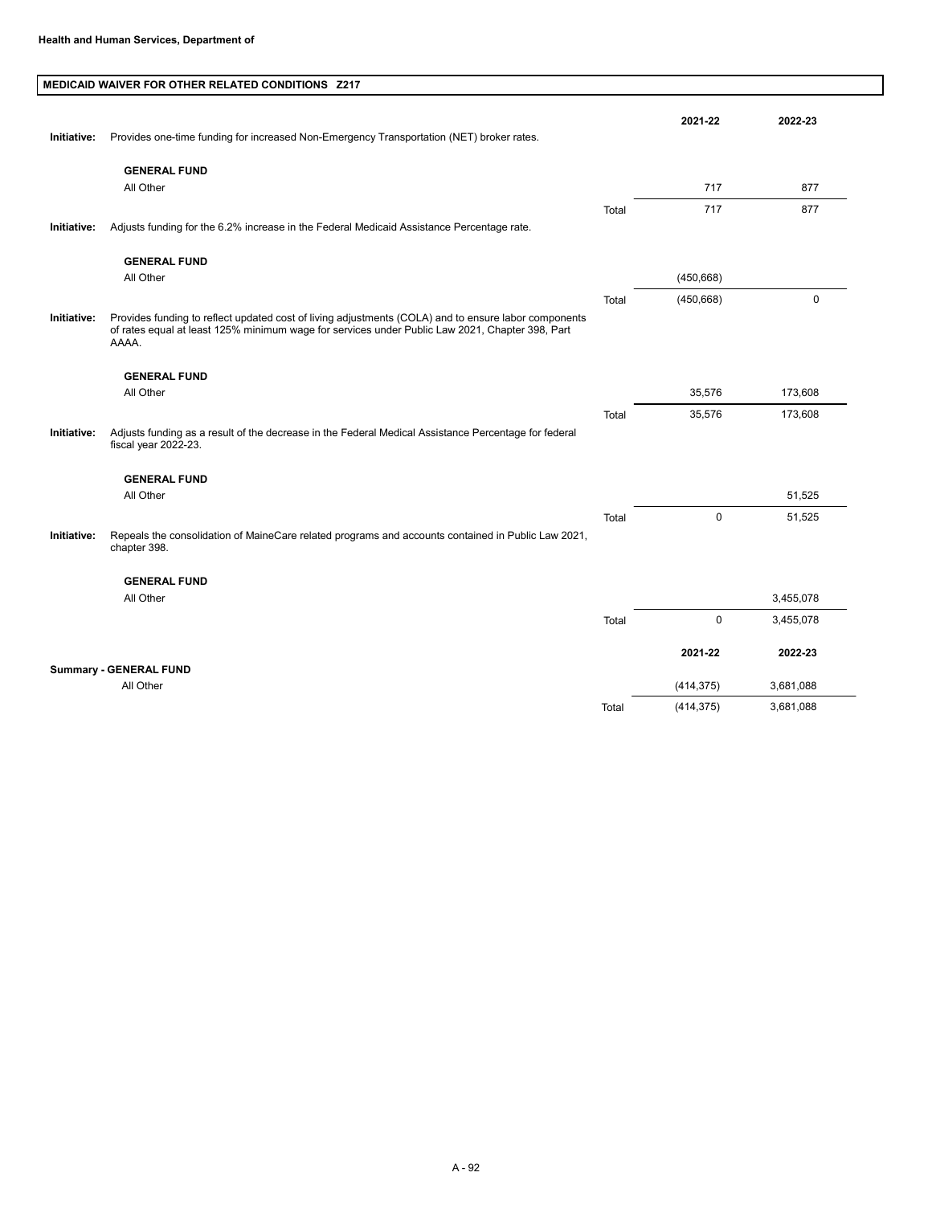|             | MEDICAID WAIVER FOR OTHER RELATED CONDITIONS Z217                                                                                                                                                                |       |             |           |
|-------------|------------------------------------------------------------------------------------------------------------------------------------------------------------------------------------------------------------------|-------|-------------|-----------|
|             |                                                                                                                                                                                                                  |       | 2021-22     | 2022-23   |
| Initiative: | Provides one-time funding for increased Non-Emergency Transportation (NET) broker rates.                                                                                                                         |       |             |           |
|             | <b>GENERAL FUND</b>                                                                                                                                                                                              |       |             |           |
|             | All Other                                                                                                                                                                                                        |       | 717         | 877       |
|             |                                                                                                                                                                                                                  | Total | 717         | 877       |
| Initiative: | Adjusts funding for the 6.2% increase in the Federal Medicaid Assistance Percentage rate.                                                                                                                        |       |             |           |
|             | <b>GENERAL FUND</b>                                                                                                                                                                                              |       |             |           |
|             | All Other                                                                                                                                                                                                        |       | (450, 668)  |           |
|             |                                                                                                                                                                                                                  | Total | (450, 668)  | 0         |
| Initiative: | Provides funding to reflect updated cost of living adjustments (COLA) and to ensure labor components<br>of rates equal at least 125% minimum wage for services under Public Law 2021, Chapter 398, Part<br>AAAA. |       |             |           |
|             | <b>GENERAL FUND</b>                                                                                                                                                                                              |       |             |           |
|             | All Other                                                                                                                                                                                                        |       | 35,576      | 173,608   |
|             |                                                                                                                                                                                                                  | Total | 35,576      | 173,608   |
| Initiative: | Adjusts funding as a result of the decrease in the Federal Medical Assistance Percentage for federal<br>fiscal year 2022-23.                                                                                     |       |             |           |
|             | <b>GENERAL FUND</b>                                                                                                                                                                                              |       |             |           |
|             | All Other                                                                                                                                                                                                        |       |             | 51,525    |
|             |                                                                                                                                                                                                                  | Total | $\mathbf 0$ | 51,525    |
| Initiative: | Repeals the consolidation of MaineCare related programs and accounts contained in Public Law 2021,<br>chapter 398.                                                                                               |       |             |           |
|             | <b>GENERAL FUND</b>                                                                                                                                                                                              |       |             |           |
|             | All Other                                                                                                                                                                                                        |       |             | 3,455,078 |
|             |                                                                                                                                                                                                                  | Total | $\mathbf 0$ | 3,455,078 |
|             |                                                                                                                                                                                                                  |       | 2021-22     | 2022-23   |
|             | <b>Summary - GENERAL FUND</b>                                                                                                                                                                                    |       |             |           |
|             | All Other                                                                                                                                                                                                        |       | (414, 375)  | 3,681,088 |
|             |                                                                                                                                                                                                                  | Total | (414, 375)  | 3,681,088 |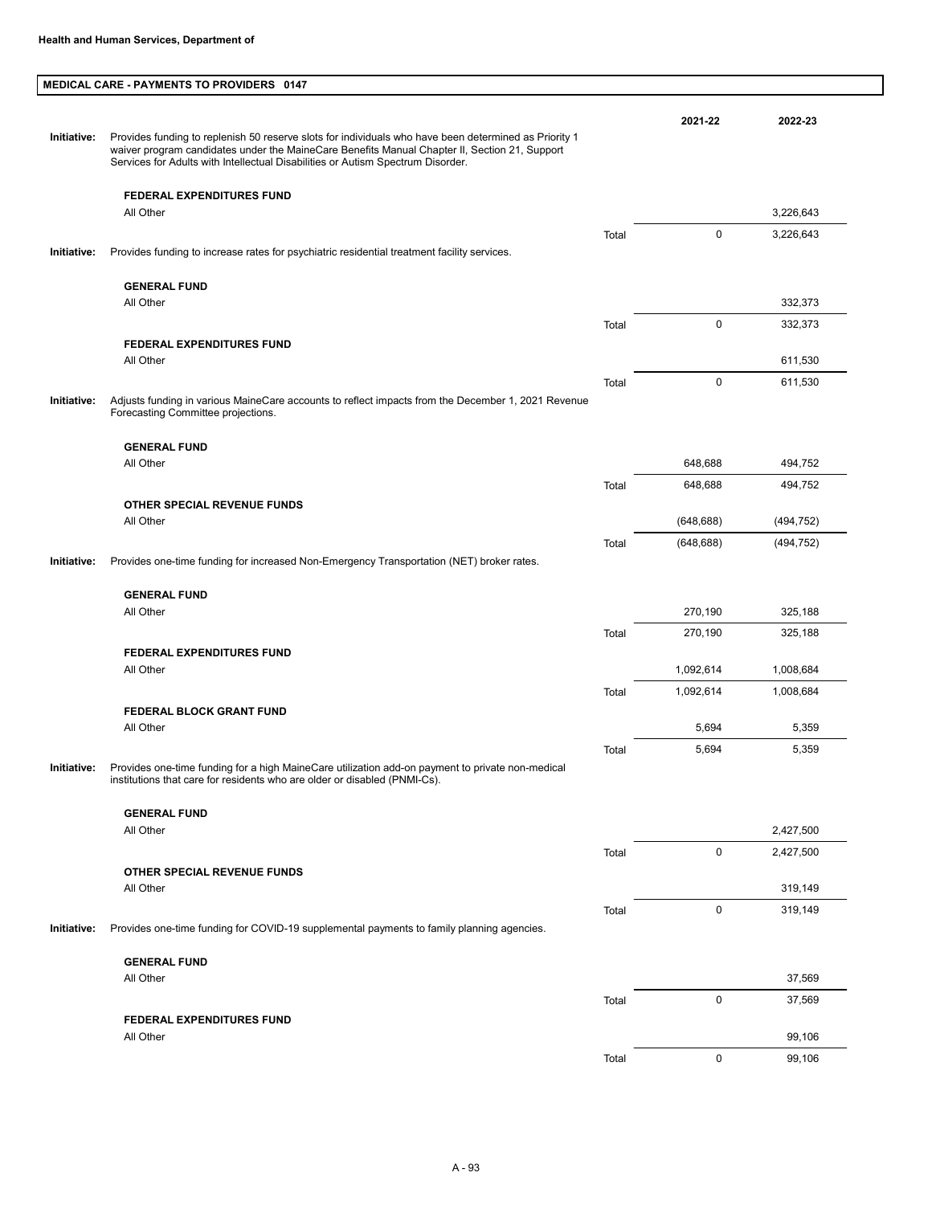|             | <b>MEDICAL CARE - PAYMENTS TO PROVIDERS 0147</b>                                                                                                                                                                                                                                          |       |                        |                        |
|-------------|-------------------------------------------------------------------------------------------------------------------------------------------------------------------------------------------------------------------------------------------------------------------------------------------|-------|------------------------|------------------------|
|             |                                                                                                                                                                                                                                                                                           |       | 2021-22                | 2022-23                |
| Initiative: | Provides funding to replenish 50 reserve slots for individuals who have been determined as Priority 1<br>waiver program candidates under the MaineCare Benefits Manual Chapter II, Section 21, Support<br>Services for Adults with Intellectual Disabilities or Autism Spectrum Disorder. |       |                        |                        |
|             | <b>FEDERAL EXPENDITURES FUND</b>                                                                                                                                                                                                                                                          |       |                        |                        |
|             | All Other                                                                                                                                                                                                                                                                                 | Total | 0                      | 3,226,643<br>3,226,643 |
| Initiative: | Provides funding to increase rates for psychiatric residential treatment facility services.                                                                                                                                                                                               |       |                        |                        |
|             | <b>GENERAL FUND</b>                                                                                                                                                                                                                                                                       |       |                        |                        |
|             | All Other                                                                                                                                                                                                                                                                                 |       | 0                      | 332,373                |
|             | <b>FEDERAL EXPENDITURES FUND</b>                                                                                                                                                                                                                                                          | Total |                        | 332,373                |
|             | All Other                                                                                                                                                                                                                                                                                 |       |                        | 611,530                |
|             |                                                                                                                                                                                                                                                                                           | Total | 0                      | 611,530                |
| Initiative: | Adjusts funding in various MaineCare accounts to reflect impacts from the December 1, 2021 Revenue<br>Forecasting Committee projections.                                                                                                                                                  |       |                        |                        |
|             | <b>GENERAL FUND</b>                                                                                                                                                                                                                                                                       |       |                        |                        |
|             | All Other                                                                                                                                                                                                                                                                                 |       | 648,688                | 494,752                |
|             |                                                                                                                                                                                                                                                                                           | Total | 648,688                | 494,752                |
|             | OTHER SPECIAL REVENUE FUNDS<br>All Other                                                                                                                                                                                                                                                  |       | (648, 688)             | (494, 752)             |
|             |                                                                                                                                                                                                                                                                                           | Total | (648, 688)             | (494, 752)             |
| Initiative: | Provides one-time funding for increased Non-Emergency Transportation (NET) broker rates.                                                                                                                                                                                                  |       |                        |                        |
|             | <b>GENERAL FUND</b>                                                                                                                                                                                                                                                                       |       |                        |                        |
|             | All Other                                                                                                                                                                                                                                                                                 |       | 270,190                | 325,188                |
|             |                                                                                                                                                                                                                                                                                           | Total | 270,190                | 325,188                |
|             | <b>FEDERAL EXPENDITURES FUND</b>                                                                                                                                                                                                                                                          |       |                        |                        |
|             | All Other                                                                                                                                                                                                                                                                                 |       | 1,092,614<br>1,092,614 | 1,008,684<br>1,008,684 |
|             | <b>FEDERAL BLOCK GRANT FUND</b>                                                                                                                                                                                                                                                           | Total |                        |                        |
|             | All Other                                                                                                                                                                                                                                                                                 |       | 5,694                  | 5,359                  |
| Initiative: | Provides one-time funding for a high MaineCare utilization add-on payment to private non-medical                                                                                                                                                                                          | Total | 5,694                  | 5,359                  |
|             | institutions that care for residents who are older or disabled (PNMI-Cs).                                                                                                                                                                                                                 |       |                        |                        |
|             | <b>GENERAL FUND</b>                                                                                                                                                                                                                                                                       |       |                        |                        |
|             | All Other                                                                                                                                                                                                                                                                                 |       |                        | 2,427,500              |
|             |                                                                                                                                                                                                                                                                                           | Total | 0                      | 2,427,500              |
|             | <b>OTHER SPECIAL REVENUE FUNDS</b><br>All Other                                                                                                                                                                                                                                           |       |                        | 319,149                |
|             |                                                                                                                                                                                                                                                                                           | Total | 0                      | 319,149                |
| Initiative: | Provides one-time funding for COVID-19 supplemental payments to family planning agencies.                                                                                                                                                                                                 |       |                        |                        |
|             | <b>GENERAL FUND</b>                                                                                                                                                                                                                                                                       |       |                        |                        |
|             | All Other                                                                                                                                                                                                                                                                                 |       |                        | 37,569                 |
|             |                                                                                                                                                                                                                                                                                           | Total | 0                      | 37,569                 |
|             | <b>FEDERAL EXPENDITURES FUND</b><br>All Other                                                                                                                                                                                                                                             |       |                        | 99,106                 |
|             |                                                                                                                                                                                                                                                                                           |       | 0                      | 99,106                 |
|             |                                                                                                                                                                                                                                                                                           | Total |                        |                        |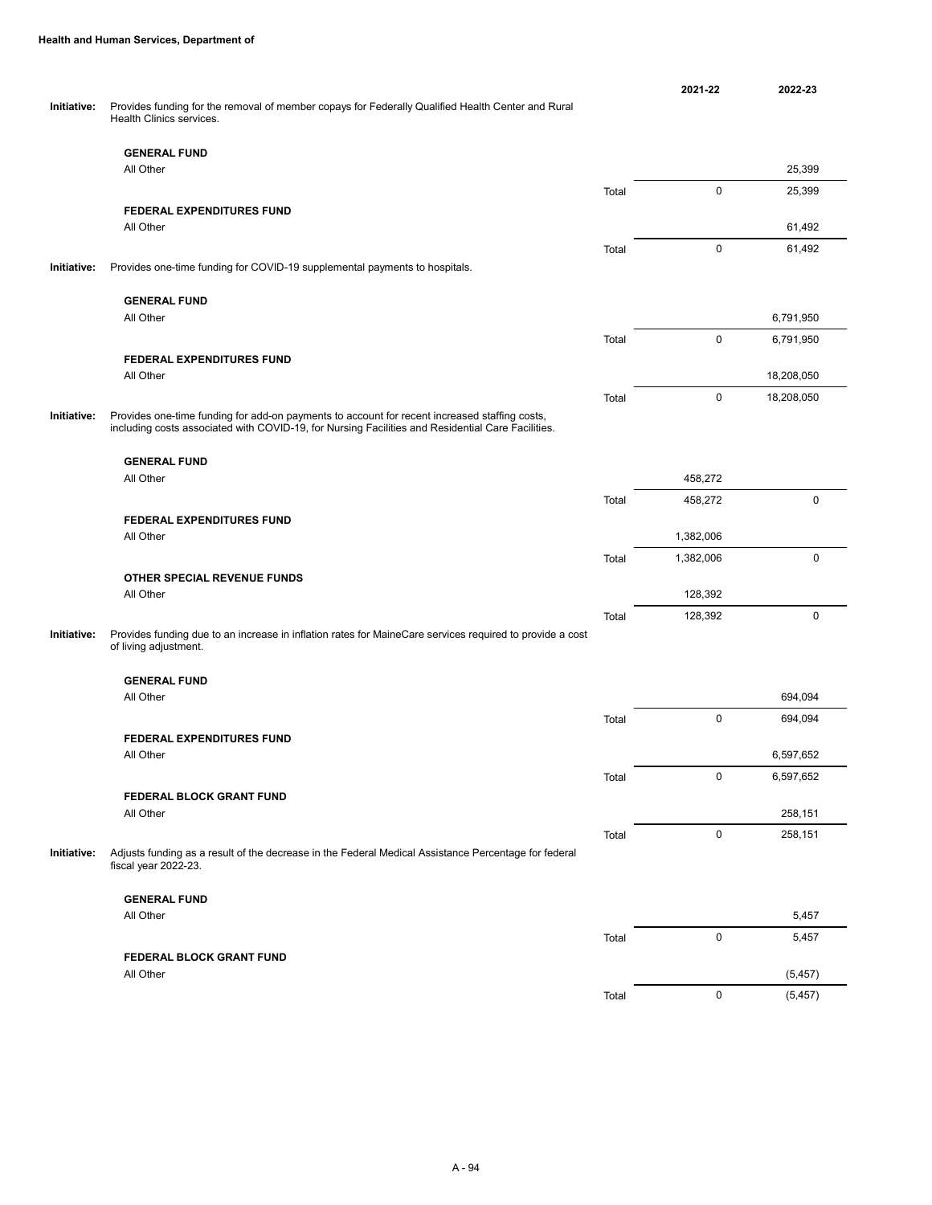2021-22 2022-23 GENERAL FUND All Other 25,399 Total 0 25,399 FEDERAL EXPENDITURES FUND All Other 61,492 Total 0 61,492 Initiative: Provides funding for the removal of member copays for Federally Qualified Health Center and Rural Health Clinics services. GENERAL FUND All Other 6,791,950 Total 0 6,791,950 FEDERAL EXPENDITURES FUND All Other 18,208,050 Total 0 18,208,050 Initiative: Provides one-time funding for COVID-19 supplemental payments to hospitals. GENERAL FUND All Other 458,272 Total 458,272 0 FEDERAL EXPENDITURES FUND All Other 1,382,006 Total 1,382,006 0 OTHER SPECIAL REVENUE FUNDS All Other 128,392 Total 128,392 0 Initiative: Provides one-time funding for add-on payments to account for recent increased staffing costs, including costs associated with COVID-19, for Nursing Facilities and Residential Care Facilities. GENERAL FUND All Other 694,094 Total 0 694,094 FEDERAL EXPENDITURES FUND All Other 6,597,652 Total 0 6,597,652 FEDERAL BLOCK GRANT FUND All Other 258,151 Total 0 258,151 Initiative: Provides funding due to an increase in inflation rates for MaineCare services required to provide a cost of living adjustment. GENERAL FUND All Other 5,457 Total 0 5,457 FEDERAL BLOCK GRANT FUND All Other (5,457) Total 0 (5,457) Initiative: Adjusts funding as a result of the decrease in the Federal Medical Assistance Percentage for federal fiscal year 2022-23.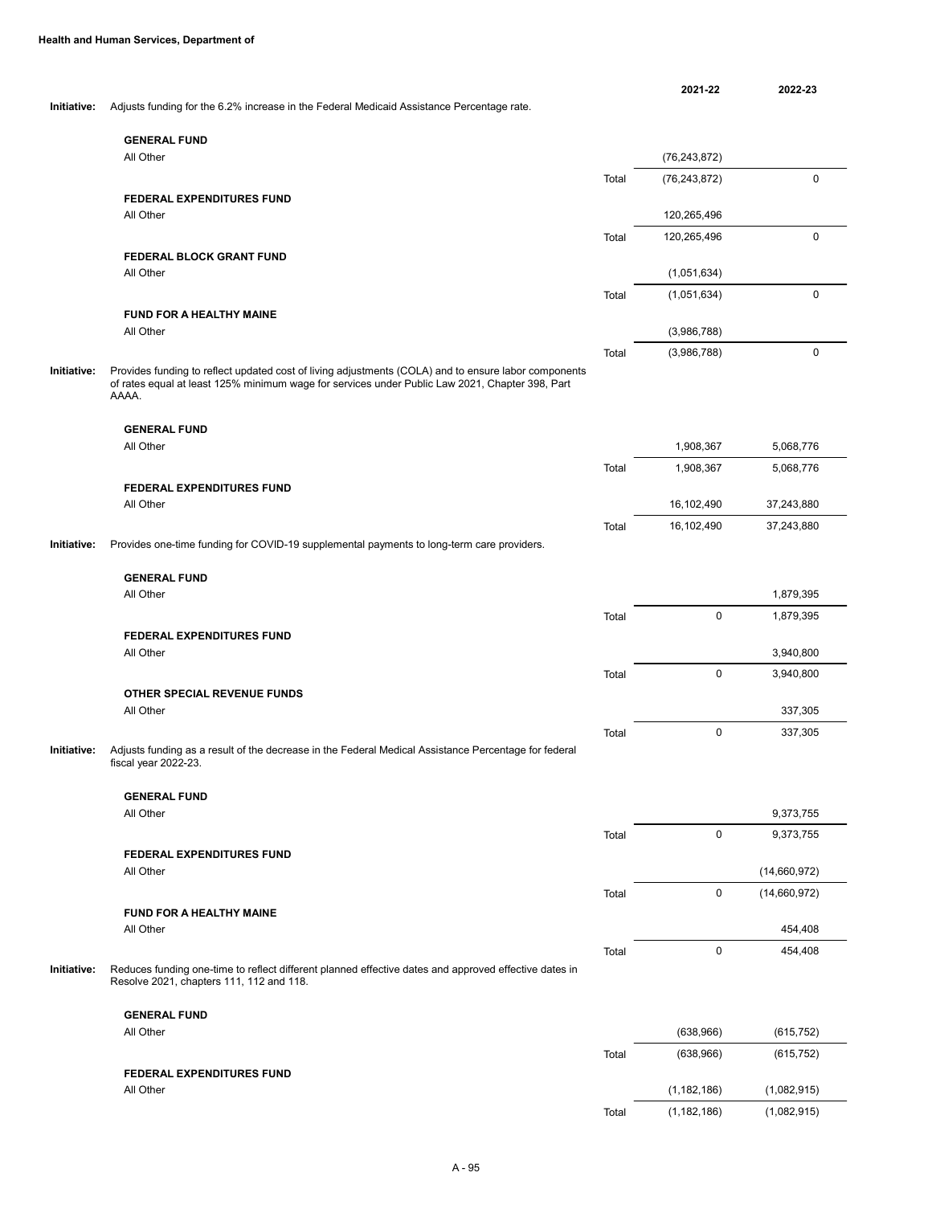2021-22 2022-23

Initiative: Adjusts funding for the 6.2% increase in the Federal Medicaid Assistance Percentage rate.

|             | <b>GENERAL FUND</b><br>All Other                                                                                                                                                                                 |       | (76, 243, 872) |              |  |
|-------------|------------------------------------------------------------------------------------------------------------------------------------------------------------------------------------------------------------------|-------|----------------|--------------|--|
|             |                                                                                                                                                                                                                  | Total | (76, 243, 872) | 0            |  |
|             | <b>FEDERAL EXPENDITURES FUND</b>                                                                                                                                                                                 |       |                |              |  |
|             | All Other                                                                                                                                                                                                        |       | 120,265,496    |              |  |
|             |                                                                                                                                                                                                                  | Total | 120,265,496    | 0            |  |
|             | <b>FEDERAL BLOCK GRANT FUND</b>                                                                                                                                                                                  |       |                |              |  |
|             | All Other                                                                                                                                                                                                        |       | (1,051,634)    |              |  |
|             |                                                                                                                                                                                                                  | Total | (1,051,634)    | $\pmb{0}$    |  |
|             | <b>FUND FOR A HEALTHY MAINE</b><br>All Other                                                                                                                                                                     |       | (3,986,788)    |              |  |
|             |                                                                                                                                                                                                                  | Total | (3,986,788)    | 0            |  |
| Initiative: | Provides funding to reflect updated cost of living adjustments (COLA) and to ensure labor components<br>of rates equal at least 125% minimum wage for services under Public Law 2021, Chapter 398, Part<br>AAAA. |       |                |              |  |
|             | <b>GENERAL FUND</b>                                                                                                                                                                                              |       |                |              |  |
|             | All Other                                                                                                                                                                                                        |       | 1,908,367      | 5,068,776    |  |
|             |                                                                                                                                                                                                                  | Total | 1,908,367      | 5,068,776    |  |
|             | <b>FEDERAL EXPENDITURES FUND</b>                                                                                                                                                                                 |       |                |              |  |
|             | All Other                                                                                                                                                                                                        |       | 16,102,490     | 37,243,880   |  |
|             |                                                                                                                                                                                                                  | Total | 16,102,490     | 37,243,880   |  |
| Initiative: | Provides one-time funding for COVID-19 supplemental payments to long-term care providers.                                                                                                                        |       |                |              |  |
|             | <b>GENERAL FUND</b>                                                                                                                                                                                              |       |                |              |  |
|             | All Other                                                                                                                                                                                                        |       |                | 1,879,395    |  |
|             |                                                                                                                                                                                                                  | Total | 0              | 1,879,395    |  |
|             | <b>FEDERAL EXPENDITURES FUND</b>                                                                                                                                                                                 |       |                |              |  |
|             | All Other                                                                                                                                                                                                        |       |                | 3,940,800    |  |
|             | OTHER SPECIAL REVENUE FUNDS                                                                                                                                                                                      | Total | $\mathbf 0$    | 3,940,800    |  |
|             | All Other                                                                                                                                                                                                        |       |                | 337,305      |  |
|             |                                                                                                                                                                                                                  | Total | $\mathbf 0$    | 337,305      |  |
| Initiative: | Adjusts funding as a result of the decrease in the Federal Medical Assistance Percentage for federal<br>fiscal year 2022-23.                                                                                     |       |                |              |  |
|             |                                                                                                                                                                                                                  |       |                |              |  |
|             | <b>GENERAL FUND</b>                                                                                                                                                                                              |       |                | 9,373,755    |  |
|             | All Other                                                                                                                                                                                                        | Total | 0              | 9,373,755    |  |
|             | <b>FEDERAL EXPENDITURES FUND</b>                                                                                                                                                                                 |       |                |              |  |
|             | All Other                                                                                                                                                                                                        |       |                | (14,660,972) |  |
|             |                                                                                                                                                                                                                  | Total | 0              | (14,660,972) |  |
|             | <b>FUND FOR A HEALTHY MAINE</b>                                                                                                                                                                                  |       |                |              |  |
|             | All Other                                                                                                                                                                                                        |       |                | 454,408      |  |
|             |                                                                                                                                                                                                                  | Total | $\pmb{0}$      | 454,408      |  |
| Initiative: | Reduces funding one-time to reflect different planned effective dates and approved effective dates in<br>Resolve 2021, chapters 111, 112 and 118.                                                                |       |                |              |  |
|             | <b>GENERAL FUND</b>                                                                                                                                                                                              |       |                |              |  |
|             | All Other                                                                                                                                                                                                        |       | (638,966)      | (615, 752)   |  |
|             |                                                                                                                                                                                                                  | Total | (638, 966)     | (615, 752)   |  |
|             | FEDERAL EXPENDITURES FUND<br>All Other                                                                                                                                                                           |       | (1, 182, 186)  | (1,082,915)  |  |
|             |                                                                                                                                                                                                                  |       |                |              |  |

Total (1,182,186) (1,082,915)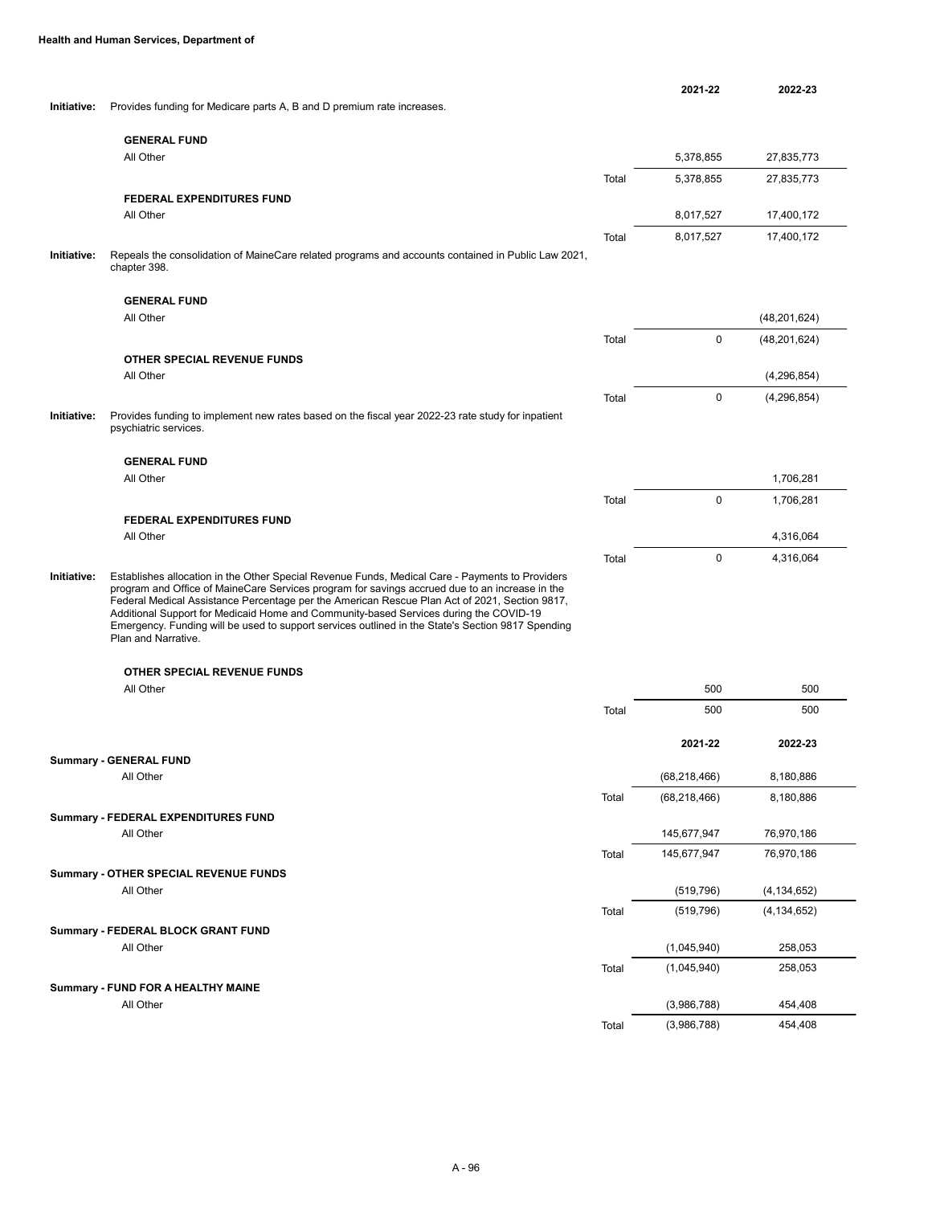Initiative: Provides funding for Medicare parts A, B and D premium rate increases.

| initiative: | Provides funding for Medicare parts A, B and D premium rate increases.                                                                                                                                                                                                                                                                                                                                                                                                                                                  |       |                |                |  |
|-------------|-------------------------------------------------------------------------------------------------------------------------------------------------------------------------------------------------------------------------------------------------------------------------------------------------------------------------------------------------------------------------------------------------------------------------------------------------------------------------------------------------------------------------|-------|----------------|----------------|--|
|             | <b>GENERAL FUND</b>                                                                                                                                                                                                                                                                                                                                                                                                                                                                                                     |       |                |                |  |
|             | All Other                                                                                                                                                                                                                                                                                                                                                                                                                                                                                                               |       | 5,378,855      | 27,835,773     |  |
|             |                                                                                                                                                                                                                                                                                                                                                                                                                                                                                                                         | Total | 5,378,855      | 27,835,773     |  |
|             | <b>FEDERAL EXPENDITURES FUND</b>                                                                                                                                                                                                                                                                                                                                                                                                                                                                                        |       |                |                |  |
|             | All Other                                                                                                                                                                                                                                                                                                                                                                                                                                                                                                               |       | 8,017,527      | 17,400,172     |  |
|             |                                                                                                                                                                                                                                                                                                                                                                                                                                                                                                                         | Total | 8,017,527      | 17,400,172     |  |
| Initiative: | Repeals the consolidation of MaineCare related programs and accounts contained in Public Law 2021,<br>chapter 398.                                                                                                                                                                                                                                                                                                                                                                                                      |       |                |                |  |
|             | <b>GENERAL FUND</b>                                                                                                                                                                                                                                                                                                                                                                                                                                                                                                     |       |                |                |  |
|             | All Other                                                                                                                                                                                                                                                                                                                                                                                                                                                                                                               |       |                | (48, 201, 624) |  |
|             |                                                                                                                                                                                                                                                                                                                                                                                                                                                                                                                         | Total | 0              | (48, 201, 624) |  |
|             | OTHER SPECIAL REVENUE FUNDS                                                                                                                                                                                                                                                                                                                                                                                                                                                                                             |       |                |                |  |
|             | All Other                                                                                                                                                                                                                                                                                                                                                                                                                                                                                                               |       |                | (4, 296, 854)  |  |
|             |                                                                                                                                                                                                                                                                                                                                                                                                                                                                                                                         | Total | 0              | (4,296,854)    |  |
| Initiative: | Provides funding to implement new rates based on the fiscal year 2022-23 rate study for inpatient<br>psychiatric services.                                                                                                                                                                                                                                                                                                                                                                                              |       |                |                |  |
|             | <b>GENERAL FUND</b><br>All Other                                                                                                                                                                                                                                                                                                                                                                                                                                                                                        |       |                | 1,706,281      |  |
|             |                                                                                                                                                                                                                                                                                                                                                                                                                                                                                                                         | Total | 0              | 1,706,281      |  |
|             | <b>FEDERAL EXPENDITURES FUND</b>                                                                                                                                                                                                                                                                                                                                                                                                                                                                                        |       |                |                |  |
|             | All Other                                                                                                                                                                                                                                                                                                                                                                                                                                                                                                               |       |                | 4,316,064      |  |
|             |                                                                                                                                                                                                                                                                                                                                                                                                                                                                                                                         | Total | 0              | 4,316,064      |  |
| Initiative: | Establishes allocation in the Other Special Revenue Funds, Medical Care - Payments to Providers<br>program and Office of MaineCare Services program for savings accrued due to an increase in the<br>Federal Medical Assistance Percentage per the American Rescue Plan Act of 2021, Section 9817,<br>Additional Support for Medicaid Home and Community-based Services during the COVID-19<br>Emergency. Funding will be used to support services outlined in the State's Section 9817 Spending<br>Plan and Narrative. |       |                |                |  |
|             | OTHER SPECIAL REVENUE FUNDS                                                                                                                                                                                                                                                                                                                                                                                                                                                                                             |       |                |                |  |
|             | All Other                                                                                                                                                                                                                                                                                                                                                                                                                                                                                                               |       | 500            | 500            |  |
|             |                                                                                                                                                                                                                                                                                                                                                                                                                                                                                                                         | Total | 500            | 500            |  |
|             |                                                                                                                                                                                                                                                                                                                                                                                                                                                                                                                         |       | 2021-22        | 2022-23        |  |
|             | <b>Summary - GENERAL FUND</b>                                                                                                                                                                                                                                                                                                                                                                                                                                                                                           |       |                |                |  |
|             | All Other                                                                                                                                                                                                                                                                                                                                                                                                                                                                                                               |       | (68, 218, 466) | 8,180,886      |  |
|             |                                                                                                                                                                                                                                                                                                                                                                                                                                                                                                                         | Total | (68, 218, 466) | 8,180,886      |  |
|             | Summary - FEDERAL EXPENDITURES FUND<br>All Other                                                                                                                                                                                                                                                                                                                                                                                                                                                                        |       | 145,677,947    | 76,970,186     |  |
|             |                                                                                                                                                                                                                                                                                                                                                                                                                                                                                                                         | Total | 145,677,947    | 76,970,186     |  |
|             | <b>Summary - OTHER SPECIAL REVENUE FUNDS</b>                                                                                                                                                                                                                                                                                                                                                                                                                                                                            |       |                |                |  |
|             | All Other                                                                                                                                                                                                                                                                                                                                                                                                                                                                                                               |       | (519, 796)     | (4, 134, 652)  |  |
|             |                                                                                                                                                                                                                                                                                                                                                                                                                                                                                                                         | Total | (519, 796)     | (4, 134, 652)  |  |
|             | <b>Summary - FEDERAL BLOCK GRANT FUND</b>                                                                                                                                                                                                                                                                                                                                                                                                                                                                               |       |                |                |  |
|             | All Other                                                                                                                                                                                                                                                                                                                                                                                                                                                                                                               |       | (1,045,940)    | 258,053        |  |
|             |                                                                                                                                                                                                                                                                                                                                                                                                                                                                                                                         | Total | (1,045,940)    | 258,053        |  |
|             | Summary - FUND FOR A HEALTHY MAINE                                                                                                                                                                                                                                                                                                                                                                                                                                                                                      |       |                |                |  |

2021-22 2022-23

Total (3,986,788) 454,408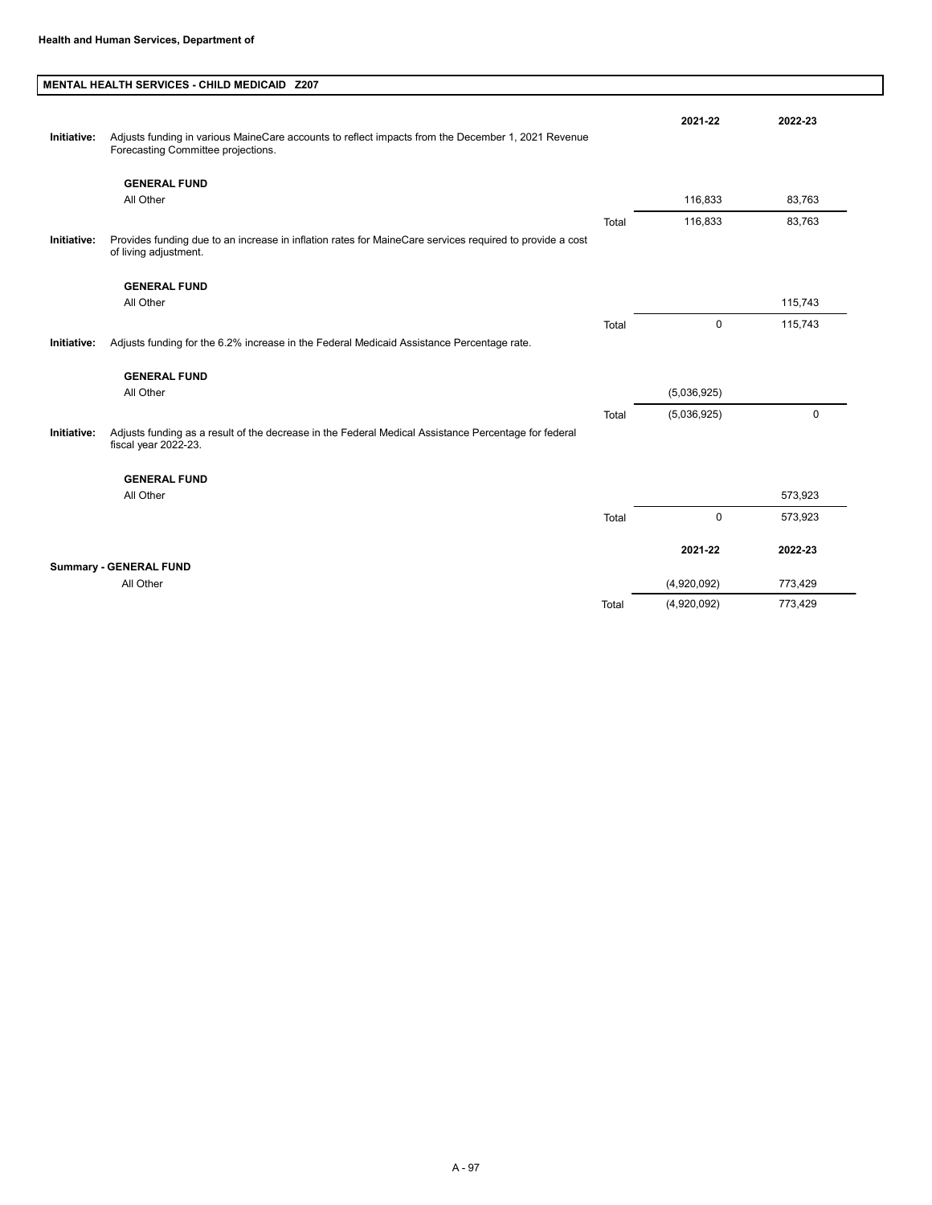|             | MENTAL HEALTH SERVICES - CHILD MEDICAID Z207                                                                                             |       |             |          |
|-------------|------------------------------------------------------------------------------------------------------------------------------------------|-------|-------------|----------|
| Initiative: | Adjusts funding in various MaineCare accounts to reflect impacts from the December 1, 2021 Revenue<br>Forecasting Committee projections. |       | 2021-22     | 2022-23  |
|             | <b>GENERAL FUND</b>                                                                                                                      |       |             |          |
|             | All Other                                                                                                                                |       | 116,833     | 83,763   |
|             |                                                                                                                                          | Total | 116,833     | 83,763   |
| Initiative: | Provides funding due to an increase in inflation rates for MaineCare services required to provide a cost<br>of living adjustment.        |       |             |          |
|             | <b>GENERAL FUND</b>                                                                                                                      |       |             |          |
|             | All Other                                                                                                                                |       |             | 115,743  |
|             |                                                                                                                                          | Total | $\mathbf 0$ | 115,743  |
| Initiative: | Adjusts funding for the 6.2% increase in the Federal Medicaid Assistance Percentage rate.                                                |       |             |          |
|             | <b>GENERAL FUND</b>                                                                                                                      |       |             |          |
|             | All Other                                                                                                                                |       | (5,036,925) |          |
|             |                                                                                                                                          | Total | (5,036,925) | $\Omega$ |
| Initiative: | Adjusts funding as a result of the decrease in the Federal Medical Assistance Percentage for federal<br>fiscal year 2022-23.             |       |             |          |
|             | <b>GENERAL FUND</b>                                                                                                                      |       |             |          |
|             | All Other                                                                                                                                |       |             | 573,923  |
|             |                                                                                                                                          | Total | 0           | 573,923  |
|             |                                                                                                                                          |       | 2021-22     | 2022-23  |
|             | <b>Summary - GENERAL FUND</b>                                                                                                            |       |             |          |
|             | All Other                                                                                                                                |       | (4,920,092) | 773,429  |
|             |                                                                                                                                          | Total | (4,920,092) | 773,429  |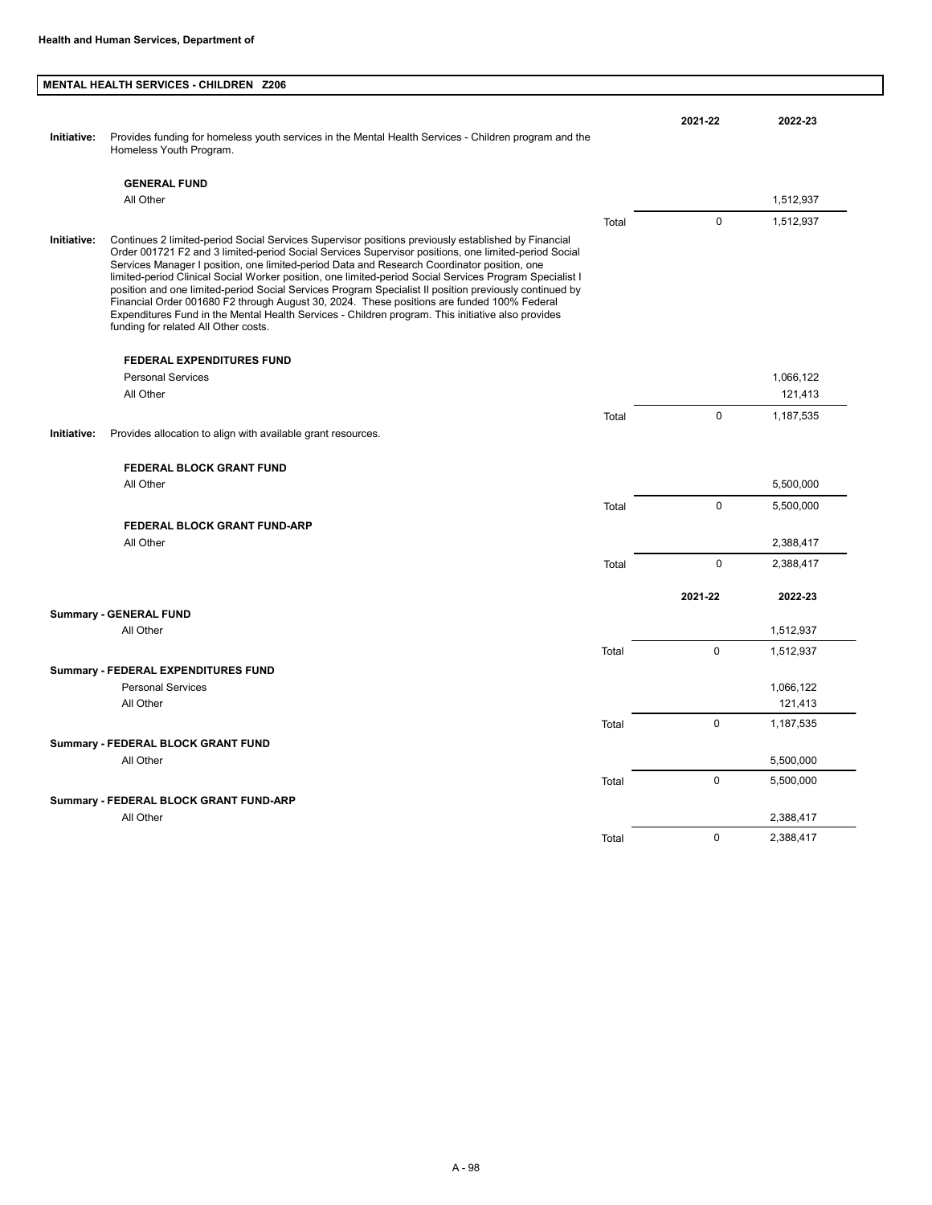|             | MENTAL HEALTH SERVICES - CHILDREN Z206                                                                                                                                                                                                                                                                                                                                                                                                                                                                                                                                                                                                                                                                                                                                     |       |             |           |
|-------------|----------------------------------------------------------------------------------------------------------------------------------------------------------------------------------------------------------------------------------------------------------------------------------------------------------------------------------------------------------------------------------------------------------------------------------------------------------------------------------------------------------------------------------------------------------------------------------------------------------------------------------------------------------------------------------------------------------------------------------------------------------------------------|-------|-------------|-----------|
|             |                                                                                                                                                                                                                                                                                                                                                                                                                                                                                                                                                                                                                                                                                                                                                                            |       | 2021-22     | 2022-23   |
| Initiative: | Provides funding for homeless youth services in the Mental Health Services - Children program and the<br>Homeless Youth Program.                                                                                                                                                                                                                                                                                                                                                                                                                                                                                                                                                                                                                                           |       |             |           |
|             | <b>GENERAL FUND</b>                                                                                                                                                                                                                                                                                                                                                                                                                                                                                                                                                                                                                                                                                                                                                        |       |             |           |
|             | All Other                                                                                                                                                                                                                                                                                                                                                                                                                                                                                                                                                                                                                                                                                                                                                                  |       |             | 1,512,937 |
|             |                                                                                                                                                                                                                                                                                                                                                                                                                                                                                                                                                                                                                                                                                                                                                                            | Total | $\mathbf 0$ | 1,512,937 |
| Initiative: | Continues 2 limited-period Social Services Supervisor positions previously established by Financial<br>Order 001721 F2 and 3 limited-period Social Services Supervisor positions, one limited-period Social<br>Services Manager I position, one limited-period Data and Research Coordinator position, one<br>limited-period Clinical Social Worker position, one limited-period Social Services Program Specialist I<br>position and one limited-period Social Services Program Specialist II position previously continued by<br>Financial Order 001680 F2 through August 30, 2024. These positions are funded 100% Federal<br>Expenditures Fund in the Mental Health Services - Children program. This initiative also provides<br>funding for related All Other costs. |       |             |           |
|             | <b>FEDERAL EXPENDITURES FUND</b>                                                                                                                                                                                                                                                                                                                                                                                                                                                                                                                                                                                                                                                                                                                                           |       |             |           |
|             | <b>Personal Services</b>                                                                                                                                                                                                                                                                                                                                                                                                                                                                                                                                                                                                                                                                                                                                                   |       |             | 1,066,122 |
|             | All Other                                                                                                                                                                                                                                                                                                                                                                                                                                                                                                                                                                                                                                                                                                                                                                  |       |             | 121,413   |
|             |                                                                                                                                                                                                                                                                                                                                                                                                                                                                                                                                                                                                                                                                                                                                                                            | Total | 0           | 1,187,535 |
| Initiative: | Provides allocation to align with available grant resources.                                                                                                                                                                                                                                                                                                                                                                                                                                                                                                                                                                                                                                                                                                               |       |             |           |
|             | <b>FEDERAL BLOCK GRANT FUND</b>                                                                                                                                                                                                                                                                                                                                                                                                                                                                                                                                                                                                                                                                                                                                            |       |             |           |
|             | All Other                                                                                                                                                                                                                                                                                                                                                                                                                                                                                                                                                                                                                                                                                                                                                                  |       |             | 5,500,000 |
|             |                                                                                                                                                                                                                                                                                                                                                                                                                                                                                                                                                                                                                                                                                                                                                                            | Total | 0           | 5,500,000 |
|             | FEDERAL BLOCK GRANT FUND-ARP                                                                                                                                                                                                                                                                                                                                                                                                                                                                                                                                                                                                                                                                                                                                               |       |             |           |
|             | All Other                                                                                                                                                                                                                                                                                                                                                                                                                                                                                                                                                                                                                                                                                                                                                                  |       |             | 2,388,417 |
|             |                                                                                                                                                                                                                                                                                                                                                                                                                                                                                                                                                                                                                                                                                                                                                                            | Total | 0           | 2,388,417 |
|             |                                                                                                                                                                                                                                                                                                                                                                                                                                                                                                                                                                                                                                                                                                                                                                            |       | 2021-22     | 2022-23   |
|             | <b>Summary - GENERAL FUND</b>                                                                                                                                                                                                                                                                                                                                                                                                                                                                                                                                                                                                                                                                                                                                              |       |             |           |
|             | All Other                                                                                                                                                                                                                                                                                                                                                                                                                                                                                                                                                                                                                                                                                                                                                                  |       |             | 1,512,937 |
|             |                                                                                                                                                                                                                                                                                                                                                                                                                                                                                                                                                                                                                                                                                                                                                                            | Total | 0           | 1,512,937 |
|             | Summary - FEDERAL EXPENDITURES FUND                                                                                                                                                                                                                                                                                                                                                                                                                                                                                                                                                                                                                                                                                                                                        |       |             |           |
|             | <b>Personal Services</b>                                                                                                                                                                                                                                                                                                                                                                                                                                                                                                                                                                                                                                                                                                                                                   |       |             | 1,066,122 |
|             | All Other                                                                                                                                                                                                                                                                                                                                                                                                                                                                                                                                                                                                                                                                                                                                                                  |       |             | 121,413   |
|             |                                                                                                                                                                                                                                                                                                                                                                                                                                                                                                                                                                                                                                                                                                                                                                            | Total | $\mathbf 0$ | 1,187,535 |
|             | <b>Summary - FEDERAL BLOCK GRANT FUND</b>                                                                                                                                                                                                                                                                                                                                                                                                                                                                                                                                                                                                                                                                                                                                  |       |             |           |
|             | All Other                                                                                                                                                                                                                                                                                                                                                                                                                                                                                                                                                                                                                                                                                                                                                                  |       |             | 5,500,000 |
|             |                                                                                                                                                                                                                                                                                                                                                                                                                                                                                                                                                                                                                                                                                                                                                                            | Total | $\Omega$    | 5,500,000 |
|             | Summary - FEDERAL BLOCK GRANT FUND-ARP                                                                                                                                                                                                                                                                                                                                                                                                                                                                                                                                                                                                                                                                                                                                     |       |             |           |
|             | All Other                                                                                                                                                                                                                                                                                                                                                                                                                                                                                                                                                                                                                                                                                                                                                                  |       |             | 2,388,417 |
|             |                                                                                                                                                                                                                                                                                                                                                                                                                                                                                                                                                                                                                                                                                                                                                                            | Total | $\mathbf 0$ | 2,388,417 |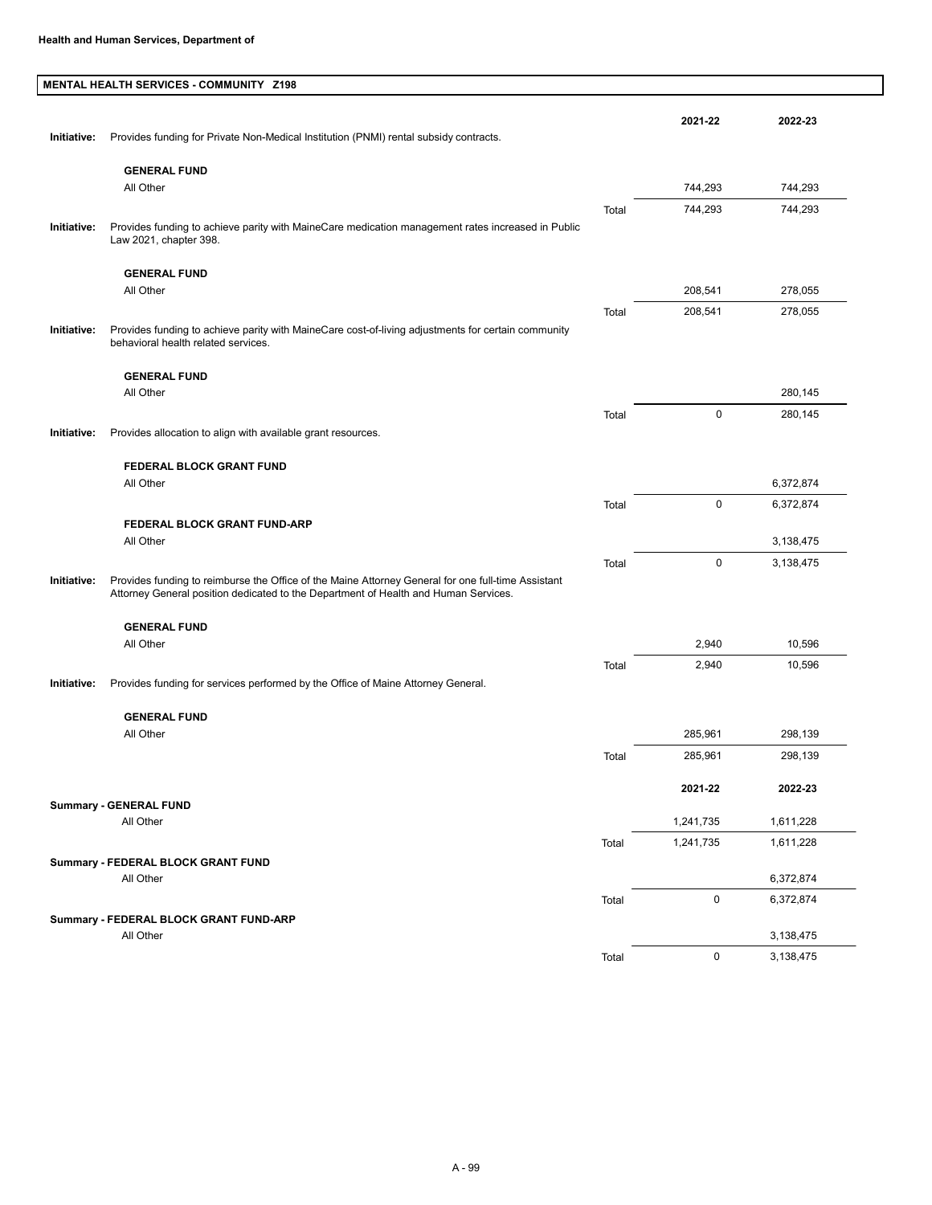|             | MENTAL HEALTH SERVICES - COMMUNITY Z198                                                                                                                                                   |       |           |           |
|-------------|-------------------------------------------------------------------------------------------------------------------------------------------------------------------------------------------|-------|-----------|-----------|
|             |                                                                                                                                                                                           |       | 2021-22   | 2022-23   |
| Initiative: | Provides funding for Private Non-Medical Institution (PNMI) rental subsidy contracts.                                                                                                     |       |           |           |
|             |                                                                                                                                                                                           |       |           |           |
|             | <b>GENERAL FUND</b>                                                                                                                                                                       |       |           |           |
|             | All Other                                                                                                                                                                                 |       | 744,293   | 744,293   |
|             |                                                                                                                                                                                           | Total | 744,293   | 744,293   |
| Initiative: | Provides funding to achieve parity with MaineCare medication management rates increased in Public<br>Law 2021, chapter 398.                                                               |       |           |           |
|             | <b>GENERAL FUND</b>                                                                                                                                                                       |       |           |           |
|             | All Other                                                                                                                                                                                 |       | 208,541   | 278,055   |
|             |                                                                                                                                                                                           | Total | 208,541   | 278,055   |
| Initiative: | Provides funding to achieve parity with MaineCare cost-of-living adjustments for certain community<br>behavioral health related services.                                                 |       |           |           |
|             | <b>GENERAL FUND</b>                                                                                                                                                                       |       |           |           |
|             | All Other                                                                                                                                                                                 |       |           | 280,145   |
|             |                                                                                                                                                                                           | Total | 0         | 280,145   |
| Initiative: | Provides allocation to align with available grant resources.                                                                                                                              |       |           |           |
|             |                                                                                                                                                                                           |       |           |           |
|             | FEDERAL BLOCK GRANT FUND<br>All Other                                                                                                                                                     |       |           | 6,372,874 |
|             |                                                                                                                                                                                           |       | 0         |           |
|             | FEDERAL BLOCK GRANT FUND-ARP                                                                                                                                                              | Total |           | 6,372,874 |
|             | All Other                                                                                                                                                                                 |       |           | 3,138,475 |
|             |                                                                                                                                                                                           | Total | 0         | 3,138,475 |
| Initiative: | Provides funding to reimburse the Office of the Maine Attorney General for one full-time Assistant<br>Attorney General position dedicated to the Department of Health and Human Services. |       |           |           |
|             | <b>GENERAL FUND</b>                                                                                                                                                                       |       |           |           |
|             | All Other                                                                                                                                                                                 |       | 2,940     | 10,596    |
|             |                                                                                                                                                                                           | Total | 2,940     | 10,596    |
| Initiative: | Provides funding for services performed by the Office of Maine Attorney General.                                                                                                          |       |           |           |
|             |                                                                                                                                                                                           |       |           |           |
|             | <b>GENERAL FUND</b>                                                                                                                                                                       |       |           |           |
|             | All Other                                                                                                                                                                                 |       | 285,961   | 298,139   |
|             |                                                                                                                                                                                           | Total | 285,961   | 298,139   |
|             |                                                                                                                                                                                           |       | 2021-22   | 2022-23   |
|             | <b>Summary - GENERAL FUND</b>                                                                                                                                                             |       |           |           |
|             | All Other                                                                                                                                                                                 |       | 1,241,735 | 1,611,228 |
|             |                                                                                                                                                                                           | Total | 1,241,735 | 1,611,228 |
|             | Summary - FEDERAL BLOCK GRANT FUND                                                                                                                                                        |       |           |           |
|             | All Other                                                                                                                                                                                 |       |           | 6,372,874 |
|             |                                                                                                                                                                                           | Total | 0         | 6,372,874 |
|             | Summary - FEDERAL BLOCK GRANT FUND-ARP                                                                                                                                                    |       |           |           |
|             | All Other                                                                                                                                                                                 |       |           | 3,138,475 |
|             |                                                                                                                                                                                           | Total | 0         | 3,138,475 |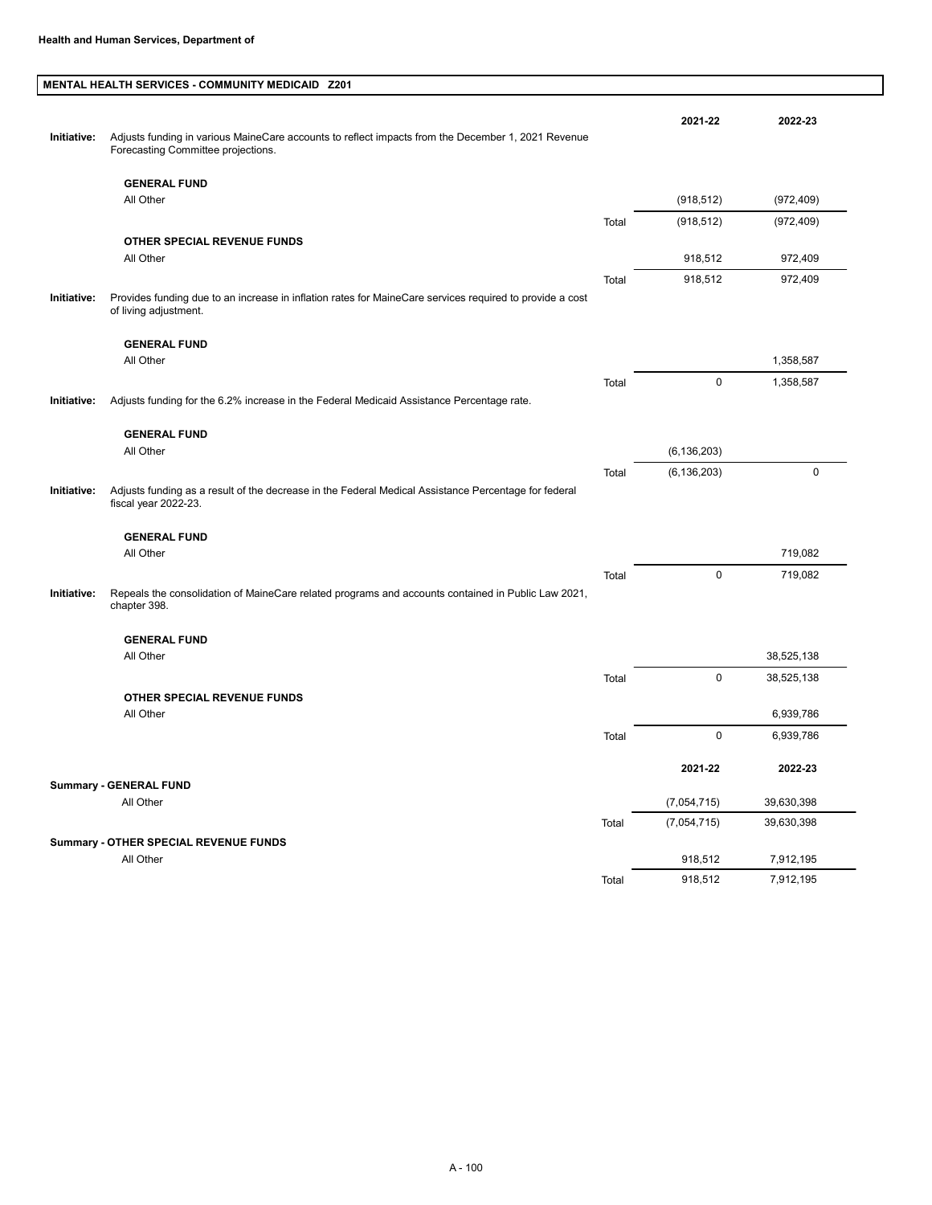|             | <b>MENTAL HEALTH SERVICES - COMMUNITY MEDICAID Z201</b>                                                                                  |       |               |             |
|-------------|------------------------------------------------------------------------------------------------------------------------------------------|-------|---------------|-------------|
| Initiative: |                                                                                                                                          |       | 2021-22       | 2022-23     |
|             | Adjusts funding in various MaineCare accounts to reflect impacts from the December 1, 2021 Revenue<br>Forecasting Committee projections. |       |               |             |
|             | <b>GENERAL FUND</b>                                                                                                                      |       |               |             |
|             | All Other                                                                                                                                |       | (918, 512)    | (972, 409)  |
|             |                                                                                                                                          | Total | (918, 512)    | (972, 409)  |
|             | <b>OTHER SPECIAL REVENUE FUNDS</b>                                                                                                       |       |               |             |
|             | All Other                                                                                                                                |       | 918,512       | 972,409     |
|             |                                                                                                                                          | Total | 918,512       | 972,409     |
| Initiative: | Provides funding due to an increase in inflation rates for MaineCare services required to provide a cost<br>of living adjustment.        |       |               |             |
|             | <b>GENERAL FUND</b>                                                                                                                      |       |               |             |
|             | All Other                                                                                                                                |       |               | 1,358,587   |
|             |                                                                                                                                          | Total | $\pmb{0}$     | 1,358,587   |
| Initiative: | Adjusts funding for the 6.2% increase in the Federal Medicaid Assistance Percentage rate.                                                |       |               |             |
|             | <b>GENERAL FUND</b>                                                                                                                      |       |               |             |
|             | All Other                                                                                                                                |       | (6, 136, 203) |             |
|             |                                                                                                                                          | Total | (6, 136, 203) | $\mathbf 0$ |
| Initiative: | Adjusts funding as a result of the decrease in the Federal Medical Assistance Percentage for federal<br>fiscal year 2022-23.             |       |               |             |
|             | <b>GENERAL FUND</b>                                                                                                                      |       |               |             |
|             | All Other                                                                                                                                |       |               | 719,082     |
|             |                                                                                                                                          | Total | 0             | 719,082     |
| Initiative: | Repeals the consolidation of MaineCare related programs and accounts contained in Public Law 2021,<br>chapter 398.                       |       |               |             |
|             | <b>GENERAL FUND</b>                                                                                                                      |       |               |             |
|             | All Other                                                                                                                                |       |               | 38,525,138  |
|             |                                                                                                                                          | Total | 0             | 38,525,138  |
|             | OTHER SPECIAL REVENUE FUNDS                                                                                                              |       |               |             |
|             | All Other                                                                                                                                |       |               | 6,939,786   |
|             |                                                                                                                                          | Total | 0             | 6,939,786   |
|             |                                                                                                                                          |       | 2021-22       | 2022-23     |
|             | <b>Summary - GENERAL FUND</b>                                                                                                            |       |               |             |
|             | All Other                                                                                                                                |       | (7,054,715)   | 39,630,398  |
|             |                                                                                                                                          | Total | (7,054,715)   | 39,630,398  |
|             | <b>Summary - OTHER SPECIAL REVENUE FUNDS</b><br>All Other                                                                                |       | 918,512       | 7,912,195   |
|             |                                                                                                                                          |       | 918,512       | 7,912,195   |
|             |                                                                                                                                          | Total |               |             |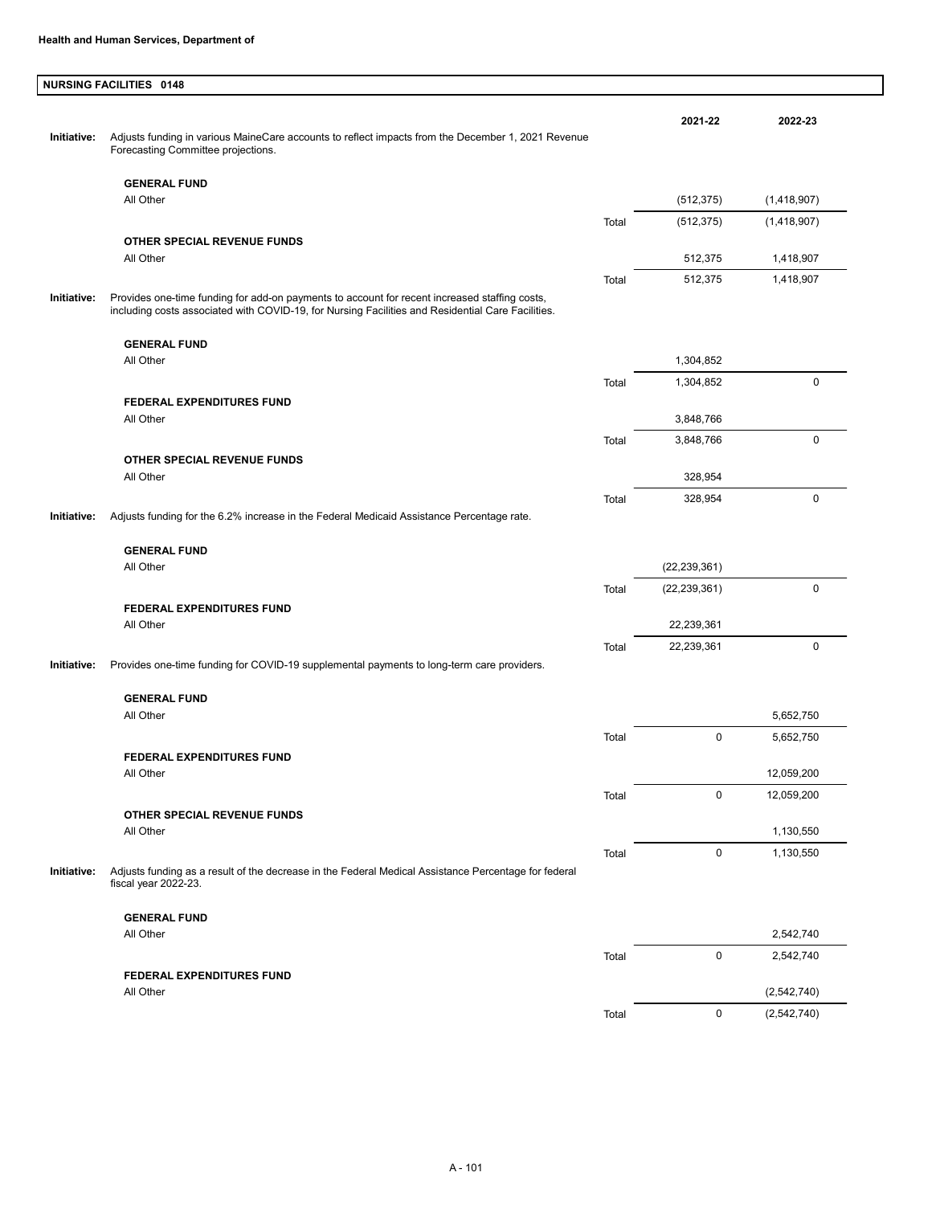|             | <b>NURSING FACILITIES 0148</b>                                                                                                                                                                     |       |                |               |
|-------------|----------------------------------------------------------------------------------------------------------------------------------------------------------------------------------------------------|-------|----------------|---------------|
|             |                                                                                                                                                                                                    |       | 2021-22        | 2022-23       |
| Initiative: | Adjusts funding in various MaineCare accounts to reflect impacts from the December 1, 2021 Revenue<br>Forecasting Committee projections.                                                           |       |                |               |
|             | <b>GENERAL FUND</b>                                                                                                                                                                                |       |                |               |
|             | All Other                                                                                                                                                                                          |       | (512, 375)     | (1,418,907)   |
|             |                                                                                                                                                                                                    | Total | (512, 375)     | (1,418,907)   |
|             | OTHER SPECIAL REVENUE FUNDS                                                                                                                                                                        |       |                |               |
|             | All Other                                                                                                                                                                                          |       | 512,375        | 1,418,907     |
|             |                                                                                                                                                                                                    | Total | 512,375        | 1,418,907     |
| Initiative: | Provides one-time funding for add-on payments to account for recent increased staffing costs,<br>including costs associated with COVID-19, for Nursing Facilities and Residential Care Facilities. |       |                |               |
|             | <b>GENERAL FUND</b>                                                                                                                                                                                |       |                |               |
|             | All Other                                                                                                                                                                                          |       | 1,304,852      |               |
|             |                                                                                                                                                                                                    | Total | 1,304,852      | $\pmb{0}$     |
|             | <b>FEDERAL EXPENDITURES FUND</b>                                                                                                                                                                   |       |                |               |
|             | All Other                                                                                                                                                                                          |       | 3,848,766      |               |
|             |                                                                                                                                                                                                    | Total | 3,848,766      | $\pmb{0}$     |
|             | OTHER SPECIAL REVENUE FUNDS<br>All Other                                                                                                                                                           |       | 328,954        |               |
|             |                                                                                                                                                                                                    | Total | 328,954        | $\pmb{0}$     |
| Initiative: | Adjusts funding for the 6.2% increase in the Federal Medicaid Assistance Percentage rate.                                                                                                          |       |                |               |
|             | <b>GENERAL FUND</b>                                                                                                                                                                                |       |                |               |
|             | All Other                                                                                                                                                                                          |       | (22, 239, 361) |               |
|             |                                                                                                                                                                                                    | Total | (22, 239, 361) | $\pmb{0}$     |
|             | FEDERAL EXPENDITURES FUND                                                                                                                                                                          |       |                |               |
|             | All Other                                                                                                                                                                                          |       | 22,239,361     |               |
|             |                                                                                                                                                                                                    | Total | 22,239,361     | 0             |
| Initiative: | Provides one-time funding for COVID-19 supplemental payments to long-term care providers.                                                                                                          |       |                |               |
|             | <b>GENERAL FUND</b>                                                                                                                                                                                |       |                |               |
|             | All Other                                                                                                                                                                                          |       |                | 5,652,750     |
|             |                                                                                                                                                                                                    | Total | 0              | 5,652,750     |
|             | FEDERAL EXPENDITURES FUND                                                                                                                                                                          |       |                |               |
|             | All Other                                                                                                                                                                                          |       |                | 12,059,200    |
|             |                                                                                                                                                                                                    | Total | 0              | 12,059,200    |
|             | <b>OTHER SPECIAL REVENUE FUNDS</b>                                                                                                                                                                 |       |                |               |
|             | All Other                                                                                                                                                                                          |       |                | 1,130,550     |
| Initiative: | Adjusts funding as a result of the decrease in the Federal Medical Assistance Percentage for federal<br>fiscal year 2022-23.                                                                       | Total | 0              | 1,130,550     |
|             |                                                                                                                                                                                                    |       |                |               |
|             | <b>GENERAL FUND</b><br>All Other                                                                                                                                                                   |       |                | 2,542,740     |
|             |                                                                                                                                                                                                    | Total | 0              | 2,542,740     |
|             | FEDERAL EXPENDITURES FUND                                                                                                                                                                          |       |                |               |
|             | All Other                                                                                                                                                                                          |       |                | (2, 542, 740) |
|             |                                                                                                                                                                                                    | Total | 0              | (2, 542, 740) |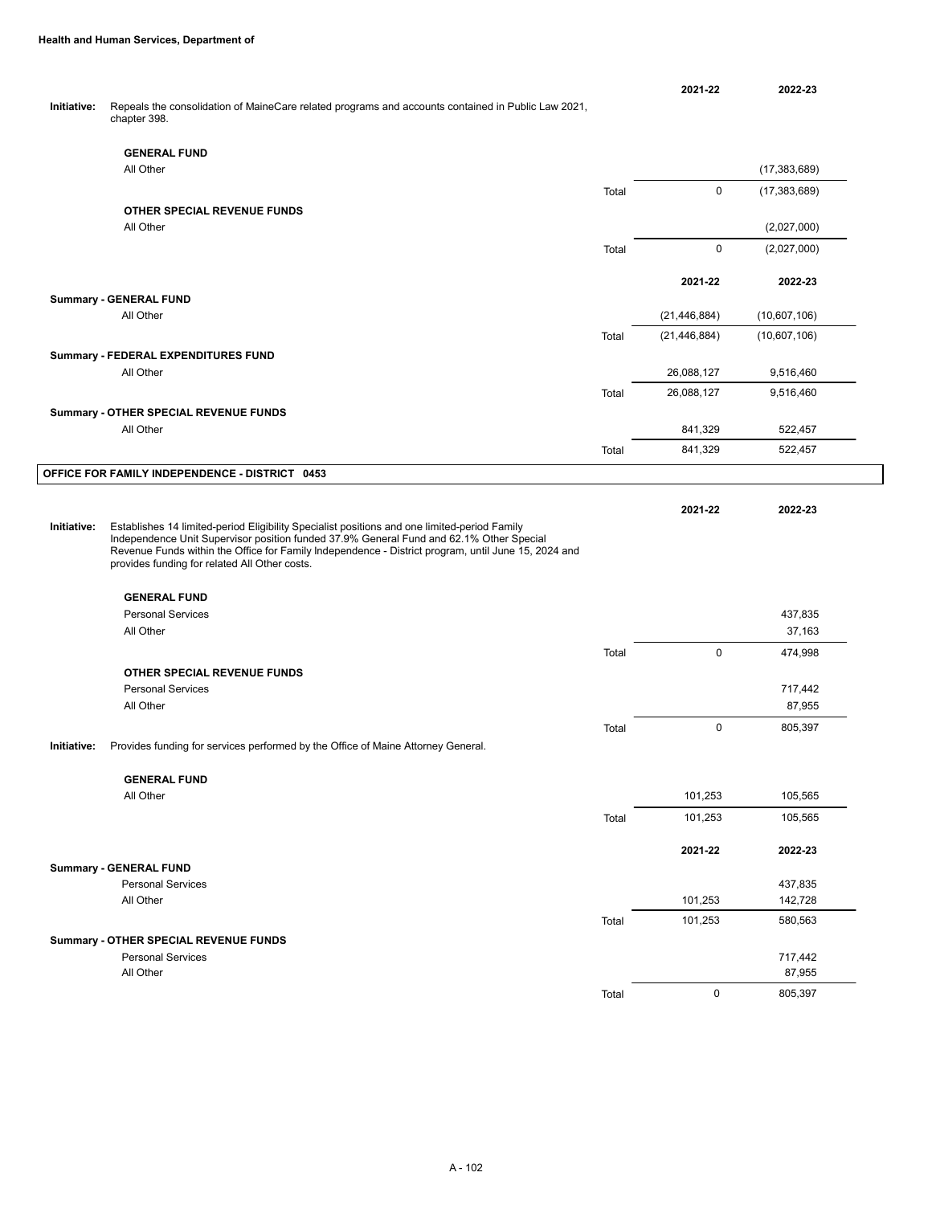|             |                                                                                                                                                                                                                                                                                                                                                 |       | 2021-22        | 2022-23            |
|-------------|-------------------------------------------------------------------------------------------------------------------------------------------------------------------------------------------------------------------------------------------------------------------------------------------------------------------------------------------------|-------|----------------|--------------------|
| Initiative: | Repeals the consolidation of MaineCare related programs and accounts contained in Public Law 2021,<br>chapter 398.                                                                                                                                                                                                                              |       |                |                    |
|             | <b>GENERAL FUND</b>                                                                                                                                                                                                                                                                                                                             |       |                |                    |
|             | All Other                                                                                                                                                                                                                                                                                                                                       |       |                | (17, 383, 689)     |
|             |                                                                                                                                                                                                                                                                                                                                                 | Total | $\pmb{0}$      | (17, 383, 689)     |
|             | OTHER SPECIAL REVENUE FUNDS<br>All Other                                                                                                                                                                                                                                                                                                        |       |                | (2,027,000)        |
|             |                                                                                                                                                                                                                                                                                                                                                 | Total | 0              | (2,027,000)        |
|             |                                                                                                                                                                                                                                                                                                                                                 |       | 2021-22        | 2022-23            |
|             | <b>Summary - GENERAL FUND</b>                                                                                                                                                                                                                                                                                                                   |       |                |                    |
|             | All Other                                                                                                                                                                                                                                                                                                                                       |       | (21, 446, 884) | (10,607,106)       |
|             |                                                                                                                                                                                                                                                                                                                                                 | Total | (21, 446, 884) | (10,607,106)       |
|             | Summary - FEDERAL EXPENDITURES FUND<br>All Other                                                                                                                                                                                                                                                                                                |       | 26,088,127     | 9,516,460          |
|             |                                                                                                                                                                                                                                                                                                                                                 |       | 26,088,127     | 9,516,460          |
|             |                                                                                                                                                                                                                                                                                                                                                 | Total |                |                    |
|             | <b>Summary - OTHER SPECIAL REVENUE FUNDS</b><br>All Other                                                                                                                                                                                                                                                                                       |       | 841,329        | 522,457            |
|             |                                                                                                                                                                                                                                                                                                                                                 | Total | 841,329        | 522,457            |
|             |                                                                                                                                                                                                                                                                                                                                                 |       |                |                    |
|             | OFFICE FOR FAMILY INDEPENDENCE - DISTRICT 0453                                                                                                                                                                                                                                                                                                  |       |                |                    |
|             |                                                                                                                                                                                                                                                                                                                                                 |       | 2021-22        | 2022-23            |
| Initiative: | Establishes 14 limited-period Eligibility Specialist positions and one limited-period Family<br>Independence Unit Supervisor position funded 37.9% General Fund and 62.1% Other Special<br>Revenue Funds within the Office for Family Independence - District program, until June 15, 2024 and<br>provides funding for related All Other costs. |       |                |                    |
|             | <b>GENERAL FUND</b>                                                                                                                                                                                                                                                                                                                             |       |                |                    |
|             | <b>Personal Services</b>                                                                                                                                                                                                                                                                                                                        |       |                | 437,835            |
|             | All Other                                                                                                                                                                                                                                                                                                                                       |       |                | 37,163             |
|             |                                                                                                                                                                                                                                                                                                                                                 | Total | $\mathbf 0$    | 474,998            |
|             | <b>OTHER SPECIAL REVENUE FUNDS</b>                                                                                                                                                                                                                                                                                                              |       |                |                    |
|             | <b>Personal Services</b>                                                                                                                                                                                                                                                                                                                        |       |                | 717,442            |
|             | All Other                                                                                                                                                                                                                                                                                                                                       |       |                | 87,955             |
| Initiative: | Provides funding for services performed by the Office of Maine Attorney General.                                                                                                                                                                                                                                                                | Total | 0              | 805,397            |
|             |                                                                                                                                                                                                                                                                                                                                                 |       |                |                    |
|             | <b>GENERAL FUND</b><br>All Other                                                                                                                                                                                                                                                                                                                |       | 101,253        | 105,565            |
|             |                                                                                                                                                                                                                                                                                                                                                 |       |                |                    |
|             |                                                                                                                                                                                                                                                                                                                                                 | Total | 101,253        | 105,565            |
|             |                                                                                                                                                                                                                                                                                                                                                 |       | 2021-22        | 2022-23            |
|             | <b>Summary - GENERAL FUND</b>                                                                                                                                                                                                                                                                                                                   |       |                |                    |
|             | <b>Personal Services</b><br>All Other                                                                                                                                                                                                                                                                                                           |       | 101,253        | 437,835<br>142,728 |
|             |                                                                                                                                                                                                                                                                                                                                                 | Total | 101,253        | 580,563            |
|             | <b>Summary - OTHER SPECIAL REVENUE FUNDS</b>                                                                                                                                                                                                                                                                                                    |       |                |                    |
|             | <b>Personal Services</b>                                                                                                                                                                                                                                                                                                                        |       |                | 717,442            |
|             | All Other                                                                                                                                                                                                                                                                                                                                       |       |                | 87,955             |
|             |                                                                                                                                                                                                                                                                                                                                                 | Total | 0              | 805,397            |
|             |                                                                                                                                                                                                                                                                                                                                                 |       |                |                    |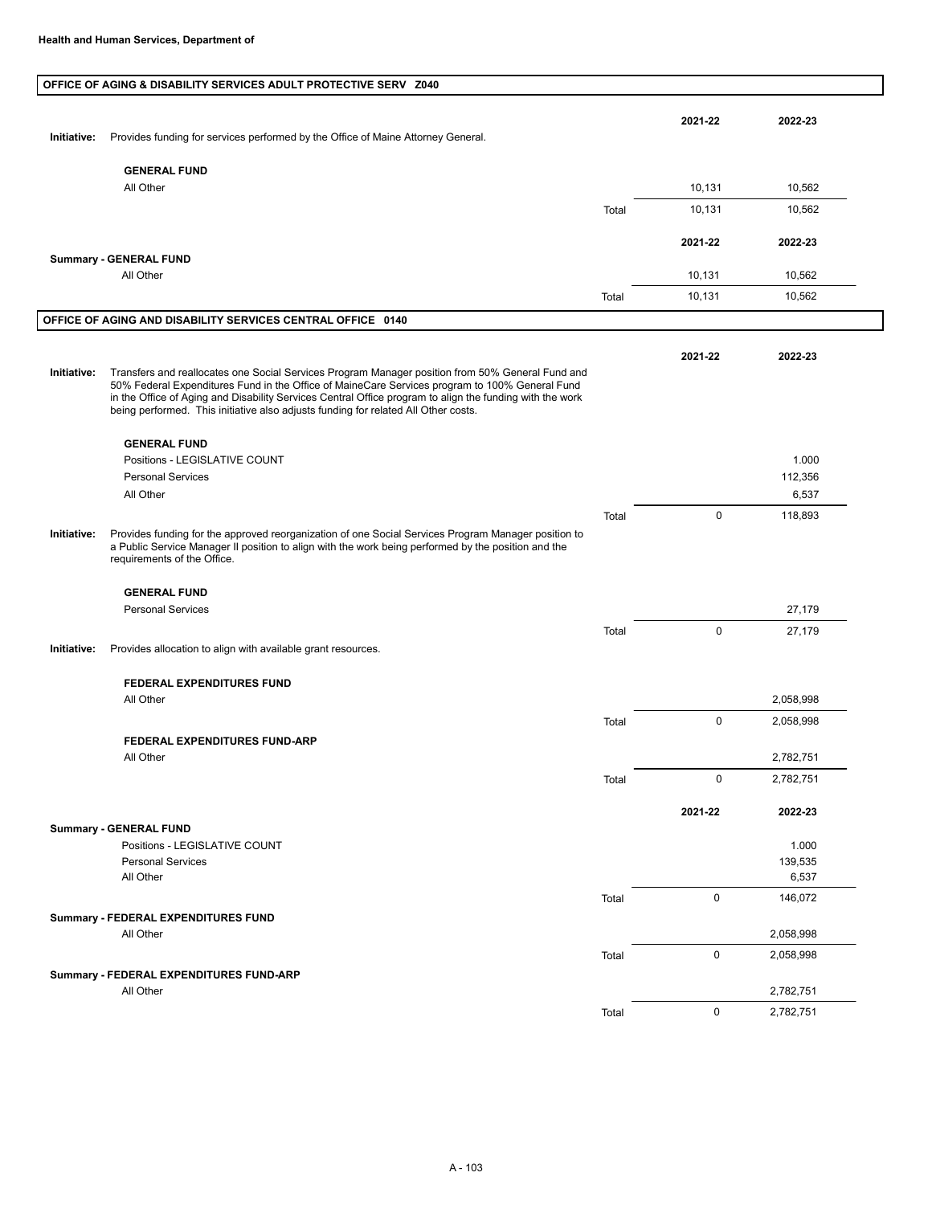|             | OFFICE OF AGING & DISABILITY SERVICES ADULT PROTECTIVE SERV Z040                                                                                                                                                                                                                                 |       |         |                  |
|-------------|--------------------------------------------------------------------------------------------------------------------------------------------------------------------------------------------------------------------------------------------------------------------------------------------------|-------|---------|------------------|
|             |                                                                                                                                                                                                                                                                                                  |       |         |                  |
| Initiative: | Provides funding for services performed by the Office of Maine Attorney General.                                                                                                                                                                                                                 |       | 2021-22 | 2022-23          |
|             |                                                                                                                                                                                                                                                                                                  |       |         |                  |
|             | <b>GENERAL FUND</b>                                                                                                                                                                                                                                                                              |       |         |                  |
|             | All Other                                                                                                                                                                                                                                                                                        |       | 10,131  | 10,562           |
|             |                                                                                                                                                                                                                                                                                                  | Total | 10,131  | 10,562           |
|             |                                                                                                                                                                                                                                                                                                  |       | 2021-22 | 2022-23          |
|             | <b>Summary - GENERAL FUND</b>                                                                                                                                                                                                                                                                    |       |         |                  |
|             | All Other                                                                                                                                                                                                                                                                                        |       | 10,131  | 10,562           |
|             |                                                                                                                                                                                                                                                                                                  | Total | 10,131  | 10,562           |
|             | OFFICE OF AGING AND DISABILITY SERVICES CENTRAL OFFICE 0140                                                                                                                                                                                                                                      |       |         |                  |
|             |                                                                                                                                                                                                                                                                                                  |       | 2021-22 | 2022-23          |
| Initiative: | Transfers and reallocates one Social Services Program Manager position from 50% General Fund and                                                                                                                                                                                                 |       |         |                  |
|             | 50% Federal Expenditures Fund in the Office of MaineCare Services program to 100% General Fund<br>in the Office of Aging and Disability Services Central Office program to align the funding with the work<br>being performed. This initiative also adjusts funding for related All Other costs. |       |         |                  |
|             | <b>GENERAL FUND</b>                                                                                                                                                                                                                                                                              |       |         |                  |
|             | Positions - LEGISLATIVE COUNT                                                                                                                                                                                                                                                                    |       |         | 1.000            |
|             | <b>Personal Services</b>                                                                                                                                                                                                                                                                         |       |         | 112,356          |
|             | All Other                                                                                                                                                                                                                                                                                        |       |         | 6,537            |
|             |                                                                                                                                                                                                                                                                                                  | Total | 0       | 118,893          |
| Initiative: | Provides funding for the approved reorganization of one Social Services Program Manager position to<br>a Public Service Manager II position to align with the work being performed by the position and the<br>requirements of the Office.                                                        |       |         |                  |
|             | <b>GENERAL FUND</b>                                                                                                                                                                                                                                                                              |       |         |                  |
|             | <b>Personal Services</b>                                                                                                                                                                                                                                                                         |       |         | 27,179           |
|             |                                                                                                                                                                                                                                                                                                  | Total | 0       | 27,179           |
| Initiative: | Provides allocation to align with available grant resources.                                                                                                                                                                                                                                     |       |         |                  |
|             | <b>FEDERAL EXPENDITURES FUND</b>                                                                                                                                                                                                                                                                 |       |         |                  |
|             | All Other                                                                                                                                                                                                                                                                                        |       |         | 2,058,998        |
|             |                                                                                                                                                                                                                                                                                                  | Total | 0       | 2,058,998        |
|             | <b>FEDERAL EXPENDITURES FUND-ARP</b>                                                                                                                                                                                                                                                             |       |         |                  |
|             | All Other                                                                                                                                                                                                                                                                                        |       |         | 2,782,751        |
|             |                                                                                                                                                                                                                                                                                                  | Total | 0       | 2,782,751        |
|             |                                                                                                                                                                                                                                                                                                  |       | 2021-22 | 2022-23          |
|             | <b>Summary - GENERAL FUND</b>                                                                                                                                                                                                                                                                    |       |         |                  |
|             | Positions - LEGISLATIVE COUNT<br><b>Personal Services</b>                                                                                                                                                                                                                                        |       |         | 1.000<br>139,535 |
|             | All Other                                                                                                                                                                                                                                                                                        |       |         | 6,537            |
|             |                                                                                                                                                                                                                                                                                                  | Total | 0       | 146,072          |
|             | Summary - FEDERAL EXPENDITURES FUND                                                                                                                                                                                                                                                              |       |         |                  |
|             | All Other                                                                                                                                                                                                                                                                                        |       |         | 2,058,998        |
|             |                                                                                                                                                                                                                                                                                                  | Total | 0       | 2,058,998        |
|             | Summary - FEDERAL EXPENDITURES FUND-ARP<br>All Other                                                                                                                                                                                                                                             |       |         | 2,782,751        |
|             |                                                                                                                                                                                                                                                                                                  | Total | 0       | 2,782,751        |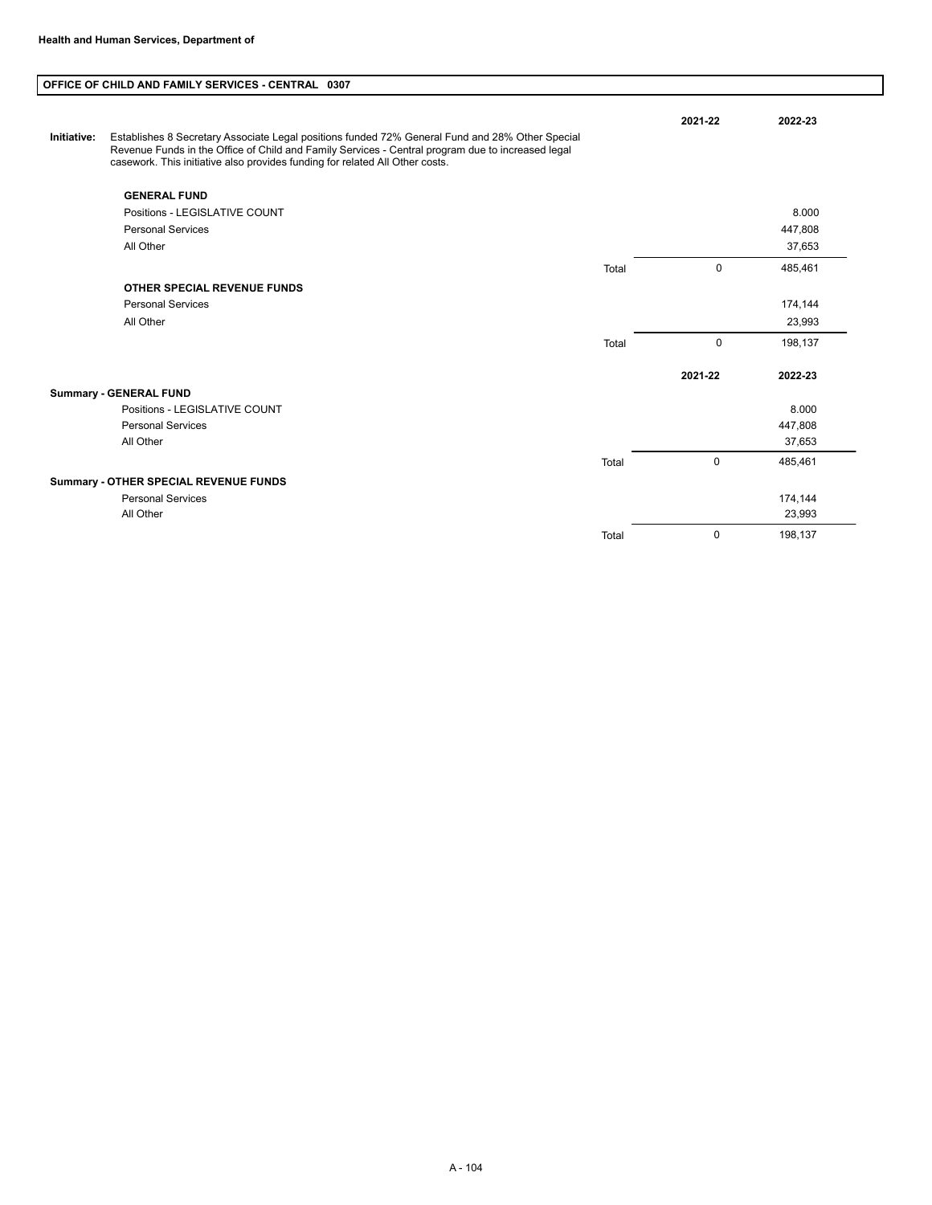|             | OFFICE OF CHILD AND FAMILY SERVICES - CENTRAL 0307                                                                                                                                                                                                                                   |       |             |         |
|-------------|--------------------------------------------------------------------------------------------------------------------------------------------------------------------------------------------------------------------------------------------------------------------------------------|-------|-------------|---------|
|             |                                                                                                                                                                                                                                                                                      |       | 2021-22     | 2022-23 |
| Initiative: | Establishes 8 Secretary Associate Legal positions funded 72% General Fund and 28% Other Special<br>Revenue Funds in the Office of Child and Family Services - Central program due to increased legal<br>casework. This initiative also provides funding for related All Other costs. |       |             |         |
|             | <b>GENERAL FUND</b>                                                                                                                                                                                                                                                                  |       |             |         |
|             | Positions - LEGISLATIVE COUNT                                                                                                                                                                                                                                                        |       |             | 8.000   |
|             | <b>Personal Services</b>                                                                                                                                                                                                                                                             |       |             | 447,808 |
|             | All Other                                                                                                                                                                                                                                                                            |       |             | 37,653  |
|             |                                                                                                                                                                                                                                                                                      | Total | $\mathbf 0$ | 485,461 |
|             | <b>OTHER SPECIAL REVENUE FUNDS</b>                                                                                                                                                                                                                                                   |       |             |         |
|             | <b>Personal Services</b>                                                                                                                                                                                                                                                             |       |             | 174,144 |
|             | All Other                                                                                                                                                                                                                                                                            |       |             | 23,993  |
|             |                                                                                                                                                                                                                                                                                      | Total | $\mathbf 0$ | 198,137 |
|             |                                                                                                                                                                                                                                                                                      |       | 2021-22     | 2022-23 |
|             | <b>Summary - GENERAL FUND</b>                                                                                                                                                                                                                                                        |       |             |         |
|             | Positions - LEGISLATIVE COUNT                                                                                                                                                                                                                                                        |       |             | 8.000   |
|             | <b>Personal Services</b>                                                                                                                                                                                                                                                             |       |             | 447,808 |
|             | All Other                                                                                                                                                                                                                                                                            |       |             | 37,653  |
|             |                                                                                                                                                                                                                                                                                      | Total | $\mathbf 0$ | 485,461 |
|             | <b>Summary - OTHER SPECIAL REVENUE FUNDS</b>                                                                                                                                                                                                                                         |       |             |         |
|             | <b>Personal Services</b>                                                                                                                                                                                                                                                             |       |             | 174,144 |
|             | All Other                                                                                                                                                                                                                                                                            |       |             | 23,993  |
|             |                                                                                                                                                                                                                                                                                      | Total | 0           | 198,137 |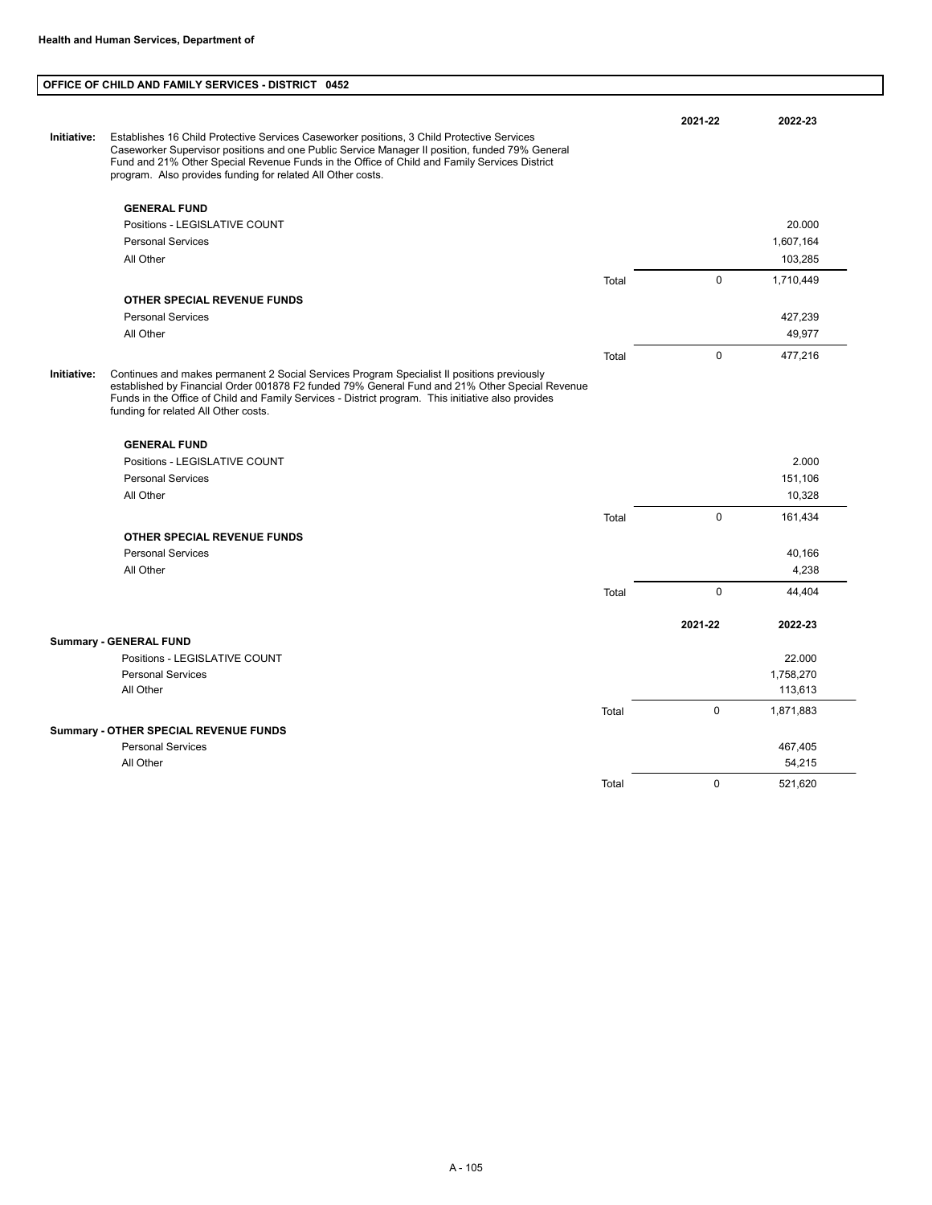|             |                                                                                                                                                                                                                                                                                                                                                             |       | 2021-22     | 2022-23   |
|-------------|-------------------------------------------------------------------------------------------------------------------------------------------------------------------------------------------------------------------------------------------------------------------------------------------------------------------------------------------------------------|-------|-------------|-----------|
| Initiative: | Establishes 16 Child Protective Services Caseworker positions, 3 Child Protective Services<br>Caseworker Supervisor positions and one Public Service Manager II position, funded 79% General<br>Fund and 21% Other Special Revenue Funds in the Office of Child and Family Services District<br>program. Also provides funding for related All Other costs. |       |             |           |
|             | <b>GENERAL FUND</b>                                                                                                                                                                                                                                                                                                                                         |       |             |           |
|             | Positions - LEGISLATIVE COUNT                                                                                                                                                                                                                                                                                                                               |       |             | 20.000    |
|             | <b>Personal Services</b>                                                                                                                                                                                                                                                                                                                                    |       |             | 1,607,164 |
|             | All Other                                                                                                                                                                                                                                                                                                                                                   |       |             | 103,285   |
|             |                                                                                                                                                                                                                                                                                                                                                             | Total | $\Omega$    | 1,710,449 |
|             | OTHER SPECIAL REVENUE FUNDS                                                                                                                                                                                                                                                                                                                                 |       |             |           |
|             | <b>Personal Services</b>                                                                                                                                                                                                                                                                                                                                    |       |             | 427,239   |
|             | All Other                                                                                                                                                                                                                                                                                                                                                   |       |             | 49,977    |
|             |                                                                                                                                                                                                                                                                                                                                                             | Total | $\Omega$    | 477,216   |
| Initiative: | Continues and makes permanent 2 Social Services Program Specialist II positions previously<br>established by Financial Order 001878 F2 funded 79% General Fund and 21% Other Special Revenue<br>Funds in the Office of Child and Family Services - District program. This initiative also provides<br>funding for related All Other costs.                  |       |             |           |
|             | <b>GENERAL FUND</b>                                                                                                                                                                                                                                                                                                                                         |       |             |           |
|             | Positions - LEGISLATIVE COUNT                                                                                                                                                                                                                                                                                                                               |       |             | 2.000     |
|             | <b>Personal Services</b>                                                                                                                                                                                                                                                                                                                                    |       |             | 151,106   |
|             | All Other                                                                                                                                                                                                                                                                                                                                                   |       |             | 10,328    |
|             |                                                                                                                                                                                                                                                                                                                                                             | Total | $\Omega$    | 161,434   |
|             | OTHER SPECIAL REVENUE FUNDS                                                                                                                                                                                                                                                                                                                                 |       |             |           |
|             | <b>Personal Services</b>                                                                                                                                                                                                                                                                                                                                    |       |             | 40,166    |
|             | All Other                                                                                                                                                                                                                                                                                                                                                   |       |             | 4,238     |
|             |                                                                                                                                                                                                                                                                                                                                                             | Total | $\mathbf 0$ | 44,404    |
|             |                                                                                                                                                                                                                                                                                                                                                             |       | 2021-22     | 2022-23   |
|             | <b>Summary - GENERAL FUND</b>                                                                                                                                                                                                                                                                                                                               |       |             |           |
|             | Positions - LEGISLATIVE COUNT                                                                                                                                                                                                                                                                                                                               |       |             | 22.000    |
|             | <b>Personal Services</b>                                                                                                                                                                                                                                                                                                                                    |       |             | 1,758,270 |
|             | All Other                                                                                                                                                                                                                                                                                                                                                   |       |             | 113.613   |
|             |                                                                                                                                                                                                                                                                                                                                                             | Total | $\mathbf 0$ | 1,871,883 |
|             | <b>Summary - OTHER SPECIAL REVENUE FUNDS</b>                                                                                                                                                                                                                                                                                                                |       |             |           |
|             | <b>Personal Services</b>                                                                                                                                                                                                                                                                                                                                    |       |             | 467,405   |
|             | All Other                                                                                                                                                                                                                                                                                                                                                   |       |             | 54,215    |
|             |                                                                                                                                                                                                                                                                                                                                                             |       |             |           |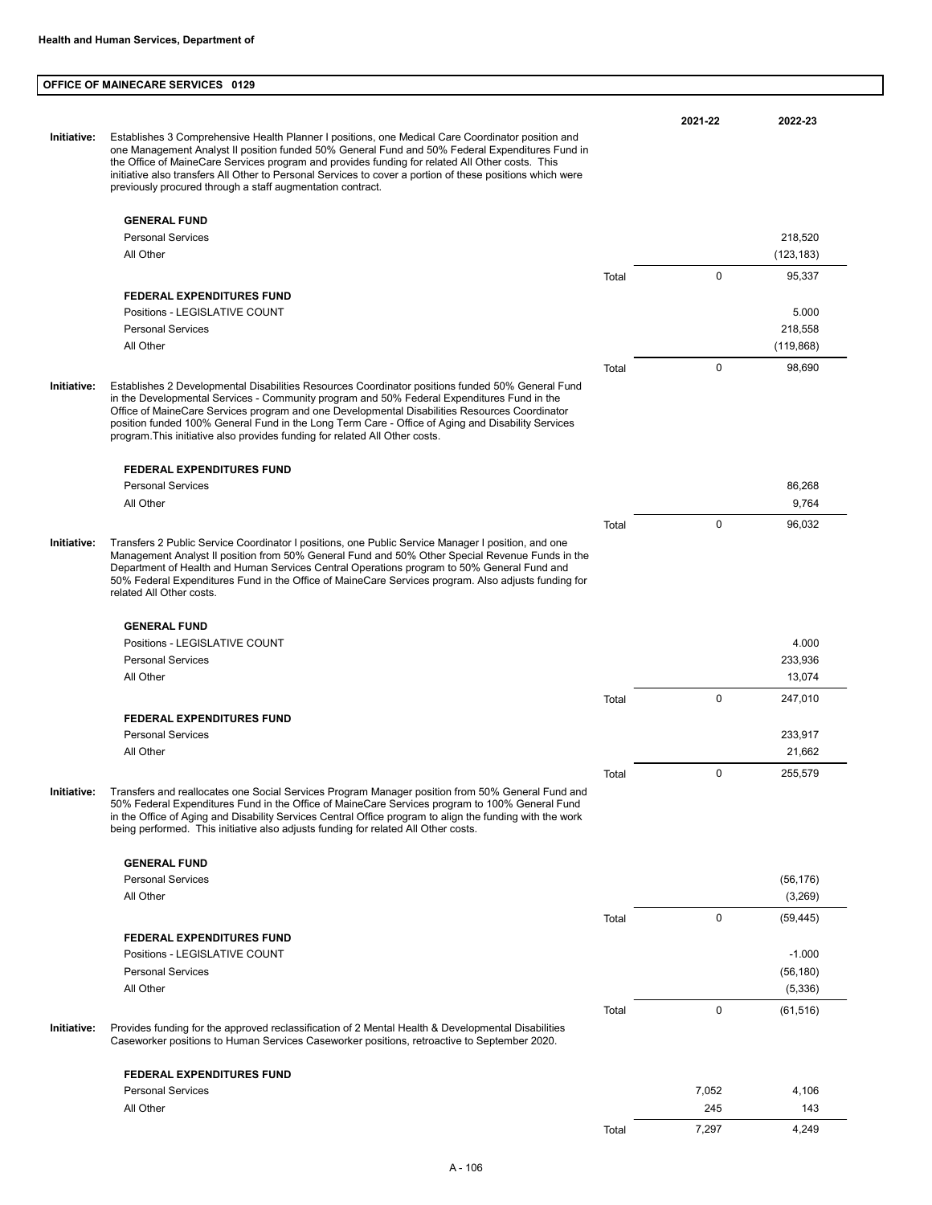|             | OFFICE OF MAINECARE SERVICES 0129                                                                                                                                                                                                                                                                                                                                                                                                                                                   |       |             |                      |
|-------------|-------------------------------------------------------------------------------------------------------------------------------------------------------------------------------------------------------------------------------------------------------------------------------------------------------------------------------------------------------------------------------------------------------------------------------------------------------------------------------------|-------|-------------|----------------------|
|             |                                                                                                                                                                                                                                                                                                                                                                                                                                                                                     |       |             |                      |
| Initiative: | Establishes 3 Comprehensive Health Planner I positions, one Medical Care Coordinator position and<br>one Management Analyst II position funded 50% General Fund and 50% Federal Expenditures Fund in<br>the Office of MaineCare Services program and provides funding for related All Other costs. This<br>initiative also transfers All Other to Personal Services to cover a portion of these positions which were<br>previously procured through a staff augmentation contract.  |       | 2021-22     | 2022-23              |
|             | <b>GENERAL FUND</b>                                                                                                                                                                                                                                                                                                                                                                                                                                                                 |       |             |                      |
|             | <b>Personal Services</b>                                                                                                                                                                                                                                                                                                                                                                                                                                                            |       |             | 218,520              |
|             | All Other                                                                                                                                                                                                                                                                                                                                                                                                                                                                           |       |             | (123, 183)           |
|             |                                                                                                                                                                                                                                                                                                                                                                                                                                                                                     | Total | $\pmb{0}$   | 95,337               |
|             | <b>FEDERAL EXPENDITURES FUND</b>                                                                                                                                                                                                                                                                                                                                                                                                                                                    |       |             |                      |
|             | Positions - LEGISLATIVE COUNT                                                                                                                                                                                                                                                                                                                                                                                                                                                       |       |             | 5.000                |
|             | <b>Personal Services</b><br>All Other                                                                                                                                                                                                                                                                                                                                                                                                                                               |       |             | 218,558              |
|             |                                                                                                                                                                                                                                                                                                                                                                                                                                                                                     |       |             | (119, 868)           |
| Initiative: | Establishes 2 Developmental Disabilities Resources Coordinator positions funded 50% General Fund<br>in the Developmental Services - Community program and 50% Federal Expenditures Fund in the<br>Office of MaineCare Services program and one Developmental Disabilities Resources Coordinator<br>position funded 100% General Fund in the Long Term Care - Office of Aging and Disability Services<br>program. This initiative also provides funding for related All Other costs. | Total | $\mathbf 0$ | 98,690               |
|             | <b>FEDERAL EXPENDITURES FUND</b>                                                                                                                                                                                                                                                                                                                                                                                                                                                    |       |             |                      |
|             | <b>Personal Services</b>                                                                                                                                                                                                                                                                                                                                                                                                                                                            |       |             | 86,268               |
|             | All Other                                                                                                                                                                                                                                                                                                                                                                                                                                                                           |       |             | 9,764                |
|             |                                                                                                                                                                                                                                                                                                                                                                                                                                                                                     | Total | $\pmb{0}$   | 96,032               |
| Initiative: | Transfers 2 Public Service Coordinator I positions, one Public Service Manager I position, and one<br>Management Analyst II position from 50% General Fund and 50% Other Special Revenue Funds in the<br>Department of Health and Human Services Central Operations program to 50% General Fund and<br>50% Federal Expenditures Fund in the Office of MaineCare Services program. Also adjusts funding for<br>related All Other costs.                                              |       |             |                      |
|             | <b>GENERAL FUND</b>                                                                                                                                                                                                                                                                                                                                                                                                                                                                 |       |             |                      |
|             | Positions - LEGISLATIVE COUNT                                                                                                                                                                                                                                                                                                                                                                                                                                                       |       |             | 4.000                |
|             | <b>Personal Services</b>                                                                                                                                                                                                                                                                                                                                                                                                                                                            |       |             | 233,936              |
|             | All Other                                                                                                                                                                                                                                                                                                                                                                                                                                                                           |       |             | 13,074               |
|             |                                                                                                                                                                                                                                                                                                                                                                                                                                                                                     | Total | $\mathbf 0$ | 247,010              |
|             | <b>FEDERAL EXPENDITURES FUND</b><br><b>Personal Services</b>                                                                                                                                                                                                                                                                                                                                                                                                                        |       |             | 233,917              |
|             | All Other                                                                                                                                                                                                                                                                                                                                                                                                                                                                           |       |             | 21,662               |
|             |                                                                                                                                                                                                                                                                                                                                                                                                                                                                                     | Total | 0           | 255,579              |
| Initiative: | Transfers and reallocates one Social Services Program Manager position from 50% General Fund and<br>50% Federal Expenditures Fund in the Office of MaineCare Services program to 100% General Fund<br>in the Office of Aging and Disability Services Central Office program to align the funding with the work<br>being performed. This initiative also adjusts funding for related All Other costs.                                                                                |       |             |                      |
|             | <b>GENERAL FUND</b>                                                                                                                                                                                                                                                                                                                                                                                                                                                                 |       |             |                      |
|             | <b>Personal Services</b><br>All Other                                                                                                                                                                                                                                                                                                                                                                                                                                               |       |             | (56, 176)<br>(3,269) |
|             |                                                                                                                                                                                                                                                                                                                                                                                                                                                                                     | Total | $\mathbf 0$ | (59, 445)            |
|             | <b>FEDERAL EXPENDITURES FUND</b>                                                                                                                                                                                                                                                                                                                                                                                                                                                    |       |             |                      |
|             | Positions - LEGISLATIVE COUNT                                                                                                                                                                                                                                                                                                                                                                                                                                                       |       |             | $-1.000$             |
|             | <b>Personal Services</b>                                                                                                                                                                                                                                                                                                                                                                                                                                                            |       |             | (56, 180)            |
|             | All Other                                                                                                                                                                                                                                                                                                                                                                                                                                                                           |       |             | (5,336)              |
| Initiative: | Provides funding for the approved reclassification of 2 Mental Health & Developmental Disabilities                                                                                                                                                                                                                                                                                                                                                                                  | Total | $\mathbf 0$ | (61, 516)            |
|             | Caseworker positions to Human Services Caseworker positions, retroactive to September 2020.                                                                                                                                                                                                                                                                                                                                                                                         |       |             |                      |
|             | <b>FEDERAL EXPENDITURES FUND</b>                                                                                                                                                                                                                                                                                                                                                                                                                                                    |       |             |                      |
|             | <b>Personal Services</b>                                                                                                                                                                                                                                                                                                                                                                                                                                                            |       | 7,052       | 4,106                |
|             | All Other                                                                                                                                                                                                                                                                                                                                                                                                                                                                           |       | 245         | 143                  |
|             |                                                                                                                                                                                                                                                                                                                                                                                                                                                                                     | Total | 7,297       | 4,249                |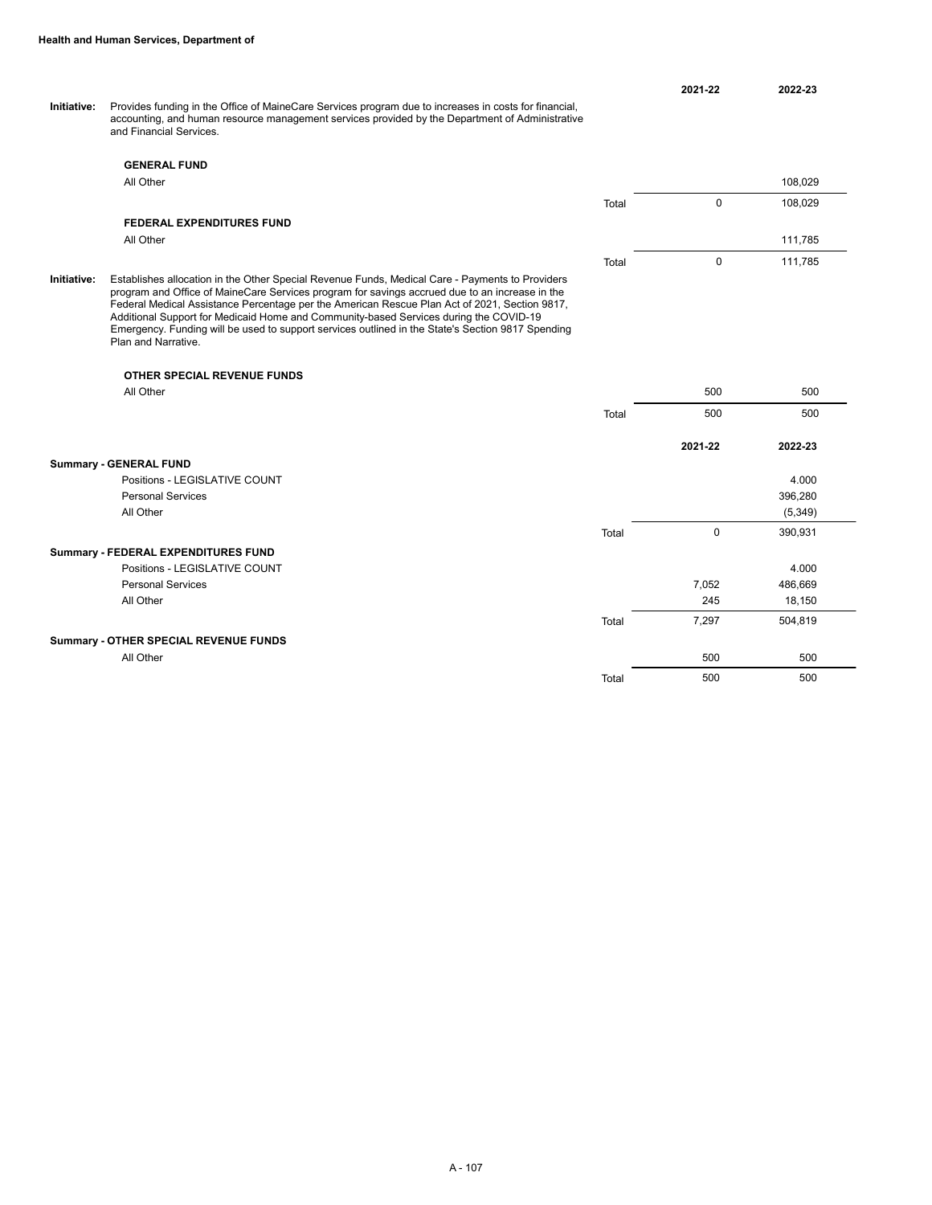Initiative: Provides funding in the Office of MaineCare Services program due to increases in costs for financial, accounting, and human resource management services provided by the Department of Administrative and Financial Services.

## GENERAL FUND

|             | All Other                                                                                       |       | 108.029 |
|-------------|-------------------------------------------------------------------------------------------------|-------|---------|
|             |                                                                                                 | Total | 108.029 |
|             | <b>FEDERAL EXPENDITURES FUND</b>                                                                |       |         |
|             | All Other                                                                                       |       | 111.785 |
|             |                                                                                                 | Total | 111.785 |
| Initiative: | Establishes allocation in the Other Special Revenue Funds, Medical Care - Payments to Providers |       |         |

2021-22 2022-23

program and Office of MaineCare Services program for savings accrued due to an increase in the Federal Medical Assistance Percentage per the American Rescue Plan Act of 2021, Section 9817, Additional Support for Medicaid Home and Community-based Services during the COVID-19 Emergency. Funding will be used to support services outlined in the State's Section 9817 Spending Plan and Narrative.

## OTHER SPECIAL REVENUE FUNDS

All Other 500 500 Total 500 500 2021-22 2022-23 Summary - GENERAL FUND Positions - LEGISLATIVE COUNT 4.000 Personal Services 396,280 All Other (5,349) Total 0 390,931 Summary - FEDERAL EXPENDITURES FUND Positions - LEGISLATIVE COUNT 4.000 Personal Services 486,669 All Other 245 18,150 Total 7,297 504,819 Summary - OTHER SPECIAL REVENUE FUNDS All Other 500 500 Total 500 500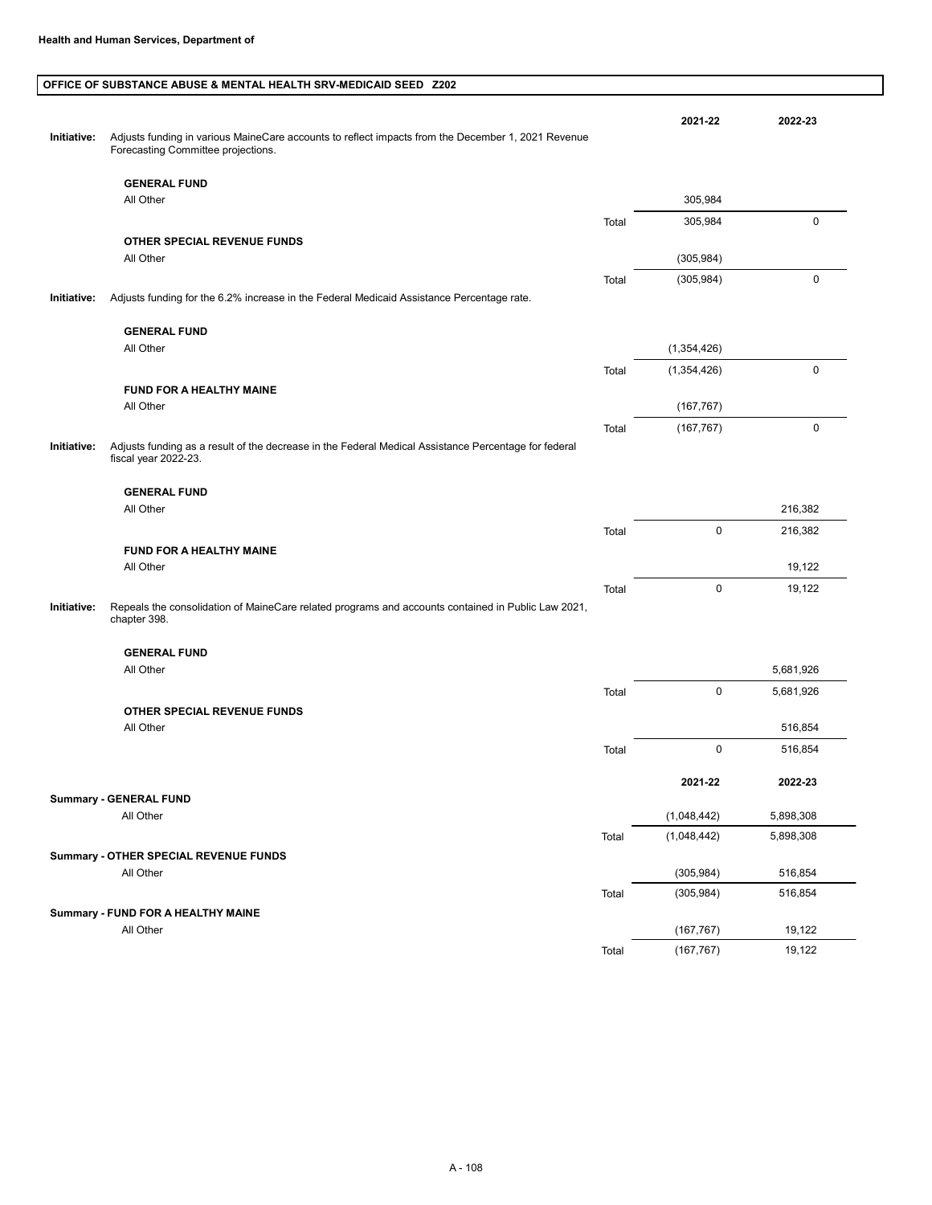|             | OFFICE OF SUBSTANCE ABUSE & MENTAL HEALTH SRV-MEDICAID SEED Z202                                                                         |       |             |             |
|-------------|------------------------------------------------------------------------------------------------------------------------------------------|-------|-------------|-------------|
| Initiative: | Adjusts funding in various MaineCare accounts to reflect impacts from the December 1, 2021 Revenue<br>Forecasting Committee projections. |       | 2021-22     | 2022-23     |
|             | <b>GENERAL FUND</b>                                                                                                                      |       |             |             |
|             | All Other                                                                                                                                |       | 305,984     |             |
|             |                                                                                                                                          | Total | 305,984     | $\pmb{0}$   |
|             | OTHER SPECIAL REVENUE FUNDS                                                                                                              |       |             |             |
|             | All Other                                                                                                                                |       | (305, 984)  |             |
| Initiative: | Adjusts funding for the 6.2% increase in the Federal Medicaid Assistance Percentage rate.                                                | Total | (305, 984)  | 0           |
|             | <b>GENERAL FUND</b>                                                                                                                      |       |             |             |
|             | All Other                                                                                                                                |       | (1,354,426) |             |
|             |                                                                                                                                          | Total | (1,354,426) | $\mathbf 0$ |
|             | FUND FOR A HEALTHY MAINE                                                                                                                 |       |             |             |
|             | All Other                                                                                                                                |       | (167, 767)  |             |
|             |                                                                                                                                          | Total | (167, 767)  | $\mathbf 0$ |
| Initiative: | Adjusts funding as a result of the decrease in the Federal Medical Assistance Percentage for federal<br>fiscal year 2022-23.             |       |             |             |
|             | <b>GENERAL FUND</b>                                                                                                                      |       |             |             |
|             | All Other                                                                                                                                |       |             | 216,382     |
|             |                                                                                                                                          | Total | $\mathbf 0$ | 216,382     |
|             | FUND FOR A HEALTHY MAINE                                                                                                                 |       |             |             |
|             | All Other                                                                                                                                |       |             | 19,122      |
| Initiative: | Repeals the consolidation of MaineCare related programs and accounts contained in Public Law 2021,<br>chapter 398.                       | Total | $\pmb{0}$   | 19,122      |
|             | <b>GENERAL FUND</b>                                                                                                                      |       |             |             |
|             | All Other                                                                                                                                |       |             | 5,681,926   |
|             |                                                                                                                                          | Total | $\pmb{0}$   | 5,681,926   |
|             | OTHER SPECIAL REVENUE FUNDS                                                                                                              |       |             |             |
|             | All Other                                                                                                                                |       |             | 516,854     |
|             |                                                                                                                                          | Total | 0           | 516,854     |
|             |                                                                                                                                          |       | 2021-22     | 2022-23     |
|             | <b>Summary - GENERAL FUND</b><br>All Other                                                                                               |       | (1,048,442) | 5,898,308   |
|             |                                                                                                                                          | Total | (1,048,442) | 5,898,308   |
|             | Summary - OTHER SPECIAL REVENUE FUNDS                                                                                                    |       |             |             |
|             | All Other                                                                                                                                |       | (305, 984)  | 516,854     |
|             |                                                                                                                                          | Total | (305, 984)  | 516,854     |
|             | Summary - FUND FOR A HEALTHY MAINE                                                                                                       |       |             |             |
|             | All Other                                                                                                                                |       | (167, 767)  | 19,122      |
|             |                                                                                                                                          | Total | (167, 767)  | 19,122      |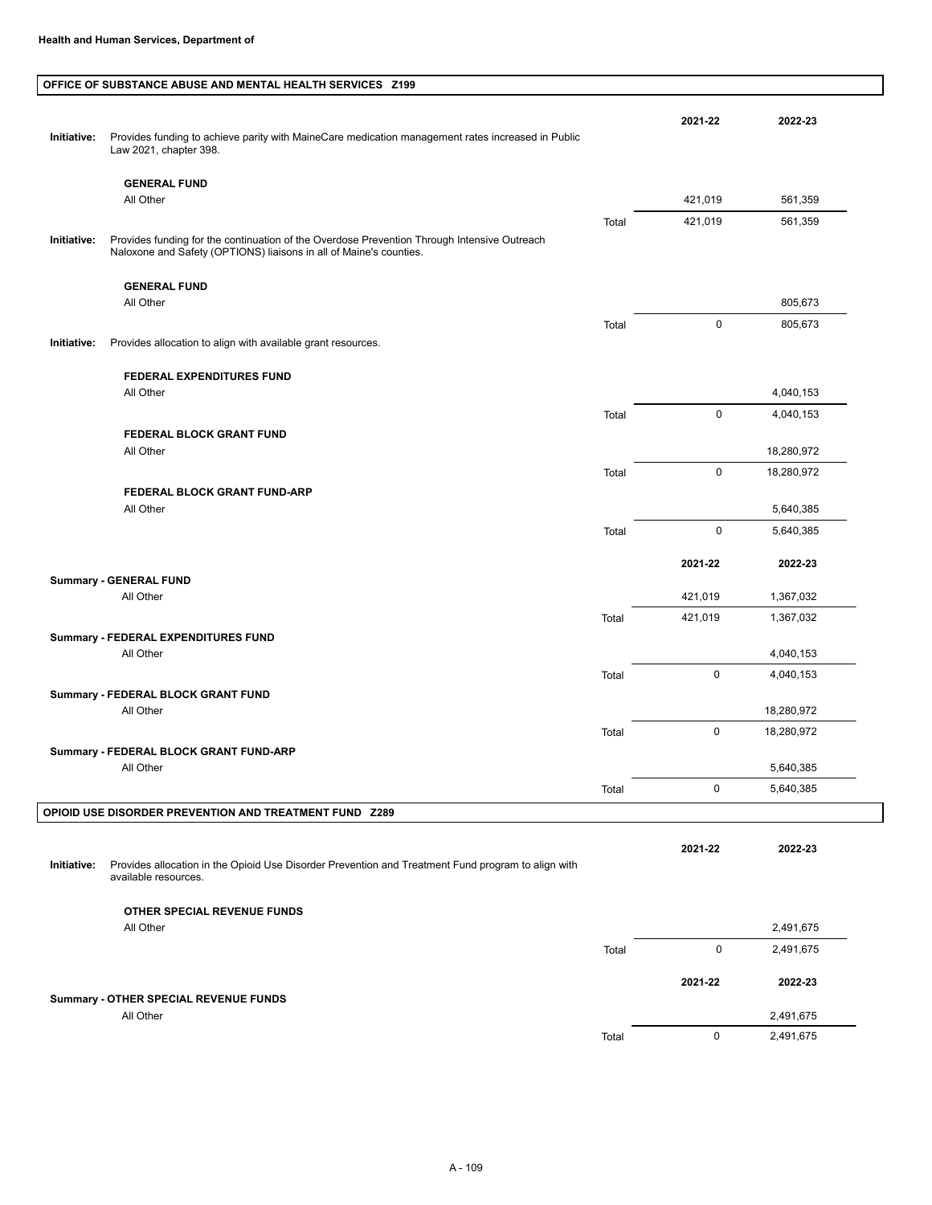|             | OFFICE OF SUBSTANCE ABUSE AND MENTAL HEALTH SERVICES Z199                                                                                                         |       |           |            |
|-------------|-------------------------------------------------------------------------------------------------------------------------------------------------------------------|-------|-----------|------------|
|             |                                                                                                                                                                   |       | 2021-22   | 2022-23    |
| Initiative: | Provides funding to achieve parity with MaineCare medication management rates increased in Public<br>Law 2021, chapter 398.                                       |       |           |            |
|             | <b>GENERAL FUND</b>                                                                                                                                               |       |           |            |
|             | All Other                                                                                                                                                         |       | 421,019   | 561,359    |
|             |                                                                                                                                                                   | Total | 421,019   | 561,359    |
| Initiative: | Provides funding for the continuation of the Overdose Prevention Through Intensive Outreach<br>Naloxone and Safety (OPTIONS) liaisons in all of Maine's counties. |       |           |            |
|             | <b>GENERAL FUND</b>                                                                                                                                               |       |           |            |
|             | All Other                                                                                                                                                         |       |           | 805,673    |
| Initiative: | Provides allocation to align with available grant resources.                                                                                                      | Total | 0         | 805,673    |
|             | FEDERAL EXPENDITURES FUND                                                                                                                                         |       |           |            |
|             | All Other                                                                                                                                                         |       |           | 4,040,153  |
|             |                                                                                                                                                                   | Total | 0         | 4,040,153  |
|             | FEDERAL BLOCK GRANT FUND                                                                                                                                          |       |           |            |
|             | All Other                                                                                                                                                         |       |           | 18,280,972 |
|             | FEDERAL BLOCK GRANT FUND-ARP                                                                                                                                      | Total | 0         | 18,280,972 |
|             | All Other                                                                                                                                                         |       |           | 5,640,385  |
|             |                                                                                                                                                                   | Total | $\pmb{0}$ | 5,640,385  |
|             |                                                                                                                                                                   |       |           |            |
|             | <b>Summary - GENERAL FUND</b>                                                                                                                                     |       | 2021-22   | 2022-23    |
|             | All Other                                                                                                                                                         |       | 421,019   | 1,367,032  |
|             |                                                                                                                                                                   | Total | 421,019   | 1,367,032  |
|             | Summary - FEDERAL EXPENDITURES FUND                                                                                                                               |       |           |            |
|             | All Other                                                                                                                                                         |       |           | 4,040,153  |
|             |                                                                                                                                                                   | Total | $\pmb{0}$ | 4,040,153  |
|             | Summary - FEDERAL BLOCK GRANT FUND<br>All Other                                                                                                                   |       |           | 18,280,972 |
|             |                                                                                                                                                                   | Total | 0         | 18,280,972 |
|             | Summary - FEDERAL BLOCK GRANT FUND-ARP                                                                                                                            |       |           |            |
|             | All Other                                                                                                                                                         |       |           | 5,640,385  |
|             |                                                                                                                                                                   | Total | 0         | 5,640,385  |
|             | <b>OPIOID USE DISORDER PREVENTION AND TREATMENT FUND Z289</b>                                                                                                     |       |           |            |
|             |                                                                                                                                                                   |       |           |            |
|             |                                                                                                                                                                   |       | 2021-22   | 2022-23    |
| Initiative: | Provides allocation in the Opioid Use Disorder Prevention and Treatment Fund program to align with<br>available resources.                                        |       |           |            |
|             | <b>OTHER SPECIAL REVENUE FUNDS</b>                                                                                                                                |       |           |            |
|             | All Other                                                                                                                                                         |       |           | 2,491,675  |
|             |                                                                                                                                                                   | Total | 0         | 2,491,675  |
|             |                                                                                                                                                                   |       | 2021-22   | 2022-23    |
|             | Summary - OTHER SPECIAL REVENUE FUNDS                                                                                                                             |       |           |            |
|             | All Other                                                                                                                                                         |       |           | 2,491,675  |
|             |                                                                                                                                                                   | Total | 0         | 2,491,675  |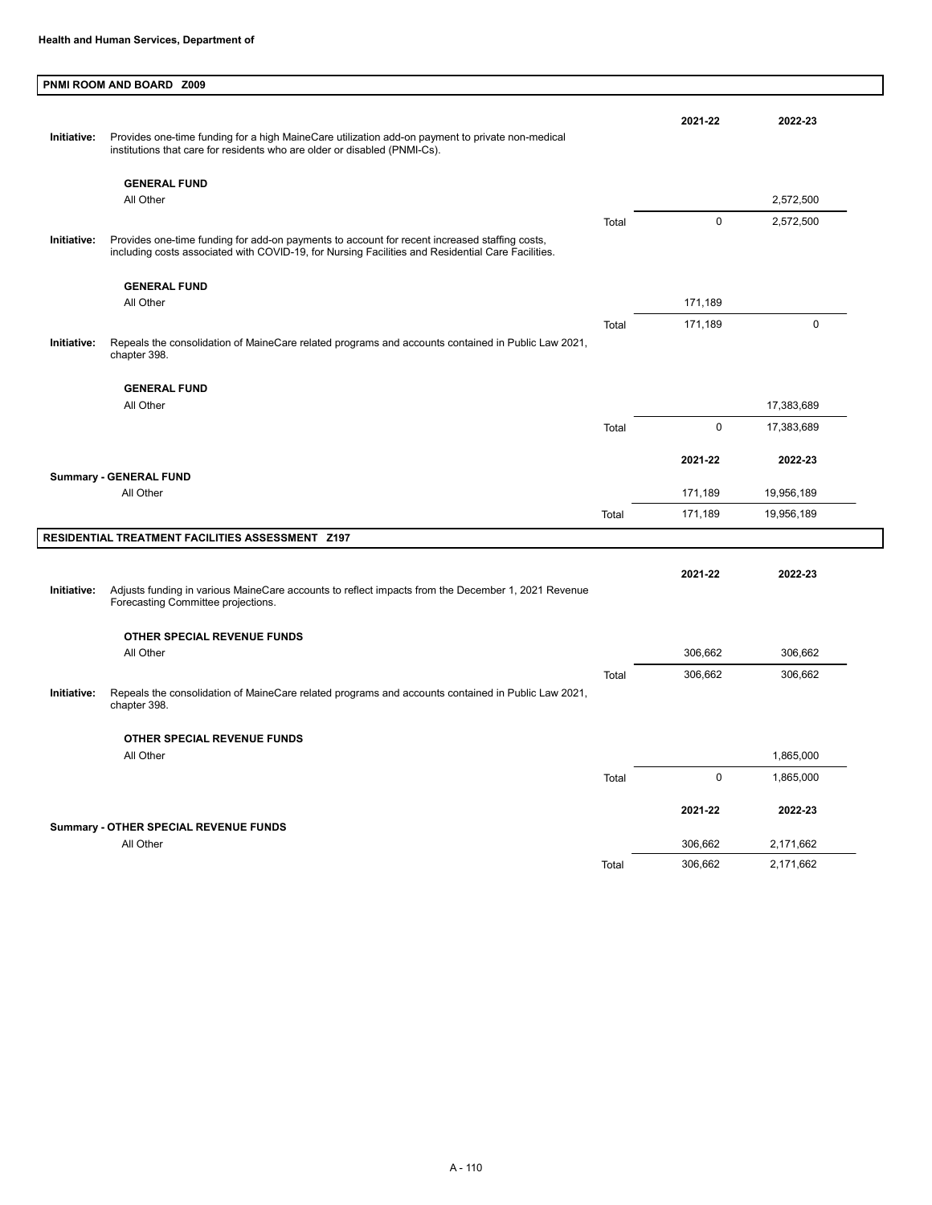| PNMI ROOM AND BOARD Z009 |                                                                                                                                                                                                    |       |         |            |
|--------------------------|----------------------------------------------------------------------------------------------------------------------------------------------------------------------------------------------------|-------|---------|------------|
|                          |                                                                                                                                                                                                    |       | 2021-22 | 2022-23    |
| Initiative:              | Provides one-time funding for a high MaineCare utilization add-on payment to private non-medical<br>institutions that care for residents who are older or disabled (PNMI-Cs).                      |       |         |            |
|                          | <b>GENERAL FUND</b>                                                                                                                                                                                |       |         |            |
|                          | All Other                                                                                                                                                                                          |       |         | 2,572,500  |
|                          |                                                                                                                                                                                                    | Total | 0       | 2,572,500  |
| Initiative:              | Provides one-time funding for add-on payments to account for recent increased staffing costs,<br>including costs associated with COVID-19, for Nursing Facilities and Residential Care Facilities. |       |         |            |
|                          | <b>GENERAL FUND</b>                                                                                                                                                                                |       |         |            |
|                          | All Other                                                                                                                                                                                          |       | 171,189 |            |
|                          |                                                                                                                                                                                                    | Total | 171,189 | 0          |
| Initiative:              | Repeals the consolidation of MaineCare related programs and accounts contained in Public Law 2021,<br>chapter 398.                                                                                 |       |         |            |
|                          | <b>GENERAL FUND</b>                                                                                                                                                                                |       |         |            |
|                          | All Other                                                                                                                                                                                          |       |         | 17,383,689 |
|                          |                                                                                                                                                                                                    | Total | 0       | 17,383,689 |
|                          |                                                                                                                                                                                                    |       | 2021-22 | 2022-23    |
|                          | <b>Summary - GENERAL FUND</b>                                                                                                                                                                      |       |         |            |
|                          | All Other                                                                                                                                                                                          |       | 171,189 | 19,956,189 |
|                          |                                                                                                                                                                                                    | Total | 171,189 | 19,956,189 |
|                          | RESIDENTIAL TREATMENT FACILITIES ASSESSMENT Z197                                                                                                                                                   |       |         |            |
|                          |                                                                                                                                                                                                    |       |         |            |
|                          |                                                                                                                                                                                                    |       | 2021-22 | 2022-23    |
| Initiative:              | Adjusts funding in various MaineCare accounts to reflect impacts from the December 1, 2021 Revenue<br>Forecasting Committee projections.                                                           |       |         |            |
|                          |                                                                                                                                                                                                    |       |         |            |
|                          | OTHER SPECIAL REVENUE FUNDS<br>All Other                                                                                                                                                           |       | 306,662 | 306,662    |
|                          |                                                                                                                                                                                                    |       |         |            |
| Initiative:              | Repeals the consolidation of MaineCare related programs and accounts contained in Public Law 2021,<br>chapter 398.                                                                                 | Total | 306,662 | 306,662    |
|                          |                                                                                                                                                                                                    |       |         |            |
|                          | <b>OTHER SPECIAL REVENUE FUNDS</b><br>All Other                                                                                                                                                    |       |         | 1,865,000  |
|                          |                                                                                                                                                                                                    |       | 0       | 1,865,000  |
|                          |                                                                                                                                                                                                    | Total |         |            |
|                          |                                                                                                                                                                                                    |       | 2021-22 | 2022-23    |
|                          | <b>Summary - OTHER SPECIAL REVENUE FUNDS</b>                                                                                                                                                       |       |         |            |
|                          | All Other                                                                                                                                                                                          |       | 306,662 | 2,171,662  |
|                          |                                                                                                                                                                                                    | Total | 306,662 | 2,171,662  |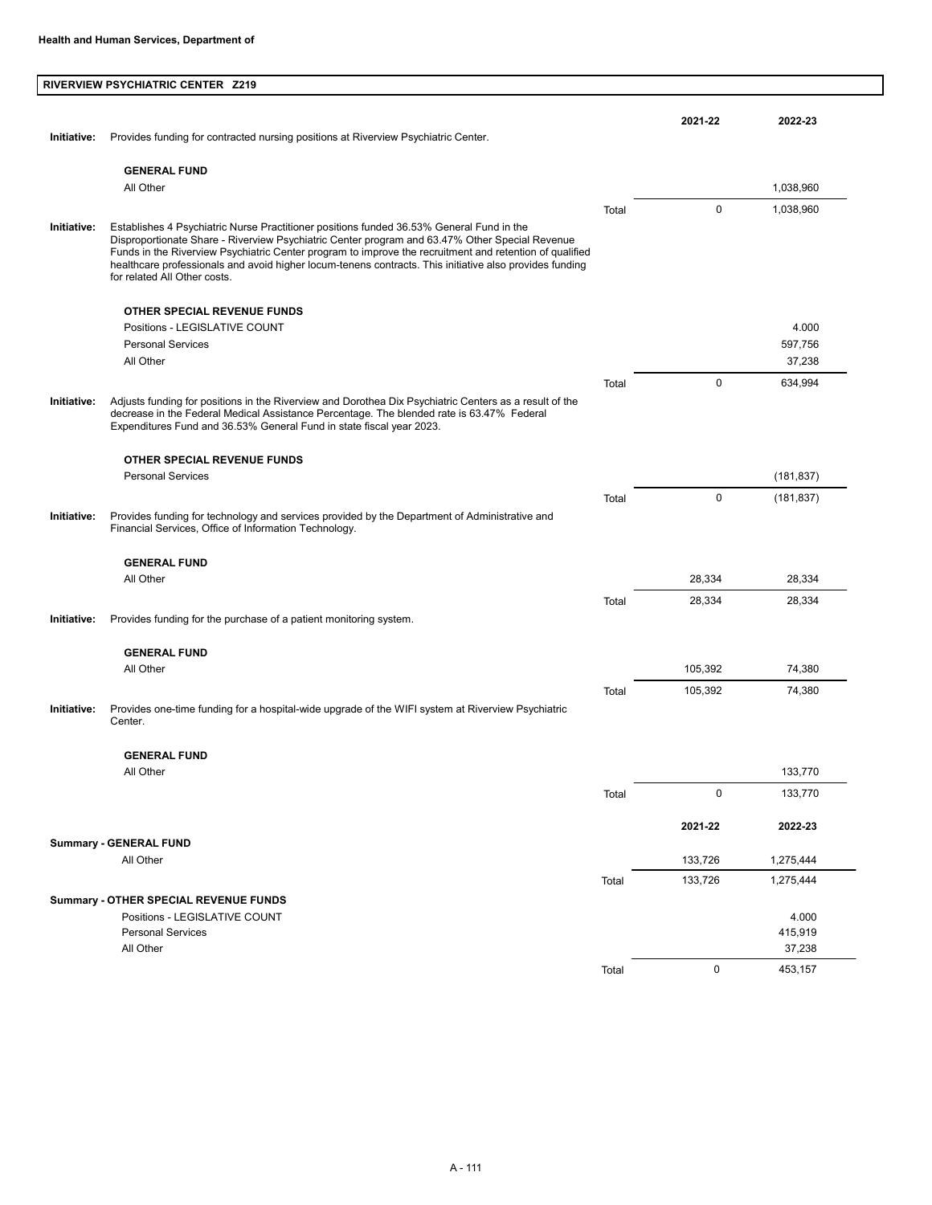|             | <b>RIVERVIEW PSYCHIATRIC CENTER Z219</b>                                                                                                                                                                                                                                                                                                                                                                                                         |       |              |                   |
|-------------|--------------------------------------------------------------------------------------------------------------------------------------------------------------------------------------------------------------------------------------------------------------------------------------------------------------------------------------------------------------------------------------------------------------------------------------------------|-------|--------------|-------------------|
|             |                                                                                                                                                                                                                                                                                                                                                                                                                                                  |       |              |                   |
|             |                                                                                                                                                                                                                                                                                                                                                                                                                                                  |       | 2021-22      | 2022-23           |
| Initiative: | Provides funding for contracted nursing positions at Riverview Psychiatric Center.                                                                                                                                                                                                                                                                                                                                                               |       |              |                   |
|             | <b>GENERAL FUND</b>                                                                                                                                                                                                                                                                                                                                                                                                                              |       |              |                   |
|             | All Other                                                                                                                                                                                                                                                                                                                                                                                                                                        |       |              | 1,038,960         |
|             |                                                                                                                                                                                                                                                                                                                                                                                                                                                  | Total | 0            | 1,038,960         |
| Initiative: | Establishes 4 Psychiatric Nurse Practitioner positions funded 36.53% General Fund in the<br>Disproportionate Share - Riverview Psychiatric Center program and 63.47% Other Special Revenue<br>Funds in the Riverview Psychiatric Center program to improve the recruitment and retention of qualified<br>healthcare professionals and avoid higher locum-tenens contracts. This initiative also provides funding<br>for related All Other costs. |       |              |                   |
|             | OTHER SPECIAL REVENUE FUNDS                                                                                                                                                                                                                                                                                                                                                                                                                      |       |              |                   |
|             | Positions - LEGISLATIVE COUNT                                                                                                                                                                                                                                                                                                                                                                                                                    |       |              | 4.000             |
|             | <b>Personal Services</b>                                                                                                                                                                                                                                                                                                                                                                                                                         |       |              | 597,756           |
|             | All Other                                                                                                                                                                                                                                                                                                                                                                                                                                        |       |              | 37,238            |
| Initiative: | Adjusts funding for positions in the Riverview and Dorothea Dix Psychiatric Centers as a result of the<br>decrease in the Federal Medical Assistance Percentage. The blended rate is 63.47% Federal<br>Expenditures Fund and 36.53% General Fund in state fiscal year 2023.                                                                                                                                                                      | Total | $\mathbf{0}$ | 634,994           |
|             |                                                                                                                                                                                                                                                                                                                                                                                                                                                  |       |              |                   |
|             | OTHER SPECIAL REVENUE FUNDS                                                                                                                                                                                                                                                                                                                                                                                                                      |       |              |                   |
|             | <b>Personal Services</b>                                                                                                                                                                                                                                                                                                                                                                                                                         |       |              | (181, 837)        |
|             |                                                                                                                                                                                                                                                                                                                                                                                                                                                  | Total | 0            | (181, 837)        |
| Initiative: | Provides funding for technology and services provided by the Department of Administrative and<br>Financial Services, Office of Information Technology.                                                                                                                                                                                                                                                                                           |       |              |                   |
|             | <b>GENERAL FUND</b>                                                                                                                                                                                                                                                                                                                                                                                                                              |       |              |                   |
|             | All Other                                                                                                                                                                                                                                                                                                                                                                                                                                        |       | 28,334       | 28,334            |
|             |                                                                                                                                                                                                                                                                                                                                                                                                                                                  | Total | 28,334       | 28,334            |
| Initiative: | Provides funding for the purchase of a patient monitoring system.                                                                                                                                                                                                                                                                                                                                                                                |       |              |                   |
|             |                                                                                                                                                                                                                                                                                                                                                                                                                                                  |       |              |                   |
|             | <b>GENERAL FUND</b>                                                                                                                                                                                                                                                                                                                                                                                                                              |       |              |                   |
|             | All Other                                                                                                                                                                                                                                                                                                                                                                                                                                        |       | 105,392      | 74,380            |
|             |                                                                                                                                                                                                                                                                                                                                                                                                                                                  | Total | 105,392      | 74,380            |
| Initiative: | Provides one-time funding for a hospital-wide upgrade of the WIFI system at Riverview Psychiatric<br>Center.                                                                                                                                                                                                                                                                                                                                     |       |              |                   |
|             | <b>GENERAL FUND</b>                                                                                                                                                                                                                                                                                                                                                                                                                              |       |              |                   |
|             | All Other                                                                                                                                                                                                                                                                                                                                                                                                                                        |       |              | 133,770           |
|             |                                                                                                                                                                                                                                                                                                                                                                                                                                                  | Total | $\mathbf 0$  | 133,770           |
|             |                                                                                                                                                                                                                                                                                                                                                                                                                                                  |       | 2021-22      | 2022-23           |
|             | <b>Summary - GENERAL FUND</b>                                                                                                                                                                                                                                                                                                                                                                                                                    |       |              |                   |
|             | All Other                                                                                                                                                                                                                                                                                                                                                                                                                                        |       | 133,726      | 1,275,444         |
|             |                                                                                                                                                                                                                                                                                                                                                                                                                                                  | Total | 133,726      | 1,275,444         |
|             | Summary - OTHER SPECIAL REVENUE FUNDS                                                                                                                                                                                                                                                                                                                                                                                                            |       |              |                   |
|             | Positions - LEGISLATIVE COUNT                                                                                                                                                                                                                                                                                                                                                                                                                    |       |              | 4.000             |
|             | <b>Personal Services</b><br>All Other                                                                                                                                                                                                                                                                                                                                                                                                            |       |              | 415,919<br>37,238 |
|             |                                                                                                                                                                                                                                                                                                                                                                                                                                                  |       |              |                   |
|             |                                                                                                                                                                                                                                                                                                                                                                                                                                                  | Total | 0            | 453,157           |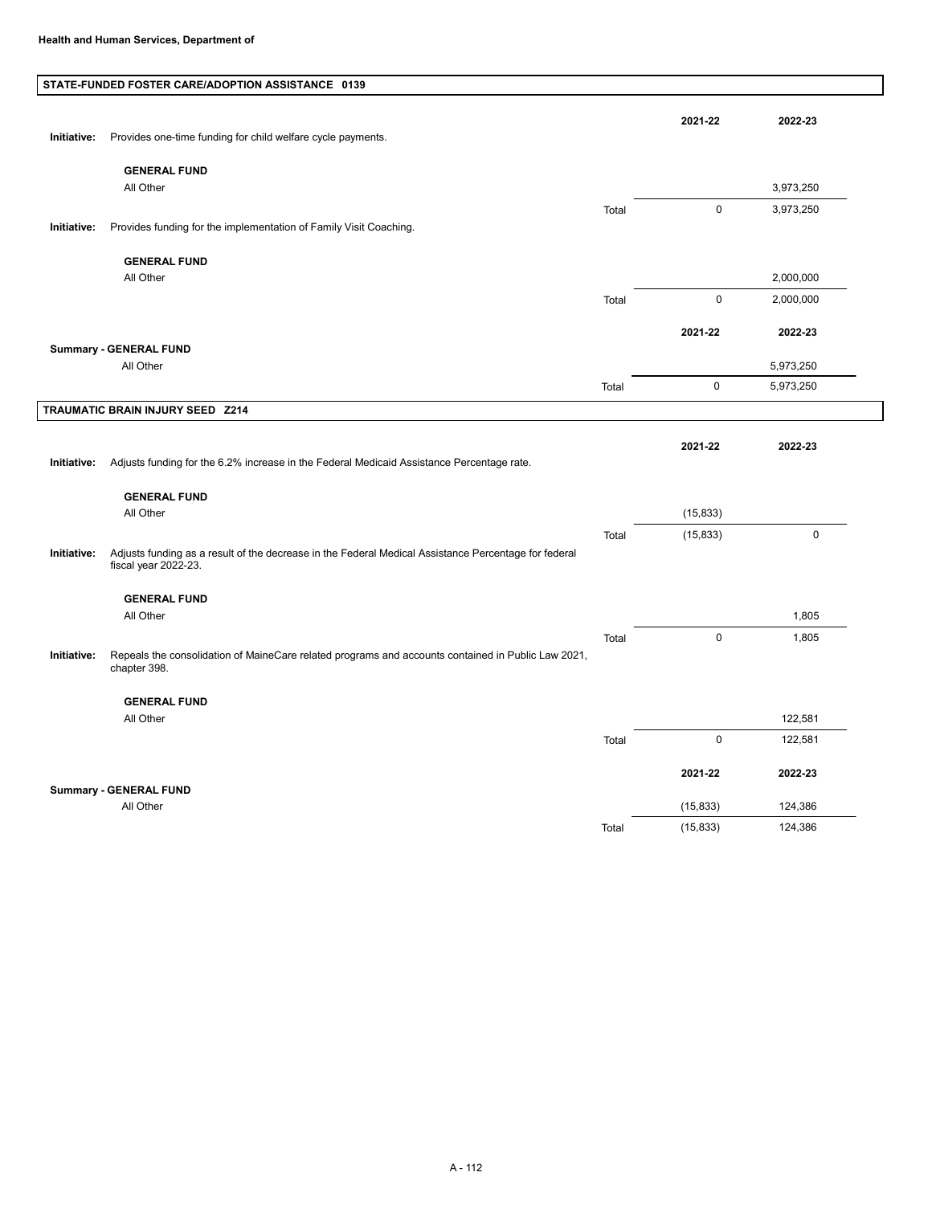|             | STATE-FUNDED FOSTER CARE/ADOPTION ASSISTANCE 0139                                                                            |       |             |             |
|-------------|------------------------------------------------------------------------------------------------------------------------------|-------|-------------|-------------|
|             |                                                                                                                              |       |             |             |
|             |                                                                                                                              |       | 2021-22     | 2022-23     |
| Initiative: | Provides one-time funding for child welfare cycle payments.                                                                  |       |             |             |
|             | <b>GENERAL FUND</b>                                                                                                          |       |             |             |
|             | All Other                                                                                                                    |       |             | 3,973,250   |
|             |                                                                                                                              | Total | $\mathbf 0$ | 3,973,250   |
| Initiative: | Provides funding for the implementation of Family Visit Coaching.                                                            |       |             |             |
|             |                                                                                                                              |       |             |             |
|             | <b>GENERAL FUND</b>                                                                                                          |       |             |             |
|             | All Other                                                                                                                    |       |             | 2,000,000   |
|             |                                                                                                                              | Total | $\mathbf 0$ | 2,000,000   |
|             |                                                                                                                              |       |             |             |
|             |                                                                                                                              |       | 2021-22     | 2022-23     |
|             | <b>Summary - GENERAL FUND</b><br>All Other                                                                                   |       |             | 5,973,250   |
|             |                                                                                                                              | Total | 0           | 5,973,250   |
|             |                                                                                                                              |       |             |             |
|             | TRAUMATIC BRAIN INJURY SEED Z214                                                                                             |       |             |             |
|             |                                                                                                                              |       | 2021-22     | 2022-23     |
| Initiative: | Adjusts funding for the 6.2% increase in the Federal Medicaid Assistance Percentage rate.                                    |       |             |             |
|             |                                                                                                                              |       |             |             |
|             | <b>GENERAL FUND</b>                                                                                                          |       |             |             |
|             | All Other                                                                                                                    |       | (15, 833)   |             |
|             |                                                                                                                              | Total | (15, 833)   | $\mathbf 0$ |
| Initiative: | Adjusts funding as a result of the decrease in the Federal Medical Assistance Percentage for federal<br>fiscal year 2022-23. |       |             |             |
|             |                                                                                                                              |       |             |             |
|             | <b>GENERAL FUND</b>                                                                                                          |       |             |             |
|             | All Other                                                                                                                    |       |             | 1,805       |
|             |                                                                                                                              | Total | $\mathsf 0$ | 1,805       |
| Initiative: | Repeals the consolidation of MaineCare related programs and accounts contained in Public Law 2021,                           |       |             |             |
|             | chapter 398.                                                                                                                 |       |             |             |
|             | <b>GENERAL FUND</b>                                                                                                          |       |             |             |
|             | All Other                                                                                                                    |       |             | 122,581     |
|             |                                                                                                                              | Total | $\mathsf 0$ | 122,581     |
|             |                                                                                                                              |       |             |             |
|             |                                                                                                                              |       | 2021-22     | 2022-23     |
|             | <b>Summary - GENERAL FUND</b>                                                                                                |       |             |             |
|             | All Other                                                                                                                    |       | (15, 833)   | 124,386     |
|             |                                                                                                                              | Total | (15, 833)   | 124,386     |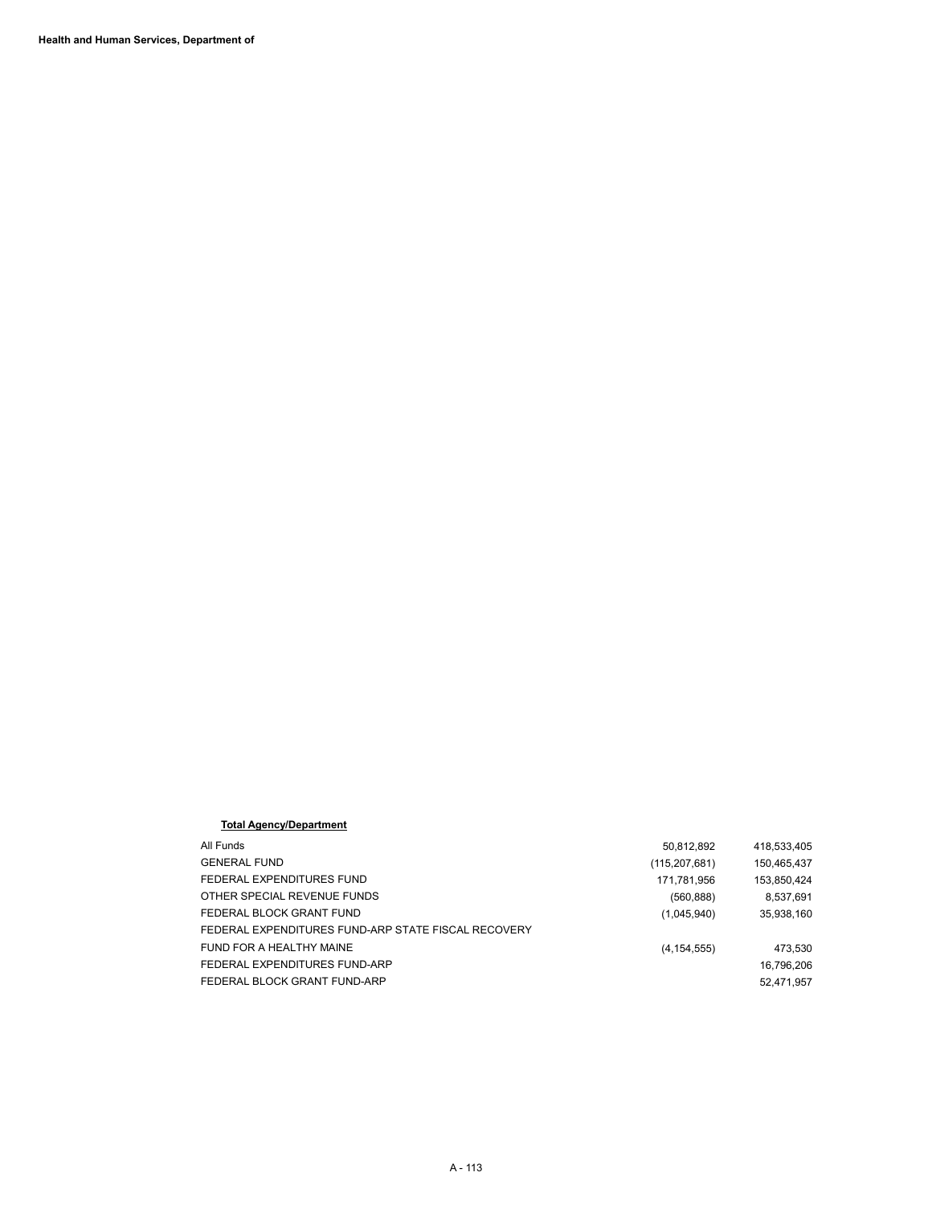Health and Human Services, Department of

## Total Agency/Department

| All Funds                                           | 50,812,892      | 418,533,405 |
|-----------------------------------------------------|-----------------|-------------|
| <b>GENERAL FUND</b>                                 | (115, 207, 681) | 150,465,437 |
| FEDERAL EXPENDITURES FUND                           | 171.781.956     | 153,850,424 |
| OTHER SPECIAL REVENUE FUNDS                         | (560, 888)      | 8,537,691   |
| FEDERAL BLOCK GRANT FUND                            | (1,045,940)     | 35,938,160  |
| FEDERAL EXPENDITURES FUND-ARP STATE FISCAL RECOVERY |                 |             |
| FUND FOR A HEALTHY MAINE                            | (4, 154, 555)   | 473,530     |
| FEDERAL EXPENDITURES FUND-ARP                       |                 | 16,796,206  |
| FEDERAL BLOCK GRANT FUND-ARP                        |                 | 52.471.957  |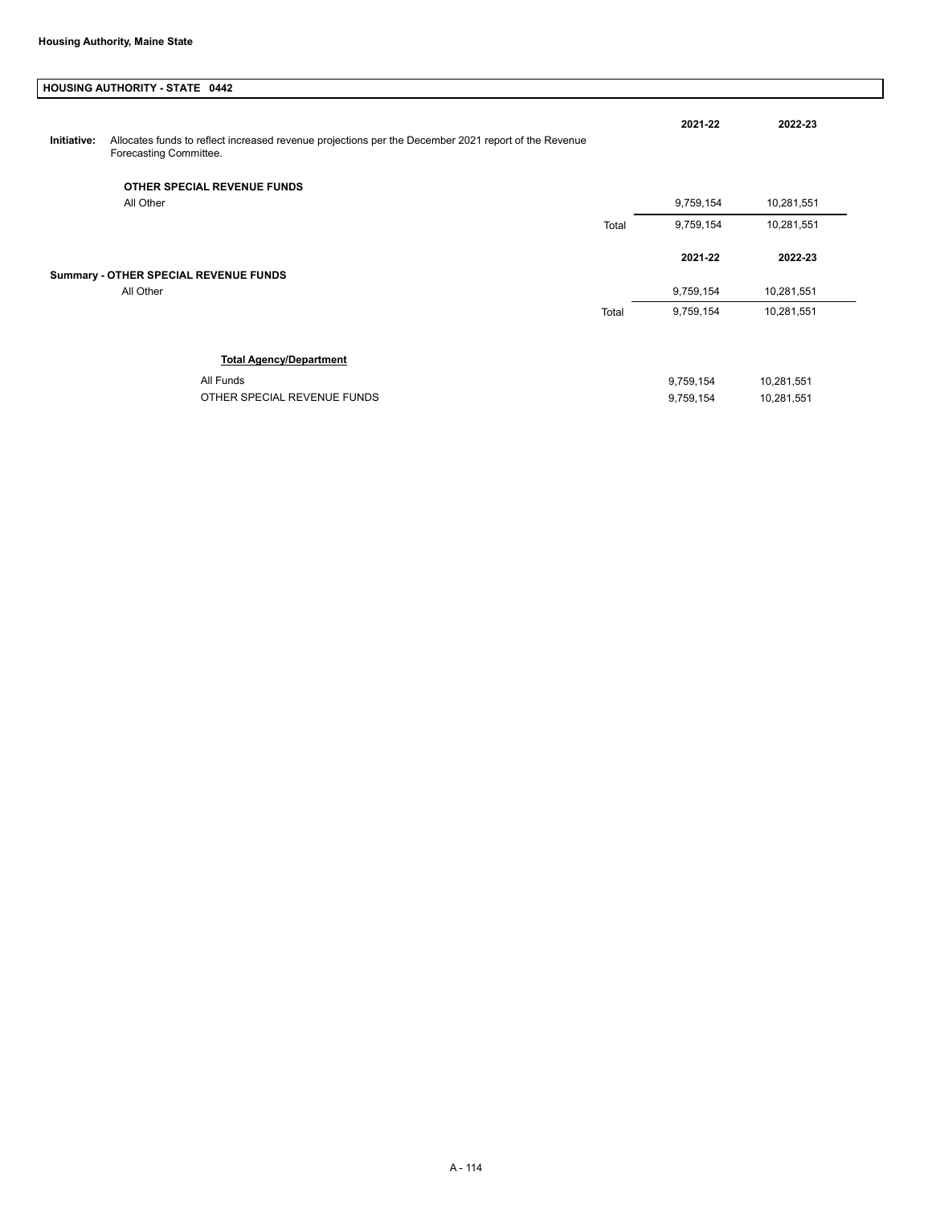|             | <b>HOUSING AUTHORITY - STATE 0442</b>                                                                                          |       |           |            |  |
|-------------|--------------------------------------------------------------------------------------------------------------------------------|-------|-----------|------------|--|
| Initiative: | Allocates funds to reflect increased revenue projections per the December 2021 report of the Revenue<br>Forecasting Committee. |       | 2021-22   | 2022-23    |  |
|             | <b>OTHER SPECIAL REVENUE FUNDS</b>                                                                                             |       |           |            |  |
|             | All Other                                                                                                                      |       | 9,759,154 | 10,281,551 |  |
|             |                                                                                                                                | Total | 9,759,154 | 10,281,551 |  |
|             | <b>Summary - OTHER SPECIAL REVENUE FUNDS</b>                                                                                   |       | 2021-22   | 2022-23    |  |
|             | All Other                                                                                                                      |       | 9,759,154 | 10,281,551 |  |
|             |                                                                                                                                | Total | 9,759,154 | 10,281,551 |  |
|             | <b>Total Agency/Department</b>                                                                                                 |       |           |            |  |
|             | All Funds                                                                                                                      |       | 9,759,154 | 10,281,551 |  |
|             | OTHER SPECIAL REVENUE FUNDS                                                                                                    |       | 9,759,154 | 10,281,551 |  |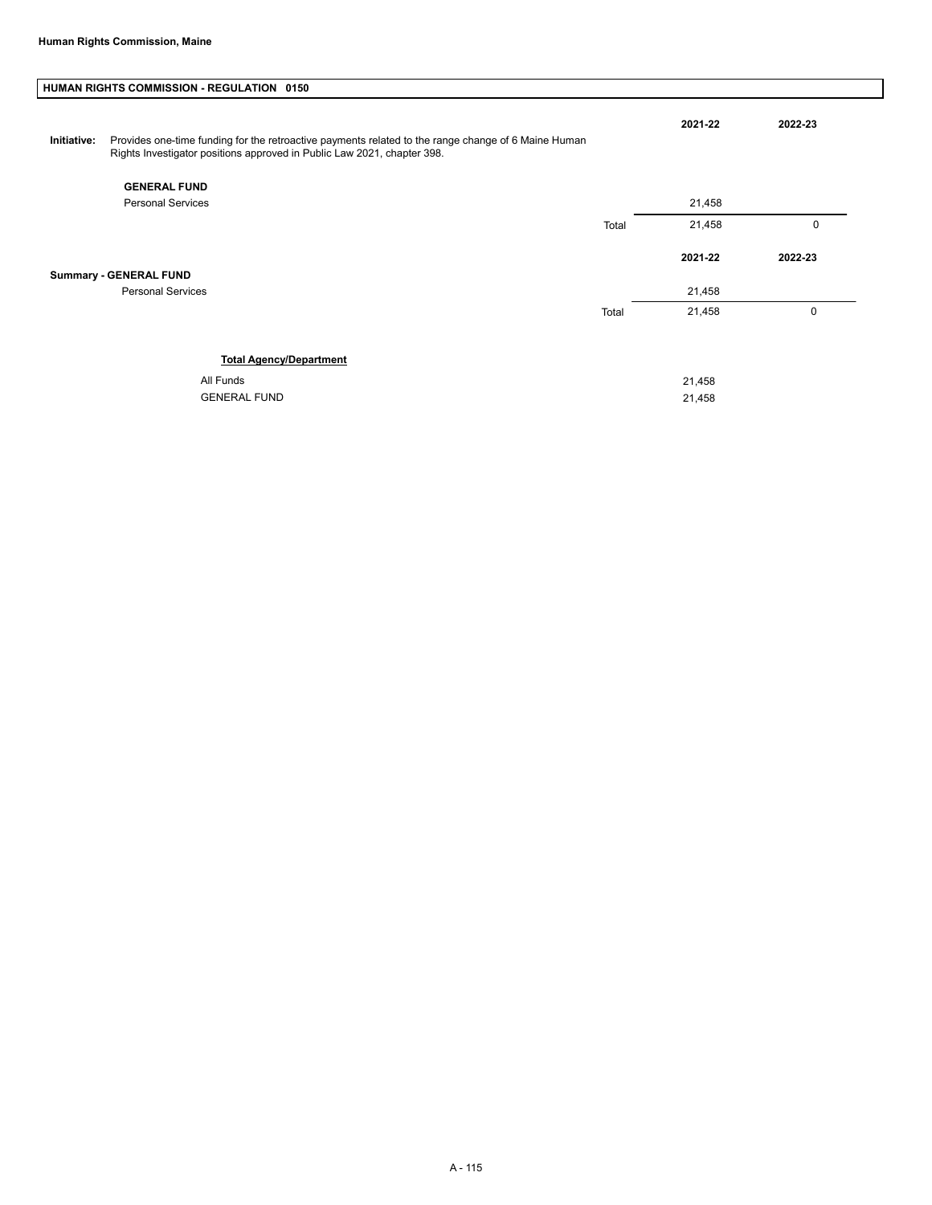|             | <b>HUMAN RIGHTS COMMISSION - REGULATION 0150</b>                                                                                                                               |       |         |         |
|-------------|--------------------------------------------------------------------------------------------------------------------------------------------------------------------------------|-------|---------|---------|
| Initiative: | Provides one-time funding for the retroactive payments related to the range change of 6 Maine Human<br>Rights Investigator positions approved in Public Law 2021, chapter 398. |       | 2021-22 | 2022-23 |
|             | <b>GENERAL FUND</b>                                                                                                                                                            |       |         |         |
|             | <b>Personal Services</b>                                                                                                                                                       |       | 21,458  |         |
|             |                                                                                                                                                                                | Total | 21,458  | 0       |
|             |                                                                                                                                                                                |       | 2021-22 | 2022-23 |
|             | Summary - GENERAL FUND                                                                                                                                                         |       |         |         |
|             | <b>Personal Services</b>                                                                                                                                                       |       | 21,458  |         |
|             |                                                                                                                                                                                | Total | 21,458  | 0       |
|             | <b>Total Agency/Department</b>                                                                                                                                                 |       |         |         |
|             |                                                                                                                                                                                |       |         |         |
|             | All Funds                                                                                                                                                                      |       | 21,458  |         |
|             | <b>GENERAL FUND</b>                                                                                                                                                            |       | 21,458  |         |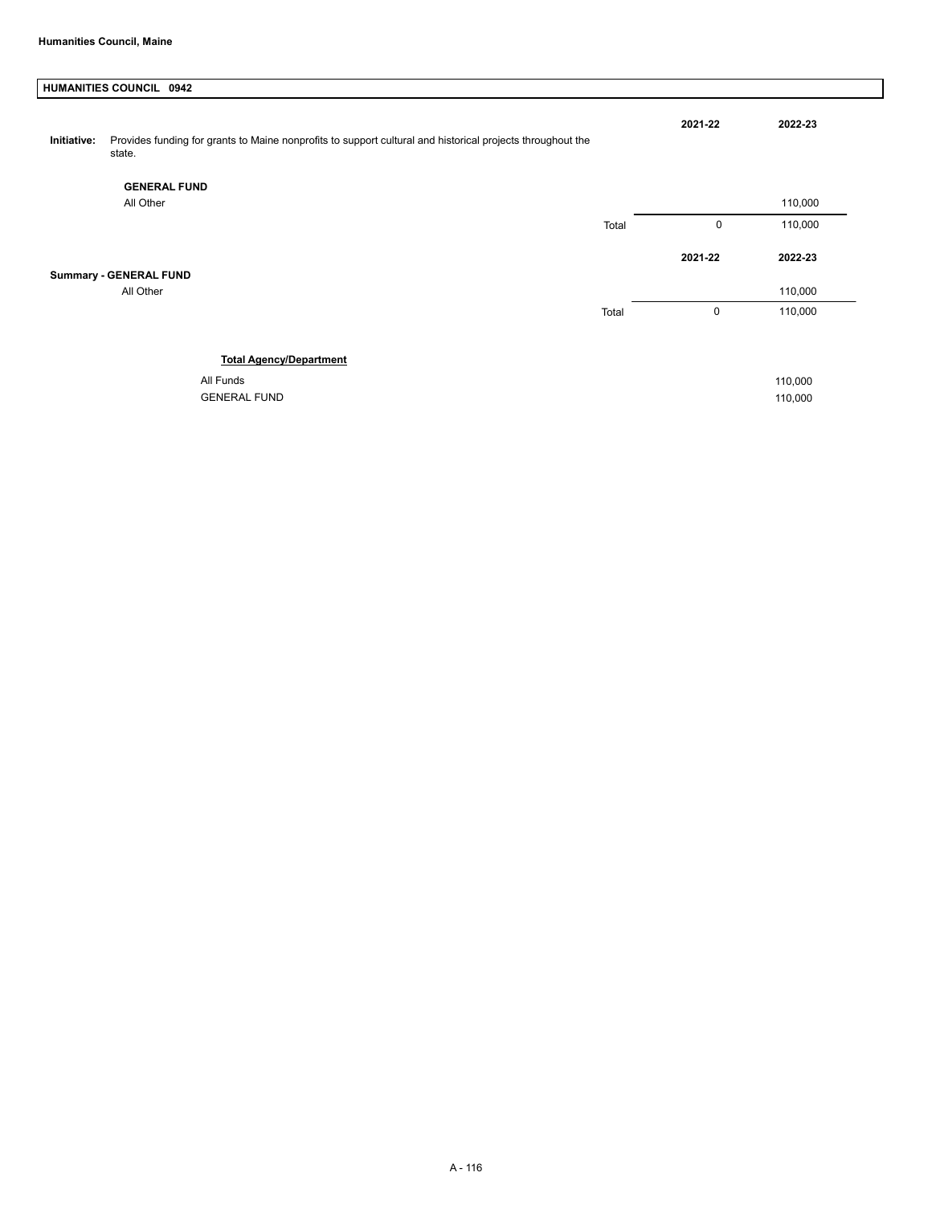| 2021-22<br>Provides funding for grants to Maine nonprofits to support cultural and historical projects throughout the<br>Initiative:<br>state.<br><b>GENERAL FUND</b><br>All Other<br>0<br>Total<br>2021-22 | <b>HUMANITIES COUNCIL 0942</b> |  |         |
|-------------------------------------------------------------------------------------------------------------------------------------------------------------------------------------------------------------|--------------------------------|--|---------|
|                                                                                                                                                                                                             |                                |  | 2022-23 |
|                                                                                                                                                                                                             |                                |  |         |
|                                                                                                                                                                                                             |                                |  | 110,000 |
|                                                                                                                                                                                                             |                                |  | 110,000 |
|                                                                                                                                                                                                             |                                |  | 2022-23 |
| <b>Summary - GENERAL FUND</b><br>All Other                                                                                                                                                                  |                                |  | 110,000 |
| 0<br>Total                                                                                                                                                                                                  |                                |  | 110,000 |
|                                                                                                                                                                                                             |                                |  |         |
| <b>Total Agency/Department</b>                                                                                                                                                                              |                                |  |         |

All Funds 110,000 GENERAL FUND 110,000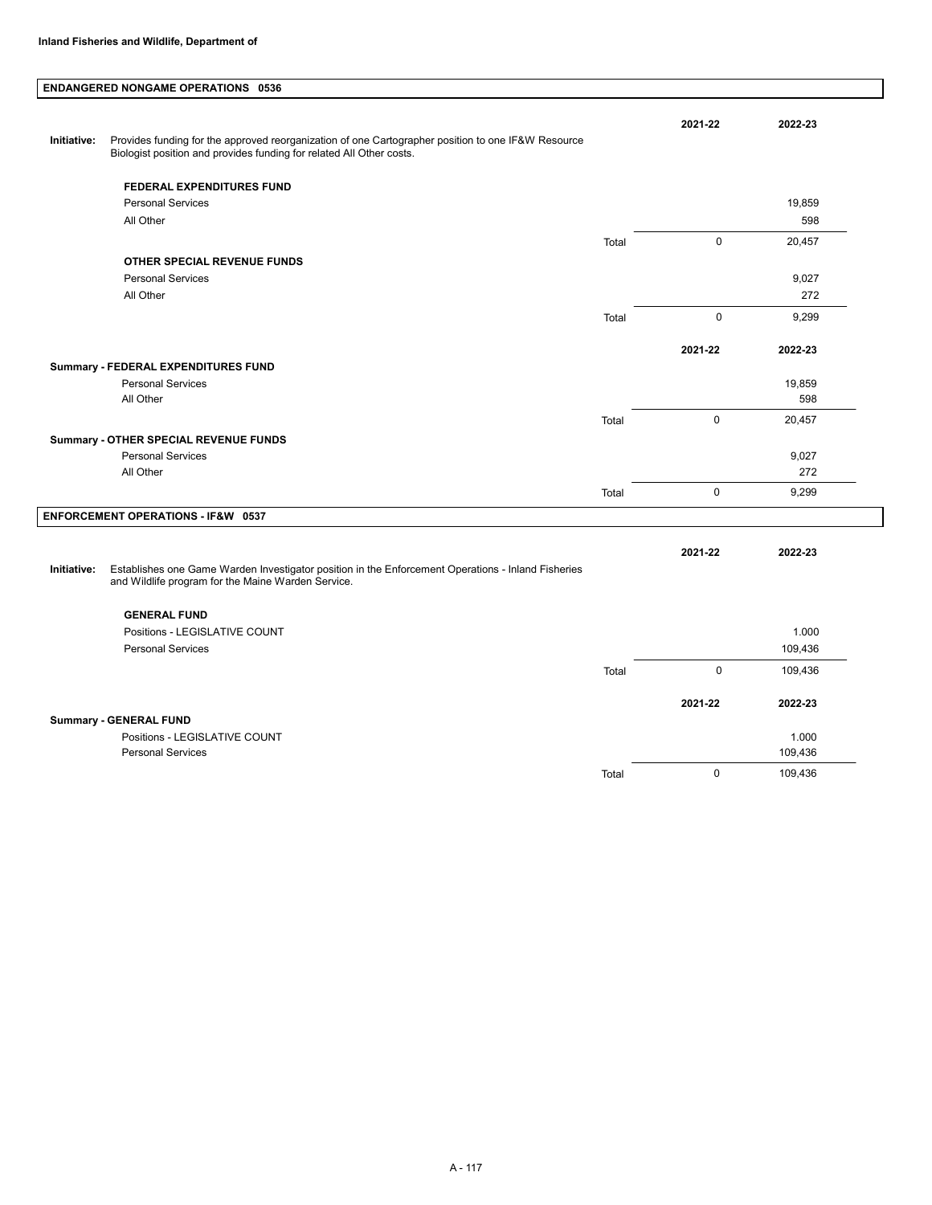|             | <b>ENDANGERED NONGAME OPERATIONS 0536</b>                                                                                                                                  |       |          |                  |
|-------------|----------------------------------------------------------------------------------------------------------------------------------------------------------------------------|-------|----------|------------------|
|             |                                                                                                                                                                            |       |          |                  |
|             |                                                                                                                                                                            |       | 2021-22  | 2022-23          |
| Initiative: | Provides funding for the approved reorganization of one Cartographer position to one IF&W Resource<br>Biologist position and provides funding for related All Other costs. |       |          |                  |
|             |                                                                                                                                                                            |       |          |                  |
|             | <b>FEDERAL EXPENDITURES FUND</b>                                                                                                                                           |       |          |                  |
|             | <b>Personal Services</b>                                                                                                                                                   |       |          | 19,859           |
|             | All Other                                                                                                                                                                  |       |          | 598              |
|             |                                                                                                                                                                            | Total | 0        | 20,457           |
|             | OTHER SPECIAL REVENUE FUNDS                                                                                                                                                |       |          |                  |
|             | <b>Personal Services</b>                                                                                                                                                   |       |          | 9,027            |
|             | All Other                                                                                                                                                                  |       |          | 272              |
|             |                                                                                                                                                                            | Total | 0        | 9,299            |
|             |                                                                                                                                                                            |       |          |                  |
|             |                                                                                                                                                                            |       | 2021-22  | 2022-23          |
|             | Summary - FEDERAL EXPENDITURES FUND                                                                                                                                        |       |          |                  |
|             | <b>Personal Services</b>                                                                                                                                                   |       |          | 19,859           |
|             | All Other                                                                                                                                                                  |       |          | 598              |
|             |                                                                                                                                                                            | Total | 0        | 20,457           |
|             | Summary - OTHER SPECIAL REVENUE FUNDS                                                                                                                                      |       |          |                  |
|             | <b>Personal Services</b>                                                                                                                                                   |       |          | 9,027            |
|             | All Other                                                                                                                                                                  |       |          | 272              |
|             |                                                                                                                                                                            | Total | 0        | 9,299            |
|             | <b>ENFORCEMENT OPERATIONS - IF&amp;W 0537</b>                                                                                                                              |       |          |                  |
|             |                                                                                                                                                                            |       |          |                  |
|             |                                                                                                                                                                            |       | 2021-22  | 2022-23          |
| Initiative: | Establishes one Game Warden Investigator position in the Enforcement Operations - Inland Fisheries<br>and Wildlife program for the Maine Warden Service.                   |       |          |                  |
|             |                                                                                                                                                                            |       |          |                  |
|             | <b>GENERAL FUND</b>                                                                                                                                                        |       |          |                  |
|             | Positions - LEGISLATIVE COUNT<br><b>Personal Services</b>                                                                                                                  |       |          | 1.000<br>109,436 |
|             |                                                                                                                                                                            |       |          |                  |
|             |                                                                                                                                                                            | Total | 0        | 109,436          |
|             |                                                                                                                                                                            |       | 2021-22  | 2022-23          |
|             | <b>Summary - GENERAL FUND</b>                                                                                                                                              |       |          |                  |
|             | Positions - LEGISLATIVE COUNT                                                                                                                                              |       |          | 1.000            |
|             | <b>Personal Services</b>                                                                                                                                                   |       |          | 109,436          |
|             |                                                                                                                                                                            | Total | $\Omega$ | 109,436          |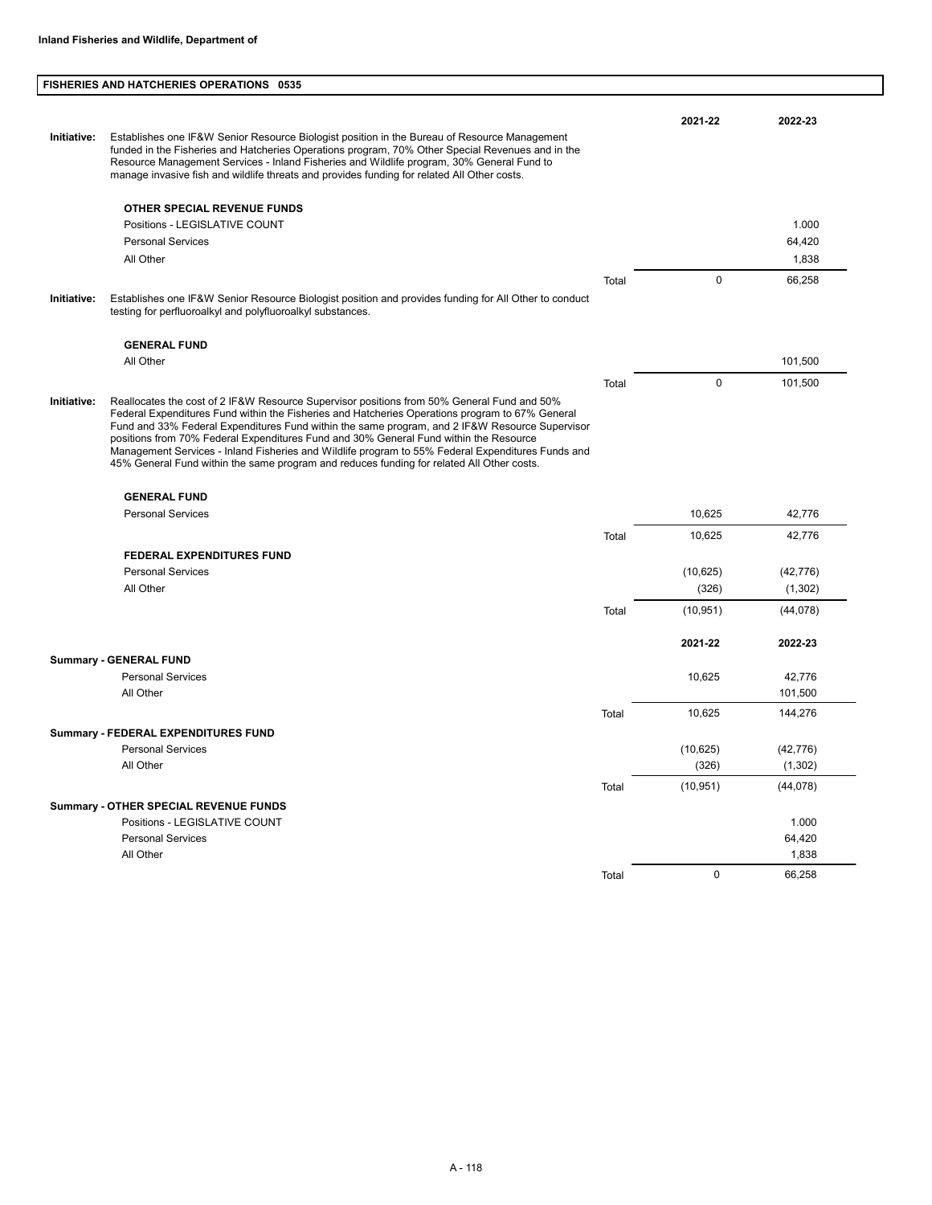|             | <b>FISHERIES AND HATCHERIES OPERATIONS 0535</b>                                                                                                                                                                                                                                                                                                                                                                                                                                                                                                                                            |       |           |           |
|-------------|--------------------------------------------------------------------------------------------------------------------------------------------------------------------------------------------------------------------------------------------------------------------------------------------------------------------------------------------------------------------------------------------------------------------------------------------------------------------------------------------------------------------------------------------------------------------------------------------|-------|-----------|-----------|
|             |                                                                                                                                                                                                                                                                                                                                                                                                                                                                                                                                                                                            |       | 2021-22   | 2022-23   |
| Initiative: | Establishes one IF&W Senior Resource Biologist position in the Bureau of Resource Management<br>funded in the Fisheries and Hatcheries Operations program, 70% Other Special Revenues and in the<br>Resource Management Services - Inland Fisheries and Wildlife program, 30% General Fund to<br>manage invasive fish and wildlife threats and provides funding for related All Other costs.                                                                                                                                                                                               |       |           |           |
|             | OTHER SPECIAL REVENUE FUNDS                                                                                                                                                                                                                                                                                                                                                                                                                                                                                                                                                                |       |           |           |
|             | Positions - LEGISLATIVE COUNT                                                                                                                                                                                                                                                                                                                                                                                                                                                                                                                                                              |       |           | 1.000     |
|             | <b>Personal Services</b>                                                                                                                                                                                                                                                                                                                                                                                                                                                                                                                                                                   |       |           | 64,420    |
|             | All Other                                                                                                                                                                                                                                                                                                                                                                                                                                                                                                                                                                                  |       |           | 1,838     |
|             |                                                                                                                                                                                                                                                                                                                                                                                                                                                                                                                                                                                            | Total | 0         | 66,258    |
| Initiative: | Establishes one IF&W Senior Resource Biologist position and provides funding for All Other to conduct<br>testing for perfluoroalkyl and polyfluoroalkyl substances.                                                                                                                                                                                                                                                                                                                                                                                                                        |       |           |           |
|             | <b>GENERAL FUND</b>                                                                                                                                                                                                                                                                                                                                                                                                                                                                                                                                                                        |       |           |           |
|             | All Other                                                                                                                                                                                                                                                                                                                                                                                                                                                                                                                                                                                  |       |           | 101,500   |
|             |                                                                                                                                                                                                                                                                                                                                                                                                                                                                                                                                                                                            | Total | 0         | 101,500   |
| Initiative: | Reallocates the cost of 2 IF&W Resource Supervisor positions from 50% General Fund and 50%<br>Federal Expenditures Fund within the Fisheries and Hatcheries Operations program to 67% General<br>Fund and 33% Federal Expenditures Fund within the same program, and 2 IF&W Resource Supervisor<br>positions from 70% Federal Expenditures Fund and 30% General Fund within the Resource<br>Management Services - Inland Fisheries and Wildlife program to 55% Federal Expenditures Funds and<br>45% General Fund within the same program and reduces funding for related All Other costs. |       |           |           |
|             | <b>GENERAL FUND</b>                                                                                                                                                                                                                                                                                                                                                                                                                                                                                                                                                                        |       |           |           |
|             | <b>Personal Services</b>                                                                                                                                                                                                                                                                                                                                                                                                                                                                                                                                                                   |       | 10,625    | 42,776    |
|             |                                                                                                                                                                                                                                                                                                                                                                                                                                                                                                                                                                                            | Total | 10,625    | 42,776    |
|             | <b>FEDERAL EXPENDITURES FUND</b>                                                                                                                                                                                                                                                                                                                                                                                                                                                                                                                                                           |       |           |           |
|             | <b>Personal Services</b>                                                                                                                                                                                                                                                                                                                                                                                                                                                                                                                                                                   |       | (10, 625) | (42, 776) |
|             | All Other                                                                                                                                                                                                                                                                                                                                                                                                                                                                                                                                                                                  |       | (326)     | (1,302)   |
|             |                                                                                                                                                                                                                                                                                                                                                                                                                                                                                                                                                                                            | Total | (10, 951) | (44, 078) |
|             |                                                                                                                                                                                                                                                                                                                                                                                                                                                                                                                                                                                            |       | 2021-22   | 2022-23   |
|             | <b>Summary - GENERAL FUND</b>                                                                                                                                                                                                                                                                                                                                                                                                                                                                                                                                                              |       |           |           |
|             | <b>Personal Services</b>                                                                                                                                                                                                                                                                                                                                                                                                                                                                                                                                                                   |       | 10,625    | 42,776    |
|             | All Other                                                                                                                                                                                                                                                                                                                                                                                                                                                                                                                                                                                  |       |           | 101,500   |
|             |                                                                                                                                                                                                                                                                                                                                                                                                                                                                                                                                                                                            | Total | 10,625    | 144,276   |
|             | Summary - FEDERAL EXPENDITURES FUND                                                                                                                                                                                                                                                                                                                                                                                                                                                                                                                                                        |       |           |           |
|             | <b>Personal Services</b>                                                                                                                                                                                                                                                                                                                                                                                                                                                                                                                                                                   |       | (10, 625) | (42, 776) |
|             | All Other                                                                                                                                                                                                                                                                                                                                                                                                                                                                                                                                                                                  |       | (326)     | (1, 302)  |
|             |                                                                                                                                                                                                                                                                                                                                                                                                                                                                                                                                                                                            | Total | (10, 951) | (44, 078) |
|             | <b>Summary - OTHER SPECIAL REVENUE FUNDS</b>                                                                                                                                                                                                                                                                                                                                                                                                                                                                                                                                               |       |           |           |
|             | Positions - LEGISLATIVE COUNT                                                                                                                                                                                                                                                                                                                                                                                                                                                                                                                                                              |       |           | 1.000     |
|             | <b>Personal Services</b>                                                                                                                                                                                                                                                                                                                                                                                                                                                                                                                                                                   |       |           | 64,420    |
|             | All Other                                                                                                                                                                                                                                                                                                                                                                                                                                                                                                                                                                                  |       |           | 1,838     |
|             |                                                                                                                                                                                                                                                                                                                                                                                                                                                                                                                                                                                            | Total | $\pmb{0}$ | 66,258    |
|             |                                                                                                                                                                                                                                                                                                                                                                                                                                                                                                                                                                                            |       |           |           |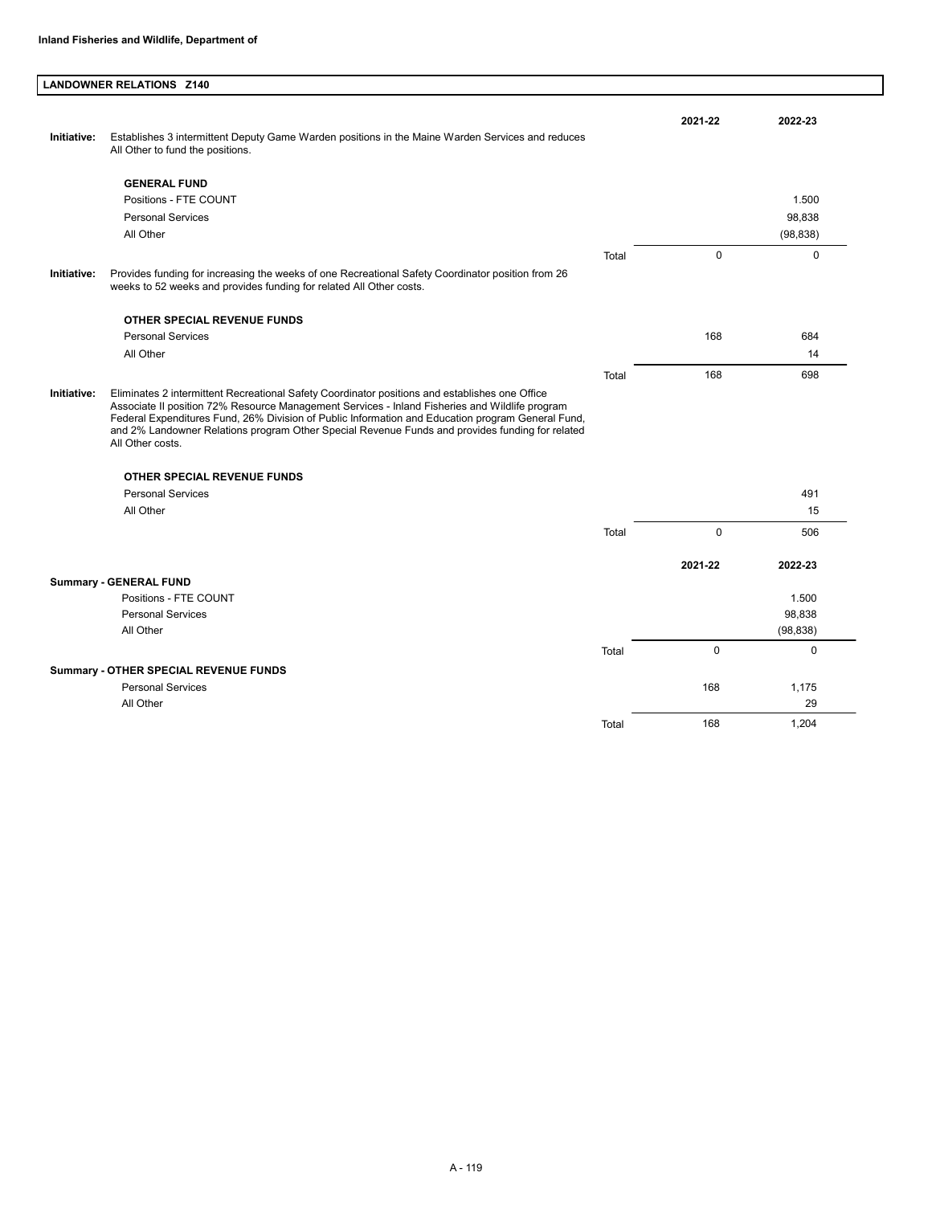| 2021-22<br>2022-23<br>Initiative:<br>Establishes 3 intermittent Deputy Game Warden positions in the Maine Warden Services and reduces<br>All Other to fund the positions.<br><b>GENERAL FUND</b><br>Positions - FTE COUNT<br>1.500<br><b>Personal Services</b><br>98,838<br>All Other<br>(98, 838)<br>$\mathbf 0$<br>$\mathbf 0$<br>Total<br>Provides funding for increasing the weeks of one Recreational Safety Coordinator position from 26<br>Initiative:<br>weeks to 52 weeks and provides funding for related All Other costs.<br>OTHER SPECIAL REVENUE FUNDS<br><b>Personal Services</b><br>168<br>684<br>All Other<br>14<br>168<br>698<br>Total<br>Eliminates 2 intermittent Recreational Safety Coordinator positions and establishes one Office<br>Initiative:<br>Associate II position 72% Resource Management Services - Inland Fisheries and Wildlife program<br>Federal Expenditures Fund, 26% Division of Public Information and Education program General Fund,<br>and 2% Landowner Relations program Other Special Revenue Funds and provides funding for related<br>All Other costs.<br>OTHER SPECIAL REVENUE FUNDS<br><b>Personal Services</b><br>491<br>All Other<br>15<br>$\mathbf 0$<br>506<br>Total<br>2021-22<br>2022-23<br><b>Summary - GENERAL FUND</b><br>Positions - FTE COUNT<br>1.500<br>98,838<br><b>Personal Services</b><br>(98, 838)<br>All Other<br>0<br>$\mathbf 0$<br>Total<br>Summary - OTHER SPECIAL REVENUE FUNDS<br><b>Personal Services</b><br>168<br>1,175<br>29<br>All Other<br>168<br>1,204<br>Total | <b>LANDOWNER RELATIONS Z140</b> |  |  |
|---------------------------------------------------------------------------------------------------------------------------------------------------------------------------------------------------------------------------------------------------------------------------------------------------------------------------------------------------------------------------------------------------------------------------------------------------------------------------------------------------------------------------------------------------------------------------------------------------------------------------------------------------------------------------------------------------------------------------------------------------------------------------------------------------------------------------------------------------------------------------------------------------------------------------------------------------------------------------------------------------------------------------------------------------------------------------------------------------------------------------------------------------------------------------------------------------------------------------------------------------------------------------------------------------------------------------------------------------------------------------------------------------------------------------------------------------------------------------------------------------------------------------------------------------|---------------------------------|--|--|
|                                                                                                                                                                                                                                                                                                                                                                                                                                                                                                                                                                                                                                                                                                                                                                                                                                                                                                                                                                                                                                                                                                                                                                                                                                                                                                                                                                                                                                                                                                                                                   |                                 |  |  |
|                                                                                                                                                                                                                                                                                                                                                                                                                                                                                                                                                                                                                                                                                                                                                                                                                                                                                                                                                                                                                                                                                                                                                                                                                                                                                                                                                                                                                                                                                                                                                   |                                 |  |  |
|                                                                                                                                                                                                                                                                                                                                                                                                                                                                                                                                                                                                                                                                                                                                                                                                                                                                                                                                                                                                                                                                                                                                                                                                                                                                                                                                                                                                                                                                                                                                                   |                                 |  |  |
|                                                                                                                                                                                                                                                                                                                                                                                                                                                                                                                                                                                                                                                                                                                                                                                                                                                                                                                                                                                                                                                                                                                                                                                                                                                                                                                                                                                                                                                                                                                                                   |                                 |  |  |
|                                                                                                                                                                                                                                                                                                                                                                                                                                                                                                                                                                                                                                                                                                                                                                                                                                                                                                                                                                                                                                                                                                                                                                                                                                                                                                                                                                                                                                                                                                                                                   |                                 |  |  |
|                                                                                                                                                                                                                                                                                                                                                                                                                                                                                                                                                                                                                                                                                                                                                                                                                                                                                                                                                                                                                                                                                                                                                                                                                                                                                                                                                                                                                                                                                                                                                   |                                 |  |  |
|                                                                                                                                                                                                                                                                                                                                                                                                                                                                                                                                                                                                                                                                                                                                                                                                                                                                                                                                                                                                                                                                                                                                                                                                                                                                                                                                                                                                                                                                                                                                                   |                                 |  |  |
|                                                                                                                                                                                                                                                                                                                                                                                                                                                                                                                                                                                                                                                                                                                                                                                                                                                                                                                                                                                                                                                                                                                                                                                                                                                                                                                                                                                                                                                                                                                                                   |                                 |  |  |
|                                                                                                                                                                                                                                                                                                                                                                                                                                                                                                                                                                                                                                                                                                                                                                                                                                                                                                                                                                                                                                                                                                                                                                                                                                                                                                                                                                                                                                                                                                                                                   |                                 |  |  |
|                                                                                                                                                                                                                                                                                                                                                                                                                                                                                                                                                                                                                                                                                                                                                                                                                                                                                                                                                                                                                                                                                                                                                                                                                                                                                                                                                                                                                                                                                                                                                   |                                 |  |  |
|                                                                                                                                                                                                                                                                                                                                                                                                                                                                                                                                                                                                                                                                                                                                                                                                                                                                                                                                                                                                                                                                                                                                                                                                                                                                                                                                                                                                                                                                                                                                                   |                                 |  |  |
|                                                                                                                                                                                                                                                                                                                                                                                                                                                                                                                                                                                                                                                                                                                                                                                                                                                                                                                                                                                                                                                                                                                                                                                                                                                                                                                                                                                                                                                                                                                                                   |                                 |  |  |
|                                                                                                                                                                                                                                                                                                                                                                                                                                                                                                                                                                                                                                                                                                                                                                                                                                                                                                                                                                                                                                                                                                                                                                                                                                                                                                                                                                                                                                                                                                                                                   |                                 |  |  |
|                                                                                                                                                                                                                                                                                                                                                                                                                                                                                                                                                                                                                                                                                                                                                                                                                                                                                                                                                                                                                                                                                                                                                                                                                                                                                                                                                                                                                                                                                                                                                   |                                 |  |  |
|                                                                                                                                                                                                                                                                                                                                                                                                                                                                                                                                                                                                                                                                                                                                                                                                                                                                                                                                                                                                                                                                                                                                                                                                                                                                                                                                                                                                                                                                                                                                                   |                                 |  |  |
|                                                                                                                                                                                                                                                                                                                                                                                                                                                                                                                                                                                                                                                                                                                                                                                                                                                                                                                                                                                                                                                                                                                                                                                                                                                                                                                                                                                                                                                                                                                                                   |                                 |  |  |
|                                                                                                                                                                                                                                                                                                                                                                                                                                                                                                                                                                                                                                                                                                                                                                                                                                                                                                                                                                                                                                                                                                                                                                                                                                                                                                                                                                                                                                                                                                                                                   |                                 |  |  |
|                                                                                                                                                                                                                                                                                                                                                                                                                                                                                                                                                                                                                                                                                                                                                                                                                                                                                                                                                                                                                                                                                                                                                                                                                                                                                                                                                                                                                                                                                                                                                   |                                 |  |  |
|                                                                                                                                                                                                                                                                                                                                                                                                                                                                                                                                                                                                                                                                                                                                                                                                                                                                                                                                                                                                                                                                                                                                                                                                                                                                                                                                                                                                                                                                                                                                                   |                                 |  |  |
|                                                                                                                                                                                                                                                                                                                                                                                                                                                                                                                                                                                                                                                                                                                                                                                                                                                                                                                                                                                                                                                                                                                                                                                                                                                                                                                                                                                                                                                                                                                                                   |                                 |  |  |
|                                                                                                                                                                                                                                                                                                                                                                                                                                                                                                                                                                                                                                                                                                                                                                                                                                                                                                                                                                                                                                                                                                                                                                                                                                                                                                                                                                                                                                                                                                                                                   |                                 |  |  |
|                                                                                                                                                                                                                                                                                                                                                                                                                                                                                                                                                                                                                                                                                                                                                                                                                                                                                                                                                                                                                                                                                                                                                                                                                                                                                                                                                                                                                                                                                                                                                   |                                 |  |  |
|                                                                                                                                                                                                                                                                                                                                                                                                                                                                                                                                                                                                                                                                                                                                                                                                                                                                                                                                                                                                                                                                                                                                                                                                                                                                                                                                                                                                                                                                                                                                                   |                                 |  |  |
|                                                                                                                                                                                                                                                                                                                                                                                                                                                                                                                                                                                                                                                                                                                                                                                                                                                                                                                                                                                                                                                                                                                                                                                                                                                                                                                                                                                                                                                                                                                                                   |                                 |  |  |
|                                                                                                                                                                                                                                                                                                                                                                                                                                                                                                                                                                                                                                                                                                                                                                                                                                                                                                                                                                                                                                                                                                                                                                                                                                                                                                                                                                                                                                                                                                                                                   |                                 |  |  |
|                                                                                                                                                                                                                                                                                                                                                                                                                                                                                                                                                                                                                                                                                                                                                                                                                                                                                                                                                                                                                                                                                                                                                                                                                                                                                                                                                                                                                                                                                                                                                   |                                 |  |  |
|                                                                                                                                                                                                                                                                                                                                                                                                                                                                                                                                                                                                                                                                                                                                                                                                                                                                                                                                                                                                                                                                                                                                                                                                                                                                                                                                                                                                                                                                                                                                                   |                                 |  |  |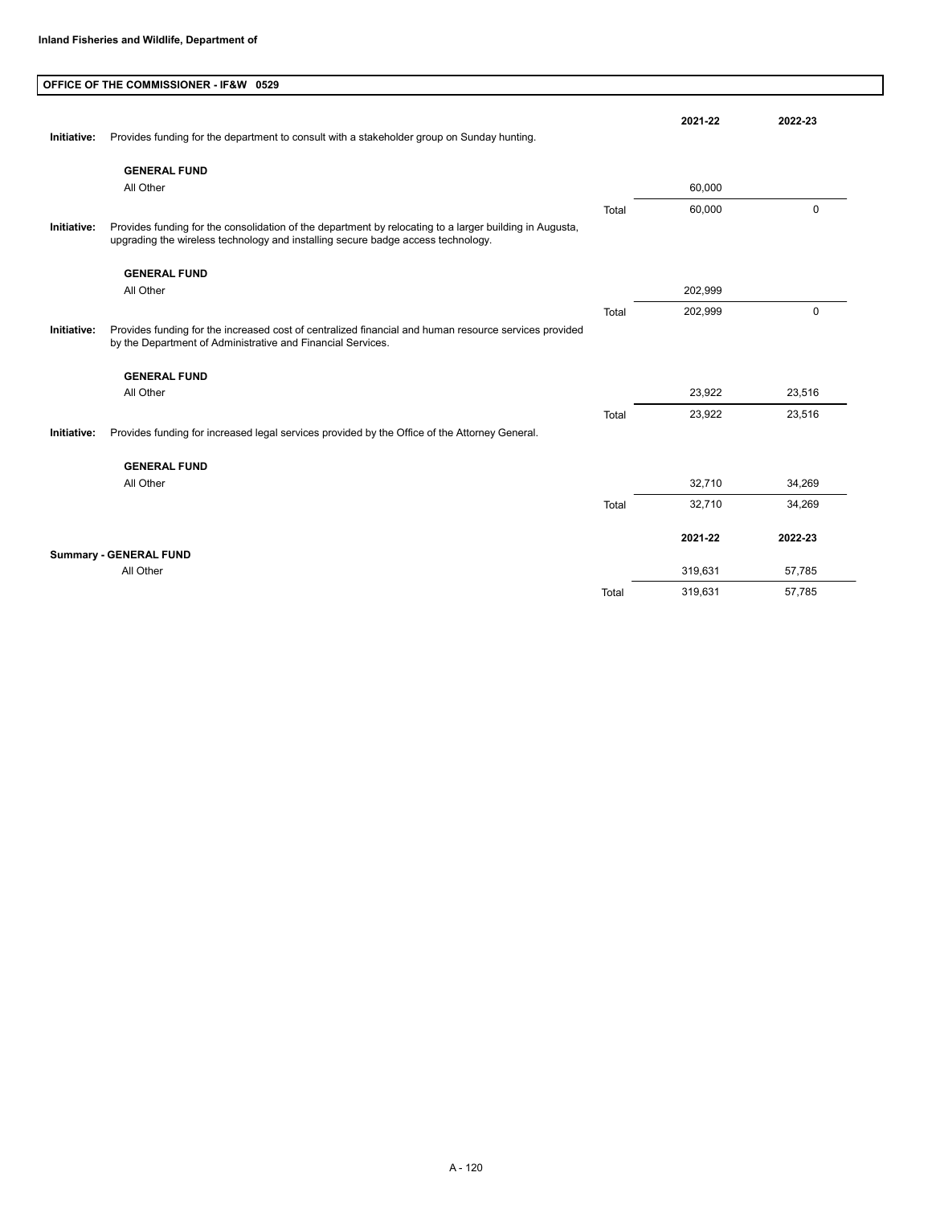|             | OFFICE OF THE COMMISSIONER - IF&W 0529                                                                                                                                                      |       |         |         |
|-------------|---------------------------------------------------------------------------------------------------------------------------------------------------------------------------------------------|-------|---------|---------|
|             |                                                                                                                                                                                             |       | 2021-22 | 2022-23 |
| Initiative: | Provides funding for the department to consult with a stakeholder group on Sunday hunting.                                                                                                  |       |         |         |
|             | <b>GENERAL FUND</b>                                                                                                                                                                         |       |         |         |
|             | All Other                                                                                                                                                                                   |       | 60,000  |         |
|             |                                                                                                                                                                                             | Total | 60,000  | 0       |
| Initiative: | Provides funding for the consolidation of the department by relocating to a larger building in Augusta,<br>upgrading the wireless technology and installing secure badge access technology. |       |         |         |
|             | <b>GENERAL FUND</b>                                                                                                                                                                         |       |         |         |
|             | All Other                                                                                                                                                                                   |       | 202,999 |         |
|             |                                                                                                                                                                                             | Total | 202,999 | 0       |
| Initiative: | Provides funding for the increased cost of centralized financial and human resource services provided<br>by the Department of Administrative and Financial Services.                        |       |         |         |
|             | <b>GENERAL FUND</b>                                                                                                                                                                         |       |         |         |
|             | All Other                                                                                                                                                                                   |       | 23,922  | 23,516  |
|             |                                                                                                                                                                                             | Total | 23,922  | 23,516  |
| Initiative: | Provides funding for increased legal services provided by the Office of the Attorney General.                                                                                               |       |         |         |
|             | <b>GENERAL FUND</b>                                                                                                                                                                         |       |         |         |
|             | All Other                                                                                                                                                                                   |       | 32,710  | 34,269  |
|             |                                                                                                                                                                                             | Total | 32,710  | 34,269  |
|             |                                                                                                                                                                                             |       | 2021-22 | 2022-23 |
|             | <b>Summary - GENERAL FUND</b><br>All Other                                                                                                                                                  |       | 319,631 | 57,785  |
|             |                                                                                                                                                                                             | Total | 319,631 | 57,785  |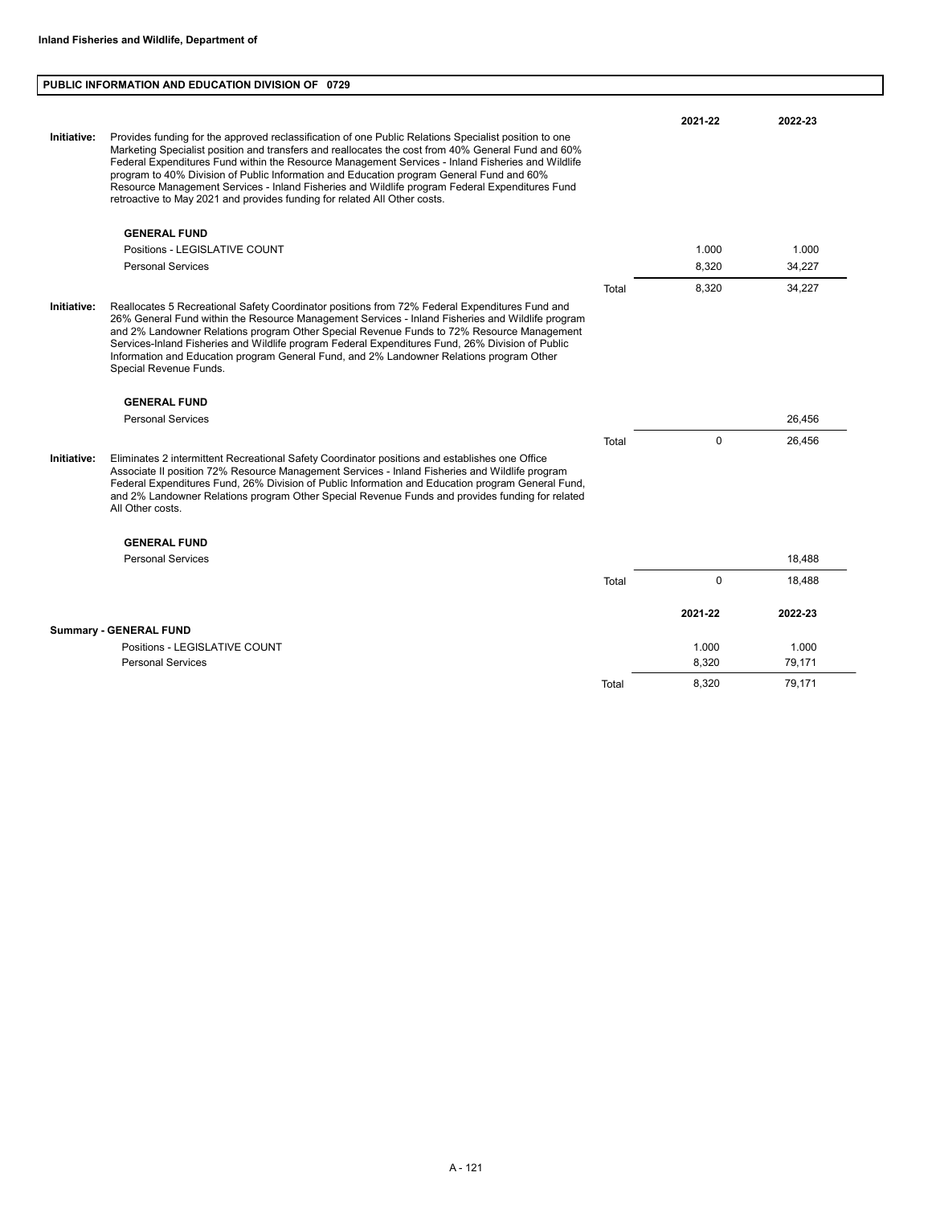|             | PUBLIC INFORMATION AND EDUCATION DIVISION OF 0729                                                                                                                                                                                                                                                                                                                                                                                                                                                                                                                                           |       |             |         |
|-------------|---------------------------------------------------------------------------------------------------------------------------------------------------------------------------------------------------------------------------------------------------------------------------------------------------------------------------------------------------------------------------------------------------------------------------------------------------------------------------------------------------------------------------------------------------------------------------------------------|-------|-------------|---------|
|             |                                                                                                                                                                                                                                                                                                                                                                                                                                                                                                                                                                                             |       | 2021-22     | 2022-23 |
| Initiative: | Provides funding for the approved reclassification of one Public Relations Specialist position to one<br>Marketing Specialist position and transfers and reallocates the cost from 40% General Fund and 60%<br>Federal Expenditures Fund within the Resource Management Services - Inland Fisheries and Wildlife<br>program to 40% Division of Public Information and Education program General Fund and 60%<br>Resource Management Services - Inland Fisheries and Wildlife program Federal Expenditures Fund<br>retroactive to May 2021 and provides funding for related All Other costs. |       |             |         |
|             | <b>GENERAL FUND</b>                                                                                                                                                                                                                                                                                                                                                                                                                                                                                                                                                                         |       |             |         |
|             | Positions - LEGISLATIVE COUNT                                                                                                                                                                                                                                                                                                                                                                                                                                                                                                                                                               |       | 1.000       | 1.000   |
|             | <b>Personal Services</b>                                                                                                                                                                                                                                                                                                                                                                                                                                                                                                                                                                    |       | 8,320       | 34,227  |
|             |                                                                                                                                                                                                                                                                                                                                                                                                                                                                                                                                                                                             | Total | 8,320       | 34,227  |
| Initiative: | Reallocates 5 Recreational Safety Coordinator positions from 72% Federal Expenditures Fund and<br>26% General Fund within the Resource Management Services - Inland Fisheries and Wildlife program<br>and 2% Landowner Relations program Other Special Revenue Funds to 72% Resource Management<br>Services-Inland Fisheries and Wildlife program Federal Expenditures Fund, 26% Division of Public<br>Information and Education program General Fund, and 2% Landowner Relations program Other<br>Special Revenue Funds.                                                                   |       |             |         |
|             | <b>GENERAL FUND</b>                                                                                                                                                                                                                                                                                                                                                                                                                                                                                                                                                                         |       |             |         |
|             | <b>Personal Services</b>                                                                                                                                                                                                                                                                                                                                                                                                                                                                                                                                                                    |       |             | 26,456  |
|             |                                                                                                                                                                                                                                                                                                                                                                                                                                                                                                                                                                                             | Total | $\mathbf 0$ | 26,456  |
| Initiative: | Eliminates 2 intermittent Recreational Safety Coordinator positions and establishes one Office<br>Associate II position 72% Resource Management Services - Inland Fisheries and Wildlife program<br>Federal Expenditures Fund, 26% Division of Public Information and Education program General Fund,<br>and 2% Landowner Relations program Other Special Revenue Funds and provides funding for related<br>All Other costs.                                                                                                                                                                |       |             |         |
|             | <b>GENERAL FUND</b>                                                                                                                                                                                                                                                                                                                                                                                                                                                                                                                                                                         |       |             |         |
|             | <b>Personal Services</b>                                                                                                                                                                                                                                                                                                                                                                                                                                                                                                                                                                    |       |             | 18,488  |
|             |                                                                                                                                                                                                                                                                                                                                                                                                                                                                                                                                                                                             | Total | $\mathbf 0$ | 18,488  |
|             |                                                                                                                                                                                                                                                                                                                                                                                                                                                                                                                                                                                             |       | 2021-22     | 2022-23 |

Total 8,320 79,171

Summary - GENERAL FUND Positions - LEGISLATIVE COUNT **1.000** 1.000 1.000 1.000 1.000 1.000 1.000 1.000 1.000 1.000 1.000 1.000 1.000 1.000 1.000 1.000 1.000 1.000 1.000 1.000 1.000 1.000 1.000 1.000 1.000 1.000 1.000 1.000 1.000 1.000 1.000 1.00 Personal Services **8,320** 79,171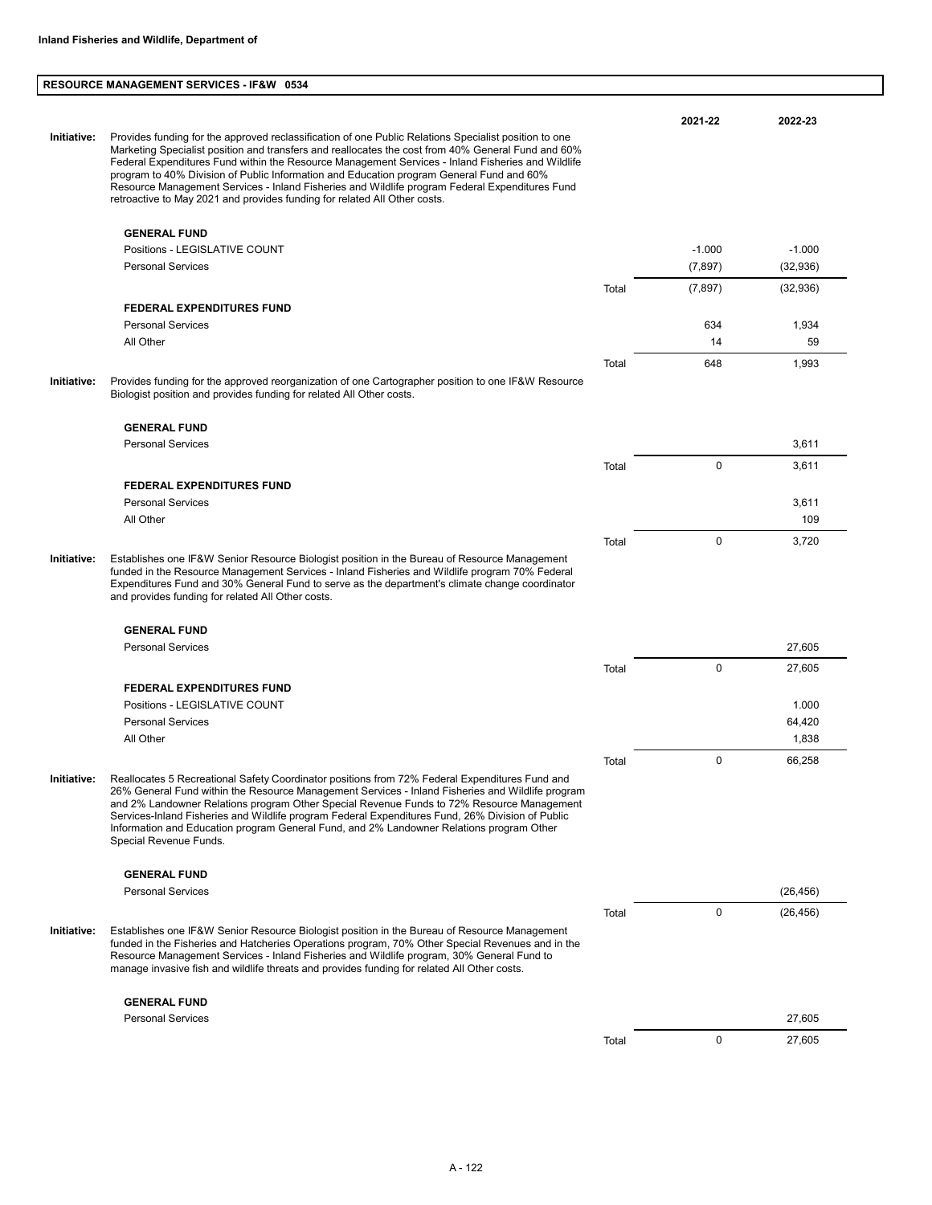|             | <b>RESOURCE MANAGEMENT SERVICES - IF&amp;W 0534</b>                                                                                                                                                                                                                                                                                                                                                                                                                                                                                                                                         |       |             |                 |
|-------------|---------------------------------------------------------------------------------------------------------------------------------------------------------------------------------------------------------------------------------------------------------------------------------------------------------------------------------------------------------------------------------------------------------------------------------------------------------------------------------------------------------------------------------------------------------------------------------------------|-------|-------------|-----------------|
|             |                                                                                                                                                                                                                                                                                                                                                                                                                                                                                                                                                                                             |       |             |                 |
| Initiative: | Provides funding for the approved reclassification of one Public Relations Specialist position to one<br>Marketing Specialist position and transfers and reallocates the cost from 40% General Fund and 60%<br>Federal Expenditures Fund within the Resource Management Services - Inland Fisheries and Wildlife<br>program to 40% Division of Public Information and Education program General Fund and 60%<br>Resource Management Services - Inland Fisheries and Wildlife program Federal Expenditures Fund<br>retroactive to May 2021 and provides funding for related All Other costs. |       | 2021-22     | 2022-23         |
|             |                                                                                                                                                                                                                                                                                                                                                                                                                                                                                                                                                                                             |       |             |                 |
|             | <b>GENERAL FUND</b>                                                                                                                                                                                                                                                                                                                                                                                                                                                                                                                                                                         |       |             |                 |
|             | Positions - LEGISLATIVE COUNT                                                                                                                                                                                                                                                                                                                                                                                                                                                                                                                                                               |       | $-1.000$    | $-1.000$        |
|             | <b>Personal Services</b>                                                                                                                                                                                                                                                                                                                                                                                                                                                                                                                                                                    |       | (7, 897)    | (32, 936)       |
|             |                                                                                                                                                                                                                                                                                                                                                                                                                                                                                                                                                                                             | Total | (7, 897)    | (32, 936)       |
|             | <b>FEDERAL EXPENDITURES FUND</b>                                                                                                                                                                                                                                                                                                                                                                                                                                                                                                                                                            |       |             |                 |
|             | <b>Personal Services</b>                                                                                                                                                                                                                                                                                                                                                                                                                                                                                                                                                                    |       | 634         | 1,934           |
|             | All Other                                                                                                                                                                                                                                                                                                                                                                                                                                                                                                                                                                                   |       | 14          | 59              |
| Initiative: | Provides funding for the approved reorganization of one Cartographer position to one IF&W Resource<br>Biologist position and provides funding for related All Other costs.                                                                                                                                                                                                                                                                                                                                                                                                                  | Total | 648         | 1,993           |
|             |                                                                                                                                                                                                                                                                                                                                                                                                                                                                                                                                                                                             |       |             |                 |
|             | <b>GENERAL FUND</b>                                                                                                                                                                                                                                                                                                                                                                                                                                                                                                                                                                         |       |             |                 |
|             | <b>Personal Services</b>                                                                                                                                                                                                                                                                                                                                                                                                                                                                                                                                                                    |       |             | 3,611           |
|             |                                                                                                                                                                                                                                                                                                                                                                                                                                                                                                                                                                                             | Total | $\mathbf 0$ | 3,611           |
|             | <b>FEDERAL EXPENDITURES FUND</b>                                                                                                                                                                                                                                                                                                                                                                                                                                                                                                                                                            |       |             |                 |
|             | <b>Personal Services</b>                                                                                                                                                                                                                                                                                                                                                                                                                                                                                                                                                                    |       |             | 3,611           |
|             | All Other                                                                                                                                                                                                                                                                                                                                                                                                                                                                                                                                                                                   |       |             | 109             |
|             |                                                                                                                                                                                                                                                                                                                                                                                                                                                                                                                                                                                             | Total | 0           | 3,720           |
| Initiative: | Establishes one IF&W Senior Resource Biologist position in the Bureau of Resource Management<br>funded in the Resource Management Services - Inland Fisheries and Wildlife program 70% Federal<br>Expenditures Fund and 30% General Fund to serve as the department's climate change coordinator<br>and provides funding for related All Other costs.                                                                                                                                                                                                                                       |       |             |                 |
|             | <b>GENERAL FUND</b>                                                                                                                                                                                                                                                                                                                                                                                                                                                                                                                                                                         |       |             |                 |
|             | <b>Personal Services</b>                                                                                                                                                                                                                                                                                                                                                                                                                                                                                                                                                                    |       |             | 27,605          |
|             |                                                                                                                                                                                                                                                                                                                                                                                                                                                                                                                                                                                             |       | 0           |                 |
|             |                                                                                                                                                                                                                                                                                                                                                                                                                                                                                                                                                                                             | Total |             | 27,605          |
|             | <b>FEDERAL EXPENDITURES FUND</b>                                                                                                                                                                                                                                                                                                                                                                                                                                                                                                                                                            |       |             |                 |
|             | Positions - LEGISLATIVE COUNT<br><b>Personal Services</b>                                                                                                                                                                                                                                                                                                                                                                                                                                                                                                                                   |       |             | 1.000<br>64,420 |
|             | All Other                                                                                                                                                                                                                                                                                                                                                                                                                                                                                                                                                                                   |       |             | 1,838           |
|             |                                                                                                                                                                                                                                                                                                                                                                                                                                                                                                                                                                                             |       |             |                 |
| Initiative: | Reallocates 5 Recreational Safety Coordinator positions from 72% Federal Expenditures Fund and<br>26% General Fund within the Resource Management Services - Inland Fisheries and Wildlife program<br>and 2% Landowner Relations program Other Special Revenue Funds to 72% Resource Management<br>Services-Inland Fisheries and Wildlife program Federal Expenditures Fund, 26% Division of Public<br>Information and Education program General Fund, and 2% Landowner Relations program Other<br>Special Revenue Funds.                                                                   | Total | 0           | 66,258          |
|             | <b>GENERAL FUND</b>                                                                                                                                                                                                                                                                                                                                                                                                                                                                                                                                                                         |       |             |                 |
|             | <b>Personal Services</b>                                                                                                                                                                                                                                                                                                                                                                                                                                                                                                                                                                    |       |             | (26, 456)       |
|             |                                                                                                                                                                                                                                                                                                                                                                                                                                                                                                                                                                                             | Total | $\mathbf 0$ | (26, 456)       |
| Initiative: | Establishes one IF&W Senior Resource Biologist position in the Bureau of Resource Management<br>funded in the Fisheries and Hatcheries Operations program, 70% Other Special Revenues and in the<br>Resource Management Services - Inland Fisheries and Wildlife program, 30% General Fund to<br>manage invasive fish and wildlife threats and provides funding for related All Other costs.                                                                                                                                                                                                |       |             |                 |
|             | <b>GENERAL FUND</b>                                                                                                                                                                                                                                                                                                                                                                                                                                                                                                                                                                         |       |             |                 |
|             | <b>Personal Services</b>                                                                                                                                                                                                                                                                                                                                                                                                                                                                                                                                                                    |       |             | 27,605          |
|             |                                                                                                                                                                                                                                                                                                                                                                                                                                                                                                                                                                                             | Total | 0           | 27,605          |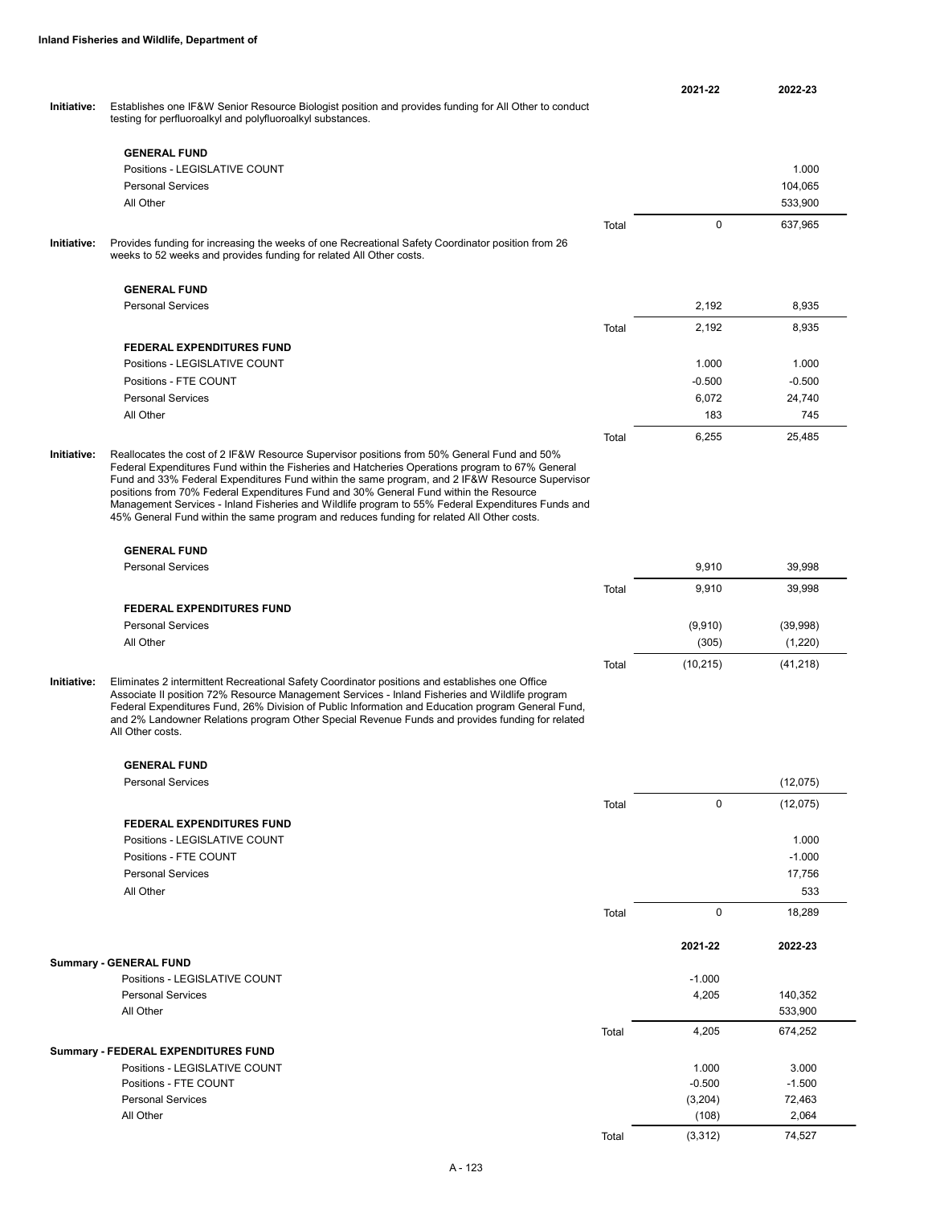|             |                                                                                                                                                                                                  |       | 2021-22          | 2022-23   |
|-------------|--------------------------------------------------------------------------------------------------------------------------------------------------------------------------------------------------|-------|------------------|-----------|
| Initiative: | Establishes one IF&W Senior Resource Biologist position and provides funding for All Other to conduct                                                                                            |       |                  |           |
|             | testing for perfluoroalkyl and polyfluoroalkyl substances.                                                                                                                                       |       |                  |           |
|             |                                                                                                                                                                                                  |       |                  |           |
|             | <b>GENERAL FUND</b>                                                                                                                                                                              |       |                  |           |
|             | Positions - LEGISLATIVE COUNT                                                                                                                                                                    |       |                  | 1.000     |
|             | <b>Personal Services</b>                                                                                                                                                                         |       |                  | 104,065   |
|             | All Other                                                                                                                                                                                        |       |                  | 533,900   |
|             |                                                                                                                                                                                                  | Total | $\mathbf{0}$     | 637,965   |
| Initiative: | Provides funding for increasing the weeks of one Recreational Safety Coordinator position from 26                                                                                                |       |                  |           |
|             | weeks to 52 weeks and provides funding for related All Other costs.                                                                                                                              |       |                  |           |
|             |                                                                                                                                                                                                  |       |                  |           |
|             | <b>GENERAL FUND</b>                                                                                                                                                                              |       |                  |           |
|             | <b>Personal Services</b>                                                                                                                                                                         |       | 2,192            | 8,935     |
|             |                                                                                                                                                                                                  | Total | 2,192            | 8,935     |
|             | <b>FEDERAL EXPENDITURES FUND</b>                                                                                                                                                                 |       |                  |           |
|             | Positions - LEGISLATIVE COUNT                                                                                                                                                                    |       | 1.000            | 1.000     |
|             | Positions - FTE COUNT                                                                                                                                                                            |       | $-0.500$         | $-0.500$  |
|             | <b>Personal Services</b>                                                                                                                                                                         |       | 6,072            | 24,740    |
|             | All Other                                                                                                                                                                                        |       | 183              | 745       |
|             |                                                                                                                                                                                                  | Total | 6,255            | 25,485    |
| Initiative: | Reallocates the cost of 2 IF&W Resource Supervisor positions from 50% General Fund and 50%                                                                                                       |       |                  |           |
|             | Federal Expenditures Fund within the Fisheries and Hatcheries Operations program to 67% General                                                                                                  |       |                  |           |
|             | Fund and 33% Federal Expenditures Fund within the same program, and 2 IF&W Resource Supervisor                                                                                                   |       |                  |           |
|             | positions from 70% Federal Expenditures Fund and 30% General Fund within the Resource<br>Management Services - Inland Fisheries and Wildlife program to 55% Federal Expenditures Funds and       |       |                  |           |
|             | 45% General Fund within the same program and reduces funding for related All Other costs.                                                                                                        |       |                  |           |
|             |                                                                                                                                                                                                  |       |                  |           |
|             | <b>GENERAL FUND</b>                                                                                                                                                                              |       |                  |           |
|             | <b>Personal Services</b>                                                                                                                                                                         |       | 9,910            | 39,998    |
|             |                                                                                                                                                                                                  | Total | 9,910            | 39,998    |
|             | <b>FEDERAL EXPENDITURES FUND</b>                                                                                                                                                                 |       |                  |           |
|             | <b>Personal Services</b>                                                                                                                                                                         |       |                  | (39,998)  |
|             | All Other                                                                                                                                                                                        |       | (9,910)<br>(305) | (1,220)   |
|             |                                                                                                                                                                                                  |       |                  |           |
|             |                                                                                                                                                                                                  | Total | (10, 215)        | (41, 218) |
| Initiative: | Eliminates 2 intermittent Recreational Safety Coordinator positions and establishes one Office<br>Associate II position 72% Resource Management Services - Inland Fisheries and Wildlife program |       |                  |           |
|             | Federal Expenditures Fund, 26% Division of Public Information and Education program General Fund,                                                                                                |       |                  |           |
|             | and 2% Landowner Relations program Other Special Revenue Funds and provides funding for related                                                                                                  |       |                  |           |
|             | All Other costs.                                                                                                                                                                                 |       |                  |           |
|             |                                                                                                                                                                                                  |       |                  |           |
|             | <b>GENERAL FUND</b>                                                                                                                                                                              |       |                  |           |
|             | <b>Personal Services</b>                                                                                                                                                                         |       |                  | (12,075)  |
|             |                                                                                                                                                                                                  | Total | 0                | (12,075)  |
|             | <b>FEDERAL EXPENDITURES FUND</b>                                                                                                                                                                 |       |                  |           |
|             | Positions - LEGISLATIVE COUNT                                                                                                                                                                    |       |                  | 1.000     |
|             | Positions - FTE COUNT                                                                                                                                                                            |       |                  | $-1.000$  |
|             | <b>Personal Services</b>                                                                                                                                                                         |       |                  | 17,756    |
|             | All Other                                                                                                                                                                                        |       |                  | 533       |
|             |                                                                                                                                                                                                  | Total | 0                | 18,289    |
|             |                                                                                                                                                                                                  |       |                  |           |
|             |                                                                                                                                                                                                  |       | 2021-22          | 2022-23   |
|             | <b>Summary - GENERAL FUND</b>                                                                                                                                                                    |       |                  |           |
|             | Positions - LEGISLATIVE COUNT                                                                                                                                                                    |       | $-1.000$         |           |
|             | <b>Personal Services</b>                                                                                                                                                                         |       | 4,205            | 140,352   |
|             | All Other                                                                                                                                                                                        |       |                  | 533,900   |
|             |                                                                                                                                                                                                  | Total | 4,205            | 674,252   |
|             | Summary - FEDERAL EXPENDITURES FUND                                                                                                                                                              |       |                  |           |
|             | Positions - LEGISLATIVE COUNT                                                                                                                                                                    |       | 1.000            | 3.000     |
|             | Positions - FTE COUNT                                                                                                                                                                            |       | $-0.500$         | $-1.500$  |
|             | <b>Personal Services</b>                                                                                                                                                                         |       | (3,204)          | 72,463    |
|             | All Other                                                                                                                                                                                        |       | (108)            | 2,064     |
|             |                                                                                                                                                                                                  | Total | (3,312)          | 74,527    |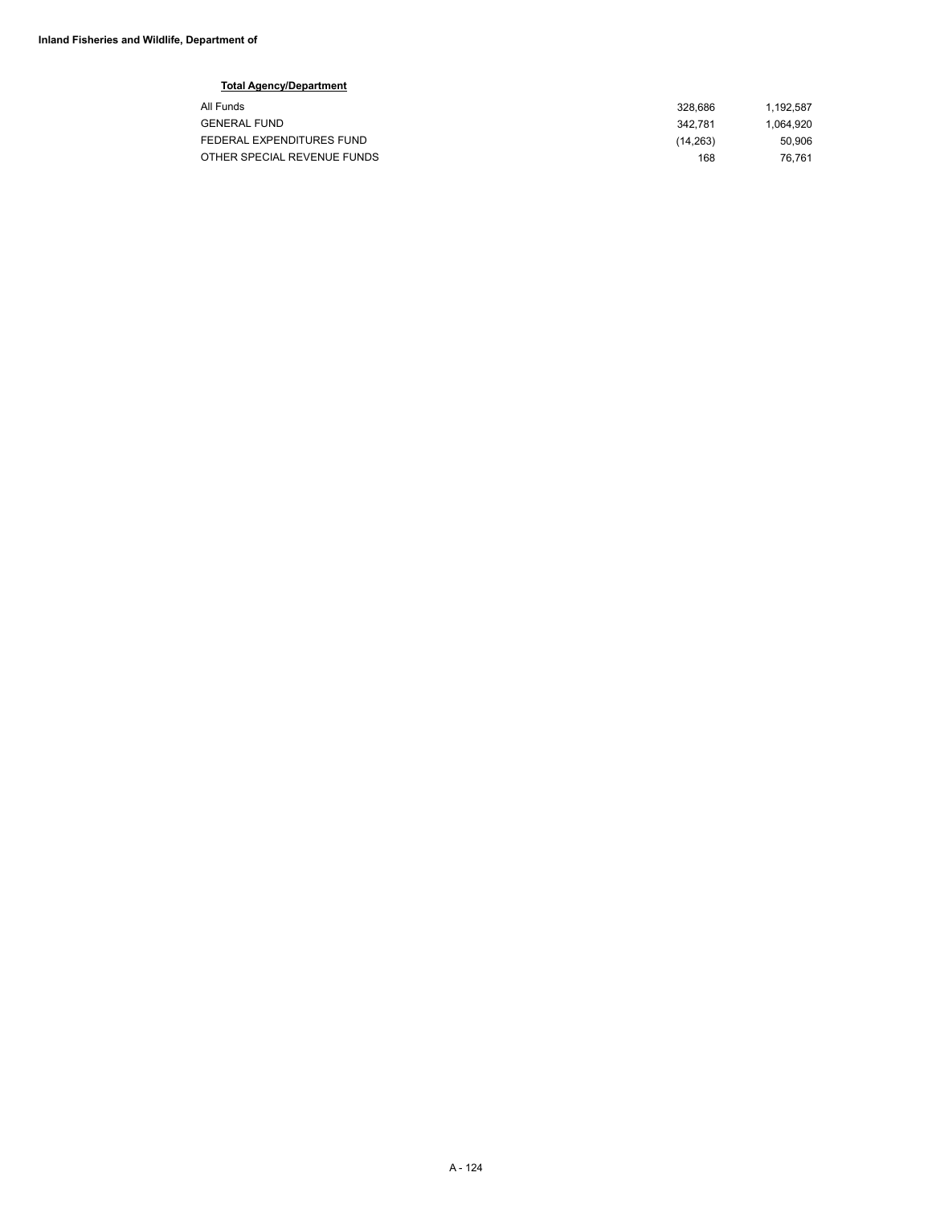## Total Agency/Department

| All Funds                   | 328,686  | 1.192.587 |
|-----------------------------|----------|-----------|
| <b>GENERAL FUND</b>         | 342.781  | 1.064.920 |
| FEDERAL EXPENDITURES FUND   | (14.263) | 50.906    |
| OTHER SPECIAL REVENUE FUNDS | 168      | 76.761    |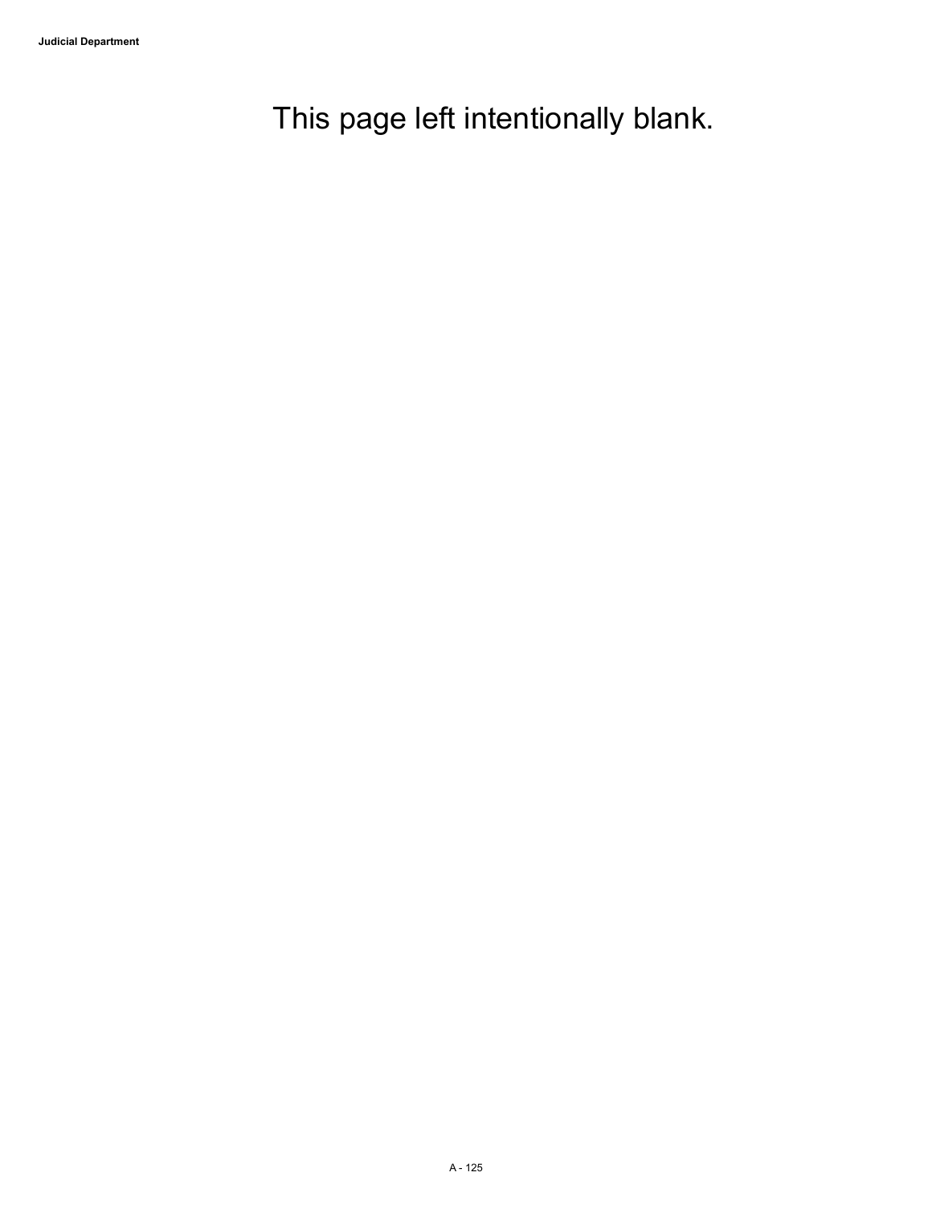This page left intentionally blank.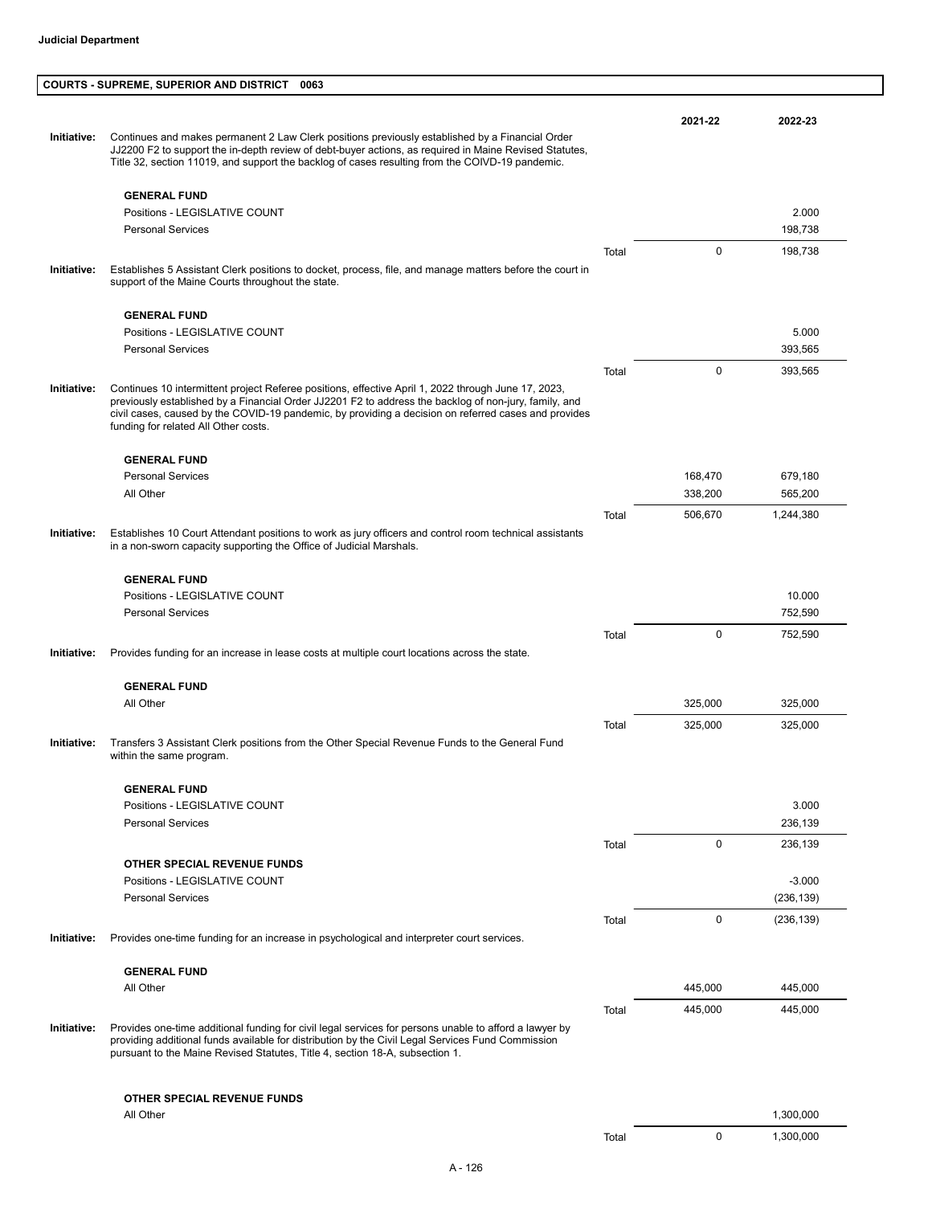|             | <b>COURTS - SUPREME, SUPERIOR AND DISTRICT 0063</b>                                                                                                                                                                                                                                                                                                          |       |             |            |
|-------------|--------------------------------------------------------------------------------------------------------------------------------------------------------------------------------------------------------------------------------------------------------------------------------------------------------------------------------------------------------------|-------|-------------|------------|
|             |                                                                                                                                                                                                                                                                                                                                                              |       | 2021-22     | 2022-23    |
| Initiative: | Continues and makes permanent 2 Law Clerk positions previously established by a Financial Order<br>JJ2200 F2 to support the in-depth review of debt-buyer actions, as required in Maine Revised Statutes,<br>Title 32, section 11019, and support the backlog of cases resulting from the COIVD-19 pandemic.                                                 |       |             |            |
|             | <b>GENERAL FUND</b>                                                                                                                                                                                                                                                                                                                                          |       |             |            |
|             | Positions - LEGISLATIVE COUNT                                                                                                                                                                                                                                                                                                                                |       |             | 2.000      |
|             | <b>Personal Services</b>                                                                                                                                                                                                                                                                                                                                     |       |             | 198,738    |
|             |                                                                                                                                                                                                                                                                                                                                                              | Total | $\mathbf 0$ | 198,738    |
| Initiative: | Establishes 5 Assistant Clerk positions to docket, process, file, and manage matters before the court in<br>support of the Maine Courts throughout the state.                                                                                                                                                                                                |       |             |            |
|             | <b>GENERAL FUND</b>                                                                                                                                                                                                                                                                                                                                          |       |             |            |
|             | Positions - LEGISLATIVE COUNT                                                                                                                                                                                                                                                                                                                                |       |             | 5.000      |
|             | <b>Personal Services</b>                                                                                                                                                                                                                                                                                                                                     |       |             | 393,565    |
|             |                                                                                                                                                                                                                                                                                                                                                              | Total | $\mathbf 0$ | 393,565    |
| Initiative: | Continues 10 intermittent project Referee positions, effective April 1, 2022 through June 17, 2023,<br>previously established by a Financial Order JJ2201 F2 to address the backlog of non-jury, family, and<br>civil cases, caused by the COVID-19 pandemic, by providing a decision on referred cases and provides<br>funding for related All Other costs. |       |             |            |
|             | <b>GENERAL FUND</b>                                                                                                                                                                                                                                                                                                                                          |       |             |            |
|             | <b>Personal Services</b>                                                                                                                                                                                                                                                                                                                                     |       | 168,470     | 679,180    |
|             | All Other                                                                                                                                                                                                                                                                                                                                                    |       | 338,200     | 565,200    |
| Initiative: | Establishes 10 Court Attendant positions to work as jury officers and control room technical assistants<br>in a non-sworn capacity supporting the Office of Judicial Marshals.                                                                                                                                                                               | Total | 506,670     | 1,244,380  |
|             | <b>GENERAL FUND</b>                                                                                                                                                                                                                                                                                                                                          |       |             |            |
|             | Positions - LEGISLATIVE COUNT                                                                                                                                                                                                                                                                                                                                |       |             | 10.000     |
|             | <b>Personal Services</b>                                                                                                                                                                                                                                                                                                                                     |       |             | 752,590    |
|             |                                                                                                                                                                                                                                                                                                                                                              | Total | $\mathbf 0$ | 752,590    |
| Initiative: | Provides funding for an increase in lease costs at multiple court locations across the state.                                                                                                                                                                                                                                                                |       |             |            |
|             | <b>GENERAL FUND</b>                                                                                                                                                                                                                                                                                                                                          |       |             |            |
|             | All Other                                                                                                                                                                                                                                                                                                                                                    |       | 325,000     | 325,000    |
|             |                                                                                                                                                                                                                                                                                                                                                              | Total | 325,000     | 325,000    |
| Initiative: | Transfers 3 Assistant Clerk positions from the Other Special Revenue Funds to the General Fund<br>within the same program.                                                                                                                                                                                                                                   |       |             |            |
|             | <b>GENERAL FUND</b>                                                                                                                                                                                                                                                                                                                                          |       |             |            |
|             | Positions - LEGISLATIVE COUNT                                                                                                                                                                                                                                                                                                                                |       |             | 3.000      |
|             | <b>Personal Services</b>                                                                                                                                                                                                                                                                                                                                     |       |             | 236,139    |
|             |                                                                                                                                                                                                                                                                                                                                                              | Total | $\mathbf 0$ | 236,139    |
|             | <b>OTHER SPECIAL REVENUE FUNDS</b>                                                                                                                                                                                                                                                                                                                           |       |             |            |
|             | Positions - LEGISLATIVE COUNT                                                                                                                                                                                                                                                                                                                                |       |             | $-3.000$   |
|             | <b>Personal Services</b>                                                                                                                                                                                                                                                                                                                                     |       |             | (236, 139) |
|             |                                                                                                                                                                                                                                                                                                                                                              | Total | $\mathbf 0$ | (236, 139) |
| Initiative: | Provides one-time funding for an increase in psychological and interpreter court services.                                                                                                                                                                                                                                                                   |       |             |            |
|             | <b>GENERAL FUND</b>                                                                                                                                                                                                                                                                                                                                          |       |             |            |
|             | All Other                                                                                                                                                                                                                                                                                                                                                    |       | 445,000     | 445,000    |
|             |                                                                                                                                                                                                                                                                                                                                                              | Total | 445,000     | 445,000    |
| Initiative: | Provides one-time additional funding for civil legal services for persons unable to afford a lawyer by<br>providing additional funds available for distribution by the Civil Legal Services Fund Commission<br>pursuant to the Maine Revised Statutes, Title 4, section 18-A, subsection 1.                                                                  |       |             |            |
|             | OTHER SPECIAL REVENUE FUNDS                                                                                                                                                                                                                                                                                                                                  |       |             |            |
|             | All Other                                                                                                                                                                                                                                                                                                                                                    |       |             | 1,300,000  |
|             |                                                                                                                                                                                                                                                                                                                                                              | Total | 0           | 1,300,000  |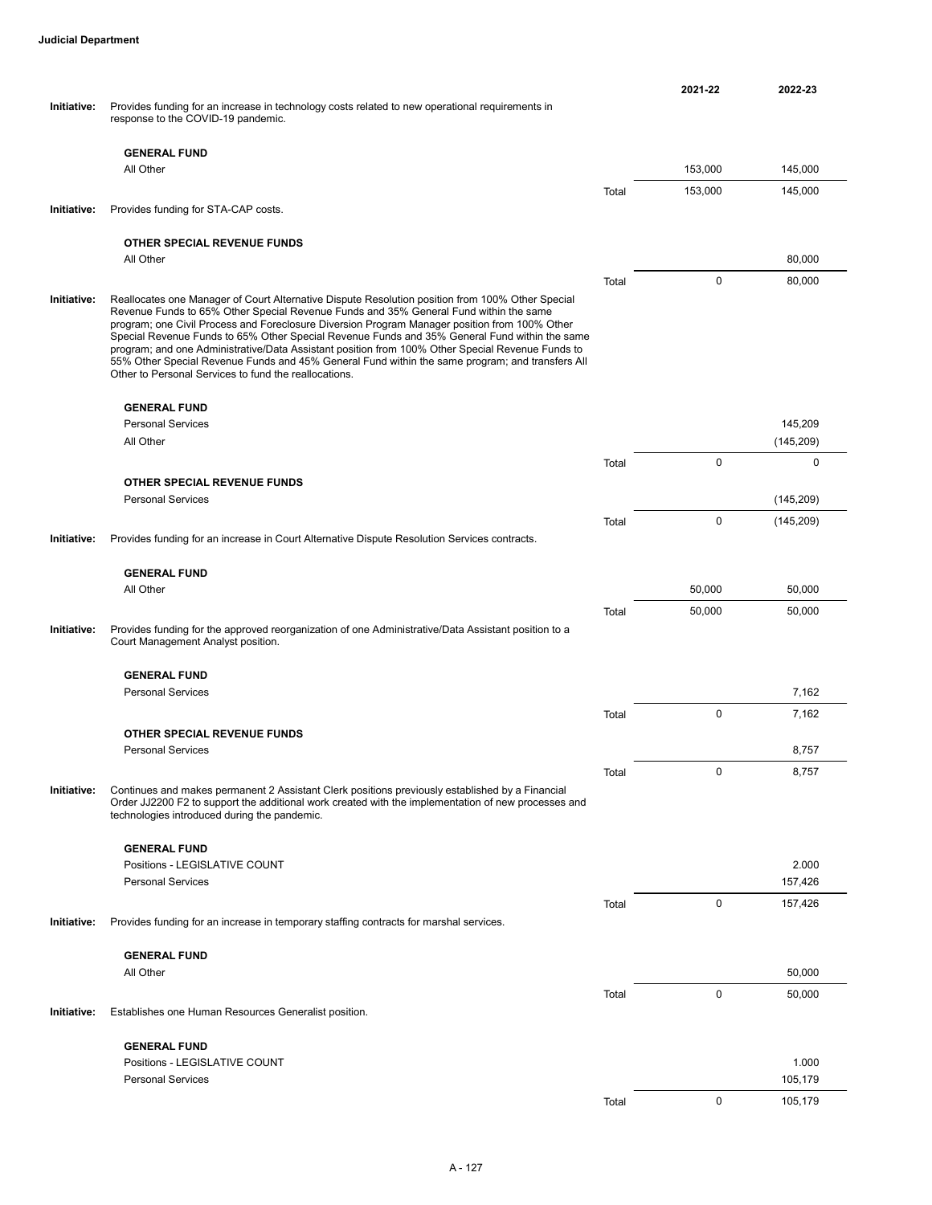|             |                                                                                                                                                                                                     |       | 2021-22      | 2022-23    |
|-------------|-----------------------------------------------------------------------------------------------------------------------------------------------------------------------------------------------------|-------|--------------|------------|
| Initiative: | Provides funding for an increase in technology costs related to new operational requirements in                                                                                                     |       |              |            |
|             | response to the COVID-19 pandemic.                                                                                                                                                                  |       |              |            |
|             | <b>GENERAL FUND</b>                                                                                                                                                                                 |       |              |            |
|             | All Other                                                                                                                                                                                           |       | 153,000      | 145,000    |
|             |                                                                                                                                                                                                     | Total | 153,000      | 145,000    |
| Initiative: | Provides funding for STA-CAP costs.                                                                                                                                                                 |       |              |            |
|             |                                                                                                                                                                                                     |       |              |            |
|             | OTHER SPECIAL REVENUE FUNDS                                                                                                                                                                         |       |              |            |
|             | All Other                                                                                                                                                                                           |       |              | 80,000     |
|             |                                                                                                                                                                                                     | Total | $\mathbf{0}$ | 80,000     |
| Initiative: | Reallocates one Manager of Court Alternative Dispute Resolution position from 100% Other Special                                                                                                    |       |              |            |
|             | Revenue Funds to 65% Other Special Revenue Funds and 35% General Fund within the same<br>program; one Civil Process and Foreclosure Diversion Program Manager position from 100% Other              |       |              |            |
|             | Special Revenue Funds to 65% Other Special Revenue Funds and 35% General Fund within the same                                                                                                       |       |              |            |
|             | program; and one Administrative/Data Assistant position from 100% Other Special Revenue Funds to<br>55% Other Special Revenue Funds and 45% General Fund within the same program; and transfers All |       |              |            |
|             | Other to Personal Services to fund the reallocations.                                                                                                                                               |       |              |            |
|             |                                                                                                                                                                                                     |       |              |            |
|             | <b>GENERAL FUND</b><br><b>Personal Services</b>                                                                                                                                                     |       |              | 145,209    |
|             | All Other                                                                                                                                                                                           |       |              | (145, 209) |
|             |                                                                                                                                                                                                     | Total | 0            | 0          |
|             | <b>OTHER SPECIAL REVENUE FUNDS</b>                                                                                                                                                                  |       |              |            |
|             | <b>Personal Services</b>                                                                                                                                                                            |       |              | (145, 209) |
|             |                                                                                                                                                                                                     | Total | $\mathbf 0$  | (145, 209) |
| Initiative: | Provides funding for an increase in Court Alternative Dispute Resolution Services contracts.                                                                                                        |       |              |            |
|             |                                                                                                                                                                                                     |       |              |            |
|             | <b>GENERAL FUND</b>                                                                                                                                                                                 |       |              |            |
|             | All Other                                                                                                                                                                                           |       | 50,000       | 50,000     |
|             |                                                                                                                                                                                                     | Total | 50,000       | 50,000     |
| Initiative: | Provides funding for the approved reorganization of one Administrative/Data Assistant position to a                                                                                                 |       |              |            |
|             | Court Management Analyst position.                                                                                                                                                                  |       |              |            |
|             | <b>GENERAL FUND</b>                                                                                                                                                                                 |       |              |            |
|             | <b>Personal Services</b>                                                                                                                                                                            |       |              | 7,162      |
|             |                                                                                                                                                                                                     | Total | 0            | 7,162      |
|             | <b>OTHER SPECIAL REVENUE FUNDS</b>                                                                                                                                                                  |       |              |            |
|             | <b>Personal Services</b>                                                                                                                                                                            |       |              | 8,757      |
|             |                                                                                                                                                                                                     | Total | 0            | 8,757      |
| Initiative: | Continues and makes permanent 2 Assistant Clerk positions previously established by a Financial                                                                                                     |       |              |            |
|             | Order JJ2200 F2 to support the additional work created with the implementation of new processes and<br>technologies introduced during the pandemic.                                                 |       |              |            |
|             |                                                                                                                                                                                                     |       |              |            |
|             | <b>GENERAL FUND</b>                                                                                                                                                                                 |       |              |            |
|             | Positions - LEGISLATIVE COUNT                                                                                                                                                                       |       |              | 2.000      |
|             | <b>Personal Services</b>                                                                                                                                                                            |       |              | 157,426    |
|             |                                                                                                                                                                                                     | Total | 0            | 157,426    |
| Initiative: | Provides funding for an increase in temporary staffing contracts for marshal services.                                                                                                              |       |              |            |
|             |                                                                                                                                                                                                     |       |              |            |
|             | <b>GENERAL FUND</b><br>All Other                                                                                                                                                                    |       |              | 50,000     |
|             |                                                                                                                                                                                                     |       |              |            |
|             |                                                                                                                                                                                                     | Total | $\mathbf 0$  | 50,000     |
| Initiative: | Establishes one Human Resources Generalist position.                                                                                                                                                |       |              |            |
|             | <b>GENERAL FUND</b>                                                                                                                                                                                 |       |              |            |
|             | Positions - LEGISLATIVE COUNT                                                                                                                                                                       |       |              | 1.000      |
|             | <b>Personal Services</b>                                                                                                                                                                            |       |              | 105,179    |
|             |                                                                                                                                                                                                     | Total | $\mathbf 0$  | 105,179    |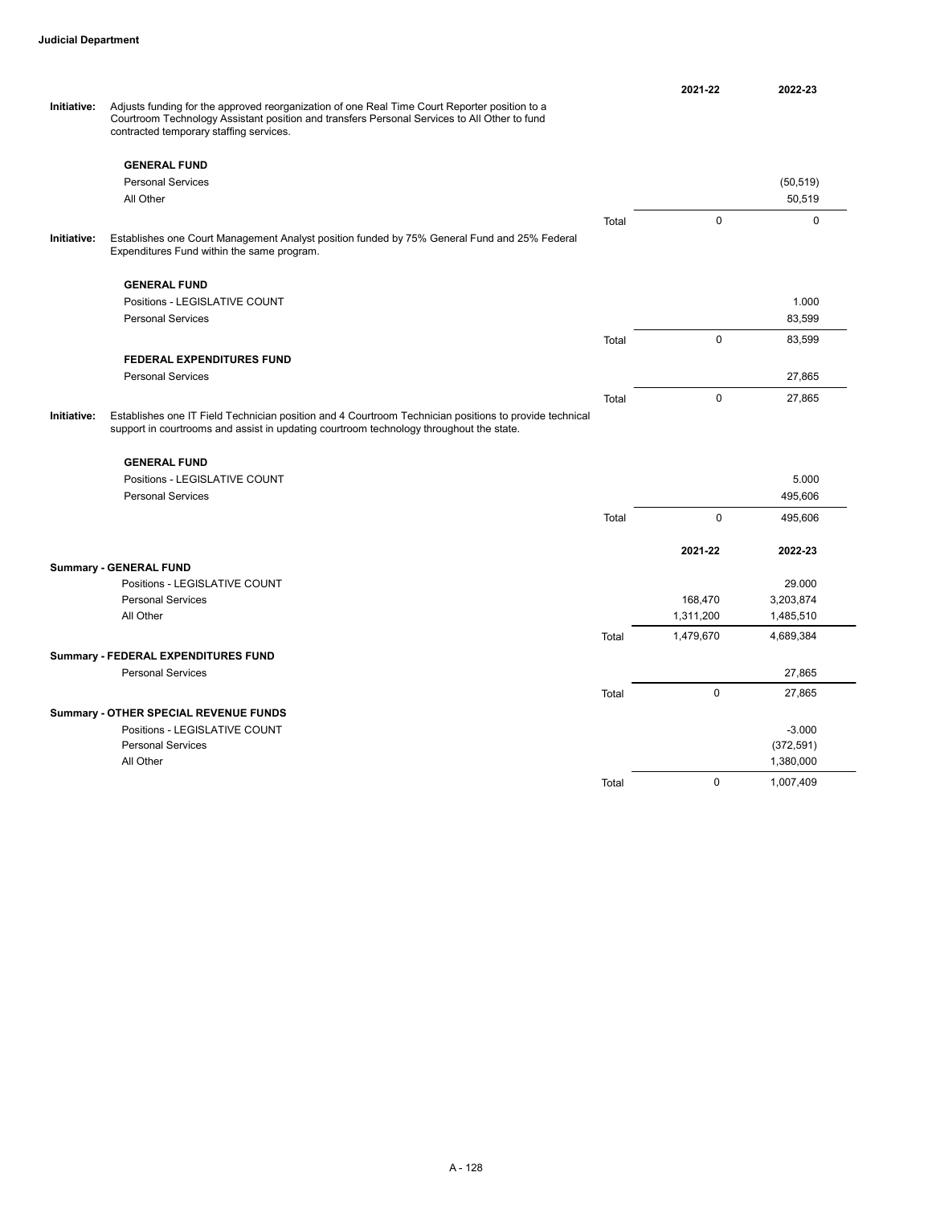|             |                                                                                                                                                                                                                                          |       | 2021-22      | 2022-23     |
|-------------|------------------------------------------------------------------------------------------------------------------------------------------------------------------------------------------------------------------------------------------|-------|--------------|-------------|
| Initiative: | Adjusts funding for the approved reorganization of one Real Time Court Reporter position to a<br>Courtroom Technology Assistant position and transfers Personal Services to All Other to fund<br>contracted temporary staffing services. |       |              |             |
|             | <b>GENERAL FUND</b>                                                                                                                                                                                                                      |       |              |             |
|             | <b>Personal Services</b>                                                                                                                                                                                                                 |       |              | (50, 519)   |
|             | All Other                                                                                                                                                                                                                                |       |              | 50,519      |
|             |                                                                                                                                                                                                                                          |       | $\mathbf{0}$ | $\mathbf 0$ |
| Initiative: | Establishes one Court Management Analyst position funded by 75% General Fund and 25% Federal<br>Expenditures Fund within the same program.                                                                                               | Total |              |             |
|             | <b>GENERAL FUND</b>                                                                                                                                                                                                                      |       |              |             |
|             | Positions - LEGISLATIVE COUNT                                                                                                                                                                                                            |       |              | 1.000       |
|             | <b>Personal Services</b>                                                                                                                                                                                                                 |       |              | 83,599      |
|             |                                                                                                                                                                                                                                          | Total | $\mathbf 0$  | 83,599      |
|             | <b>FEDERAL EXPENDITURES FUND</b>                                                                                                                                                                                                         |       |              |             |
|             | <b>Personal Services</b>                                                                                                                                                                                                                 |       |              | 27,865      |
|             |                                                                                                                                                                                                                                          |       | $\mathbf 0$  |             |
| Initiative: | Establishes one IT Field Technician position and 4 Courtroom Technician positions to provide technical<br>support in courtrooms and assist in updating courtroom technology throughout the state.                                        | Total |              | 27,865      |
|             |                                                                                                                                                                                                                                          |       |              |             |
|             | <b>GENERAL FUND</b>                                                                                                                                                                                                                      |       |              |             |
|             | Positions - LEGISLATIVE COUNT                                                                                                                                                                                                            |       |              | 5.000       |
|             | <b>Personal Services</b>                                                                                                                                                                                                                 |       |              | 495,606     |
|             |                                                                                                                                                                                                                                          | Total | $\mathbf 0$  | 495,606     |
|             |                                                                                                                                                                                                                                          |       | 2021-22      | 2022-23     |
|             | <b>Summary - GENERAL FUND</b>                                                                                                                                                                                                            |       |              |             |
|             | Positions - LEGISLATIVE COUNT                                                                                                                                                                                                            |       |              | 29.000      |
|             | <b>Personal Services</b>                                                                                                                                                                                                                 |       | 168,470      | 3,203,874   |
|             | All Other                                                                                                                                                                                                                                |       | 1,311,200    | 1,485,510   |
|             |                                                                                                                                                                                                                                          | Total | 1,479,670    | 4,689,384   |
|             | Summary - FEDERAL EXPENDITURES FUND                                                                                                                                                                                                      |       |              |             |
|             | <b>Personal Services</b>                                                                                                                                                                                                                 |       |              | 27,865      |
|             |                                                                                                                                                                                                                                          | Total | $\mathbf{0}$ | 27,865      |
|             | <b>Summary - OTHER SPECIAL REVENUE FUNDS</b>                                                                                                                                                                                             |       |              |             |
|             | Positions - LEGISLATIVE COUNT                                                                                                                                                                                                            |       |              | $-3.000$    |
|             | <b>Personal Services</b>                                                                                                                                                                                                                 |       |              | (372, 591)  |
|             | All Other                                                                                                                                                                                                                                |       |              | 1,380,000   |
|             |                                                                                                                                                                                                                                          | Total | $\mathbf 0$  | 1,007,409   |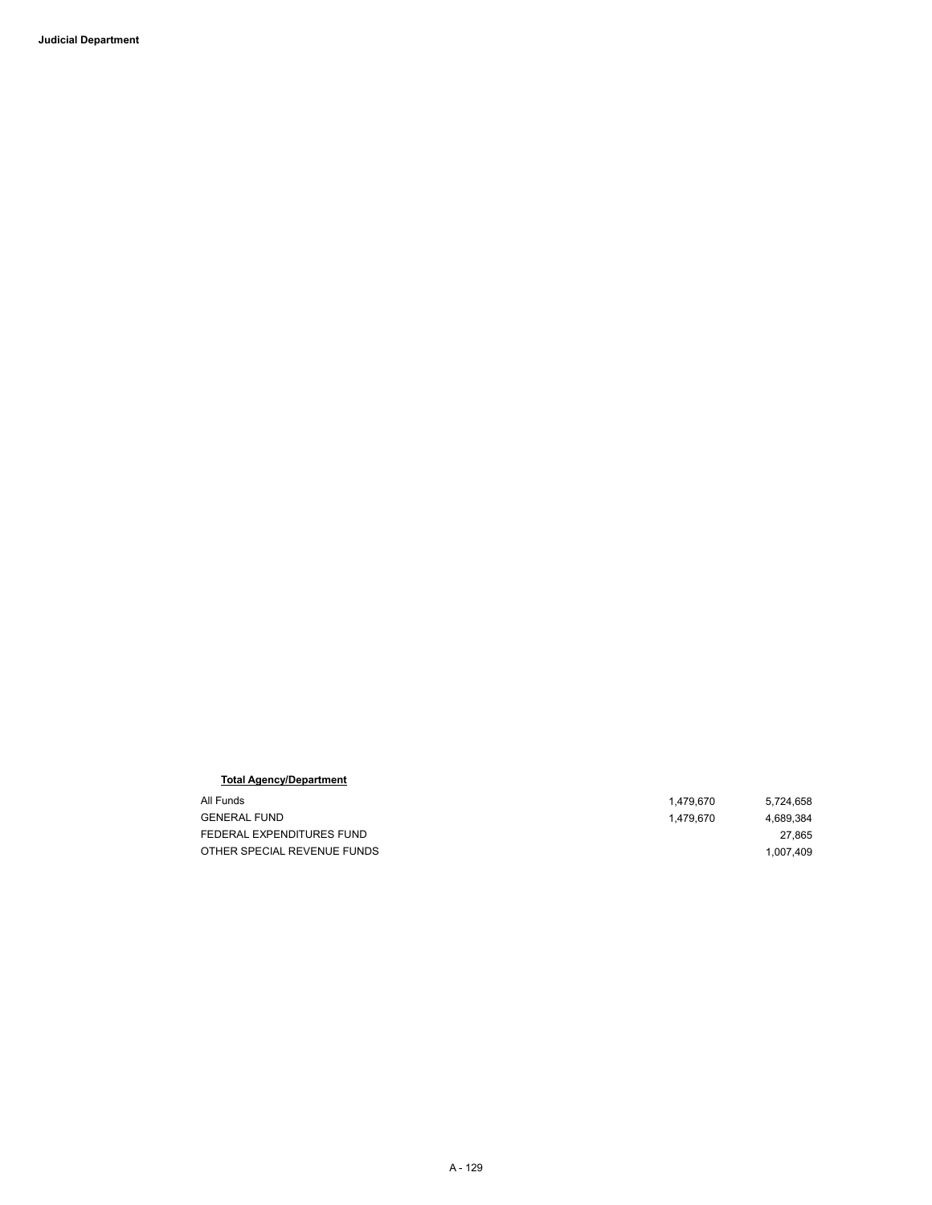Judicial Department

## Total Agency/Department

| 1.479.670 | 5,724,658 |
|-----------|-----------|
| 1.479.670 | 4,689,384 |
|           | 27,865    |
|           | 1,007,409 |
|           |           |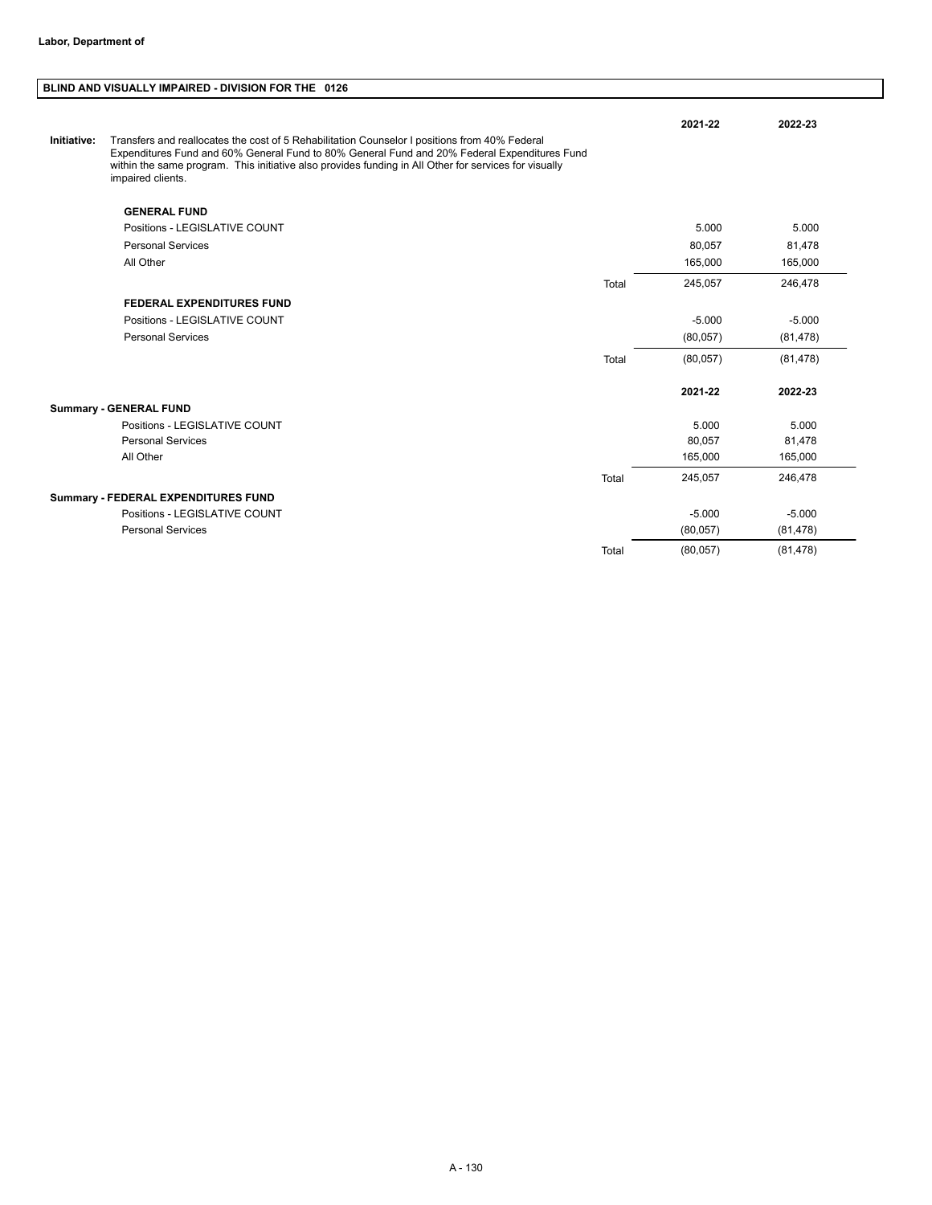|             | BLIND AND VISUALLY IMPAIRED - DIVISION FOR THE 0126                                                                                                                                                                                                                                                                         |       |           |           |
|-------------|-----------------------------------------------------------------------------------------------------------------------------------------------------------------------------------------------------------------------------------------------------------------------------------------------------------------------------|-------|-----------|-----------|
|             |                                                                                                                                                                                                                                                                                                                             |       | 2021-22   | 2022-23   |
| Initiative: | Transfers and reallocates the cost of 5 Rehabilitation Counselor I positions from 40% Federal<br>Expenditures Fund and 60% General Fund to 80% General Fund and 20% Federal Expenditures Fund<br>within the same program. This initiative also provides funding in All Other for services for visually<br>impaired clients. |       |           |           |
|             | <b>GENERAL FUND</b>                                                                                                                                                                                                                                                                                                         |       |           |           |
|             | Positions - LEGISLATIVE COUNT                                                                                                                                                                                                                                                                                               |       | 5.000     | 5.000     |
|             | <b>Personal Services</b>                                                                                                                                                                                                                                                                                                    |       | 80,057    | 81,478    |
|             | All Other                                                                                                                                                                                                                                                                                                                   |       | 165,000   | 165,000   |
|             |                                                                                                                                                                                                                                                                                                                             | Total | 245,057   | 246,478   |
|             | <b>FEDERAL EXPENDITURES FUND</b>                                                                                                                                                                                                                                                                                            |       |           |           |
|             | Positions - LEGISLATIVE COUNT                                                                                                                                                                                                                                                                                               |       | $-5.000$  | $-5.000$  |
|             | <b>Personal Services</b>                                                                                                                                                                                                                                                                                                    |       | (80, 057) | (81, 478) |
|             |                                                                                                                                                                                                                                                                                                                             | Total | (80, 057) | (81, 478) |
|             |                                                                                                                                                                                                                                                                                                                             |       | 2021-22   | 2022-23   |
|             | <b>Summary - GENERAL FUND</b>                                                                                                                                                                                                                                                                                               |       |           |           |
|             | Positions - LEGISLATIVE COUNT                                                                                                                                                                                                                                                                                               |       | 5.000     | 5.000     |
|             | <b>Personal Services</b>                                                                                                                                                                                                                                                                                                    |       | 80,057    | 81,478    |
|             | All Other                                                                                                                                                                                                                                                                                                                   |       | 165,000   | 165,000   |
|             |                                                                                                                                                                                                                                                                                                                             | Total | 245,057   | 246,478   |
|             | Summary - FEDERAL EXPENDITURES FUND                                                                                                                                                                                                                                                                                         |       |           |           |
|             | Positions - LEGISLATIVE COUNT                                                                                                                                                                                                                                                                                               |       | $-5.000$  | $-5.000$  |
|             | <b>Personal Services</b>                                                                                                                                                                                                                                                                                                    |       | (80, 057) | (81, 478) |
|             |                                                                                                                                                                                                                                                                                                                             | Total | (80, 057) | (81, 478) |
|             |                                                                                                                                                                                                                                                                                                                             |       |           |           |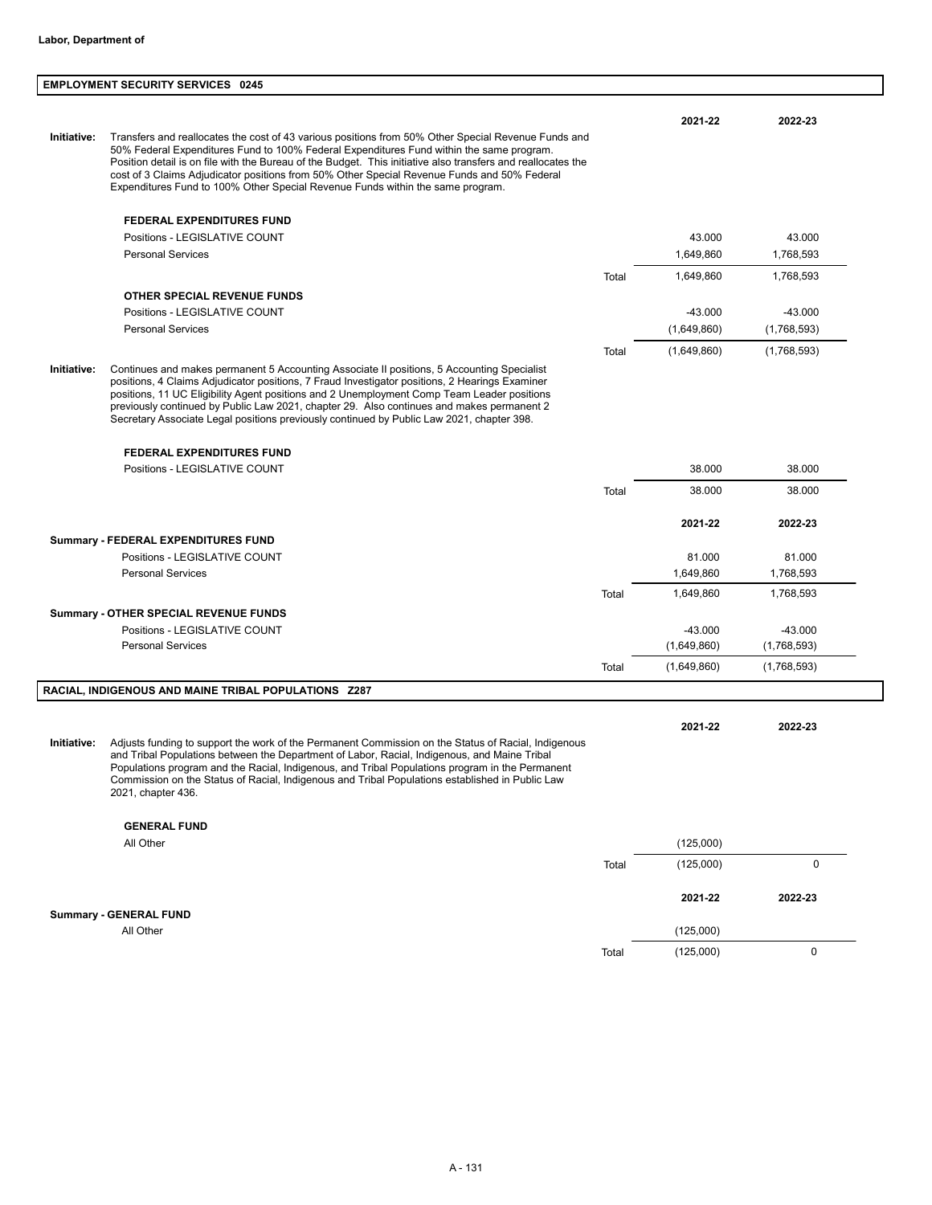|             | <b>EMPLOYMENT SECURITY SERVICES 0245</b>                                                                                                                                                                                                                                                                                                                                                                                                                                                         |       |             |             |  |
|-------------|--------------------------------------------------------------------------------------------------------------------------------------------------------------------------------------------------------------------------------------------------------------------------------------------------------------------------------------------------------------------------------------------------------------------------------------------------------------------------------------------------|-------|-------------|-------------|--|
|             |                                                                                                                                                                                                                                                                                                                                                                                                                                                                                                  |       |             |             |  |
|             |                                                                                                                                                                                                                                                                                                                                                                                                                                                                                                  |       | 2021-22     | 2022-23     |  |
| Initiative: | Transfers and reallocates the cost of 43 various positions from 50% Other Special Revenue Funds and<br>50% Federal Expenditures Fund to 100% Federal Expenditures Fund within the same program.<br>Position detail is on file with the Bureau of the Budget. This initiative also transfers and reallocates the<br>cost of 3 Claims Adjudicator positions from 50% Other Special Revenue Funds and 50% Federal<br>Expenditures Fund to 100% Other Special Revenue Funds within the same program. |       |             |             |  |
|             | <b>FEDERAL EXPENDITURES FUND</b>                                                                                                                                                                                                                                                                                                                                                                                                                                                                 |       |             |             |  |
|             | Positions - LEGISLATIVE COUNT                                                                                                                                                                                                                                                                                                                                                                                                                                                                    |       | 43.000      | 43.000      |  |
|             | <b>Personal Services</b>                                                                                                                                                                                                                                                                                                                                                                                                                                                                         |       | 1,649,860   | 1,768,593   |  |
|             |                                                                                                                                                                                                                                                                                                                                                                                                                                                                                                  |       |             |             |  |
|             |                                                                                                                                                                                                                                                                                                                                                                                                                                                                                                  | Total | 1,649,860   | 1,768,593   |  |
|             | OTHER SPECIAL REVENUE FUNDS                                                                                                                                                                                                                                                                                                                                                                                                                                                                      |       |             |             |  |
|             | Positions - LEGISLATIVE COUNT                                                                                                                                                                                                                                                                                                                                                                                                                                                                    |       | $-43.000$   | $-43.000$   |  |
|             | <b>Personal Services</b>                                                                                                                                                                                                                                                                                                                                                                                                                                                                         |       | (1,649,860) | (1,768,593) |  |
|             |                                                                                                                                                                                                                                                                                                                                                                                                                                                                                                  | Total | (1,649,860) | (1,768,593) |  |
| Initiative: | Continues and makes permanent 5 Accounting Associate II positions, 5 Accounting Specialist<br>positions, 4 Claims Adjudicator positions, 7 Fraud Investigator positions, 2 Hearings Examiner<br>positions, 11 UC Eligibility Agent positions and 2 Unemployment Comp Team Leader positions<br>previously continued by Public Law 2021, chapter 29. Also continues and makes permanent 2<br>Secretary Associate Legal positions previously continued by Public Law 2021, chapter 398.             |       |             |             |  |
|             | <b>FEDERAL EXPENDITURES FUND</b>                                                                                                                                                                                                                                                                                                                                                                                                                                                                 |       |             |             |  |
|             | Positions - LEGISLATIVE COUNT                                                                                                                                                                                                                                                                                                                                                                                                                                                                    |       | 38.000      | 38.000      |  |
|             |                                                                                                                                                                                                                                                                                                                                                                                                                                                                                                  |       |             |             |  |
|             |                                                                                                                                                                                                                                                                                                                                                                                                                                                                                                  | Total | 38.000      | 38.000      |  |
|             |                                                                                                                                                                                                                                                                                                                                                                                                                                                                                                  |       | 2021-22     | 2022-23     |  |
|             | Summary - FEDERAL EXPENDITURES FUND                                                                                                                                                                                                                                                                                                                                                                                                                                                              |       |             |             |  |
|             | Positions - LEGISLATIVE COUNT                                                                                                                                                                                                                                                                                                                                                                                                                                                                    |       | 81.000      | 81.000      |  |
|             | <b>Personal Services</b>                                                                                                                                                                                                                                                                                                                                                                                                                                                                         |       | 1,649,860   | 1,768,593   |  |
|             |                                                                                                                                                                                                                                                                                                                                                                                                                                                                                                  | Total | 1,649,860   | 1,768,593   |  |
|             | <b>Summary - OTHER SPECIAL REVENUE FUNDS</b>                                                                                                                                                                                                                                                                                                                                                                                                                                                     |       |             |             |  |
|             | Positions - LEGISLATIVE COUNT                                                                                                                                                                                                                                                                                                                                                                                                                                                                    |       | $-43.000$   | $-43.000$   |  |
|             | <b>Personal Services</b>                                                                                                                                                                                                                                                                                                                                                                                                                                                                         |       | (1,649,860) | (1,768,593) |  |
|             |                                                                                                                                                                                                                                                                                                                                                                                                                                                                                                  | Total | (1,649,860) | (1,768,593) |  |
|             | RACIAL, INDIGENOUS AND MAINE TRIBAL POPULATIONS Z287                                                                                                                                                                                                                                                                                                                                                                                                                                             |       |             |             |  |
|             |                                                                                                                                                                                                                                                                                                                                                                                                                                                                                                  |       |             |             |  |
| Initiative: | Adjusts funding to support the work of the Permanent Commission on the Status of Racial, Indigenous<br>and Tribal Populations between the Department of Labor, Racial, Indigenous, and Maine Tribal<br>Populations program and the Racial, Indigenous, and Tribal Populations program in the Permanent<br>Commission on the Status of Racial, Indigenous and Tribal Populations established in Public Law<br>2021, chapter 436.                                                                  |       | 2021-22     | 2022-23     |  |
|             |                                                                                                                                                                                                                                                                                                                                                                                                                                                                                                  |       |             |             |  |
|             | <b>GENERAL FUND</b><br>All Other                                                                                                                                                                                                                                                                                                                                                                                                                                                                 |       |             |             |  |
|             |                                                                                                                                                                                                                                                                                                                                                                                                                                                                                                  |       | (125,000)   |             |  |
|             |                                                                                                                                                                                                                                                                                                                                                                                                                                                                                                  | Total | (125,000)   | 0           |  |
|             | <b>Summary - GENERAL FUND</b>                                                                                                                                                                                                                                                                                                                                                                                                                                                                    |       | 2021-22     | 2022-23     |  |
|             | All Other                                                                                                                                                                                                                                                                                                                                                                                                                                                                                        |       | (125,000)   |             |  |
|             |                                                                                                                                                                                                                                                                                                                                                                                                                                                                                                  | Total | (125,000)   | $\mathbf 0$ |  |
|             |                                                                                                                                                                                                                                                                                                                                                                                                                                                                                                  |       |             |             |  |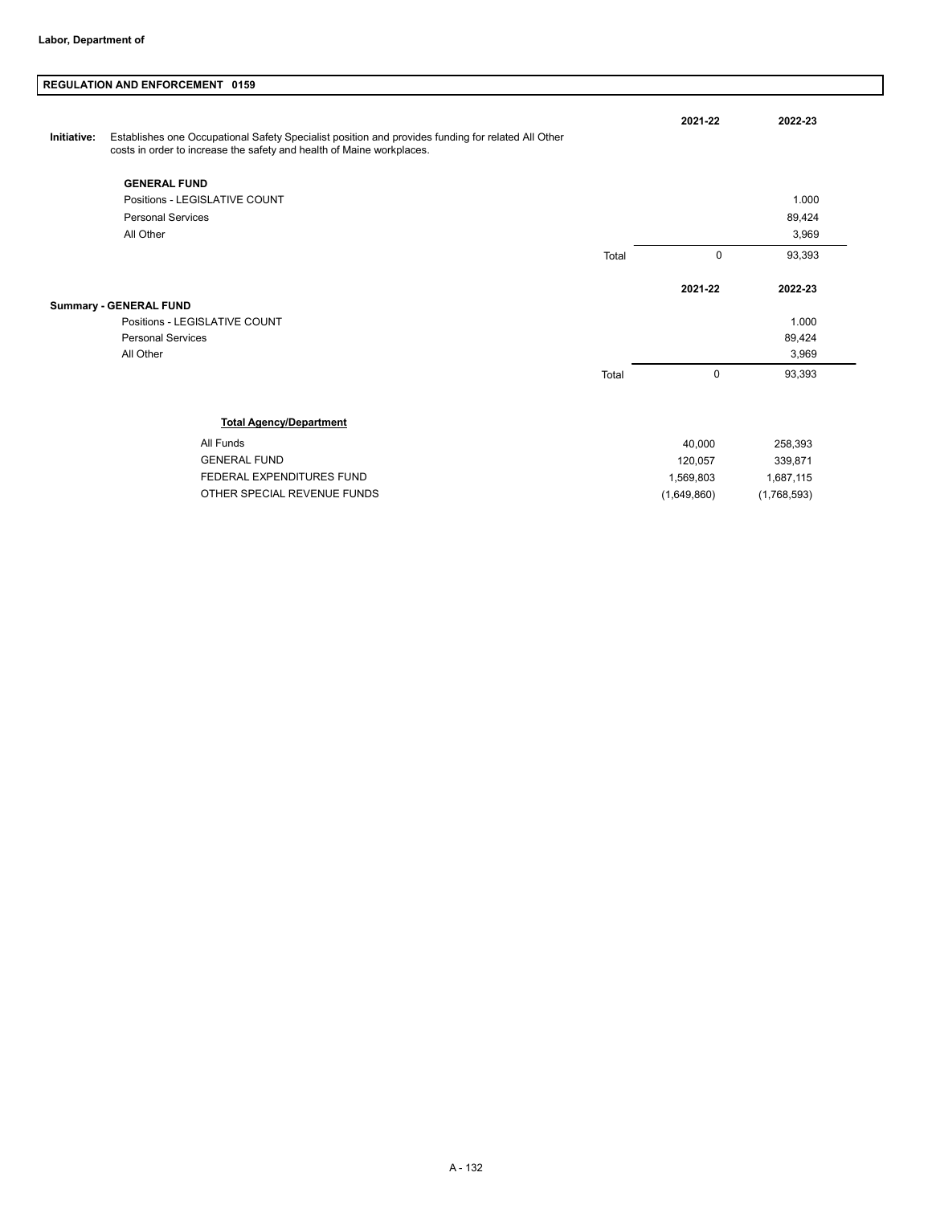|             | <b>REGULATION AND ENFORCEMENT 0159</b>                                                                                                                                      |       |             |         |  |
|-------------|-----------------------------------------------------------------------------------------------------------------------------------------------------------------------------|-------|-------------|---------|--|
| Initiative: | Establishes one Occupational Safety Specialist position and provides funding for related All Other<br>costs in order to increase the safety and health of Maine workplaces. |       | 2021-22     | 2022-23 |  |
|             | <b>GENERAL FUND</b>                                                                                                                                                         |       |             |         |  |
|             | Positions - LEGISLATIVE COUNT                                                                                                                                               |       |             | 1.000   |  |
|             | <b>Personal Services</b>                                                                                                                                                    |       |             | 89,424  |  |
|             | All Other                                                                                                                                                                   |       |             | 3,969   |  |
|             |                                                                                                                                                                             | Total | $\mathbf 0$ | 93,393  |  |
|             |                                                                                                                                                                             |       | 2021-22     | 2022-23 |  |
|             | <b>Summary - GENERAL FUND</b>                                                                                                                                               |       |             |         |  |
|             | Positions - LEGISLATIVE COUNT                                                                                                                                               |       |             | 1.000   |  |
|             | <b>Personal Services</b>                                                                                                                                                    |       |             | 89,424  |  |
|             | All Other                                                                                                                                                                   |       |             | 3,969   |  |
|             |                                                                                                                                                                             | Total | 0           | 93,393  |  |
|             | <b>Total Agency/Department</b>                                                                                                                                              |       |             |         |  |

| All Funds                   | 40.000      | 258,393     |
|-----------------------------|-------------|-------------|
| <b>GENERAL FUND</b>         | 120.057     | 339.871     |
| FEDERAL EXPENDITURES FUND   | 1.569.803   | 1.687.115   |
| OTHER SPECIAL REVENUE FUNDS | (1.649.860) | (1,768,593) |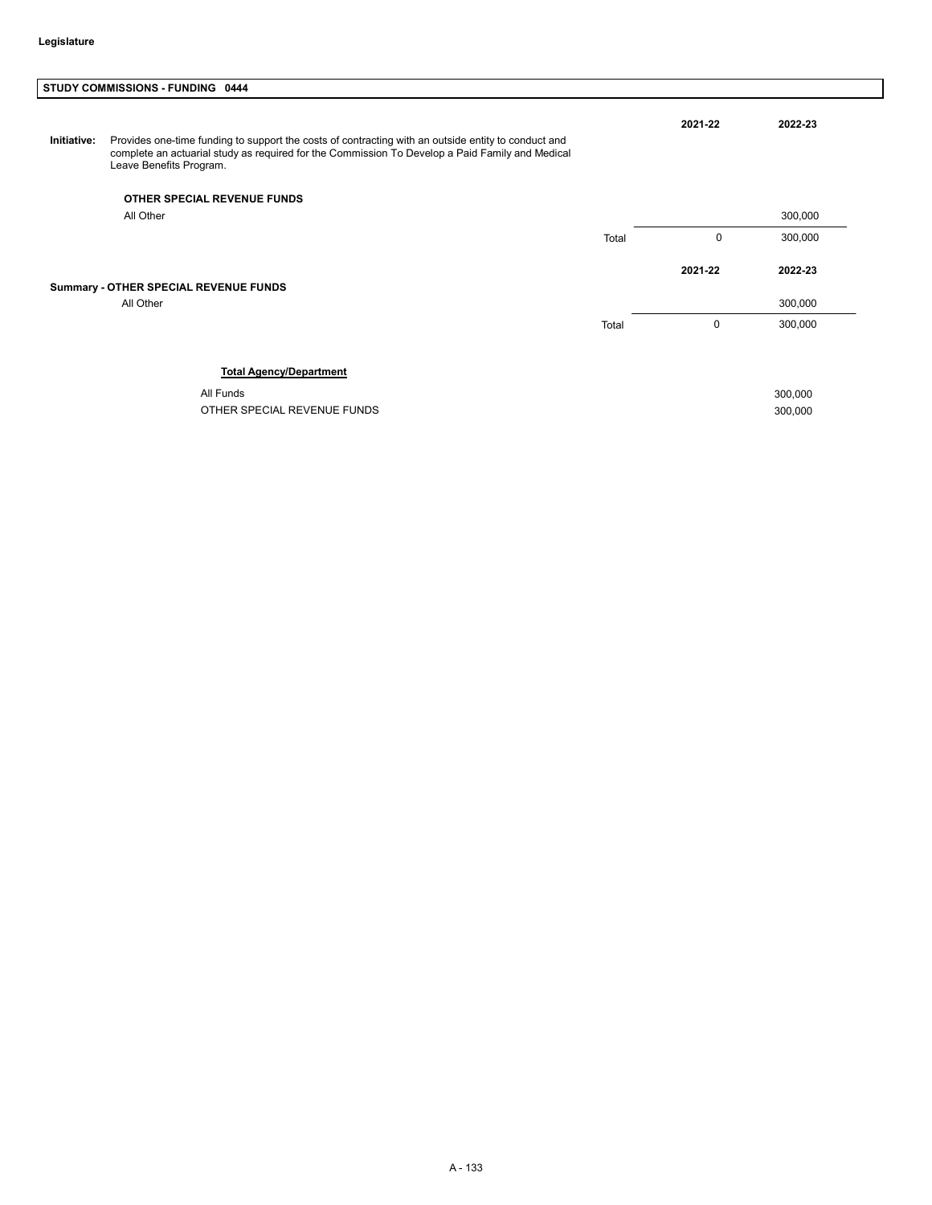|             | STUDY COMMISSIONS - FUNDING 0444                                                                                                                                                                                                  |       |          |         |  |  |
|-------------|-----------------------------------------------------------------------------------------------------------------------------------------------------------------------------------------------------------------------------------|-------|----------|---------|--|--|
| Initiative: | Provides one-time funding to support the costs of contracting with an outside entity to conduct and<br>complete an actuarial study as required for the Commission To Develop a Paid Family and Medical<br>Leave Benefits Program. |       | 2021-22  | 2022-23 |  |  |
|             | OTHER SPECIAL REVENUE FUNDS                                                                                                                                                                                                       |       |          |         |  |  |
|             | All Other                                                                                                                                                                                                                         |       |          | 300,000 |  |  |
|             |                                                                                                                                                                                                                                   | Total | $\Omega$ | 300,000 |  |  |
|             | <b>Summary - OTHER SPECIAL REVENUE FUNDS</b>                                                                                                                                                                                      |       | 2021-22  | 2022-23 |  |  |
|             | All Other                                                                                                                                                                                                                         |       |          | 300,000 |  |  |
|             |                                                                                                                                                                                                                                   | Total | 0        | 300,000 |  |  |
|             | <b>Total Agency/Department</b>                                                                                                                                                                                                    |       |          |         |  |  |

All Funds 300,000 OTHER SPECIAL REVENUE FUNDS 300,000

A - 133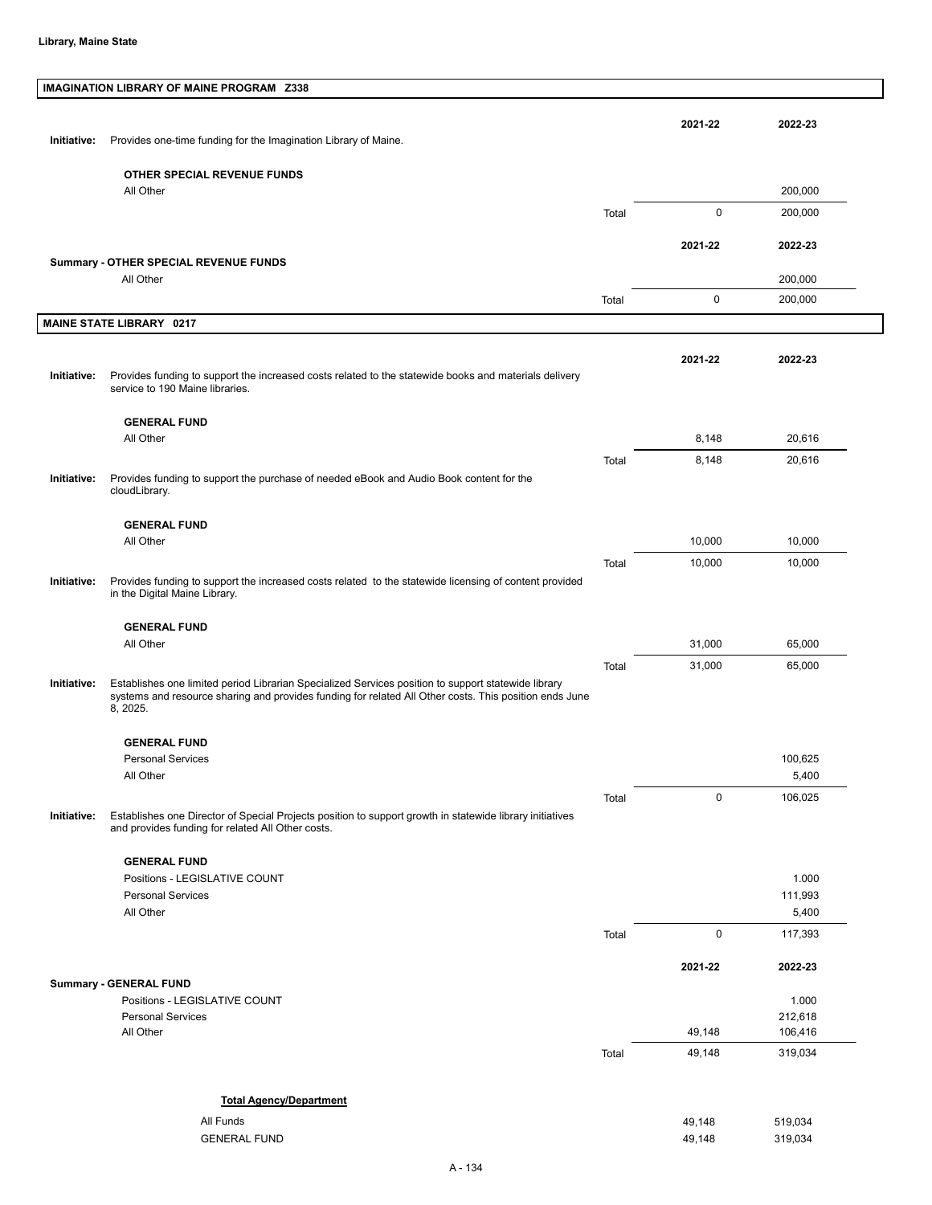|             | IMAGINATION LIBRARY OF MAINE PROGRAM Z338                                                                |       |         |                    |  |
|-------------|----------------------------------------------------------------------------------------------------------|-------|---------|--------------------|--|
|             |                                                                                                          |       |         |                    |  |
|             |                                                                                                          |       | 2021-22 | 2022-23            |  |
| Initiative: | Provides one-time funding for the Imagination Library of Maine.                                          |       |         |                    |  |
|             |                                                                                                          |       |         |                    |  |
|             | <b>OTHER SPECIAL REVENUE FUNDS</b>                                                                       |       |         |                    |  |
|             | All Other                                                                                                |       |         | 200,000            |  |
|             |                                                                                                          | Total | 0       | 200,000            |  |
|             |                                                                                                          |       |         |                    |  |
|             |                                                                                                          |       | 2021-22 | 2022-23            |  |
|             | Summary - OTHER SPECIAL REVENUE FUNDS                                                                    |       |         |                    |  |
|             | All Other                                                                                                |       |         | 200,000            |  |
|             |                                                                                                          | Total | 0       | 200,000            |  |
|             | <b>MAINE STATE LIBRARY 0217</b>                                                                          |       |         |                    |  |
|             |                                                                                                          |       |         |                    |  |
|             |                                                                                                          |       | 2021-22 | 2022-23            |  |
| Initiative: | Provides funding to support the increased costs related to the statewide books and materials delivery    |       |         |                    |  |
|             | service to 190 Maine libraries.                                                                          |       |         |                    |  |
|             |                                                                                                          |       |         |                    |  |
|             | <b>GENERAL FUND</b>                                                                                      |       |         |                    |  |
|             | All Other                                                                                                |       | 8,148   | 20,616             |  |
|             |                                                                                                          | Total | 8,148   | 20,616             |  |
| Initiative: | Provides funding to support the purchase of needed eBook and Audio Book content for the<br>cloudLibrary. |       |         |                    |  |
|             |                                                                                                          |       |         |                    |  |
|             | <b>GENERAL FUND</b>                                                                                      |       |         |                    |  |
|             | All Other                                                                                                |       | 10,000  | 10,000             |  |
|             |                                                                                                          | Total | 10,000  | 10,000             |  |
| Initiative: | Provides funding to support the increased costs related to the statewide licensing of content provided   |       |         |                    |  |
|             | in the Digital Maine Library.                                                                            |       |         |                    |  |
|             |                                                                                                          |       |         |                    |  |
|             | <b>GENERAL FUND</b>                                                                                      |       |         |                    |  |
|             | All Other                                                                                                |       | 31,000  | 65,000             |  |
|             |                                                                                                          | Total | 31,000  | 65,000             |  |
| Initiative: | Establishes one limited period Librarian Specialized Services position to support statewide library      |       |         |                    |  |
|             | systems and resource sharing and provides funding for related All Other costs. This position ends June   |       |         |                    |  |
|             | 8, 2025.                                                                                                 |       |         |                    |  |
|             | <b>GENERAL FUND</b>                                                                                      |       |         |                    |  |
|             | <b>Personal Services</b>                                                                                 |       |         | 100,625            |  |
|             | All Other                                                                                                |       |         | 5,400              |  |
|             |                                                                                                          |       | 0       | 106,025            |  |
| Initiative: | Establishes one Director of Special Projects position to support growth in statewide library initiatives | Total |         |                    |  |
|             | and provides funding for related All Other costs.                                                        |       |         |                    |  |
|             |                                                                                                          |       |         |                    |  |
|             | <b>GENERAL FUND</b>                                                                                      |       |         |                    |  |
|             | Positions - LEGISLATIVE COUNT                                                                            |       |         | 1.000              |  |
|             | <b>Personal Services</b>                                                                                 |       |         | 111,993            |  |
|             | All Other                                                                                                |       |         | 5,400              |  |
|             |                                                                                                          | Total | 0       | 117,393            |  |
|             |                                                                                                          |       |         |                    |  |
|             |                                                                                                          |       | 2021-22 | 2022-23            |  |
|             | <b>Summary - GENERAL FUND</b>                                                                            |       |         |                    |  |
|             | Positions - LEGISLATIVE COUNT                                                                            |       |         | 1.000              |  |
|             | <b>Personal Services</b><br>All Other                                                                    |       | 49,148  | 212,618<br>106,416 |  |
|             |                                                                                                          |       |         |                    |  |
|             |                                                                                                          | Total | 49,148  | 319,034            |  |
|             |                                                                                                          |       |         |                    |  |
|             | <b>Total Agency/Department</b>                                                                           |       |         |                    |  |
|             | All Funds                                                                                                |       | 49,148  | 519,034            |  |
|             | <b>GENERAL FUND</b>                                                                                      |       | 49,148  | 319,034            |  |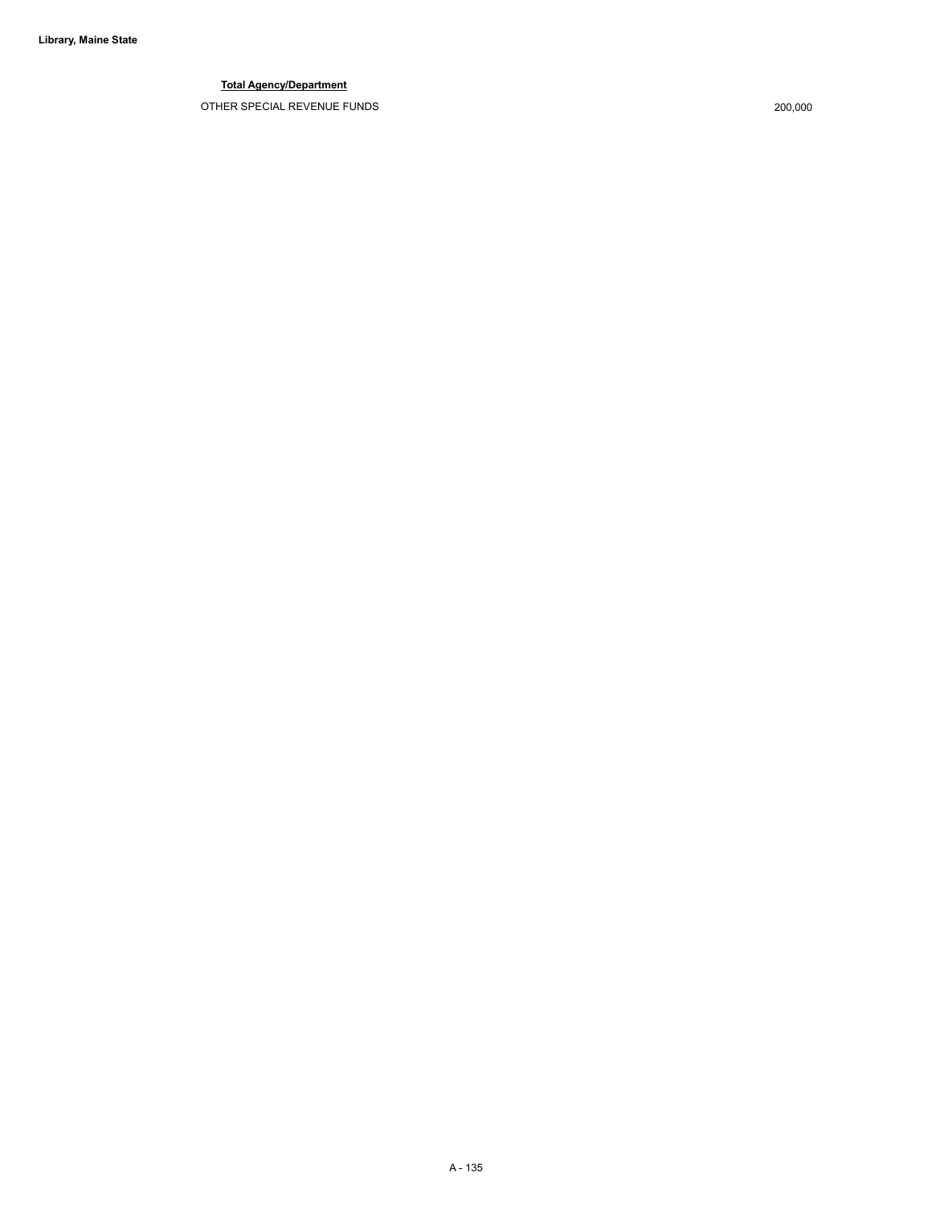## Total Agency/Department

OTHER SPECIAL REVENUE FUNDS 200,000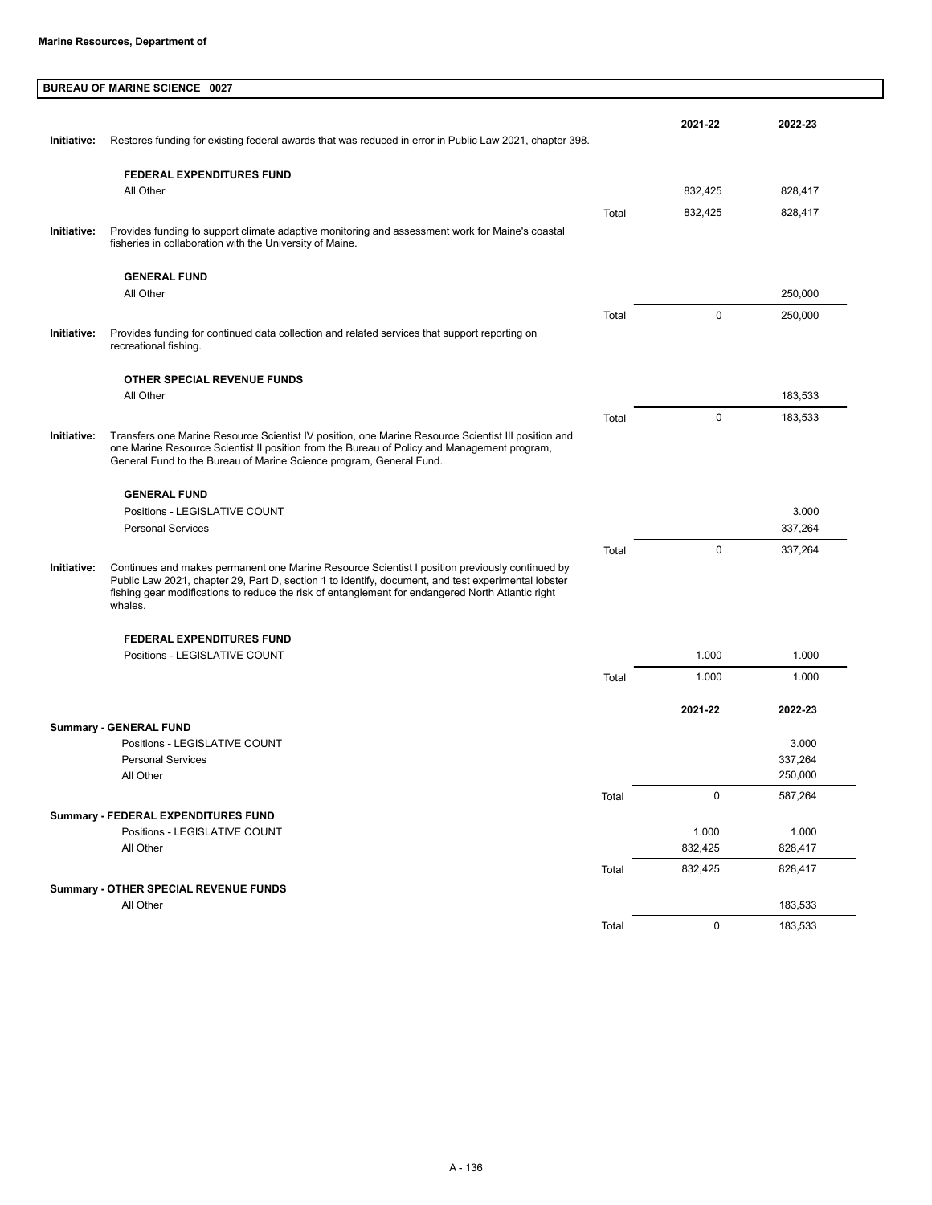|             | <b>BUREAU OF MARINE SCIENCE 0027</b>                                                                                                                                                                                                                                                                                  |       |             |                    |
|-------------|-----------------------------------------------------------------------------------------------------------------------------------------------------------------------------------------------------------------------------------------------------------------------------------------------------------------------|-------|-------------|--------------------|
|             |                                                                                                                                                                                                                                                                                                                       |       |             |                    |
| Initiative: | Restores funding for existing federal awards that was reduced in error in Public Law 2021, chapter 398.                                                                                                                                                                                                               |       | 2021-22     | 2022-23            |
|             | <b>FEDERAL EXPENDITURES FUND</b>                                                                                                                                                                                                                                                                                      |       |             |                    |
|             | All Other                                                                                                                                                                                                                                                                                                             |       | 832,425     | 828,417            |
|             |                                                                                                                                                                                                                                                                                                                       | Total | 832,425     | 828,417            |
| Initiative: | Provides funding to support climate adaptive monitoring and assessment work for Maine's coastal<br>fisheries in collaboration with the University of Maine.                                                                                                                                                           |       |             |                    |
|             | <b>GENERAL FUND</b>                                                                                                                                                                                                                                                                                                   |       |             |                    |
|             | All Other                                                                                                                                                                                                                                                                                                             |       |             | 250,000            |
|             |                                                                                                                                                                                                                                                                                                                       | Total | $\mathbf 0$ | 250,000            |
| Initiative: | Provides funding for continued data collection and related services that support reporting on<br>recreational fishing.                                                                                                                                                                                                |       |             |                    |
|             | OTHER SPECIAL REVENUE FUNDS                                                                                                                                                                                                                                                                                           |       |             |                    |
|             | All Other                                                                                                                                                                                                                                                                                                             |       |             | 183,533            |
|             |                                                                                                                                                                                                                                                                                                                       | Total | $\mathbf 0$ | 183,533            |
| Initiative: | Transfers one Marine Resource Scientist IV position, one Marine Resource Scientist III position and<br>one Marine Resource Scientist II position from the Bureau of Policy and Management program,<br>General Fund to the Bureau of Marine Science program, General Fund.                                             |       |             |                    |
|             | <b>GENERAL FUND</b>                                                                                                                                                                                                                                                                                                   |       |             |                    |
|             | Positions - LEGISLATIVE COUNT                                                                                                                                                                                                                                                                                         |       |             | 3.000              |
|             | <b>Personal Services</b>                                                                                                                                                                                                                                                                                              |       |             | 337,264            |
|             |                                                                                                                                                                                                                                                                                                                       | Total | $\mathbf 0$ | 337,264            |
| Initiative: | Continues and makes permanent one Marine Resource Scientist I position previously continued by<br>Public Law 2021, chapter 29, Part D, section 1 to identify, document, and test experimental lobster<br>fishing gear modifications to reduce the risk of entanglement for endangered North Atlantic right<br>whales. |       |             |                    |
|             | <b>FEDERAL EXPENDITURES FUND</b>                                                                                                                                                                                                                                                                                      |       |             |                    |
|             | Positions - LEGISLATIVE COUNT                                                                                                                                                                                                                                                                                         |       | 1.000       | 1.000              |
|             |                                                                                                                                                                                                                                                                                                                       | Total | 1.000       | 1.000              |
|             |                                                                                                                                                                                                                                                                                                                       |       | 2021-22     | 2022-23            |
|             | <b>Summary - GENERAL FUND</b>                                                                                                                                                                                                                                                                                         |       |             |                    |
|             | Positions - LEGISLATIVE COUNT                                                                                                                                                                                                                                                                                         |       |             | 3.000              |
|             | <b>Personal Services</b><br>All Other                                                                                                                                                                                                                                                                                 |       |             | 337,264<br>250,000 |
|             |                                                                                                                                                                                                                                                                                                                       | Total | $\pmb{0}$   | 587,264            |
|             | Summary - FEDERAL EXPENDITURES FUND                                                                                                                                                                                                                                                                                   |       |             |                    |
|             | Positions - LEGISLATIVE COUNT                                                                                                                                                                                                                                                                                         |       | 1.000       | 1.000              |
|             | All Other                                                                                                                                                                                                                                                                                                             |       | 832,425     | 828,417            |
|             |                                                                                                                                                                                                                                                                                                                       | Total | 832,425     | 828,417            |
|             | Summary - OTHER SPECIAL REVENUE FUNDS                                                                                                                                                                                                                                                                                 |       |             |                    |
|             | All Other                                                                                                                                                                                                                                                                                                             |       |             | 183,533            |
|             |                                                                                                                                                                                                                                                                                                                       | Total | 0           | 183,533            |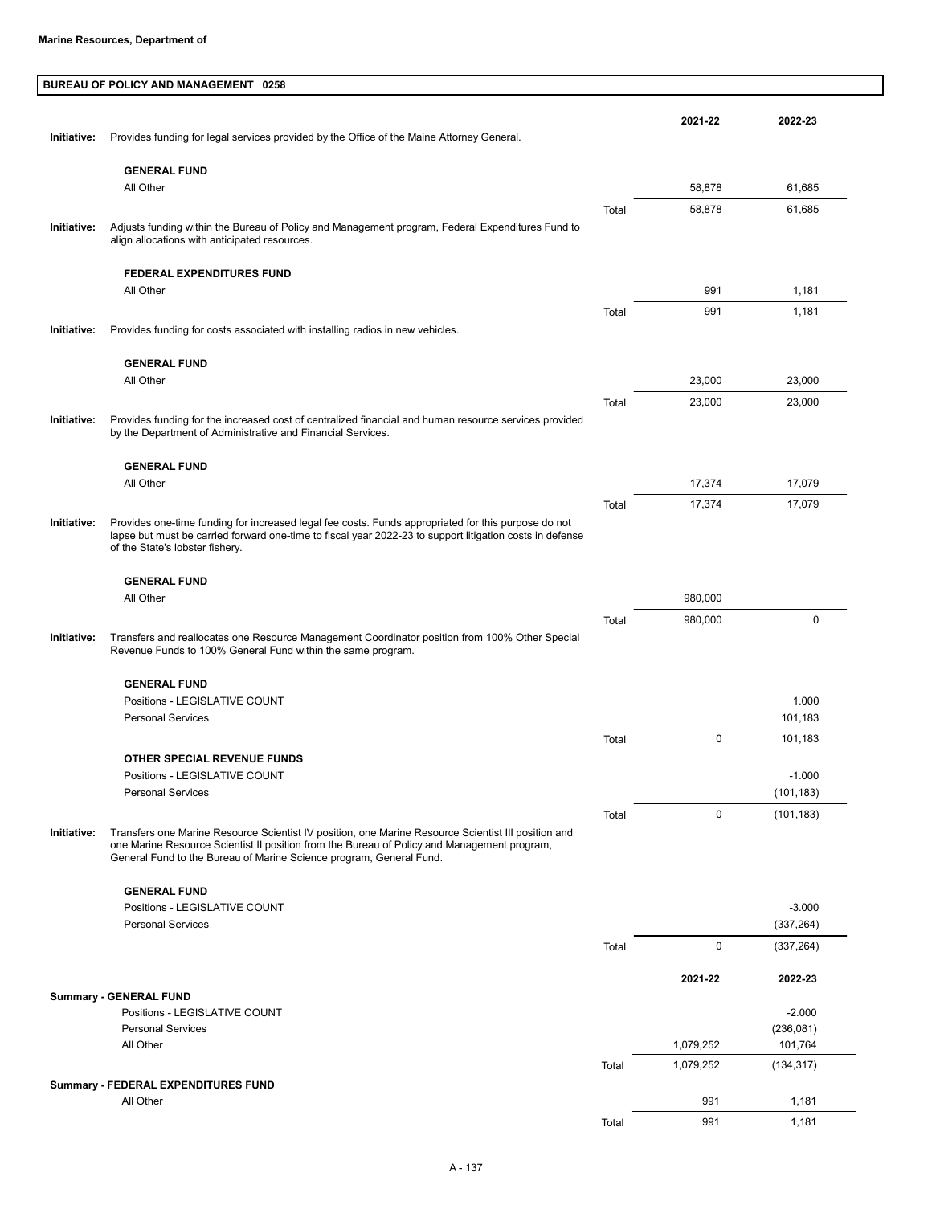|             | BUREAU OF POLICY AND MANAGEMENT 0258                                                                                                                                                                                                                                      |       |           |             |
|-------------|---------------------------------------------------------------------------------------------------------------------------------------------------------------------------------------------------------------------------------------------------------------------------|-------|-----------|-------------|
|             |                                                                                                                                                                                                                                                                           |       | 2021-22   | 2022-23     |
| Initiative: | Provides funding for legal services provided by the Office of the Maine Attorney General.                                                                                                                                                                                 |       |           |             |
|             | <b>GENERAL FUND</b>                                                                                                                                                                                                                                                       |       |           |             |
|             | All Other                                                                                                                                                                                                                                                                 |       | 58,878    | 61,685      |
|             |                                                                                                                                                                                                                                                                           | Total | 58,878    | 61,685      |
| Initiative: | Adjusts funding within the Bureau of Policy and Management program, Federal Expenditures Fund to<br>align allocations with anticipated resources.                                                                                                                         |       |           |             |
|             | <b>FEDERAL EXPENDITURES FUND</b>                                                                                                                                                                                                                                          |       |           |             |
|             | All Other                                                                                                                                                                                                                                                                 |       | 991       | 1,181       |
|             |                                                                                                                                                                                                                                                                           | Total | 991       | 1,181       |
| Initiative: | Provides funding for costs associated with installing radios in new vehicles.                                                                                                                                                                                             |       |           |             |
|             |                                                                                                                                                                                                                                                                           |       |           |             |
|             | <b>GENERAL FUND</b>                                                                                                                                                                                                                                                       |       |           |             |
|             | All Other                                                                                                                                                                                                                                                                 |       | 23,000    | 23,000      |
|             |                                                                                                                                                                                                                                                                           | Total | 23,000    | 23,000      |
| Initiative: | Provides funding for the increased cost of centralized financial and human resource services provided                                                                                                                                                                     |       |           |             |
|             | by the Department of Administrative and Financial Services.                                                                                                                                                                                                               |       |           |             |
|             |                                                                                                                                                                                                                                                                           |       |           |             |
|             | <b>GENERAL FUND</b><br>All Other                                                                                                                                                                                                                                          |       | 17,374    | 17,079      |
|             |                                                                                                                                                                                                                                                                           |       |           |             |
|             |                                                                                                                                                                                                                                                                           | Total | 17,374    | 17,079      |
| Initiative: | Provides one-time funding for increased legal fee costs. Funds appropriated for this purpose do not<br>lapse but must be carried forward one-time to fiscal year 2022-23 to support litigation costs in defense<br>of the State's lobster fishery.                        |       |           |             |
|             | <b>GENERAL FUND</b>                                                                                                                                                                                                                                                       |       |           |             |
|             | All Other                                                                                                                                                                                                                                                                 |       | 980,000   |             |
|             |                                                                                                                                                                                                                                                                           | Total | 980,000   | $\mathbf 0$ |
| Initiative: | Transfers and reallocates one Resource Management Coordinator position from 100% Other Special<br>Revenue Funds to 100% General Fund within the same program.                                                                                                             |       |           |             |
|             |                                                                                                                                                                                                                                                                           |       |           |             |
|             | <b>GENERAL FUND</b>                                                                                                                                                                                                                                                       |       |           |             |
|             | Positions - LEGISLATIVE COUNT                                                                                                                                                                                                                                             |       |           | 1.000       |
|             | <b>Personal Services</b>                                                                                                                                                                                                                                                  |       |           | 101,183     |
|             |                                                                                                                                                                                                                                                                           | Total | 0         | 101,183     |
|             | <b>OTHER SPECIAL REVENUE FUNDS</b>                                                                                                                                                                                                                                        |       |           |             |
|             | Positions - LEGISLATIVE COUNT                                                                                                                                                                                                                                             |       |           | $-1.000$    |
|             | <b>Personal Services</b>                                                                                                                                                                                                                                                  |       |           | (101, 183)  |
|             |                                                                                                                                                                                                                                                                           | Total | 0         | (101, 183)  |
| Initiative: | Transfers one Marine Resource Scientist IV position, one Marine Resource Scientist III position and<br>one Marine Resource Scientist II position from the Bureau of Policy and Management program,<br>General Fund to the Bureau of Marine Science program, General Fund. |       |           |             |
|             | <b>GENERAL FUND</b>                                                                                                                                                                                                                                                       |       |           |             |
|             | Positions - LEGISLATIVE COUNT                                                                                                                                                                                                                                             |       |           | $-3.000$    |
|             | <b>Personal Services</b>                                                                                                                                                                                                                                                  |       |           | (337, 264)  |
|             |                                                                                                                                                                                                                                                                           | Total | 0         | (337, 264)  |
|             |                                                                                                                                                                                                                                                                           |       |           |             |
|             | <b>Summary - GENERAL FUND</b>                                                                                                                                                                                                                                             |       | 2021-22   | 2022-23     |
|             | Positions - LEGISLATIVE COUNT                                                                                                                                                                                                                                             |       |           | $-2.000$    |
|             | <b>Personal Services</b>                                                                                                                                                                                                                                                  |       |           | (236, 081)  |
|             | All Other                                                                                                                                                                                                                                                                 |       | 1,079,252 | 101,764     |
|             |                                                                                                                                                                                                                                                                           | Total | 1,079,252 | (134, 317)  |
|             | Summary - FEDERAL EXPENDITURES FUND                                                                                                                                                                                                                                       |       |           |             |
|             | All Other                                                                                                                                                                                                                                                                 |       | 991       | 1,181       |
|             |                                                                                                                                                                                                                                                                           | Total | 991       | 1,181       |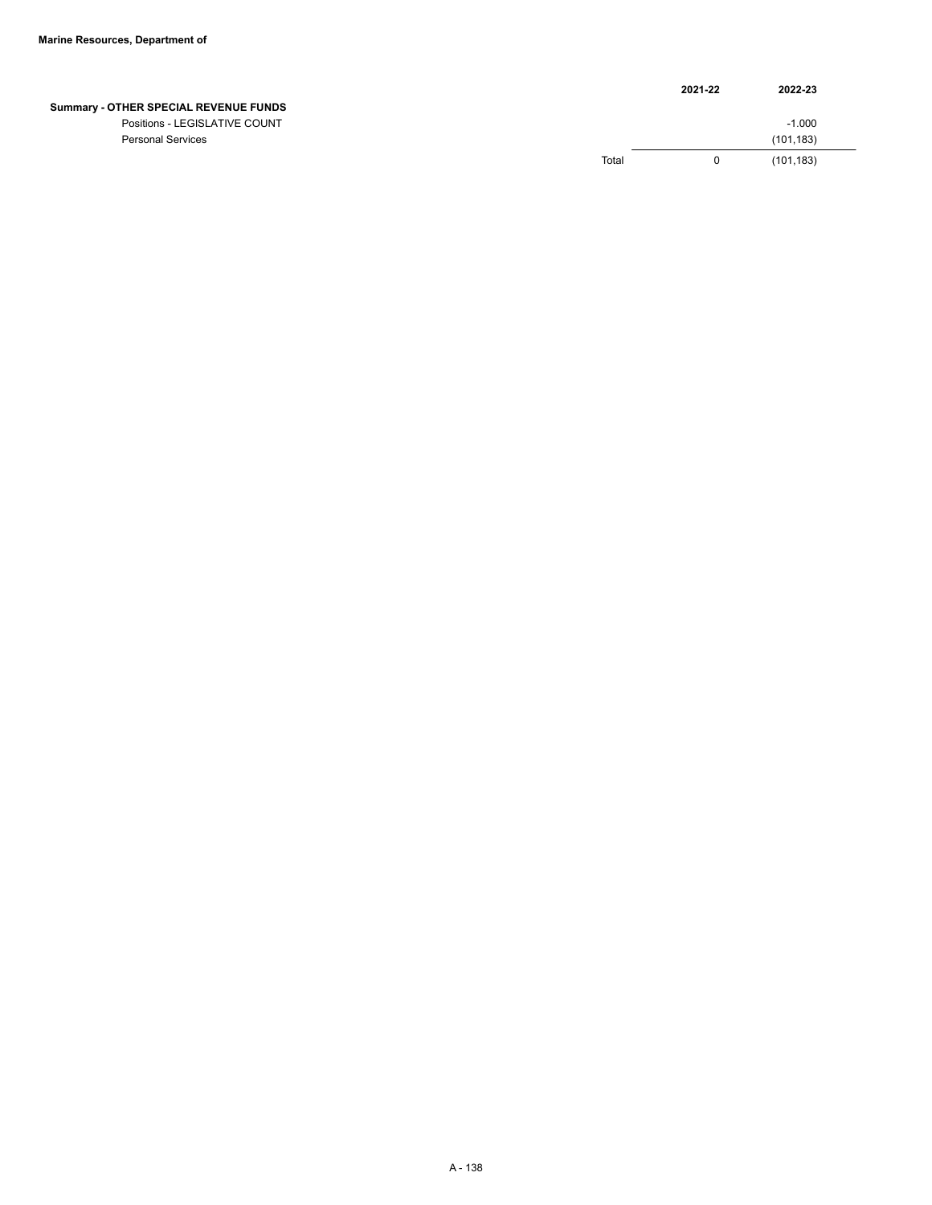|                                              |       | 2021-22 | 2022-23    |
|----------------------------------------------|-------|---------|------------|
| <b>Summary - OTHER SPECIAL REVENUE FUNDS</b> |       |         |            |
| Positions - LEGISLATIVE COUNT                |       |         | $-1.000$   |
| <b>Personal Services</b>                     |       |         | (101, 183) |
|                                              | Total |         | (101, 183) |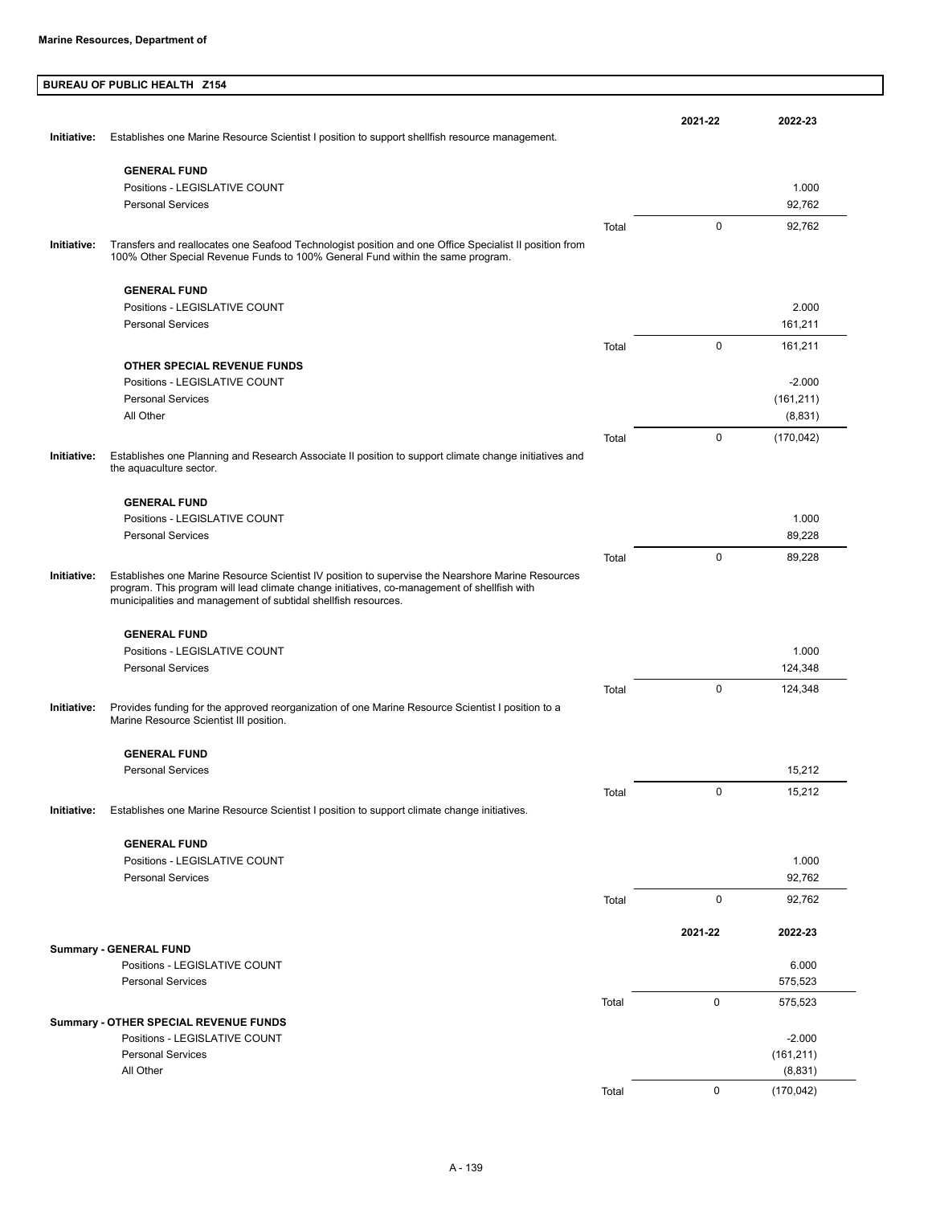|             | BUREAU OF PUBLIC HEALTH Z154                                                                                                                                                                                                                                       |       |             |            |
|-------------|--------------------------------------------------------------------------------------------------------------------------------------------------------------------------------------------------------------------------------------------------------------------|-------|-------------|------------|
|             |                                                                                                                                                                                                                                                                    |       | 2021-22     | 2022-23    |
| Initiative: | Establishes one Marine Resource Scientist I position to support shellfish resource management.                                                                                                                                                                     |       |             |            |
|             | <b>GENERAL FUND</b>                                                                                                                                                                                                                                                |       |             |            |
|             | Positions - LEGISLATIVE COUNT                                                                                                                                                                                                                                      |       |             | 1.000      |
|             | <b>Personal Services</b>                                                                                                                                                                                                                                           |       |             | 92,762     |
|             |                                                                                                                                                                                                                                                                    | Total | $\mathbf 0$ | 92,762     |
| Initiative: |                                                                                                                                                                                                                                                                    |       |             |            |
|             | Transfers and reallocates one Seafood Technologist position and one Office Specialist II position from<br>100% Other Special Revenue Funds to 100% General Fund within the same program.                                                                           |       |             |            |
|             | <b>GENERAL FUND</b>                                                                                                                                                                                                                                                |       |             |            |
|             | Positions - LEGISLATIVE COUNT                                                                                                                                                                                                                                      |       |             | 2.000      |
|             | <b>Personal Services</b>                                                                                                                                                                                                                                           |       |             | 161,211    |
|             |                                                                                                                                                                                                                                                                    | Total | $\mathbf 0$ | 161,211    |
|             | OTHER SPECIAL REVENUE FUNDS                                                                                                                                                                                                                                        |       |             |            |
|             | Positions - LEGISLATIVE COUNT                                                                                                                                                                                                                                      |       |             | $-2.000$   |
|             |                                                                                                                                                                                                                                                                    |       |             |            |
|             | <b>Personal Services</b>                                                                                                                                                                                                                                           |       |             | (161, 211) |
|             | All Other                                                                                                                                                                                                                                                          |       |             | (8,831)    |
|             |                                                                                                                                                                                                                                                                    | Total | $\mathbf 0$ | (170, 042) |
| Initiative: | Establishes one Planning and Research Associate II position to support climate change initiatives and                                                                                                                                                              |       |             |            |
|             | the aquaculture sector.                                                                                                                                                                                                                                            |       |             |            |
|             | <b>GENERAL FUND</b>                                                                                                                                                                                                                                                |       |             |            |
|             | Positions - LEGISLATIVE COUNT                                                                                                                                                                                                                                      |       |             | 1.000      |
|             | <b>Personal Services</b>                                                                                                                                                                                                                                           |       |             | 89,228     |
|             |                                                                                                                                                                                                                                                                    |       |             |            |
|             |                                                                                                                                                                                                                                                                    | Total | $\mathbf 0$ | 89,228     |
| Initiative: | Establishes one Marine Resource Scientist IV position to supervise the Nearshore Marine Resources<br>program. This program will lead climate change initiatives, co-management of shellfish with<br>municipalities and management of subtidal shellfish resources. |       |             |            |
|             | <b>GENERAL FUND</b>                                                                                                                                                                                                                                                |       |             |            |
|             | Positions - LEGISLATIVE COUNT                                                                                                                                                                                                                                      |       |             | 1.000      |
|             | <b>Personal Services</b>                                                                                                                                                                                                                                           |       |             | 124,348    |
|             |                                                                                                                                                                                                                                                                    | Total | $\mathbf 0$ | 124,348    |
|             |                                                                                                                                                                                                                                                                    |       |             |            |
| Initiative: | Provides funding for the approved reorganization of one Marine Resource Scientist I position to a<br>Marine Resource Scientist III position.                                                                                                                       |       |             |            |
|             | <b>GENERAL FUND</b>                                                                                                                                                                                                                                                |       |             |            |
|             | <b>Personal Services</b>                                                                                                                                                                                                                                           |       |             | 15,212     |
|             |                                                                                                                                                                                                                                                                    | Total | $\mathbf 0$ | 15,212     |
| Initiative: | Establishes one Marine Resource Scientist I position to support climate change initiatives.                                                                                                                                                                        |       |             |            |
|             | <b>GENERAL FUND</b>                                                                                                                                                                                                                                                |       |             |            |
|             | Positions - LEGISLATIVE COUNT                                                                                                                                                                                                                                      |       |             | 1.000      |
|             | <b>Personal Services</b>                                                                                                                                                                                                                                           |       |             | 92,762     |
|             |                                                                                                                                                                                                                                                                    | Total | $\mathbf 0$ | 92,762     |
|             |                                                                                                                                                                                                                                                                    |       |             |            |
|             | <b>Summary - GENERAL FUND</b>                                                                                                                                                                                                                                      |       | 2021-22     | 2022-23    |
|             | Positions - LEGISLATIVE COUNT                                                                                                                                                                                                                                      |       |             | 6.000      |
|             | <b>Personal Services</b>                                                                                                                                                                                                                                           |       |             | 575,523    |
|             |                                                                                                                                                                                                                                                                    |       |             |            |
|             |                                                                                                                                                                                                                                                                    | Total | 0           | 575,523    |
|             | Summary - OTHER SPECIAL REVENUE FUNDS                                                                                                                                                                                                                              |       |             |            |
|             | Positions - LEGISLATIVE COUNT                                                                                                                                                                                                                                      |       |             | $-2.000$   |
|             | <b>Personal Services</b>                                                                                                                                                                                                                                           |       |             | (161, 211) |
|             | All Other                                                                                                                                                                                                                                                          |       |             | (8,831)    |
|             |                                                                                                                                                                                                                                                                    | Total | 0           | (170, 042) |
|             |                                                                                                                                                                                                                                                                    |       |             |            |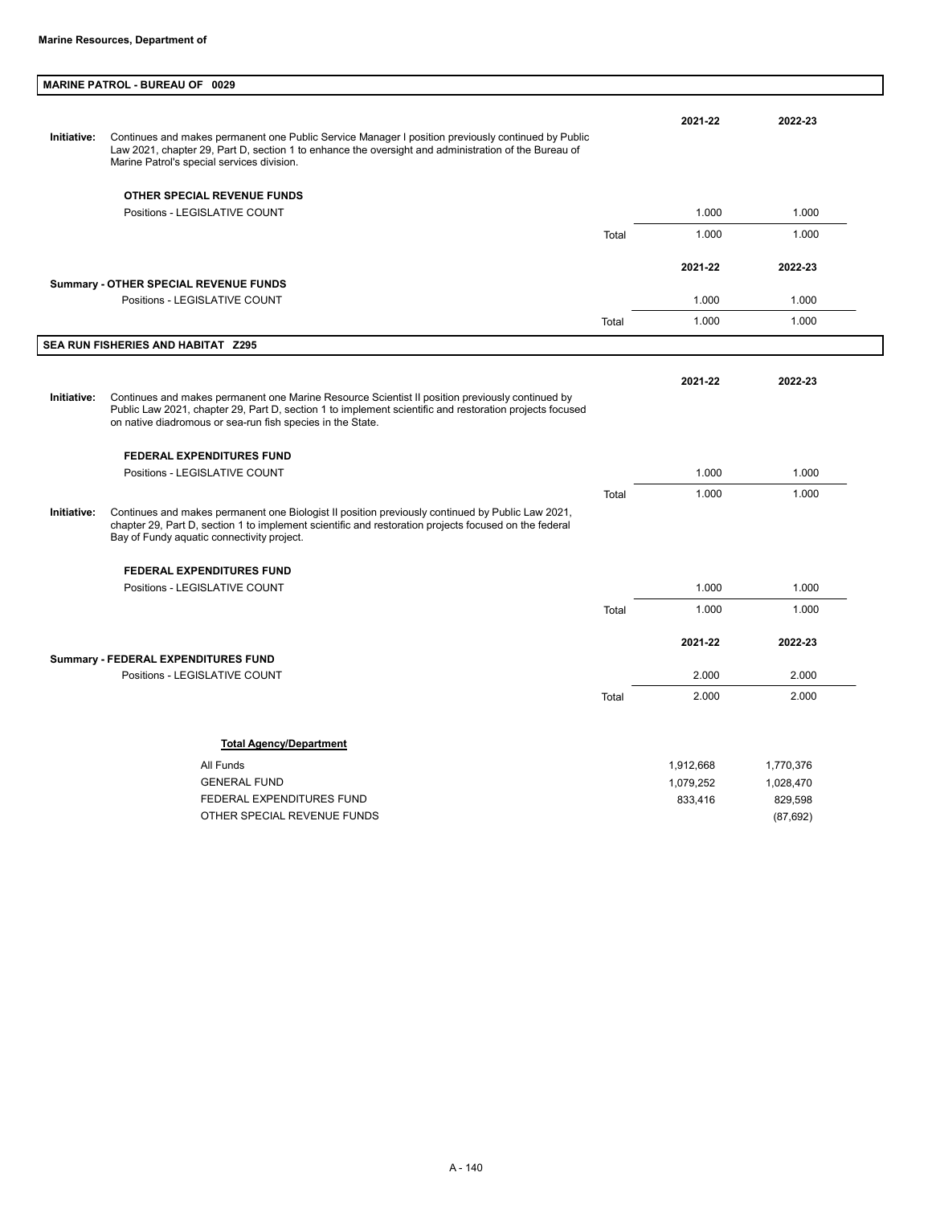|             | MARINE PATROL - BUREAU OF 0029                                                                                                                                                                                                                                           |       |           |                      |
|-------------|--------------------------------------------------------------------------------------------------------------------------------------------------------------------------------------------------------------------------------------------------------------------------|-------|-----------|----------------------|
| Initiative: | Continues and makes permanent one Public Service Manager I position previously continued by Public                                                                                                                                                                       |       | 2021-22   | 2022-23              |
|             | Law 2021, chapter 29, Part D, section 1 to enhance the oversight and administration of the Bureau of<br>Marine Patrol's special services division.                                                                                                                       |       |           |                      |
|             | OTHER SPECIAL REVENUE FUNDS                                                                                                                                                                                                                                              |       |           |                      |
|             | Positions - LEGISLATIVE COUNT                                                                                                                                                                                                                                            |       | 1.000     | 1.000                |
|             |                                                                                                                                                                                                                                                                          | Total | 1.000     | 1.000                |
|             |                                                                                                                                                                                                                                                                          |       | 2021-22   | 2022-23              |
|             | Summary - OTHER SPECIAL REVENUE FUNDS                                                                                                                                                                                                                                    |       |           |                      |
|             | Positions - LEGISLATIVE COUNT                                                                                                                                                                                                                                            |       | 1.000     | 1.000                |
|             |                                                                                                                                                                                                                                                                          | Total | 1.000     | 1.000                |
|             | SEA RUN FISHERIES AND HABITAT Z295                                                                                                                                                                                                                                       |       |           |                      |
|             |                                                                                                                                                                                                                                                                          |       | 2021-22   | 2022-23              |
| Initiative: | Continues and makes permanent one Marine Resource Scientist II position previously continued by<br>Public Law 2021, chapter 29, Part D, section 1 to implement scientific and restoration projects focused<br>on native diadromous or sea-run fish species in the State. |       |           |                      |
|             | <b>FEDERAL EXPENDITURES FUND</b>                                                                                                                                                                                                                                         |       |           |                      |
|             | Positions - LEGISLATIVE COUNT                                                                                                                                                                                                                                            |       | 1.000     | 1.000                |
|             |                                                                                                                                                                                                                                                                          | Total | 1.000     | 1.000                |
| Initiative: | Continues and makes permanent one Biologist II position previously continued by Public Law 2021,<br>chapter 29, Part D, section 1 to implement scientific and restoration projects focused on the federal<br>Bay of Fundy aquatic connectivity project.                  |       |           |                      |
|             | <b>FEDERAL EXPENDITURES FUND</b>                                                                                                                                                                                                                                         |       |           |                      |
|             | Positions - LEGISLATIVE COUNT                                                                                                                                                                                                                                            |       | 1.000     | 1.000                |
|             |                                                                                                                                                                                                                                                                          | Total | 1.000     | 1.000                |
|             |                                                                                                                                                                                                                                                                          |       | 2021-22   | 2022-23              |
|             | Summary - FEDERAL EXPENDITURES FUND                                                                                                                                                                                                                                      |       |           |                      |
|             | Positions - LEGISLATIVE COUNT                                                                                                                                                                                                                                            |       | 2.000     | 2.000                |
|             |                                                                                                                                                                                                                                                                          | Total | 2.000     | 2.000                |
|             |                                                                                                                                                                                                                                                                          |       |           |                      |
|             | <b>Total Agency/Department</b>                                                                                                                                                                                                                                           |       |           |                      |
|             | All Funds                                                                                                                                                                                                                                                                |       | 1,912,668 | 1,770,376            |
|             | <b>GENERAL FUND</b><br>FEDERAL EXPENDITURES FUND                                                                                                                                                                                                                         |       | 1,079,252 | 1,028,470            |
|             | OTHER SPECIAL REVENUE FUNDS                                                                                                                                                                                                                                              |       | 833,416   | 829,598<br>(87, 692) |
|             |                                                                                                                                                                                                                                                                          |       |           |                      |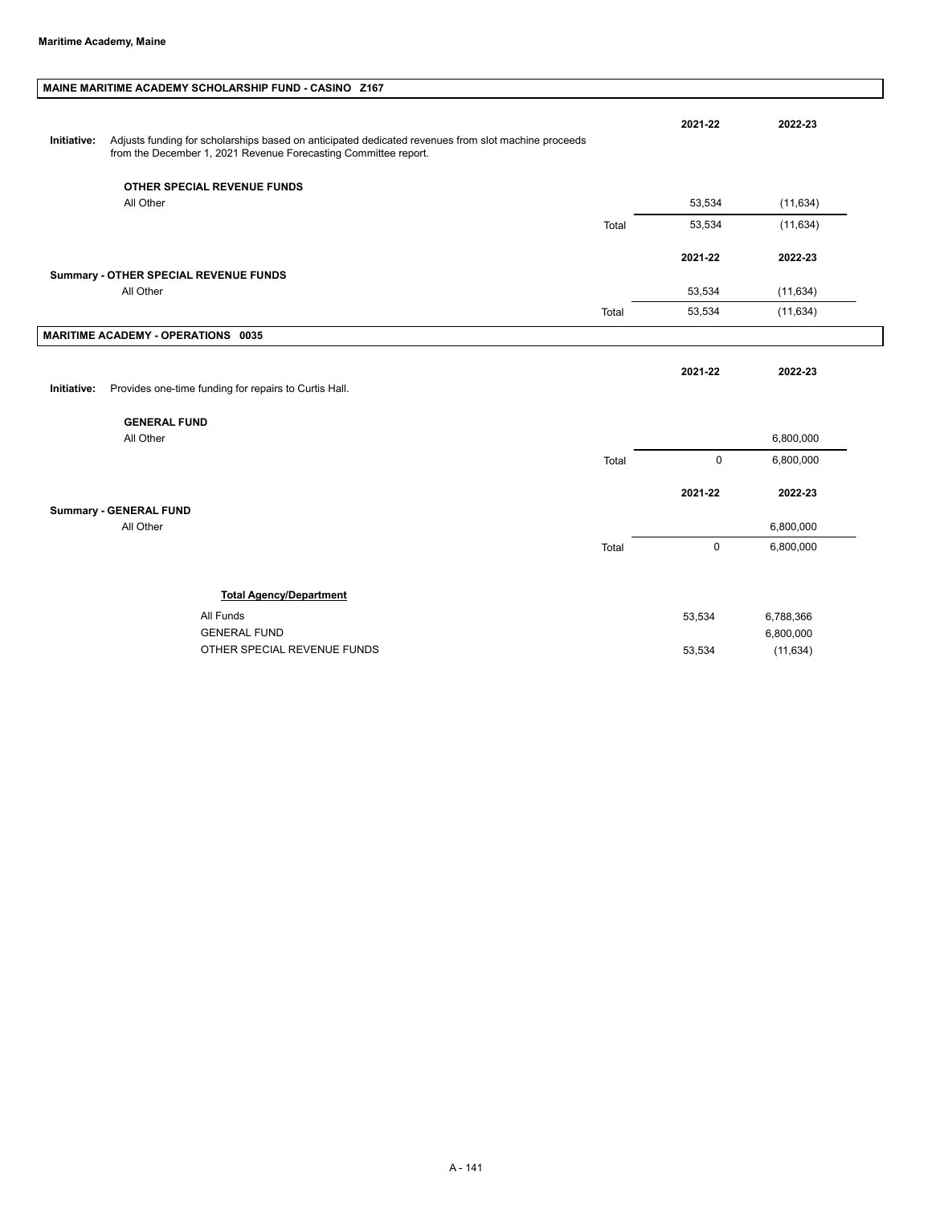|             | MAINE MARITIME ACADEMY SCHOLARSHIP FUND - CASINO Z167                                                                                                                  |       |         |           |
|-------------|------------------------------------------------------------------------------------------------------------------------------------------------------------------------|-------|---------|-----------|
| Initiative: | Adjusts funding for scholarships based on anticipated dedicated revenues from slot machine proceeds<br>from the December 1, 2021 Revenue Forecasting Committee report. |       | 2021-22 | 2022-23   |
|             |                                                                                                                                                                        |       |         |           |
|             | <b>OTHER SPECIAL REVENUE FUNDS</b>                                                                                                                                     |       |         |           |
|             | All Other                                                                                                                                                              |       | 53,534  | (11, 634) |
|             |                                                                                                                                                                        | Total | 53,534  | (11, 634) |
|             |                                                                                                                                                                        |       | 2021-22 |           |
|             | Summary - OTHER SPECIAL REVENUE FUNDS                                                                                                                                  |       |         | 2022-23   |
|             | All Other                                                                                                                                                              |       | 53,534  | (11, 634) |
|             |                                                                                                                                                                        | Total | 53,534  | (11, 634) |
|             | <b>MARITIME ACADEMY - OPERATIONS 0035</b>                                                                                                                              |       |         |           |
|             |                                                                                                                                                                        |       |         |           |
|             |                                                                                                                                                                        |       | 2021-22 | 2022-23   |
| Initiative: | Provides one-time funding for repairs to Curtis Hall.                                                                                                                  |       |         |           |
|             |                                                                                                                                                                        |       |         |           |
|             | <b>GENERAL FUND</b>                                                                                                                                                    |       |         |           |
|             | All Other                                                                                                                                                              |       |         | 6,800,000 |
|             |                                                                                                                                                                        | Total | 0       | 6,800,000 |
|             |                                                                                                                                                                        |       |         |           |
|             |                                                                                                                                                                        |       | 2021-22 | 2022-23   |
|             | <b>Summary - GENERAL FUND</b><br>All Other                                                                                                                             |       |         | 6,800,000 |
|             |                                                                                                                                                                        |       |         |           |
|             |                                                                                                                                                                        | Total | 0       | 6,800,000 |
|             |                                                                                                                                                                        |       |         |           |
|             | <b>Total Agency/Department</b>                                                                                                                                         |       |         |           |
|             | All Funds                                                                                                                                                              |       | 53,534  | 6,788,366 |
|             | <b>GENERAL FUND</b>                                                                                                                                                    |       |         | 6,800,000 |
|             | OTHER SPECIAL REVENUE FUNDS                                                                                                                                            |       | 53,534  | (11, 634) |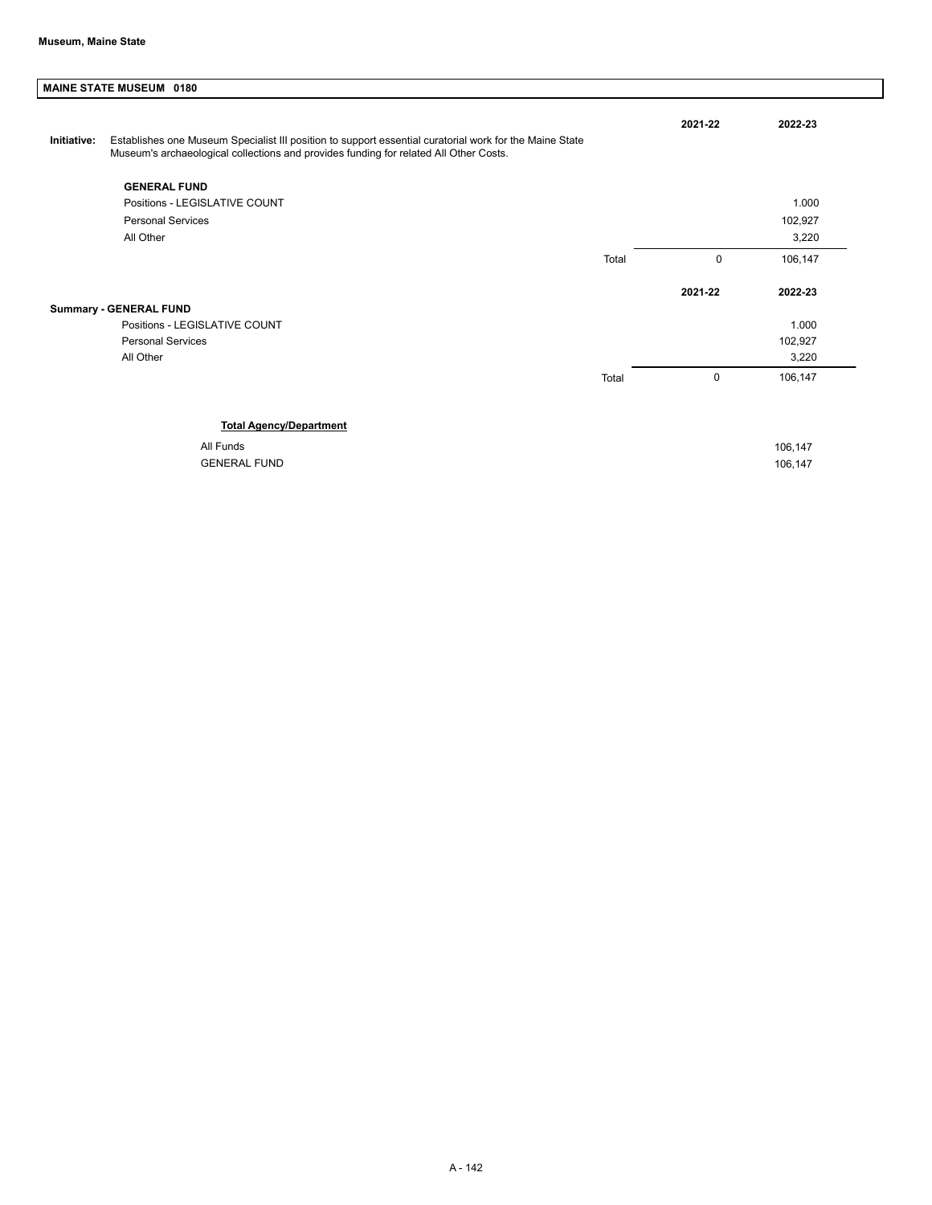|             | <b>MAINE STATE MUSEUM 0180</b>                                                                                                                                                                   |       |             |         |
|-------------|--------------------------------------------------------------------------------------------------------------------------------------------------------------------------------------------------|-------|-------------|---------|
| Initiative: | Establishes one Museum Specialist III position to support essential curatorial work for the Maine State<br>Museum's archaeological collections and provides funding for related All Other Costs. |       | 2021-22     | 2022-23 |
|             | <b>GENERAL FUND</b>                                                                                                                                                                              |       |             |         |
|             | Positions - LEGISLATIVE COUNT                                                                                                                                                                    |       |             | 1.000   |
|             | <b>Personal Services</b>                                                                                                                                                                         |       |             | 102,927 |
|             | All Other                                                                                                                                                                                        |       |             | 3,220   |
|             |                                                                                                                                                                                                  | Total | 0           | 106,147 |
|             |                                                                                                                                                                                                  |       | 2021-22     | 2022-23 |
|             | <b>Summary - GENERAL FUND</b>                                                                                                                                                                    |       |             |         |
|             | Positions - LEGISLATIVE COUNT                                                                                                                                                                    |       |             | 1.000   |
|             | <b>Personal Services</b>                                                                                                                                                                         |       |             | 102,927 |
|             | All Other                                                                                                                                                                                        |       |             | 3,220   |
|             |                                                                                                                                                                                                  | Total | $\mathbf 0$ | 106,147 |
|             | <b>Total Agency/Department</b>                                                                                                                                                                   |       |             |         |
|             |                                                                                                                                                                                                  |       |             |         |
|             | All Funds                                                                                                                                                                                        |       |             | 106,147 |
|             | <b>GENERAL FUND</b>                                                                                                                                                                              |       |             | 106,147 |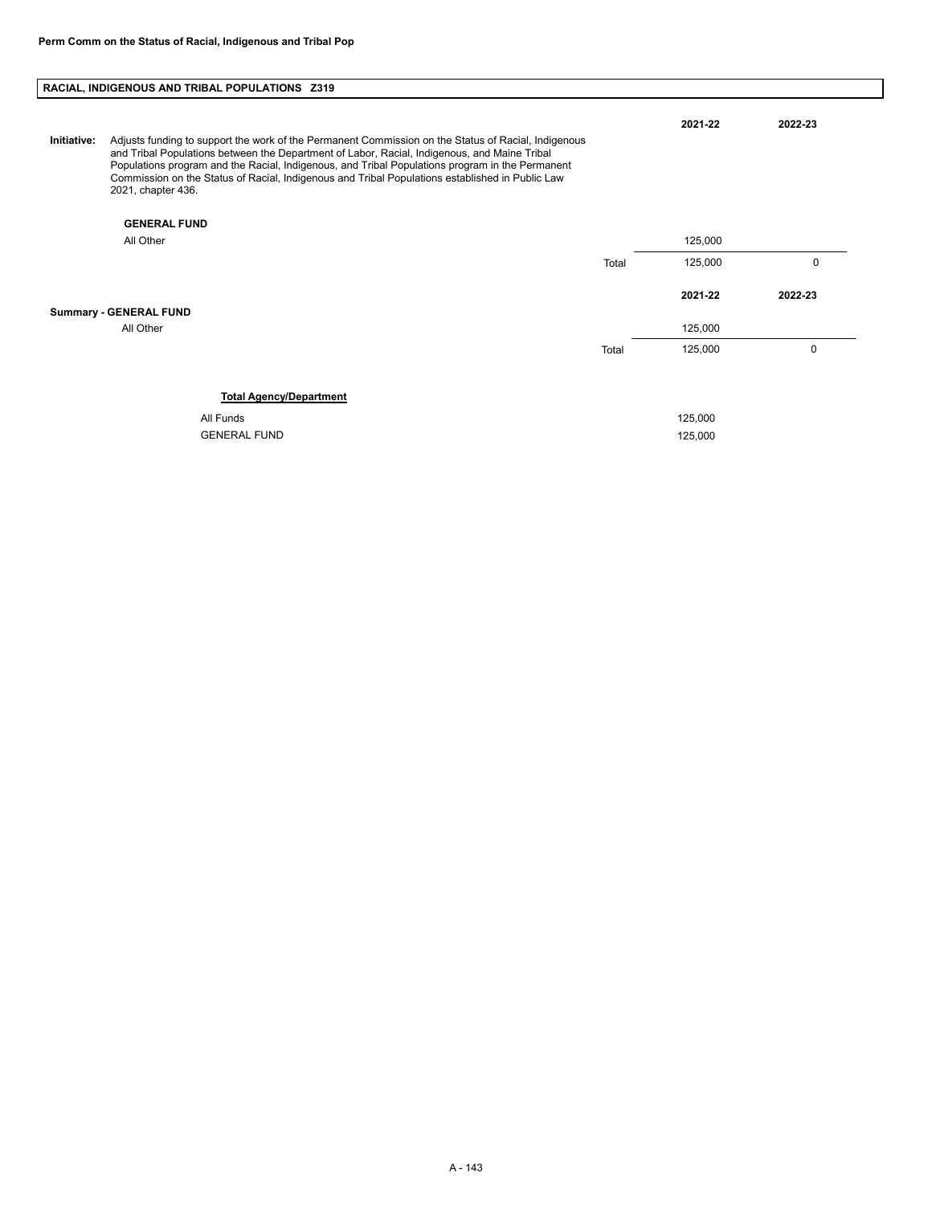|             | RACIAL, INDIGENOUS AND TRIBAL POPULATIONS Z319                                                                                                                                                                                                                                                                                                                                                                                  |       |         |          |
|-------------|---------------------------------------------------------------------------------------------------------------------------------------------------------------------------------------------------------------------------------------------------------------------------------------------------------------------------------------------------------------------------------------------------------------------------------|-------|---------|----------|
| Initiative: | Adjusts funding to support the work of the Permanent Commission on the Status of Racial, Indigenous<br>and Tribal Populations between the Department of Labor, Racial, Indigenous, and Maine Tribal<br>Populations program and the Racial, Indigenous, and Tribal Populations program in the Permanent<br>Commission on the Status of Racial, Indigenous and Tribal Populations established in Public Law<br>2021, chapter 436. |       | 2021-22 | 2022-23  |
|             |                                                                                                                                                                                                                                                                                                                                                                                                                                 |       |         |          |
|             | <b>GENERAL FUND</b>                                                                                                                                                                                                                                                                                                                                                                                                             |       |         |          |
|             | All Other                                                                                                                                                                                                                                                                                                                                                                                                                       |       | 125,000 |          |
|             |                                                                                                                                                                                                                                                                                                                                                                                                                                 | Total | 125,000 | $\Omega$ |
|             |                                                                                                                                                                                                                                                                                                                                                                                                                                 |       |         |          |
|             |                                                                                                                                                                                                                                                                                                                                                                                                                                 |       | 2021-22 | 2022-23  |
|             | <b>Summary - GENERAL FUND</b>                                                                                                                                                                                                                                                                                                                                                                                                   |       |         |          |
|             | All Other                                                                                                                                                                                                                                                                                                                                                                                                                       |       | 125,000 |          |
|             |                                                                                                                                                                                                                                                                                                                                                                                                                                 | Total | 125,000 | $\Omega$ |
|             |                                                                                                                                                                                                                                                                                                                                                                                                                                 |       |         |          |
|             | <b>Total Agency/Department</b>                                                                                                                                                                                                                                                                                                                                                                                                  |       |         |          |

All Funds 125,000 GENERAL FUND 125,000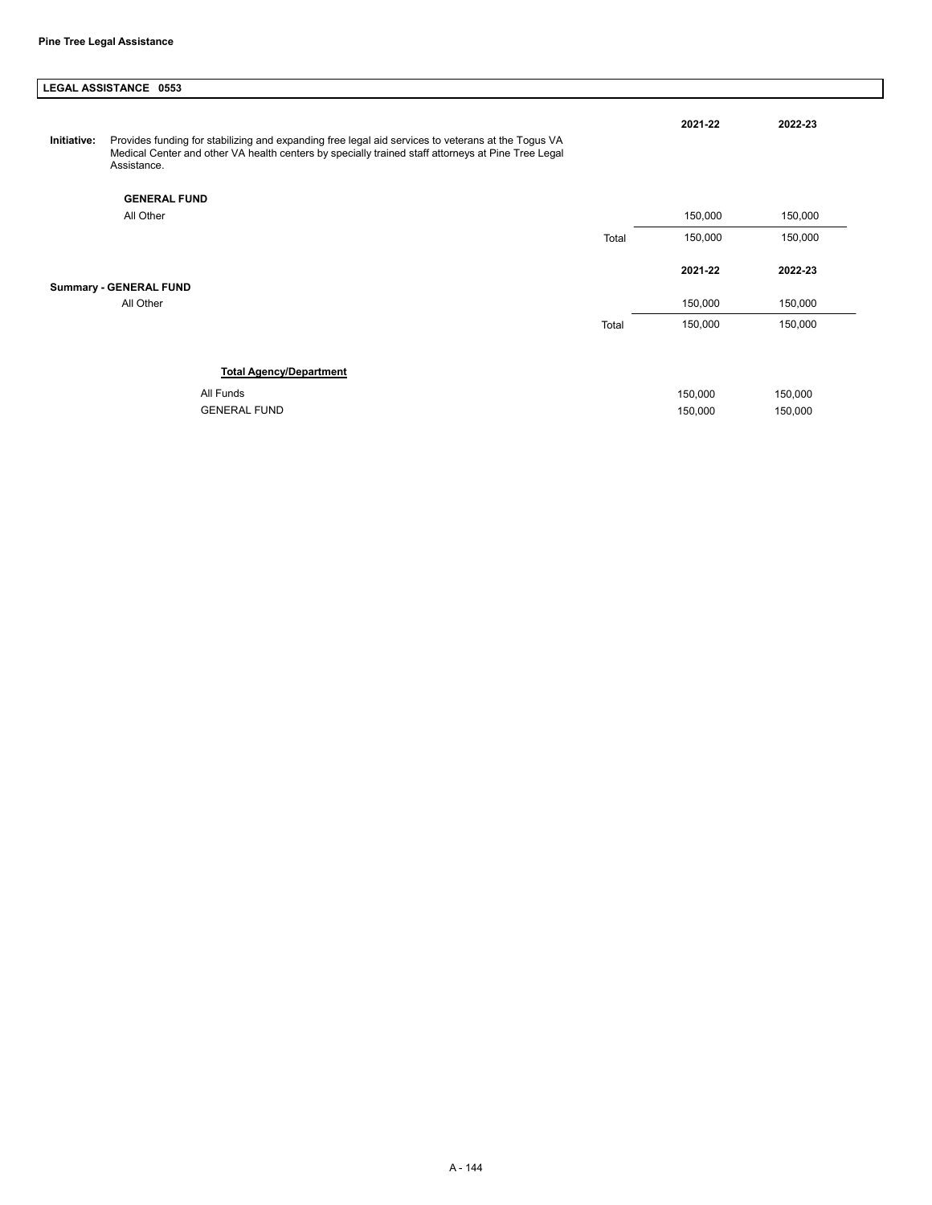|             | LEGAL ASSISTANCE 0553                                                                                                                                                                                                   |       |         |         |
|-------------|-------------------------------------------------------------------------------------------------------------------------------------------------------------------------------------------------------------------------|-------|---------|---------|
| Initiative: | Provides funding for stabilizing and expanding free legal aid services to veterans at the Togus VA<br>Medical Center and other VA health centers by specially trained staff attorneys at Pine Tree Legal<br>Assistance. |       | 2021-22 | 2022-23 |
|             | <b>GENERAL FUND</b>                                                                                                                                                                                                     |       |         |         |
|             | All Other                                                                                                                                                                                                               |       | 150,000 | 150,000 |
|             |                                                                                                                                                                                                                         | Total | 150,000 | 150,000 |
|             | Summary - GENERAL FUND                                                                                                                                                                                                  |       | 2021-22 | 2022-23 |
|             | All Other                                                                                                                                                                                                               |       | 150,000 | 150,000 |
|             |                                                                                                                                                                                                                         | Total | 150,000 | 150,000 |
|             |                                                                                                                                                                                                                         |       |         |         |
|             | <b>Total Agency/Department</b>                                                                                                                                                                                          |       |         |         |
|             | All Funds                                                                                                                                                                                                               |       | 150,000 | 150,000 |

| All Funds           | 150,000 | 150.000 |
|---------------------|---------|---------|
| <b>GENERAL FUND</b> | 150,000 | 150.000 |
|                     |         |         |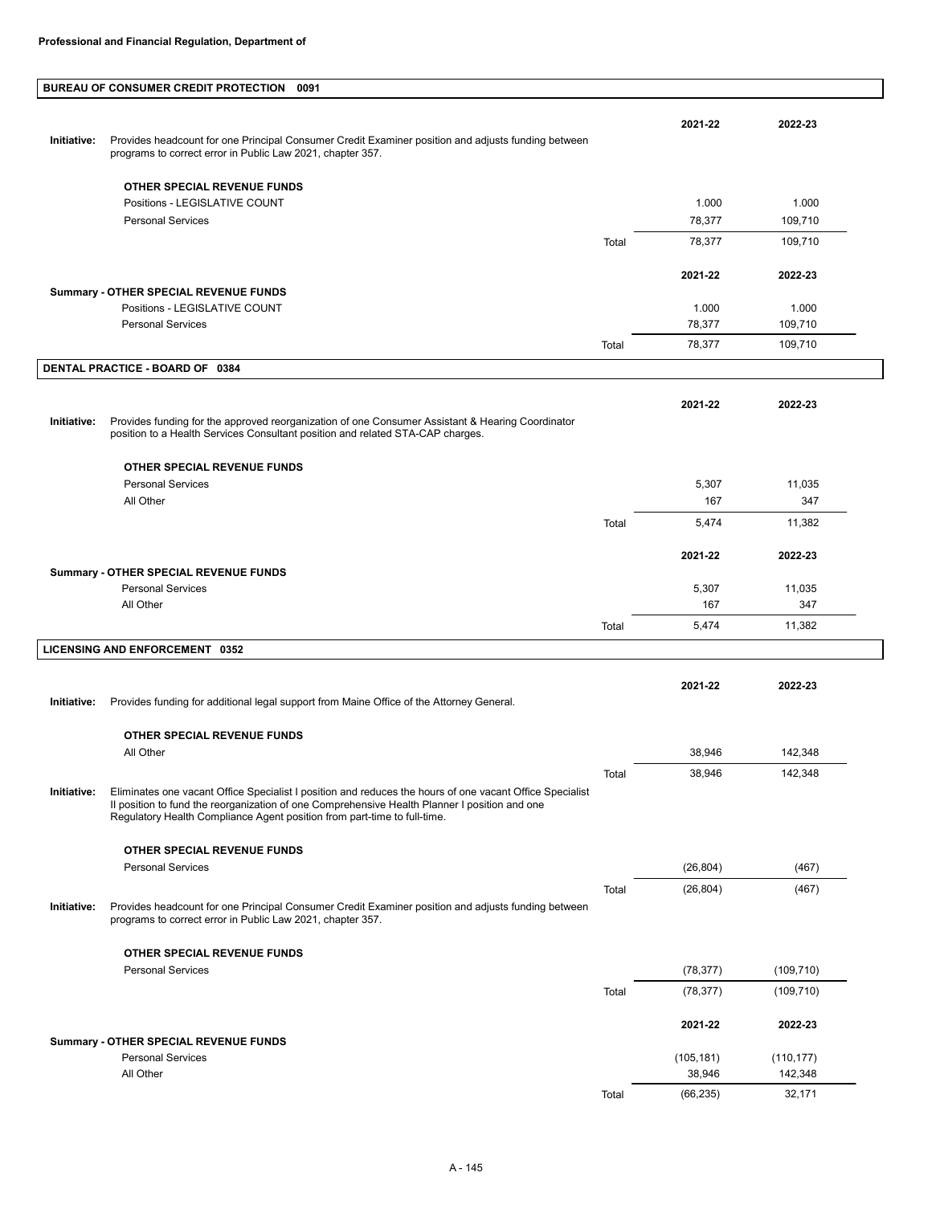|             | BUREAU OF CONSUMER CREDIT PROTECTION<br>0091                                                                                                                                                                                                                                          |       |                      |                       |
|-------------|---------------------------------------------------------------------------------------------------------------------------------------------------------------------------------------------------------------------------------------------------------------------------------------|-------|----------------------|-----------------------|
|             |                                                                                                                                                                                                                                                                                       |       |                      |                       |
| Initiative: | Provides headcount for one Principal Consumer Credit Examiner position and adjusts funding between<br>programs to correct error in Public Law 2021, chapter 357.                                                                                                                      |       | 2021-22              | 2022-23               |
|             |                                                                                                                                                                                                                                                                                       |       |                      |                       |
|             | OTHER SPECIAL REVENUE FUNDS                                                                                                                                                                                                                                                           |       |                      |                       |
|             | Positions - LEGISLATIVE COUNT                                                                                                                                                                                                                                                         |       | 1.000                | 1.000                 |
|             | <b>Personal Services</b>                                                                                                                                                                                                                                                              |       | 78,377               | 109,710               |
|             |                                                                                                                                                                                                                                                                                       | Total | 78,377               | 109,710               |
|             |                                                                                                                                                                                                                                                                                       |       | 2021-22              | 2022-23               |
|             | <b>Summary - OTHER SPECIAL REVENUE FUNDS</b>                                                                                                                                                                                                                                          |       |                      |                       |
|             | Positions - LEGISLATIVE COUNT                                                                                                                                                                                                                                                         |       | 1.000                | 1.000                 |
|             | <b>Personal Services</b>                                                                                                                                                                                                                                                              |       | 78,377               | 109,710               |
|             |                                                                                                                                                                                                                                                                                       | Total | 78,377               | 109,710               |
|             | DENTAL PRACTICE - BOARD OF 0384                                                                                                                                                                                                                                                       |       |                      |                       |
|             |                                                                                                                                                                                                                                                                                       |       |                      |                       |
| Initiative: | Provides funding for the approved reorganization of one Consumer Assistant & Hearing Coordinator                                                                                                                                                                                      |       | 2021-22              | 2022-23               |
|             | position to a Health Services Consultant position and related STA-CAP charges.                                                                                                                                                                                                        |       |                      |                       |
|             |                                                                                                                                                                                                                                                                                       |       |                      |                       |
|             | OTHER SPECIAL REVENUE FUNDS                                                                                                                                                                                                                                                           |       |                      |                       |
|             | <b>Personal Services</b>                                                                                                                                                                                                                                                              |       | 5,307                | 11,035                |
|             | All Other                                                                                                                                                                                                                                                                             |       | 167                  | 347                   |
|             |                                                                                                                                                                                                                                                                                       | Total | 5,474                | 11,382                |
|             |                                                                                                                                                                                                                                                                                       |       | 2021-22              | 2022-23               |
|             | <b>Summary - OTHER SPECIAL REVENUE FUNDS</b>                                                                                                                                                                                                                                          |       |                      |                       |
|             | <b>Personal Services</b>                                                                                                                                                                                                                                                              |       | 5,307                | 11,035                |
|             | All Other                                                                                                                                                                                                                                                                             |       | 167                  | 347                   |
|             |                                                                                                                                                                                                                                                                                       | Total | 5,474                | 11,382                |
|             | LICENSING AND ENFORCEMENT 0352                                                                                                                                                                                                                                                        |       |                      |                       |
|             |                                                                                                                                                                                                                                                                                       |       |                      |                       |
|             |                                                                                                                                                                                                                                                                                       |       | 2021-22              | 2022-23               |
| Initiative: | Provides funding for additional legal support from Maine Office of the Attorney General.                                                                                                                                                                                              |       |                      |                       |
|             | OTHER SPECIAL REVENUE FUNDS                                                                                                                                                                                                                                                           |       |                      |                       |
|             | All Other                                                                                                                                                                                                                                                                             |       | 38,946               | 142,348               |
|             |                                                                                                                                                                                                                                                                                       | Total | 38,946               | 142,348               |
| Initiative: | Eliminates one vacant Office Specialist I position and reduces the hours of one vacant Office Specialist<br>Il position to fund the reorganization of one Comprehensive Health Planner I position and one<br>Regulatory Health Compliance Agent position from part-time to full-time. |       |                      |                       |
|             | OTHER SPECIAL REVENUE FUNDS                                                                                                                                                                                                                                                           |       |                      |                       |
|             | <b>Personal Services</b>                                                                                                                                                                                                                                                              |       | (26, 804)            | (467)                 |
|             |                                                                                                                                                                                                                                                                                       | Total | (26, 804)            | (467)                 |
| Initiative: | Provides headcount for one Principal Consumer Credit Examiner position and adjusts funding between<br>programs to correct error in Public Law 2021, chapter 357.                                                                                                                      |       |                      |                       |
|             | OTHER SPECIAL REVENUE FUNDS                                                                                                                                                                                                                                                           |       |                      |                       |
|             | <b>Personal Services</b>                                                                                                                                                                                                                                                              |       | (78, 377)            | (109, 710)            |
|             |                                                                                                                                                                                                                                                                                       | Total | (78, 377)            | (109, 710)            |
|             |                                                                                                                                                                                                                                                                                       |       |                      |                       |
|             |                                                                                                                                                                                                                                                                                       |       | 2021-22              | 2022-23               |
|             | <b>Summary - OTHER SPECIAL REVENUE FUNDS</b>                                                                                                                                                                                                                                          |       |                      |                       |
|             | <b>Personal Services</b><br>All Other                                                                                                                                                                                                                                                 |       | (105, 181)<br>38,946 | (110, 177)<br>142,348 |
|             |                                                                                                                                                                                                                                                                                       |       | (66, 235)            | 32,171                |
|             |                                                                                                                                                                                                                                                                                       | Total |                      |                       |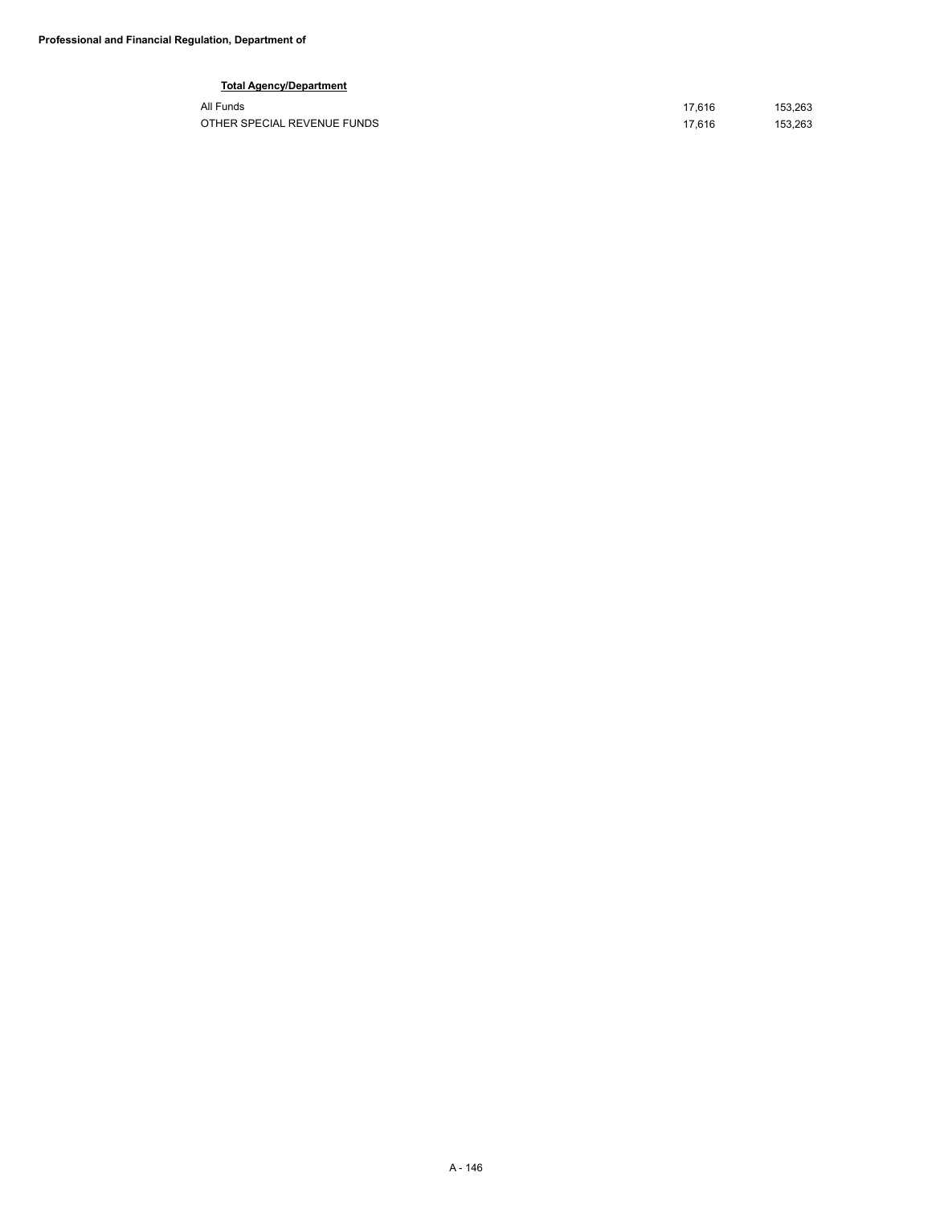## Total Agency/Department

| All Funds                   | 17.616 | 153.263 |
|-----------------------------|--------|---------|
| OTHER SPECIAL REVENUE FUNDS | 17.616 | 153.263 |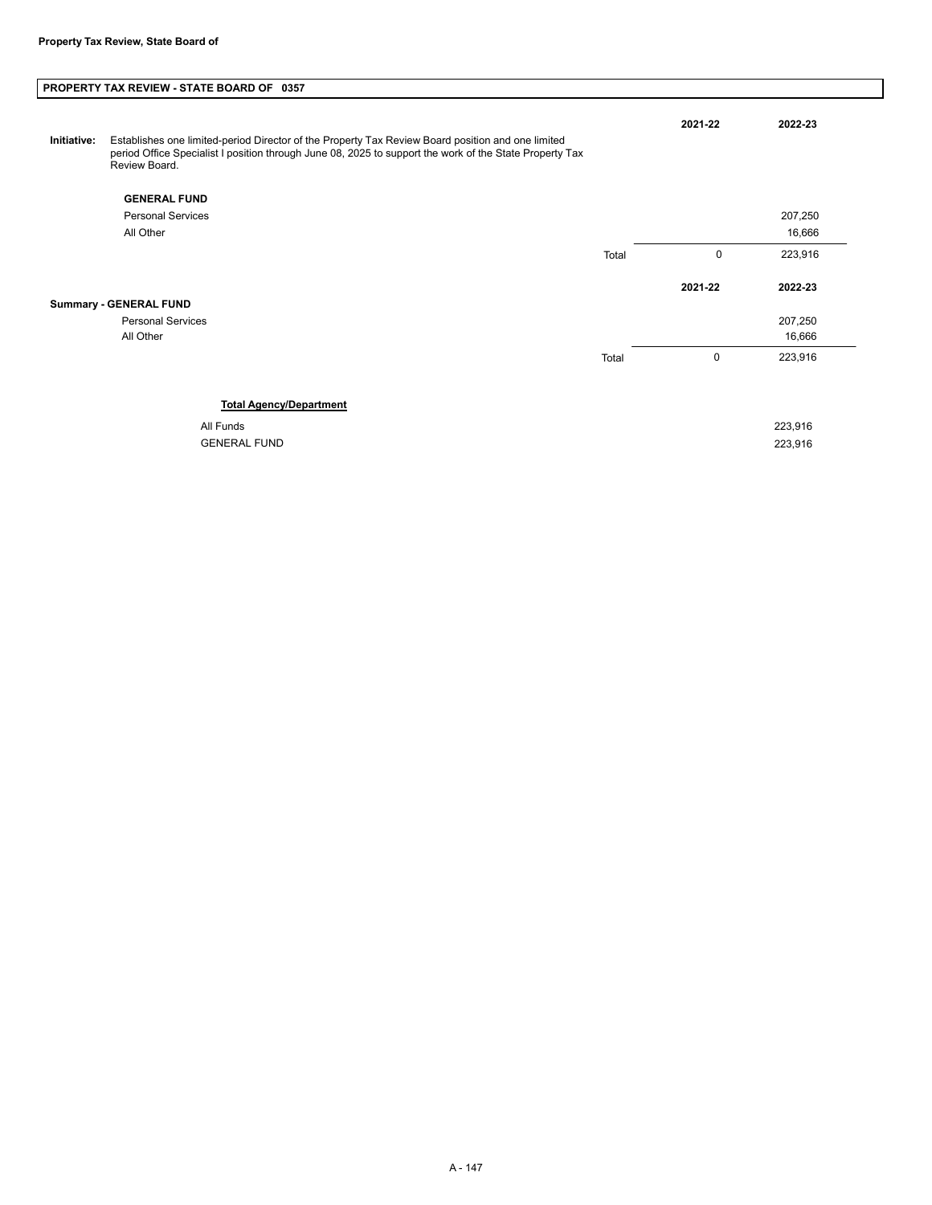|             | PROPERTY TAX REVIEW - STATE BOARD OF 0357                                                                                                                                                                                     |       |         |         |
|-------------|-------------------------------------------------------------------------------------------------------------------------------------------------------------------------------------------------------------------------------|-------|---------|---------|
| Initiative: | Establishes one limited-period Director of the Property Tax Review Board position and one limited<br>period Office Specialist I position through June 08, 2025 to support the work of the State Property Tax<br>Review Board. |       | 2021-22 | 2022-23 |
|             | <b>GENERAL FUND</b>                                                                                                                                                                                                           |       |         |         |
|             | <b>Personal Services</b>                                                                                                                                                                                                      |       |         | 207,250 |
|             | All Other                                                                                                                                                                                                                     |       |         | 16,666  |
|             |                                                                                                                                                                                                                               | Total | 0       | 223,916 |
|             |                                                                                                                                                                                                                               |       | 2021-22 | 2022-23 |
|             | <b>Summary - GENERAL FUND</b>                                                                                                                                                                                                 |       |         |         |
|             | <b>Personal Services</b>                                                                                                                                                                                                      |       |         | 207,250 |
|             | All Other                                                                                                                                                                                                                     |       |         | 16,666  |
|             |                                                                                                                                                                                                                               | Total | 0       | 223,916 |
|             | <b>Total Agency/Department</b>                                                                                                                                                                                                |       |         |         |

| All Funds           | 223.916 |
|---------------------|---------|
| <b>GENERAL FUND</b> | 223.916 |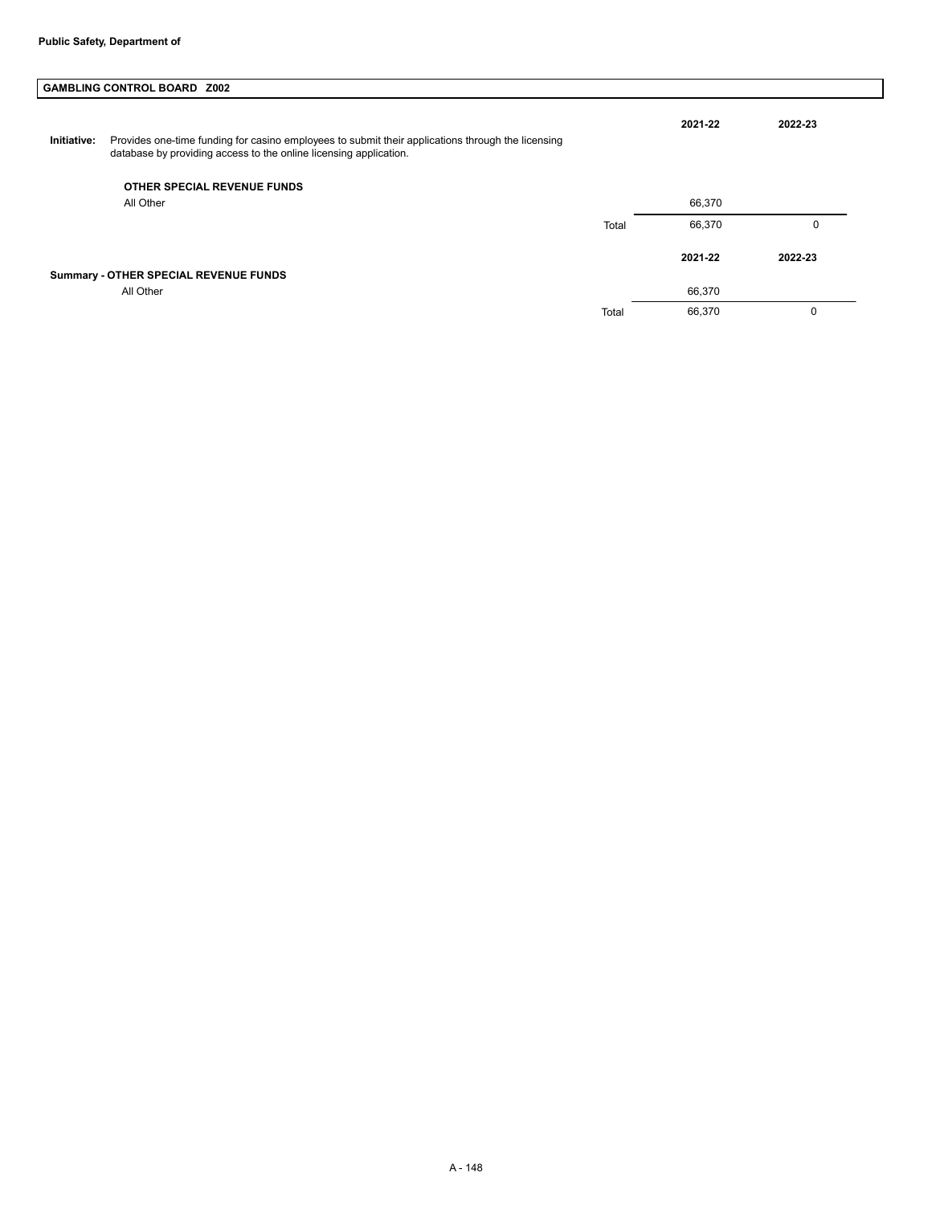|             | <b>GAMBLING CONTROL BOARD Z002</b>                                                                                                                                     |       |         |          |
|-------------|------------------------------------------------------------------------------------------------------------------------------------------------------------------------|-------|---------|----------|
| Initiative: | Provides one-time funding for casino employees to submit their applications through the licensing<br>database by providing access to the online licensing application. |       | 2021-22 | 2022-23  |
|             | <b>OTHER SPECIAL REVENUE FUNDS</b>                                                                                                                                     |       |         |          |
|             | All Other                                                                                                                                                              |       | 66,370  |          |
|             |                                                                                                                                                                        | Total | 66,370  | 0        |
|             | <b>Summary - OTHER SPECIAL REVENUE FUNDS</b>                                                                                                                           |       | 2021-22 | 2022-23  |
|             | All Other                                                                                                                                                              |       | 66,370  |          |
|             |                                                                                                                                                                        | Total | 66,370  | $\Omega$ |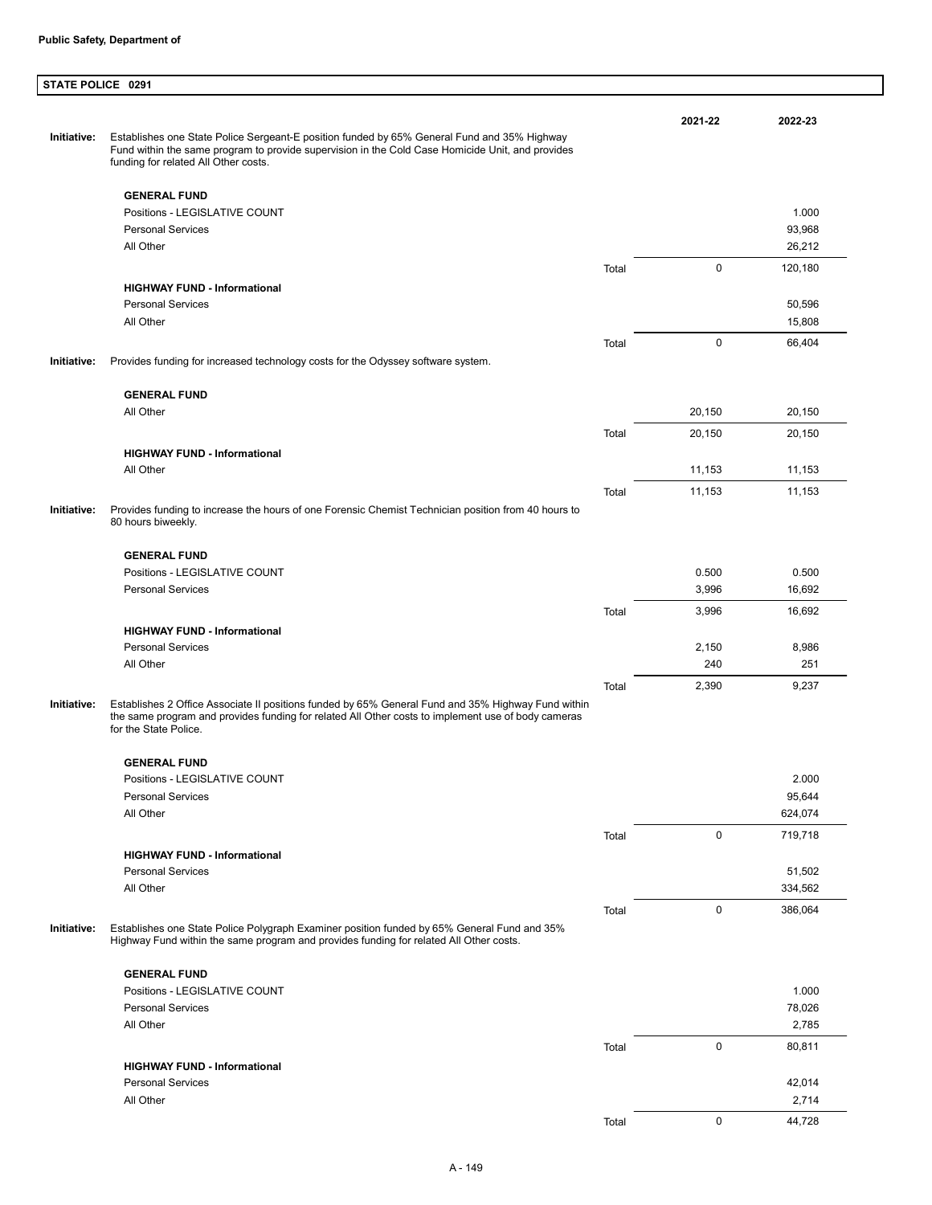| STATE POLICE 0291 |                                                                                                                                                                                                                                         |       |              |              |
|-------------------|-----------------------------------------------------------------------------------------------------------------------------------------------------------------------------------------------------------------------------------------|-------|--------------|--------------|
|                   |                                                                                                                                                                                                                                         |       | 2021-22      | 2022-23      |
| Initiative:       | Establishes one State Police Sergeant-E position funded by 65% General Fund and 35% Highway<br>Fund within the same program to provide supervision in the Cold Case Homicide Unit, and provides<br>funding for related All Other costs. |       |              |              |
|                   | <b>GENERAL FUND</b>                                                                                                                                                                                                                     |       |              |              |
|                   | Positions - LEGISLATIVE COUNT                                                                                                                                                                                                           |       |              | 1.000        |
|                   | <b>Personal Services</b>                                                                                                                                                                                                                |       |              | 93,968       |
|                   | All Other                                                                                                                                                                                                                               |       |              | 26,212       |
|                   |                                                                                                                                                                                                                                         | Total | $\mathbf 0$  | 120,180      |
|                   |                                                                                                                                                                                                                                         |       |              |              |
|                   | <b>HIGHWAY FUND - Informational</b><br><b>Personal Services</b>                                                                                                                                                                         |       |              | 50,596       |
|                   | All Other                                                                                                                                                                                                                               |       |              | 15,808       |
|                   |                                                                                                                                                                                                                                         |       |              |              |
|                   |                                                                                                                                                                                                                                         | Total | $\mathbf 0$  | 66,404       |
| Initiative:       | Provides funding for increased technology costs for the Odyssey software system.                                                                                                                                                        |       |              |              |
|                   |                                                                                                                                                                                                                                         |       |              |              |
|                   | <b>GENERAL FUND</b>                                                                                                                                                                                                                     |       |              |              |
|                   | All Other                                                                                                                                                                                                                               |       | 20,150       | 20.150       |
|                   |                                                                                                                                                                                                                                         | Total | 20,150       | 20,150       |
|                   | <b>HIGHWAY FUND - Informational</b>                                                                                                                                                                                                     |       |              |              |
|                   | All Other                                                                                                                                                                                                                               |       | 11,153       | 11,153       |
|                   |                                                                                                                                                                                                                                         | Total | 11,153       | 11,153       |
| Initiative:       | Provides funding to increase the hours of one Forensic Chemist Technician position from 40 hours to<br>80 hours biweekly.                                                                                                               |       |              |              |
|                   | <b>GENERAL FUND</b>                                                                                                                                                                                                                     |       |              |              |
|                   | Positions - LEGISLATIVE COUNT                                                                                                                                                                                                           |       | 0.500        | 0.500        |
|                   | <b>Personal Services</b>                                                                                                                                                                                                                |       | 3,996        | 16,692       |
|                   |                                                                                                                                                                                                                                         |       | 3,996        | 16,692       |
|                   |                                                                                                                                                                                                                                         | Total |              |              |
|                   | <b>HIGHWAY FUND - Informational</b><br><b>Personal Services</b>                                                                                                                                                                         |       |              |              |
|                   | All Other                                                                                                                                                                                                                               |       | 2,150<br>240 | 8,986<br>251 |
|                   |                                                                                                                                                                                                                                         |       |              |              |
| Initiative:       | Establishes 2 Office Associate II positions funded by 65% General Fund and 35% Highway Fund within<br>the same program and provides funding for related All Other costs to implement use of body cameras<br>for the State Police.       | Total | 2,390        | 9,237        |
|                   | <b>GENERAL FUND</b>                                                                                                                                                                                                                     |       |              |              |
|                   | Positions - LEGISLATIVE COUNT                                                                                                                                                                                                           |       |              | 2.000        |
|                   | <b>Personal Services</b>                                                                                                                                                                                                                |       |              | 95,644       |
|                   | All Other                                                                                                                                                                                                                               |       |              | 624,074      |
|                   |                                                                                                                                                                                                                                         | Total | $\pmb{0}$    | 719,718      |
|                   | <b>HIGHWAY FUND - Informational</b>                                                                                                                                                                                                     |       |              |              |
|                   | <b>Personal Services</b>                                                                                                                                                                                                                |       |              | 51,502       |
|                   | All Other                                                                                                                                                                                                                               |       |              | 334,562      |
|                   |                                                                                                                                                                                                                                         |       |              |              |
|                   |                                                                                                                                                                                                                                         | Total | 0            | 386,064      |
| Initiative:       | Establishes one State Police Polygraph Examiner position funded by 65% General Fund and 35%<br>Highway Fund within the same program and provides funding for related All Other costs.                                                   |       |              |              |
|                   | <b>GENERAL FUND</b>                                                                                                                                                                                                                     |       |              |              |
|                   | Positions - LEGISLATIVE COUNT                                                                                                                                                                                                           |       |              | 1.000        |
|                   | <b>Personal Services</b>                                                                                                                                                                                                                |       |              | 78,026       |
|                   | All Other                                                                                                                                                                                                                               |       |              | 2,785        |
|                   |                                                                                                                                                                                                                                         | Total | $\mathbf 0$  | 80,811       |
|                   | <b>HIGHWAY FUND - Informational</b>                                                                                                                                                                                                     |       |              |              |
|                   | <b>Personal Services</b>                                                                                                                                                                                                                |       |              | 42,014       |
|                   | All Other                                                                                                                                                                                                                               |       |              | 2,714        |
|                   |                                                                                                                                                                                                                                         |       |              |              |
|                   |                                                                                                                                                                                                                                         | Total | 0            | 44,728       |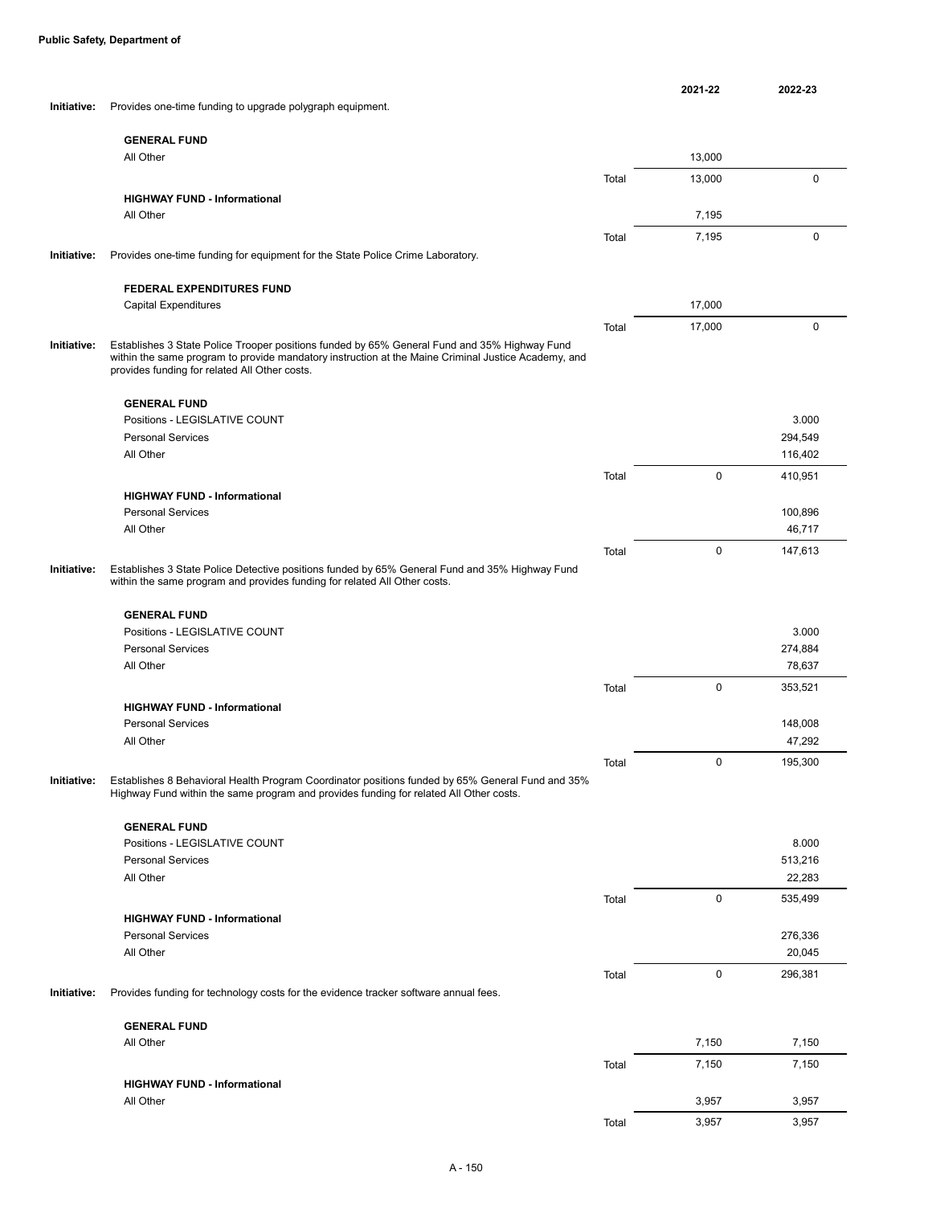|             |                                                                                                                                                                                                                                                      |       | 2021-22     | 2022-23            |
|-------------|------------------------------------------------------------------------------------------------------------------------------------------------------------------------------------------------------------------------------------------------------|-------|-------------|--------------------|
| Initiative: | Provides one-time funding to upgrade polygraph equipment.                                                                                                                                                                                            |       |             |                    |
|             | <b>GENERAL FUND</b>                                                                                                                                                                                                                                  |       |             |                    |
|             | All Other                                                                                                                                                                                                                                            |       | 13.000      |                    |
|             |                                                                                                                                                                                                                                                      | Total | 13,000      | $\mathbf 0$        |
|             | <b>HIGHWAY FUND - Informational</b>                                                                                                                                                                                                                  |       |             |                    |
|             | All Other                                                                                                                                                                                                                                            |       | 7,195       |                    |
|             |                                                                                                                                                                                                                                                      | Total | 7,195       | 0                  |
| Initiative: | Provides one-time funding for equipment for the State Police Crime Laboratory.                                                                                                                                                                       |       |             |                    |
|             | <b>FEDERAL EXPENDITURES FUND</b>                                                                                                                                                                                                                     |       |             |                    |
|             | <b>Capital Expenditures</b>                                                                                                                                                                                                                          |       | 17,000      |                    |
|             |                                                                                                                                                                                                                                                      | Total | 17,000      | $\mathbf 0$        |
| Initiative: | Establishes 3 State Police Trooper positions funded by 65% General Fund and 35% Highway Fund<br>within the same program to provide mandatory instruction at the Maine Criminal Justice Academy, and<br>provides funding for related All Other costs. |       |             |                    |
|             | <b>GENERAL FUND</b>                                                                                                                                                                                                                                  |       |             |                    |
|             | Positions - LEGISLATIVE COUNT                                                                                                                                                                                                                        |       |             | 3.000              |
|             | <b>Personal Services</b><br>All Other                                                                                                                                                                                                                |       |             | 294,549<br>116,402 |
|             |                                                                                                                                                                                                                                                      |       | $\mathbf 0$ | 410,951            |
|             | <b>HIGHWAY FUND - Informational</b>                                                                                                                                                                                                                  | Total |             |                    |
|             | <b>Personal Services</b>                                                                                                                                                                                                                             |       |             | 100,896            |
|             | All Other                                                                                                                                                                                                                                            |       |             | 46,717             |
|             |                                                                                                                                                                                                                                                      | Total | 0           | 147,613            |
| Initiative: | Establishes 3 State Police Detective positions funded by 65% General Fund and 35% Highway Fund<br>within the same program and provides funding for related All Other costs.                                                                          |       |             |                    |
|             | <b>GENERAL FUND</b>                                                                                                                                                                                                                                  |       |             |                    |
|             | Positions - LEGISLATIVE COUNT                                                                                                                                                                                                                        |       |             | 3.000              |
|             | <b>Personal Services</b><br>All Other                                                                                                                                                                                                                |       |             | 274,884<br>78,637  |
|             |                                                                                                                                                                                                                                                      | Total | $\mathbf 0$ | 353,521            |
|             | <b>HIGHWAY FUND - Informational</b>                                                                                                                                                                                                                  |       |             |                    |
|             | <b>Personal Services</b>                                                                                                                                                                                                                             |       |             | 148,008            |
|             | All Other                                                                                                                                                                                                                                            |       |             | 47,292             |
|             |                                                                                                                                                                                                                                                      | Total | 0           | 195,300            |
| Initiative: | Establishes 8 Behavioral Health Program Coordinator positions funded by 65% General Fund and 35%<br>Highway Fund within the same program and provides funding for related All Other costs.                                                           |       |             |                    |
|             | <b>GENERAL FUND</b>                                                                                                                                                                                                                                  |       |             |                    |
|             | Positions - LEGISLATIVE COUNT                                                                                                                                                                                                                        |       |             | 8.000              |
|             | <b>Personal Services</b><br>All Other                                                                                                                                                                                                                |       |             | 513,216<br>22,283  |
|             |                                                                                                                                                                                                                                                      | Total | 0           | 535,499            |
|             | <b>HIGHWAY FUND - Informational</b>                                                                                                                                                                                                                  |       |             |                    |
|             | <b>Personal Services</b>                                                                                                                                                                                                                             |       |             | 276,336            |
|             | All Other                                                                                                                                                                                                                                            |       |             | 20,045             |
|             |                                                                                                                                                                                                                                                      | Total | 0           | 296,381            |
| Initiative: | Provides funding for technology costs for the evidence tracker software annual fees.                                                                                                                                                                 |       |             |                    |
|             | <b>GENERAL FUND</b>                                                                                                                                                                                                                                  |       |             |                    |
|             | All Other                                                                                                                                                                                                                                            |       | 7,150       | 7,150              |
|             |                                                                                                                                                                                                                                                      | Total | 7,150       | 7,150              |

HIGHWAY FUND - Informational All Other 3,957 3,957 3,957 3,957 3,957 3,967 3,967 3,967 3,967 3,967 3,967 3,967 3,967 3,967 3,967 3,967 3,967 3,967 3,967 3,967 3,967 3,967 3,967 3,967 3,967 3,967 3,967 3,967 3,967 3,967 3,967 3,967 3,967 3,967 3,967 3,

Total 3,957 3,957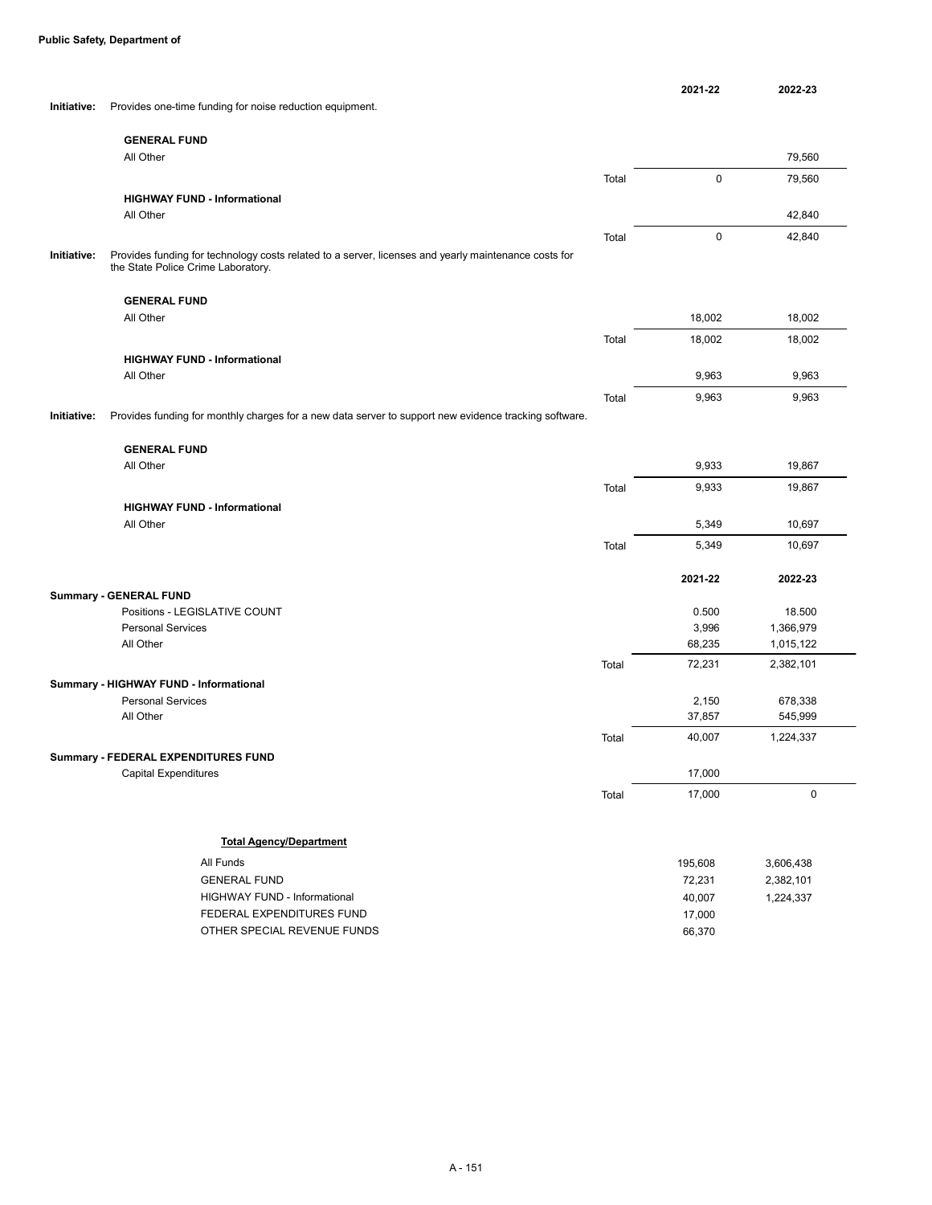|             |                                                                                                                                            |       | 2021-22        | 2022-23   |
|-------------|--------------------------------------------------------------------------------------------------------------------------------------------|-------|----------------|-----------|
| Initiative: | Provides one-time funding for noise reduction equipment.                                                                                   |       |                |           |
|             | <b>GENERAL FUND</b>                                                                                                                        |       |                |           |
|             | All Other                                                                                                                                  |       |                | 79,560    |
|             |                                                                                                                                            | Total | 0              | 79,560    |
|             | <b>HIGHWAY FUND - Informational</b>                                                                                                        |       |                |           |
|             | All Other                                                                                                                                  |       |                | 42,840    |
|             |                                                                                                                                            | Total | $\pmb{0}$      | 42,840    |
| Initiative: | Provides funding for technology costs related to a server, licenses and yearly maintenance costs for<br>the State Police Crime Laboratory. |       |                |           |
|             | <b>GENERAL FUND</b>                                                                                                                        |       |                |           |
|             | All Other                                                                                                                                  |       | 18,002         | 18,002    |
|             |                                                                                                                                            | Total | 18,002         | 18,002    |
|             | <b>HIGHWAY FUND - Informational</b>                                                                                                        |       |                |           |
|             | All Other                                                                                                                                  |       | 9,963          | 9,963     |
|             |                                                                                                                                            | Total | 9,963          | 9,963     |
| Initiative: | Provides funding for monthly charges for a new data server to support new evidence tracking software.                                      |       |                |           |
|             | <b>GENERAL FUND</b>                                                                                                                        |       |                |           |
|             | All Other                                                                                                                                  |       | 9,933          | 19,867    |
|             |                                                                                                                                            | Total | 9,933          | 19,867    |
|             | <b>HIGHWAY FUND - Informational</b>                                                                                                        |       |                |           |
|             | All Other                                                                                                                                  |       | 5,349          | 10,697    |
|             |                                                                                                                                            | Total | 5,349          | 10,697    |
|             |                                                                                                                                            |       |                |           |
|             |                                                                                                                                            |       | 2021-22        | 2022-23   |
|             | <b>Summary - GENERAL FUND</b>                                                                                                              |       |                | 18.500    |
|             | Positions - LEGISLATIVE COUNT<br><b>Personal Services</b>                                                                                  |       | 0.500<br>3,996 | 1,366,979 |
|             | All Other                                                                                                                                  |       | 68,235         | 1,015,122 |
|             |                                                                                                                                            | Total | 72,231         | 2,382,101 |
|             | Summary - HIGHWAY FUND - Informational                                                                                                     |       |                |           |
|             | <b>Personal Services</b>                                                                                                                   |       | 2,150          | 678,338   |
|             | All Other                                                                                                                                  |       | 37,857         | 545,999   |
|             |                                                                                                                                            | Total | 40,007         | 1,224,337 |
|             | Summary - FEDERAL EXPENDITURES FUND                                                                                                        |       |                |           |
|             | <b>Capital Expenditures</b>                                                                                                                |       | 17,000         |           |
|             |                                                                                                                                            | Total | 17,000         | 0         |
|             | <b>Total Agency/Department</b>                                                                                                             |       |                |           |
|             | All Funds                                                                                                                                  |       | 195,608        | 3,606,438 |
|             | <b>GENERAL FUND</b>                                                                                                                        |       | 72,231         | 2,382,101 |
|             | HIGHWAY FUND - Informational                                                                                                               |       | 40,007         | 1,224,337 |
|             | FEDERAL EXPENDITURES FUND                                                                                                                  |       | 17,000         |           |

OTHER SPECIAL REVENUE FUNDS 66,370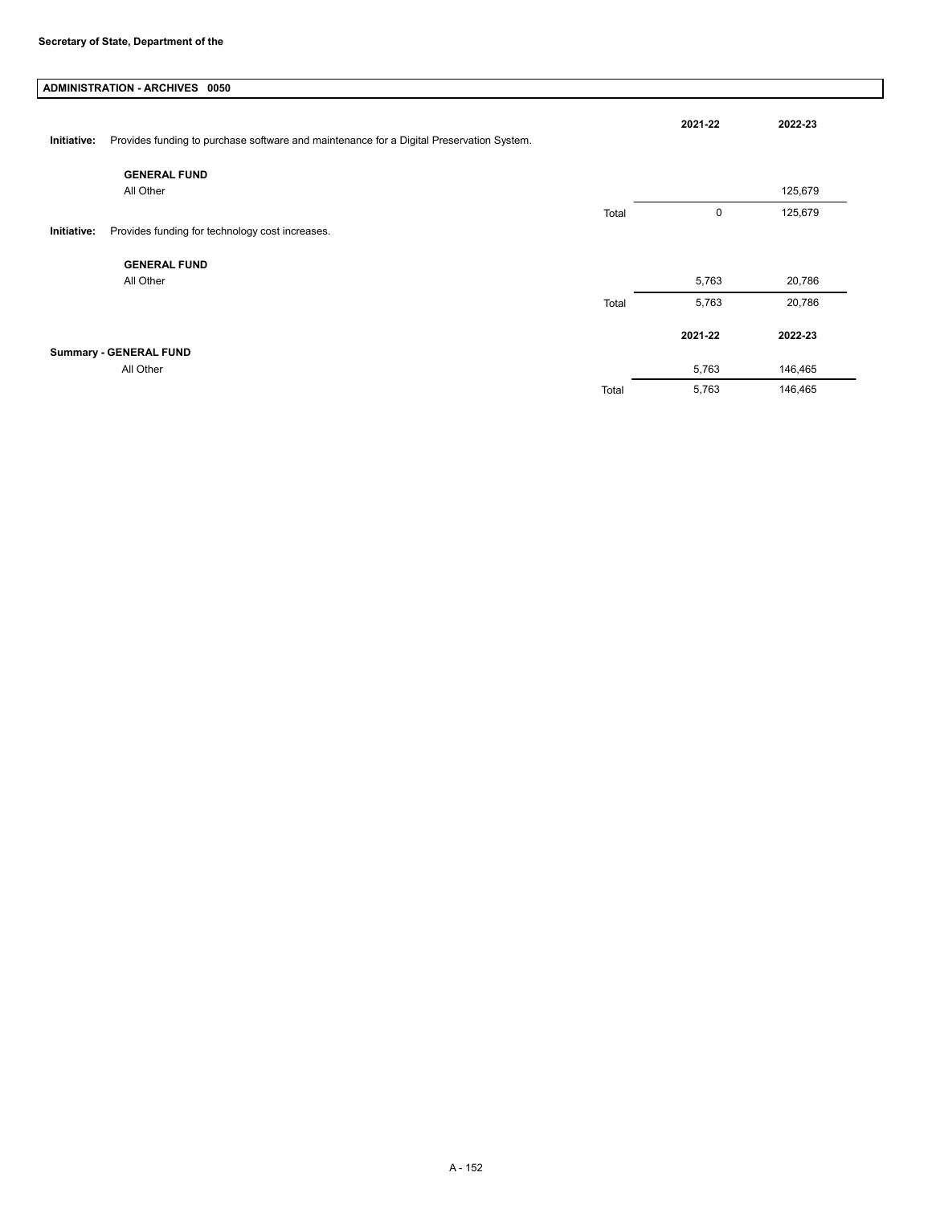|             | ADMINISTRATION - ARCHIVES 0050                                                           |       |         |         |
|-------------|------------------------------------------------------------------------------------------|-------|---------|---------|
| Initiative: | Provides funding to purchase software and maintenance for a Digital Preservation System. |       | 2021-22 | 2022-23 |
|             | <b>GENERAL FUND</b><br>All Other                                                         |       |         | 125,679 |
| Initiative: | Provides funding for technology cost increases.                                          | Total | 0       | 125,679 |
|             |                                                                                          |       |         |         |
|             | <b>GENERAL FUND</b><br>All Other                                                         |       | 5,763   | 20,786  |
|             |                                                                                          | Total | 5,763   | 20,786  |
|             |                                                                                          |       | 2021-22 | 2022-23 |
|             | <b>Summary - GENERAL FUND</b><br>All Other                                               |       | 5,763   | 146,465 |
|             |                                                                                          | Total | 5,763   | 146,465 |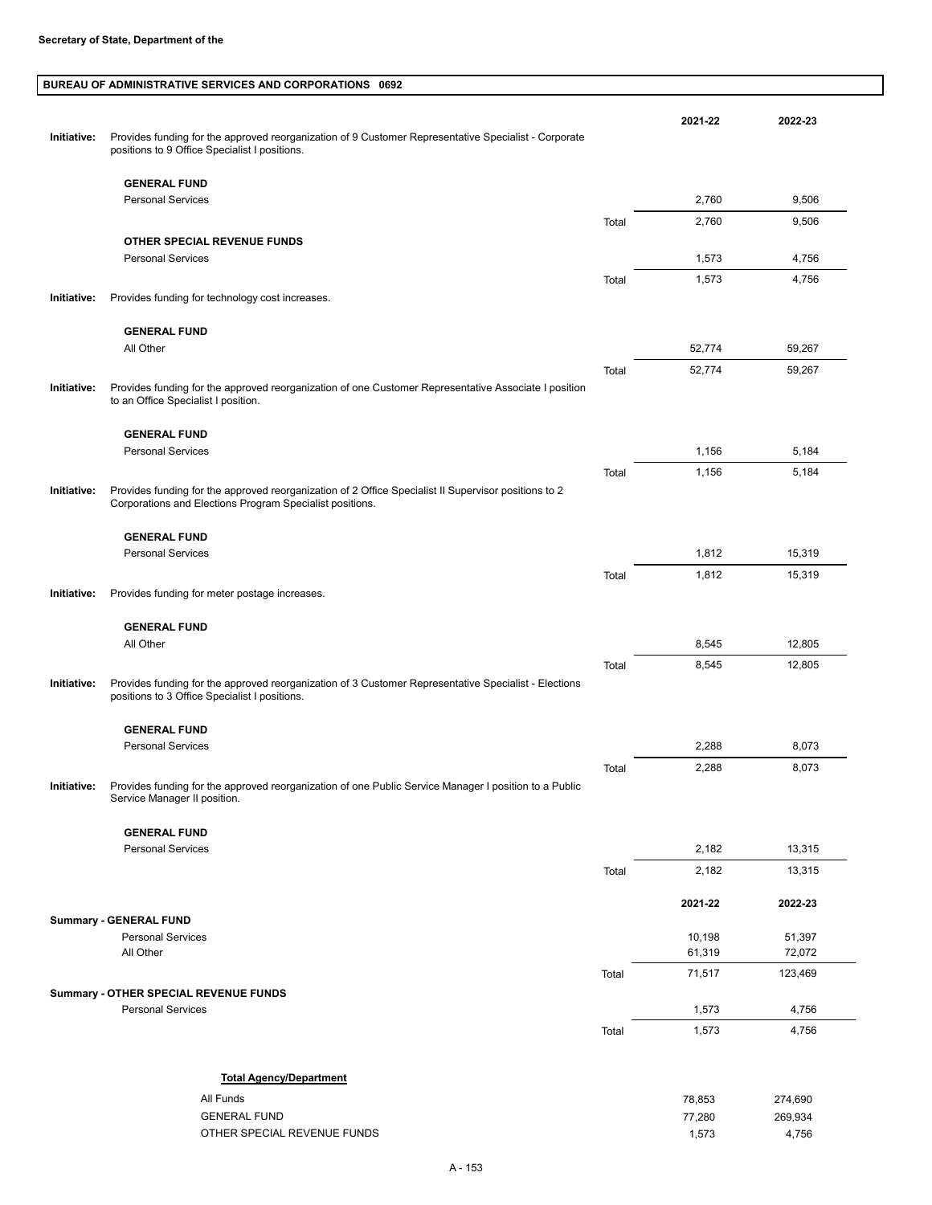|             | BUREAU OF ADMINISTRATIVE SERVICES AND CORPORATIONS 0692                                                                                                          |       |         |         |
|-------------|------------------------------------------------------------------------------------------------------------------------------------------------------------------|-------|---------|---------|
|             |                                                                                                                                                                  |       |         |         |
| Initiative: | Provides funding for the approved reorganization of 9 Customer Representative Specialist - Corporate<br>positions to 9 Office Specialist I positions.            |       | 2021-22 | 2022-23 |
|             | <b>GENERAL FUND</b>                                                                                                                                              |       |         |         |
|             | <b>Personal Services</b>                                                                                                                                         |       | 2,760   | 9,506   |
|             |                                                                                                                                                                  | Total | 2,760   | 9,506   |
|             | <b>OTHER SPECIAL REVENUE FUNDS</b>                                                                                                                               |       |         |         |
|             | <b>Personal Services</b>                                                                                                                                         |       | 1,573   | 4,756   |
|             |                                                                                                                                                                  | Total | 1,573   | 4,756   |
| Initiative: | Provides funding for technology cost increases.                                                                                                                  |       |         |         |
|             | <b>GENERAL FUND</b>                                                                                                                                              |       |         |         |
|             | All Other                                                                                                                                                        |       | 52,774  | 59,267  |
|             |                                                                                                                                                                  | Total | 52,774  | 59,267  |
| Initiative: | Provides funding for the approved reorganization of one Customer Representative Associate I position<br>to an Office Specialist I position.                      |       |         |         |
|             | <b>GENERAL FUND</b>                                                                                                                                              |       |         |         |
|             | <b>Personal Services</b>                                                                                                                                         |       | 1,156   | 5,184   |
|             |                                                                                                                                                                  | Total | 1,156   | 5,184   |
| Initiative: | Provides funding for the approved reorganization of 2 Office Specialist II Supervisor positions to 2<br>Corporations and Elections Program Specialist positions. |       |         |         |
|             | <b>GENERAL FUND</b>                                                                                                                                              |       |         |         |
|             | <b>Personal Services</b>                                                                                                                                         |       | 1,812   | 15,319  |
|             |                                                                                                                                                                  | Total | 1,812   | 15,319  |
| Initiative: | Provides funding for meter postage increases.                                                                                                                    |       |         |         |
|             | <b>GENERAL FUND</b>                                                                                                                                              |       |         |         |
|             | All Other                                                                                                                                                        |       | 8,545   | 12,805  |
|             |                                                                                                                                                                  | Total | 8,545   | 12,805  |
| Initiative: | Provides funding for the approved reorganization of 3 Customer Representative Specialist - Elections<br>positions to 3 Office Specialist I positions.            |       |         |         |
|             | <b>GENERAL FUND</b>                                                                                                                                              |       |         |         |
|             | <b>Personal Services</b>                                                                                                                                         |       | 2,288   | 8,073   |
|             |                                                                                                                                                                  | Total | 2,288   | 8,073   |
| Initiative: | Provides funding for the approved reorganization of one Public Service Manager I position to a Public<br>Service Manager II position.                            |       |         |         |
|             | <b>GENERAL FUND</b>                                                                                                                                              |       |         |         |
|             | <b>Personal Services</b>                                                                                                                                         |       | 2,182   | 13,315  |
|             |                                                                                                                                                                  | Total | 2,182   | 13,315  |
|             | <b>Summary - GENERAL FUND</b>                                                                                                                                    |       | 2021-22 | 2022-23 |
|             | <b>Personal Services</b>                                                                                                                                         |       | 10,198  | 51,397  |
|             | All Other                                                                                                                                                        |       | 61,319  | 72,072  |
|             |                                                                                                                                                                  | Total | 71,517  | 123,469 |
|             | <b>Summary - OTHER SPECIAL REVENUE FUNDS</b>                                                                                                                     |       |         |         |
|             | <b>Personal Services</b>                                                                                                                                         |       | 1,573   | 4,756   |
|             |                                                                                                                                                                  | Total | 1,573   | 4,756   |
|             | <b>Total Agency/Department</b>                                                                                                                                   |       |         |         |
|             | All Funds                                                                                                                                                        |       | 78,853  | 274,690 |
|             | <b>GENERAL FUND</b>                                                                                                                                              |       | 77,280  | 269,934 |

OTHER SPECIAL REVENUE FUNDS 1,573 4,756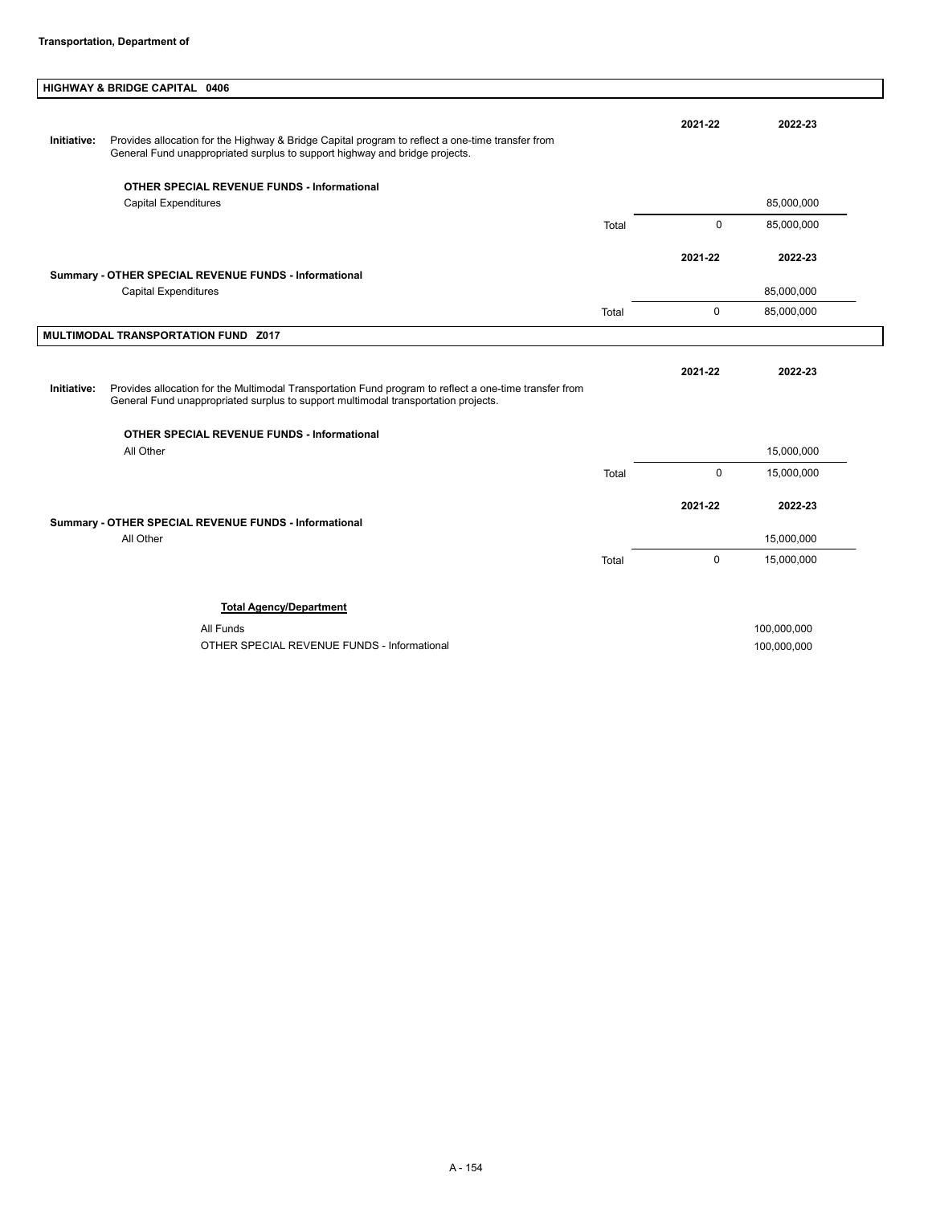|             | HIGHWAY & BRIDGE CAPITAL 0406                                                                                                                                                                |       |         |             |
|-------------|----------------------------------------------------------------------------------------------------------------------------------------------------------------------------------------------|-------|---------|-------------|
| Initiative: | Provides allocation for the Highway & Bridge Capital program to reflect a one-time transfer from<br>General Fund unappropriated surplus to support highway and bridge projects.              |       | 2021-22 | 2022-23     |
|             | <b>OTHER SPECIAL REVENUE FUNDS - Informational</b>                                                                                                                                           |       |         |             |
|             | <b>Capital Expenditures</b>                                                                                                                                                                  |       |         | 85,000,000  |
|             |                                                                                                                                                                                              | Total | 0       | 85,000,000  |
|             |                                                                                                                                                                                              |       | 2021-22 | 2022-23     |
|             | Summary - OTHER SPECIAL REVENUE FUNDS - Informational<br><b>Capital Expenditures</b>                                                                                                         |       |         | 85,000,000  |
|             |                                                                                                                                                                                              | Total | 0       | 85,000,000  |
|             | MULTIMODAL TRANSPORTATION FUND Z017                                                                                                                                                          |       |         |             |
| Initiative: | Provides allocation for the Multimodal Transportation Fund program to reflect a one-time transfer from<br>General Fund unappropriated surplus to support multimodal transportation projects. |       | 2021-22 | 2022-23     |
|             | <b>OTHER SPECIAL REVENUE FUNDS - Informational</b>                                                                                                                                           |       |         |             |
|             | All Other                                                                                                                                                                                    |       |         | 15,000,000  |
|             |                                                                                                                                                                                              | Total | 0       | 15,000,000  |
|             | Summary - OTHER SPECIAL REVENUE FUNDS - Informational                                                                                                                                        |       | 2021-22 | 2022-23     |
|             | All Other                                                                                                                                                                                    |       |         | 15,000,000  |
|             |                                                                                                                                                                                              | Total | 0       | 15,000,000  |
|             | <b>Total Agency/Department</b>                                                                                                                                                               |       |         |             |
|             | All Funds                                                                                                                                                                                    |       |         | 100,000,000 |
|             | OTHER SPECIAL REVENUE FUNDS - Informational                                                                                                                                                  |       |         | 100,000,000 |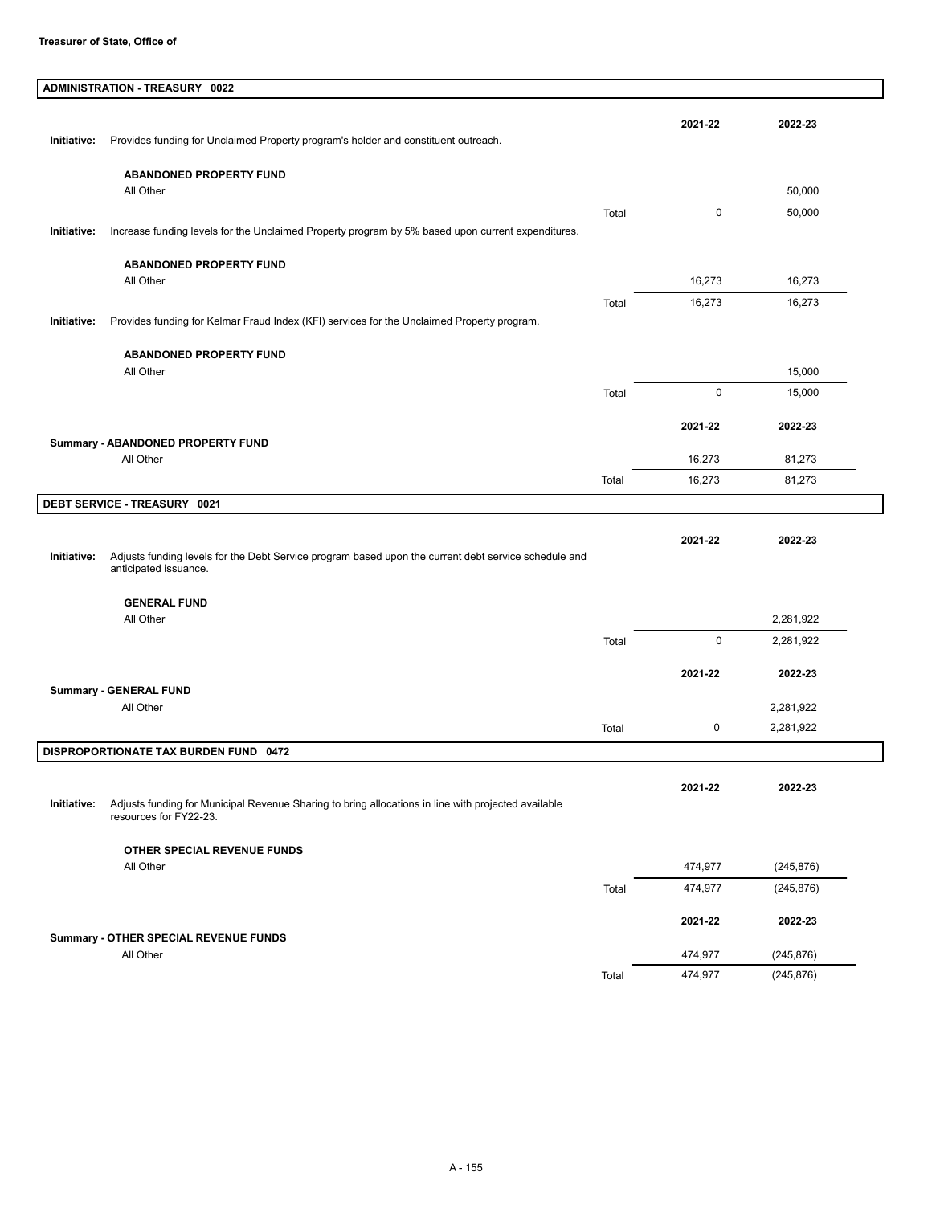|             | ADMINISTRATION - TREASURY 0022                                                                       |       |           |            |  |
|-------------|------------------------------------------------------------------------------------------------------|-------|-----------|------------|--|
|             |                                                                                                      |       |           |            |  |
| Initiative: | Provides funding for Unclaimed Property program's holder and constituent outreach.                   |       | 2021-22   | 2022-23    |  |
|             |                                                                                                      |       |           |            |  |
|             | <b>ABANDONED PROPERTY FUND</b>                                                                       |       |           |            |  |
|             | All Other                                                                                            |       |           | 50,000     |  |
| Initiative: | Increase funding levels for the Unclaimed Property program by 5% based upon current expenditures.    | Total | $\pmb{0}$ | 50,000     |  |
|             |                                                                                                      |       |           |            |  |
|             | <b>ABANDONED PROPERTY FUND</b>                                                                       |       |           |            |  |
|             | All Other                                                                                            |       | 16,273    | 16,273     |  |
| Initiative: | Provides funding for Kelmar Fraud Index (KFI) services for the Unclaimed Property program.           | Total | 16,273    | 16,273     |  |
|             |                                                                                                      |       |           |            |  |
|             | <b>ABANDONED PROPERTY FUND</b>                                                                       |       |           |            |  |
|             | All Other                                                                                            |       |           | 15,000     |  |
|             |                                                                                                      | Total | $\pmb{0}$ | 15,000     |  |
|             |                                                                                                      |       | 2021-22   | 2022-23    |  |
|             | Summary - ABANDONED PROPERTY FUND                                                                    |       |           |            |  |
|             | All Other                                                                                            |       | 16,273    | 81,273     |  |
|             |                                                                                                      | Total | 16,273    | 81,273     |  |
|             | DEBT SERVICE - TREASURY 0021                                                                         |       |           |            |  |
|             |                                                                                                      |       | 2021-22   | 2022-23    |  |
| Initiative: | Adjusts funding levels for the Debt Service program based upon the current debt service schedule and |       |           |            |  |
|             | anticipated issuance.                                                                                |       |           |            |  |
|             | <b>GENERAL FUND</b>                                                                                  |       |           |            |  |
|             | All Other                                                                                            |       |           | 2,281,922  |  |
|             |                                                                                                      | Total | $\pmb{0}$ | 2,281,922  |  |
|             |                                                                                                      |       | 2021-22   | 2022-23    |  |
|             | <b>Summary - GENERAL FUND</b>                                                                        |       |           |            |  |
|             | All Other                                                                                            |       |           | 2,281,922  |  |
|             |                                                                                                      | Total | 0         | 2,281,922  |  |
|             | DISPROPORTIONATE TAX BURDEN FUND 0472                                                                |       |           |            |  |
|             |                                                                                                      |       | 2021-22   | 2022-23    |  |
| Initiative: | Adjusts funding for Municipal Revenue Sharing to bring allocations in line with projected available  |       |           |            |  |
|             | resources for FY22-23.                                                                               |       |           |            |  |
|             | OTHER SPECIAL REVENUE FUNDS                                                                          |       |           |            |  |
|             | All Other                                                                                            |       | 474,977   | (245, 876) |  |
|             |                                                                                                      | Total | 474,977   | (245, 876) |  |
|             |                                                                                                      |       | 2021-22   | 2022-23    |  |
|             | <b>Summary - OTHER SPECIAL REVENUE FUNDS</b>                                                         |       |           |            |  |
|             | All Other                                                                                            |       | 474,977   | (245, 876) |  |
|             |                                                                                                      | Total | 474,977   | (245, 876) |  |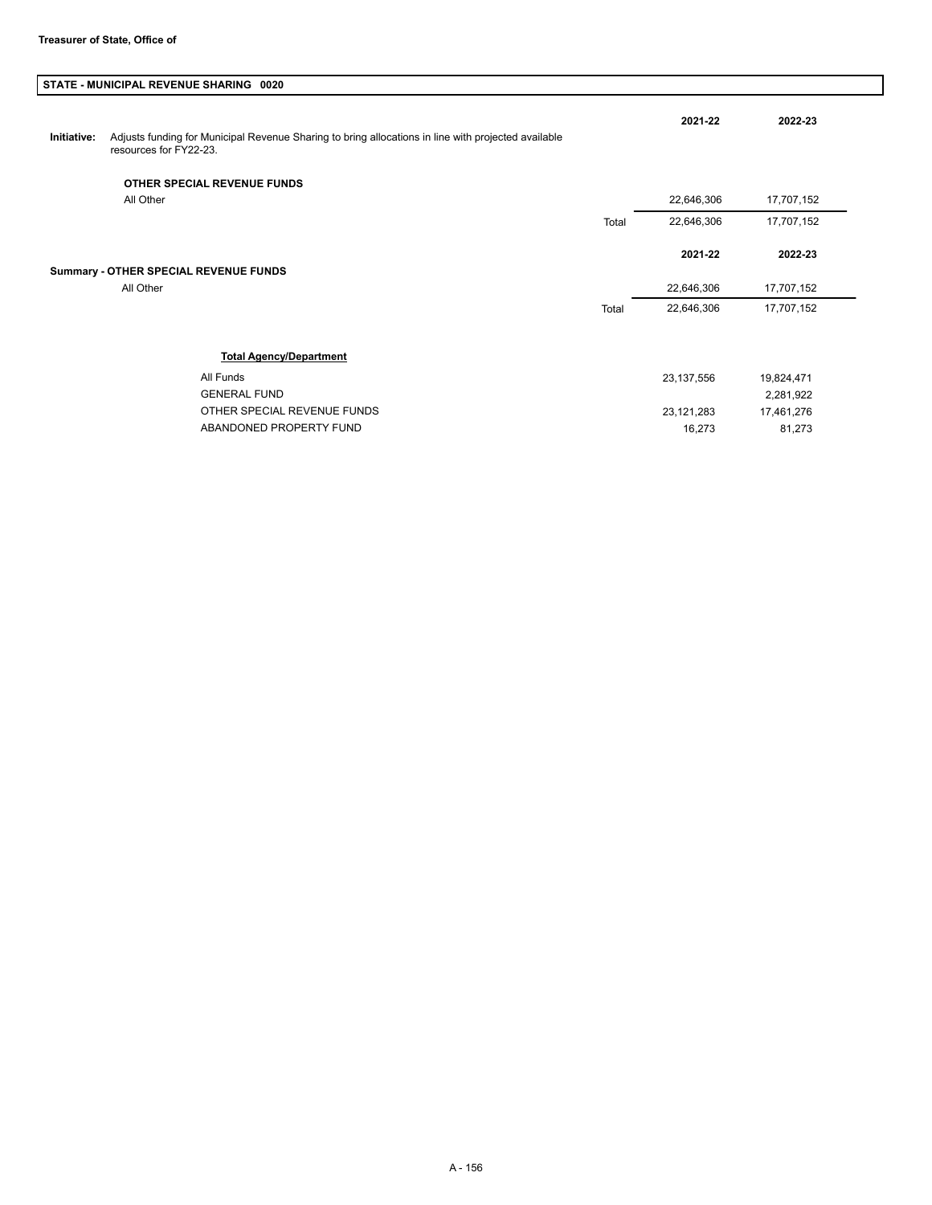|             | STATE - MUNICIPAL REVENUE SHARING 0020                                                                                        |       |            |            |
|-------------|-------------------------------------------------------------------------------------------------------------------------------|-------|------------|------------|
| Initiative: | Adjusts funding for Municipal Revenue Sharing to bring allocations in line with projected available<br>resources for FY22-23. |       | 2021-22    | 2022-23    |
|             | OTHER SPECIAL REVENUE FUNDS                                                                                                   |       |            |            |
|             | All Other                                                                                                                     |       | 22,646,306 | 17,707,152 |
|             |                                                                                                                               | Total | 22,646,306 | 17,707,152 |
|             |                                                                                                                               |       | 2021-22    | 2022-23    |
|             | Summary - OTHER SPECIAL REVENUE FUNDS                                                                                         |       |            |            |
|             | All Other                                                                                                                     |       | 22,646,306 | 17,707,152 |
|             |                                                                                                                               | Total | 22,646,306 | 17,707,152 |
|             | <b>Total Agency/Department</b>                                                                                                |       |            |            |
|             | All Funds                                                                                                                     |       | 23,137,556 | 19,824,471 |
|             | <b>GENERAL FUND</b>                                                                                                           |       |            | 2,281,922  |
|             | OTHER SPECIAL REVENUE FUNDS                                                                                                   |       | 23,121,283 | 17,461,276 |
|             | ABANDONED PROPERTY FUND                                                                                                       |       | 16,273     | 81,273     |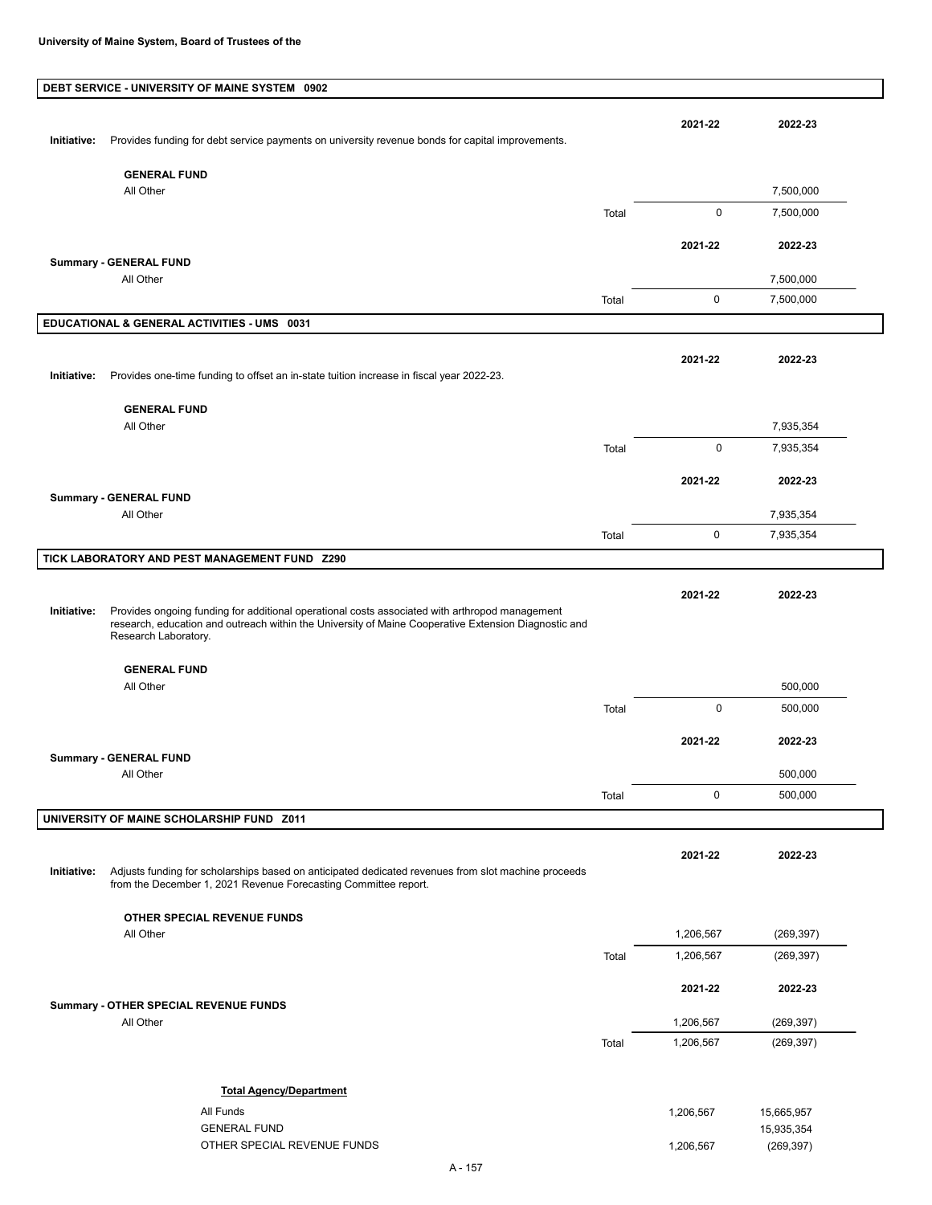| DEBT SERVICE - UNIVERSITY OF MAINE SYSTEM 0902 |                                                                                                      |       |           |                          |  |  |
|------------------------------------------------|------------------------------------------------------------------------------------------------------|-------|-----------|--------------------------|--|--|
|                                                |                                                                                                      |       |           |                          |  |  |
|                                                |                                                                                                      |       | 2021-22   | 2022-23                  |  |  |
| Initiative:                                    | Provides funding for debt service payments on university revenue bonds for capital improvements.     |       |           |                          |  |  |
|                                                | <b>GENERAL FUND</b>                                                                                  |       |           |                          |  |  |
|                                                | All Other                                                                                            |       |           | 7,500,000                |  |  |
|                                                |                                                                                                      | Total | $\pmb{0}$ | 7,500,000                |  |  |
|                                                |                                                                                                      |       |           |                          |  |  |
|                                                |                                                                                                      |       | 2021-22   | 2022-23                  |  |  |
|                                                | <b>Summary - GENERAL FUND</b>                                                                        |       |           |                          |  |  |
|                                                | All Other                                                                                            |       |           | 7,500,000                |  |  |
|                                                |                                                                                                      | Total | 0         | 7,500,000                |  |  |
|                                                | EDUCATIONAL & GENERAL ACTIVITIES - UMS 0031                                                          |       |           |                          |  |  |
|                                                |                                                                                                      |       |           |                          |  |  |
|                                                |                                                                                                      |       | 2021-22   | 2022-23                  |  |  |
| Initiative:                                    | Provides one-time funding to offset an in-state tuition increase in fiscal year 2022-23.             |       |           |                          |  |  |
|                                                |                                                                                                      |       |           |                          |  |  |
|                                                | <b>GENERAL FUND</b>                                                                                  |       |           |                          |  |  |
|                                                | All Other                                                                                            |       |           | 7,935,354                |  |  |
|                                                |                                                                                                      | Total | 0         | 7,935,354                |  |  |
|                                                |                                                                                                      |       |           |                          |  |  |
|                                                | <b>Summary - GENERAL FUND</b>                                                                        |       | 2021-22   | 2022-23                  |  |  |
|                                                | All Other                                                                                            |       |           | 7,935,354                |  |  |
|                                                |                                                                                                      | Total | 0         | 7,935,354                |  |  |
|                                                |                                                                                                      |       |           |                          |  |  |
|                                                | TICK LABORATORY AND PEST MANAGEMENT FUND Z290                                                        |       |           |                          |  |  |
|                                                |                                                                                                      |       | 2021-22   |                          |  |  |
| Initiative:                                    | Provides ongoing funding for additional operational costs associated with arthropod management       |       |           | 2022-23                  |  |  |
|                                                | research, education and outreach within the University of Maine Cooperative Extension Diagnostic and |       |           |                          |  |  |
|                                                | Research Laboratory.                                                                                 |       |           |                          |  |  |
|                                                | <b>GENERAL FUND</b>                                                                                  |       |           |                          |  |  |
|                                                | All Other                                                                                            |       |           | 500,000                  |  |  |
|                                                |                                                                                                      | Total | $\pmb{0}$ | 500,000                  |  |  |
|                                                |                                                                                                      |       |           |                          |  |  |
|                                                |                                                                                                      |       | 2021-22   | 2022-23                  |  |  |
|                                                | <b>Summary - GENERAL FUND</b>                                                                        |       |           |                          |  |  |
|                                                | All Other                                                                                            |       |           | 500,000                  |  |  |
|                                                |                                                                                                      | Total | 0         | 500,000                  |  |  |
|                                                | UNIVERSITY OF MAINE SCHOLARSHIP FUND Z011                                                            |       |           |                          |  |  |
|                                                |                                                                                                      |       |           |                          |  |  |
|                                                |                                                                                                      |       | 2021-22   | 2022-23                  |  |  |
| Initiative:                                    | Adjusts funding for scholarships based on anticipated dedicated revenues from slot machine proceeds  |       |           |                          |  |  |
|                                                | from the December 1, 2021 Revenue Forecasting Committee report.                                      |       |           |                          |  |  |
|                                                | OTHER SPECIAL REVENUE FUNDS                                                                          |       |           |                          |  |  |
|                                                | All Other                                                                                            |       | 1,206,567 | (269, 397)               |  |  |
|                                                |                                                                                                      |       | 1,206,567 | (269, 397)               |  |  |
|                                                |                                                                                                      | Total |           |                          |  |  |
|                                                |                                                                                                      |       | 2021-22   | 2022-23                  |  |  |
| Summary - OTHER SPECIAL REVENUE FUNDS          |                                                                                                      |       |           |                          |  |  |
|                                                | All Other                                                                                            |       | 1,206,567 | (269, 397)               |  |  |
|                                                |                                                                                                      | Total | 1,206,567 | (269, 397)               |  |  |
|                                                |                                                                                                      |       |           |                          |  |  |
|                                                |                                                                                                      |       |           |                          |  |  |
|                                                | <b>Total Agency/Department</b>                                                                       |       |           |                          |  |  |
|                                                | All Funds                                                                                            |       | 1,206,567 | 15,665,957               |  |  |
|                                                | <b>GENERAL FUND</b><br>OTHER SPECIAL REVENUE FUNDS                                                   |       | 1,206,567 | 15,935,354<br>(269, 397) |  |  |
|                                                |                                                                                                      |       |           |                          |  |  |